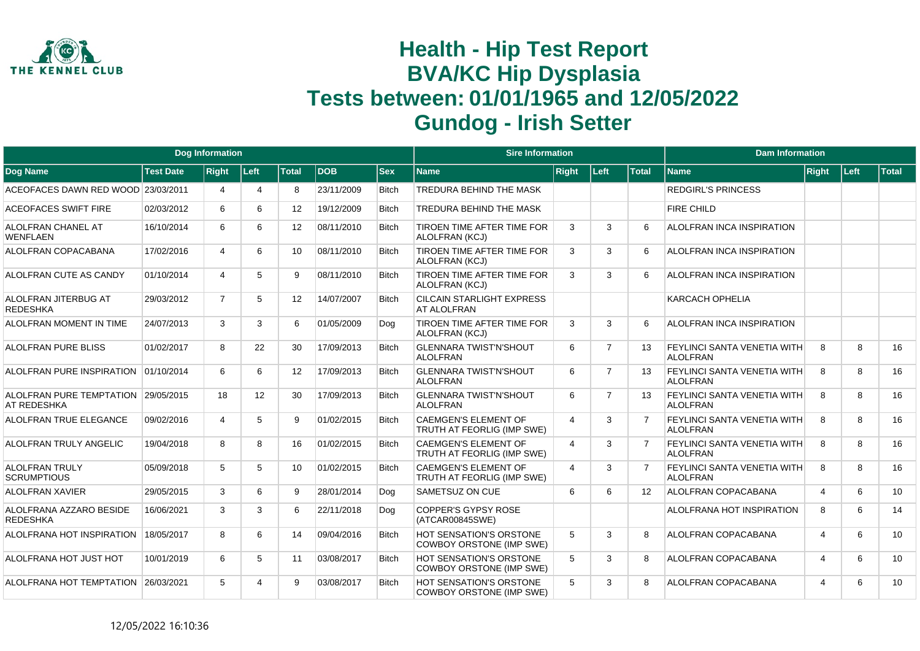

|                                                    |                  | <b>Dog Information</b> |                       |                   |            |              | <b>Sire Information</b>                                           |                |                |                   | <b>Dam Information</b>                                |       |      |              |
|----------------------------------------------------|------------------|------------------------|-----------------------|-------------------|------------|--------------|-------------------------------------------------------------------|----------------|----------------|-------------------|-------------------------------------------------------|-------|------|--------------|
| Dog Name                                           | <b>Test Date</b> | <b>Right</b>           | Left                  | Total             | <b>DOB</b> | <b>Sex</b>   | <b>Name</b>                                                       | Right          | Left           | <b>Total</b>      | <b>Name</b>                                           | Right | Left | <b>Total</b> |
| ACEOFACES DAWN RED WOOD 23/03/2011                 |                  | 4                      | $\boldsymbol{\Delta}$ | 8                 | 23/11/2009 | <b>Bitch</b> | TREDURA BEHIND THE MASK                                           |                |                |                   | <b>REDGIRL'S PRINCESS</b>                             |       |      |              |
| <b>ACEOFACES SWIFT FIRE</b>                        | 02/03/2012       | 6                      | 6                     | $12 \overline{ }$ | 19/12/2009 | <b>Bitch</b> | TREDURA BEHIND THE MASK                                           |                |                |                   | FIRE CHILD                                            |       |      |              |
| ALOLFRAN CHANEL AT<br><b>WENFLAEN</b>              | 16/10/2014       | 6                      | 6                     | 12                | 08/11/2010 | <b>Bitch</b> | TIROEN TIME AFTER TIME FOR<br>ALOLFRAN (KCJ)                      | 3              | 3              | 6                 | <b>ALOLFRAN INCA INSPIRATION</b>                      |       |      |              |
| ALOLFRAN COPACABANA                                | 17/02/2016       | 4                      | 6                     | 10                | 08/11/2010 | <b>Bitch</b> | TIROEN TIME AFTER TIME FOR<br>ALOLFRAN (KCJ)                      | 3              | 3              | 6                 | ALOLFRAN INCA INSPIRATION                             |       |      |              |
| ALOLFRAN CUTE AS CANDY                             | 01/10/2014       | 4                      | 5                     | 9                 | 08/11/2010 | <b>Bitch</b> | TIROEN TIME AFTER TIME FOR<br>ALOLFRAN (KCJ)                      | 3              | 3              | 6                 | ALOLFRAN INCA INSPIRATION                             |       |      |              |
| ALOLFRAN JITERBUG AT<br><b>REDESHKA</b>            | 29/03/2012       | $\overline{7}$         | $5^{\circ}$           | 12                | 14/07/2007 | <b>Bitch</b> | <b>CILCAIN STARLIGHT EXPRESS</b><br>AT ALOLFRAN                   |                |                |                   | <b>KARCACH OPHELIA</b>                                |       |      |              |
| ALOLFRAN MOMENT IN TIME                            | 24/07/2013       | 3                      | 3                     | 6                 | 01/05/2009 | Dog          | TIROEN TIME AFTER TIME FOR<br>ALOLFRAN (KCJ)                      | 3              | 3              | 6                 | <b>ALOLFRAN INCA INSPIRATION</b>                      |       |      |              |
| ALOLFRAN PURE BLISS                                | 01/02/2017       | 8                      | 22                    | 30                | 17/09/2013 | <b>Bitch</b> | <b>GLENNARA TWIST'N'SHOUT</b><br><b>ALOLFRAN</b>                  | 6              | 7              | 13                | <b>FEYLINCI SANTA VENETIA WITH</b><br><b>ALOLFRAN</b> | 8     | 8    | 16           |
| ALOLFRAN PURE INSPIRATION 01/10/2014               |                  | 6                      | 6                     | $12 \overline{ }$ | 17/09/2013 | <b>Bitch</b> | <b>GLENNARA TWIST'N'SHOUT</b><br><b>ALOLFRAN</b>                  | 6              | $\overline{7}$ | 13                | <b>FEYLINCI SANTA VENETIA WITH</b><br><b>ALOLFRAN</b> | 8     | 8    | 16           |
| ALOLFRAN PURE TEMPTATION 29/05/2015<br>AT REDESHKA |                  | 18                     | 12                    | 30                | 17/09/2013 | <b>Bitch</b> | <b>GLENNARA TWIST'N'SHOUT</b><br><b>ALOLFRAN</b>                  | 6              | $\overline{7}$ | 13                | <b>FEYLINCI SANTA VENETIA WITH</b><br><b>ALOLFRAN</b> | 8     | 8    | 16           |
| ALOLFRAN TRUE ELEGANCE                             | 09/02/2016       | 4                      | 5                     | 9                 | 01/02/2015 | Bitch        | <b>CAEMGEN'S ELEMENT OF</b><br>TRUTH AT FEORLIG (IMP SWE)         | 4              | 3              | $\overline{7}$    | <b>FEYLINCI SANTA VENETIA WITH</b><br><b>ALOLFRAN</b> | 8     | 8    | 16           |
| ALOLFRAN TRULY ANGELIC                             | 19/04/2018       | 8                      | 8                     | 16                | 01/02/2015 | <b>Bitch</b> | <b>CAEMGEN'S ELEMENT OF</b><br>TRUTH AT FEORLIG (IMP SWE)         | $\overline{4}$ | 3              | $\overline{7}$    | <b>FEYLINCI SANTA VENETIA WITH</b><br><b>ALOLFRAN</b> | 8     | 8    | 16           |
| <b>ALOLFRAN TRULY</b><br><b>SCRUMPTIOUS</b>        | 05/09/2018       | 5                      | 5                     | 10                | 01/02/2015 | <b>Bitch</b> | <b>CAEMGEN'S ELEMENT OF</b><br>TRUTH AT FEORLIG (IMP SWE)         | $\overline{4}$ | 3              | $\overline{7}$    | <b>FEYLINCI SANTA VENETIA WITH</b><br><b>ALOLFRAN</b> | 8     | 8    | 16           |
| <b>ALOLFRAN XAVIER</b>                             | 29/05/2015       | 3                      | 6                     | 9                 | 28/01/2014 | Dog          | SAMETSUZ ON CUE                                                   | 6              | 6              | $12 \overline{ }$ | <b>ALOLFRAN COPACABANA</b>                            | 4     | 6    | 10           |
| ALOLFRANA AZZARO BESIDE<br><b>REDESHKA</b>         | 16/06/2021       | 3                      | 3                     | 6                 | 22/11/2018 | Dog          | <b>COPPER'S GYPSY ROSE</b><br>(ATCAR00845SWE)                     |                |                |                   | ALOLFRANA HOT INSPIRATION                             | 8     | 6    | 14           |
| ALOLFRANA HOT INSPIRATION                          | 18/05/2017       | 8                      | 6                     | 14                | 09/04/2016 | <b>Bitch</b> | <b>HOT SENSATION'S ORSTONE</b><br><b>COWBOY ORSTONE (IMP SWE)</b> | 5              | 3              | 8                 | <b>ALOLFRAN COPACABANA</b>                            | 4     | 6    | 10           |
| ALOLFRANA HOT JUST HOT                             | 10/01/2019       | 6                      | 5                     | 11                | 03/08/2017 | <b>Bitch</b> | HOT SENSATION'S ORSTONE<br><b>COWBOY ORSTONE (IMP SWE)</b>        | 5              | 3              | 8                 | <b>ALOLFRAN COPACABANA</b>                            | 4     | 6    | 10           |
| ALOLFRANA HOT TEMPTATION                           | 26/03/2021       | 5                      |                       | 9                 | 03/08/2017 | <b>Bitch</b> | HOT SENSATION'S ORSTONE<br>COWBOY ORSTONE (IMP SWE)               | 5              | 3              | 8                 | <b>ALOLFRAN COPACABANA</b>                            | 4     | 6    | 10           |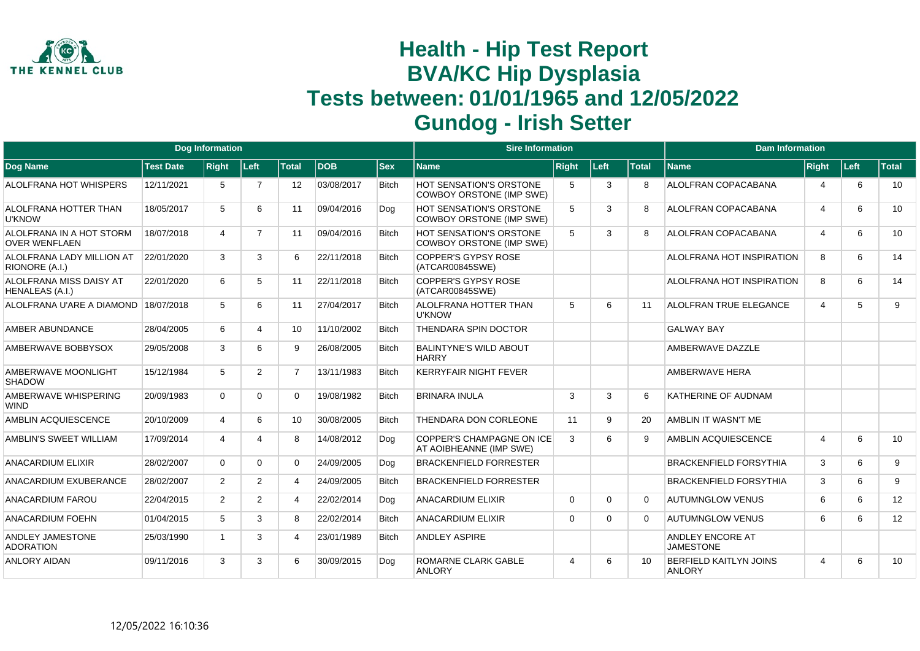

|                                                  |                  | <b>Dog Information</b> |                |                |            |              | <b>Sire Information</b>                                     |                |          |              | <b>Dam Information</b>                         |                |      |                 |
|--------------------------------------------------|------------------|------------------------|----------------|----------------|------------|--------------|-------------------------------------------------------------|----------------|----------|--------------|------------------------------------------------|----------------|------|-----------------|
| <b>Dog Name</b>                                  | <b>Test Date</b> | <b>Right</b>           | Left           | <b>Total</b>   | <b>DOB</b> | <b>Sex</b>   | Name                                                        | <b>Right</b>   | Left     | <b>Total</b> | <b>Name</b>                                    | Right          | Left | <b>Total</b>    |
| ALOLFRANA HOT WHISPERS                           | 12/11/2021       | 5                      | $\overline{7}$ | 12             | 03/08/2017 | <b>Bitch</b> | <b>HOT SENSATION'S ORSTONE</b><br>COWBOY ORSTONE (IMP SWE)  | 5              | 3        | 8            | ALOLFRAN COPACABANA                            | 4              | 6    | 10              |
| ALOLFRANA HOTTER THAN<br><b>U'KNOW</b>           | 18/05/2017       | 5                      | 6              | 11             | 09/04/2016 | Dog          | <b>HOT SENSATION'S ORSTONE</b><br>COWBOY ORSTONE (IMP SWE)  | 5              | 3        | 8            | ALOLFRAN COPACABANA                            | $\overline{4}$ | 6    | 10              |
| ALOLFRANA IN A HOT STORM<br><b>OVER WENELAEN</b> | 18/07/2018       | $\overline{4}$         | $\overline{7}$ | 11             | 09/04/2016 | <b>Bitch</b> | HOT SENSATION'S ORSTONE<br>COWBOY ORSTONE (IMP SWE)         | 5              | 3        | 8            | ALOLFRAN COPACABANA                            | $\overline{4}$ | 6    | 10 <sup>°</sup> |
| ALOLFRANA LADY MILLION AT<br>RIONORE (A.I.)      | 22/01/2020       | 3                      | 3              | 6              | 22/11/2018 | <b>Bitch</b> | <b>COPPER'S GYPSY ROSE</b><br>(ATCAR00845SWE)               |                |          |              | ALOLFRANA HOT INSPIRATION                      | 8              | 6    | 14              |
| ALOLFRANA MISS DAISY AT<br>HENALEAS (A.I.)       | 22/01/2020       | 6                      | 5              | 11             | 22/11/2018 | <b>Bitch</b> | COPPER'S GYPSY ROSE<br>(ATCAR00845SWE)                      |                |          |              | ALOLFRANA HOT INSPIRATION                      | 8              | 6    | 14              |
| ALOLFRANA U'ARE A DIAMOND                        | 18/07/2018       | 5                      | 6              | 11             | 27/04/2017 | Bitch        | <b>ALOLFRANA HOTTER THAN</b><br><b>U'KNOW</b>               | 5              | 6        | 11           | <b>ALOLFRAN TRUE ELEGANCE</b>                  | $\overline{4}$ | 5    | 9               |
| AMBER ABUNDANCE                                  | 28/04/2005       | 6                      | 4              | 10             | 11/10/2002 | <b>Bitch</b> | <b>THENDARA SPIN DOCTOR</b>                                 |                |          |              | <b>GALWAY BAY</b>                              |                |      |                 |
| AMBERWAVE BOBBYSOX                               | 29/05/2008       | 3                      | 6              | 9              | 26/08/2005 | <b>Bitch</b> | <b>BALINTYNE'S WILD ABOUT</b><br><b>HARRY</b>               |                |          |              | AMBERWAVE DAZZLE                               |                |      |                 |
| AMBERWAVE MOONLIGHT<br><b>SHADOW</b>             | 15/12/1984       | 5                      | $\overline{2}$ | $\overline{7}$ | 13/11/1983 | <b>Bitch</b> | <b>KERRYFAIR NIGHT FEVER</b>                                |                |          |              | <b>AMBERWAVE HERA</b>                          |                |      |                 |
| AMBERWAVE WHISPERING<br><b>WIND</b>              | 20/09/1983       | $\Omega$               | 0              | 0              | 19/08/1982 | <b>Bitch</b> | <b>BRINARA INULA</b>                                        | 3              | 3        | 6            | KATHERINE OF AUDNAM                            |                |      |                 |
| AMBLIN ACQUIESCENCE                              | 20/10/2009       | 4                      | 6              | 10             | 30/08/2005 | <b>Bitch</b> | THENDARA DON CORLEONE                                       | 11             | 9        | 20           | AMBLIN IT WASN'T ME                            |                |      |                 |
| AMBLIN'S SWEET WILLIAM                           | 17/09/2014       | 4                      | Δ              | 8              | 14/08/2012 | Dog          | <b>COPPER'S CHAMPAGNE ON ICE</b><br>AT AOIBHEANNE (IMP SWE) | 3              | 6        | 9            | AMBLIN ACQUIESCENCE                            | $\overline{4}$ | 6    | 10              |
| <b>ANACARDIUM ELIXIR</b>                         | 28/02/2007       | $\Omega$               | 0              | 0              | 24/09/2005 | Dog          | <b>BRACKENFIELD FORRESTER</b>                               |                |          |              | <b>BRACKENFIELD FORSYTHIA</b>                  | 3              | 6    | 9               |
| ANACARDIUM EXUBERANCE                            | 28/02/2007       | $\overline{2}$         | $\overline{2}$ | 4              | 24/09/2005 | <b>Bitch</b> | <b>BRACKENFIELD FORRESTER</b>                               |                |          |              | <b>BRACKENFIELD FORSYTHIA</b>                  | 3              | 6    | 9               |
| <b>ANACARDIUM FAROU</b>                          | 22/04/2015       | $\overline{2}$         | $\overline{2}$ | 4              | 22/02/2014 | Dog          | <b>ANACARDIUM ELIXIR</b>                                    | $\Omega$       | $\Omega$ | $\Omega$     | <b>AUTUMNGLOW VENUS</b>                        | 6              | 6    | 12              |
| <b>ANACARDIUM FOEHN</b>                          | 01/04/2015       | 5                      | 3              | 8              | 22/02/2014 | <b>Bitch</b> | <b>ANACARDIUM ELIXIR</b>                                    | $\mathbf 0$    | $\Omega$ | $\Omega$     | <b>AUTUMNGLOW VENUS</b>                        | 6              | 6    | 12              |
| ANDLEY JAMESTONE<br><b>ADORATION</b>             | 25/03/1990       | $\overline{1}$         | 3              | 4              | 23/01/1989 | <b>Bitch</b> | <b>ANDLEY ASPIRE</b>                                        |                |          |              | ANDLEY ENCORE AT<br><b>JAMESTONE</b>           |                |      |                 |
| <b>ANLORY AIDAN</b>                              | 09/11/2016       | 3                      | 3              | 6              | 30/09/2015 | Dog          | ROMARNE CLARK GABLE<br><b>ANLORY</b>                        | $\overline{4}$ | 6        | 10           | <b>BERFIELD KAITLYN JOINS</b><br><b>ANLORY</b> | $\overline{4}$ | 6    | 10              |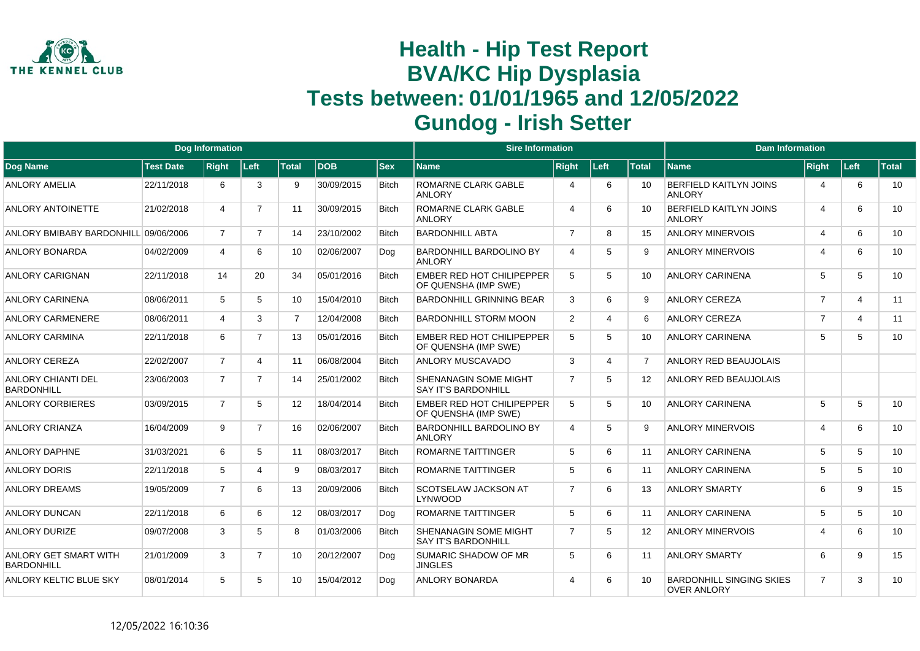

|                                            |                  | <b>Dog Information</b> |                |                 |            |              | <b>Sire Information</b>                                  |                |                       |                   | <b>Dam Information</b>                                |                |                |              |
|--------------------------------------------|------------------|------------------------|----------------|-----------------|------------|--------------|----------------------------------------------------------|----------------|-----------------------|-------------------|-------------------------------------------------------|----------------|----------------|--------------|
| <b>Dog Name</b>                            | <b>Test Date</b> | <b>Right</b>           | Left           | <b>Total</b>    | <b>DOB</b> | <b>Sex</b>   | <b>Name</b>                                              | <b>Right</b>   | Left                  | <b>Total</b>      | <b>Name</b>                                           | <b>Right</b>   | Left           | <b>Total</b> |
| <b>ANLORY AMELIA</b>                       | 22/11/2018       | 6                      | 3              | 9               | 30/09/2015 | <b>Bitch</b> | <b>ROMARNE CLARK GABLE</b><br><b>ANLORY</b>              | $\overline{4}$ | 6                     | 10                | <b>BERFIELD KAITLYN JOINS</b><br><b>ANLORY</b>        | 4              | 6              | 10           |
| ANLORY ANTOINETTE                          | 21/02/2018       | $\overline{4}$         | $\overline{7}$ | 11              | 30/09/2015 | <b>Bitch</b> | ROMARNE CLARK GABLE<br><b>ANLORY</b>                     | $\overline{4}$ | 6                     | 10                | BERFIELD KAITLYN JOINS<br><b>ANLORY</b>               | 4              | 6              | 10           |
| ANLORY BMIBABY BARDONHILL 09/06/2006       |                  | $\overline{7}$         | $\overline{7}$ | 14              | 23/10/2002 | <b>Bitch</b> | <b>BARDONHILL ABTA</b>                                   | $\overline{7}$ | 8                     | 15                | <b>ANLORY MINERVOIS</b>                               | 4              | 6              | 10           |
| <b>ANLORY BONARDA</b>                      | 04/02/2009       | $\overline{4}$         | 6              | 10              | 02/06/2007 | Dog          | <b>BARDONHILL BARDOLINO BY</b><br><b>ANLORY</b>          | $\overline{4}$ | 5                     | 9                 | <b>ANLORY MINERVOIS</b>                               | 4              | 6              | 10           |
| <b>ANLORY CARIGNAN</b>                     | 22/11/2018       | 14                     | 20             | 34              | 05/01/2016 | <b>Bitch</b> | <b>EMBER RED HOT CHILIPEPPER</b><br>OF QUENSHA (IMP SWE) | 5              | 5                     | 10                | <b>ANLORY CARINENA</b>                                | 5              | 5              | 10           |
| <b>ANLORY CARINENA</b>                     | 08/06/2011       | 5                      | 5              | 10 <sup>1</sup> | 15/04/2010 | <b>Bitch</b> | <b>BARDONHILL GRINNING BEAR</b>                          | 3              | 6                     | 9                 | <b>ANLORY CEREZA</b>                                  | $\overline{7}$ | $\overline{4}$ | 11           |
| ANLORY CARMENERE                           | 08/06/2011       | $\overline{4}$         | 3              | $\overline{7}$  | 12/04/2008 | <b>Bitch</b> | <b>BARDONHILL STORM MOON</b>                             | 2              | $\boldsymbol{\Delta}$ | 6                 | <b>ANLORY CEREZA</b>                                  | $\overline{7}$ | $\overline{4}$ | 11           |
| <b>ANLORY CARMINA</b>                      | 22/11/2018       | 6                      | $\overline{7}$ | 13              | 05/01/2016 | <b>Bitch</b> | EMBER RED HOT CHILIPEPPER<br>OF QUENSHA (IMP SWE)        | 5              | 5                     | 10                | <b>ANLORY CARINENA</b>                                | 5              | 5              | 10           |
| ANLORY CEREZA                              | 22/02/2007       | $\overline{7}$         | $\overline{4}$ | 11              | 06/08/2004 | <b>Bitch</b> | ANLORY MUSCAVADO                                         | 3              | 4                     | $\overline{7}$    | ANLORY RED BEAUJOLAIS                                 |                |                |              |
| ANLORY CHIANTI DEL<br><b>BARDONHILL</b>    | 23/06/2003       | $\overline{7}$         | $\overline{7}$ | 14              | 25/01/2002 | <b>Bitch</b> | SHENANAGIN SOME MIGHT<br><b>SAY IT'S BARDONHILL</b>      | $\overline{7}$ | 5                     | $12 \overline{ }$ | ANLORY RED BEAUJOLAIS                                 |                |                |              |
| <b>ANLORY CORBIERES</b>                    | 03/09/2015       | $\overline{7}$         | 5              | 12              | 18/04/2014 | <b>Bitch</b> | <b>EMBER RED HOT CHILIPEPPER</b><br>OF QUENSHA (IMP SWE) | 5              | 5                     | 10                | <b>ANLORY CARINENA</b>                                | 5              | 5              | 10           |
| <b>ANLORY CRIANZA</b>                      | 16/04/2009       | 9                      | $\overline{7}$ | 16              | 02/06/2007 | <b>Bitch</b> | <b>BARDONHILL BARDOLINO BY</b><br><b>ANLORY</b>          | $\overline{4}$ | 5                     | 9                 | ANLORY MINERVOIS                                      | 4              | 6              | 10           |
| <b>ANLORY DAPHNE</b>                       | 31/03/2021       | 6                      | 5              | 11              | 08/03/2017 | <b>Bitch</b> | <b>ROMARNE TAITTINGER</b>                                | 5              | 6                     | 11                | <b>ANLORY CARINENA</b>                                | 5              | 5              | 10           |
| <b>ANLORY DORIS</b>                        | 22/11/2018       | 5                      | $\overline{4}$ | 9               | 08/03/2017 | <b>Bitch</b> | <b>ROMARNE TAITTINGER</b>                                | -5             | 6                     | 11                | <b>ANLORY CARINENA</b>                                | 5              | 5              | 10           |
| <b>ANLORY DREAMS</b>                       | 19/05/2009       | $\overline{7}$         | 6              | 13              | 20/09/2006 | <b>Bitch</b> | <b>SCOTSELAW JACKSON AT</b><br><b>LYNWOOD</b>            | $\overline{7}$ | 6                     | 13                | <b>ANLORY SMARTY</b>                                  | 6              | 9              | 15           |
| ANLORY DUNCAN                              | 22/11/2018       | 6                      | 6              | 12 <sup>°</sup> | 08/03/2017 | Dog          | <b>ROMARNE TAITTINGER</b>                                | 5              | 6                     | 11                | <b>ANLORY CARINENA</b>                                | 5              | 5              | 10           |
| <b>ANLORY DURIZE</b>                       | 09/07/2008       | 3                      | 5              | 8               | 01/03/2006 | <b>Bitch</b> | SHENANAGIN SOME MIGHT<br><b>SAY IT'S BARDONHILL</b>      | $\overline{7}$ | 5                     | $12 \overline{ }$ | <b>ANLORY MINERVOIS</b>                               | 4              | 6              | 10           |
| ANLORY GET SMART WITH<br><b>BARDONHILL</b> | 21/01/2009       | 3                      | $\overline{7}$ | 10              | 20/12/2007 | Dog          | SUMARIC SHADOW OF MR<br><b>JINGLES</b>                   | 5              | 6                     | 11                | <b>ANLORY SMARTY</b>                                  | 6              | 9              | 15           |
| ANLORY KELTIC BLUE SKY                     | 08/01/2014       | 5                      | 5              | 10              | 15/04/2012 | Dog          | <b>ANLORY BONARDA</b>                                    | $\overline{4}$ | 6                     | 10                | <b>BARDONHILL SINGING SKIES</b><br><b>OVER ANLORY</b> | $\overline{7}$ | 3              | 10           |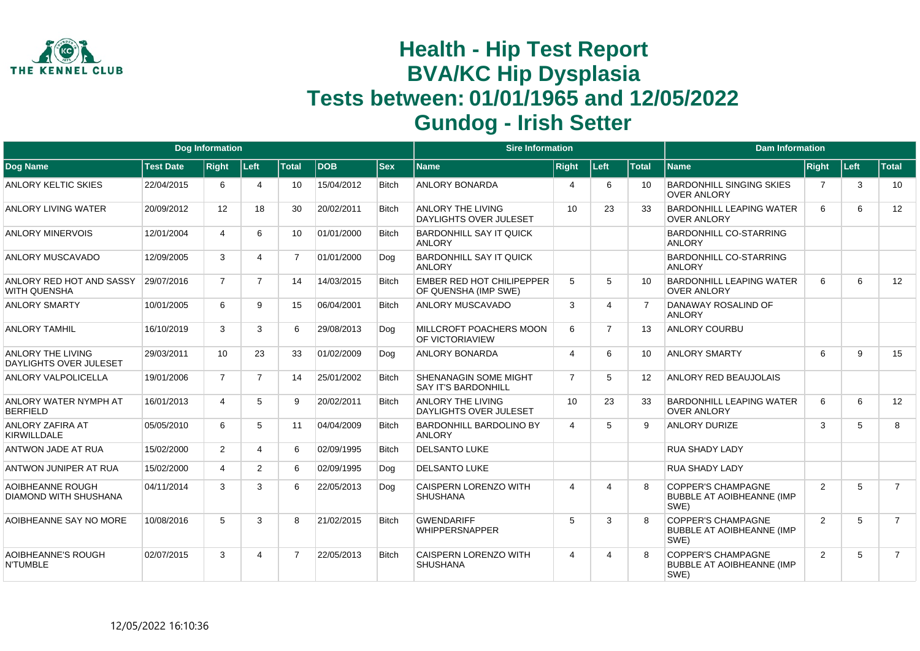

|                                                         |                  | <b>Dog Information</b> |                |                |              |              | <b>Sire Information</b>                                    |                 |                |                 | <b>Dam Information</b>                                                |                |   |                |
|---------------------------------------------------------|------------------|------------------------|----------------|----------------|--------------|--------------|------------------------------------------------------------|-----------------|----------------|-----------------|-----------------------------------------------------------------------|----------------|---|----------------|
| Dog Name                                                | <b>Test Date</b> | <b>DOB</b>             | <b>Sex</b>     | <b>Name</b>    | <b>Right</b> | Left         | <b>Total</b>                                               | <b>Name</b>     | <b>Right</b>   | Left            | <b>Total</b>                                                          |                |   |                |
| <b>ANLORY KELTIC SKIES</b>                              | 22/04/2015       | 6                      | 4              | 10             | 15/04/2012   | <b>Bitch</b> | <b>ANLORY BONARDA</b>                                      | 4               | 6              | 10 <sup>1</sup> | <b>BARDONHILL SINGING SKIES</b><br><b>OVER ANLORY</b>                 | $\overline{7}$ | 3 | 10             |
| <b>ANLORY LIVING WATER</b>                              | 20/09/2012       | 12                     | 18             | 30             | 20/02/2011   | <b>Bitch</b> | <b>ANLORY THE LIVING</b><br><b>DAYLIGHTS OVER JULESET</b>  | 10 <sup>°</sup> | 23             | 33              | <b>BARDONHILL LEAPING WATER</b><br><b>OVER ANLORY</b>                 | 6              | 6 | 12             |
| <b>ANLORY MINERVOIS</b>                                 | 12/01/2004       | 4                      | 6              | 10             | 01/01/2000   | <b>Bitch</b> | <b>BARDONHILL SAY IT QUICK</b><br><b>ANLORY</b>            |                 |                |                 | <b>BARDONHILL CO-STARRING</b><br><b>ANLORY</b>                        |                |   |                |
| <b>ANLORY MUSCAVADO</b>                                 | 12/09/2005       | 3                      | 4              | $\overline{7}$ | 01/01/2000   | Dog          | <b>BARDONHILL SAY IT QUICK</b><br><b>ANLORY</b>            |                 |                |                 | <b>BARDONHILL CO-STARRING</b><br><b>ANLORY</b>                        |                |   |                |
| ANLORY RED HOT AND SASSY<br><b>WITH QUENSHA</b>         | 29/07/2016       | $\overline{7}$         | $\overline{7}$ | 14             | 14/03/2015   | <b>Bitch</b> | <b>EMBER RED HOT CHILIPEPPER</b><br>OF QUENSHA (IMP SWE)   | 5               | 5              | 10              | <b>BARDONHILL LEAPING WATER</b><br><b>OVER ANLORY</b>                 | 6              | 6 | 12             |
| <b>ANLORY SMARTY</b>                                    | 10/01/2005       | 6                      | 9              | 15             | 06/04/2001   | <b>Bitch</b> | <b>ANLORY MUSCAVADO</b>                                    | 3               |                |                 | DANAWAY ROSALIND OF<br><b>ANLORY</b>                                  |                |   |                |
| <b>ANLORY TAMHIL</b>                                    | 16/10/2019       | 3                      | 3              | 6              | 29/08/2013   | Dog          | MILLCROFT POACHERS MOON<br><b>OF VICTORIAVIEW</b>          | 6               | $\overline{7}$ | 13              | <b>ANLORY COURBU</b>                                                  |                |   |                |
| <b>ANLORY THE LIVING</b><br>DAYLIGHTS OVER JULESET      | 29/03/2011       | 10 <sup>°</sup>        | 23             | 33             | 01/02/2009   | Dog          | <b>ANLORY BONARDA</b>                                      | 4               | 6              | 10              | <b>ANLORY SMARTY</b>                                                  | 6              | 9 | 15             |
| <b>ANLORY VALPOLICELLA</b>                              | 19/01/2006       | $\overline{7}$         | $\overline{7}$ | 14             | 25/01/2002   | <b>Bitch</b> | <b>SHENANAGIN SOME MIGHT</b><br><b>SAY IT'S BARDONHILL</b> | $\overline{7}$  | 5              | 12              | <b>ANLORY RED BEAUJOLAIS</b>                                          |                |   |                |
| ANLORY WATER NYMPH AT<br><b>BERFIELD</b>                | 16/01/2013       | $\overline{4}$         | 5              | 9              | 20/02/2011   | <b>Bitch</b> | <b>ANLORY THE LIVING</b><br><b>DAYLIGHTS OVER JULESET</b>  | 10              | 23             | 33              | <b>BARDONHILL LEAPING WATER</b><br><b>OVER ANLORY</b>                 | 6              | 6 | 12             |
| <b>ANLORY ZAFIRA AT</b><br><b>KIRWILLDALE</b>           | 05/05/2010       | 6                      | 5              | 11             | 04/04/2009   | <b>Bitch</b> | <b>BARDONHILL BARDOLINO BY</b><br><b>ANLORY</b>            | 4               | 5              | 9               | <b>ANLORY DURIZE</b>                                                  | 3              | 5 | 8              |
| <b>ANTWON JADE AT RUA</b>                               | 15/02/2000       | $\overline{2}$         | $\overline{4}$ | 6              | 02/09/1995   | <b>Bitch</b> | <b>DELSANTO LUKE</b>                                       |                 |                |                 | <b>RUA SHADY LADY</b>                                                 |                |   |                |
| ANTWON JUNIPER AT RUA                                   | 15/02/2000       | 4                      | $\overline{2}$ | 6              | 02/09/1995   | Dog          | <b>DELSANTO LUKE</b>                                       |                 |                |                 | <b>RUA SHADY LADY</b>                                                 |                |   |                |
| <b>AOIBHEANNE ROUGH</b><br><b>DIAMOND WITH SHUSHANA</b> | 04/11/2014       | 3                      | 3              | 6              | 22/05/2013   | Dog          | <b>CAISPERN LORENZO WITH</b><br><b>SHUSHANA</b>            | 4               | Δ              | 8               | <b>COPPER'S CHAMPAGNE</b><br><b>BUBBLE AT AOIBHEANNE (IMP</b><br>SWE) | $\overline{2}$ | 5 | $\overline{7}$ |
| AOIBHEANNE SAY NO MORE                                  | 10/08/2016       | 5                      | 3              | 8              | 21/02/2015   | <b>Bitch</b> | <b>GWENDARIFF</b><br><b>WHIPPERSNAPPER</b>                 | 5               | 3              | 8               | <b>COPPER'S CHAMPAGNE</b><br><b>BUBBLE AT AOIBHEANNE (IMP</b><br>SWE) | $\overline{2}$ | 5 | $\overline{7}$ |
| <b>AOIBHEANNE'S ROUGH</b><br><b>N'TUMBLE</b>            | 02/07/2015       | 3                      | 4              | $\overline{7}$ | 22/05/2013   | <b>Bitch</b> | <b>CAISPERN LORENZO WITH</b><br><b>SHUSHANA</b>            | 4               | 4              | 8               | <b>COPPER'S CHAMPAGNE</b><br><b>BUBBLE AT AOIBHEANNE (IMP</b><br>SWE) | $\overline{2}$ | 5 | $\overline{7}$ |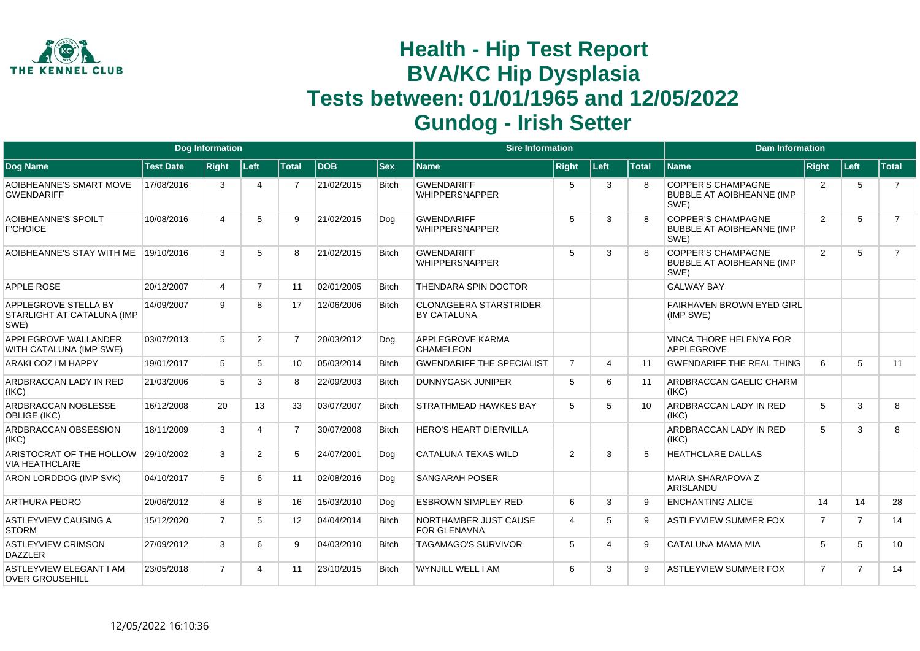

|                                                            |                  | <b>Dog Information</b> |                |                 |            |              | <b>Sire Information</b>                             |                 |                       |                 | <b>Dam Information</b>                                                |                |                |                |
|------------------------------------------------------------|------------------|------------------------|----------------|-----------------|------------|--------------|-----------------------------------------------------|-----------------|-----------------------|-----------------|-----------------------------------------------------------------------|----------------|----------------|----------------|
| Dog Name                                                   | <b>Test Date</b> | <b>Right</b>           | Left           | <b>Total</b>    | <b>DOB</b> | <b>Sex</b>   | <b>Name</b>                                         | <b>Right</b>    | Left                  | <b>Total</b>    | <b>Name</b>                                                           | <b>Right</b>   | │Left⊹         | Total          |
| AOIBHEANNE'S SMART MOVE<br><b>GWENDARIFF</b>               | 17/08/2016       | 3                      | 4              | 7               | 21/02/2015 | <b>Bitch</b> | <b>GWENDARIFF</b><br><b>WHIPPERSNAPPER</b>          | 5               | 3                     | 8               | <b>COPPER'S CHAMPAGNE</b><br><b>BUBBLE AT AOIBHEANNE (IMP</b><br>SWE) | $\overline{2}$ | 5              | $\overline{7}$ |
| AOIBHEANNE'S SPOILT<br><b>F'CHOICE</b>                     | 10/08/2016       | 4                      | 5              | 9               | 21/02/2015 | Dog          | <b>GWENDARIFF</b><br><b>WHIPPERSNAPPER</b>          | 5               | 3                     | 8               | <b>COPPER'S CHAMPAGNE</b><br><b>BUBBLE AT AOIBHEANNE (IMP</b><br>SWE) | 2              | 5              | $\overline{7}$ |
| AOIBHEANNE'S STAY WITH ME                                  | 19/10/2016       | 3                      | 5              | 8               | 21/02/2015 | <b>Bitch</b> | <b>GWENDARIFF</b><br><b>WHIPPERSNAPPER</b>          | $5\overline{5}$ | 3                     | 8               | <b>COPPER'S CHAMPAGNE</b><br><b>BUBBLE AT AOIBHEANNE (IMP</b><br>SWE) | $\overline{2}$ | 5              | $\overline{7}$ |
| <b>APPLE ROSE</b>                                          | 20/12/2007       | $\overline{4}$         | $\overline{7}$ | 11              | 02/01/2005 | <b>Bitch</b> | THENDARA SPIN DOCTOR                                |                 |                       |                 | <b>GALWAY BAY</b>                                                     |                |                |                |
| APPLEGROVE STELLA BY<br>STARLIGHT AT CATALUNA (IMP<br>SWE) | 14/09/2007       | 9                      | 8              | 17              | 12/06/2006 | <b>Bitch</b> | <b>CLONAGEERA STARSTRIDER</b><br><b>BY CATALUNA</b> |                 |                       |                 | <b>FAIRHAVEN BROWN EYED GIRL</b><br>(IMP SWE)                         |                |                |                |
| APPLEGROVE WALLANDER<br>WITH CATALUNA (IMP SWE)            | 03/07/2013       | 5                      | 2              | $\overline{7}$  | 20/03/2012 | Dog          | <b>APPLEGROVE KARMA</b><br><b>CHAMELEON</b>         |                 |                       |                 | VINCA THORE HELENYA FOR<br>APPLEGROVE                                 |                |                |                |
| ARAKI COZ I'M HAPPY                                        | 19/01/2017       | 5                      | 5              | 10 <sup>1</sup> | 05/03/2014 | <b>Bitch</b> | <b>GWENDARIFF THE SPECIALIST</b>                    | $\overline{7}$  | $\Delta$              | 11              | <b>GWENDARIFF THE REAL THING</b>                                      | 6              | 5              | 11             |
| ARDBRACCAN LADY IN RED<br>(IKC)                            | 21/03/2006       | 5                      | 3              | 8               | 22/09/2003 | <b>Bitch</b> | <b>DUNNYGASK JUNIPER</b>                            | 5               | 6                     | 11              | ARDBRACCAN GAELIC CHARM<br>(IKC)                                      |                |                |                |
| ARDBRACCAN NOBLESSE<br><b>OBLIGE (IKC)</b>                 | 16/12/2008       | 20                     | 13             | 33              | 03/07/2007 | <b>Bitch</b> | <b>STRATHMEAD HAWKES BAY</b>                        | 5               | 5                     | 10 <sup>1</sup> | ARDBRACCAN LADY IN RED<br>(IKC)                                       | 5              | 3              | 8              |
| ARDBRACCAN OBSESSION<br>(IKC)                              | 18/11/2009       | 3                      |                | $\overline{7}$  | 30/07/2008 | <b>Bitch</b> | <b>HERO'S HEART DIERVILLA</b>                       |                 |                       |                 | ARDBRACCAN LADY IN RED<br>(IKC)                                       | 5              | 3              | 8              |
| ARISTOCRAT OF THE HOLLOW<br><b>VIA HEATHCLARE</b>          | 29/10/2002       | 3                      | $\overline{2}$ | 5               | 24/07/2001 | Dog          | <b>CATALUNA TEXAS WILD</b>                          | 2               | 3                     | 5               | <b>HEATHCLARE DALLAS</b>                                              |                |                |                |
| ARON LORDDOG (IMP SVK)                                     | 04/10/2017       | 5                      | 6              | 11              | 02/08/2016 | Dog          | <b>SANGARAH POSER</b>                               |                 |                       |                 | <b>MARIA SHARAPOVA Z</b><br>ARISLANDU                                 |                |                |                |
| <b>ARTHURA PEDRO</b>                                       | 20/06/2012       | 8                      | 8              | 16              | 15/03/2010 | Dog          | <b>ESBROWN SIMPLEY RED</b>                          | 6               | 3                     | 9               | <b>ENCHANTING ALICE</b>                                               | 14             | 14             | 28             |
| <b>ASTLEYVIEW CAUSING A</b><br><b>STORM</b>                | 15/12/2020       | $\overline{7}$         | 5              | 12              | 04/04/2014 | <b>Bitch</b> | NORTHAMBER JUST CAUSE<br><b>FOR GLENAVNA</b>        | $\overline{4}$  | 5                     | 9               | <b>ASTLEYVIEW SUMMER FOX</b>                                          | $\overline{7}$ | $\overline{7}$ | 14             |
| <b>ASTLEYVIEW CRIMSON</b><br><b>DAZZLER</b>                | 27/09/2012       | 3                      | 6              | 9               | 04/03/2010 | <b>Bitch</b> | <b>TAGAMAGO'S SURVIVOR</b>                          | 5               | $\boldsymbol{\Delta}$ | 9               | CATALUNA MAMA MIA                                                     | 5              | 5              | 10             |
| <b>ASTLEYVIEW ELEGANT I AM</b><br><b>OVER GROUSEHILL</b>   | 23/05/2018       | $\overline{7}$         |                | 11              | 23/10/2015 | <b>Bitch</b> | <b>WYNJILL WELL I AM</b>                            | 6               | 3                     | $\mathbf{Q}$    | <b>ASTLEYVIEW SUMMER FOX</b>                                          | $\overline{7}$ | $\overline{7}$ | 14             |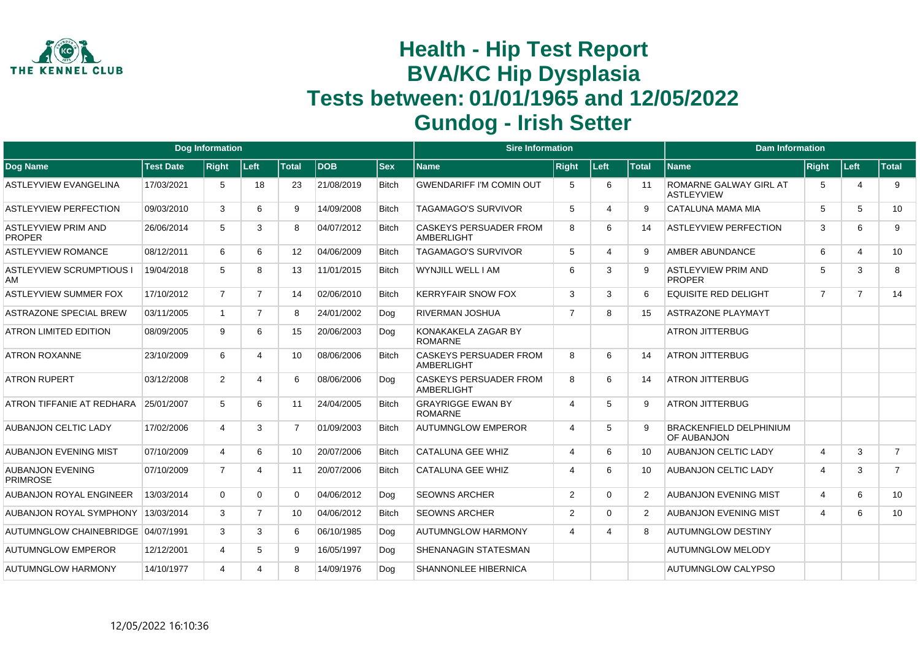

|                                             |                  | <b>Dog Information</b> |                |                   |            |              | <b>Sire Information</b>                            |                             |                             |              | <b>Dam Information</b>                        |                |                |                |
|---------------------------------------------|------------------|------------------------|----------------|-------------------|------------|--------------|----------------------------------------------------|-----------------------------|-----------------------------|--------------|-----------------------------------------------|----------------|----------------|----------------|
| Dog Name                                    | <b>Test Date</b> | <b>Right</b>           | Left           | <b>Total</b>      | <b>DOB</b> | <b>Sex</b>   | <b>Name</b>                                        | <b>Right</b>                | Left                        | <b>Total</b> | <b>Name</b>                                   | Right          | ∣Left∶         | Total          |
| <b>ASTLEYVIEW EVANGELINA</b>                | 17/03/2021       | 5                      | 18             | 23                | 21/08/2019 | <b>Bitch</b> | <b>GWENDARIFF I'M COMIN OUT</b>                    | 5                           | 6                           | -11          | ROMARNE GALWAY GIRL AT<br><b>ASTLEYVIEW</b>   | 5              | 4              | 9              |
| <b>ASTLEYVIEW PERFECTION</b>                | 09/03/2010       | 3                      | 6              | 9                 | 14/09/2008 | <b>Bitch</b> | <b>TAGAMAGO'S SURVIVOR</b>                         | 5                           | $\boldsymbol{\varDelta}$    | 9            | CATALUNA MAMA MIA                             | 5              | 5              | 10             |
| <b>ASTLEYVIEW PRIM AND</b><br><b>PROPER</b> | 26/06/2014       | 5                      | 3              | 8                 | 04/07/2012 | <b>Bitch</b> | <b>CASKEYS PERSUADER FROM</b><br><b>AMBERLIGHT</b> | 8                           | 6                           | 14           | <b>ASTLEYVIEW PERFECTION</b>                  | 3              | 6              | 9              |
| <b>ASTLEYVIEW ROMANCE</b>                   | 08/12/2011       | 6                      | 6              | $12 \overline{ }$ | 04/06/2009 | <b>Bitch</b> | <b>TAGAMAGO'S SURVIVOR</b>                         | 5                           | $\boldsymbol{\vartriangle}$ | 9            | <b>AMBER ABUNDANCE</b>                        | 6              | $\overline{4}$ | 10             |
| <b>ASTLEYVIEW SCRUMPTIOUS I</b><br>AM       | 19/04/2018       | 5                      | 8              | 13                | 11/01/2015 | <b>Bitch</b> | WYNJILL WELL I AM                                  | 6                           | 3                           | 9            | <b>ASTLEYVIEW PRIM AND</b><br><b>PROPER</b>   | 5              | 3              | 8              |
| <b>ASTLEYVIEW SUMMER FOX</b>                | 17/10/2012       | $\overline{7}$         | $\overline{7}$ | 14                | 02/06/2010 | <b>Bitch</b> | <b>KERRYFAIR SNOW FOX</b>                          | 3                           | 3                           | 6            | <b>EQUISITE RED DELIGHT</b>                   | $\overline{7}$ | $\overline{7}$ | 14             |
| <b>ASTRAZONE SPECIAL BREW</b>               | 03/11/2005       |                        | $\overline{7}$ | 8                 | 24/01/2002 | Dog          | <b>RIVERMAN JOSHUA</b>                             | $\overline{7}$              | 8                           | 15           | <b>ASTRAZONE PLAYMAYT</b>                     |                |                |                |
| <b>ATRON LIMITED EDITION</b>                | 08/09/2005       | 9                      | 6              | 15                | 20/06/2003 | Dog          | KONAKAKELA ZAGAR BY<br><b>ROMARNE</b>              |                             |                             |              | <b>ATRON JITTERBUG</b>                        |                |                |                |
| <b>ATRON ROXANNE</b>                        | 23/10/2009       | 6                      | 4              | 10                | 08/06/2006 | <b>Bitch</b> | <b>CASKEYS PERSUADER FROM</b><br><b>AMBERLIGHT</b> | 8                           | 6                           | 14           | <b>ATRON JITTERBUG</b>                        |                |                |                |
| <b>ATRON RUPERT</b>                         | 03/12/2008       | 2                      | 4              | 6                 | 08/06/2006 | Dog          | <b>CASKEYS PERSUADER FROM</b><br>AMBERLIGHT        | 8                           | 6                           | 14           | <b>ATRON JITTERBUG</b>                        |                |                |                |
| ATRON TIFFANIE AT REDHARA                   | 25/01/2007       | 5                      | 6              | 11                | 24/04/2005 | <b>Bitch</b> | <b>GRAYRIGGE EWAN BY</b><br><b>ROMARNE</b>         | $\boldsymbol{\varDelta}$    | 5                           | 9            | <b>ATRON JITTERBUG</b>                        |                |                |                |
| <b>AUBANJON CELTIC LADY</b>                 | 17/02/2006       | $\boldsymbol{\Delta}$  | 3              | $\overline{7}$    | 01/09/2003 | <b>Bitch</b> | <b>AUTUMNGLOW EMPEROR</b>                          | $\boldsymbol{\vartriangle}$ | 5                           | 9            | <b>BRACKENFIELD DELPHINIUM</b><br>OF AUBANJON |                |                |                |
| AUBANJON EVENING MIST                       | 07/10/2009       | 4                      | 6              | 10 <sup>1</sup>   | 20/07/2006 | <b>Bitch</b> | <b>CATALUNA GEE WHIZ</b>                           | $\overline{4}$              | 6                           | 10           | <b>AUBANJON CELTIC LADY</b>                   | $\overline{4}$ | 3              | $\overline{7}$ |
| <b>AUBANJON EVENING</b><br><b>PRIMROSE</b>  | 07/10/2009       | $\overline{7}$         | 4              | 11                | 20/07/2006 | <b>Bitch</b> | <b>CATALUNA GEE WHIZ</b>                           | $\boldsymbol{\varDelta}$    | 6                           | 10           | <b>AUBANJON CELTIC LADY</b>                   | 4              | 3              | $\overline{7}$ |
| <b>AUBANJON ROYAL ENGINEER</b>              | 13/03/2014       | $\Omega$               | $\Omega$       | 0                 | 04/06/2012 | Dog          | <b>SEOWNS ARCHER</b>                               | $\overline{2}$              | $\Omega$                    | 2            | <b>AUBANJON EVENING MIST</b>                  | 4              | 6              | 10             |
| <b>AUBANJON ROYAL SYMPHONY</b>              | 13/03/2014       | 3                      | $\overline{7}$ | 10                | 04/06/2012 | <b>Bitch</b> | <b>SEOWNS ARCHER</b>                               | $\overline{2}$              | $\Omega$                    | 2            | <b>AUBANJON EVENING MIST</b>                  | 4              | 6              | 10             |
| <b>AUTUMNGLOW CHAINEBRIDGE</b>              | 04/07/1991       | 3                      | 3              | 6                 | 06/10/1985 | Dog          | <b>AUTUMNGLOW HARMONY</b>                          | $\overline{4}$              | $\boldsymbol{\Delta}$       | 8            | <b>AUTUMNGLOW DESTINY</b>                     |                |                |                |
| <b>AUTUMNGLOW EMPEROR</b>                   | 12/12/2001       | 4                      | 5              | 9                 | 16/05/1997 | Dog          | <b>SHENANAGIN STATESMAN</b>                        |                             |                             |              | <b>AUTUMNGLOW MELODY</b>                      |                |                |                |
| <b>AUTUMNGLOW HARMONY</b>                   | 14/10/1977       | Δ                      | Δ              | 8                 | 14/09/1976 | Dog          | <b>SHANNONLEE HIBERNICA</b>                        |                             |                             |              | <b>AUTUMNGLOW CALYPSO</b>                     |                |                |                |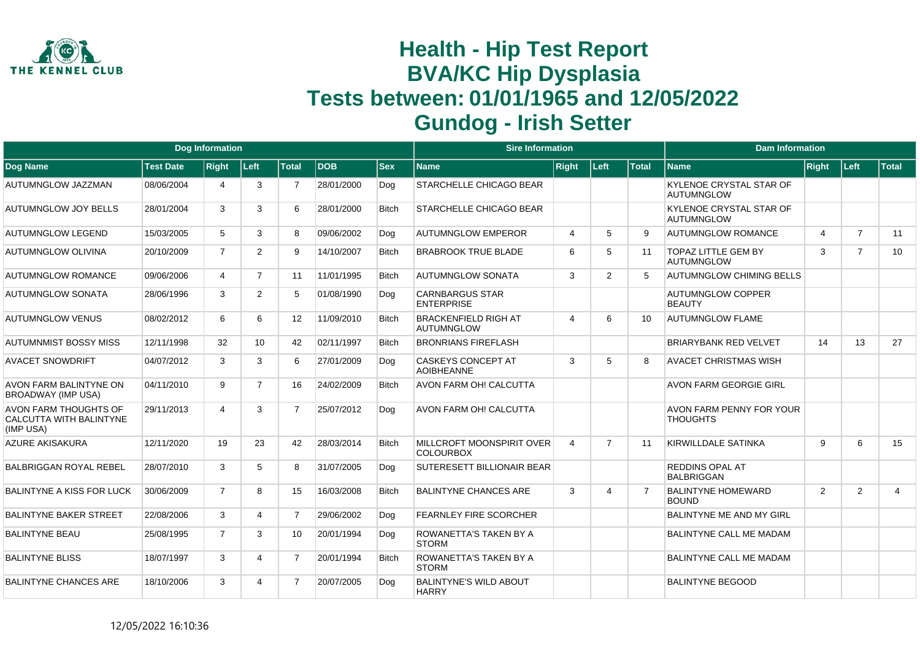

|                                                               |                  | Dog Information |                |                |            |              | <b>Sire Information</b>                              |                             |                |              | <b>Dam Information</b>                              |                |                |                |
|---------------------------------------------------------------|------------------|-----------------|----------------|----------------|------------|--------------|------------------------------------------------------|-----------------------------|----------------|--------------|-----------------------------------------------------|----------------|----------------|----------------|
| <b>Dog Name</b>                                               | <b>Test Date</b> | <b>Right</b>    | Left           | <b>Total</b>   | <b>DOB</b> | $ $ Sex      | <b>Name</b>                                          | <b>Right</b>                | Left           | <b>Total</b> | <b>Name</b>                                         | Right          | Left           | Total          |
| AUTUMNGLOW JAZZMAN                                            | 08/06/2004       | 4               | 3              | $\overline{7}$ | 28/01/2000 | Dog          | <b>STARCHELLE CHICAGO BEAR</b>                       |                             |                |              | KYLENOE CRYSTAL STAR OF<br><b>AUTUMNGLOW</b>        |                |                |                |
| AUTUMNGLOW JOY BELLS                                          | 28/01/2004       | 3               | 3              | 6              | 28/01/2000 | <b>Bitch</b> | <b>STARCHELLE CHICAGO BEAR</b>                       |                             |                |              | <b>KYLENOE CRYSTAL STAR OF</b><br><b>AUTUMNGLOW</b> |                |                |                |
| AUTUMNGLOW LEGEND                                             | 15/03/2005       | 5               | 3              | 8              | 09/06/2002 | Dog          | <b>AUTUMNGLOW EMPEROR</b>                            | $\overline{4}$              | 5              | 9            | <b>AUTUMNGLOW ROMANCE</b>                           | $\overline{4}$ | $\overline{7}$ | 11             |
| AUTUMNGLOW OLIVINA                                            | 20/10/2009       | $\overline{7}$  | $\overline{2}$ | 9              | 14/10/2007 | Bitch        | <b>BRABROOK TRUE BLADE</b>                           | 6                           | 5              | 11           | <b>TOPAZ LITTLE GEM BY</b><br><b>AUTUMNGLOW</b>     | 3              | $\overline{7}$ | 10             |
| <b>AUTUMNGLOW ROMANCE</b>                                     | 09/06/2006       | $\overline{4}$  | $\overline{7}$ | 11             | 11/01/1995 | <b>Bitch</b> | <b>AUTUMNGLOW SONATA</b>                             | 3                           | 2              | 5            | <b>AUTUMNGLOW CHIMING BELLS</b>                     |                |                |                |
| AUTUMNGLOW SONATA                                             | 28/06/1996       | 3               | $\overline{2}$ | 5              | 01/08/1990 | Dog          | <b>CARNBARGUS STAR</b><br><b>ENTERPRISE</b>          |                             |                |              | <b>AUTUMNGLOW COPPER</b><br><b>BEAUTY</b>           |                |                |                |
| AUTUMNGLOW VENUS                                              | 08/02/2012       | 6               | 6              | 12             | 11/09/2010 | <b>Bitch</b> | <b>BRACKENFIELD RIGH AT</b><br>AUTUMNGLOW            | $\boldsymbol{\vartriangle}$ | 6              | 10           | <b>AUTUMNGLOW FLAME</b>                             |                |                |                |
| <b>AUTUMNMIST BOSSY MISS</b>                                  | 12/11/1998       | 32              | 10             | 42             | 02/11/1997 | <b>Bitch</b> | <b>BRONRIANS FIREFLASH</b>                           |                             |                |              | <b>BRIARYBANK RED VELVET</b>                        | 14             | 13             | 27             |
| <b>AVACET SNOWDRIFT</b>                                       | 04/07/2012       | 3               | 3              | 6              | 27/01/2009 | Dog          | <b>CASKEYS CONCEPT AT</b><br><b>AOIBHEANNE</b>       | 3                           | 5              | 8            | <b>AVACET CHRISTMAS WISH</b>                        |                |                |                |
| AVON FARM BALINTYNE ON<br><b>BROADWAY (IMP USA)</b>           | 04/11/2010       | 9               | $\overline{7}$ | 16             | 24/02/2009 | <b>Bitch</b> | <b>AVON FARM OH! CALCUTTA</b>                        |                             |                |              | <b>AVON FARM GEORGIE GIRL</b>                       |                |                |                |
| AVON FARM THOUGHTS OF<br>CALCUTTA WITH BALINTYNE<br>(IMP USA) | 29/11/2013       | 4               | 3              | $\overline{7}$ | 25/07/2012 | Dog          | <b>AVON FARM OH! CALCUTTA</b>                        |                             |                |              | AVON FARM PENNY FOR YOUR<br><b>THOUGHTS</b>         |                |                |                |
| <b>AZURE AKISAKURA</b>                                        | 12/11/2020       | 19              | 23             | 42             | 28/03/2014 | <b>Bitch</b> | <b>MILLCROFT MOONSPIRIT OVER</b><br><b>COLOURBOX</b> | $\overline{4}$              | $\overline{7}$ | 11           | KIRWILLDALE SATINKA                                 | 9              | 6              | 15             |
| <b>BALBRIGGAN ROYAL REBEL</b>                                 | 28/07/2010       | 3               | 5              | 8              | 31/07/2005 | Dog          | <b>SUTERESETT BILLIONAIR BEAR</b>                    |                             |                |              | <b>REDDINS OPAL AT</b><br><b>BALBRIGGAN</b>         |                |                |                |
| BALINTYNE A KISS FOR LUCK                                     | 30/06/2009       | $\overline{7}$  | 8              | 15             | 16/03/2008 | <b>Bitch</b> | <b>BALINTYNE CHANCES ARE</b>                         | 3                           | 4              |              | <b>BALINTYNE HOMEWARD</b><br><b>BOUND</b>           | $\overline{2}$ | 2              | $\overline{4}$ |
| <b>BALINTYNE BAKER STREET</b>                                 | 22/08/2006       | 3               | 4              | $\overline{7}$ | 29/06/2002 | Doa          | <b>FEARNLEY FIRE SCORCHER</b>                        |                             |                |              | BALINTYNE ME AND MY GIRL                            |                |                |                |
| <b>BALINTYNE BEAU</b>                                         | 25/08/1995       | $\overline{7}$  | 3              | 10             | 20/01/1994 | Dog          | <b>ROWANETTA'S TAKEN BY A</b><br><b>STORM</b>        |                             |                |              | <b>BALINTYNE CALL ME MADAM</b>                      |                |                |                |
| <b>BALINTYNE BLISS</b>                                        | 18/07/1997       | 3               | 4              | $\overline{7}$ | 20/01/1994 | <b>Bitch</b> | <b>ROWANETTA'S TAKEN BY A</b><br><b>STORM</b>        |                             |                |              | <b>BALINTYNE CALL ME MADAM</b>                      |                |                |                |
| <b>BALINTYNE CHANCES ARE</b>                                  | 18/10/2006       | 3               | Δ              | $\overline{7}$ | 20/07/2005 | Doa          | <b>BALINTYNE'S WILD ABOUT</b><br><b>HARRY</b>        |                             |                |              | <b>BALINTYNE BEGOOD</b>                             |                |                |                |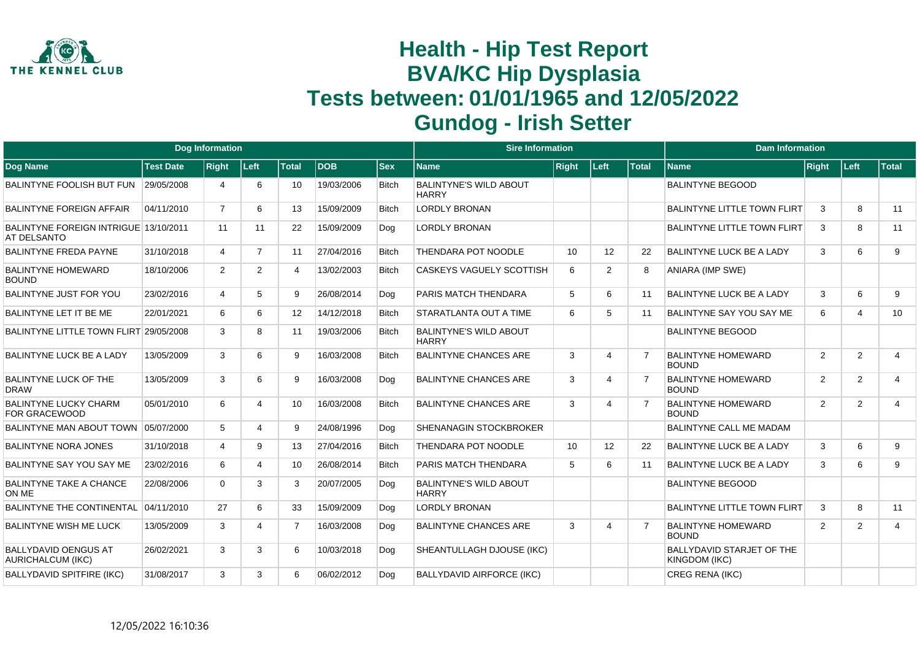

|                                                         |                  | <b>Dog Information</b> |                |                   |            |              | <b>Sire Information</b>                       |              |                |              | <b>Dam Information</b>                            |                |                |                 |
|---------------------------------------------------------|------------------|------------------------|----------------|-------------------|------------|--------------|-----------------------------------------------|--------------|----------------|--------------|---------------------------------------------------|----------------|----------------|-----------------|
| Dog Name                                                | <b>Test Date</b> | <b>Right</b>           | Left           | <b>Total</b>      | <b>DOB</b> | <b>Sex</b>   | Name                                          | <b>Right</b> | Left           | <b>Total</b> | <b>Name</b>                                       | Right          | Left           | <b>Total</b>    |
| BALINTYNE FOOLISH BUT FUN                               | 29/05/2008       | 4                      | 6              | 10                | 19/03/2006 | <b>Bitch</b> | <b>BALINTYNE'S WILD ABOUT</b><br><b>HARRY</b> |              |                |              | <b>BALINTYNE BEGOOD</b>                           |                |                |                 |
| <b>BALINTYNE FOREIGN AFFAIR</b>                         | 04/11/2010       | $\overline{7}$         | 6              | 13                | 15/09/2009 | <b>Bitch</b> | <b>LORDLY BRONAN</b>                          |              |                |              | <b>BALINTYNE LITTLE TOWN FLIRT</b>                | 3              | 8              | 11              |
| BALINTYNE FOREIGN INTRIGUE 13/10/2011<br>AT DELSANTO    |                  | 11                     | 11             | 22                | 15/09/2009 | Dog          | <b>LORDLY BRONAN</b>                          |              |                |              | <b>BALINTYNE LITTLE TOWN FLIRT</b>                | 3              | 8              | 11              |
| <b>BALINTYNE FREDA PAYNE</b>                            | 31/10/2018       | $\overline{4}$         | $\overline{7}$ | 11                | 27/04/2016 | <b>Bitch</b> | THENDARA POT NOODLE                           | 10           | 12             | 22           | <b>BALINTYNE LUCK BE A LADY</b>                   | 3              | 6              | 9               |
| <b>BALINTYNE HOMEWARD</b><br><b>BOUND</b>               | 18/10/2006       | 2                      | $\overline{2}$ | 4                 | 13/02/2003 | <b>Bitch</b> | <b>CASKEYS VAGUELY SCOTTISH</b>               | 6            | $\overline{2}$ | 8            | ANIARA (IMP SWE)                                  |                |                |                 |
| BALINTYNE JUST FOR YOU                                  | 23/02/2016       | 4                      | 5              | 9                 | 26/08/2014 | Dog          | PARIS MATCH THENDARA                          | 5            | 6              | 11           | <b>BALINTYNE LUCK BE A LADY</b>                   | 3              | 6              | 9               |
| BALINTYNE LET IT BE ME                                  | 22/01/2021       | 6                      | 6              | $12 \overline{ }$ | 14/12/2018 | Bitch        | <b>STARATLANTA OUT A TIME</b>                 | 6            | 5              | 11           | BALINTYNE SAY YOU SAY ME                          | 6              | $\overline{4}$ | 10 <sup>°</sup> |
| BALINTYNE LITTLE TOWN FLIRT 29/05/2008                  |                  | 3                      | 8              | 11                | 19/03/2006 | <b>Bitch</b> | <b>BALINTYNE'S WILD ABOUT</b><br><b>HARRY</b> |              |                |              | <b>BALINTYNE BEGOOD</b>                           |                |                |                 |
| BALINTYNE LUCK BE A LADY                                | 13/05/2009       | 3                      | 6              | 9                 | 16/03/2008 | <b>Bitch</b> | <b>BALINTYNE CHANCES ARE</b>                  | 3            | 4              |              | <b>BALINTYNE HOMEWARD</b><br><b>BOUND</b>         | $\overline{2}$ | $\overline{2}$ | $\overline{4}$  |
| BALINTYNE LUCK OF THE<br><b>DRAW</b>                    | 13/05/2009       | 3                      | 6              | 9                 | 16/03/2008 | Dog          | <b>BALINTYNE CHANCES ARE</b>                  | 3            | 4              |              | <b>BALINTYNE HOMEWARD</b><br><b>BOUND</b>         | $\overline{2}$ | 2              | $\overline{4}$  |
| <b>BALINTYNE LUCKY CHARM</b><br><b>FOR GRACEWOOD</b>    | 05/01/2010       | 6                      | 4              | 10                | 16/03/2008 | <b>Bitch</b> | <b>BALINTYNE CHANCES ARE</b>                  | 3            | Δ              |              | <b>BALINTYNE HOMEWARD</b><br><b>BOUND</b>         | 2              | 2              | $\overline{4}$  |
| BALINTYNE MAN ABOUT TOWN 05/07/2000                     |                  | 5                      | 4              | 9                 | 24/08/1996 | Dog          | <b>SHENANAGIN STOCKBROKER</b>                 |              |                |              | <b>BALINTYNE CALL ME MADAM</b>                    |                |                |                 |
| <b>BALINTYNE NORA JONES</b>                             | 31/10/2018       | 4                      | 9              | 13                | 27/04/2016 | <b>Bitch</b> | THENDARA POT NOODLE                           | 10           | 12             | 22           | BALINTYNE LUCK BE A LADY                          | 3              | 6              | 9               |
| BALINTYNE SAY YOU SAY ME                                | 23/02/2016       | 6                      | 4              | 10 <sup>°</sup>   | 26/08/2014 | <b>Bitch</b> | PARIS MATCH THENDARA                          | -5           | 6              | 11           | <b>BALINTYNE LUCK BE A LADY</b>                   | 3              | 6              | 9               |
| <b>BALINTYNE TAKE A CHANCE</b><br>ON ME                 | 22/08/2006       | $\Omega$               | 3              | 3                 | 20/07/2005 | Dog          | <b>BALINTYNE'S WILD ABOUT</b><br><b>HARRY</b> |              |                |              | <b>BALINTYNE BEGOOD</b>                           |                |                |                 |
| <b>BALINTYNE THE CONTINENTAL</b>                        | 04/11/2010       | 27                     | 6              | 33                | 15/09/2009 | Dog          | <b>LORDLY BRONAN</b>                          |              |                |              | <b>BALINTYNE LITTLE TOWN FLIRT</b>                | 3              | 8              | 11              |
| <b>BALINTYNE WISH ME LUCK</b>                           | 13/05/2009       | 3                      | 4              | $\overline{7}$    | 16/03/2008 | Dog          | <b>BALINTYNE CHANCES ARE</b>                  | 3            | 4              |              | <b>BALINTYNE HOMEWARD</b><br><b>BOUND</b>         | $\overline{2}$ | 2              | $\overline{4}$  |
| <b>BALLYDAVID OENGUS AT</b><br><b>AURICHALCUM (IKC)</b> | 26/02/2021       | 3                      | 3              | 6                 | 10/03/2018 | Dog          | SHEANTULLAGH DJOUSE (IKC)                     |              |                |              | <b>BALLYDAVID STARJET OF THE</b><br>KINGDOM (IKC) |                |                |                 |
| <b>BALLYDAVID SPITFIRE (IKC)</b>                        | 31/08/2017       | 3                      | 3              | 6                 | 06/02/2012 | Dog          | <b>BALLYDAVID AIRFORCE (IKC)</b>              |              |                |              | CREG RENA (IKC)                                   |                |                |                 |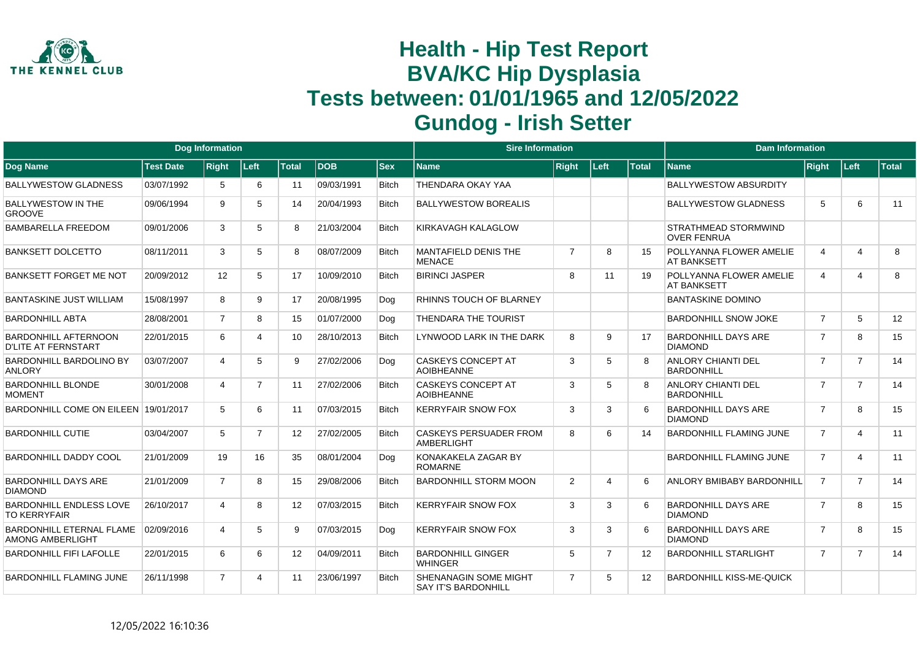

|                                                           |                  | <b>Dog Information</b> |                |              |            |              | <b>Sire Information</b>                                    |                |          |              | <b>Dam Information</b>                               |                |                |              |
|-----------------------------------------------------------|------------------|------------------------|----------------|--------------|------------|--------------|------------------------------------------------------------|----------------|----------|--------------|------------------------------------------------------|----------------|----------------|--------------|
| <b>Dog Name</b>                                           | <b>Test Date</b> | <b>Right</b>           | Left           | <b>Total</b> | <b>DOB</b> | <b>Sex</b>   | <b>Name</b>                                                | <b>Right</b>   | Left     | <b>Total</b> | <b>Name</b>                                          | <b>Right</b>   | Left           | <b>Total</b> |
| <b>BALLYWESTOW GLADNESS</b>                               | 03/07/1992       | 5                      | 6              | 11           | 09/03/1991 | <b>Bitch</b> | THENDARA OKAY YAA                                          |                |          |              | <b>BALLYWESTOW ABSURDITY</b>                         |                |                |              |
| <b>BALLYWESTOW IN THE</b><br><b>GROOVE</b>                | 09/06/1994       | 9                      | 5              | 14           | 20/04/1993 | <b>Bitch</b> | <b>BALLYWESTOW BOREALIS</b>                                |                |          |              | <b>BALLYWESTOW GLADNESS</b>                          | 5              | 6              | 11           |
| <b>BAMBARELLA FREEDOM</b>                                 | 09/01/2006       | 3                      | 5              | 8            | 21/03/2004 | <b>Bitch</b> | KIRKAVAGH KALAGLOW                                         |                |          |              | <b>STRATHMEAD STORMWIND</b><br><b>OVER FENRUA</b>    |                |                |              |
| BANKSETT DOLCETTO                                         | 08/11/2011       | 3                      | 5              | 8            | 08/07/2009 | <b>Bitch</b> | MANTAFIELD DENIS THE<br><b>MENACE</b>                      | $\overline{7}$ | 8        | 15           | <b>POLLYANNA FLOWER AMELIE</b><br><b>AT BANKSETT</b> | 4              | 4              | 8            |
| <b>BANKSETT FORGET ME NOT</b>                             | 20/09/2012       | $12 \overline{ }$      | 5              | 17           | 10/09/2010 | <b>Bitch</b> | <b>BIRINCI JASPER</b>                                      | 8              | 11       | 19           | POLLYANNA FLOWER AMELIE<br><b>AT BANKSETT</b>        | 4              | 4              | 8            |
| <b>BANTASKINE JUST WILLIAM</b>                            | 15/08/1997       | 8                      | 9              | 17           | 20/08/1995 | Dog          | RHINNS TOUCH OF BLARNEY                                    |                |          |              | <b>BANTASKINE DOMINO</b>                             |                |                |              |
| <b>BARDONHILL ABTA</b>                                    | 28/08/2001       | $\overline{7}$         | 8              | 15           | 01/07/2000 | Dog          | THENDARA THE TOURIST                                       |                |          |              | <b>BARDONHILL SNOW JOKE</b>                          | $\overline{7}$ | 5              | 12           |
| <b>BARDONHILL AFTERNOON</b><br><b>D'LITE AT FERNSTART</b> | 22/01/2015       | 6                      |                | 10           | 28/10/2013 | <b>Bitch</b> | LYNWOOD LARK IN THE DARK                                   | 8              | 9        | 17           | <b>BARDONHILL DAYS ARE</b><br><b>DIAMOND</b>         | $\overline{7}$ | 8              | 15           |
| <b>BARDONHILL BARDOLINO BY</b><br><b>ANLORY</b>           | 03/07/2007       | $\overline{4}$         | 5              | 9            | 27/02/2006 | Dog          | <b>CASKEYS CONCEPT AT</b><br><b>AOIBHEANNE</b>             | 3              | 5        |              | <b>ANLORY CHIANTI DEL</b><br><b>BARDONHILL</b>       | $\overline{7}$ | $\overline{7}$ | 14           |
| <b>BARDONHILL BLONDE</b><br><b>MOMENT</b>                 | 30/01/2008       | 4                      | $\overline{7}$ | 11           | 27/02/2006 | <b>Bitch</b> | <b>CASKEYS CONCEPT AT</b><br><b>AOIBHEANNE</b>             | 3              | 5        | 8            | <b>ANLORY CHIANTI DEL</b><br><b>BARDONHILL</b>       | $\overline{7}$ | $\overline{7}$ | 14           |
| BARDONHILL COME ON EILEEN 19/01/2017                      |                  | 5                      | 6              | 11           | 07/03/2015 | <b>Bitch</b> | <b>KERRYFAIR SNOW FOX</b>                                  | 3              | 3        |              | <b>BARDONHILL DAYS ARE</b><br><b>DIAMOND</b>         | $\overline{7}$ | 8              | 15           |
| <b>BARDONHILL CUTIE</b>                                   | 03/04/2007       | 5                      |                | 12           | 27/02/2005 | <b>Bitch</b> | <b>CASKEYS PERSUADER FROM</b><br><b>AMBERLIGHT</b>         | 8              | 6        | 14           | <b>BARDONHILL FLAMING JUNE</b>                       | $\overline{7}$ | 4              | 11           |
| <b>BARDONHILL DADDY COOL</b>                              | 21/01/2009       | 19                     | 16             | 35           | 08/01/2004 | Dog          | KONAKAKELA ZAGAR BY<br><b>ROMARNE</b>                      |                |          |              | <b>BARDONHILL FLAMING JUNE</b>                       | $\overline{7}$ | 4              | 11           |
| <b>BARDONHILL DAYS ARE</b><br><b>DIAMOND</b>              | 21/01/2009       | $\overline{7}$         | 8              | 15           | 29/08/2006 | <b>Bitch</b> | <b>BARDONHILL STORM MOON</b>                               | 2              | $\Delta$ | 6            | <b>ANLORY BMIBABY BARDONHILL</b>                     | $\overline{7}$ | $\overline{7}$ | 14           |
| <b>BARDONHILL ENDLESS LOVE</b><br><b>TO KERRYFAIR</b>     | 26/10/2017       | 4                      | 8              | 12           | 07/03/2015 | <b>Bitch</b> | <b>KERRYFAIR SNOW FOX</b>                                  | 3              | 3        | 6            | <b>BARDONHILL DAYS ARE</b><br><b>DIAMOND</b>         | $\overline{7}$ | 8              | 15           |
| BARDONHILL ETERNAL FLAME<br>AMONG AMBERLIGHT              | 02/09/2016       | 4                      | 5              | 9            | 07/03/2015 | Dog          | <b>KERRYFAIR SNOW FOX</b>                                  | 3              | 3        | 6            | <b>BARDONHILL DAYS ARE</b><br><b>DIAMOND</b>         | $\overline{7}$ | 8              | 15           |
| <b>BARDONHILL FIFI LAFOLLE</b>                            | 22/01/2015       | 6                      | 6              | 12           | 04/09/2011 | <b>Bitch</b> | <b>BARDONHILL GINGER</b><br><b>WHINGER</b>                 | 5              | 7        | 12           | <b>BARDONHILL STARLIGHT</b>                          | $\overline{7}$ | $\overline{7}$ | 14           |
| <b>BARDONHILL FLAMING JUNE</b>                            | 26/11/1998       | $\overline{7}$         | 4              | 11           | 23/06/1997 | <b>Bitch</b> | <b>SHENANAGIN SOME MIGHT</b><br><b>SAY IT'S BARDONHILL</b> | $\overline{7}$ | 5        | 12           | <b>BARDONHILL KISS-ME-QUICK</b>                      |                |                |              |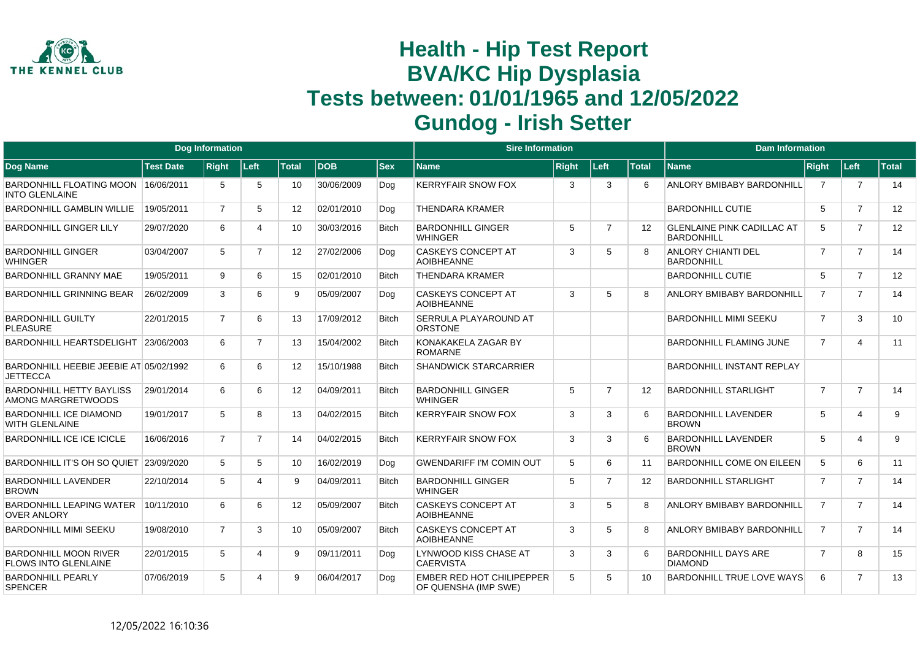

|                                                              |                  | <b>Dog Information</b> |                |                 |            |              | <b>Sire Information</b>                                  |              |                |                   | <b>Dam Information</b>                                 |                |                |              |
|--------------------------------------------------------------|------------------|------------------------|----------------|-----------------|------------|--------------|----------------------------------------------------------|--------------|----------------|-------------------|--------------------------------------------------------|----------------|----------------|--------------|
| <b>Dog Name</b>                                              | <b>Test Date</b> | <b>Right</b>           | Left           | <b>Total</b>    | <b>DOB</b> | <b>Sex</b>   | <b>Name</b>                                              | <b>Right</b> | Left           | <b>Total</b>      | <b>Name</b>                                            | Right          | Left           | <b>Total</b> |
| BARDONHILL FLOATING MOON 16/06/2011<br><b>INTO GLENLAINE</b> |                  | 5                      | 5              | 10              | 30/06/2009 | Dog          | <b>KERRYFAIR SNOW FOX</b>                                | 3            | 3              | 6                 | ANLORY BMIBABY BARDONHILL                              | 7              | $\overline{7}$ | 14           |
| <b>BARDONHILL GAMBLIN WILLIE</b>                             | 19/05/2011       | $\overline{7}$         | 5              | 12 <sup>2</sup> | 02/01/2010 | Dog          | THENDARA KRAMER                                          |              |                |                   | <b>BARDONHILL CUTIE</b>                                | 5              | $\overline{7}$ | 12           |
| <b>BARDONHILL GINGER LILY</b>                                | 29/07/2020       | 6                      | Δ              | 10              | 30/03/2016 | <b>Bitch</b> | <b>BARDONHILL GINGER</b><br><b>WHINGER</b>               | 5            | $\overline{7}$ | $12 \overline{ }$ | <b>GLENLAINE PINK CADILLAC AT</b><br><b>BARDONHILL</b> | 5              | $\overline{7}$ | 12           |
| <b>BARDONHILL GINGER</b><br><b>WHINGER</b>                   | 03/04/2007       | 5                      | $\overline{7}$ | 12              | 27/02/2006 | Dog          | <b>CASKEYS CONCEPT AT</b><br><b>AOIBHEANNE</b>           | 3            | 5              |                   | <b>ANLORY CHIANTI DEL</b><br><b>BARDONHILL</b>         | $\overline{7}$ | $\overline{7}$ | 14           |
| <b>BARDONHILL GRANNY MAE</b>                                 | 19/05/2011       | 9                      | 6              | 15              | 02/01/2010 | <b>Bitch</b> | <b>THENDARA KRAMER</b>                                   |              |                |                   | <b>BARDONHILL CUTIE</b>                                | 5              | $\overline{7}$ | 12           |
| BARDONHILL GRINNING BEAR                                     | 26/02/2009       | 3                      | 6              | 9               | 05/09/2007 | Dog          | <b>CASKEYS CONCEPT AT</b><br><b>AOIBHEANNE</b>           | 3            | 5              |                   | ANLORY BMIBABY BARDONHILL                              | $\overline{7}$ | $\overline{7}$ | 14           |
| <b>BARDONHILL GUILTY</b><br><b>PLEASURE</b>                  | 22/01/2015       | $\overline{7}$         | 6              | 13              | 17/09/2012 | <b>Bitch</b> | <b>SERRULA PLAYAROUND AT</b><br><b>ORSTONE</b>           |              |                |                   | <b>BARDONHILL MIMI SEEKU</b>                           | $\overline{7}$ | 3              | 10           |
| BARDONHILL HEARTSDELIGHT                                     | 23/06/2003       | 6                      | $\overline{7}$ | 13              | 15/04/2002 | <b>Bitch</b> | KONAKAKELA ZAGAR BY<br><b>ROMARNE</b>                    |              |                |                   | <b>BARDONHILL FLAMING JUNE</b>                         | $\overline{7}$ | 4              | 11           |
| BARDONHILL HEEBIE JEEBIE AT 05/02/1992<br><b>JETTECCA</b>    |                  | 6                      | 6              | 12 <sup>2</sup> | 15/10/1988 | <b>Bitch</b> | <b>SHANDWICK STARCARRIER</b>                             |              |                |                   | <b>BARDONHILL INSTANT REPLAY</b>                       |                |                |              |
| <b>BARDONHILL HETTY BAYLISS</b><br>AMONG MARGRETWOODS        | 29/01/2014       | 6                      | 6              | 12 <sup>2</sup> | 04/09/2011 | <b>Bitch</b> | <b>BARDONHILL GINGER</b><br><b>WHINGFR</b>               | 5            | $\overline{7}$ | $12 \overline{ }$ | <b>BARDONHILL STARLIGHT</b>                            | $\overline{7}$ | $\overline{7}$ | 14           |
| <b>BARDONHILL ICE DIAMOND</b><br>WITH GLENLAINE              | 19/01/2017       | 5                      | 8              | 13              | 04/02/2015 | <b>Bitch</b> | <b>KERRYFAIR SNOW FOX</b>                                | 3            | 3              | 6                 | <b>BARDONHILL LAVENDER</b><br><b>BROWN</b>             | 5              | 4              | 9            |
| <b>BARDONHILL ICE ICE ICICLE</b>                             | 16/06/2016       | $\overline{7}$         | $\overline{7}$ | 14              | 04/02/2015 | <b>Bitch</b> | <b>KERRYFAIR SNOW FOX</b>                                | 3            | 3              |                   | <b>BARDONHILL LAVENDER</b><br><b>BROWN</b>             | 5              | 4              | 9            |
| BARDONHILL IT'S OH SO QUIET                                  | 23/09/2020       | 5                      | 5              | 10              | 16/02/2019 | Dog          | <b>GWENDARIFF I'M COMIN OUT</b>                          | 5            | 6              | 11                | <b>BARDONHILL COME ON EILEEN</b>                       | 5              | 6              | 11           |
| <b>BARDONHILL LAVENDER</b><br><b>BROWN</b>                   | 22/10/2014       | 5                      | 4              | 9               | 04/09/2011 | <b>Bitch</b> | <b>BARDONHILL GINGER</b><br><b>WHINGER</b>               | 5            | $\overline{7}$ | $12 \overline{ }$ | <b>BARDONHILL STARLIGHT</b>                            | 7              | $\overline{7}$ | 14           |
| <b>BARDONHILL LEAPING WATER</b><br><b>OVER ANLORY</b>        | 10/11/2010       | 6                      | 6              | 12              | 05/09/2007 | <b>Bitch</b> | <b>CASKEYS CONCEPT AT</b><br><b>AOIBHEANNE</b>           | 3            | 5              | 8                 | <b>ANLORY BMIBABY BARDONHILL</b>                       | $\overline{7}$ | $\overline{7}$ | 14           |
| <b>BARDONHILL MIMI SEEKU</b>                                 | 19/08/2010       | $\overline{7}$         | 3              | 10              | 05/09/2007 | <b>Bitch</b> | <b>CASKEYS CONCEPT AT</b><br><b>AOIBHEANNE</b>           | 3            | 5              | 8                 | <b>ANLORY BMIBABY BARDONHILL</b>                       | $\overline{7}$ | $\overline{7}$ | 14           |
| <b>BARDONHILL MOON RIVER</b><br>FLOWS INTO GLENLAINE         | 22/01/2015       | 5                      | $\Delta$       | 9               | 09/11/2011 | Doa          | LYNWOOD KISS CHASE AT<br><b>CAERVISTA</b>                | 3            | 3              |                   | <b>BARDONHILL DAYS ARE</b><br><b>DIAMOND</b>           | $\overline{7}$ | 8              | 15           |
| <b>BARDONHILL PEARLY</b><br><b>SPENCER</b>                   | 07/06/2019       | 5                      | Δ              | 9               | 06/04/2017 | Doa          | <b>EMBER RED HOT CHILIPEPPER</b><br>OF QUENSHA (IMP SWE) | 5            | 5              | 10                | <b>BARDONHILL TRUE LOVE WAYS</b>                       | 6              | $\overline{7}$ | 13           |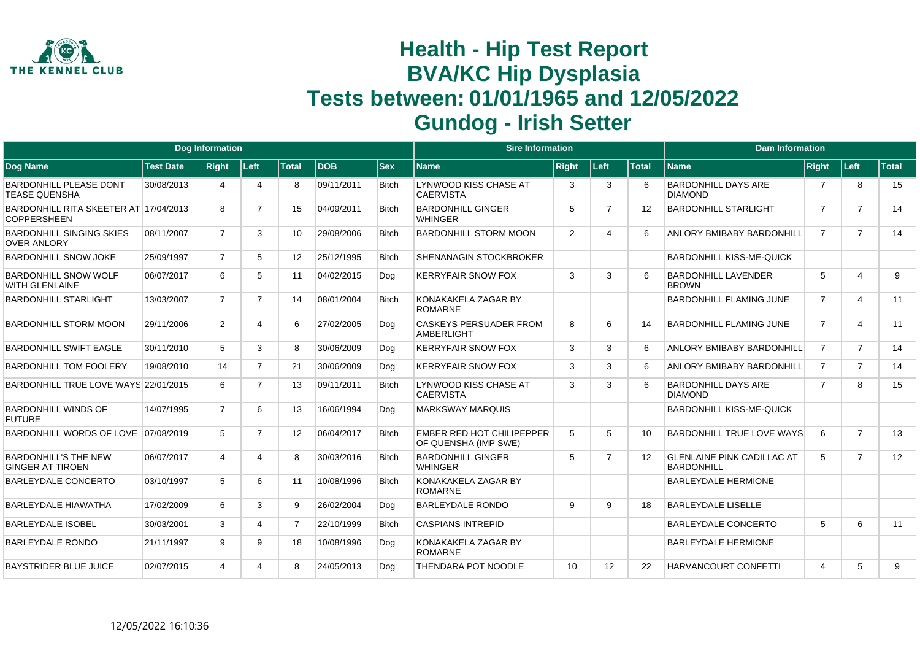

|                                                             |                  | <b>Dog Information</b> |                       |                |            |              | <b>Sire Information</b>                                  |              |                |              | <b>Dam Information</b>                                 |                |                         |              |
|-------------------------------------------------------------|------------------|------------------------|-----------------------|----------------|------------|--------------|----------------------------------------------------------|--------------|----------------|--------------|--------------------------------------------------------|----------------|-------------------------|--------------|
| <b>Dog Name</b>                                             | <b>Test Date</b> | <b>Right</b>           | Left                  | <b>Total</b>   | <b>DOB</b> | <b>Sex</b>   | Name                                                     | <b>Right</b> | Left           | <b>Total</b> | <b>Name</b>                                            | <b>Right</b>   | Left                    | <b>Total</b> |
| <b>BARDONHILL PLEASE DONT</b><br><b>TEASE QUENSHA</b>       | 30/08/2013       | 4                      | $\boldsymbol{\Delta}$ | 8              | 09/11/2011 | <b>Bitch</b> | LYNWOOD KISS CHASE AT<br><b>CAERVISTA</b>                | 3            | 3              | 6            | <b>BARDONHILL DAYS ARE</b><br><b>DIAMOND</b>           | 7              | 8                       | 15           |
| BARDONHILL RITA SKEETER AT 17/04/2013<br><b>COPPERSHEEN</b> |                  | 8                      | $\overline{7}$        | 15             | 04/09/2011 | <b>Bitch</b> | <b>BARDONHILL GINGER</b><br><b>WHINGER</b>               | 5            | 7              | 12           | <b>BARDONHILL STARLIGHT</b>                            | $\overline{7}$ | $\overline{7}$          | 14           |
| <b>BARDONHILL SINGING SKIES</b><br><b>OVER ANLORY</b>       | 08/11/2007       | $\overline{7}$         | 3                     | 10             | 29/08/2006 | <b>Bitch</b> | <b>BARDONHILL STORM MOON</b>                             | 2            | Δ              | 6            | ANLORY BMIBABY BARDONHILL                              | $\overline{7}$ | $\overline{7}$          | 14           |
| <b>BARDONHILL SNOW JOKE</b>                                 | 25/09/1997       | $\overline{7}$         | 5                     | 12             | 25/12/1995 | <b>Bitch</b> | <b>SHENANAGIN STOCKBROKER</b>                            |              |                |              | <b>BARDONHILL KISS-ME-QUICK</b>                        |                |                         |              |
| <b>BARDONHILL SNOW WOLF</b><br><b>WITH GLENLAINE</b>        | 06/07/2017       | 6                      | 5                     | 11             | 04/02/2015 | Dog          | <b>KERRYFAIR SNOW FOX</b>                                | 3            | 3              |              | <b>BARDONHILL LAVENDER</b><br><b>BROWN</b>             | 5              | $\overline{4}$          | 9            |
| <b>BARDONHILL STARLIGHT</b>                                 | 13/03/2007       | $\overline{7}$         | $\overline{7}$        | 14             | 08/01/2004 | <b>Bitch</b> | KONAKAKELA ZAGAR BY<br><b>ROMARNE</b>                    |              |                |              | <b>BARDONHILL FLAMING JUNE</b>                         | $\overline{7}$ | 4                       | 11           |
| <b>BARDONHILL STORM MOON</b>                                | 29/11/2006       | $\overline{2}$         | 4                     | 6              | 27/02/2005 | Dog          | <b>CASKEYS PERSUADER FROM</b><br><b>AMBERLIGHT</b>       | 8            | 6              | 14           | <b>BARDONHILL FLAMING JUNE</b>                         | $\overline{7}$ | $\overline{\mathbf{4}}$ | 11           |
| <b>BARDONHILL SWIFT EAGLE</b>                               | 30/11/2010       | $5^{\circ}$            | 3                     | 8              | 30/06/2009 | Dog          | <b>KERRYFAIR SNOW FOX</b>                                | 3            | 3              | 6            | ANLORY BMIBABY BARDONHILL                              | $\overline{7}$ | $\overline{7}$          | 14           |
| <b>BARDONHILL TOM FOOLERY</b>                               | 19/08/2010       | 14                     | $\overline{7}$        | 21             | 30/06/2009 | Dog          | <b>KERRYFAIR SNOW FOX</b>                                | 3            | 3              | 6            | ANLORY BMIBABY BARDONHILL                              | $\overline{7}$ | $\overline{7}$          | 14           |
| BARDONHILL TRUE LOVE WAYS 22/01/2015                        |                  | 6                      | $\overline{7}$        | 13             | 09/11/2011 | <b>Bitch</b> | LYNWOOD KISS CHASE AT<br><b>CAERVISTA</b>                | 3            | 3              |              | <b>BARDONHILL DAYS ARE</b><br><b>DIAMOND</b>           | $\overline{7}$ | 8                       | 15           |
| <b>BARDONHILL WINDS OF</b><br><b>FUTURE</b>                 | 14/07/1995       | $\overline{7}$         | 6                     | 13             | 16/06/1994 | Dog          | <b>MARKSWAY MARQUIS</b>                                  |              |                |              | <b>BARDONHILL KISS-ME-QUICK</b>                        |                |                         |              |
| BARDONHILL WORDS OF LOVE 07/08/2019                         |                  | 5                      | $\overline{7}$        | 12             | 06/04/2017 | <b>Bitch</b> | <b>EMBER RED HOT CHILIPEPPER</b><br>OF QUENSHA (IMP SWE) | 5            | 5              | 10           | <b>BARDONHILL TRUE LOVE WAYS</b>                       | 6              | $\overline{7}$          | 13           |
| <b>BARDONHILL'S THE NEW</b><br><b>GINGER AT TIROEN</b>      | 06/07/2017       | 4                      | 4                     | 8              | 30/03/2016 | <b>Bitch</b> | <b>BARDONHILL GINGER</b><br><b>WHINGER</b>               | 5            | $\overline{7}$ | 12           | <b>GLENLAINE PINK CADILLAC AT</b><br><b>BARDONHILL</b> | 5              | $\overline{7}$          | 12           |
| <b>BARLEYDALE CONCERTO</b>                                  | 03/10/1997       | 5                      | 6                     | 11             | 10/08/1996 | <b>Bitch</b> | KONAKAKELA ZAGAR BY<br><b>ROMARNE</b>                    |              |                |              | <b>BARLEYDALE HERMIONE</b>                             |                |                         |              |
| <b>BARLEYDALE HIAWATHA</b>                                  | 17/02/2009       | 6                      | 3                     | 9              | 26/02/2004 | Dog          | <b>BARLEYDALE RONDO</b>                                  | 9            | 9              | 18           | <b>BARLEYDALE LISELLE</b>                              |                |                         |              |
| <b>BARLEYDALE ISOBEL</b>                                    | 30/03/2001       | 3                      | 4                     | $\overline{7}$ | 22/10/1999 | <b>Bitch</b> | <b>CASPIANS INTREPID</b>                                 |              |                |              | <b>BARLEYDALE CONCERTO</b>                             | 5              | 6                       | 11           |
| <b>BARLEYDALE RONDO</b>                                     | 21/11/1997       | 9                      | 9                     | 18             | 10/08/1996 | Dog          | KONAKAKELA ZAGAR BY<br><b>ROMARNE</b>                    |              |                |              | <b>BARLEYDALE HERMIONE</b>                             |                |                         |              |
| <b>BAYSTRIDER BLUE JUICE</b>                                | 02/07/2015       | 4                      | 4                     | 8              | 24/05/2013 | Dog          | THENDARA POT NOODLE                                      | 10           | 12             | 22           | <b>HARVANCOURT CONFETTI</b>                            | $\overline{4}$ | 5                       | 9            |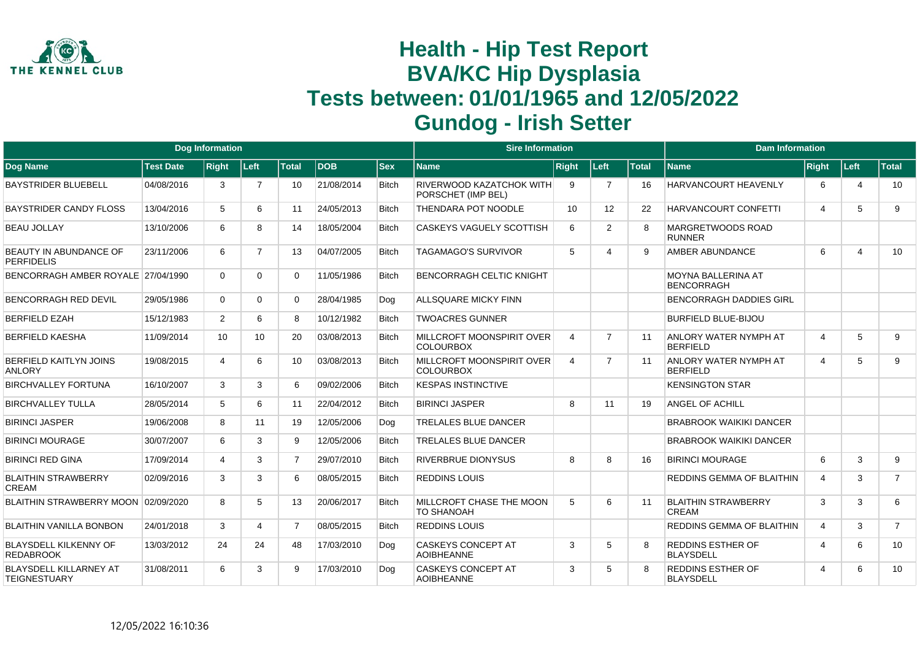

|                                                  |                  | <b>Dog Information</b> |                 |                 |            |              | <b>Sire Information</b>                               |                |                |              | <b>Dam Information</b>                          |                       |                |                |
|--------------------------------------------------|------------------|------------------------|-----------------|-----------------|------------|--------------|-------------------------------------------------------|----------------|----------------|--------------|-------------------------------------------------|-----------------------|----------------|----------------|
| <b>Dog Name</b>                                  | <b>Test Date</b> | <b>Right</b>           | ∣Left∶          | <b>Total</b>    | <b>DOB</b> | <b>Sex</b>   | <b>Name</b>                                           | <b>Right</b>   | Left           | <b>Total</b> | <b>Name</b>                                     | Right                 | Left           | <b>Total</b>   |
| <b>BAYSTRIDER BLUEBELL</b>                       | 04/08/2016       | 3                      | $\overline{7}$  | 10              | 21/08/2014 | <b>Bitch</b> | <b>RIVERWOOD KAZATCHOK WITH</b><br>PORSCHET (IMP BEL) | 9              | $\overline{7}$ | 16           | <b>HARVANCOURT HEAVENLY</b>                     | 6                     | $\overline{4}$ | 10             |
| <b>BAYSTRIDER CANDY FLOSS</b>                    | 13/04/2016       | 5                      | 6               | 11              | 24/05/2013 | <b>Bitch</b> | <b>THENDARA POT NOODLE</b>                            | 10             | 12             | 22           | <b>HARVANCOURT CONFETTI</b>                     | $\overline{A}$        | 5              | 9              |
| <b>BEAU JOLLAY</b>                               | 13/10/2006       | 6                      | 8               | 14              | 18/05/2004 | <b>Bitch</b> | <b>CASKEYS VAGUELY SCOTTISH</b>                       | 6              | 2              | 8            | MARGRETWOODS ROAD<br><b>RUNNER</b>              |                       |                |                |
| BEAUTY IN ABUNDANCE OF<br><b>PERFIDELIS</b>      | 23/11/2006       | 6                      | 7               | 13              | 04/07/2005 | <b>Bitch</b> | <b>TAGAMAGO'S SURVIVOR</b>                            | 5              | 4              | 9            | AMBER ABUNDANCE                                 | 6                     | $\overline{4}$ | 10             |
| BENCORRAGH AMBER ROYALE 27/04/1990               |                  | $\Omega$               | 0               | 0               | 11/05/1986 | <b>Bitch</b> | <b>BENCORRAGH CELTIC KNIGHT</b>                       |                |                |              | MOYNA BALLERINA AT<br>BENCORRAGH                |                       |                |                |
| <b>BENCORRAGH RED DEVIL</b>                      | 29/05/1986       | $\Omega$               | 0               | 0               | 28/04/1985 | Dog          | <b>ALLSQUARE MICKY FINN</b>                           |                |                |              | <b>BENCORRAGH DADDIES GIRL</b>                  |                       |                |                |
| <b>BERFIELD EZAH</b>                             | 15/12/1983       | $\overline{2}$         | 6               | 8               | 10/12/1982 | <b>Bitch</b> | <b>TWOACRES GUNNER</b>                                |                |                |              | <b>BURFIELD BLUE-BIJOU</b>                      |                       |                |                |
| <b>BERFIELD KAESHA</b>                           | 11/09/2014       | 10                     | 10 <sup>1</sup> | 20              | 03/08/2013 | <b>Bitch</b> | <b>MILLCROFT MOONSPIRIT OVER</b><br><b>COLOURBOX</b>  | $\overline{4}$ | $\overline{7}$ | 11           | ANLORY WATER NYMPH AT<br><b>BERFIELD</b>        | $\overline{4}$        | 5              | 9              |
| <b>BERFIELD KAITLYN JOINS</b><br><b>ANLORY</b>   | 19/08/2015       | 4                      | 6               | 10 <sup>1</sup> | 03/08/2013 | <b>Bitch</b> | MILLCROFT MOONSPIRIT OVER<br><b>COLOURBOX</b>         | $\overline{4}$ | $\overline{7}$ | 11           | <b>ANLORY WATER NYMPH AT</b><br><b>BERFIELD</b> | $\overline{4}$        | 5              | 9              |
| <b>BIRCHVALLEY FORTUNA</b>                       | 16/10/2007       | 3                      | 3               | 6               | 09/02/2006 | <b>Bitch</b> | <b>KESPAS INSTINCTIVE</b>                             |                |                |              | <b>KENSINGTON STAR</b>                          |                       |                |                |
| <b>BIRCHVALLEY TULLA</b>                         | 28/05/2014       | 5                      | 6               | 11              | 22/04/2012 | <b>Bitch</b> | <b>BIRINCI JASPER</b>                                 | 8              | 11             | 19           | <b>ANGEL OF ACHILL</b>                          |                       |                |                |
| <b>BIRINCI JASPER</b>                            | 19/06/2008       | 8                      | 11              | 19              | 12/05/2006 | Dog          | <b>TRELALES BLUE DANCER</b>                           |                |                |              | <b>BRABROOK WAIKIKI DANCER</b>                  |                       |                |                |
| <b>BIRINCI MOURAGE</b>                           | 30/07/2007       | 6                      | 3               | 9               | 12/05/2006 | <b>Bitch</b> | <b>TRELALES BLUE DANCER</b>                           |                |                |              | <b>BRABROOK WAIKIKI DANCER</b>                  |                       |                |                |
| <b>BIRINCI RED GINA</b>                          | 17/09/2014       | 4                      | 3               | $\overline{7}$  | 29/07/2010 | <b>Bitch</b> | <b>RIVERBRUE DIONYSUS</b>                             | 8              | 8              | 16           | <b>BIRINCI MOURAGE</b>                          | 6                     | 3              | 9              |
| <b>BLAITHIN STRAWBERRY</b><br><b>CREAM</b>       | 02/09/2016       | 3                      | 3               | 6               | 08/05/2015 | <b>Bitch</b> | <b>REDDINS LOUIS</b>                                  |                |                |              | REDDINS GEMMA OF BLAITHIN                       | 4                     | 3              | $\overline{7}$ |
| BLAITHIN STRAWBERRY MOON 02/09/2020              |                  | 8                      | 5               | 13              | 20/06/2017 | <b>Bitch</b> | MILLCROFT CHASE THE MOON<br><b>TO SHANOAH</b>         | 5              | 6              | 11           | <b>BLAITHIN STRAWBERRY</b><br>CREAM             | 3                     | 3              | 6              |
| <b>BLAITHIN VANILLA BONBON</b>                   | 24/01/2018       | 3                      | 4               | $\overline{7}$  | 08/05/2015 | <b>Bitch</b> | <b>REDDINS LOUIS</b>                                  |                |                |              | REDDINS GEMMA OF BLAITHIN                       | $\overline{4}$        | 3              | $\overline{7}$ |
| <b>BLAYSDELL KILKENNY OF</b><br><b>REDABROOK</b> | 13/03/2012       | 24                     | 24              | 48              | 17/03/2010 | Dog          | <b>CASKEYS CONCEPT AT</b><br><b>AOIBHEANNE</b>        | 3              | 5              | R            | <b>REDDINS ESTHER OF</b><br><b>BLAYSDELL</b>    | $\boldsymbol{\Delta}$ | 6              | 10             |
| BLAYSDELL KILLARNEY AT<br><b>TEIGNESTUARY</b>    | 31/08/2011       | 6                      | 3               | 9               | 17/03/2010 | Dog          | <b>CASKEYS CONCEPT AT</b><br><b>AOIBHEANNE</b>        | 3              | 5              | 8            | <b>REDDINS ESTHER OF</b><br><b>BLAYSDELL</b>    | $\boldsymbol{\Delta}$ | 6              | 10             |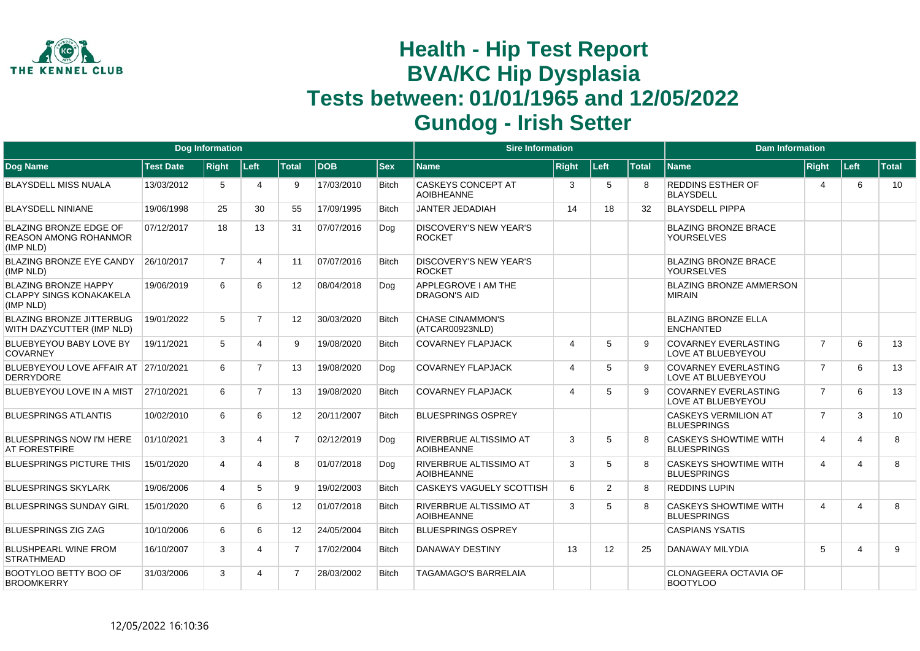

|                                                                            |                  | <b>Dog Information</b> |                       |                 |            |              | <b>Sire Information</b>                            |                       |                |              | <b>Dam Information</b>                             |                |      |              |
|----------------------------------------------------------------------------|------------------|------------------------|-----------------------|-----------------|------------|--------------|----------------------------------------------------|-----------------------|----------------|--------------|----------------------------------------------------|----------------|------|--------------|
| Dog Name                                                                   | <b>Test Date</b> | <b>Right</b>           | Left                  | <b>Total</b>    | <b>DOB</b> | $ $ Sex      | <b>Name</b>                                        | <b>Right</b>          | Left           | <b>Total</b> | <b>Name</b>                                        | Right          | Left | <b>Total</b> |
| <b>BLAYSDELL MISS NUALA</b>                                                | 13/03/2012       | 5                      | $\boldsymbol{\Delta}$ | 9               | 17/03/2010 | <b>Bitch</b> | <b>CASKEYS CONCEPT AT</b><br><b>AOIBHEANNE</b>     | 3                     | 5              |              | <b>REDDINS ESTHER OF</b><br><b>BLAYSDELL</b>       | 4              | 6    | 10           |
| <b>BLAYSDELL NINIANE</b>                                                   | 19/06/1998       | 25                     | 30                    | 55              | 17/09/1995 | <b>Bitch</b> | JANTER JEDADIAH                                    | 14                    | 18             | 32           | <b>BLAYSDELL PIPPA</b>                             |                |      |              |
| <b>BLAZING BRONZE EDGE OF</b><br><b>REASON AMONG ROHANMOR</b><br>(IMP NLD) | 07/12/2017       | 18                     | 13                    | 31              | 07/07/2016 | Dog          | <b>DISCOVERY'S NEW YEAR'S</b><br><b>ROCKET</b>     |                       |                |              | <b>BLAZING BRONZE BRACE</b><br><b>YOURSELVES</b>   |                |      |              |
| <b>BLAZING BRONZE EYE CANDY</b><br>(IMP NLD)                               | 26/10/2017       | $\overline{7}$         | 4                     | 11              | 07/07/2016 | <b>Bitch</b> | <b>DISCOVERY'S NEW YEAR'S</b><br><b>ROCKET</b>     |                       |                |              | <b>BLAZING BRONZE BRACE</b><br><b>YOURSELVES</b>   |                |      |              |
| <b>BLAZING BRONZE HAPPY</b><br><b>CLAPPY SINGS KONAKAKELA</b><br>(IMP NLD) | 19/06/2019       | 6                      | 6                     | 12 <sup>2</sup> | 08/04/2018 | Dog          | APPLEGROVE I AM THE<br><b>DRAGON'S AID</b>         |                       |                |              | <b>BLAZING BRONZE AMMERSON</b><br><b>MIRAIN</b>    |                |      |              |
| <b>BLAZING BRONZE JITTERBUG</b><br>WITH DAZYCUTTER (IMP NLD)               | 19/01/2022       | 5                      | $\overline{7}$        | 12              | 30/03/2020 | <b>Bitch</b> | <b>CHASE CINAMMON'S</b><br>(ATCAR00923NLD)         |                       |                |              | <b>BLAZING BRONZE ELLA</b><br><b>ENCHANTED</b>     |                |      |              |
| BLUEBYEYOU BABY LOVE BY<br><b>COVARNEY</b>                                 | 19/11/2021       | 5                      | $\boldsymbol{\Delta}$ | 9               | 19/08/2020 | <b>Bitch</b> | <b>COVARNEY FLAPJACK</b>                           | $\overline{4}$        | 5              | <b>q</b>     | <b>COVARNEY EVERLASTING</b><br>LOVE AT BLUEBYEYOU  | $\overline{7}$ | 6    | 13           |
| BLUEBYEYOU LOVE AFFAIR AT 27/10/2021<br><b>DERRYDORE</b>                   |                  | 6                      | $\overline{7}$        | 13              | 19/08/2020 | Dog          | <b>COVARNEY FLAPJACK</b>                           | $\overline{4}$        | 5              | 9            | <b>COVARNEY EVERLASTING</b><br>LOVE AT BLUEBYEYOU  | $\overline{7}$ | 6    | 13           |
| BLUEBYEYOU LOVE IN A MIST                                                  | 27/10/2021       | 6                      | $\overline{7}$        | 13              | 19/08/2020 | <b>Bitch</b> | <b>COVARNEY FLAPJACK</b>                           | $\boldsymbol{\Delta}$ | 5              |              | <b>COVARNEY EVERLASTING</b><br>LOVE AT BLUEBYEYOU  | $\overline{7}$ | 6    | 13           |
| <b>BLUESPRINGS ATLANTIS</b>                                                | 10/02/2010       | 6                      | 6                     | 12 <sup>2</sup> | 20/11/2007 | <b>Bitch</b> | <b>BLUESPRINGS OSPREY</b>                          |                       |                |              | <b>CASKEYS VERMILION AT</b><br><b>BLUESPRINGS</b>  | $\overline{7}$ | 3    | 10           |
| <b>BLUESPRINGS NOW I'M HERE</b><br><b>AT FORESTFIRE</b>                    | 01/10/2021       | 3                      | $\overline{4}$        | $\overline{7}$  | 02/12/2019 | Dog          | <b>RIVERBRUE ALTISSIMO AT</b><br><b>AOIBHEANNE</b> | 3                     | 5              | 8            | <b>CASKEYS SHOWTIME WITH</b><br><b>BLUESPRINGS</b> | $\overline{4}$ | 4    | 8            |
| <b>BLUESPRINGS PICTURE THIS</b>                                            | 15/01/2020       | 4                      | 4                     | 8               | 01/07/2018 | Dog          | <b>RIVERBRUE ALTISSIMO AT</b><br><b>AOIBHEANNE</b> | 3                     | 5              | 8            | <b>CASKEYS SHOWTIME WITH</b><br><b>BLUESPRINGS</b> | 4              | 4    | 8            |
| <b>BLUESPRINGS SKYLARK</b>                                                 | 19/06/2006       | $\overline{4}$         | 5                     | 9               | 19/02/2003 | <b>Bitch</b> | <b>CASKEYS VAGUELY SCOTTISH</b>                    | 6                     | $\overline{2}$ | 8            | <b>REDDINS LUPIN</b>                               |                |      |              |
| <b>BLUESPRINGS SUNDAY GIRL</b>                                             | 15/01/2020       | 6                      | 6                     | 12 <sup>2</sup> | 01/07/2018 | <b>Bitch</b> | <b>RIVERBRUE ALTISSIMO AT</b><br><b>AOIBHEANNE</b> | 3                     | 5              | 8            | <b>CASKEYS SHOWTIME WITH</b><br><b>BLUESPRINGS</b> | $\overline{4}$ | 4    | 8            |
| BLUESPRINGS ZIG ZAG                                                        | 10/10/2006       | 6                      | 6                     | 12 <sup>2</sup> | 24/05/2004 | <b>Bitch</b> | <b>BLUESPRINGS OSPREY</b>                          |                       |                |              | <b>CASPIANS YSATIS</b>                             |                |      |              |
| <b>BLUSHPEARL WINE FROM</b><br><b>STRATHMEAD</b>                           | 16/10/2007       | 3                      | 4                     | $\overline{7}$  | 17/02/2004 | <b>Bitch</b> | DANAWAY DESTINY                                    | 13                    | 12             | 25           | <b>DANAWAY MILYDIA</b>                             | 5              | 4    | 9            |
| BOOTYLOO BETTY BOO OF<br><b>BROOMKERRY</b>                                 | 31/03/2006       | 3                      | $\Delta$              | $\overline{7}$  | 28/03/2002 | <b>Bitch</b> | <b>TAGAMAGO'S BARRELAIA</b>                        |                       |                |              | CLONAGEERA OCTAVIA OF<br><b>BOOTYLOO</b>           |                |      |              |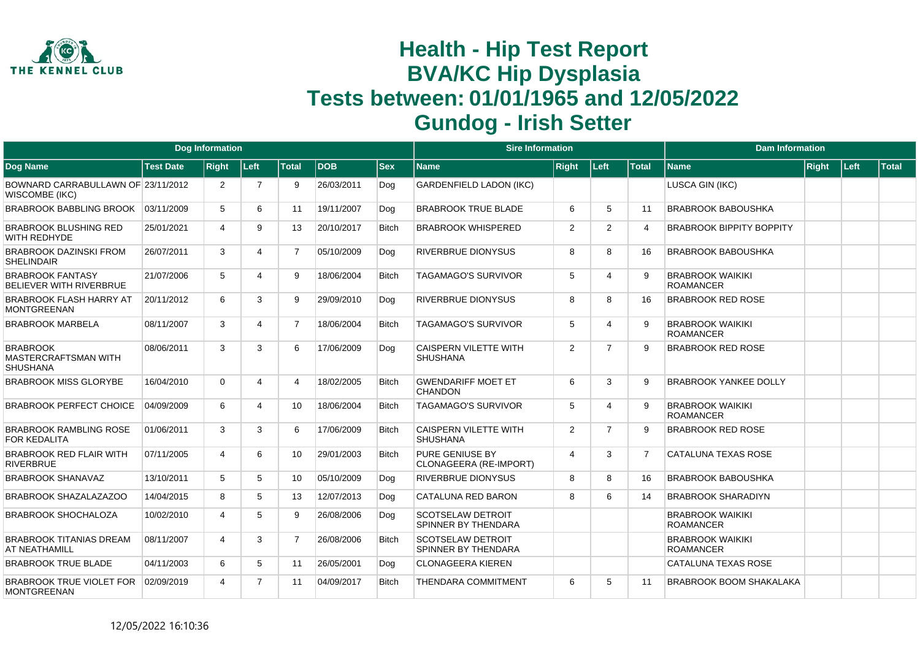

|                                                             |                  | <b>Dog Information</b> |                |                |            |              | <b>Sire Information</b>                         |                |                          |                | <b>Dam Information</b>                      |              |      |       |
|-------------------------------------------------------------|------------------|------------------------|----------------|----------------|------------|--------------|-------------------------------------------------|----------------|--------------------------|----------------|---------------------------------------------|--------------|------|-------|
| Dog Name                                                    | <b>Test Date</b> | <b>Right</b>           | Left           | <b>Total</b>   | <b>DOB</b> | <b>Sex</b>   | <b>Name</b>                                     | <b>Right</b>   | Left                     | <b>Total</b>   | <b>Name</b>                                 | <b>Right</b> | Left | Total |
| BOWNARD CARRABULLAWN OF 23/11/2012<br><b>WISCOMBE (IKC)</b> |                  | 2                      | 7              | 9              | 26/03/2011 | Dog          | <b>GARDENFIELD LADON (IKC)</b>                  |                |                          |                | LUSCA GIN (IKC)                             |              |      |       |
| BRABROOK BABBLING BROOK                                     | 03/11/2009       | 5                      | 6              | 11             | 19/11/2007 | Dog          | <b>BRABROOK TRUE BLADE</b>                      | 6              | 5                        | 11             | <b>BRABROOK BABOUSHKA</b>                   |              |      |       |
| <b>BRABROOK BLUSHING RED</b><br>WITH REDHYDE                | 25/01/2021       | 4                      | 9              | 13             | 20/10/2017 | <b>Bitch</b> | <b>BRABROOK WHISPERED</b>                       | 2              | $\overline{2}$           | $\overline{4}$ | <b>BRABROOK BIPPITY BOPPITY</b>             |              |      |       |
| <b>BRABROOK DAZINSKI FROM</b><br><b>SHELINDAIR</b>          | 26/07/2011       | 3                      | 4              | $\overline{7}$ | 05/10/2009 | Dog          | <b>RIVERBRUE DIONYSUS</b>                       | 8              | 8                        | 16             | <b>BRABROOK BABOUSHKA</b>                   |              |      |       |
| <b>BRABROOK FANTASY</b><br>BELIEVER WITH RIVERBRUE          | 21/07/2006       | 5                      | Δ              | 9              | 18/06/2004 | <b>Bitch</b> | <b>TAGAMAGO'S SURVIVOR</b>                      | 5              | $\overline{4}$           | -9             | <b>BRABROOK WAIKIKI</b><br><b>ROAMANCER</b> |              |      |       |
| BRABROOK FLASH HARRY AT<br><b>MONTGREENAN</b>               | 20/11/2012       | 6                      | 3              | 9              | 29/09/2010 | Dog          | <b>RIVERBRUE DIONYSUS</b>                       | 8              | 8                        | 16             | <b>BRABROOK RED ROSE</b>                    |              |      |       |
| <b>BRABROOK MARBELA</b>                                     | 08/11/2007       | 3                      |                | $\overline{7}$ | 18/06/2004 | <b>Bitch</b> | <b>TAGAMAGO'S SURVIVOR</b>                      | 5              | $\boldsymbol{\varDelta}$ | <b>q</b>       | <b>BRABROOK WAIKIKI</b><br><b>ROAMANCER</b> |              |      |       |
| <b>BRABROOK</b><br>MASTERCRAFTSMAN WITH<br><b>SHUSHANA</b>  | 08/06/2011       | 3                      | 3              | 6              | 17/06/2009 | Dog          | <b>CAISPERN VILETTE WITH</b><br><b>SHUSHANA</b> | 2              | $\overline{7}$           | $\mathbf{Q}$   | <b>BRABROOK RED ROSE</b>                    |              |      |       |
| <b>BRABROOK MISS GLORYBE</b>                                | 16/04/2010       | $\Omega$               | 4              | Δ              | 18/02/2005 | <b>Bitch</b> | <b>GWENDARIFF MOET ET</b><br><b>CHANDON</b>     | 6              | 3                        | 9              | <b>BRABROOK YANKEE DOLLY</b>                |              |      |       |
| <b>BRABROOK PERFECT CHOICE</b>                              | 04/09/2009       | 6                      | 4              | 10             | 18/06/2004 | <b>Bitch</b> | <b>TAGAMAGO'S SURVIVOR</b>                      | 5              | $\boldsymbol{\Lambda}$   | 9              | <b>BRABROOK WAIKIKI</b><br><b>ROAMANCER</b> |              |      |       |
| <b>BRABROOK RAMBLING ROSE</b><br><b>FOR KEDALITA</b>        | 01/06/2011       | 3                      | 3              | 6              | 17/06/2009 | <b>Bitch</b> | <b>CAISPERN VILETTE WITH</b><br><b>SHUSHANA</b> | 2              | $\overline{7}$           | -9             | <b>BRABROOK RED ROSE</b>                    |              |      |       |
| <b>BRABROOK RED FLAIR WITH</b><br><b>RIVERBRUE</b>          | 07/11/2005       | $\boldsymbol{\Delta}$  | 6              | 10             | 29/01/2003 | <b>Bitch</b> | PURE GENIUSE BY<br>CLONAGEERA (RE-IMPORT)       | $\overline{4}$ | 3                        | $\overline{7}$ | <b>CATALUNA TEXAS ROSE</b>                  |              |      |       |
| <b>BRABROOK SHANAVAZ</b>                                    | 13/10/2011       | 5                      | 5              | 10             | 05/10/2009 | Dog          | <b>RIVERBRUE DIONYSUS</b>                       | 8              | 8                        | 16             | <b>BRABROOK BABOUSHKA</b>                   |              |      |       |
| <b>BRABROOK SHAZALAZAZOO</b>                                | 14/04/2015       | 8                      | 5              | 13             | 12/07/2013 | Dog          | CATALUNA RED BARON                              | 8              | 6                        | 14             | <b>BRABROOK SHARADIYN</b>                   |              |      |       |
| <b>BRABROOK SHOCHALOZA</b>                                  | 10/02/2010       | $\boldsymbol{\Delta}$  | 5              | 9              | 26/08/2006 | Dog          | <b>SCOTSELAW DETROIT</b><br>SPINNER BY THENDARA |                |                          |                | <b>BRABROOK WAIKIKI</b><br><b>ROAMANCER</b> |              |      |       |
| <b>BRABROOK TITANIAS DREAM</b><br>AT NEATHAMILL             | 08/11/2007       | $\boldsymbol{\Delta}$  | 3              | $\overline{7}$ | 26/08/2006 | <b>Bitch</b> | <b>SCOTSELAW DETROIT</b><br>SPINNER BY THENDARA |                |                          |                | <b>BRABROOK WAIKIKI</b><br><b>ROAMANCER</b> |              |      |       |
| <b>BRABROOK TRUE BLADE</b>                                  | 04/11/2003       | 6                      | 5              | 11             | 26/05/2001 | Dog          | <b>CLONAGEERA KIEREN</b>                        |                |                          |                | <b>CATALUNA TEXAS ROSE</b>                  |              |      |       |
| BRABROOK TRUE VIOLET FOR<br><b>MONTGREENAN</b>              | 02/09/2019       | $\boldsymbol{\Delta}$  | $\overline{7}$ | 11             | 04/09/2017 | <b>Bitch</b> | <b>THENDARA COMMITMENT</b>                      | 6              | .5                       | 11             | <b>BRABROOK BOOM SHAKALAKA</b>              |              |      |       |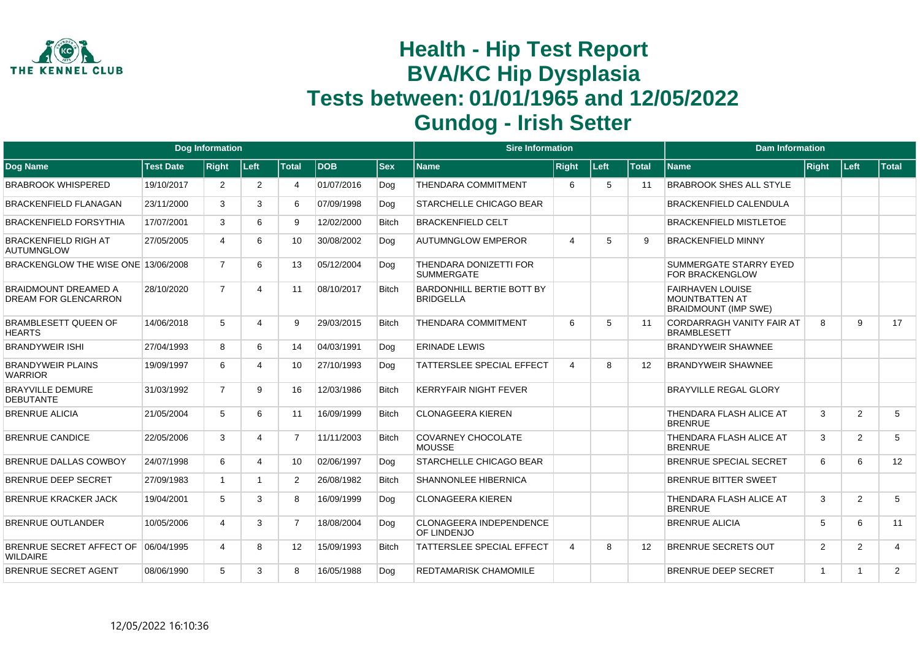

|                                                        |                  | <b>Dog Information</b> |                |                 |             |              | <b>Sire Information</b>                              |                |      |              | <b>Dam Information</b>                                                          |                |                |                |
|--------------------------------------------------------|------------------|------------------------|----------------|-----------------|-------------|--------------|------------------------------------------------------|----------------|------|--------------|---------------------------------------------------------------------------------|----------------|----------------|----------------|
| Dog Name                                               | <b>Test Date</b> | <b>Right</b>           | Left           | <b>Total</b>    | <b>IDOB</b> | <b>Sex</b>   | Name                                                 | <b>Right</b>   | Left | <b>Total</b> | <b>Name</b>                                                                     | Right          | Left           | <b>Total</b>   |
| <b>BRABROOK WHISPERED</b>                              | 19/10/2017       | $\overline{2}$         | $\overline{2}$ | 4               | 01/07/2016  | Dog          | <b>THENDARA COMMITMENT</b>                           | 6              | 5    | 11           | <b>BRABROOK SHES ALL STYLE</b>                                                  |                |                |                |
| <b>BRACKENFIELD FLANAGAN</b>                           | 23/11/2000       | 3                      | 3              | 6               | 07/09/1998  | Dog          | <b>STARCHELLE CHICAGO BEAR</b>                       |                |      |              | <b>BRACKENFIELD CALENDULA</b>                                                   |                |                |                |
| <b>BRACKENFIELD FORSYTHIA</b>                          | 17/07/2001       | 3                      | 6              | 9               | 12/02/2000  | <b>Bitch</b> | <b>BRACKENFIELD CELT</b>                             |                |      |              | <b>BRACKENFIELD MISTLETOE</b>                                                   |                |                |                |
| <b>BRACKENFIELD RIGH AT</b><br><b>AUTUMNGLOW</b>       | 27/05/2005       | 4                      | 6              | 10              | 30/08/2002  | Dog          | <b>AUTUMNGLOW EMPEROR</b>                            | $\overline{4}$ | 5    | g            | <b>BRACKENFIELD MINNY</b>                                                       |                |                |                |
| BRACKENGLOW THE WISE ONE 13/06/2008                    |                  | $\overline{7}$         | 6              | 13              | 05/12/2004  | Dog          | THENDARA DONIZETTI FOR<br><b>SUMMERGATE</b>          |                |      |              | SUMMERGATE STARRY EYED<br>FOR BRACKENGLOW                                       |                |                |                |
| <b>BRAIDMOUNT DREAMED A</b><br>DREAM FOR GLENCARRON    | 28/10/2020       | $\overline{7}$         | 4              | 11              | 08/10/2017  | <b>Bitch</b> | <b>BARDONHILL BERTIE BOTT BY</b><br><b>BRIDGELLA</b> |                |      |              | <b>FAIRHAVEN LOUISE</b><br><b>MOUNTBATTEN AT</b><br><b>BRAIDMOUNT (IMP SWE)</b> |                |                |                |
| <b>BRAMBLESETT QUEEN OF</b><br><b>HEARTS</b>           | 14/06/2018       | 5                      | Δ              | 9               | 29/03/2015  | <b>Bitch</b> | <b>THENDARA COMMITMENT</b>                           | 6              | 5    | 11           | <b>CORDARRAGH VANITY FAIR AT</b><br><b>BRAMBLESETT</b>                          | 8              | 9              | 17             |
| <b>BRANDYWEIR ISHI</b>                                 | 27/04/1993       | 8                      | 6              | 14              | 04/03/1991  | Dog          | <b>ERINADE LEWIS</b>                                 |                |      |              | <b>BRANDYWEIR SHAWNEE</b>                                                       |                |                |                |
| <b>BRANDYWEIR PLAINS</b><br><b>WARRIOR</b>             | 19/09/1997       | 6                      | 4              | 10              | 27/10/1993  | Dog          | TATTERSLEE SPECIAL EFFECT                            | $\overline{4}$ | 8    | 12           | <b>BRANDYWEIR SHAWNEE</b>                                                       |                |                |                |
| <b>BRAYVILLE DEMURE</b><br><b>DEBUTANTE</b>            | 31/03/1992       | $\overline{7}$         | 9              | 16              | 12/03/1986  | <b>Bitch</b> | <b>KERRYFAIR NIGHT FEVER</b>                         |                |      |              | <b>BRAYVILLE REGAL GLORY</b>                                                    |                |                |                |
| <b>BRENRUE ALICIA</b>                                  | 21/05/2004       | 5                      | 6              | 11              | 16/09/1999  | <b>Bitch</b> | <b>CLONAGEERA KIEREN</b>                             |                |      |              | THENDARA FLASH ALICE AT<br><b>BRENRUE</b>                                       | 3              | 2              | 5              |
| <b>BRENRUE CANDICE</b>                                 | 22/05/2006       | 3                      | 4              | 7               | 11/11/2003  | <b>Bitch</b> | <b>COVARNEY CHOCOLATE</b><br><b>MOUSSE</b>           |                |      |              | THENDARA FLASH ALICE AT<br><b>BRENRUE</b>                                       | 3              | 2              | 5              |
| BRENRUE DALLAS COWBOY                                  | 24/07/1998       | 6                      | 4              | 10 <sup>1</sup> | 02/06/1997  | Dog          | <b>STARCHELLE CHICAGO BEAR</b>                       |                |      |              | BRENRUE SPECIAL SECRET                                                          | 6              | 6              | 12             |
| <b>BRENRUE DEEP SECRET</b>                             | 27/09/1983       | $\overline{1}$         |                | $\overline{2}$  | 26/08/1982  | <b>Bitch</b> | <b>SHANNONLEE HIBERNICA</b>                          |                |      |              | <b>BRENRUE BITTER SWEET</b>                                                     |                |                |                |
| <b>BRENRUE KRACKER JACK</b>                            | 19/04/2001       | 5                      | 3              | 8               | 16/09/1999  | Dog          | <b>CLONAGEERA KIEREN</b>                             |                |      |              | THENDARA FLASH ALICE AT<br><b>BRENRUE</b>                                       | 3              | 2              | 5              |
| <b>BRENRUE OUTLANDER</b>                               | 10/05/2006       | 4                      | 3              | $\overline{7}$  | 18/08/2004  | Dog          | <b>CLONAGEERA INDEPENDENCE</b><br>OF LINDENJO        |                |      |              | <b>BRENRUE ALICIA</b>                                                           | 5              | 6              | 11             |
| BRENRUE SECRET AFFECT OF 06/04/1995<br><b>WILDAIRE</b> |                  | $\boldsymbol{\Delta}$  | 8              | 12              | 15/09/1993  | <b>Bitch</b> | <b>TATTERSLEE SPECIAL EFFECT</b>                     | $\overline{4}$ | 8    | 12           | <b>BRENRUE SECRETS OUT</b>                                                      | 2              | 2              | $\overline{4}$ |
| <b>BRENRUE SECRET AGENT</b>                            | 08/06/1990       | 5                      | 3              | 8               | 16/05/1988  | Dog          | <b>REDTAMARISK CHAMOMILE</b>                         |                |      |              | <b>BRENRUE DEEP SECRET</b>                                                      | $\overline{1}$ | $\overline{1}$ | 2              |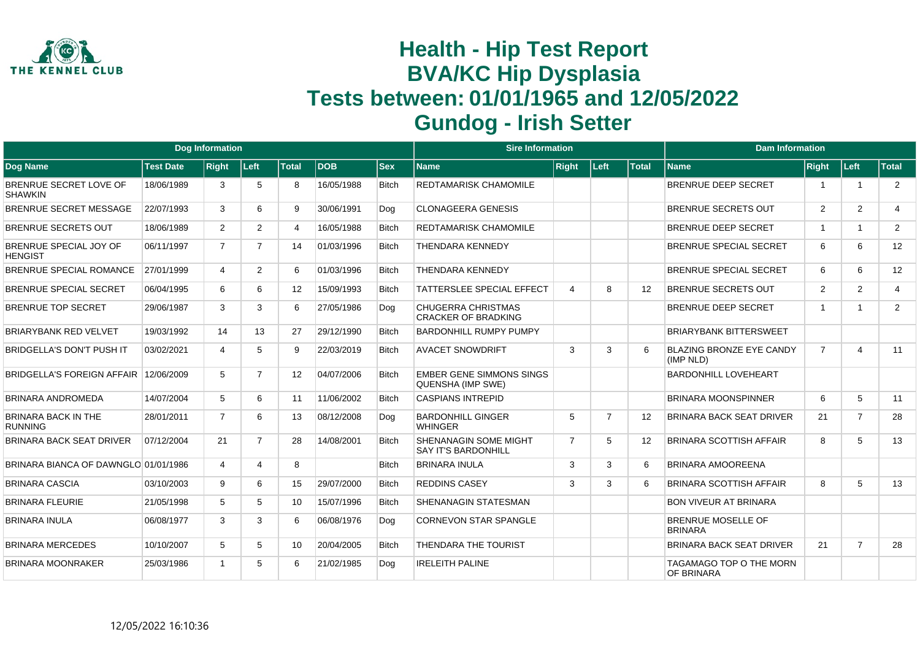

|                                                 |                  | <b>Dog Information</b> |                |              |            |              | <b>Sire Information</b>                                    |                |                |                   | <b>Dam Information</b>                       |                |                         |       |
|-------------------------------------------------|------------------|------------------------|----------------|--------------|------------|--------------|------------------------------------------------------------|----------------|----------------|-------------------|----------------------------------------------|----------------|-------------------------|-------|
| <b>Dog Name</b>                                 | <b>Test Date</b> | <b>Right</b>           | ∣Left∶         | <b>Total</b> | <b>DOB</b> | <b>Sex</b>   | <b>Name</b>                                                | <b>Right</b>   | Left           | <b>Total</b>      | <b>Name</b>                                  | <b>Right</b>   | Left                    | Total |
| BRENRUE SECRET LOVE OF<br><b>SHAWKIN</b>        | 18/06/1989       | 3                      | 5              | 8            | 16/05/1988 | <b>Bitch</b> | <b>REDTAMARISK CHAMOMILE</b>                               |                |                |                   | <b>BRENRUE DEEP SECRET</b>                   | -1             | $\overline{1}$          | 2     |
| BRENRUE SECRET MESSAGE                          | 22/07/1993       | 3                      | 6              | 9            | 30/06/1991 | Dog          | <b>CLONAGEERA GENESIS</b>                                  |                |                |                   | <b>BRENRUE SECRETS OUT</b>                   | 2              | 2                       | 4     |
| <b>BRENRUE SECRETS OUT</b>                      | 18/06/1989       | $\overline{2}$         | $\overline{2}$ | 4            | 16/05/1988 | <b>Bitch</b> | <b>REDTAMARISK CHAMOMILE</b>                               |                |                |                   | <b>BRENRUE DEEP SECRET</b>                   | $\mathbf{1}$   | $\overline{1}$          | 2     |
| <b>BRENRUE SPECIAL JOY OF</b><br><b>HENGIST</b> | 06/11/1997       | $\overline{7}$         | $\overline{7}$ | 14           | 01/03/1996 | <b>Bitch</b> | <b>THENDARA KENNEDY</b>                                    |                |                |                   | <b>BRENRUE SPECIAL SECRET</b>                | 6              | 6                       | 12    |
| <b>BRENRUE SPECIAL ROMANCE</b>                  | 27/01/1999       | 4                      | $\overline{2}$ | 6            | 01/03/1996 | <b>Bitch</b> | <b>THENDARA KENNEDY</b>                                    |                |                |                   | <b>BRENRUE SPECIAL SECRET</b>                | 6              | 6                       | 12    |
| BRENRUE SPECIAL SECRET                          | 06/04/1995       | 6                      | 6              | 12           | 15/09/1993 | <b>Bitch</b> | <b>TATTERSLEE SPECIAL EFFECT</b>                           | $\overline{4}$ | 8              | $12 \overline{ }$ | <b>BRENRUE SECRETS OUT</b>                   | $\overline{2}$ | 2                       | 4     |
| <b>BRENRUE TOP SECRET</b>                       | 29/06/1987       | 3                      | 3              | 6            | 27/05/1986 | Dog          | <b>CHUGERRA CHRISTMAS</b><br><b>CRACKER OF BRADKING</b>    |                |                |                   | <b>BRENRUE DEEP SECRET</b>                   | $\overline{1}$ | $\overline{\mathbf{1}}$ | 2     |
| <b>BRIARYBANK RED VELVET</b>                    | 19/03/1992       | 14                     | 13             | 27           | 29/12/1990 | <b>Bitch</b> | <b>BARDONHILL RUMPY PUMPY</b>                              |                |                |                   | <b>BRIARYBANK BITTERSWEET</b>                |                |                         |       |
| <b>BRIDGELLA'S DON'T PUSH IT</b>                | 03/02/2021       | $\Delta$               | 5              | 9            | 22/03/2019 | <b>Bitch</b> | <b>AVACET SNOWDRIFT</b>                                    | 3              | 3              | 6                 | <b>BLAZING BRONZE EYE CANDY</b><br>(IMP NLD) | $\overline{7}$ | $\boldsymbol{\Delta}$   | 11    |
| <b>BRIDGELLA'S FOREIGN AFFAIR</b>               | 12/06/2009       | 5                      | $\overline{7}$ | 12           | 04/07/2006 | <b>Bitch</b> | <b>EMBER GENE SIMMONS SINGS</b><br>QUENSHA (IMP SWE)       |                |                |                   | <b>BARDONHILL LOVEHEART</b>                  |                |                         |       |
| BRINARA ANDROMEDA                               | 14/07/2004       | 5                      | 6              | 11           | 11/06/2002 | <b>Bitch</b> | <b>CASPIANS INTREPID</b>                                   |                |                |                   | <b>BRINARA MOONSPINNER</b>                   | 6              | $5\overline{)}$         | 11    |
| <b>BRINARA BACK IN THE</b><br><b>RUNNING</b>    | 28/01/2011       | $\overline{7}$         | 6              | 13           | 08/12/2008 | Dog          | <b>BARDONHILL GINGER</b><br><b>WHINGER</b>                 | 5              | $\overline{7}$ | 12                | <b>BRINARA BACK SEAT DRIVER</b>              | 21             | $\overline{7}$          | 28    |
| <b>BRINARA BACK SEAT DRIVER</b>                 | 07/12/2004       | 21                     | $\overline{7}$ | 28           | 14/08/2001 | <b>Bitch</b> | <b>SHENANAGIN SOME MIGHT</b><br><b>SAY IT'S BARDONHILL</b> | $\overline{7}$ | 5              | $12 \overline{ }$ | <b>BRINARA SCOTTISH AFFAIR</b>               | 8              | 5                       | 13    |
| BRINARA BIANCA OF DAWNGLO 01/01/1986            |                  | 4                      | Δ              | 8            |            | <b>Bitch</b> | <b>BRINARA INULA</b>                                       | 3              | 3              | 6                 | <b>BRINARA AMOOREENA</b>                     |                |                         |       |
| <b>BRINARA CASCIA</b>                           | 03/10/2003       | 9                      | 6              | 15           | 29/07/2000 | <b>Bitch</b> | <b>REDDINS CASEY</b>                                       | 3              | 3              | 6                 | <b>BRINARA SCOTTISH AFFAIR</b>               | 8              | 5                       | 13    |
| <b>BRINARA FLEURIE</b>                          | 21/05/1998       | 5                      | 5              | 10           | 15/07/1996 | <b>Bitch</b> | <b>SHENANAGIN STATESMAN</b>                                |                |                |                   | <b>BON VIVEUR AT BRINARA</b>                 |                |                         |       |
| <b>BRINARA INULA</b>                            | 06/08/1977       | 3                      | 3              | 6            | 06/08/1976 | Dog          | <b>CORNEVON STAR SPANGLE</b>                               |                |                |                   | BRENRUE MOSELLE OF<br><b>BRINARA</b>         |                |                         |       |
| <b>BRINARA MERCEDES</b>                         | 10/10/2007       | 5                      | 5              | 10           | 20/04/2005 | <b>Bitch</b> | <b>THENDARA THE TOURIST</b>                                |                |                |                   | <b>BRINARA BACK SEAT DRIVER</b>              | 21             | $\overline{7}$          | 28    |
| <b>BRINARA MOONRAKER</b>                        | 25/03/1986       |                        | 5              | 6            | 21/02/1985 | Dog          | <b>IRELEITH PALINE</b>                                     |                |                |                   | TAGAMAGO TOP O THE MORN<br>OF BRINARA        |                |                         |       |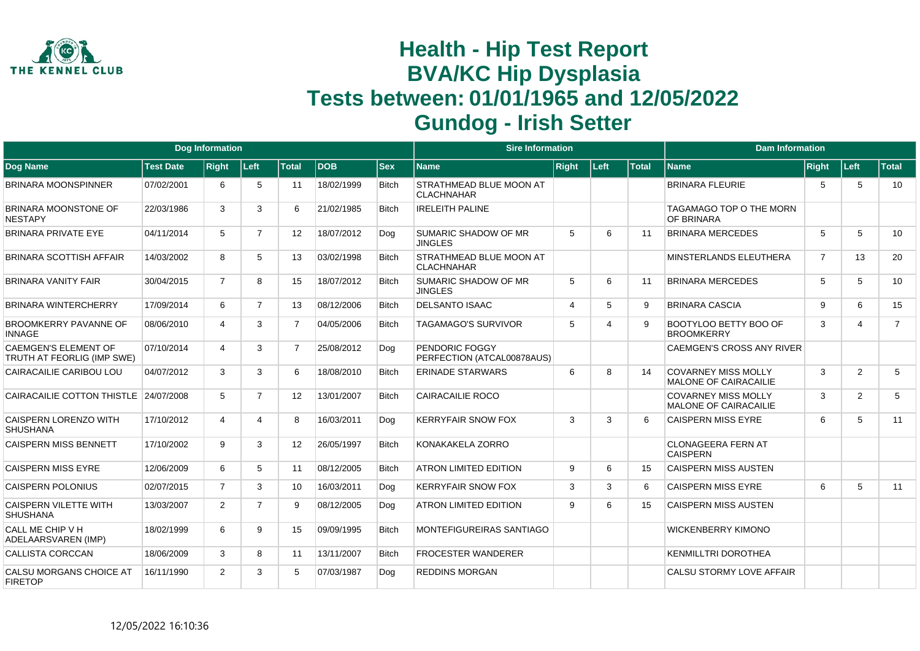

|                                                           |                  | <b>Dog Information</b> |                |                   |             |              | <b>Sire Information</b>                      |                |      |              | <b>Dam Information</b>                                     |                |                       |                |
|-----------------------------------------------------------|------------------|------------------------|----------------|-------------------|-------------|--------------|----------------------------------------------|----------------|------|--------------|------------------------------------------------------------|----------------|-----------------------|----------------|
| Dog Name                                                  | <b>Test Date</b> | <b>Right</b>           | Left           | <b>Total</b>      | <b>IDOB</b> | <b>Sex</b>   | <b>Name</b>                                  | <b>Right</b>   | Left | <b>Total</b> | <b>Name</b>                                                | <b>Right</b>   | Left                  | <b>Total</b>   |
| <b>BRINARA MOONSPINNER</b>                                | 07/02/2001       | 6                      | 5              | 11                | 18/02/1999  | <b>Bitch</b> | STRATHMEAD BLUE MOON AT<br><b>CLACHNAHAR</b> |                |      |              | <b>BRINARA FLEURIE</b>                                     | 5              | 5                     | 10             |
| BRINARA MOONSTONE OF<br><b>NESTAPY</b>                    | 22/03/1986       | 3                      | 3              | 6                 | 21/02/1985  | <b>Bitch</b> | <b>IRELEITH PALINE</b>                       |                |      |              | <b>TAGAMAGO TOP O THE MORN</b><br>OF BRINARA               |                |                       |                |
| <b>BRINARA PRIVATE EYE</b>                                | 04/11/2014       | 5                      | $\overline{7}$ | $12 \overline{ }$ | 18/07/2012  | Dog          | SUMARIC SHADOW OF MR<br><b>JINGLES</b>       | 5              | 6    | 11           | <b>BRINARA MERCEDES</b>                                    | 5              | 5                     | 10             |
| <b>BRINARA SCOTTISH AFFAIR</b>                            | 14/03/2002       | 8                      | 5              | 13                | 03/02/1998  | <b>Bitch</b> | STRATHMEAD BLUE MOON AT<br><b>CLACHNAHAR</b> |                |      |              | MINSTERLANDS ELEUTHERA                                     | $\overline{7}$ | 13                    | 20             |
| <b>BRINARA VANITY FAIR</b>                                | 30/04/2015       | $\overline{7}$         | 8              | 15                | 18/07/2012  | <b>Bitch</b> | SUMARIC SHADOW OF MR<br><b>JINGLES</b>       | 5              | 6    | 11           | <b>BRINARA MERCEDES</b>                                    | 5              | 5                     | 10             |
| BRINARA WINTERCHERRY                                      | 17/09/2014       | 6                      | $\overline{7}$ | 13                | 08/12/2006  | <b>Bitch</b> | <b>DELSANTO ISAAC</b>                        | $\overline{4}$ | 5    | 9            | <b>BRINARA CASCIA</b>                                      | 9              | 6                     | 15             |
| <b>BROOMKERRY PAVANNE OF</b><br><b>INNAGE</b>             | 08/06/2010       | 4                      | 3              | $\overline{7}$    | 04/05/2006  | <b>Bitch</b> | <b>TAGAMAGO'S SURVIVOR</b>                   | -5             | Δ    | 9            | BOOTYLOO BETTY BOO OF<br><b>BROOMKERRY</b>                 | 3              | $\boldsymbol{\Delta}$ | $\overline{7}$ |
| <b>CAEMGEN'S ELEMENT OF</b><br>TRUTH AT FEORLIG (IMP SWE) | 07/10/2014       | 4                      | 3              | $\overline{7}$    | 25/08/2012  | Dog          | PENDORIC FOGGY<br>PERFECTION (ATCAL00878AUS) |                |      |              | CAEMGEN'S CROSS ANY RIVER                                  |                |                       |                |
| CAIRACAILIE CARIBOU LOU                                   | 04/07/2012       | 3                      | 3              | 6                 | 18/08/2010  | <b>Bitch</b> | <b>ERINADE STARWARS</b>                      | 6              | 8    | 14           | <b>COVARNEY MISS MOLLY</b><br><b>MALONE OF CAIRACAILIE</b> | 3              | 2                     | 5              |
| CAIRACAILIE COTTON THISTLE                                | 24/07/2008       | 5                      | $\overline{7}$ | 12 <sup>°</sup>   | 13/01/2007  | <b>Bitch</b> | <b>CAIRACAILIE ROCO</b>                      |                |      |              | <b>COVARNEY MISS MOLLY</b><br><b>MALONE OF CAIRACAILIE</b> | 3              | 2                     | 5              |
| CAISPERN LORENZO WITH<br><b>SHUSHANA</b>                  | 17/10/2012       | 4                      | 4              | 8                 | 16/03/2011  | Dog          | <b>KERRYFAIR SNOW FOX</b>                    | 3              | 3    | 6            | <b>CAISPERN MISS EYRE</b>                                  | 6              | 5                     | 11             |
| <b>CAISPERN MISS BENNETT</b>                              | 17/10/2002       | 9                      | 3              | 12 <sup>°</sup>   | 26/05/1997  | <b>Bitch</b> | KONAKAKELA ZORRO                             |                |      |              | <b>CLONAGEERA FERN AT</b><br><b>CAISPERN</b>               |                |                       |                |
| <b>CAISPERN MISS EYRE</b>                                 | 12/06/2009       | 6                      | 5              | 11                | 08/12/2005  | <b>Bitch</b> | <b>ATRON LIMITED EDITION</b>                 | 9              | 6    | 15           | <b>CAISPERN MISS AUSTEN</b>                                |                |                       |                |
| <b>CAISPERN POLONIUS</b>                                  | 02/07/2015       | $\overline{7}$         | 3              | 10 <sup>°</sup>   | 16/03/2011  | Dog          | <b>KERRYFAIR SNOW FOX</b>                    | 3              | 3    | 6            | <b>CAISPERN MISS EYRE</b>                                  | 6              | 5                     | 11             |
| <b>CAISPERN VILETTE WITH</b><br><b>SHUSHANA</b>           | 13/03/2007       | $\overline{2}$         | 7              | 9                 | 08/12/2005  | Dog          | <b>ATRON LIMITED EDITION</b>                 | 9              | 6    | 15           | <b>CAISPERN MISS AUSTEN</b>                                |                |                       |                |
| CALL ME CHIP V H<br>ADELAARSVAREN (IMP)                   | 18/02/1999       | 6                      | 9              | 15                | 09/09/1995  | <b>Bitch</b> | MONTEFIGUREIRAS SANTIAGO                     |                |      |              | <b>WICKENBERRY KIMONO</b>                                  |                |                       |                |
| CALLISTA CORCCAN                                          | 18/06/2009       | 3                      | 8              | 11                | 13/11/2007  | <b>Bitch</b> | <b>FROCESTER WANDERER</b>                    |                |      |              | <b>KENMILLTRI DOROTHEA</b>                                 |                |                       |                |
| CALSU MORGANS CHOICE AT<br><b>FIRETOP</b>                 | 16/11/1990       | $\overline{2}$         | 3              | 5                 | 07/03/1987  | Dog          | <b>REDDINS MORGAN</b>                        |                |      |              | CALSU STORMY LOVE AFFAIR                                   |                |                       |                |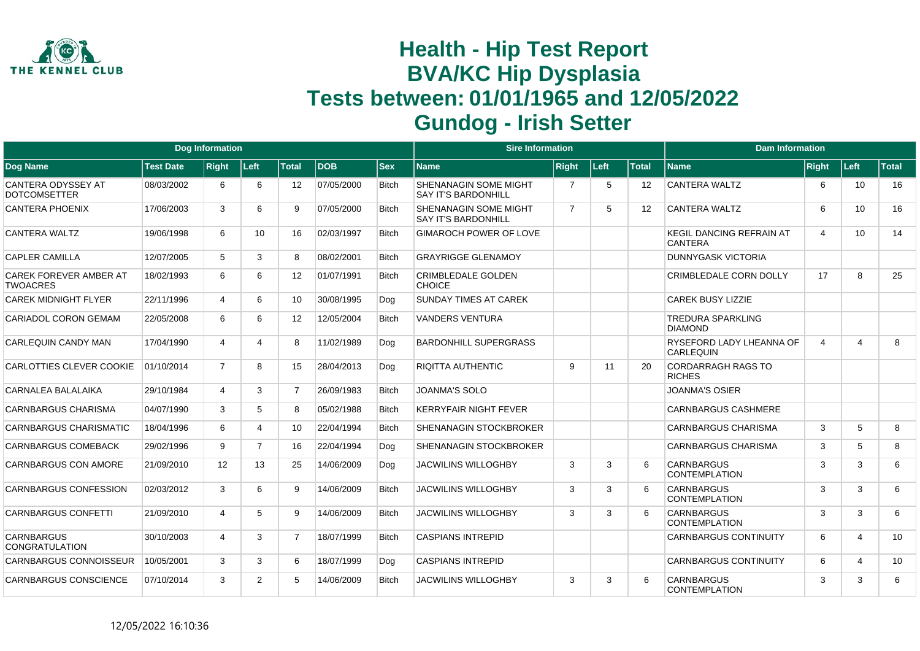

|                                                  |                  | <b>Dog Information</b> |                |                   |             |              | <b>Sire Information</b>                                    |                |      |                   | <b>Dam Information</b>                            |                |                       |              |
|--------------------------------------------------|------------------|------------------------|----------------|-------------------|-------------|--------------|------------------------------------------------------------|----------------|------|-------------------|---------------------------------------------------|----------------|-----------------------|--------------|
| Dog Name                                         | <b>Test Date</b> | <b>Right</b>           | Left           | <b>Total</b>      | <b>IDOB</b> | <b>Sex</b>   | <b>Name</b>                                                | <b>Right</b>   | Left | <b>Total</b>      | <b>Name</b>                                       | Right          | Left                  | <b>Total</b> |
| <b>CANTERA ODYSSEY AT</b><br><b>DOTCOMSETTER</b> | 08/03/2002       | 6                      | 6              | 12                | 07/05/2000  | <b>Bitch</b> | SHENANAGIN SOME MIGHT<br><b>SAY IT'S BARDONHILL</b>        | 7              | 5    | $12 \overline{ }$ | <b>CANTERA WALTZ</b>                              | 6              | 10                    | 16           |
| <b>CANTERA PHOENIX</b>                           | 17/06/2003       | 3                      | 6              | 9                 | 07/05/2000  | <b>Bitch</b> | <b>SHENANAGIN SOME MIGHT</b><br><b>SAY IT'S BARDONHILL</b> | $\overline{7}$ | 5    | $12 \overline{ }$ | <b>CANTERA WALTZ</b>                              | 6              | 10                    | 16           |
| CANTERA WALTZ                                    | 19/06/1998       | 6                      | 10             | 16                | 02/03/1997  | <b>Bitch</b> | <b>GIMAROCH POWER OF LOVE</b>                              |                |      |                   | <b>KEGIL DANCING REFRAIN AT</b><br><b>CANTERA</b> | $\overline{4}$ | 10                    | 14           |
| <b>CAPLER CAMILLA</b>                            | 12/07/2005       | 5                      | 3              | 8                 | 08/02/2001  | <b>Bitch</b> | <b>GRAYRIGGE GLENAMOY</b>                                  |                |      |                   | <b>DUNNYGASK VICTORIA</b>                         |                |                       |              |
| <b>CAREK FOREVER AMBER AT</b><br><b>TWOACRES</b> | 18/02/1993       | 6                      | 6              | $12 \overline{ }$ | 01/07/1991  | <b>Bitch</b> | <b>CRIMBLEDALE GOLDEN</b><br>CHOICE                        |                |      |                   | CRIMBLEDALE CORN DOLLY                            | 17             | 8                     | 25           |
| <b>CAREK MIDNIGHT FLYER</b>                      | 22/11/1996       | $\overline{4}$         | 6              | 10                | 30/08/1995  | Dog          | <b>SUNDAY TIMES AT CAREK</b>                               |                |      |                   | <b>CAREK BUSY LIZZIE</b>                          |                |                       |              |
| <b>CARIADOL CORON GEMAM</b>                      | 22/05/2008       | 6                      | 6              | $12 \overline{ }$ | 12/05/2004  | <b>Bitch</b> | <b>VANDERS VENTURA</b>                                     |                |      |                   | <b>TREDURA SPARKLING</b><br><b>DIAMOND</b>        |                |                       |              |
| CARLEQUIN CANDY MAN                              | 17/04/1990       | $\overline{4}$         |                | 8                 | 11/02/1989  | Dog          | <b>BARDONHILL SUPERGRASS</b>                               |                |      |                   | RYSEFORD LADY LHEANNA OF<br><b>CARLEQUIN</b>      | $\overline{4}$ | $\overline{A}$        | 8            |
| CARLOTTIES CLEVER COOKIE                         | 01/10/2014       | $\overline{7}$         | 8              | 15                | 28/04/2013  | Dog          | <b>RIQITTA AUTHENTIC</b>                                   | 9              | 11   | 20                | <b>CORDARRAGH RAGS TO</b><br><b>RICHES</b>        |                |                       |              |
| CARNALEA BALALAIKA                               | 29/10/1984       | 4                      | 3              | $\overline{7}$    | 26/09/1983  | <b>Bitch</b> | <b>JOANMA'S SOLO</b>                                       |                |      |                   | <b>JOANMA'S OSIER</b>                             |                |                       |              |
| <b>CARNBARGUS CHARISMA</b>                       | 04/07/1990       | 3                      | 5              | 8                 | 05/02/1988  | <b>Bitch</b> | <b>KERRYFAIR NIGHT FEVER</b>                               |                |      |                   | <b>CARNBARGUS CASHMERE</b>                        |                |                       |              |
| <b>CARNBARGUS CHARISMATIC</b>                    | 18/04/1996       | 6                      | Δ              | 10                | 22/04/1994  | <b>Bitch</b> | <b>SHENANAGIN STOCKBROKER</b>                              |                |      |                   | <b>CARNBARGUS CHARISMA</b>                        | 3              | 5                     | 8            |
| <b>CARNBARGUS COMEBACK</b>                       | 29/02/1996       | 9                      | $\overline{7}$ | 16                | 22/04/1994  | Dog          | SHENANAGIN STOCKBROKER                                     |                |      |                   | CARNBARGUS CHARISMA                               | 3              | 5                     | 8            |
| <b>CARNBARGUS CON AMORE</b>                      | 21/09/2010       | 12                     | 13             | 25                | 14/06/2009  | Dog          | <b>JACWILINS WILLOGHBY</b>                                 | 3              | 3    | 6                 | <b>CARNBARGUS</b><br><b>CONTEMPLATION</b>         | 3              | 3                     | 6            |
| CARNBARGUS CONFESSION                            | 02/03/2012       | 3                      | 6              | 9                 | 14/06/2009  | <b>Bitch</b> | <b>JACWILINS WILLOGHBY</b>                                 | 3              | 3    | 6                 | <b>CARNBARGUS</b><br><b>CONTEMPLATION</b>         | 3              | 3                     | 6            |
| <b>CARNBARGUS CONFETTI</b>                       | 21/09/2010       | $\overline{4}$         | 5              | 9                 | 14/06/2009  | <b>Bitch</b> | <b>JACWILINS WILLOGHBY</b>                                 | 3              | 3    | 6                 | <b>CARNBARGUS</b><br><b>CONTEMPLATION</b>         | 3              | 3                     | 6            |
| <b>CARNBARGUS</b><br><b>CONGRATULATION</b>       | 30/10/2003       | $\overline{4}$         | 3              | $\overline{7}$    | 18/07/1999  | <b>Bitch</b> | <b>CASPIANS INTREPID</b>                                   |                |      |                   | <b>CARNBARGUS CONTINUITY</b>                      | 6              | $\boldsymbol{\Delta}$ | 10           |
| <b>CARNBARGUS CONNOISSEUR</b>                    | 10/05/2001       | 3                      | 3              | 6                 | 18/07/1999  | Dog          | <b>CASPIANS INTREPID</b>                                   |                |      |                   | <b>CARNBARGUS CONTINUITY</b>                      | 6              | $\overline{a}$        | 10           |
| <b>CARNBARGUS CONSCIENCE</b>                     | 07/10/2014       | 3                      | $\overline{2}$ | 5                 | 14/06/2009  | <b>Bitch</b> | <b>JACWILINS WILLOGHBY</b>                                 | 3              | 3    | 6                 | <b>CARNBARGUS</b><br>CONTEMPLATION                | 3              | 3                     | 6            |
|                                                  |                  |                        |                |                   |             |              |                                                            |                |      |                   |                                                   |                |                       |              |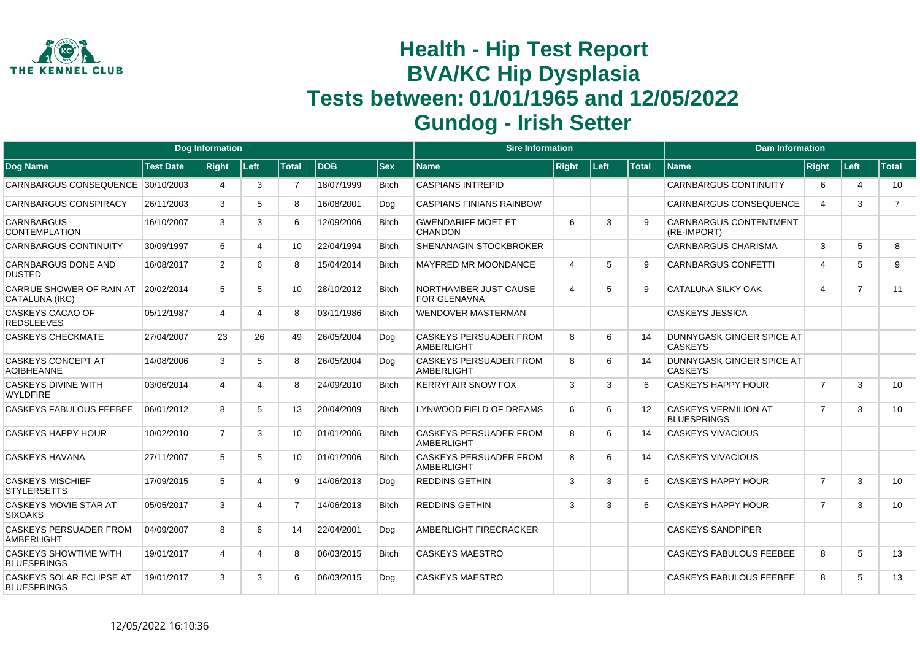

|                                                    |                  | <b>Dog Information</b> |      |                 |            |              | <b>Sire Information</b>                            |                |      |                   | <b>Dam Information</b>                            |                         |                |                |
|----------------------------------------------------|------------------|------------------------|------|-----------------|------------|--------------|----------------------------------------------------|----------------|------|-------------------|---------------------------------------------------|-------------------------|----------------|----------------|
| <b>Dog Name</b>                                    | <b>Test Date</b> | <b>Right</b>           | Left | <b>Total</b>    | <b>DOB</b> | <b>Sex</b>   | <b>Name</b>                                        | <b>Right</b>   | Left | <b>Total</b>      | <b>Name</b>                                       | <b>Right</b>            | Left           | <b>Total</b>   |
| CARNBARGUS CONSEQUENCE                             | 30/10/2003       | 4                      | 3    | $\overline{7}$  | 18/07/1999 | <b>Bitch</b> | <b>CASPIANS INTREPID</b>                           |                |      |                   | CARNBARGUS CONTINUITY                             | 6                       | 4              | 10             |
| <b>CARNBARGUS CONSPIRACY</b>                       | 26/11/2003       | 3                      | 5    | 8               | 16/08/2001 | Dog          | <b>CASPIANS FINIANS RAINBOW</b>                    |                |      |                   | <b>CARNBARGUS CONSEQUENCE</b>                     | $\overline{\mathbf{4}}$ | 3              | $\overline{7}$ |
| <b>CARNBARGUS</b><br><b>CONTEMPLATION</b>          | 16/10/2007       | 3                      | 3    | 6               | 12/09/2006 | <b>Bitch</b> | <b>GWENDARIFF MOET ET</b><br><b>CHANDON</b>        | 6              | 3    | q                 | <b>CARNBARGUS CONTENTMENT</b><br>(RE-IMPORT)      |                         |                |                |
| <b>CARNBARGUS CONTINUITY</b>                       | 30/09/1997       | 6                      | 4    | 10 <sup>°</sup> | 22/04/1994 | <b>Bitch</b> | <b>SHENANAGIN STOCKBROKER</b>                      |                |      |                   | <b>CARNBARGUS CHARISMA</b>                        | 3                       | 5              | 8              |
| CARNBARGUS DONE AND<br><b>DUSTED</b>               | 16/08/2017       | $\overline{2}$         | 6    | 8               | 15/04/2014 | <b>Bitch</b> | <b>MAYFRED MR MOONDANCE</b>                        | $\overline{4}$ | 5    | 9                 | <b>CARNBARGUS CONFETTI</b>                        | $\overline{\mathbf{4}}$ | 5              | 9              |
| CARRUE SHOWER OF RAIN AT<br>CATALUNA (IKC)         | 20/02/2014       | 5                      | 5    | 10              | 28/10/2012 | <b>Bitch</b> | NORTHAMBER JUST CAUSE<br><b>FOR GLENAVNA</b>       | $\overline{4}$ | 5    | 9                 | CATALUNA SILKY OAK                                | $\overline{\mathbf{4}}$ | $\overline{7}$ | 11             |
| CASKEYS CACAO OF<br><b>REDSLEEVES</b>              | 05/12/1987       | 4                      | 4    | 8               | 03/11/1986 | <b>Bitch</b> | <b>WENDOVER MASTERMAN</b>                          |                |      |                   | <b>CASKEYS JESSICA</b>                            |                         |                |                |
| <b>CASKEYS CHECKMATE</b>                           | 27/04/2007       | 23                     | 26   | 49              | 26/05/2004 | Dog          | <b>CASKEYS PERSUADER FROM</b><br><b>AMBERLIGHT</b> | 8              | 6    | 14                | DUNNYGASK GINGER SPICE AT<br><b>CASKEYS</b>       |                         |                |                |
| CASKEYS CONCEPT AT<br><b>AOIBHEANNE</b>            | 14/08/2006       | 3                      | 5    | 8               | 26/05/2004 | Dog          | <b>CASKEYS PERSUADER FROM</b><br><b>AMBERLIGHT</b> | 8              | 6    | 14                | DUNNYGASK GINGER SPICE AT<br><b>CASKEYS</b>       |                         |                |                |
| <b>CASKEYS DIVINE WITH</b><br><b>WYLDFIRE</b>      | 03/06/2014       | 4                      | 4    | 8               | 24/09/2010 | <b>Bitch</b> | <b>KERRYFAIR SNOW FOX</b>                          | 3              | 3    | 6                 | <b>CASKEYS HAPPY HOUR</b>                         | $\overline{7}$          | 3              | 10             |
| <b>CASKEYS FABULOUS FEEBEE</b>                     | 06/01/2012       | 8                      | 5    | 13              | 20/04/2009 | <b>Bitch</b> | LYNWOOD FIELD OF DREAMS                            | 6              | 6    | $12 \overline{ }$ | <b>CASKEYS VERMILION AT</b><br><b>BLUESPRINGS</b> | $\overline{7}$          | 3              | 10             |
| <b>CASKEYS HAPPY HOUR</b>                          | 10/02/2010       | $\overline{7}$         | 3    | 10              | 01/01/2006 | <b>Bitch</b> | <b>CASKEYS PERSUADER FROM</b><br><b>AMBERLIGHT</b> | 8              | 6    | 14                | <b>CASKEYS VIVACIOUS</b>                          |                         |                |                |
| <b>CASKEYS HAVANA</b>                              | 27/11/2007       | 5                      | 5    | 10              | 01/01/2006 | <b>Bitch</b> | <b>CASKEYS PERSUADER FROM</b><br><b>AMBERLIGHT</b> | 8              | 6    | 14                | <b>CASKEYS VIVACIOUS</b>                          |                         |                |                |
| <b>CASKEYS MISCHIEF</b><br><b>STYLERSETTS</b>      | 17/09/2015       | 5                      | 4    | 9               | 14/06/2013 | Dog          | <b>REDDINS GETHIN</b>                              | 3              | 3    | 6                 | <b>CASKEYS HAPPY HOUR</b>                         | $\overline{7}$          | 3              | 10             |
| CASKEYS MOVIE STAR AT<br><b>SIXOAKS</b>            | 05/05/2017       | 3                      | 4    | $\overline{7}$  | 14/06/2013 | <b>Bitch</b> | <b>REDDINS GETHIN</b>                              | 3              | 3    | 6                 | <b>CASKEYS HAPPY HOUR</b>                         | $\overline{7}$          | 3              | 10             |
| <b>CASKEYS PERSUADER FROM</b><br><b>AMBERLIGHT</b> | 04/09/2007       | 8                      | 6    | 14              | 22/04/2001 | Dog          | AMBERLIGHT FIRECRACKER                             |                |      |                   | <b>CASKEYS SANDPIPER</b>                          |                         |                |                |
| <b>CASKEYS SHOWTIME WITH</b><br><b>BLUESPRINGS</b> | 19/01/2017       | 4                      | 4    | 8               | 06/03/2015 | <b>Bitch</b> | <b>CASKEYS MAESTRO</b>                             |                |      |                   | <b>CASKEYS FABULOUS FEEBEE</b>                    | 8                       | 5              | 13             |
| CASKEYS SOLAR ECLIPSE AT<br><b>BLUESPRINGS</b>     | 19/01/2017       | 3                      | 3    | 6               | 06/03/2015 | Dog          | <b>CASKEYS MAESTRO</b>                             |                |      |                   | CASKEYS FABULOUS FEEBEE                           | 8                       | 5              | 13             |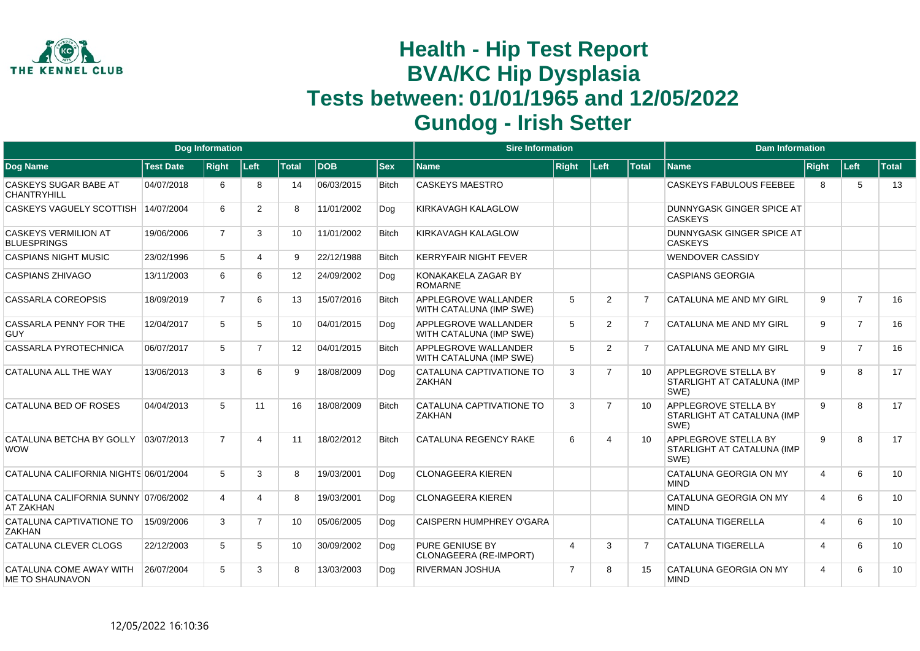

|                                                          | <b>Dog Information</b><br><b>Test Date</b><br><b>Right</b><br>Left<br><b>Total</b><br>DOB<br>04/07/2018<br>8<br>14<br>6 |                |                |    | <b>Sire Information</b> |              |                                                        |                | <b>Dam Information</b> |                 |                                                                   |                         |                |              |
|----------------------------------------------------------|-------------------------------------------------------------------------------------------------------------------------|----------------|----------------|----|-------------------------|--------------|--------------------------------------------------------|----------------|------------------------|-----------------|-------------------------------------------------------------------|-------------------------|----------------|--------------|
| Dog Name                                                 |                                                                                                                         |                |                |    |                         | <b>Sex</b>   | Name                                                   | <b>Right</b>   | Left                   | <b>Total</b>    | <b>Name</b>                                                       | Right                   | Left           | <b>Total</b> |
| CASKEYS SUGAR BABE AT<br>CHANTRYHILL                     |                                                                                                                         |                |                |    | 06/03/2015              | <b>Bitch</b> | <b>CASKEYS MAESTRO</b>                                 |                |                        |                 | <b>CASKEYS FABULOUS FEEBEE</b>                                    | 8                       | 5              | 13           |
| CASKEYS VAGUELY SCOTTISH 14/07/2004                      |                                                                                                                         | 6              | $\overline{2}$ | 8  | 11/01/2002              | Dog          | KIRKAVAGH KALAGLOW                                     |                |                        |                 | DUNNYGASK GINGER SPICE AT<br><b>CASKEYS</b>                       |                         |                |              |
| <b>CASKEYS VERMILION AT</b><br><b>BLUESPRINGS</b>        | 19/06/2006                                                                                                              | $\overline{7}$ | 3              | 10 | 11/01/2002              | <b>Bitch</b> | <b>KIRKAVAGH KALAGLOW</b>                              |                |                        |                 | DUNNYGASK GINGER SPICE AT<br><b>CASKEYS</b>                       |                         |                |              |
| <b>CASPIANS NIGHT MUSIC</b>                              | 23/02/1996                                                                                                              | 5              | Δ              | 9  | 22/12/1988              | <b>Bitch</b> | <b>KERRYFAIR NIGHT FEVER</b>                           |                |                        |                 | <b>WENDOVER CASSIDY</b>                                           |                         |                |              |
| <b>CASPIANS ZHIVAGO</b>                                  | 13/11/2003                                                                                                              | 6              | 6              | 12 | 24/09/2002              | Dog          | KONAKAKELA ZAGAR BY<br><b>ROMARNE</b>                  |                |                        |                 | <b>CASPIANS GEORGIA</b>                                           |                         |                |              |
| <b>CASSARLA COREOPSIS</b>                                | 18/09/2019                                                                                                              | $\overline{7}$ | 6              | 13 | 15/07/2016              | <b>Bitch</b> | <b>APPLEGROVE WALLANDER</b><br>WITH CATALUNA (IMP SWE) | 5              | 2                      | 7               | CATALUNA ME AND MY GIRL                                           | 9                       | $\overline{7}$ | 16           |
| CASSARLA PENNY FOR THE<br><b>GUY</b>                     | 12/04/2017                                                                                                              | 5              | 5              | 10 | 04/01/2015              | Dog          | APPLEGROVE WALLANDER<br>WITH CATALUNA (IMP SWE)        | 5              | 2                      |                 | CATALUNA ME AND MY GIRL                                           | 9                       | $\overline{7}$ | 16           |
| CASSARLA PYROTECHNICA                                    | 06/07/2017                                                                                                              | 5              | $\overline{7}$ | 12 | 04/01/2015              | <b>Bitch</b> | APPLEGROVE WALLANDER<br>WITH CATALUNA (IMP SWE)        | 5              | $\overline{2}$         |                 | CATALUNA ME AND MY GIRL                                           | 9                       | $\overline{7}$ | 16           |
| CATALUNA ALL THE WAY                                     | 13/06/2013                                                                                                              | 3              | 6              | 9  | 18/08/2009              | Dog          | CATALUNA CAPTIVATIONE TO<br><b>ZAKHAN</b>              | 3              | $\overline{7}$         | 10 <sup>1</sup> | APPLEGROVE STELLA BY<br>STARLIGHT AT CATALUNA (IMP<br>SWE)        | 9                       | 8              | 17           |
| CATALUNA BED OF ROSES                                    | 04/04/2013                                                                                                              | 5              | 11             | 16 | 18/08/2009              | <b>Bitch</b> | CATALUNA CAPTIVATIONE TO<br><b>ZAKHAN</b>              | 3              | $\overline{7}$         | 10              | APPLEGROVE STELLA BY<br>STARLIGHT AT CATALUNA (IMP<br>SWE)        | 9                       | 8              | 17           |
| CATALUNA BETCHA BY GOLLY<br><b>WOW</b>                   | 03/07/2013                                                                                                              | $\overline{7}$ | 4              | 11 | 18/02/2012              | <b>Bitch</b> | <b>CATALUNA REGENCY RAKE</b>                           | 6              | 4                      | 10              | <b>APPLEGROVE STELLA BY</b><br>STARLIGHT AT CATALUNA (IMP<br>SWE) | 9                       | 8              | 17           |
| CATALUNA CALIFORNIA NIGHTS 06/01/2004                    |                                                                                                                         | 5              | 3              | 8  | 19/03/2001              | Dog          | <b>CLONAGEERA KIEREN</b>                               |                |                        |                 | CATALUNA GEORGIA ON MY<br><b>MIND</b>                             | 4                       | 6              | 10           |
| CATALUNA CALIFORNIA SUNNY 07/06/2002<br><b>AT ZAKHAN</b> |                                                                                                                         | 4              | 4              | 8  | 19/03/2001              | Dog          | <b>CLONAGEERA KIEREN</b>                               |                |                        |                 | CATALUNA GEORGIA ON MY<br><b>MIND</b>                             | $\boldsymbol{\Delta}$   | 6              | 10           |
| CATALUNA CAPTIVATIONE TO<br><b>ZAKHAN</b>                | 15/09/2006                                                                                                              | 3              | $\overline{7}$ | 10 | 05/06/2005              | Dog          | <b>CAISPERN HUMPHREY O'GARA</b>                        |                |                        |                 | <b>CATALUNA TIGERELLA</b>                                         | $\overline{4}$          | 6              | 10           |
| CATALUNA CLEVER CLOGS                                    | 22/12/2003                                                                                                              | 5              | 5              | 10 | 30/09/2002              | Dog          | <b>PURE GENIUSE BY</b><br>CLONAGEERA (RE-IMPORT)       | $\overline{4}$ | 3                      | $\overline{7}$  | <b>CATALUNA TIGERELLA</b>                                         | $\overline{\mathbf{4}}$ | 6              | 10           |
| CATALUNA COME AWAY WITH<br><b>ME TO SHAUNAVON</b>        | 26/07/2004                                                                                                              | 5              | 3              | 8  | 13/03/2003              | Dog          | <b>RIVERMAN JOSHUA</b>                                 | $\overline{7}$ | 8                      | 15              | CATALUNA GEORGIA ON MY<br><b>MIND</b>                             | $\overline{\mathbf{4}}$ | 6              | 10           |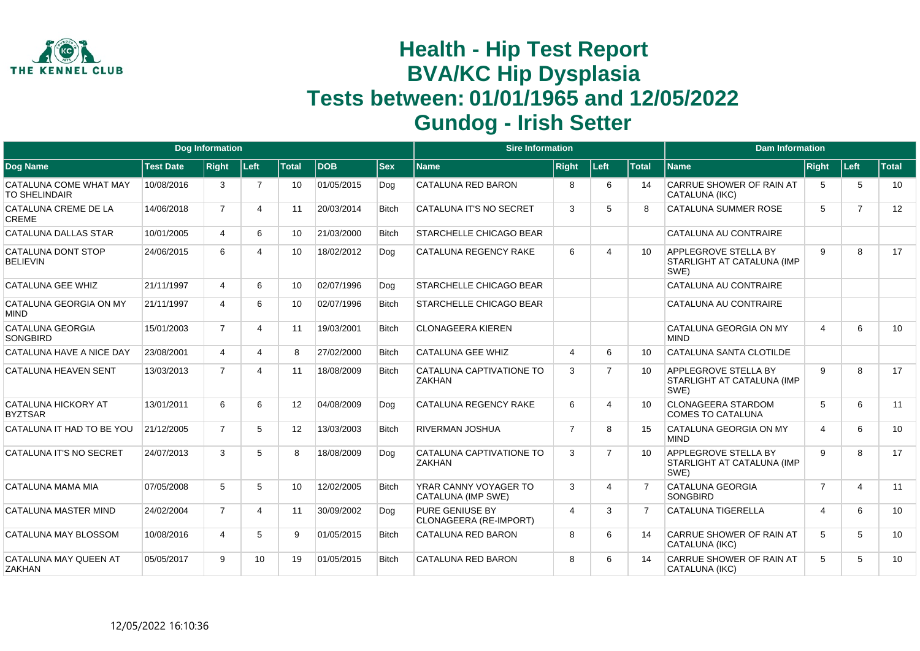

|                                                |                  | <b>Dog Information</b> |                 |                   |            |              | <b>Sire Information</b>                     |                |                |              | <b>Dam Information</b>                                            |                |                |       |
|------------------------------------------------|------------------|------------------------|-----------------|-------------------|------------|--------------|---------------------------------------------|----------------|----------------|--------------|-------------------------------------------------------------------|----------------|----------------|-------|
| <b>Dog Name</b>                                | <b>Test Date</b> | <b>Right</b>           | Left            | <b>Total</b>      | <b>DOB</b> | <b>Sex</b>   | <b>Name</b>                                 | <b>Right</b>   | Left           | <b>Total</b> | <b>Name</b>                                                       | <b>Right</b>   | Left           | Total |
| CATALUNA COME WHAT MAY<br><b>TO SHELINDAIR</b> | 10/08/2016       | 3                      | $\overline{7}$  | 10                | 01/05/2015 | Dog          | <b>CATALUNA RED BARON</b>                   | 8              | 6              | 14           | <b>CARRUE SHOWER OF RAIN AT</b><br>CATALUNA (IKC)                 | 5              | 5              | 10    |
| CATALUNA CREME DE LA<br><b>CREME</b>           | 14/06/2018       | $\overline{7}$         | 4               | 11                | 20/03/2014 | <b>Bitch</b> | <b>CATALUNA IT'S NO SECRET</b>              | 3              | 5              | 8            | <b>CATALUNA SUMMER ROSE</b>                                       | 5              | $\overline{7}$ | 12    |
| CATALUNA DALLAS STAR                           | 10/01/2005       | $\overline{4}$         | 6               | 10 <sup>1</sup>   | 21/03/2000 | <b>Bitch</b> | <b>STARCHELLE CHICAGO BEAR</b>              |                |                |              | CATALUNA AU CONTRAIRE                                             |                |                |       |
| CATALUNA DONT STOP<br><b>BELIEVIN</b>          | 24/06/2015       | 6                      | 4               | 10                | 18/02/2012 | Dog          | <b>CATALUNA REGENCY RAKE</b>                | 6              | 4              | 10           | <b>APPLEGROVE STELLA BY</b><br>STARLIGHT AT CATALUNA (IMP<br>SWE) | 9              | 8              | 17    |
| <b>CATALUNA GEE WHIZ</b>                       | 21/11/1997       | $\overline{4}$         | 6               | 10 <sup>1</sup>   | 02/07/1996 | Dog          | <b>STARCHELLE CHICAGO BEAR</b>              |                |                |              | CATALUNA AU CONTRAIRE                                             |                |                |       |
| CATALUNA GEORGIA ON MY<br><b>MIND</b>          | 21/11/1997       | 4                      | 6               | 10                | 02/07/1996 | <b>Bitch</b> | <b>STARCHELLE CHICAGO BEAR</b>              |                |                |              | CATALUNA AU CONTRAIRE                                             |                |                |       |
| <b>CATALUNA GEORGIA</b><br><b>SONGBIRD</b>     | 15/01/2003       | $\overline{7}$         | 4               | 11                | 19/03/2001 | <b>Bitch</b> | <b>CLONAGEERA KIEREN</b>                    |                |                |              | CATALUNA GEORGIA ON MY<br><b>MIND</b>                             | $\overline{4}$ | 6              | 10    |
| CATALUNA HAVE A NICE DAY                       | 23/08/2001       | $\overline{4}$         | 4               | 8                 | 27/02/2000 | <b>Bitch</b> | <b>CATALUNA GEE WHIZ</b>                    | 4              | 6              | 10           | CATALUNA SANTA CLOTILDE                                           |                |                |       |
| <b>CATALUNA HEAVEN SENT</b>                    | 13/03/2013       | $\overline{7}$         | 4               | 11                | 18/08/2009 | <b>Bitch</b> | CATALUNA CAPTIVATIONE TO<br><b>ZAKHAN</b>   | 3              | $\overline{7}$ | 10           | <b>APPLEGROVE STELLA BY</b><br>STARLIGHT AT CATALUNA (IMP<br>SWE) | 9              | 8              | 17    |
| <b>CATALUNA HICKORY AT</b><br><b>BYZTSAR</b>   | 13/01/2011       | 6                      | 6               | $12 \overline{ }$ | 04/08/2009 | Dog          | <b>CATALUNA REGENCY RAKE</b>                | 6              | 4              | 10           | <b>CLONAGEERA STARDOM</b><br><b>COMES TO CATALUNA</b>             | 5              | 6              | 11    |
| CATALUNA IT HAD TO BE YOU                      | 21/12/2005       | $\overline{7}$         | 5               | 12                | 13/03/2003 | Bitch        | <b>RIVERMAN JOSHUA</b>                      | $\overline{7}$ | 8              | 15           | CATALUNA GEORGIA ON MY<br><b>MIND</b>                             | $\overline{4}$ | 6              | 10    |
| CATALUNA IT'S NO SECRET                        | 24/07/2013       | 3                      | 5               | 8                 | 18/08/2009 | Dog          | CATALUNA CAPTIVATIONE TO<br><b>ZAKHAN</b>   | 3              | $\overline{7}$ | 10           | APPLEGROVE STELLA BY<br>STARLIGHT AT CATALUNA (IMP<br>SWE)        | 9              | 8              | 17    |
| CATALUNA MAMA MIA                              | 07/05/2008       | 5                      | 5               | 10                | 12/02/2005 | <b>Bitch</b> | YRAR CANNY VOYAGER TO<br>CATALUNA (IMP SWE) | 3              | 4              |              | <b>CATALUNA GEORGIA</b><br><b>SONGBIRD</b>                        | $\overline{7}$ | 4              | 11    |
| CATALUNA MASTER MIND                           | 24/02/2004       | $\overline{7}$         | 4               | 11                | 30/09/2002 | Dog          | PURE GENIUSE BY<br>CLONAGEERA (RE-IMPORT)   | $\overline{4}$ | 3              |              | <b>CATALUNA TIGERELLA</b>                                         | $\overline{4}$ | 6              | 10    |
| CATALUNA MAY BLOSSOM                           | 10/08/2016       | 4                      | 5               | 9                 | 01/05/2015 | <b>Bitch</b> | <b>CATALUNA RED BARON</b>                   | 8              | 6              | 14           | CARRUE SHOWER OF RAIN AT<br>CATALUNA (IKC)                        | 5              | 5              | 10    |
| CATALUNA MAY QUEEN AT<br><b>ZAKHAN</b>         | 05/05/2017       | 9                      | 10 <sup>1</sup> | 19                | 01/05/2015 | <b>Bitch</b> | CATALUNA RED BARON                          | 8              | 6              | 14           | <b>CARRUE SHOWER OF RAIN AT</b><br>CATALUNA (IKC)                 | 5              | 5              | 10    |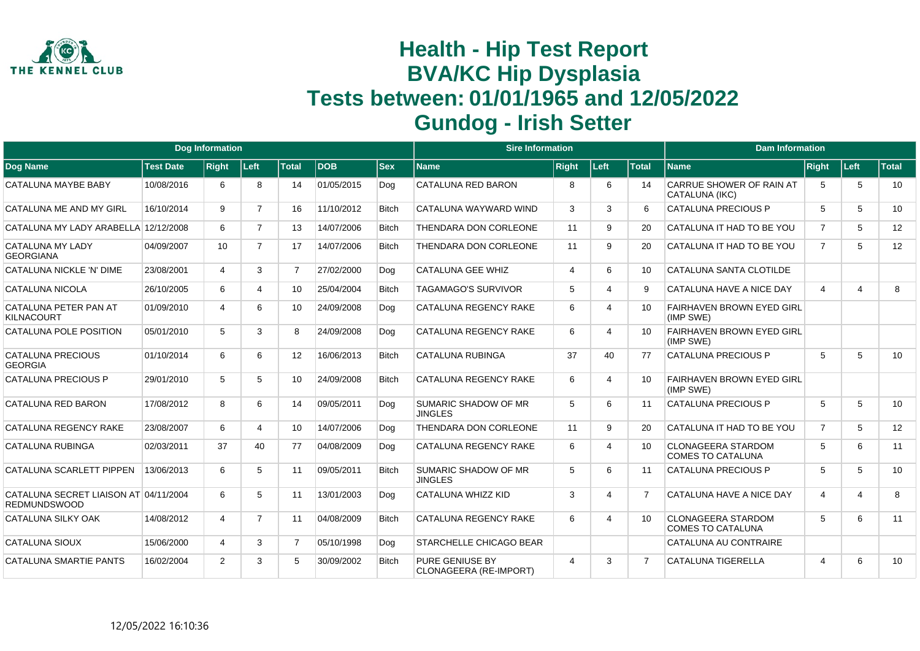

|                                                              |                  | <b>Dog Information</b> |                |                |            |              | <b>Sire Information</b>                          |              |                        |                 | <b>Dam Information</b>                                |                |                         |              |
|--------------------------------------------------------------|------------------|------------------------|----------------|----------------|------------|--------------|--------------------------------------------------|--------------|------------------------|-----------------|-------------------------------------------------------|----------------|-------------------------|--------------|
| <b>Dog Name</b>                                              | <b>Test Date</b> | <b>Right</b>           | Left           | <b>Total</b>   | <b>DOB</b> | <b>Sex</b>   | <b>Name</b>                                      | <b>Right</b> | Left                   | <b>Total</b>    | <b>Name</b>                                           | <b>Right</b>   | <b>Left</b>             | <b>Total</b> |
| CATALUNA MAYBE BABY                                          | 10/08/2016       | 6                      | 8              | 14             | 01/05/2015 | Dog          | CATALUNA RED BARON                               | 8            | 6                      | 14              | <b>CARRUE SHOWER OF RAIN AT</b><br>CATALUNA (IKC)     | 5              | 5                       | 10           |
| CATALUNA ME AND MY GIRL                                      | 16/10/2014       | 9                      | $\overline{7}$ | 16             | 11/10/2012 | <b>Bitch</b> | CATALUNA WAYWARD WIND                            | 3            | 3                      | 6               | <b>CATALUNA PRECIOUS P</b>                            | 5              | 5                       | 10           |
| CATALUNA MY LADY ARABELLA 12/12/2008                         |                  | 6                      | $\overline{7}$ | 13             | 14/07/2006 | <b>Bitch</b> | THENDARA DON CORLEONE                            | 11           | 9                      | 20              | CATALUNA IT HAD TO BE YOU                             | $\overline{7}$ | 5                       | 12           |
| <b>CATALUNA MY LADY</b><br><b>GEORGIANA</b>                  | 04/09/2007       | 10                     | $\overline{7}$ | 17             | 14/07/2006 | Bitch        | THENDARA DON CORLEONE                            | 11           | 9                      | 20              | CATALUNA IT HAD TO BE YOU                             | $\overline{7}$ | 5                       | 12           |
| CATALUNA NICKLE 'N' DIME                                     | 23/08/2001       | 4                      | 3              | $\overline{7}$ | 27/02/2000 | Dog          | <b>CATALUNA GEE WHIZ</b>                         | 4            | 6                      | 10              | CATALUNA SANTA CLOTILDE                               |                |                         |              |
| CATALUNA NICOLA                                              | 26/10/2005       | 6                      | 4              | 10             | 25/04/2004 | Bitch        | <b>TAGAMAGO'S SURVIVOR</b>                       | 5            | $\boldsymbol{\Lambda}$ | 9               | CATALUNA HAVE A NICE DAY                              | 4              | $\boldsymbol{\Delta}$   | 8            |
| CATALUNA PETER PAN AT<br><b>KILNACOURT</b>                   | 01/09/2010       | 4                      | 6              | 10             | 24/09/2008 | Dog          | <b>CATALUNA REGENCY RAKE</b>                     | 6            |                        | 10              | <b>FAIRHAVEN BROWN EYED GIRL</b><br>(IMP SWE)         |                |                         |              |
| CATALUNA POLE POSITION                                       | 05/01/2010       | 5                      | 3              | 8              | 24/09/2008 | Dog          | <b>CATALUNA REGENCY RAKE</b>                     | 6            | 4                      | 10              | <b>FAIRHAVEN BROWN EYED GIRL</b><br>(IMP SWE)         |                |                         |              |
| <b>CATALUNA PRECIOUS</b><br><b>GEORGIA</b>                   | 01/10/2014       | 6                      | 6              | 12             | 16/06/2013 | <b>Bitch</b> | <b>CATALUNA RUBINGA</b>                          | 37           | 40                     | 77              | <b>CATALUNA PRECIOUS P</b>                            | 5              | 5                       | 10           |
| <b>CATALUNA PRECIOUS P</b>                                   | 29/01/2010       | 5                      | 5              | 10             | 24/09/2008 | <b>Bitch</b> | <b>CATALUNA REGENCY RAKE</b>                     | 6            | 4                      | 10              | <b>FAIRHAVEN BROWN EYED GIRL</b><br>(IMP SWE)         |                |                         |              |
| CATALUNA RED BARON                                           | 17/08/2012       | 8                      | 6              | 14             | 09/05/2011 | Dog          | SUMARIC SHADOW OF MR<br><b>JINGLES</b>           | 5            | 6                      | 11              | <b>CATALUNA PRECIOUS P</b>                            | 5              | 5                       | 10           |
| CATALUNA REGENCY RAKE                                        | 23/08/2007       | 6                      | 4              | 10             | 14/07/2006 | Dog          | THENDARA DON CORLEONE                            | 11           | 9                      | 20              | CATALUNA IT HAD TO BE YOU                             | $\overline{7}$ | 5                       | 12           |
| <b>CATALUNA RUBINGA</b>                                      | 02/03/2011       | 37                     | 40             | 77             | 04/08/2009 | Dog          | CATALUNA REGENCY RAKE                            | 6            | Δ                      | 10              | <b>CLONAGEERA STARDOM</b><br><b>COMES TO CATALUNA</b> | 5              | 6                       | 11           |
| CATALUNA SCARLETT PIPPEN                                     | 13/06/2013       | 6                      | 5              | 11             | 09/05/2011 | <b>Bitch</b> | <b>SUMARIC SHADOW OF MR</b><br><b>JINGLES</b>    | 5            | 6                      | 11              | <b>CATALUNA PRECIOUS P</b>                            | 5              | 5                       | 10           |
| CATALUNA SECRET LIAISON AT 04/11/2004<br><b>REDMUNDSWOOD</b> |                  | 6                      | 5              | 11             | 13/01/2003 | Dog          | CATALUNA WHIZZ KID                               | 3            | 4                      |                 | CATALUNA HAVE A NICE DAY                              | $\overline{4}$ | $\overline{\mathbf{4}}$ | 8            |
| CATALUNA SILKY OAK                                           | 14/08/2012       | 4                      | $\overline{7}$ | 11             | 04/08/2009 | <b>Bitch</b> | <b>CATALUNA REGENCY RAKE</b>                     | 6            | 4                      | 10 <sup>1</sup> | <b>CLONAGEERA STARDOM</b><br><b>COMES TO CATALUNA</b> | 5              | 6                       | 11           |
| <b>CATALUNA SIOUX</b>                                        | 15/06/2000       | 4                      | 3              | $\overline{7}$ | 05/10/1998 | Dog          | <b>STARCHELLE CHICAGO BEAR</b>                   |              |                        |                 | CATALUNA AU CONTRAIRE                                 |                |                         |              |
| <b>CATALUNA SMARTIE PANTS</b>                                | 16/02/2004       | $\overline{2}$         | 3              | 5              | 30/09/2002 | <b>Bitch</b> | <b>PURE GENIUSE BY</b><br>CLONAGEERA (RE-IMPORT) | 4            | 3                      |                 | <b>CATALUNA TIGERELLA</b>                             | 4              | 6                       | 10           |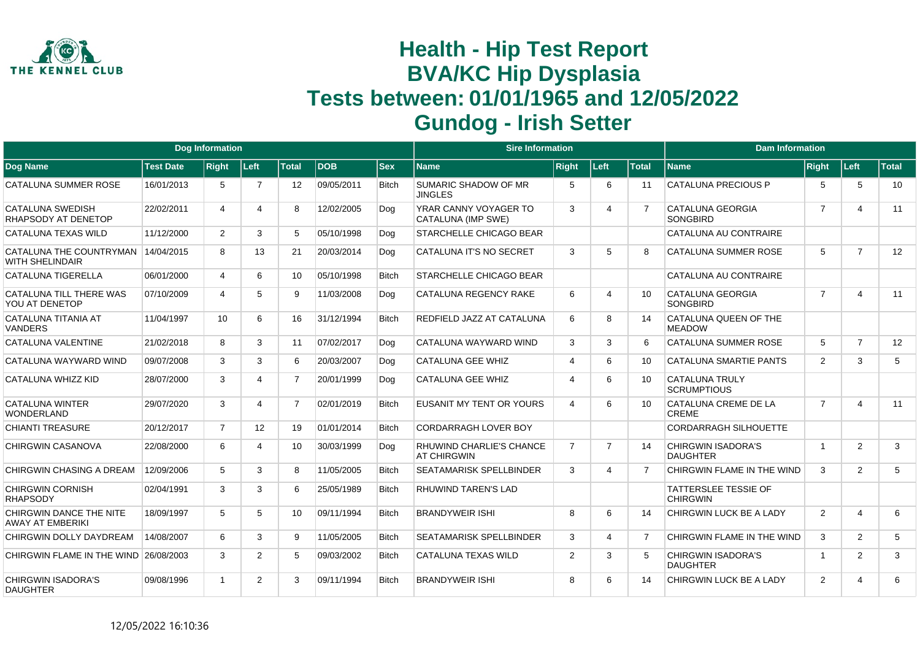

|                                                    |                  | <b>Dog Information</b> |                |                   |            |              | <b>Sire Information</b>                        |                |                |              | <b>Dam Information</b>                         |                |                |              |
|----------------------------------------------------|------------------|------------------------|----------------|-------------------|------------|--------------|------------------------------------------------|----------------|----------------|--------------|------------------------------------------------|----------------|----------------|--------------|
| Dog Name                                           | <b>Test Date</b> | <b>Right</b>           | ∣Left∶         | <b>Total</b>      | <b>DOB</b> | <b>Sex</b>   | <b>Name</b>                                    | <b>Right</b>   | Left           | <b>Total</b> | <b>Name</b>                                    | <b>Right</b>   | Left           | <b>Total</b> |
| CATALUNA SUMMER ROSE                               | 16/01/2013       | 5                      | 7              | $12 \overline{ }$ | 09/05/2011 | <b>Bitch</b> | SUMARIC SHADOW OF MR<br><b>JINGLES</b>         | 5              | 6              | 11           | <b>CATALUNA PRECIOUS P</b>                     | 5              | 5              | 10           |
| CATALUNA SWEDISH<br>RHAPSODY AT DENETOP            | 22/02/2011       | 4                      | 4              | 8                 | 12/02/2005 | Dog          | YRAR CANNY VOYAGER TO<br>CATALUNA (IMP SWE)    | 3              | 4              |              | CATALUNA GEORGIA<br><b>SONGBIRD</b>            | $\overline{7}$ | 4              | 11           |
| CATALUNA TEXAS WILD                                | 11/12/2000       | $\overline{2}$         | 3              | 5                 | 05/10/1998 | Dog          | <b>STARCHELLE CHICAGO BEAR</b>                 |                |                |              | CATALUNA AU CONTRAIRE                          |                |                |              |
| CATALUNA THE COUNTRYMAN<br><b>WITH SHELINDAIR</b>  | 14/04/2015       | 8                      | 13             | 21                | 20/03/2014 | Dog          | CATALUNA IT'S NO SECRET                        | 3              | 5              | R            | <b>CATALUNA SUMMER ROSE</b>                    | 5              | $\overline{7}$ | 12           |
| CATALUNA TIGERELLA                                 | 06/01/2000       | 4                      | 6              | 10                | 05/10/1998 | <b>Bitch</b> | <b>STARCHELLE CHICAGO BEAR</b>                 |                |                |              | CATALUNA AU CONTRAIRE                          |                |                |              |
| CATALUNA TILL THERE WAS<br>YOU AT DENETOP          | 07/10/2009       | 4                      | 5              | 9                 | 11/03/2008 | Dog          | <b>CATALUNA REGENCY RAKE</b>                   | 6              | $\Delta$       | 10           | CATALUNA GEORGIA<br><b>SONGBIRD</b>            | $\overline{7}$ | 4              | 11           |
| CATALUNA TITANIA AT<br><b>VANDERS</b>              | 11/04/1997       | 10                     | 6              | 16                | 31/12/1994 | <b>Bitch</b> | REDFIELD JAZZ AT CATALUNA                      | 6              | 8              | 14           | CATALUNA QUEEN OF THE<br><b>MEADOW</b>         |                |                |              |
| CATALUNA VALENTINE                                 | 21/02/2018       | 8                      | 3              | 11                | 07/02/2017 | Dog          | CATALUNA WAYWARD WIND                          | 3              | 3              | 6            | <b>CATALUNA SUMMER ROSE</b>                    | 5              | $\overline{7}$ | 12           |
| CATALUNA WAYWARD WIND                              | 09/07/2008       | 3                      | 3              | 6                 | 20/03/2007 | Dog          | CATALUNA GEE WHIZ                              | 4              | 6              | 10           | CATALUNA SMARTIE PANTS                         | $\overline{2}$ | 3              | 5            |
| CATALUNA WHIZZ KID                                 | 28/07/2000       | 3                      | 4              | $\overline{7}$    | 20/01/1999 | Dog          | <b>CATALUNA GEE WHIZ</b>                       | 4              | 6              | 10           | <b>CATALUNA TRULY</b><br><b>SCRUMPTIOUS</b>    |                |                |              |
| <b>CATALUNA WINTER</b><br><b>WONDERLAND</b>        | 29/07/2020       | 3                      | 4              | $\overline{7}$    | 02/01/2019 | <b>Bitch</b> | <b>EUSANIT MY TENT OR YOURS</b>                | 4              | 6              | 10           | CATALUNA CREME DE LA<br><b>CREME</b>           | $\overline{7}$ | 4              | 11           |
| CHIANTI TREASURE                                   | 20/12/2017       | $\overline{7}$         | 12             | 19                | 01/01/2014 | <b>Bitch</b> | <b>CORDARRAGH LOVER BOY</b>                    |                |                |              | <b>CORDARRAGH SILHOUETTE</b>                   |                |                |              |
| <b>CHIRGWIN CASANOVA</b>                           | 22/08/2000       | 6                      | 4              | 10 <sup>°</sup>   | 30/03/1999 | Dog          | RHUWIND CHARLIE'S CHANCE<br><b>AT CHIRGWIN</b> | $\overline{7}$ | $\overline{7}$ | 14           | <b>CHIRGWIN ISADORA'S</b><br><b>DAUGHTER</b>   | $\overline{1}$ | $\overline{2}$ | 3            |
| <b>CHIRGWIN CHASING A DREAM</b>                    | 12/09/2006       | 5                      | 3              | 8                 | 11/05/2005 | <b>Bitch</b> | <b>SEATAMARISK SPELLBINDER</b>                 | 3              | Δ              |              | CHIRGWIN FLAME IN THE WIND                     | 3              | $\overline{2}$ | 5            |
| <b>CHIRGWIN CORNISH</b><br><b>RHAPSODY</b>         | 02/04/1991       | 3                      | 3              | 6                 | 25/05/1989 | <b>Bitch</b> | RHUWIND TAREN'S LAD                            |                |                |              | <b>TATTERSLEE TESSIE OF</b><br><b>CHIRGWIN</b> |                |                |              |
| CHIRGWIN DANCE THE NITE<br><b>AWAY AT EMBERIKI</b> | 18/09/1997       | 5                      | 5              | 10 <sup>1</sup>   | 09/11/1994 | <b>Bitch</b> | <b>BRANDYWEIR ISHI</b>                         | 8              | 6              | 14           | CHIRGWIN LUCK BE A LADY                        | $\overline{2}$ | 4              | 6            |
| CHIRGWIN DOLLY DAYDREAM                            | 14/08/2007       | 6                      | 3              | 9                 | 11/05/2005 | <b>Bitch</b> | <b>SEATAMARISK SPELLBINDER</b>                 | 3              | 4              | 7            | CHIRGWIN FLAME IN THE WIND                     | 3              | $\overline{2}$ | 5            |
| CHIRGWIN FLAME IN THE WIND                         | 26/08/2003       | 3                      | $\overline{2}$ | 5                 | 09/03/2002 | <b>Bitch</b> | <b>CATALUNA TEXAS WILD</b>                     | $\overline{2}$ | 3              |              | <b>CHIRGWIN ISADORA'S</b><br><b>DAUGHTER</b>   | $\overline{1}$ | $\overline{2}$ | 3            |
| <b>CHIRGWIN ISADORA'S</b><br><b>DAUGHTER</b>       | 09/08/1996       |                        | 2              | 3                 | 09/11/1994 | <b>Bitch</b> | <b>BRANDYWEIR ISHI</b>                         | 8              | 6              | 14           | <b>CHIRGWIN LUCK BE A LADY</b>                 | 2              | 4              | 6            |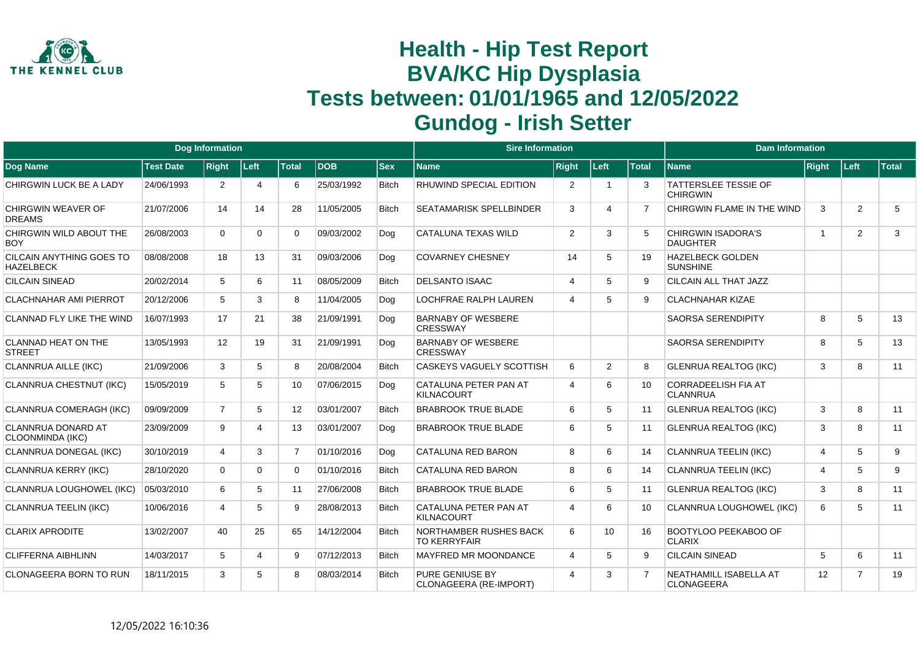

|                                               |                  | <b>Dog Information</b> |          |                 |            |              | <b>Sire Information</b>                       |                         |                |                | <b>Dam Information</b>                         |                |                |       |
|-----------------------------------------------|------------------|------------------------|----------|-----------------|------------|--------------|-----------------------------------------------|-------------------------|----------------|----------------|------------------------------------------------|----------------|----------------|-------|
| <b>Dog Name</b>                               | <b>Test Date</b> | <b>Right</b>           | Left     | <b>Total</b>    | <b>DOB</b> | <b>Sex</b>   | <b>Name</b>                                   | <b>Right</b>            | Left           | <b>Total</b>   | <b>Name</b>                                    | Right          | ∣Left∶         | Total |
| CHIRGWIN LUCK BE A LADY                       | 24/06/1993       | 2                      | 4        | 6               | 25/03/1992 | <b>Bitch</b> | RHUWIND SPECIAL EDITION                       | 2                       | - 1            | 3              | <b>TATTERSLEE TESSIE OF</b><br><b>CHIRGWIN</b> |                |                |       |
| CHIRGWIN WEAVER OF<br><b>DREAMS</b>           | 21/07/2006       | 14                     | 14       | 28              | 11/05/2005 | <b>Bitch</b> | <b>SEATAMARISK SPELLBINDER</b>                | 3                       | Δ              | 7              | CHIRGWIN FLAME IN THE WIND                     | 3              | 2              | 5     |
| CHIRGWIN WILD ABOUT THE<br><b>BOY</b>         | 26/08/2003       | $\Omega$               | $\Omega$ | 0               | 09/03/2002 | Dog          | CATALUNA TEXAS WILD                           | $\overline{2}$          | 3              | 5              | <b>CHIRGWIN ISADORA'S</b><br><b>DAUGHTER</b>   | $\overline{1}$ | 2              | 3     |
| CILCAIN ANYTHING GOES TO<br><b>HAZELBECK</b>  | 08/08/2008       | 18                     | 13       | 31              | 09/03/2006 | Dog          | <b>COVARNEY CHESNEY</b>                       | 14                      | 5              | 19             | <b>HAZELBECK GOLDEN</b><br><b>SUNSHINE</b>     |                |                |       |
| <b>CILCAIN SINEAD</b>                         | 20/02/2014       | 5                      | 6        | 11              | 08/05/2009 | <b>Bitch</b> | <b>DELSANTO ISAAC</b>                         | $\overline{\mathbf{4}}$ | 5              | 9              | CILCAIN ALL THAT JAZZ                          |                |                |       |
| <b>CLACHNAHAR AMI PIERROT</b>                 | 20/12/2006       | 5                      | 3        | 8               | 11/04/2005 | Dog          | LOCHFRAE RALPH LAUREN                         | $\overline{4}$          | 5              | 9              | <b>CLACHNAHAR KIZAE</b>                        |                |                |       |
| <b>CLANNAD FLY LIKE THE WIND</b>              | 16/07/1993       | 17                     | 21       | 38              | 21/09/1991 | Dog          | <b>BARNABY OF WESBERE</b><br><b>CRESSWAY</b>  |                         |                |                | <b>SAORSA SERENDIPITY</b>                      | 8              | 5              | 13    |
| <b>CLANNAD HEAT ON THE</b><br><b>STREET</b>   | 13/05/1993       | 12                     | 19       | 31              | 21/09/1991 | Dog          | <b>BARNABY OF WESBERE</b><br><b>CRESSWAY</b>  |                         |                |                | <b>SAORSA SERENDIPITY</b>                      | 8              | 5              | 13    |
| <b>CLANNRUA AILLE (IKC)</b>                   | 21/09/2006       | 3                      | 5        | 8               | 20/08/2004 | <b>Bitch</b> | <b>CASKEYS VAGUELY SCOTTISH</b>               | 6                       | $\overline{2}$ | 8              | <b>GLENRUA REALTOG (IKC)</b>                   | 3              | 8              | 11    |
| CLANNRUA CHESTNUT (IKC)                       | 15/05/2019       | 5                      | 5        | 10              | 07/06/2015 | Dog          | CATALUNA PETER PAN AT<br><b>KILNACOURT</b>    | $\overline{4}$          | 6              | 10             | <b>CORRADEELISH FIA AT</b><br><b>CLANNRUA</b>  |                |                |       |
| CLANNRUA COMERAGH (IKC)                       | 09/09/2009       | $\overline{7}$         | 5        | 12 <sup>°</sup> | 03/01/2007 | <b>Bitch</b> | <b>BRABROOK TRUE BLADE</b>                    | 6                       | 5              | 11             | <b>GLENRUA REALTOG (IKC)</b>                   | 3              | 8              | 11    |
| <b>CLANNRUA DONARD AT</b><br>CLOONMINDA (IKC) | 23/09/2009       | 9                      | 4        | 13              | 03/01/2007 | Dog          | <b>BRABROOK TRUE BLADE</b>                    | 6                       | 5              | 11             | <b>GLENRUA REALTOG (IKC)</b>                   | 3              | 8              | 11    |
| CLANNRUA DONEGAL (IKC)                        | 30/10/2019       | $\overline{4}$         | 3        | $\overline{7}$  | 01/10/2016 | Dog          | CATALUNA RED BARON                            | 8                       | 6              | 14             | <b>CLANNRUA TEELIN (IKC)</b>                   | 4              | 5              | 9     |
| <b>CLANNRUA KERRY (IKC)</b>                   | 28/10/2020       | $\Omega$               | $\Omega$ | $\Omega$        | 01/10/2016 | <b>Bitch</b> | <b>CATALUNA RED BARON</b>                     | 8                       | 6              | 14             | <b>CLANNRUA TEELIN (IKC)</b>                   | 4              | 5              | 9     |
| <b>CLANNRUA LOUGHOWEL (IKC)</b>               | 05/03/2010       | 6                      | 5        | 11              | 27/06/2008 | <b>Bitch</b> | <b>BRABROOK TRUE BLADE</b>                    | 6                       | 5              | 11             | <b>GLENRUA REALTOG (IKC)</b>                   | 3              | 8              | 11    |
| <b>CLANNRUA TEELIN (IKC)</b>                  | 10/06/2016       | Δ                      | 5        | 9               | 28/08/2013 | <b>Bitch</b> | CATALUNA PETER PAN AT<br><b>KILNACOURT</b>    | $\overline{4}$          | 6              | 10             | CLANNRUA LOUGHOWEL (IKC)                       | 6              | 5              | 11    |
| <b>CLARIX APRODITE</b>                        | 13/02/2007       | 40                     | 25       | 65              | 14/12/2004 | <b>Bitch</b> | NORTHAMBER RUSHES BACK<br><b>TO KERRYFAIR</b> | 6                       | 10             | 16             | BOOTYLOO PEEKABOO OF<br><b>CLARIX</b>          |                |                |       |
| <b>CLIFFERNA AIBHLINN</b>                     | 14/03/2017       | 5                      | 4        | 9               | 07/12/2013 | <b>Bitch</b> | MAYFRED MR MOONDANCE                          | $\overline{4}$          | 5              | 9              | <b>CILCAIN SINEAD</b>                          | 5              | 6              | 11    |
| <b>CLONAGEERA BORN TO RUN</b>                 | 18/11/2015       | 3                      | 5        | 8               | 08/03/2014 | <b>Bitch</b> | PURE GENIUSE BY<br>CLONAGEERA (RE-IMPORT)     | $\boldsymbol{\Delta}$   | 3              | $\overline{7}$ | NEATHAMILL ISABELLA AT<br><b>CLONAGEERA</b>    | 12             | $\overline{7}$ | 19    |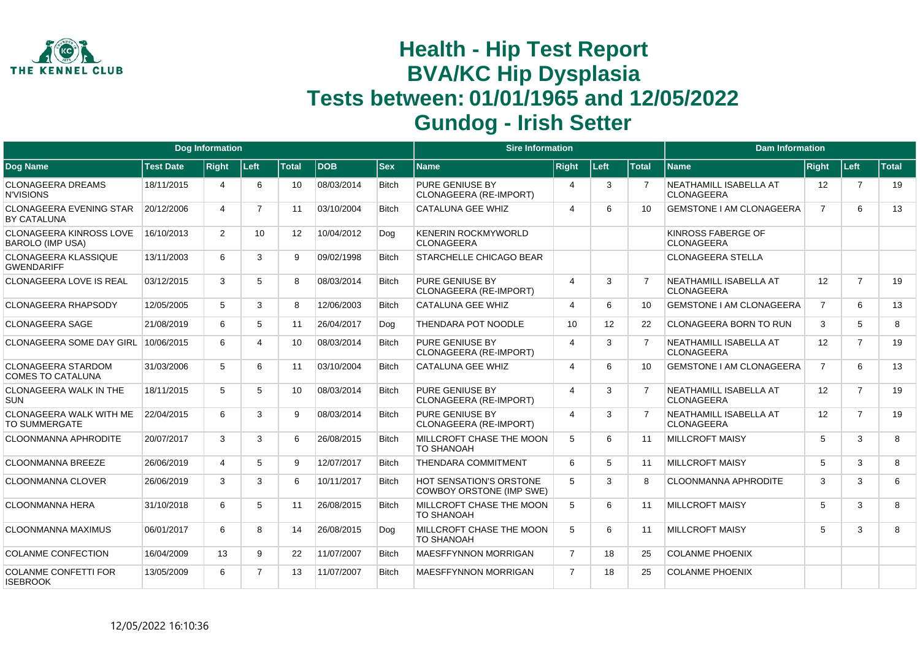

|                                                           |                  | <b>Dog Information</b> |                 |                   |            |              | <b>Sire Information</b>                                           |                |      |                | <b>Dam Information</b>                      |                   |                |              |
|-----------------------------------------------------------|------------------|------------------------|-----------------|-------------------|------------|--------------|-------------------------------------------------------------------|----------------|------|----------------|---------------------------------------------|-------------------|----------------|--------------|
| Dog Name                                                  | <b>Test Date</b> | <b>Right</b>           | Left            | <b>Total</b>      | DOB        | <b>Sex</b>   | <b>Name</b>                                                       | <b>Right</b>   | Left | <b>Total</b>   | <b>Name</b>                                 | <b>Right</b>      | Left           | <b>Total</b> |
| <b>CLONAGEERA DREAMS</b><br><b>N'VISIONS</b>              | 18/11/2015       | 4                      | 6               | 10                | 08/03/2014 | <b>Bitch</b> | PURE GENIUSE BY<br>CLONAGEERA (RE-IMPORT)                         | $\overline{4}$ | 3    |                | NEATHAMILL ISABELLA AT<br><b>CLONAGEERA</b> | $12 \overline{ }$ | $\overline{7}$ | 19           |
| <b>CLONAGEERA EVENING STAR</b><br>BY CATALUNA             | 20/12/2006       | 4                      | $\overline{7}$  | 11                | 03/10/2004 | <b>Bitch</b> | <b>CATALUNA GEE WHIZ</b>                                          | $\overline{4}$ | 6    | 10             | <b>GEMSTONE I AM CLONAGEERA</b>             | $\overline{7}$    | 6              | 13           |
| <b>CLONAGEERA KINROSS LOVE</b><br><b>BAROLO (IMP USA)</b> | 16/10/2013       | $\overline{2}$         | 10 <sup>1</sup> | $12 \overline{ }$ | 10/04/2012 | Dog          | <b>KENERIN ROCKMYWORLD</b><br><b>CLONAGEERA</b>                   |                |      |                | KINROSS FABERGE OF<br><b>CLONAGEERA</b>     |                   |                |              |
| <b>CLONAGEERA KLASSIQUE</b><br><b>GWENDARIFF</b>          | 13/11/2003       | 6                      | 3               | 9                 | 09/02/1998 | <b>Bitch</b> | <b>STARCHELLE CHICAGO BEAR</b>                                    |                |      |                | <b>CLONAGEERA STELLA</b>                    |                   |                |              |
| <b>CLONAGEERA LOVE IS REAL</b>                            | 03/12/2015       | 3                      | 5               | 8                 | 08/03/2014 | <b>Bitch</b> | PURE GENIUSE BY<br>CLONAGEERA (RE-IMPORT)                         | $\overline{4}$ | 3    | $\overline{7}$ | NEATHAMILL ISABELLA AT<br><b>CLONAGEERA</b> | 12                | $\overline{7}$ | 19           |
| CLONAGEERA RHAPSODY                                       | 12/05/2005       | 5                      | 3               | 8                 | 12/06/2003 | <b>Bitch</b> | <b>CATALUNA GEE WHIZ</b>                                          | $\overline{4}$ | 6    | 10             | <b>GEMSTONE I AM CLONAGEERA</b>             | $\overline{7}$    | 6              | 13           |
| <b>CLONAGEERA SAGE</b>                                    | 21/08/2019       | 6                      | 5               | 11                | 26/04/2017 | Dog          | THENDARA POT NOODLE                                               | 10             | 12   | 22             | <b>CLONAGEERA BORN TO RUN</b>               | 3                 | 5              | 8            |
| CLONAGEERA SOME DAY GIRL                                  | 10/06/2015       | 6                      |                 | 10 <sup>°</sup>   | 08/03/2014 | <b>Bitch</b> | <b>PURE GENIUSE BY</b><br>CLONAGEERA (RE-IMPORT)                  | $\overline{4}$ | 3    |                | NEATHAMILL ISABELLA AT<br><b>CLONAGEERA</b> | 12                | $\overline{7}$ | 19           |
| <b>CLONAGEERA STARDOM</b><br><b>COMES TO CATALUNA</b>     | 31/03/2006       | 5                      | 6               | 11                | 03/10/2004 | <b>Bitch</b> | <b>CATALUNA GEE WHIZ</b>                                          | $\overline{4}$ | 6    | 10             | <b>GEMSTONE I AM CLONAGEERA</b>             | $\overline{7}$    | 6              | 13           |
| <b>CLONAGEERA WALK IN THE</b><br><b>SUN</b>               | 18/11/2015       | 5                      | 5               | 10                | 08/03/2014 | <b>Bitch</b> | <b>PURE GENIUSE BY</b><br>CLONAGEERA (RE-IMPORT)                  | $\overline{4}$ | 3    | $\overline{7}$ | NEATHAMILL ISABELLA AT<br><b>CLONAGEERA</b> | 12                | $\overline{7}$ | 19           |
| CLONAGEERA WALK WITH ME<br><b>TO SUMMERGATE</b>           | 22/04/2015       | 6                      | 3               | 9                 | 08/03/2014 | <b>Bitch</b> | PURE GENIUSE BY<br>CLONAGEERA (RE-IMPORT)                         | $\overline{4}$ | 3    | $\overline{7}$ | NEATHAMILL ISABELLA AT<br><b>CLONAGEERA</b> | 12                | $\overline{7}$ | 19           |
| <b>CLOONMANNA APHRODITE</b>                               | 20/07/2017       | 3                      | 3               | 6                 | 26/08/2015 | <b>Bitch</b> | MILLCROFT CHASE THE MOON<br><b>TO SHANOAH</b>                     | 5              | 6    | 11             | <b>MILLCROFT MAISY</b>                      | 5                 | 3              | 8            |
| <b>CLOONMANNA BREEZE</b>                                  | 26/06/2019       | $\overline{4}$         | 5               | 9                 | 12/07/2017 | <b>Bitch</b> | THENDARA COMMITMENT                                               | 6              | 5    | 11             | <b>MILLCROFT MAISY</b>                      | 5                 | 3              | 8            |
| <b>CLOONMANNA CLOVER</b>                                  | 26/06/2019       | 3                      | 3               | 6                 | 10/11/2017 | <b>Bitch</b> | <b>HOT SENSATION'S ORSTONE</b><br><b>COWBOY ORSTONE (IMP SWE)</b> | 5              | 3    | 8              | <b>CLOONMANNA APHRODITE</b>                 | 3                 | 3              | 6            |
| <b>CLOONMANNA HERA</b>                                    | 31/10/2018       | 6                      | 5               | 11                | 26/08/2015 | <b>Bitch</b> | MILLCROFT CHASE THE MOON<br><b>TO SHANOAH</b>                     | 5              | 6    | 11             | <b>MILLCROFT MAISY</b>                      | 5                 | 3              | 8            |
| <b>CLOONMANNA MAXIMUS</b>                                 | 06/01/2017       | 6                      | 8               | 14                | 26/08/2015 | Dog          | MILLCROFT CHASE THE MOON<br><b>TO SHANOAH</b>                     | 5              | 6    | 11             | <b>MILLCROFT MAISY</b>                      | 5                 | 3              | 8            |
| <b>COLANME CONFECTION</b>                                 | 16/04/2009       | 13                     | 9               | 22                | 11/07/2007 | <b>Bitch</b> | <b>MAESFFYNNON MORRIGAN</b>                                       | $\overline{7}$ | 18   | 25             | <b>COLANME PHOENIX</b>                      |                   |                |              |
| <b>COLANME CONFETTI FOR</b><br><b>ISEBROOK</b>            | 13/05/2009       | 6                      | $\overline{7}$  | 13                | 11/07/2007 | <b>Bitch</b> | MAESFFYNNON MORRIGAN                                              | $\overline{7}$ | 18   | 25             | <b>COLANME PHOENIX</b>                      |                   |                |              |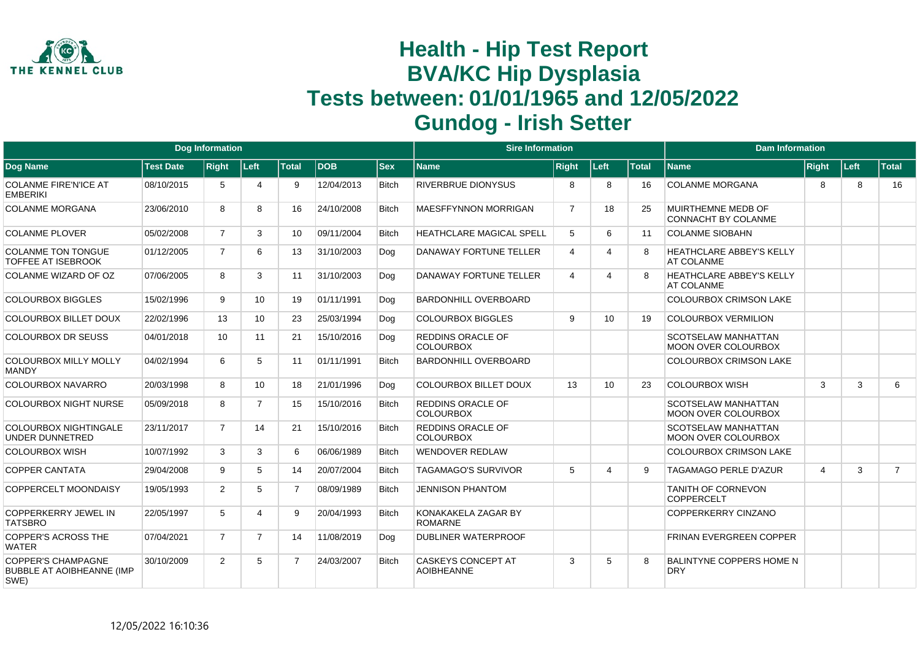

|                                                                       |                  | Dog Information |                |                |            |              | <b>Sire Information</b>                        |                |      |              | <b>Dam Information</b>                                   |                |      |                |
|-----------------------------------------------------------------------|------------------|-----------------|----------------|----------------|------------|--------------|------------------------------------------------|----------------|------|--------------|----------------------------------------------------------|----------------|------|----------------|
| Dog Name                                                              | <b>Test Date</b> | <b>Right</b>    | Left           | <b>Total</b>   | <b>DOB</b> | $ $ Sex      | <b>Name</b>                                    | <b>Right</b>   | Left | <b>Total</b> | <b>Name</b>                                              | <b>Right</b>   | Left | <b>Total</b>   |
| <b>COLANME FIRE'N'ICE AT</b><br><b>EMBERIKI</b>                       | 08/10/2015       | 5               | 4              | 9              | 12/04/2013 | <b>Bitch</b> | <b>RIVERBRUE DIONYSUS</b>                      | 8              | 8    | 16           | <b>COLANME MORGANA</b>                                   | 8              | 8    | 16             |
| <b>COLANME MORGANA</b>                                                | 23/06/2010       | 8               | 8              | 16             | 24/10/2008 | <b>Bitch</b> | <b>MAESFFYNNON MORRIGAN</b>                    | $\overline{7}$ | 18   | 25           | MUIRTHEMNE MEDB OF<br>CONNACHT BY COLANME                |                |      |                |
| <b>COLANME PLOVER</b>                                                 | 05/02/2008       | $\overline{7}$  | 3              | 10             | 09/11/2004 | <b>Bitch</b> | <b>HEATHCLARE MAGICAL SPELL</b>                | 5              | 6    | 11           | <b>COLANME SIOBAHN</b>                                   |                |      |                |
| <b>COLANME TON TONGUE</b><br><b>TOFFEE AT ISEBROOK</b>                | 01/12/2005       | $\overline{7}$  | 6              | 13             | 31/10/2003 | Dog          | DANAWAY FORTUNE TELLER                         | $\overline{4}$ | Δ    |              | <b>HEATHCLARE ABBEY'S KELLY</b><br>AT COLANME            |                |      |                |
| COLANME WIZARD OF OZ                                                  | 07/06/2005       | 8               | 3              | 11             | 31/10/2003 | Dog          | DANAWAY FORTUNE TELLER                         | $\overline{4}$ | 4    |              | <b>HEATHCLARE ABBEY'S KELLY</b><br>AT COLANME            |                |      |                |
| <b>COLOURBOX BIGGLES</b>                                              | 15/02/1996       | 9               | 10             | 19             | 01/11/1991 | Dog          | <b>BARDONHILL OVERBOARD</b>                    |                |      |              | <b>COLOURBOX CRIMSON LAKE</b>                            |                |      |                |
| <b>COLOURBOX BILLET DOUX</b>                                          | 22/02/1996       | 13              | 10             | 23             | 25/03/1994 | Dog          | <b>COLOURBOX BIGGLES</b>                       | 9              | 10   | 19           | <b>COLOURBOX VERMILION</b>                               |                |      |                |
| <b>COLOURBOX DR SEUSS</b>                                             | 04/01/2018       | 10              | 11             | 21             | 15/10/2016 | Dog          | <b>REDDINS ORACLE OF</b><br><b>COLOURBOX</b>   |                |      |              | <b>SCOTSELAW MANHATTAN</b><br><b>MOON OVER COLOURBOX</b> |                |      |                |
| <b>COLOURBOX MILLY MOLLY</b><br><b>MANDY</b>                          | 04/02/1994       | 6               | 5              | 11             | 01/11/1991 | <b>Bitch</b> | <b>BARDONHILL OVERBOARD</b>                    |                |      |              | <b>COLOURBOX CRIMSON LAKE</b>                            |                |      |                |
| <b>COLOURBOX NAVARRO</b>                                              | 20/03/1998       | 8               | 10             | 18             | 21/01/1996 | Dog          | <b>COLOURBOX BILLET DOUX</b>                   | 13             | 10   | 23           | <b>COLOURBOX WISH</b>                                    | 3              | 3    | 6              |
| <b>COLOURBOX NIGHT NURSE</b>                                          | 05/09/2018       | 8               | $\overline{7}$ | 15             | 15/10/2016 | <b>Bitch</b> | <b>REDDINS ORACLE OF</b><br><b>COLOURBOX</b>   |                |      |              | SCOTSELAW MANHATTAN<br><b>MOON OVER COLOURBOX</b>        |                |      |                |
| <b>COLOURBOX NIGHTINGALE</b><br><b>UNDER DUNNETRED</b>                | 23/11/2017       | $\overline{7}$  | 14             | 21             | 15/10/2016 | <b>Bitch</b> | <b>REDDINS ORACLE OF</b><br><b>COLOURBOX</b>   |                |      |              | <b>SCOTSELAW MANHATTAN</b><br><b>MOON OVER COLOURBOX</b> |                |      |                |
| <b>COLOURBOX WISH</b>                                                 | 10/07/1992       | 3               | 3              | 6              | 06/06/1989 | <b>Bitch</b> | <b>WENDOVER REDLAW</b>                         |                |      |              | <b>COLOURBOX CRIMSON LAKE</b>                            |                |      |                |
| <b>COPPER CANTATA</b>                                                 | 29/04/2008       | 9               | 5              | 14             | 20/07/2004 | <b>Bitch</b> | <b>TAGAMAGO'S SURVIVOR</b>                     | 5              | 4    | g            | <b>TAGAMAGO PERLE D'AZUR</b>                             | $\overline{4}$ | 3    | $\overline{7}$ |
| <b>COPPERCELT MOONDAISY</b>                                           | 19/05/1993       | $\overline{2}$  | 5              | $\overline{7}$ | 08/09/1989 | <b>Bitch</b> | <b>JENNISON PHANTOM</b>                        |                |      |              | <b>TANITH OF CORNEVON</b><br><b>COPPERCELT</b>           |                |      |                |
| <b>COPPERKERRY JEWEL IN</b><br><b>TATSBRO</b>                         | 22/05/1997       | 5               | 4              | 9              | 20/04/1993 | <b>Bitch</b> | KONAKAKELA ZAGAR BY<br><b>ROMARNE</b>          |                |      |              | COPPERKERRY CINZANO                                      |                |      |                |
| <b>COPPER'S ACROSS THE</b><br><b>WATER</b>                            | 07/04/2021       | $\overline{7}$  | $\overline{7}$ | 14             | 11/08/2019 | Dog          | <b>DUBLINER WATERPROOF</b>                     |                |      |              | FRINAN EVERGREEN COPPER                                  |                |      |                |
| <b>COPPER'S CHAMPAGNE</b><br><b>BUBBLE AT AOIBHEANNE (IMP</b><br>SWE) | 30/10/2009       | $\overline{2}$  | 5              | $\overline{7}$ | 24/03/2007 | <b>Bitch</b> | <b>CASKEYS CONCEPT AT</b><br><b>AOIBHEANNE</b> | 3              | 5    | 8            | <b>BALINTYNE COPPERS HOME N</b><br><b>DRY</b>            |                |      |                |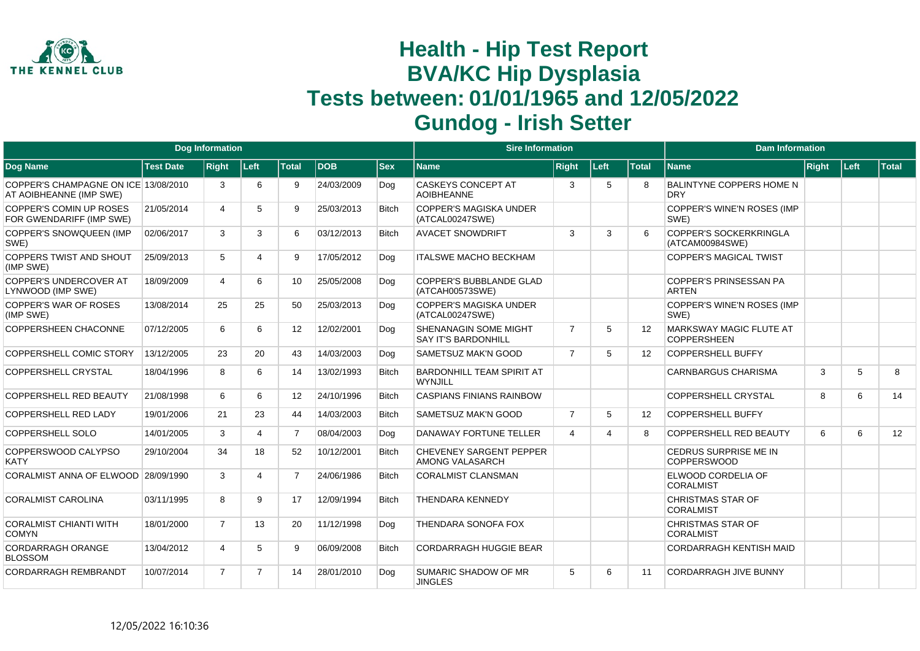

|                                                                 |                  | <b>Dog Information</b> |                |                |            |              | <b>Sire Information</b>                             |                |                       |                   | <b>Dam Information</b>                           |       |      |       |
|-----------------------------------------------------------------|------------------|------------------------|----------------|----------------|------------|--------------|-----------------------------------------------------|----------------|-----------------------|-------------------|--------------------------------------------------|-------|------|-------|
| <b>Dog Name</b>                                                 | <b>Test Date</b> | <b>Right</b>           | Left           | <b>Total</b>   | <b>DOB</b> | <b>Sex</b>   | <b>Name</b>                                         | <b>Right</b>   | Left                  | <b>Total</b>      | <b>Name</b>                                      | Right | Left | Total |
| COPPER'S CHAMPAGNE ON ICE 13/08/2010<br>AT AOIBHEANNE (IMP SWE) |                  | 3                      | 6              | 9              | 24/03/2009 | Dog          | <b>CASKEYS CONCEPT AT</b><br><b>AOIBHEANNE</b>      | 3              | 5                     | 8                 | <b>BALINTYNE COPPERS HOME N</b><br><b>DRY</b>    |       |      |       |
| <b>COPPER'S COMIN UP ROSES</b><br>FOR GWENDARIFF (IMP SWE)      | 21/05/2014       | 4                      | 5              | 9              | 25/03/2013 | <b>Bitch</b> | <b>COPPER'S MAGISKA UNDER</b><br>(ATCAL00247SWE)    |                |                       |                   | COPPER'S WINE'N ROSES (IMP<br>SWE)               |       |      |       |
| COPPER'S SNOWQUEEN (IMP<br>SWE)                                 | 02/06/2017       | 3                      | 3              | 6              | 03/12/2013 | <b>Bitch</b> | <b>AVACET SNOWDRIFT</b>                             | 3              | 3                     | 6                 | <b>COPPER'S SOCKERKRINGLA</b><br>(ATCAM00984SWE) |       |      |       |
| <b>COPPERS TWIST AND SHOUT</b><br>(IMP SWE)                     | 25/09/2013       | 5                      | 4              | 9              | 17/05/2012 | Dog          | <b>ITALSWE MACHO BECKHAM</b>                        |                |                       |                   | <b>COPPER'S MAGICAL TWIST</b>                    |       |      |       |
| COPPER'S UNDERCOVER AT<br>LYNWOOD (IMP SWE)                     | 18/09/2009       | 4                      | 6              | 10             | 25/05/2008 | Dog          | <b>COPPER'S BUBBLANDE GLAD</b><br>(ATCAH00573SWE)   |                |                       |                   | <b>COPPER'S PRINSESSAN PA</b><br><b>ARTEN</b>    |       |      |       |
| <b>COPPER'S WAR OF ROSES</b><br>(IMP SWE)                       | 13/08/2014       | 25                     | 25             | 50             | 25/03/2013 | Dog          | <b>COPPER'S MAGISKA UNDER</b><br>(ATCAL00247SWE)    |                |                       |                   | COPPER'S WINE'N ROSES (IMP<br>SWE)               |       |      |       |
| <b>COPPERSHEEN CHACONNE</b>                                     | 07/12/2005       | 6                      | 6              | 12             | 12/02/2001 | Dog          | SHENANAGIN SOME MIGHT<br><b>SAY IT'S BARDONHILL</b> | $\overline{7}$ | 5                     | 12                | MARKSWAY MAGIC FLUTE AT<br><b>COPPERSHEEN</b>    |       |      |       |
| COPPERSHELL COMIC STORY                                         | 13/12/2005       | 23                     | 20             | 43             | 14/03/2003 | Dog          | SAMETSUZ MAK'N GOOD                                 | $\overline{7}$ | 5                     | $12 \overline{ }$ | <b>COPPERSHELL BUFFY</b>                         |       |      |       |
| <b>COPPERSHELL CRYSTAL</b>                                      | 18/04/1996       | 8                      | 6              | 14             | 13/02/1993 | <b>Bitch</b> | <b>BARDONHILL TEAM SPIRIT AT</b><br><b>WYNJILL</b>  |                |                       |                   | <b>CARNBARGUS CHARISMA</b>                       | 3     | 5    | 8     |
| <b>COPPERSHELL RED BEAUTY</b>                                   | 21/08/1998       | 6                      | 6              | 12             | 24/10/1996 | <b>Bitch</b> | <b>CASPIANS FINIANS RAINBOW</b>                     |                |                       |                   | COPPERSHELL CRYSTAL                              | 8     | 6    | 14    |
| COPPERSHELL RED LADY                                            | 19/01/2006       | 21                     | 23             | 44             | 14/03/2003 | <b>Bitch</b> | <b>SAMETSUZ MAK'N GOOD</b>                          | $\overline{7}$ | 5                     | 12                | <b>COPPERSHELL BUFFY</b>                         |       |      |       |
| COPPERSHELL SOLO                                                | 14/01/2005       | 3                      | $\overline{4}$ | $\overline{7}$ | 08/04/2003 | Dog          | DANAWAY FORTUNE TELLER                              | $\overline{4}$ | $\boldsymbol{\Delta}$ | 8                 | <b>COPPERSHELL RED BEAUTY</b>                    | 6     | 6    | 12    |
| COPPERSWOOD CALYPSO<br><b>KATY</b>                              | 29/10/2004       | 34                     | 18             | 52             | 10/12/2001 | <b>Bitch</b> | CHEVENEY SARGENT PEPPER<br><b>AMONG VALASARCH</b>   |                |                       |                   | CEDRUS SURPRISE ME IN<br><b>COPPERSWOOD</b>      |       |      |       |
| CORALMIST ANNA OF ELWOOD 28/09/1990                             |                  | 3                      | 4              | $\overline{7}$ | 24/06/1986 | <b>Bitch</b> | <b>CORALMIST CLANSMAN</b>                           |                |                       |                   | ELWOOD CORDELIA OF<br><b>CORALMIST</b>           |       |      |       |
| <b>CORALMIST CAROLINA</b>                                       | 03/11/1995       | 8                      | 9              | 17             | 12/09/1994 | <b>Bitch</b> | <b>THENDARA KENNEDY</b>                             |                |                       |                   | <b>CHRISTMAS STAR OF</b><br><b>CORALMIST</b>     |       |      |       |
| <b>CORALMIST CHIANTI WITH</b><br><b>COMYN</b>                   | 18/01/2000       | $\overline{7}$         | 13             | 20             | 11/12/1998 | Dog          | THENDARA SONOFA FOX                                 |                |                       |                   | <b>CHRISTMAS STAR OF</b><br><b>CORALMIST</b>     |       |      |       |
| CORDARRAGH ORANGE<br><b>BLOSSOM</b>                             | 13/04/2012       | 4                      | 5              | 9              | 06/09/2008 | <b>Bitch</b> | <b>CORDARRAGH HUGGIE BEAR</b>                       |                |                       |                   | <b>CORDARRAGH KENTISH MAID</b>                   |       |      |       |
| <b>CORDARRAGH REMBRANDT</b>                                     | 10/07/2014       | $\overline{7}$         | $\overline{7}$ | 14             | 28/01/2010 | Dog          | SUMARIC SHADOW OF MR<br><b>JINGLES</b>              | 5              | 6                     | 11                | <b>CORDARRAGH JIVE BUNNY</b>                     |       |      |       |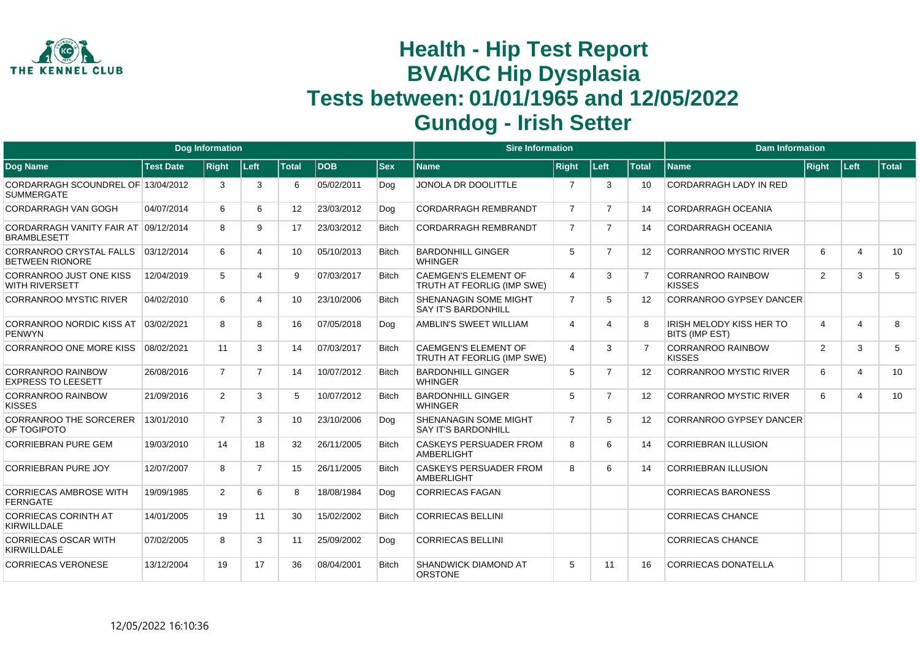

|                                                            |                  | <b>Dog Information</b> |                |                 |            |              | <b>Sire Information</b>                                    |                |                |                   | <b>Dam Information</b>                            |              |                         |       |
|------------------------------------------------------------|------------------|------------------------|----------------|-----------------|------------|--------------|------------------------------------------------------------|----------------|----------------|-------------------|---------------------------------------------------|--------------|-------------------------|-------|
| <b>Dog Name</b>                                            | <b>Test Date</b> | <b>Right</b>           | Left           | <b>Total</b>    | <b>DOB</b> | <b>Sex</b>   | Name                                                       | <b>Right</b>   | Left           | <b>Total</b>      | <b>Name</b>                                       | <b>Right</b> | ∣Left∶                  | Total |
| CORDARRAGH SCOUNDREL OF 13/04/2012<br><b>SUMMERGATE</b>    |                  | 3                      | 3              | 6               | 05/02/2011 | Dog          | JONOLA DR DOOLITTLE                                        | $\overline{7}$ | 3              | 10                | CORDARRAGH LADY IN RED                            |              |                         |       |
| <b>CORDARRAGH VAN GOGH</b>                                 | 04/07/2014       | 6                      | 6              | 12 <sup>°</sup> | 23/03/2012 | Dog          | <b>CORDARRAGH REMBRANDT</b>                                | $\overline{7}$ | $\overline{7}$ | 14                | <b>CORDARRAGH OCEANIA</b>                         |              |                         |       |
| CORDARRAGH VANITY FAIR AT 09/12/2014<br><b>BRAMBLESETT</b> |                  | 8                      | 9              | 17              | 23/03/2012 | <b>Bitch</b> | <b>CORDARRAGH REMBRANDT</b>                                | $\overline{7}$ | $\overline{7}$ | 14                | CORDARRAGH OCEANIA                                |              |                         |       |
| <b>CORRANROO CRYSTAL FALLS</b><br><b>BETWEEN RIONORE</b>   | 03/12/2014       | 6                      | 4              | 10              | 05/10/2013 | <b>Bitch</b> | <b>BARDONHILL GINGER</b><br><b>WHINGER</b>                 | 5              | $\overline{7}$ | 12                | <b>CORRANROO MYSTIC RIVER</b>                     | 6            | $\overline{4}$          | 10    |
| <b>CORRANROO JUST ONE KISS</b><br><b>WITH RIVERSETT</b>    | 12/04/2019       | 5                      | 4              | 9               | 07/03/2017 | <b>Bitch</b> | <b>CAEMGEN'S ELEMENT OF</b><br>TRUTH AT FEORLIG (IMP SWE)  | $\overline{4}$ | 3              | 7                 | <b>CORRANROO RAINBOW</b><br><b>KISSES</b>         | 2            | 3                       | 5     |
| <b>CORRANROO MYSTIC RIVER</b>                              | 04/02/2010       | 6                      | 4              | 10              | 23/10/2006 | <b>Bitch</b> | <b>SHENANAGIN SOME MIGHT</b><br><b>SAY IT'S BARDONHILL</b> | $\overline{7}$ | 5              | 12                | <b>CORRANROO GYPSEY DANCER</b>                    |              |                         |       |
| <b>CORRANROO NORDIC KISS AT</b><br><b>PENWYN</b>           | 03/02/2021       | 8                      | 8              | 16              | 07/05/2018 | Dog          | AMBLIN'S SWEET WILLIAM                                     | 4              | Δ              | 8                 | IRISH MELODY KISS HER TO<br><b>BITS (IMP EST)</b> | 4            | 4                       | 8     |
| <b>CORRANROO ONE MORE KISS</b>                             | 08/02/2021       | 11                     | 3              | 14              | 07/03/2017 | <b>Bitch</b> | <b>CAEMGEN'S ELEMENT OF</b><br>TRUTH AT FEORLIG (IMP SWE)  | $\overline{4}$ | 3              | $\overline{7}$    | <b>CORRANROO RAINBOW</b><br><b>KISSES</b>         | 2            | 3                       | 5     |
| <b>CORRANROO RAINBOW</b><br><b>EXPRESS TO LEESETT</b>      | 26/08/2016       | $\overline{7}$         | $\overline{7}$ | 14              | 10/07/2012 | <b>Bitch</b> | <b>BARDONHILL GINGER</b><br><b>WHINGER</b>                 | 5              | $\overline{7}$ | 12                | <b>CORRANROO MYSTIC RIVER</b>                     | 6            | $\overline{4}$          | 10    |
| <b>CORRANROO RAINBOW</b><br><b>KISSES</b>                  | 21/09/2016       | $\overline{2}$         | 3              | 5               | 10/07/2012 | <b>Bitch</b> | <b>BARDONHILL GINGER</b><br><b>WHINGER</b>                 | 5              | $\overline{7}$ | 12                | <b>CORRANROO MYSTIC RIVER</b>                     | 6            | $\overline{\mathbf{4}}$ | 10    |
| <b>CORRANROO THE SORCERER</b><br>OF TOGIPOTO               | 13/01/2010       | $\overline{7}$         | 3              | 10              | 23/10/2006 | Dog          | SHENANAGIN SOME MIGHT<br><b>SAY IT'S BARDONHILL</b>        | $\overline{7}$ | 5              | $12 \overline{ }$ | CORRANROO GYPSEY DANCER                           |              |                         |       |
| <b>CORRIEBRAN PURE GEM</b>                                 | 19/03/2010       | 14                     | 18             | 32              | 26/11/2005 | <b>Bitch</b> | <b>CASKEYS PERSUADER FROM</b><br><b>AMBERLIGHT</b>         | 8              | 6              | 14                | <b>CORRIEBRAN ILLUSION</b>                        |              |                         |       |
| <b>CORRIEBRAN PURE JOY</b>                                 | 12/07/2007       | 8                      | $\overline{7}$ | 15              | 26/11/2005 | <b>Bitch</b> | <b>CASKEYS PERSUADER FROM</b><br><b>AMBERLIGHT</b>         | 8              | 6              | 14                | <b>CORRIEBRAN ILLUSION</b>                        |              |                         |       |
| <b>CORRIECAS AMBROSE WITH</b><br><b>FERNGATE</b>           | 19/09/1985       | 2                      | 6              | 8               | 18/08/1984 | Dog          | <b>CORRIECAS FAGAN</b>                                     |                |                |                   | <b>CORRIECAS BARONESS</b>                         |              |                         |       |
| <b>CORRIECAS CORINTH AT</b><br><b>KIRWILLDALE</b>          | 14/01/2005       | 19                     | 11             | 30              | 15/02/2002 | <b>Bitch</b> | <b>CORRIECAS BELLINI</b>                                   |                |                |                   | <b>CORRIECAS CHANCE</b>                           |              |                         |       |
| <b>CORRIECAS OSCAR WITH</b><br><b>KIRWILLDALE</b>          | 07/02/2005       | 8                      | 3              | 11              | 25/09/2002 | Dog          | <b>CORRIECAS BELLINI</b>                                   |                |                |                   | <b>CORRIECAS CHANCE</b>                           |              |                         |       |
| <b>CORRIECAS VERONESE</b>                                  | 13/12/2004       | 19                     | 17             | 36              | 08/04/2001 | <b>Bitch</b> | SHANDWICK DIAMOND AT<br><b>ORSTONE</b>                     | 5              | 11             | 16                | <b>CORRIECAS DONATELLA</b>                        |              |                         |       |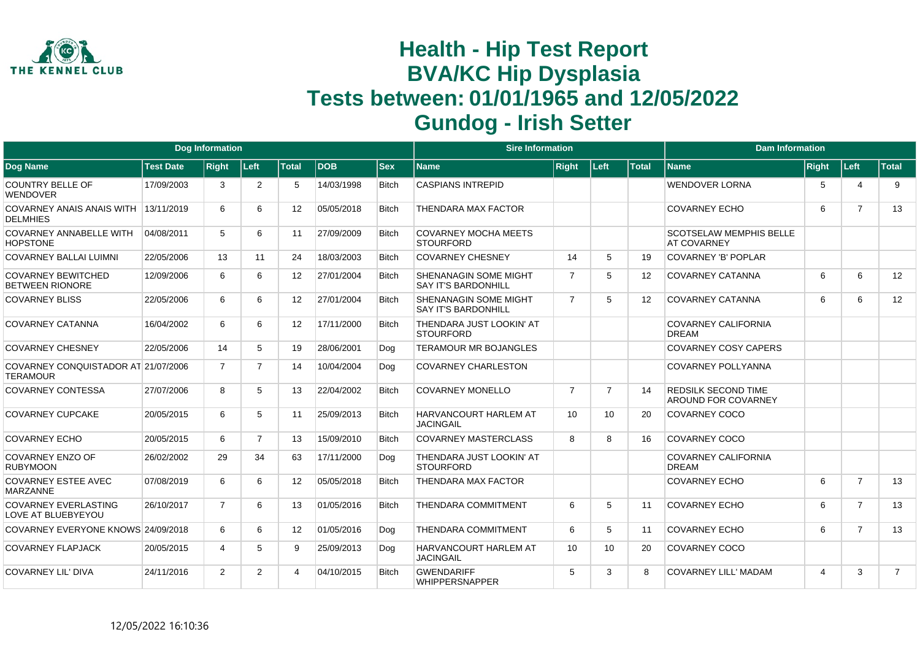

|                                                        |                  | <b>Dog Information</b> |                |                   |            |              | <b>Sire Information</b>                                    |                |                |                   | <b>Dam Information</b>                               |       |                             |                |
|--------------------------------------------------------|------------------|------------------------|----------------|-------------------|------------|--------------|------------------------------------------------------------|----------------|----------------|-------------------|------------------------------------------------------|-------|-----------------------------|----------------|
| Dog Name                                               | <b>Test Date</b> | Right                  | Left           | <b>Total</b>      | <b>DOB</b> | <b>Sex</b>   | <b>Name</b>                                                | <b>Right</b>   | Left           | <b>Total</b>      | <b>Name</b>                                          | Right | Left                        | <b>Total</b>   |
| <b>COUNTRY BELLE OF</b><br>WENDOVER                    | 17/09/2003       | 3                      | $\overline{2}$ | 5                 | 14/03/1998 | <b>Bitch</b> | <b>CASPIANS INTREPID</b>                                   |                |                |                   | WENDOVER LORNA                                       | 5     | $\boldsymbol{\vartriangle}$ | 9              |
| <b>COVARNEY ANAIS ANAIS WITH</b><br><b>DELMHIES</b>    | 13/11/2019       | 6                      | 6              | $12 \overline{ }$ | 05/05/2018 | <b>Bitch</b> | THENDARA MAX FACTOR                                        |                |                |                   | <b>COVARNEY ECHO</b>                                 | 6     | $\overline{7}$              | 13             |
| COVARNEY ANNABELLE WITH<br><b>HOPSTONE</b>             | 04/08/2011       | 5                      | 6              | 11                | 27/09/2009 | <b>Bitch</b> | <b>COVARNEY MOCHA MEETS</b><br><b>STOURFORD</b>            |                |                |                   | <b>SCOTSELAW MEMPHIS BELLE</b><br><b>AT COVARNEY</b> |       |                             |                |
| <b>COVARNEY BALLAI LUIMNI</b>                          | 22/05/2006       | 13                     | 11             | 24                | 18/03/2003 | <b>Bitch</b> | <b>COVARNEY CHESNEY</b>                                    | 14             | 5              | 19                | <b>COVARNEY 'B' POPLAR</b>                           |       |                             |                |
| <b>COVARNEY BEWITCHED</b><br><b>BETWEEN RIONORE</b>    | 12/09/2006       | 6                      | 6              | $12 \overline{ }$ | 27/01/2004 | <b>Bitch</b> | SHENANAGIN SOME MIGHT<br><b>SAY IT'S BARDONHILL</b>        | $\overline{7}$ | 5              | 12                | <b>COVARNEY CATANNA</b>                              | 6     | 6                           | 12             |
| <b>COVARNEY BLISS</b>                                  | 22/05/2006       | 6                      | 6              | $12 \overline{ }$ | 27/01/2004 | <b>Bitch</b> | <b>SHENANAGIN SOME MIGHT</b><br><b>SAY IT'S BARDONHILL</b> | $\overline{7}$ | 5              | $12 \overline{ }$ | <b>COVARNEY CATANNA</b>                              | 6     | 6                           | 12             |
| <b>COVARNEY CATANNA</b>                                | 16/04/2002       | 6                      | 6              | 12                | 17/11/2000 | <b>Bitch</b> | THENDARA JUST LOOKIN' AT<br><b>STOURFORD</b>               |                |                |                   | <b>COVARNEY CALIFORNIA</b><br><b>DREAM</b>           |       |                             |                |
| <b>COVARNEY CHESNEY</b>                                | 22/05/2006       | 14                     | 5              | 19                | 28/06/2001 | Dog          | <b>TERAMOUR MR BOJANGLES</b>                               |                |                |                   | <b>COVARNEY COSY CAPERS</b>                          |       |                             |                |
| COVARNEY CONQUISTADOR AT 21/07/2006<br><b>TERAMOUR</b> |                  | $\overline{7}$         | $\overline{ }$ | 14                | 10/04/2004 | Dog          | <b>COVARNEY CHARLESTON</b>                                 |                |                |                   | <b>COVARNEY POLLYANNA</b>                            |       |                             |                |
| <b>COVARNEY CONTESSA</b>                               | 27/07/2006       | 8                      | 5              | 13                | 22/04/2002 | <b>Bitch</b> | <b>COVARNEY MONELLO</b>                                    | $\overline{7}$ | $\overline{7}$ | 14                | <b>REDSILK SECOND TIME</b><br>AROUND FOR COVARNEY    |       |                             |                |
| <b>COVARNEY CUPCAKE</b>                                | 20/05/2015       | 6                      | 5              | 11                | 25/09/2013 | <b>Bitch</b> | <b>HARVANCOURT HARLEM AT</b><br><b>JACINGAIL</b>           | 10             | 10             | 20                | COVARNEY COCO                                        |       |                             |                |
| <b>COVARNEY ECHO</b>                                   | 20/05/2015       | 6                      | $\overline{7}$ | 13                | 15/09/2010 | <b>Bitch</b> | <b>COVARNEY MASTERCLASS</b>                                | 8              | 8              | 16                | <b>COVARNEY COCO</b>                                 |       |                             |                |
| <b>COVARNEY ENZO OF</b><br><b>RUBYMOON</b>             | 26/02/2002       | 29                     | 34             | 63                | 17/11/2000 | Dog          | THENDARA JUST LOOKIN' AT<br><b>STOURFORD</b>               |                |                |                   | <b>COVARNEY CALIFORNIA</b><br><b>DREAM</b>           |       |                             |                |
| <b>COVARNEY ESTEE AVEC</b><br><b>MARZANNE</b>          | 07/08/2019       | 6                      | 6              | 12                | 05/05/2018 | <b>Bitch</b> | <b>THENDARA MAX FACTOR</b>                                 |                |                |                   | <b>COVARNEY ECHO</b>                                 | 6     | $\overline{7}$              | 13             |
| <b>COVARNEY EVERLASTING</b><br>LOVE AT BLUEBYEYOU      | 26/10/2017       | $\overline{7}$         | 6              | 13                | 01/05/2016 | <b>Bitch</b> | <b>THENDARA COMMITMENT</b>                                 | 6              | 5              | 11                | <b>COVARNEY ECHO</b>                                 | 6     | $\overline{7}$              | 13             |
| COVARNEY EVERYONE KNOWS 24/09/2018                     |                  | 6                      | 6              | $12 \overline{ }$ | 01/05/2016 | Dog          | <b>THENDARA COMMITMENT</b>                                 | 6              | 5              | 11                | <b>COVARNEY ECHO</b>                                 | 6     | $\overline{7}$              | 13             |
| <b>COVARNEY FLAPJACK</b>                               | 20/05/2015       | 4                      | 5              | 9                 | 25/09/2013 | Dog          | <b>HARVANCOURT HARLEM AT</b><br><b>JACINGAIL</b>           | 10             | 10             | 20                | <b>COVARNEY COCO</b>                                 |       |                             |                |
| <b>COVARNEY LIL' DIVA</b>                              | 24/11/2016       | $\overline{2}$         | 2              | 4                 | 04/10/2015 | <b>Bitch</b> | <b>GWENDARIFF</b><br><b>WHIPPERSNAPPER</b>                 | 5              | 3              | 8                 | <b>COVARNEY LILL' MADAM</b>                          | 4     | 3                           | $\overline{7}$ |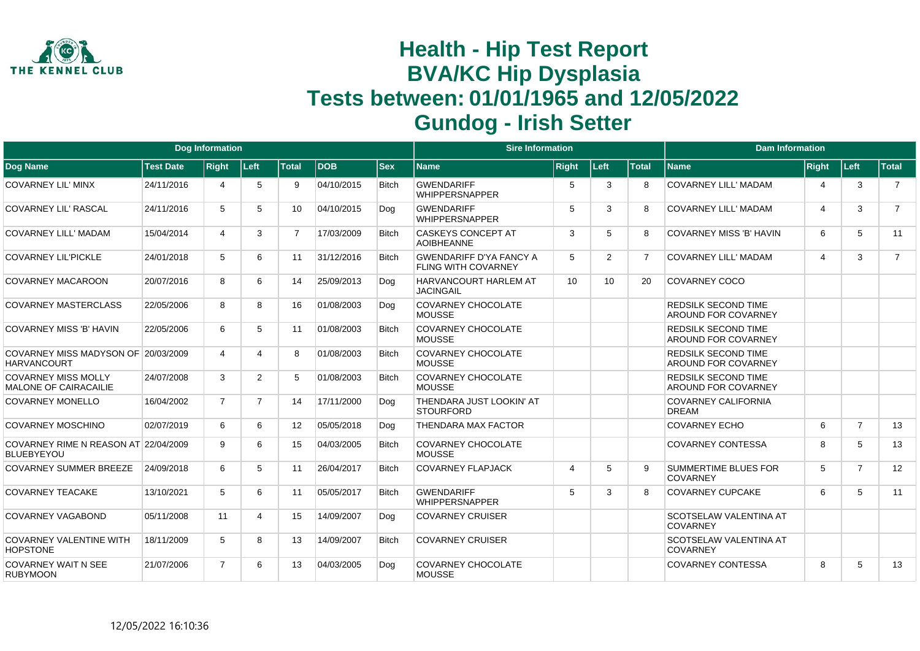

|                                                           |                  | <b>Dog Information</b> |                |                |            |              | <b>Sire Information</b>                                      |                 |                |                | <b>Dam Information</b>                                   |                         |                |                |
|-----------------------------------------------------------|------------------|------------------------|----------------|----------------|------------|--------------|--------------------------------------------------------------|-----------------|----------------|----------------|----------------------------------------------------------|-------------------------|----------------|----------------|
| Dog Name                                                  | <b>Test Date</b> | <b>Right</b>           | Left           | <b>Total</b>   | <b>DOB</b> | $ $ Sex      | Name                                                         | <b>Right</b>    | Left           | <b>Total</b>   | <b>Name</b>                                              | Right                   | Left           | <b>Total</b>   |
| <b>COVARNEY LIL' MINX</b>                                 | 24/11/2016       | 4                      | 5              | 9              | 04/10/2015 | <b>Bitch</b> | <b>GWENDARIFF</b><br><b>WHIPPERSNAPPER</b>                   | 5               | 3              | 8              | COVARNEY LILL' MADAM                                     | $\overline{4}$          | 3              | $\overline{7}$ |
| <b>COVARNEY LIL' RASCAL</b>                               | 24/11/2016       | 5                      | 5              | 10             | 04/10/2015 | Dog          | <b>GWENDARIFF</b><br><b>WHIPPERSNAPPER</b>                   | 5               | 3              | 8              | <b>COVARNEY LILL' MADAM</b>                              | $\overline{\mathbf{4}}$ | 3              | $\overline{7}$ |
| <b>COVARNEY LILL' MADAM</b>                               | 15/04/2014       | 4                      | 3              | $\overline{7}$ | 17/03/2009 | <b>Bitch</b> | <b>CASKEYS CONCEPT AT</b><br><b>AOIBHEANNE</b>               | 3               | 5              | 8              | <b>COVARNEY MISS 'B' HAVIN</b>                           | 6                       | 5              | 11             |
| <b>COVARNEY LIL'PICKLE</b>                                | 24/01/2018       | 5                      | 6              | 11             | 31/12/2016 | <b>Bitch</b> | <b>GWENDARIFF D'YA FANCY A</b><br><b>FLING WITH COVARNEY</b> | 5               | $\overline{2}$ | $\overline{7}$ | <b>COVARNEY LILL' MADAM</b>                              | $\overline{4}$          | 3              | $\overline{7}$ |
| <b>COVARNEY MACAROON</b>                                  | 20/07/2016       | 8                      | 6              | 14             | 25/09/2013 | Dog          | <b>HARVANCOURT HARLEM AT</b><br><b>JACINGAIL</b>             | 10 <sup>1</sup> | 10             | 20             | <b>COVARNEY COCO</b>                                     |                         |                |                |
| <b>COVARNEY MASTERCLASS</b>                               | 22/05/2006       | 8                      | 8              | 16             | 01/08/2003 | Dog          | <b>COVARNEY CHOCOLATE</b><br><b>MOUSSE</b>                   |                 |                |                | <b>REDSILK SECOND TIME</b><br><b>AROUND FOR COVARNEY</b> |                         |                |                |
| <b>COVARNEY MISS 'B' HAVIN</b>                            | 22/05/2006       | 6                      | 5              | 11             | 01/08/2003 | <b>Bitch</b> | <b>COVARNEY CHOCOLATE</b><br><b>MOUSSE</b>                   |                 |                |                | <b>REDSILK SECOND TIME</b><br><b>AROUND FOR COVARNEY</b> |                         |                |                |
| COVARNEY MISS MADYSON OF 20/03/2009<br><b>HARVANCOURT</b> |                  | 4                      | 4              | 8              | 01/08/2003 | <b>Bitch</b> | <b>COVARNEY CHOCOLATE</b><br><b>MOUSSE</b>                   |                 |                |                | <b>REDSILK SECOND TIME</b><br><b>AROUND FOR COVARNEY</b> |                         |                |                |
| <b>COVARNEY MISS MOLLY</b><br>MALONE OF CAIRACAILIE       | 24/07/2008       | 3                      | $\overline{2}$ | 5              | 01/08/2003 | <b>Bitch</b> | <b>COVARNEY CHOCOLATE</b><br><b>MOUSSE</b>                   |                 |                |                | <b>REDSILK SECOND TIME</b><br><b>AROUND FOR COVARNEY</b> |                         |                |                |
| <b>COVARNEY MONELLO</b>                                   | 16/04/2002       | $\overline{7}$         | $\overline{7}$ | 14             | 17/11/2000 | Dog          | THENDARA JUST LOOKIN' AT<br><b>STOURFORD</b>                 |                 |                |                | <b>COVARNEY CALIFORNIA</b><br><b>DREAM</b>               |                         |                |                |
| <b>COVARNEY MOSCHINO</b>                                  | 02/07/2019       | 6                      | 6              | 12             | 05/05/2018 | Dog          | <b>THENDARA MAX FACTOR</b>                                   |                 |                |                | <b>COVARNEY ECHO</b>                                     | 6                       | $\overline{7}$ | 13             |
| COVARNEY RIME N REASON AT 22/04/2009<br><b>BLUEBYEYOU</b> |                  | 9                      | 6              | 15             | 04/03/2005 | <b>Bitch</b> | COVARNEY CHOCOLATE<br><b>MOUSSE</b>                          |                 |                |                | <b>COVARNEY CONTESSA</b>                                 | 8                       | 5              | 13             |
| <b>COVARNEY SUMMER BREEZE</b>                             | 24/09/2018       | 6                      | 5              | 11             | 26/04/2017 | <b>Bitch</b> | COVARNEY FLAPJACK                                            | 4               | 5              | 9.             | <b>SUMMERTIME BLUES FOR</b><br>COVARNEY                  | 5                       | $\overline{7}$ | 12             |
| <b>COVARNEY TEACAKE</b>                                   | 13/10/2021       | 5                      | 6              | 11             | 05/05/2017 | <b>Bitch</b> | <b>GWENDARIFF</b><br><b>WHIPPERSNAPPER</b>                   | 5               | 3              | 8              | <b>COVARNEY CUPCAKE</b>                                  | 6                       | 5              | 11             |
| <b>COVARNEY VAGABOND</b>                                  | 05/11/2008       | 11                     | 4              | 15             | 14/09/2007 | Dog          | <b>COVARNEY CRUISER</b>                                      |                 |                |                | <b>SCOTSELAW VALENTINA AT</b><br><b>COVARNEY</b>         |                         |                |                |
| <b>COVARNEY VALENTINE WITH</b><br><b>HOPSTONE</b>         | 18/11/2009       | 5                      | 8              | 13             | 14/09/2007 | <b>Bitch</b> | <b>COVARNEY CRUISER</b>                                      |                 |                |                | <b>SCOTSELAW VALENTINA AT</b><br><b>COVARNEY</b>         |                         |                |                |
| <b>COVARNEY WAIT N SEE</b><br><b>RUBYMOON</b>             | 21/07/2006       | $\overline{7}$         | 6              | 13             | 04/03/2005 | Dog          | <b>COVARNEY CHOCOLATE</b><br><b>MOUSSE</b>                   |                 |                |                | <b>COVARNEY CONTESSA</b>                                 | 8                       | 5              | 13             |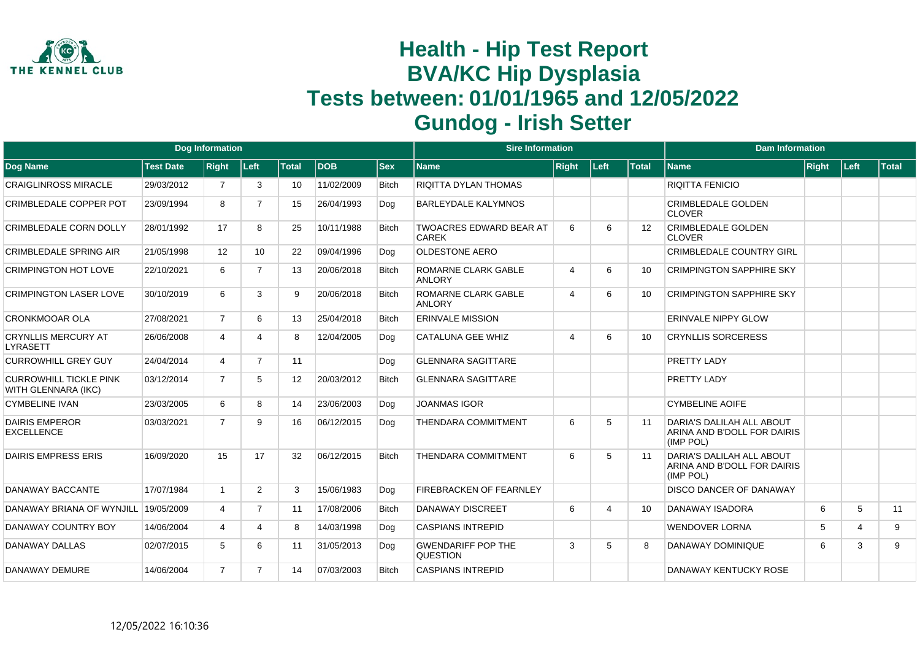

|                                                      |                  | <b>Dog Information</b> |                 |                 |            |              | <b>Sire Information</b>                        |                          |                |              | <b>Dam Information</b>                                                |              |                |              |
|------------------------------------------------------|------------------|------------------------|-----------------|-----------------|------------|--------------|------------------------------------------------|--------------------------|----------------|--------------|-----------------------------------------------------------------------|--------------|----------------|--------------|
| <b>Dog Name</b>                                      | <b>Test Date</b> | <b>Right</b>           | Left            | <b>Total</b>    | <b>DOB</b> | <b>Sex</b>   | Name                                           | <b>Right</b>             | Left           | <b>Total</b> | <b>Name</b>                                                           | <b>Right</b> | ∣Left          | <b>Total</b> |
| <b>CRAIGLINROSS MIRACLE</b>                          | 29/03/2012       |                        | 3               | 10              | 11/02/2009 | <b>Bitch</b> | <b>RIQITTA DYLAN THOMAS</b>                    |                          |                |              | RIQITTA FENICIO                                                       |              |                |              |
| CRIMBLEDALE COPPER POT                               | 23/09/1994       | 8                      | $\overline{7}$  | 15              | 26/04/1993 | Dog          | <b>BARLEYDALE KALYMNOS</b>                     |                          |                |              | <b>CRIMBLEDALE GOLDEN</b><br><b>CLOVER</b>                            |              |                |              |
| <b>CRIMBLEDALE CORN DOLLY</b>                        | 28/01/1992       | 17                     | 8               | 25              | 10/11/1988 | <b>Bitch</b> | <b>TWOACRES EDWARD BEAR AT</b><br><b>CAREK</b> | 6                        | 6              | 12           | <b>CRIMBLEDALE GOLDEN</b><br><b>CLOVER</b>                            |              |                |              |
| <b>CRIMBLEDALE SPRING AIR</b>                        | 21/05/1998       | 12                     | 10 <sup>1</sup> | 22              | 09/04/1996 | Dog          | <b>OLDESTONE AERO</b>                          |                          |                |              | <b>CRIMBLEDALE COUNTRY GIRL</b>                                       |              |                |              |
| <b>CRIMPINGTON HOT LOVE</b>                          | 22/10/2021       | 6                      | $\overline{7}$  | 13              | 20/06/2018 | <b>Bitch</b> | ROMARNE CLARK GABLE<br><b>ANLORY</b>           | $\boldsymbol{\varDelta}$ | 6              | 10           | <b>CRIMPINGTON SAPPHIRE SKY</b>                                       |              |                |              |
| <b>CRIMPINGTON LASER LOVE</b>                        | 30/10/2019       | 6                      | 3               | 9               | 20/06/2018 | <b>Bitch</b> | ROMARNE CLARK GABLE<br><b>ANLORY</b>           | $\overline{4}$           | 6              | 10           | <b>CRIMPINGTON SAPPHIRE SKY</b>                                       |              |                |              |
| CRONKMOOAR OLA                                       | 27/08/2021       | $\overline{7}$         | 6               | 13              | 25/04/2018 | <b>Bitch</b> | <b>ERINVALE MISSION</b>                        |                          |                |              | <b>ERINVALE NIPPY GLOW</b>                                            |              |                |              |
| <b>CRYNLLIS MERCURY AT</b><br>LYRASETT               | 26/06/2008       | 4                      | Δ               | 8               | 12/04/2005 | Dog          | CATALUNA GEE WHIZ                              | $\boldsymbol{\Lambda}$   | 6              | 10           | <b>CRYNLLIS SORCERESS</b>                                             |              |                |              |
| <b>CURROWHILL GREY GUY</b>                           | 24/04/2014       | $\overline{4}$         | $\overline{7}$  | 11              |            | Dog          | <b>GLENNARA SAGITTARE</b>                      |                          |                |              | <b>PRETTY LADY</b>                                                    |              |                |              |
| <b>CURROWHILL TICKLE PINK</b><br>WITH GLENNARA (IKC) | 03/12/2014       | $\overline{7}$         | 5               | 12 <sup>°</sup> | 20/03/2012 | <b>Bitch</b> | <b>GLENNARA SAGITTARE</b>                      |                          |                |              | <b>PRETTY LADY</b>                                                    |              |                |              |
| <b>CYMBELINE IVAN</b>                                | 23/03/2005       | 6                      | 8               | 14              | 23/06/2003 | Dog          | <b>JOANMAS IGOR</b>                            |                          |                |              | <b>CYMBELINE AOIFE</b>                                                |              |                |              |
| <b>DAIRIS EMPEROR</b><br><b>EXCELLENCE</b>           | 03/03/2021       | $\overline{7}$         | 9               | 16              | 06/12/2015 | Dog          | <b>THENDARA COMMITMENT</b>                     | 6                        | 5              | 11           | DARIA'S DALILAH ALL ABOUT<br>ARINA AND B'DOLL FOR DAIRIS<br>(IMP POL) |              |                |              |
| <b>DAIRIS EMPRESS ERIS</b>                           | 16/09/2020       | 15                     | 17              | 32              | 06/12/2015 | <b>Bitch</b> | <b>THENDARA COMMITMENT</b>                     | 6                        | 5              | 11           | DARIA'S DALILAH ALL ABOUT<br>ARINA AND B'DOLL FOR DAIRIS<br>(IMP POL) |              |                |              |
| DANAWAY BACCANTE                                     | 17/07/1984       | $\mathbf{1}$           | $\overline{2}$  | 3               | 15/06/1983 | Dog          | <b>FIREBRACKEN OF FEARNLEY</b>                 |                          |                |              | <b>DISCO DANCER OF DANAWAY</b>                                        |              |                |              |
| DANAWAY BRIANA OF WYNJILL                            | 19/05/2009       | 4                      | $\overline{7}$  | 11              | 17/08/2006 | <b>Bitch</b> | DANAWAY DISCREET                               | 6                        | $\overline{4}$ | 10           | <b>DANAWAY ISADORA</b>                                                | 6            | 5              | 11           |
| DANAWAY COUNTRY BOY                                  | 14/06/2004       | 4                      | 4               | 8               | 14/03/1998 | Dog          | <b>CASPIANS INTREPID</b>                       |                          |                |              | <b>WENDOVER LORNA</b>                                                 | 5            | $\overline{4}$ | 9            |
| DANAWAY DALLAS                                       | 02/07/2015       | 5                      | 6               | 11              | 31/05/2013 | Dog          | <b>GWENDARIFF POP THE</b><br><b>QUESTION</b>   | 3                        | 5              | 8            | DANAWAY DOMINIQUE                                                     | 6            | 3              | 9            |
| DANAWAY DEMURE                                       | 14/06/2004       | $\overline{7}$         | $\overline{7}$  | 14              | 07/03/2003 | <b>Bitch</b> | <b>CASPIANS INTREPID</b>                       |                          |                |              | DANAWAY KENTUCKY ROSE                                                 |              |                |              |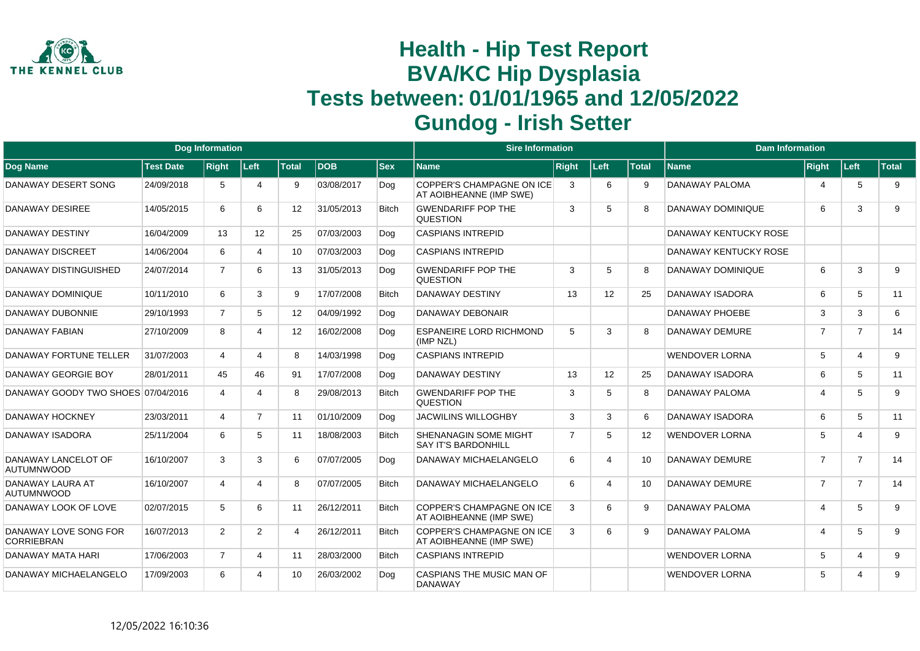

|                                            |                  | Dog Information |                 |                   |            |              | <b>Sire Information</b>                                     |                |                          |              | <b>Dam Information</b> |                |                       |       |
|--------------------------------------------|------------------|-----------------|-----------------|-------------------|------------|--------------|-------------------------------------------------------------|----------------|--------------------------|--------------|------------------------|----------------|-----------------------|-------|
| <b>Dog Name</b>                            | <b>Test Date</b> | <b>Right</b>    | Left            | <b>Total</b>      | <b>DOB</b> | <b>Sex</b>   | Name                                                        | <b>Right</b>   | Left                     | <b>Total</b> | <b>Name</b>            | Right          | ∣Left∶                | Total |
| DANAWAY DESERT SONG                        | 24/09/2018       | 5               | $\overline{4}$  | 9                 | 03/08/2017 | Dog          | <b>COPPER'S CHAMPAGNE ON ICE</b><br>AT AOIBHEANNE (IMP SWE) | 3              | 6                        | 9            | DANAWAY PALOMA         | 4              | 5                     | 9     |
| <b>DANAWAY DESIREE</b>                     | 14/05/2015       | 6               | 6               | $12 \overline{ }$ | 31/05/2013 | <b>Bitch</b> | <b>GWENDARIFF POP THE</b><br><b>QUESTION</b>                | 3              | 5                        | 8            | DANAWAY DOMINIQUE      | 6              | 3                     | 9     |
| DANAWAY DESTINY                            | 16/04/2009       | 13              | 12 <sup>2</sup> | 25                | 07/03/2003 | Dog          | <b>CASPIANS INTREPID</b>                                    |                |                          |              | DANAWAY KENTUCKY ROSE  |                |                       |       |
| <b>DANAWAY DISCREET</b>                    | 14/06/2004       | 6               | 4               | 10                | 07/03/2003 | Dog          | <b>CASPIANS INTREPID</b>                                    |                |                          |              | DANAWAY KENTUCKY ROSE  |                |                       |       |
| DANAWAY DISTINGUISHED                      | 24/07/2014       | $\overline{7}$  | 6               | 13                | 31/05/2013 | Dog          | <b>GWENDARIFF POP THE</b><br><b>QUESTION</b>                | 3              | 5                        | 8            | DANAWAY DOMINIQUE      | 6              | 3                     | 9     |
| DANAWAY DOMINIQUE                          | 10/11/2010       | 6               | 3               | 9                 | 17/07/2008 | <b>Bitch</b> | <b>DANAWAY DESTINY</b>                                      | 13             | 12                       | 25           | <b>DANAWAY ISADORA</b> | 6              | 5                     | 11    |
| DANAWAY DUBONNIE                           | 29/10/1993       | $\overline{7}$  | 5               | 12                | 04/09/1992 | Dog          | DANAWAY DEBONAIR                                            |                |                          |              | <b>DANAWAY PHOEBE</b>  | 3              | 3                     | 6     |
| <b>DANAWAY FABIAN</b>                      | 27/10/2009       | 8               | 4               | 12                | 16/02/2008 | Dog          | <b>ESPANEIRE LORD RICHMOND</b><br>(IMP NZL)                 | 5              | 3                        | 8            | <b>DANAWAY DEMURE</b>  | $\overline{7}$ | $\overline{7}$        | 14    |
| DANAWAY FORTUNE TELLER                     | 31/07/2003       | $\overline{4}$  | 4               | 8                 | 14/03/1998 | Dog          | <b>CASPIANS INTREPID</b>                                    |                |                          |              | <b>WENDOVER LORNA</b>  | 5              | $\overline{4}$        | 9     |
| DANAWAY GEORGIE BOY                        | 28/01/2011       | 45              | 46              | 91                | 17/07/2008 | Dog          | DANAWAY DESTINY                                             | 13             | 12                       | 25           | <b>DANAWAY ISADORA</b> | 6              | 5                     | 11    |
| DANAWAY GOODY TWO SHOES 07/04/2016         |                  | $\overline{4}$  | Δ               | 8                 | 29/08/2013 | <b>Bitch</b> | <b>GWENDARIFF POP THE</b><br><b>QUESTION</b>                | 3              | 5                        | 8            | <b>DANAWAY PALOMA</b>  | 4              | 5                     | 9     |
| DANAWAY HOCKNEY                            | 23/03/2011       | $\overline{4}$  | $\overline{7}$  | 11                | 01/10/2009 | Dog          | <b>JACWILINS WILLOGHBY</b>                                  | 3              | 3                        | 6            | <b>DANAWAY ISADORA</b> | 6              | 5                     | 11    |
| DANAWAY ISADORA                            | 25/11/2004       | 6               | 5               | 11                | 18/08/2003 | <b>Bitch</b> | <b>SHENANAGIN SOME MIGHT</b><br><b>SAY IT'S BARDONHILL</b>  | $\overline{7}$ | 5                        | 12           | <b>WENDOVER LORNA</b>  | 5              | $\overline{4}$        | 9     |
| DANAWAY LANCELOT OF<br><b>AUTUMNWOOD</b>   | 16/10/2007       | 3               | 3               | 6                 | 07/07/2005 | Dog          | DANAWAY MICHAELANGELO                                       | 6              | $\boldsymbol{\Delta}$    | 10           | <b>DANAWAY DEMURE</b>  | $\overline{7}$ | $\overline{7}$        | 14    |
| DANAWAY LAURA AT<br><b>AUTUMNWOOD</b>      | 16/10/2007       | 4               | $\Delta$        | 8                 | 07/07/2005 | <b>Bitch</b> | DANAWAY MICHAELANGELO                                       | 6              | $\boldsymbol{\varDelta}$ | 10           | <b>DANAWAY DEMURE</b>  | $\overline{7}$ | $\overline{7}$        | 14    |
| DANAWAY LOOK OF LOVE                       | 02/07/2015       | 5               | 6               | 11                | 26/12/2011 | <b>Bitch</b> | COPPER'S CHAMPAGNE ON ICE<br>AT AOIBHEANNE (IMP SWE)        | 3              | 6                        | 9            | <b>DANAWAY PALOMA</b>  | 4              | 5                     | 9     |
| DANAWAY LOVE SONG FOR<br><b>CORRIEBRAN</b> | 16/07/2013       | $\overline{2}$  | $\overline{2}$  | 4                 | 26/12/2011 | <b>Bitch</b> | <b>COPPER'S CHAMPAGNE ON ICE</b><br>AT AOIBHEANNE (IMP SWE) | 3              | 6                        | <b>q</b>     | <b>DANAWAY PALOMA</b>  | $\overline{4}$ | 5                     | 9     |
| DANAWAY MATA HARI                          | 17/06/2003       | $\overline{7}$  | 4               | 11                | 28/03/2000 | <b>Bitch</b> | <b>CASPIANS INTREPID</b>                                    |                |                          |              | <b>WENDOVER LORNA</b>  | 5              | $\overline{4}$        | 9     |
| DANAWAY MICHAELANGELO                      | 17/09/2003       | 6               | Δ               | 10                | 26/03/2002 | Dog          | CASPIANS THE MUSIC MAN OF<br><b>DANAWAY</b>                 |                |                          |              | <b>WENDOVER LORNA</b>  | 5              | $\boldsymbol{\Delta}$ | 9     |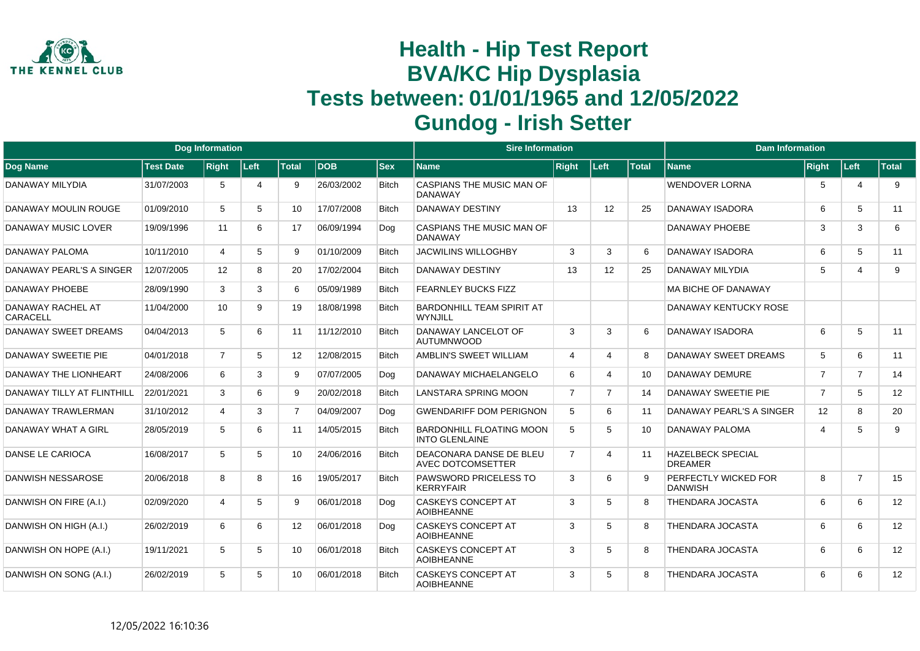

|                                      |                  | <b>Dog Information</b> |        |                |            |              | <b>Sire Information</b>                                  |                |                |       | <b>Dam Information</b>                     |                |                |              |
|--------------------------------------|------------------|------------------------|--------|----------------|------------|--------------|----------------------------------------------------------|----------------|----------------|-------|--------------------------------------------|----------------|----------------|--------------|
| Dog Name                             | <b>Test Date</b> | <b>Right</b>           | ∣Left∶ | <b>Total</b>   | <b>DOB</b> | <b>Sex</b>   | <b>Name</b>                                              | <b>Right</b>   | Left           | Total | <b>Name</b>                                | Right          | Left           | <b>Total</b> |
| DANAWAY MILYDIA                      | 31/07/2003       | 5                      | 4      | 9              | 26/03/2002 | <b>Bitch</b> | CASPIANS THE MUSIC MAN OF<br><b>DANAWAY</b>              |                |                |       | <b>WENDOVER LORNA</b>                      | 5              | 4              | 9            |
| <b>DANAWAY MOULIN ROUGE</b>          | 01/09/2010       | 5                      | 5      | 10             | 17/07/2008 | <b>Bitch</b> | <b>DANAWAY DESTINY</b>                                   | 13             | 12             | 25    | <b>DANAWAY ISADORA</b>                     | 6              | 5              | 11           |
| DANAWAY MUSIC LOVER                  | 19/09/1996       | 11                     | 6      | 17             | 06/09/1994 | Dog          | <b>CASPIANS THE MUSIC MAN OF</b><br><b>DANAWAY</b>       |                |                |       | DANAWAY PHOEBE                             | 3              | 3              | 6            |
| DANAWAY PALOMA                       | 10/11/2010       | 4                      | 5      | 9              | 01/10/2009 | <b>Bitch</b> | <b>JACWILINS WILLOGHBY</b>                               | 3              | 3              | 6     | DANAWAY ISADORA                            | 6              | 5              | 11           |
| DANAWAY PEARL'S A SINGER             | 12/07/2005       | 12 <sup>°</sup>        | 8      | 20             | 17/02/2004 | <b>Bitch</b> | <b>DANAWAY DESTINY</b>                                   | 13             | 12             | 25    | DANAWAY MILYDIA                            | 5              | Δ              | 9            |
| DANAWAY PHOEBE                       | 28/09/1990       | 3                      | 3      | 6              | 05/09/1989 | <b>Bitch</b> | <b>FEARNLEY BUCKS FIZZ</b>                               |                |                |       | <b>MA BICHE OF DANAWAY</b>                 |                |                |              |
| DANAWAY RACHEL AT<br><b>CARACELL</b> | 11/04/2000       | 10                     | 9      | 19             | 18/08/1998 | <b>Bitch</b> | <b>BARDONHILL TEAM SPIRIT AT</b><br><b>WYNJILL</b>       |                |                |       | <b>DANAWAY KENTUCKY ROSE</b>               |                |                |              |
| DANAWAY SWEET DREAMS                 | 04/04/2013       | 5                      | 6      | 11             | 11/12/2010 | <b>Bitch</b> | DANAWAY LANCELOT OF<br><b>AUTUMNWOOD</b>                 | 3              | 3              | 6     | <b>DANAWAY ISADORA</b>                     | 6              | 5              | 11           |
| DANAWAY SWEETIE PIE                  | 04/01/2018       | $\overline{7}$         | 5      | 12             | 12/08/2015 | <b>Bitch</b> | AMBLIN'S SWEET WILLIAM                                   | 4              | 4              | 8     | <b>DANAWAY SWEET DREAMS</b>                | 5              | 6              | 11           |
| <b>DANAWAY THE LIONHEART</b>         | 24/08/2006       | 6                      | 3      | 9              | 07/07/2005 | Dog          | DANAWAY MICHAELANGELO                                    | 6              | 4              | 10    | DANAWAY DEMURE                             | $\overline{7}$ | $\overline{7}$ | 14           |
| DANAWAY TILLY AT FLINTHILL           | 22/01/2021       | 3                      | 6      | 9              | 20/02/2018 | <b>Bitch</b> | LANSTARA SPRING MOON                                     | $\overline{7}$ | $\overline{7}$ | 14    | <b>DANAWAY SWEETIE PIE</b>                 | $\overline{7}$ | 5              | 12           |
| DANAWAY TRAWLERMAN                   | 31/10/2012       | 4                      | 3      | $\overline{7}$ | 04/09/2007 | Dog          | <b>GWENDARIFF DOM PERIGNON</b>                           | 5              | 6              | 11    | DANAWAY PEARL'S A SINGER                   | 12             | 8              | 20           |
| DANAWAY WHAT A GIRL                  | 28/05/2019       | 5                      | 6      | 11             | 14/05/2015 | <b>Bitch</b> | <b>BARDONHILL FLOATING MOON</b><br><b>INTO GLENLAINE</b> | 5              | 5              | 10    | DANAWAY PALOMA                             | $\overline{4}$ | 5              | 9            |
| DANSE LE CARIOCA                     | 16/08/2017       | 5                      | 5      | 10             | 24/06/2016 | <b>Bitch</b> | DEACONARA DANSE DE BLEU<br><b>AVEC DOTCOMSETTER</b>      | $\overline{7}$ | 4              | 11    | <b>HAZELBECK SPECIAL</b><br><b>DREAMER</b> |                |                |              |
| <b>DANWISH NESSAROSE</b>             | 20/06/2018       | 8                      | 8      | 16             | 19/05/2017 | <b>Bitch</b> | <b>PAWSWORD PRICELESS TO</b><br><b>KERRYFAIR</b>         | 3              | 6              |       | PERFECTLY WICKED FOR<br><b>DANWISH</b>     | 8              | $\overline{7}$ | 15           |
| DANWISH ON FIRE (A.I.)               | 02/09/2020       | 4                      | 5      | 9              | 06/01/2018 | Dog          | <b>CASKEYS CONCEPT AT</b><br><b>AOIBHEANNE</b>           | 3              | 5              | 8     | <b>THENDARA JOCASTA</b>                    | 6              | 6              | 12           |
| DANWISH ON HIGH (A.I.)               | 26/02/2019       | 6                      | 6      | 12             | 06/01/2018 | Dog          | <b>CASKEYS CONCEPT AT</b><br><b>AOIBHEANNE</b>           | 3              | 5              | 8     | <b>THENDARA JOCASTA</b>                    | 6              | 6              | 12           |
| DANWISH ON HOPE (A.I.)               | 19/11/2021       | 5                      | 5      | 10             | 06/01/2018 | <b>Bitch</b> | <b>CASKEYS CONCEPT AT</b><br><b>AOIBHEANNE</b>           | 3              | 5              | 8     | <b>THENDARA JOCASTA</b>                    | 6              | 6              | 12           |
| DANWISH ON SONG (A.I.)               | 26/02/2019       | 5                      | 5      | 10             | 06/01/2018 | <b>Bitch</b> | <b>CASKEYS CONCEPT AT</b><br><b>AOIBHEANNE</b>           | 3              | 5              | 8     | <b>THENDARA JOCASTA</b>                    | 6              | 6              | 12           |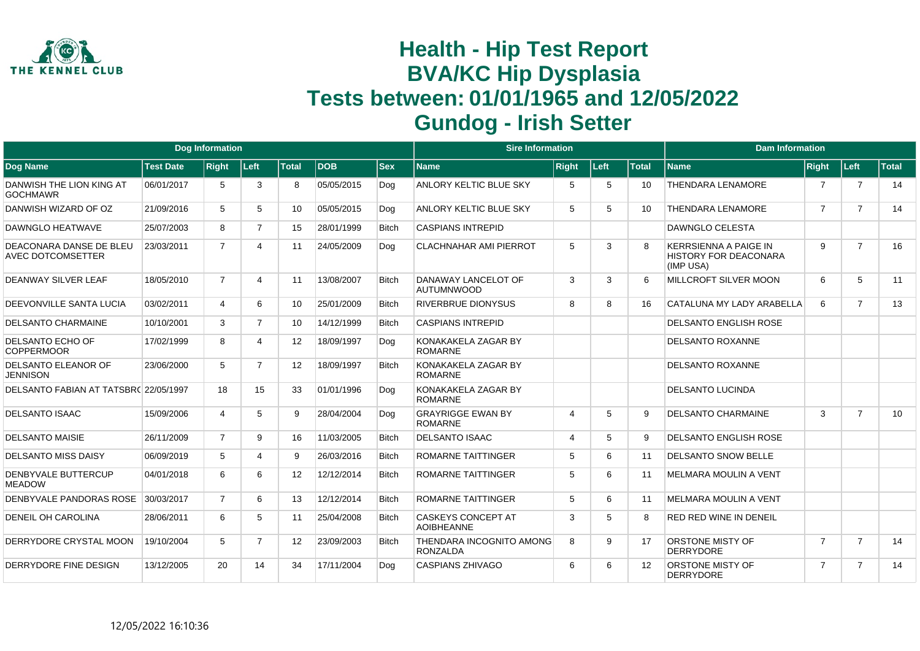

|                                                     |                  | <b>Dog Information</b> |                |                   |            |              | <b>Sire Information</b>                        |                       |      |                   | <b>Dam Information</b>                                             |                |                |              |
|-----------------------------------------------------|------------------|------------------------|----------------|-------------------|------------|--------------|------------------------------------------------|-----------------------|------|-------------------|--------------------------------------------------------------------|----------------|----------------|--------------|
| <b>Dog Name</b>                                     | <b>Test Date</b> | <b>Right</b>           | Left           | <b>Total</b>      | <b>DOB</b> | <b>Sex</b>   | <b>Name</b>                                    | <b>Right</b>          | Left | <b>Total</b>      | <b>Name</b>                                                        | <b>Right</b>   | Left           | <b>Total</b> |
| DANWISH THE LION KING AT<br><b>GOCHMAWR</b>         | 06/01/2017       | 5                      | 3              | 8                 | 05/05/2015 | Dog          | ANLORY KELTIC BLUE SKY                         | 5                     | 5    | 10                | <b>THENDARA LENAMORE</b>                                           | $\overline{7}$ | $\overline{7}$ | 14           |
| DANWISH WIZARD OF OZ                                | 21/09/2016       | 5                      | 5              | 10                | 05/05/2015 | Dog          | ANLORY KELTIC BLUE SKY                         | 5                     | 5    | 10                | <b>THENDARA LENAMORE</b>                                           | $\overline{7}$ | $\overline{7}$ | 14           |
| DAWNGLO HEATWAVE                                    | 25/07/2003       | 8                      | $\overline{7}$ | 15                | 28/01/1999 | <b>Bitch</b> | <b>CASPIANS INTREPID</b>                       |                       |      |                   | <b>DAWNGLO CELESTA</b>                                             |                |                |              |
| DEACONARA DANSE DE BLEU<br><b>AVEC DOTCOMSETTER</b> | 23/03/2011       | $\overline{7}$         | 4              | 11                | 24/05/2009 | Dog          | <b>CLACHNAHAR AMI PIERROT</b>                  | 5                     | 3    |                   | <b>KERRSIENNA A PAIGE IN</b><br>HISTORY FOR DEACONARA<br>(IMP USA) | 9              | $\overline{7}$ | 16           |
| DEANWAY SILVER LEAF                                 | 18/05/2010       | $\overline{7}$         | 4              | 11                | 13/08/2007 | <b>Bitch</b> | DANAWAY LANCELOT OF<br><b>AUTUMNWOOD</b>       | 3                     | 3    | 6                 | <b>MILLCROFT SILVER MOON</b>                                       | 6              | 5              | 11           |
| DEEVONVILLE SANTA LUCIA                             | 03/02/2011       | $\overline{4}$         | 6              | 10 <sup>1</sup>   | 25/01/2009 | <b>Bitch</b> | <b>RIVERBRUE DIONYSUS</b>                      | 8                     | 8    | 16                | CATALUNA MY LADY ARABELLA                                          | 6              | $\overline{7}$ | 13           |
| <b>DELSANTO CHARMAINE</b>                           | 10/10/2001       | 3                      | $\overline{7}$ | 10                | 14/12/1999 | <b>Bitch</b> | <b>CASPIANS INTREPID</b>                       |                       |      |                   | <b>DELSANTO ENGLISH ROSE</b>                                       |                |                |              |
| DELSANTO ECHO OF<br><b>COPPERMOOR</b>               | 17/02/1999       | 8                      | 4              | $12 \overline{ }$ | 18/09/1997 | Dog          | KONAKAKELA ZAGAR BY<br><b>ROMARNE</b>          |                       |      |                   | <b>DELSANTO ROXANNE</b>                                            |                |                |              |
| DELSANTO ELEANOR OF<br><b>JENNISON</b>              | 23/06/2000       | 5                      | 7              | 12                | 18/09/1997 | <b>Bitch</b> | KONAKAKELA ZAGAR BY<br><b>ROMARNE</b>          |                       |      |                   | <b>DELSANTO ROXANNE</b>                                            |                |                |              |
| DELSANTO FABIAN AT TATSBRC 22/05/1997               |                  | 18                     | 15             | 33                | 01/01/1996 | Dog          | KONAKAKELA ZAGAR BY<br><b>ROMARNE</b>          |                       |      |                   | <b>DELSANTO LUCINDA</b>                                            |                |                |              |
| <b>DELSANTO ISAAC</b>                               | 15/09/2006       | $\overline{4}$         | 5              | 9                 | 28/04/2004 | Dog          | <b>GRAYRIGGE EWAN BY</b><br><b>ROMARNE</b>     | $\boldsymbol{\Delta}$ | 5    | q                 | <b>DELSANTO CHARMAINE</b>                                          | 3              | $\overline{7}$ | 10           |
| <b>DELSANTO MAISIE</b>                              | 26/11/2009       | $\overline{7}$         | 9              | 16                | 11/03/2005 | <b>Bitch</b> | <b>DELSANTO ISAAC</b>                          | $\boldsymbol{\Delta}$ | 5    | 9                 | <b>DELSANTO ENGLISH ROSE</b>                                       |                |                |              |
| <b>DELSANTO MISS DAISY</b>                          | 06/09/2019       | 5                      | 4              | 9                 | 26/03/2016 | <b>Bitch</b> | <b>ROMARNE TAITTINGER</b>                      | 5                     | 6    | 11                | <b>DELSANTO SNOW BELLE</b>                                         |                |                |              |
| DENBYVALE BUTTERCUP<br><b>MEADOW</b>                | 04/01/2018       | 6                      | 6              | $12 \overline{ }$ | 12/12/2014 | <b>Bitch</b> | <b>ROMARNE TAITTINGER</b>                      | 5                     | 6    | 11                | <b>MELMARA MOULIN A VENT</b>                                       |                |                |              |
| DENBYVALE PANDORAS ROSE                             | 30/03/2017       | $\overline{7}$         | 6              | 13                | 12/12/2014 | <b>Bitch</b> | <b>ROMARNE TAITTINGER</b>                      | 5                     | 6    | 11                | <b>MELMARA MOULIN A VENT</b>                                       |                |                |              |
| <b>DENEIL OH CAROLINA</b>                           | 28/06/2011       | 6                      | 5              | 11                | 25/04/2008 | <b>Bitch</b> | <b>CASKEYS CONCEPT AT</b><br><b>AOIBHEANNE</b> | 3                     | 5    | 8                 | <b>RED RED WINE IN DENEIL</b>                                      |                |                |              |
| DERRYDORE CRYSTAL MOON                              | 19/10/2004       | 5                      | $\overline{7}$ | $12 \overline{ }$ | 23/09/2003 | <b>Bitch</b> | THENDARA INCOGNITO AMONG<br><b>RONZALDA</b>    | 8                     | 9    | 17                | <b>ORSTONE MISTY OF</b><br><b>DERRYDORE</b>                        | $\overline{7}$ | $\overline{7}$ | 14           |
| DERRYDORE FINE DESIGN                               | 13/12/2005       | 20                     | 14             | 34                | 17/11/2004 | Dog          | <b>CASPIANS ZHIVAGO</b>                        | 6                     | 6    | $12 \overline{ }$ | ORSTONE MISTY OF<br><b>DERRYDORE</b>                               | 7              | $\overline{7}$ | 14           |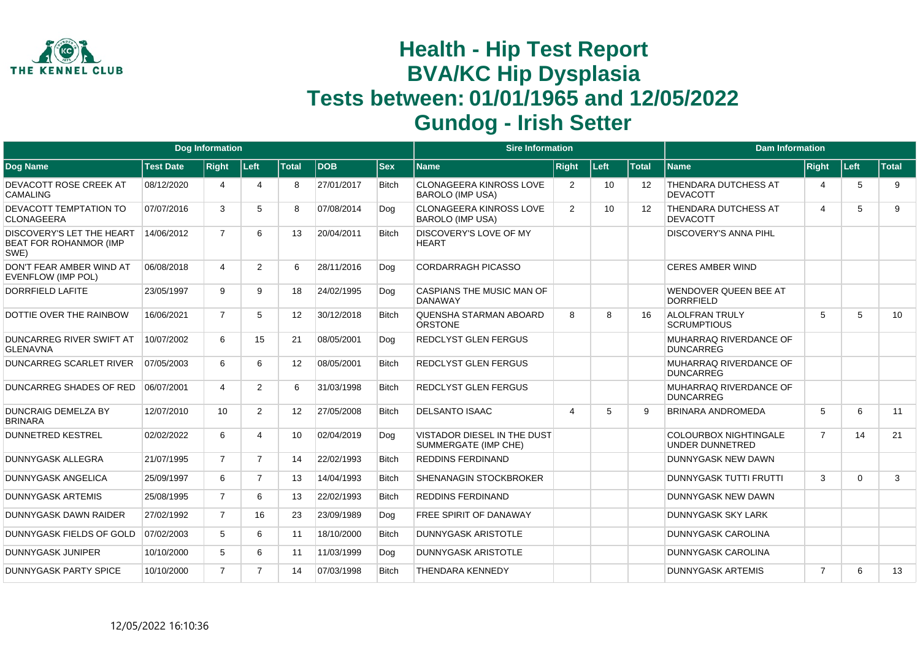

|                                                                    |                  | <b>Dog Information</b> |                |       |            |              | <b>Sire Information</b>                                   |                       |      |                   | <b>Dam Information</b>                                 |                |          |              |
|--------------------------------------------------------------------|------------------|------------------------|----------------|-------|------------|--------------|-----------------------------------------------------------|-----------------------|------|-------------------|--------------------------------------------------------|----------------|----------|--------------|
| Dog Name                                                           | <b>Test Date</b> | <b>Right</b>           | Left           | Total | <b>DOB</b> | <b>Sex</b>   | <b>Name</b>                                               | <b>Right</b>          | Left | <b>Total</b>      | <b>Name</b>                                            | Right          | Left     | <b>Total</b> |
| DEVACOTT ROSE CREEK AT<br><b>CAMALING</b>                          | 08/12/2020       | $\overline{4}$         | Δ              | 8     | 27/01/2017 | <b>Bitch</b> | <b>CLONAGEERA KINROSS LOVE</b><br><b>BAROLO (IMP USA)</b> | 2                     | 10   | $12 \overline{ }$ | THENDARA DUTCHESS AT<br><b>DEVACOTT</b>                | 4              | 5        | 9            |
| DEVACOTT TEMPTATION TO<br><b>CLONAGEERA</b>                        | 07/07/2016       | 3                      | 5              | 8     | 07/08/2014 | Dog          | <b>CLONAGEERA KINROSS LOVE</b><br><b>BAROLO (IMP USA)</b> | 2                     | 10   | 12                | THENDARA DUTCHESS AT<br><b>DEVACOTT</b>                | 4              | 5        | 9            |
| DISCOVERY'S LET THE HEART<br><b>BEAT FOR ROHANMOR (IMP</b><br>SWE) | 14/06/2012       | $\overline{7}$         | 6              | 13    | 20/04/2011 | <b>Bitch</b> | <b>DISCOVERY'S LOVE OF MY</b><br><b>HEART</b>             |                       |      |                   | <b>DISCOVERY'S ANNA PIHL</b>                           |                |          |              |
| DON'T FEAR AMBER WIND AT<br><b>EVENFLOW (IMP POL)</b>              | 06/08/2018       | $\overline{4}$         | $\overline{2}$ | 6     | 28/11/2016 | Dog          | <b>CORDARRAGH PICASSO</b>                                 |                       |      |                   | <b>CERES AMBER WIND</b>                                |                |          |              |
| <b>DORRFIELD LAFITE</b>                                            | 23/05/1997       | 9                      | 9              | 18    | 24/02/1995 | Dog          | CASPIANS THE MUSIC MAN OF<br><b>DANAWAY</b>               |                       |      |                   | <b>WENDOVER QUEEN BEE AT</b><br><b>DORRFIELD</b>       |                |          |              |
| DOTTIE OVER THE RAINBOW                                            | 16/06/2021       | $\overline{7}$         | 5              | 12    | 30/12/2018 | <b>Bitch</b> | QUENSHA STARMAN ABOARD<br><b>ORSTONE</b>                  | 8                     | 8    | 16                | <b>ALOLFRAN TRULY</b><br><b>SCRUMPTIOUS</b>            | 5              | 5        | 10           |
| <b>DUNCARREG RIVER SWIFT AT</b><br><b>GLENAVNA</b>                 | 10/07/2002       | 6                      | 15             | 21    | 08/05/2001 | Dog          | <b>REDCLYST GLEN FERGUS</b>                               |                       |      |                   | MUHARRAQ RIVERDANCE OF<br><b>DUNCARREG</b>             |                |          |              |
| <b>DUNCARREG SCARLET RIVER</b>                                     | 07/05/2003       | 6                      | 6              | 12    | 08/05/2001 | <b>Bitch</b> | <b>REDCLYST GLEN FERGUS</b>                               |                       |      |                   | MUHARRAQ RIVERDANCE OF<br><b>DUNCARREG</b>             |                |          |              |
| <b>DUNCARREG SHADES OF RED</b>                                     | 06/07/2001       | 4                      | $\overline{2}$ | 6     | 31/03/1998 | <b>Bitch</b> | <b>REDCLYST GLEN FERGUS</b>                               |                       |      |                   | MUHARRAQ RIVERDANCE OF<br><b>DUNCARREG</b>             |                |          |              |
| <b>DUNCRAIG DEMELZA BY</b><br><b>BRINARA</b>                       | 12/07/2010       | 10                     | $\overline{2}$ | 12    | 27/05/2008 | <b>Bitch</b> | <b>DELSANTO ISAAC</b>                                     | $\boldsymbol{\Delta}$ | 5    | g                 | <b>BRINARA ANDROMEDA</b>                               | 5              | 6        | 11           |
| <b>DUNNETRED KESTREL</b>                                           | 02/02/2022       | 6                      |                | 10    | 02/04/2019 | Dog          | VISTADOR DIESEL IN THE DUST<br>SUMMERGATE (IMP CHE)       |                       |      |                   | <b>COLOURBOX NIGHTINGALE</b><br><b>UNDER DUNNETRED</b> | $\overline{7}$ | 14       | 21           |
| <b>DUNNYGASK ALLEGRA</b>                                           | 21/07/1995       | $\overline{7}$         | $\overline{7}$ | 14    | 22/02/1993 | <b>Bitch</b> | <b>REDDINS FERDINAND</b>                                  |                       |      |                   | <b>DUNNYGASK NEW DAWN</b>                              |                |          |              |
| <b>DUNNYGASK ANGELICA</b>                                          | 25/09/1997       | 6                      | $\overline{7}$ | 13    | 14/04/1993 | <b>Bitch</b> | <b>SHENANAGIN STOCKBROKER</b>                             |                       |      |                   | <b>DUNNYGASK TUTTI FRUTTI</b>                          | 3              | $\Omega$ | 3            |
| <b>DUNNYGASK ARTEMIS</b>                                           | 25/08/1995       | $\overline{7}$         | 6              | 13    | 22/02/1993 | <b>Bitch</b> | <b>REDDINS FERDINAND</b>                                  |                       |      |                   | DUNNYGASK NEW DAWN                                     |                |          |              |
| <b>DUNNYGASK DAWN RAIDER</b>                                       | 27/02/1992       | $\overline{7}$         | 16             | 23    | 23/09/1989 | Dog          | <b>FREE SPIRIT OF DANAWAY</b>                             |                       |      |                   | <b>DUNNYGASK SKY LARK</b>                              |                |          |              |
| DUNNYGASK FIELDS OF GOLD                                           | 07/02/2003       | 5                      | 6              | 11    | 18/10/2000 | <b>Bitch</b> | <b>DUNNYGASK ARISTOTLE</b>                                |                       |      |                   | <b>DUNNYGASK CAROLINA</b>                              |                |          |              |
| <b>DUNNYGASK JUNIPER</b>                                           | 10/10/2000       | 5                      | 6              | 11    | 11/03/1999 | Dog          | <b>DUNNYGASK ARISTOTLE</b>                                |                       |      |                   | <b>DUNNYGASK CAROLINA</b>                              |                |          |              |
| <b>DUNNYGASK PARTY SPICE</b>                                       | 10/10/2000       | $\overline{7}$         | $\overline{7}$ | 14    | 07/03/1998 | <b>Bitch</b> | <b>THENDARA KENNEDY</b>                                   |                       |      |                   | <b>DUNNYGASK ARTEMIS</b>                               | $\overline{7}$ | 6        | 13           |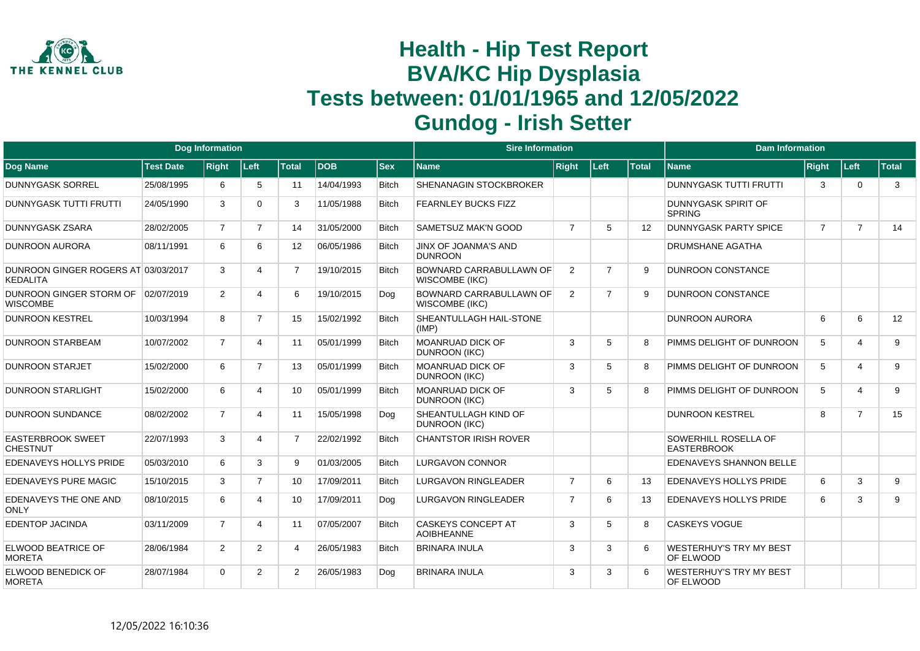

|                                                        |                  | <b>Dog Information</b> |                |                 |             |              | <b>Sire Information</b>                                 |                |                |              | <b>Dam Information</b>                      |                |                         |              |
|--------------------------------------------------------|------------------|------------------------|----------------|-----------------|-------------|--------------|---------------------------------------------------------|----------------|----------------|--------------|---------------------------------------------|----------------|-------------------------|--------------|
| Dog Name                                               | <b>Test Date</b> | <b>Right</b>           | Left           | <b>Total</b>    | <b>IDOB</b> | $ $ Sex      | Name                                                    | <b>Right</b>   | Left           | <b>Total</b> | <b>Name</b>                                 | Right          | Left                    | <b>Total</b> |
| <b>DUNNYGASK SORREL</b>                                | 25/08/1995       | 6                      | 5              | 11              | 14/04/1993  | <b>Bitch</b> | <b>SHENANAGIN STOCKBROKER</b>                           |                |                |              | <b>DUNNYGASK TUTTI FRUTTI</b>               | 3              | $\Omega$                | 3            |
| <b>DUNNYGASK TUTTI FRUTTI</b>                          | 24/05/1990       | 3                      | $\Omega$       | 3               | 11/05/1988  | <b>Bitch</b> | <b>FEARNLEY BUCKS FIZZ</b>                              |                |                |              | DUNNYGASK SPIRIT OF<br><b>SPRING</b>        |                |                         |              |
| <b>DUNNYGASK ZSARA</b>                                 | 28/02/2005       | $\overline{7}$         | $\overline{7}$ | 14              | 31/05/2000  | Bitch        | <b>SAMETSUZ MAK'N GOOD</b>                              | $\overline{7}$ | 5              | 12           | <b>DUNNYGASK PARTY SPICE</b>                | $\overline{7}$ | $\overline{7}$          | 14           |
| DUNROON AURORA                                         | 08/11/1991       | 6                      | 6              | 12              | 06/05/1986  | <b>Bitch</b> | <b>JINX OF JOANMA'S AND</b><br><b>DUNROON</b>           |                |                |              | <b>DRUMSHANE AGATHA</b>                     |                |                         |              |
| DUNROON GINGER ROGERS AT 03/03/2017<br><b>KEDALITA</b> |                  | 3                      | 4              | $\overline{7}$  | 19/10/2015  | <b>Bitch</b> | <b>BOWNARD CARRABULLAWN OF</b><br><b>WISCOMBE (IKC)</b> | 2              | $\overline{7}$ | <sub>9</sub> | <b>DUNROON CONSTANCE</b>                    |                |                         |              |
| DUNROON GINGER STORM OF<br><b>WISCOMBE</b>             | 02/07/2019       | $\overline{2}$         | 4              | 6               | 19/10/2015  | Dog          | <b>BOWNARD CARRABULLAWN OF</b><br><b>WISCOMBE (IKC)</b> | 2              | $\overline{7}$ | 9            | <b>DUNROON CONSTANCE</b>                    |                |                         |              |
| <b>DUNROON KESTREL</b>                                 | 10/03/1994       | 8                      | $\overline{7}$ | 15              | 15/02/1992  | <b>Bitch</b> | SHEANTULLAGH HAIL-STONE<br>(IMP)                        |                |                |              | <b>DUNROON AURORA</b>                       | 6              | 6                       | 12           |
| <b>DUNROON STARBEAM</b>                                | 10/07/2002       | $\overline{7}$         | 4              | 11              | 05/01/1999  | <b>Bitch</b> | <b>MOANRUAD DICK OF</b><br><b>DUNROON (IKC)</b>         | 3              | 5              | 8            | PIMMS DELIGHT OF DUNROON                    | 5              | 4                       | 9            |
| <b>DUNROON STARJET</b>                                 | 15/02/2000       | 6                      | $\overline{7}$ | 13              | 05/01/1999  | <b>Bitch</b> | <b>MOANRUAD DICK OF</b><br><b>DUNROON (IKC)</b>         | 3              | 5              | 8            | PIMMS DELIGHT OF DUNROON                    | 5              | $\overline{\mathbf{4}}$ | 9            |
| <b>DUNROON STARLIGHT</b>                               | 15/02/2000       | 6                      | 4              | 10              | 05/01/1999  | <b>Bitch</b> | <b>MOANRUAD DICK OF</b><br><b>DUNROON (IKC)</b>         | 3              | 5              |              | PIMMS DELIGHT OF DUNROON                    | 5              | $\overline{\mathbf{4}}$ | 9            |
| <b>DUNROON SUNDANCE</b>                                | 08/02/2002       | $\overline{7}$         | 4              | 11              | 15/05/1998  | Dog          | <b>SHEANTULLAGH KIND OF</b><br><b>DUNROON (IKC)</b>     |                |                |              | <b>DUNROON KESTREL</b>                      | 8              | $\overline{7}$          | 15           |
| <b>EASTERBROOK SWEET</b><br><b>CHESTNUT</b>            | 22/07/1993       | 3                      | 4              | $\overline{7}$  | 22/02/1992  | <b>Bitch</b> | <b>CHANTSTOR IRISH ROVER</b>                            |                |                |              | SOWERHILL ROSELLA OF<br><b>EASTERBROOK</b>  |                |                         |              |
| <b>EDENAVEYS HOLLYS PRIDE</b>                          | 05/03/2010       | 6                      | 3              | 9               | 01/03/2005  | <b>Bitch</b> | <b>LURGAVON CONNOR</b>                                  |                |                |              | EDENAVEYS SHANNON BELLE                     |                |                         |              |
| <b>EDENAVEYS PURE MAGIC</b>                            | 15/10/2015       | 3                      | $\overline{7}$ | 10 <sup>1</sup> | 17/09/2011  | <b>Bitch</b> | <b>LURGAVON RINGLEADER</b>                              | $\overline{7}$ | 6              | 13           | EDENAVEYS HOLLYS PRIDE                      | 6              | 3                       | 9            |
| EDENAVEYS THE ONE AND<br>ONLY                          | 08/10/2015       | 6                      | 4              | 10              | 17/09/2011  | Dog          | <b>LURGAVON RINGLEADER</b>                              | $\overline{7}$ | 6              | 13           | EDENAVEYS HOLLYS PRIDE                      | 6              | 3                       | 9            |
| <b>EDENTOP JACINDA</b>                                 | 03/11/2009       | $\overline{7}$         | 4              | 11              | 07/05/2007  | <b>Bitch</b> | <b>CASKEYS CONCEPT AT</b><br><b>AOIBHEANNE</b>          | 3              | 5              | 8            | <b>CASKEYS VOGUE</b>                        |                |                         |              |
| ELWOOD BEATRICE OF<br><b>MORETA</b>                    | 28/06/1984       | $\overline{2}$         | $\overline{2}$ | 4               | 26/05/1983  | <b>Bitch</b> | <b>BRINARA INULA</b>                                    | 3              | 3              | 6            | <b>WESTERHUY'S TRY MY BEST</b><br>OF ELWOOD |                |                         |              |
| ELWOOD BENEDICK OF<br><b>MORETA</b>                    | 28/07/1984       | $\Omega$               | $\overline{2}$ | $\overline{2}$  | 26/05/1983  | Dog          | <b>BRINARA INULA</b>                                    | 3              | 3              | 6            | <b>WESTERHUY'S TRY MY BEST</b><br>OF ELWOOD |                |                         |              |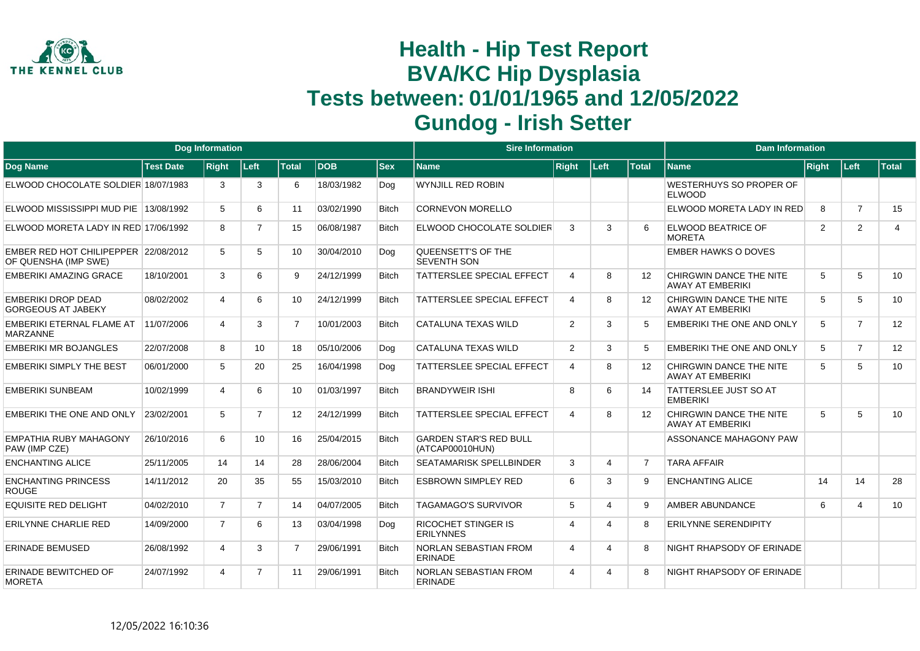

|                                                              |                  | <b>Dog Information</b> |                |                   |            |              | <b>Sire Information</b>                          |                |      |                   | <b>Dam Information</b>                             |              |                |                |
|--------------------------------------------------------------|------------------|------------------------|----------------|-------------------|------------|--------------|--------------------------------------------------|----------------|------|-------------------|----------------------------------------------------|--------------|----------------|----------------|
| Dog Name                                                     | <b>Test Date</b> | <b>Right</b>           | Left           | <b>Total</b>      | <b>DOB</b> | <b>Sex</b>   | <b>Name</b>                                      | <b>Right</b>   | Left | <b>Total</b>      | <b>Name</b>                                        | <b>Right</b> | ∣Left∶         | Total          |
| ELWOOD CHOCOLATE SOLDIER 18/07/1983                          |                  | 3                      | 3              | 6                 | 18/03/1982 | Dog          | <b>WYNJILL RED ROBIN</b>                         |                |      |                   | WESTERHUYS SO PROPER OF<br><b>ELWOOD</b>           |              |                |                |
| ELWOOD MISSISSIPPI MUD PIE 13/08/1992                        |                  | 5                      | 6              | 11                | 03/02/1990 | <b>Bitch</b> | <b>CORNEVON MORELLO</b>                          |                |      |                   | ELWOOD MORETA LADY IN RED                          | 8            | $\overline{7}$ | 15             |
| ELWOOD MORETA LADY IN RED 17/06/1992                         |                  | 8                      | 7              | 15                | 06/08/1987 | <b>Bitch</b> | <b>ELWOOD CHOCOLATE SOLDIER</b>                  | 3              | 3    | 6                 | ELWOOD BEATRICE OF<br><b>MORETA</b>                | 2            | 2              | $\overline{4}$ |
| EMBER RED HOT CHILIPEPPER 22/08/2012<br>OF QUENSHA (IMP SWE) |                  | 5                      | 5              | 10                | 30/04/2010 | Dog          | QUEENSETT'S OF THE<br><b>SEVENTH SON</b>         |                |      |                   | <b>EMBER HAWKS O DOVES</b>                         |              |                |                |
| <b>EMBERIKI AMAZING GRACE</b>                                | 18/10/2001       | 3                      | 6              | 9                 | 24/12/1999 | <b>Bitch</b> | <b>TATTERSLEE SPECIAL EFFECT</b>                 | $\overline{4}$ | 8    | 12                | CHIRGWIN DANCE THE NITE<br><b>AWAY AT EMBERIKI</b> | 5            | 5              | 10             |
| <b>EMBERIKI DROP DEAD</b><br><b>GORGEOUS AT JABEKY</b>       | 08/02/2002       | Δ                      | 6              | 10                | 24/12/1999 | <b>Bitch</b> | <b>TATTERSLEE SPECIAL EFFECT</b>                 | $\overline{4}$ | 8    | $12 \overline{ }$ | CHIRGWIN DANCE THE NITE<br><b>AWAY AT EMBERIKI</b> | 5            | 5              | 10             |
| EMBERIKI ETERNAL FLAME AT<br><b>MARZANNE</b>                 | 11/07/2006       | 4                      | 3              | $\overline{7}$    | 10/01/2003 | <b>Bitch</b> | CATALUNA TEXAS WILD                              | 2              | 3    | 5                 | <b>EMBERIKI THE ONE AND ONLY</b>                   | 5            | $\overline{7}$ | 12             |
| <b>EMBERIKI MR BOJANGLES</b>                                 | 22/07/2008       | 8                      | 10             | 18                | 05/10/2006 | Dog          | <b>CATALUNA TEXAS WILD</b>                       | 2              | 3    | 5                 | <b>EMBERIKI THE ONE AND ONLY</b>                   | 5            | $\overline{7}$ | 12             |
| <b>EMBERIKI SIMPLY THE BEST</b>                              | 06/01/2000       | 5                      | 20             | 25                | 16/04/1998 | Dog          | <b>TATTERSLEE SPECIAL EFFECT</b>                 | $\overline{4}$ | 8    | $12 \overline{ }$ | CHIRGWIN DANCE THE NITE<br><b>AWAY AT EMBERIKI</b> | 5            | 5              | 10             |
| <b>EMBERIKI SUNBEAM</b>                                      | 10/02/1999       | 4                      | 6              | 10                | 01/03/1997 | <b>Bitch</b> | <b>BRANDYWEIR ISHI</b>                           | 8              | 6    | 14                | <b>TATTERSLEE JUST SO AT</b><br><b>EMBERIKI</b>    |              |                |                |
| <b>EMBERIKI THE ONE AND ONLY</b>                             | 23/02/2001       | 5                      | $\overline{7}$ | $12 \overline{ }$ | 24/12/1999 | <b>Bitch</b> | <b>TATTERSLEE SPECIAL EFFECT</b>                 | $\overline{4}$ | 8    | $12 \overline{ }$ | CHIRGWIN DANCE THE NITE<br><b>AWAY AT EMBERIKI</b> | 5            | 5              | 10             |
| EMPATHIA RUBY MAHAGONY<br>PAW (IMP CZE)                      | 26/10/2016       | 6                      | 10             | 16                | 25/04/2015 | <b>Bitch</b> | <b>GARDEN STAR'S RED BULL</b><br>(ATCAP00010HUN) |                |      |                   | ASSONANCE MAHAGONY PAW                             |              |                |                |
| <b>ENCHANTING ALICE</b>                                      | 25/11/2005       | 14                     | 14             | 28                | 28/06/2004 | <b>Bitch</b> | <b>SEATAMARISK SPELLBINDER</b>                   | 3              | 4    | $\overline{7}$    | <b>TARA AFFAIR</b>                                 |              |                |                |
| <b>ENCHANTING PRINCESS</b><br><b>ROUGE</b>                   | 14/11/2012       | 20                     | 35             | 55                | 15/03/2010 | <b>Bitch</b> | <b>ESBROWN SIMPLEY RED</b>                       | 6              | 3    | 9                 | <b>ENCHANTING ALICE</b>                            | 14           | 14             | 28             |
| <b>EQUISITE RED DELIGHT</b>                                  | 04/02/2010       | $\overline{7}$         | $\overline{7}$ | 14                | 04/07/2005 | <b>Bitch</b> | <b>TAGAMAGO'S SURVIVOR</b>                       | 5              | 4    | 9                 | AMBER ABUNDANCE                                    | 6            | $\overline{4}$ | 10             |
| <b>ERILYNNE CHARLIE RED</b>                                  | 14/09/2000       | $\overline{7}$         | 6              | 13                | 03/04/1998 | Dog          | <b>RICOCHET STINGER IS</b><br><b>ERILYNNES</b>   | $\overline{4}$ | Δ    | 8                 | <b>ERILYNNE SERENDIPITY</b>                        |              |                |                |
| ERINADE BEMUSED                                              | 26/08/1992       | 4                      | 3              | $\overline{7}$    | 29/06/1991 | <b>Bitch</b> | <b>NORLAN SEBASTIAN FROM</b><br><b>ERINADE</b>   | $\overline{4}$ | 4    | 8                 | NIGHT RHAPSODY OF ERINADE                          |              |                |                |
| <b>ERINADE BEWITCHED OF</b><br><b>MORETA</b>                 | 24/07/1992       | 4                      | $\overline{7}$ | 11                | 29/06/1991 | <b>Bitch</b> | <b>NORLAN SEBASTIAN FROM</b><br><b>ERINADE</b>   | $\overline{4}$ | 4    | 8                 | NIGHT RHAPSODY OF ERINADE                          |              |                |                |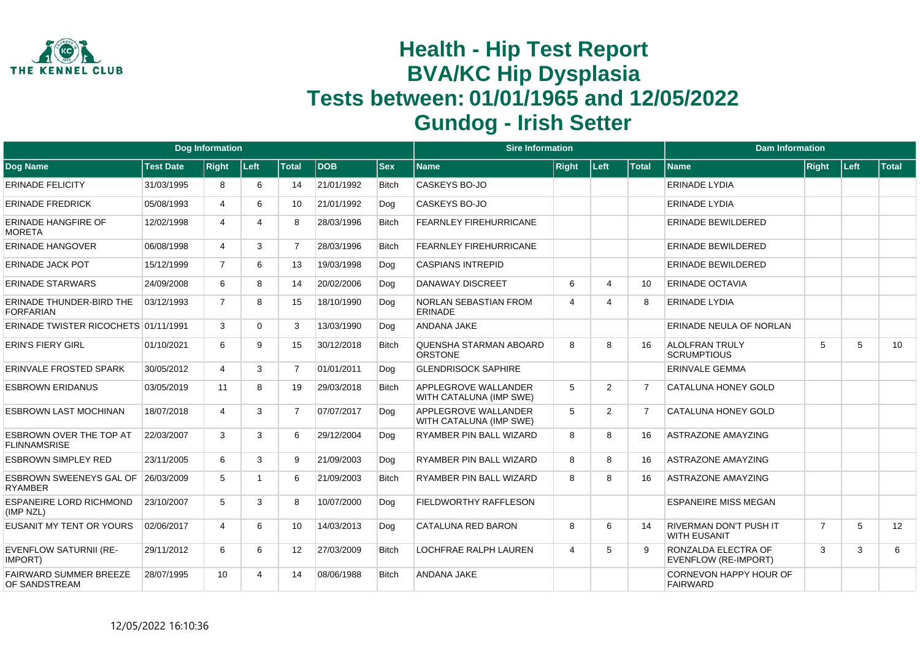

|                                                |                  | <b>Dog Information</b> |          |                |            |              | <b>Sire Information</b>                         |                |                       |              | <b>Dam Information</b>                               |                |      |       |
|------------------------------------------------|------------------|------------------------|----------|----------------|------------|--------------|-------------------------------------------------|----------------|-----------------------|--------------|------------------------------------------------------|----------------|------|-------|
| Dog Name                                       | <b>Test Date</b> | <b>Right</b>           | Left     | <b>Total</b>   | <b>DOB</b> | <b>Sex</b>   | <b>Name</b>                                     | <b>Right</b>   | Left                  | <b>Total</b> | <b>Name</b>                                          | Right          | Left | Total |
| <b>ERINADE FELICITY</b>                        | 31/03/1995       | 8                      | 6        | 14             | 21/01/1992 | <b>Bitch</b> | CASKEYS BO-JO                                   |                |                       |              | <b>ERINADE LYDIA</b>                                 |                |      |       |
| <b>ERINADE FREDRICK</b>                        | 05/08/1993       | 4                      | 6        | 10             | 21/01/1992 | Dog          | CASKEYS BO-JO                                   |                |                       |              | <b>ERINADE LYDIA</b>                                 |                |      |       |
| <b>ERINADE HANGFIRE OF</b><br><b>MORETA</b>    | 12/02/1998       | 4                      | 4        | 8              | 28/03/1996 | <b>Bitch</b> | <b>FEARNLEY FIREHURRICANE</b>                   |                |                       |              | <b>ERINADE BEWILDERED</b>                            |                |      |       |
| <b>ERINADE HANGOVER</b>                        | 06/08/1998       | 4                      | 3        | $\overline{7}$ | 28/03/1996 | <b>Bitch</b> | <b>FEARNLEY FIREHURRICANE</b>                   |                |                       |              | <b>ERINADE BEWILDERED</b>                            |                |      |       |
| <b>ERINADE JACK POT</b>                        | 15/12/1999       | $\overline{7}$         | 6        | 13             | 19/03/1998 | Dog          | <b>CASPIANS INTREPID</b>                        |                |                       |              | ERINADE BEWILDERED                                   |                |      |       |
| <b>ERINADE STARWARS</b>                        | 24/09/2008       | 6                      | 8        | 14             | 20/02/2006 | Dog          | <b>DANAWAY DISCREET</b>                         | 6              | $\boldsymbol{\Delta}$ | 10           | <b>ERINADE OCTAVIA</b>                               |                |      |       |
| ERINADE THUNDER-BIRD THE<br><b>FORFARIAN</b>   | 03/12/1993       | $\overline{7}$         | 8        | 15             | 18/10/1990 | Dog          | NORLAN SEBASTIAN FROM<br><b>ERINADE</b>         | $\overline{4}$ | $\boldsymbol{\Delta}$ | 8            | <b>ERINADE LYDIA</b>                                 |                |      |       |
| ERINADE TWISTER RICOCHETS 01/11/1991           |                  | 3                      | $\Omega$ | 3              | 13/03/1990 | Dog          | <b>ANDANA JAKE</b>                              |                |                       |              | ERINADE NEULA OF NORLAN                              |                |      |       |
| <b>ERIN'S FIERY GIRL</b>                       | 01/10/2021       | 6                      | 9        | 15             | 30/12/2018 | <b>Bitch</b> | QUENSHA STARMAN ABOARD<br><b>ORSTONE</b>        | 8              | 8                     | 16           | <b>ALOLFRAN TRULY</b><br><b>SCRUMPTIOUS</b>          | 5              | 5    | 10    |
| <b>ERINVALE FROSTED SPARK</b>                  | 30/05/2012       | $\overline{4}$         | 3        | $\overline{7}$ | 01/01/2011 | Dog          | <b>GLENDRISOCK SAPHIRE</b>                      |                |                       |              | <b>ERINVALE GEMMA</b>                                |                |      |       |
| <b>ESBROWN ERIDANUS</b>                        | 03/05/2019       | 11                     | 8        | 19             | 29/03/2018 | <b>Bitch</b> | APPLEGROVE WALLANDER<br>WITH CATALUNA (IMP SWE) | 5              | $\overline{2}$        | 7            | CATALUNA HONEY GOLD                                  |                |      |       |
| <b>ESBROWN LAST MOCHINAN</b>                   | 18/07/2018       | $\overline{4}$         | 3        | $\overline{7}$ | 07/07/2017 | Dog          | APPLEGROVE WALLANDER<br>WITH CATALUNA (IMP SWE) | 5              | 2                     | 7            | <b>CATALUNA HONEY GOLD</b>                           |                |      |       |
| ESBROWN OVER THE TOP AT<br><b>FLINNAMSRISE</b> | 22/03/2007       | 3                      | 3        | 6              | 29/12/2004 | Dog          | RYAMBER PIN BALL WIZARD                         | 8              | 8                     | 16           | <b>ASTRAZONE AMAYZING</b>                            |                |      |       |
| <b>ESBROWN SIMPLEY RED</b>                     | 23/11/2005       | 6                      | 3        | 9              | 21/09/2003 | Dog          | RYAMBER PIN BALL WIZARD                         | 8              | 8                     | 16           | <b>ASTRAZONE AMAYZING</b>                            |                |      |       |
| ESBROWN SWEENEYS GAL OF<br><b>RYAMBER</b>      | 26/03/2009       | 5                      |          | 6              | 21/09/2003 | <b>Bitch</b> | RYAMBER PIN BALL WIZARD                         | 8              | 8                     | 16           | <b>ASTRAZONE AMAYZING</b>                            |                |      |       |
| <b>ESPANEIRE LORD RICHMOND</b><br>(IMP NZL)    | 23/10/2007       | 5                      | 3        | 8              | 10/07/2000 | Dog          | <b>FIELDWORTHY RAFFLESON</b>                    |                |                       |              | <b>ESPANEIRE MISS MEGAN</b>                          |                |      |       |
| <b>EUSANIT MY TENT OR YOURS</b>                | 02/06/2017       | 4                      | 6        | 10             | 14/03/2013 | Dog          | <b>CATALUNA RED BARON</b>                       | 8              | 6                     | 14           | <b>RIVERMAN DON'T PUSH IT</b><br><b>WITH EUSANIT</b> | $\overline{7}$ | 5    | 12    |
| <b>EVENFLOW SATURNII (RE-</b><br>IMPORT)       | 29/11/2012       | 6                      | 6        | 12             | 27/03/2009 | <b>Bitch</b> | <b>LOCHFRAE RALPH LAUREN</b>                    | $\overline{4}$ | 5                     | 9            | RONZALDA ELECTRA OF<br>EVENFLOW (RE-IMPORT)          | 3              | 3    | 6     |
| <b>FAIRWARD SUMMER BREEZE</b><br>OF SANDSTREAM | 28/07/1995       | 10 <sup>1</sup>        | 4        | 14             | 08/06/1988 | <b>Bitch</b> | ANDANA JAKE                                     |                |                       |              | CORNEVON HAPPY HOUR OF<br><b>FAIRWARD</b>            |                |      |       |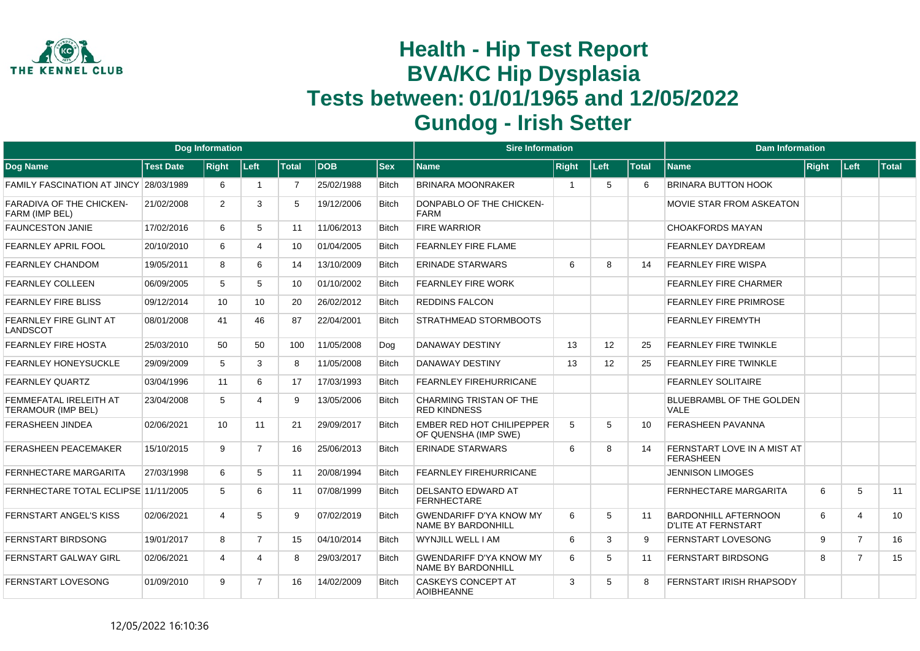

|                                                     |                  | Dog Information |                 |                |             |              | <b>Sire Information</b>                                     |              |      |              | <b>Dam Information</b>                                    |       |                |              |
|-----------------------------------------------------|------------------|-----------------|-----------------|----------------|-------------|--------------|-------------------------------------------------------------|--------------|------|--------------|-----------------------------------------------------------|-------|----------------|--------------|
| Dog Name                                            | <b>Test Date</b> | <b>Right</b>    | <b>Left</b>     | <b>Total</b>   | <b>IDOB</b> | <b>Sex</b>   | <b>Name</b>                                                 | <b>Right</b> | Left | <b>Total</b> | <b>Name</b>                                               | Right | ∣Left          | $\sf{Total}$ |
| FAMILY FASCINATION AT JINCY 28/03/1989              |                  | 6               |                 | $\overline{7}$ | 25/02/1988  | <b>Bitch</b> | <b>BRINARA MOONRAKER</b>                                    | -1           | 5    | 6            | <b>BRINARA BUTTON HOOK</b>                                |       |                |              |
| <b>FARADIVA OF THE CHICKEN-</b><br>FARM (IMP BEL)   | 21/02/2008       | $\overline{2}$  | 3               | 5              | 19/12/2006  | <b>Bitch</b> | DONPABLO OF THE CHICKEN-<br><b>FARM</b>                     |              |      |              | <b>MOVIE STAR FROM ASKEATON</b>                           |       |                |              |
| <b>FAUNCESTON JANIE</b>                             | 17/02/2016       | 6               | 5               | 11             | 11/06/2013  | <b>Bitch</b> | <b>FIRE WARRIOR</b>                                         |              |      |              | <b>CHOAKFORDS MAYAN</b>                                   |       |                |              |
| FEARNLEY APRIL FOOL                                 | 20/10/2010       | 6               | $\overline{4}$  | 10             | 01/04/2005  | <b>Bitch</b> | FEARNLEY FIRE FLAME                                         |              |      |              | <b>FEARNLEY DAYDREAM</b>                                  |       |                |              |
| FEARNLEY CHANDOM                                    | 19/05/2011       | 8               | 6               | 14             | 13/10/2009  | <b>Bitch</b> | <b>ERINADE STARWARS</b>                                     | 6            | 8    | 14           | <b>FEARNLEY FIRE WISPA</b>                                |       |                |              |
| <b>FEARNLEY COLLEEN</b>                             | 06/09/2005       | 5               | 5               | 10             | 01/10/2002  | <b>Bitch</b> | <b>FEARNLEY FIRE WORK</b>                                   |              |      |              | <b>FEARNLEY FIRE CHARMER</b>                              |       |                |              |
| <b>FEARNLEY FIRE BLISS</b>                          | 09/12/2014       | 10              | 10 <sup>1</sup> | 20             | 26/02/2012  | <b>Bitch</b> | <b>REDDINS FALCON</b>                                       |              |      |              | <b>FEARNLEY FIRE PRIMROSE</b>                             |       |                |              |
| FEARNLEY FIRE GLINT AT<br><b>LANDSCOT</b>           | 08/01/2008       | 41              | 46              | 87             | 22/04/2001  | <b>Bitch</b> | STRATHMEAD STORMBOOTS                                       |              |      |              | <b>FEARNLEY FIREMYTH</b>                                  |       |                |              |
| <b>FEARNLEY FIRE HOSTA</b>                          | 25/03/2010       | 50              | 50              | 100            | 11/05/2008  | Dog          | <b>DANAWAY DESTINY</b>                                      | 13           | 12   | 25           | <b>FEARNLEY FIRE TWINKLE</b>                              |       |                |              |
| <b>FEARNLEY HONEYSUCKLE</b>                         | 29/09/2009       | 5               | 3               | 8              | 11/05/2008  | <b>Bitch</b> | DANAWAY DESTINY                                             | 13           | 12   | 25           | <b>FEARNLEY FIRE TWINKLE</b>                              |       |                |              |
| <b>FEARNLEY QUARTZ</b>                              | 03/04/1996       | 11              | 6               | 17             | 17/03/1993  | <b>Bitch</b> | <b>FEARNLEY FIREHURRICANE</b>                               |              |      |              | <b>FEARNLEY SOLITAIRE</b>                                 |       |                |              |
| FEMMEFATAL IRELEITH AT<br><b>TERAMOUR (IMP BEL)</b> | 23/04/2008       | 5               | 4               | 9              | 13/05/2006  | <b>Bitch</b> | CHARMING TRISTAN OF THE<br><b>RED KINDNESS</b>              |              |      |              | BLUEBRAMBL OF THE GOLDEN<br><b>VALE</b>                   |       |                |              |
| <b>FERASHEEN JINDEA</b>                             | 02/06/2021       | 10              | 11              | 21             | 29/09/2017  | <b>Bitch</b> | <b>EMBER RED HOT CHILIPEPPER</b><br>OF QUENSHA (IMP SWE)    | 5            | 5    | 10           | <b>FERASHEEN PAVANNA</b>                                  |       |                |              |
| <b>FERASHEEN PEACEMAKER</b>                         | 15/10/2015       | 9               | $\overline{7}$  | 16             | 25/06/2013  | <b>Bitch</b> | <b>ERINADE STARWARS</b>                                     | 6            | 8    | 14           | FERNSTART LOVE IN A MIST AT<br><b>FERASHEEN</b>           |       |                |              |
| <b>FERNHECTARE MARGARITA</b>                        | 27/03/1998       | 6               | 5               | 11             | 20/08/1994  | <b>Bitch</b> | <b>FEARNLEY FIREHURRICANE</b>                               |              |      |              | <b>JENNISON LIMOGES</b>                                   |       |                |              |
| FERNHECTARE TOTAL ECLIPSE 11/11/2005                |                  | 5               | 6               | 11             | 07/08/1999  | <b>Bitch</b> | <b>DELSANTO EDWARD AT</b><br><b>FERNHECTARE</b>             |              |      |              | <b>FERNHECTARE MARGARITA</b>                              | 6     | 5              | 11           |
| FERNSTART ANGEL'S KISS                              | 02/06/2021       | 4               | 5               | 9              | 07/02/2019  | <b>Bitch</b> | <b>GWENDARIFF D'YA KNOW MY</b><br><b>NAME BY BARDONHILL</b> | 6            | 5    | 11           | <b>BARDONHILL AFTERNOON</b><br><b>D'LITE AT FERNSTART</b> | 6     | 4              | 10           |
| <b>FERNSTART BIRDSONG</b>                           | 19/01/2017       | 8               | $\overline{7}$  | 15             | 04/10/2014  | <b>Bitch</b> | WYNJILL WELL I AM                                           | 6            | 3    | 9            | <b>FERNSTART LOVESONG</b>                                 | 9     | $\overline{7}$ | 16           |
| <b>FERNSTART GALWAY GIRL</b>                        | 02/06/2021       | $\overline{4}$  | 4               | 8              | 29/03/2017  | <b>Bitch</b> | <b>GWENDARIFF D'YA KNOW MY</b><br>NAME BY BARDONHILL        | 6            | 5    | 11           | <b>FERNSTART BIRDSONG</b>                                 | 8     | $\overline{7}$ | 15           |
| <b>FERNSTART LOVESONG</b>                           | 01/09/2010       | 9               | 7               | 16             | 14/02/2009  | <b>Bitch</b> | <b>CASKEYS CONCEPT AT</b><br><b>AOIBHEANNE</b>              | 3            | 5    | 8            | FERNSTART IRISH RHAPSODY                                  |       |                |              |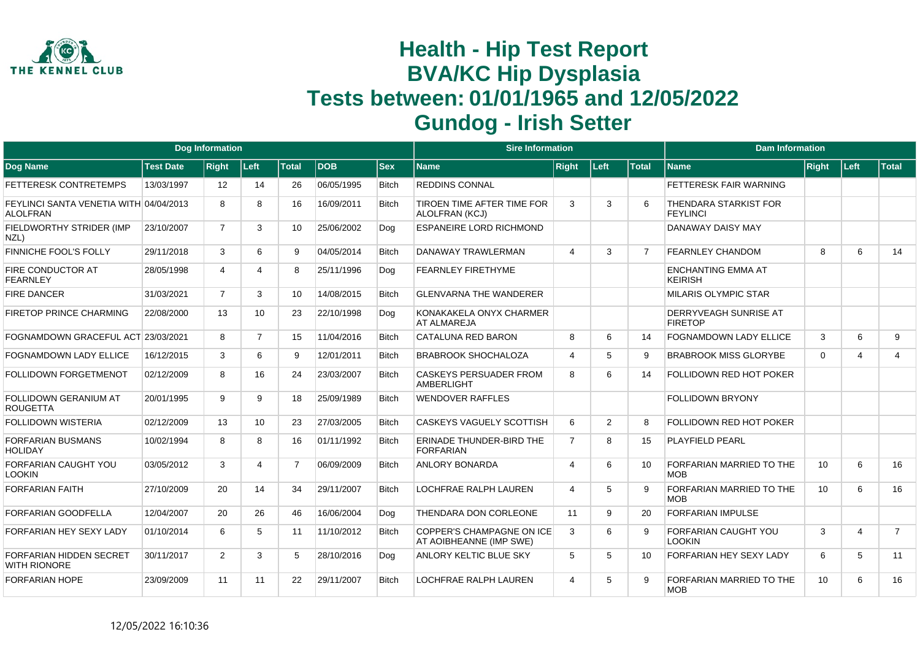

|                                                           |                  | <b>Dog Information</b> |                        |                |            |              | <b>Sire Information</b>                                     |                |      |                 | <b>Dam Information</b>                       |          |        |                |
|-----------------------------------------------------------|------------------|------------------------|------------------------|----------------|------------|--------------|-------------------------------------------------------------|----------------|------|-----------------|----------------------------------------------|----------|--------|----------------|
| Dog Name                                                  | <b>Test Date</b> | <b>Right</b>           | Left                   | <b>Total</b>   | <b>DOB</b> | <b>Sex</b>   | <b>Name</b>                                                 | <b>Right</b>   | Left | <b>Total</b>    | <b>Name</b>                                  | Right    | ∣Left∶ | <b>Total</b>   |
| FETTERESK CONTRETEMPS                                     | 13/03/1997       | 12                     | 14                     | 26             | 06/05/1995 | <b>Bitch</b> | <b>REDDINS CONNAL</b>                                       |                |      |                 | FETTERESK FAIR WARNING                       |          |        |                |
| FEYLINCI SANTA VENETIA WITH 04/04/2013<br><b>ALOLFRAN</b> |                  | 8                      | 8                      | 16             | 16/09/2011 | <b>Bitch</b> | TIROEN TIME AFTER TIME FOR<br>ALOLFRAN (KCJ)                | 3              | 3    |                 | THENDARA STARKIST FOR<br><b>FEYLINCI</b>     |          |        |                |
| FIELDWORTHY STRIDER (IMP<br>NZL)                          | 23/10/2007       | $\overline{7}$         | 3                      | 10             | 25/06/2002 | Dog          | <b>ESPANEIRE LORD RICHMOND</b>                              |                |      |                 | DANAWAY DAISY MAY                            |          |        |                |
| <b>FINNICHE FOOL'S FOLLY</b>                              | 29/11/2018       | 3                      | 6                      | 9              | 04/05/2014 | <b>Bitch</b> | DANAWAY TRAWLERMAN                                          | $\overline{4}$ | 3    | $\overline{7}$  | FEARNLEY CHANDOM                             | 8        | 6      | 14             |
| FIRE CONDUCTOR AT<br><b>FEARNLEY</b>                      | 28/05/1998       | 4                      | $\boldsymbol{\Lambda}$ | 8              | 25/11/1996 | Dog          | <b>FEARNLEY FIRETHYME</b>                                   |                |      |                 | <b>ENCHANTING EMMA AT</b><br><b>KEIRISH</b>  |          |        |                |
| <b>FIRE DANCER</b>                                        | 31/03/2021       | $\overline{7}$         | 3                      | 10             | 14/08/2015 | <b>Bitch</b> | <b>GLENVARNA THE WANDERER</b>                               |                |      |                 | <b>MILARIS OLYMPIC STAR</b>                  |          |        |                |
| <b>FIRETOP PRINCE CHARMING</b>                            | 22/08/2000       | 13                     | 10                     | 23             | 22/10/1998 | Dog          | KONAKAKELA ONYX CHARMER<br>AT ALMAREJA                      |                |      |                 | DERRYVEAGH SUNRISE AT<br><b>FIRETOP</b>      |          |        |                |
| FOGNAMDOWN GRACEFUL ACT 23/03/2021                        |                  | 8                      | $\overline{7}$         | 15             | 11/04/2016 | <b>Bitch</b> | <b>CATALUNA RED BARON</b>                                   | 8              | 6    | 14              | <b>FOGNAMDOWN LADY ELLICE</b>                | 3        | 6      | 9              |
| <b>FOGNAMDOWN LADY ELLICE</b>                             | 16/12/2015       | 3                      | 6                      | 9              | 12/01/2011 | <b>Bitch</b> | <b>BRABROOK SHOCHALOZA</b>                                  | $\overline{4}$ | 5    | 9               | <b>BRABROOK MISS GLORYBE</b>                 | $\Omega$ | 4      | $\overline{4}$ |
| <b>FOLLIDOWN FORGETMENOT</b>                              | 02/12/2009       | 8                      | 16                     | 24             | 23/03/2007 | <b>Bitch</b> | <b>CASKEYS PERSUADER FROM</b><br>AMBERLIGHT                 | 8              | 6    | 14              | FOLLIDOWN RED HOT POKER                      |          |        |                |
| FOLLIDOWN GERANIUM AT<br><b>ROUGETTA</b>                  | 20/01/1995       | 9                      | 9                      | 18             | 25/09/1989 | <b>Bitch</b> | <b>WENDOVER RAFFLES</b>                                     |                |      |                 | <b>FOLLIDOWN BRYONY</b>                      |          |        |                |
| <b>FOLLIDOWN WISTERIA</b>                                 | 02/12/2009       | 13                     | 10 <sup>1</sup>        | 23             | 27/03/2005 | <b>Bitch</b> | CASKEYS VAGUELY SCOTTISH                                    | 6              | 2    | 8               | FOLLIDOWN RED HOT POKER                      |          |        |                |
| <b>FORFARIAN BUSMANS</b><br><b>HOLIDAY</b>                | 10/02/1994       | 8                      | 8                      | 16             | 01/11/1992 | <b>Bitch</b> | ERINADE THUNDER-BIRD THE<br><b>FORFARIAN</b>                | $\overline{7}$ | 8    | 15              | PLAYFIELD PEARL                              |          |        |                |
| <b>FORFARIAN CAUGHT YOU</b><br><b>LOOKIN</b>              | 03/05/2012       | 3                      | $\overline{4}$         | $\overline{7}$ | 06/09/2009 | <b>Bitch</b> | ANLORY BONARDA                                              | $\overline{4}$ | 6    | 10 <sup>1</sup> | FORFARIAN MARRIED TO THE<br><b>MOB</b>       | 10       | 6      | 16             |
| <b>FORFARIAN FAITH</b>                                    | 27/10/2009       | 20                     | 14                     | 34             | 29/11/2007 | <b>Bitch</b> | LOCHFRAE RALPH LAUREN                                       | $\overline{4}$ | 5    | g               | FORFARIAN MARRIED TO THE<br><b>MOB</b>       | 10       | 6      | 16             |
| FORFARIAN GOODFELLA                                       | 12/04/2007       | 20                     | 26                     | 46             | 16/06/2004 | Dog          | THENDARA DON CORLEONE                                       | 11             | 9    | 20              | <b>FORFARIAN IMPULSE</b>                     |          |        |                |
| FORFARIAN HEY SEXY LADY                                   | 01/10/2014       | 6                      | 5                      | 11             | 11/10/2012 | <b>Bitch</b> | <b>COPPER'S CHAMPAGNE ON ICE</b><br>AT AOIBHEANNE (IMP SWE) | 3              | 6    | 9               | <b>FORFARIAN CAUGHT YOU</b><br><b>LOOKIN</b> | 3        | 4      | $\overline{7}$ |
| FORFARIAN HIDDEN SECRET<br><b>WITH RIONORE</b>            | 30/11/2017       | $\overline{2}$         | 3                      | 5              | 28/10/2016 | Dog          | ANLORY KELTIC BLUE SKY                                      | 5              | 5    | 10              | FORFARIAN HEY SEXY LADY                      | 6        | 5      | 11             |
| <b>FORFARIAN HOPE</b>                                     | 23/09/2009       | 11                     | 11                     | 22             | 29/11/2007 | <b>Bitch</b> | LOCHFRAE RALPH LAUREN                                       | $\overline{4}$ | 5    | $\mathbf{Q}$    | FORFARIAN MARRIED TO THE<br><b>MOB</b>       | 10       | 6      | 16             |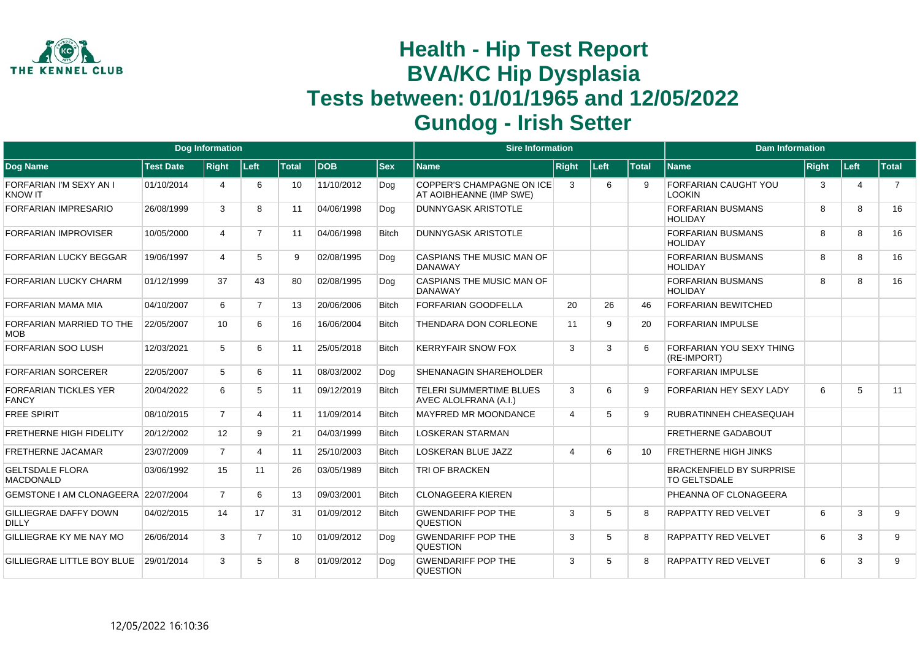

|                                              |                  | <b>Dog Information</b> |                |              |            |              | <b>Sire Information</b>                                     |                |             |              | <b>Dam Information</b>                                 |       |                |                |
|----------------------------------------------|------------------|------------------------|----------------|--------------|------------|--------------|-------------------------------------------------------------|----------------|-------------|--------------|--------------------------------------------------------|-------|----------------|----------------|
| Dog Name                                     | <b>Test Date</b> | <b>Right</b>           | Left           | <b>Total</b> | <b>DOB</b> | <b>Sex</b>   | Name                                                        | <b>Right</b>   | <b>Left</b> | <b>Total</b> | <b>Name</b>                                            | Right | Left           | <b>Total</b>   |
| FORFARIAN I'M SEXY AN I<br><b>KNOW IT</b>    | 01/10/2014       | Δ                      | 6              | 10           | 11/10/2012 | Dog          | <b>COPPER'S CHAMPAGNE ON ICE</b><br>AT AOIBHEANNE (IMP SWE) | 3              | 6           | 9            | <b>FORFARIAN CAUGHT YOU</b><br>LOOKIN                  | 3     | $\overline{4}$ | $\overline{7}$ |
| <b>FORFARIAN IMPRESARIO</b>                  | 26/08/1999       | 3                      | 8              | 11           | 04/06/1998 | Dog          | <b>DUNNYGASK ARISTOTLE</b>                                  |                |             |              | <b>FORFARIAN BUSMANS</b><br><b>HOLIDAY</b>             | 8     | 8              | 16             |
| <b>FORFARIAN IMPROVISER</b>                  | 10/05/2000       | $\overline{4}$         | $\overline{7}$ | 11           | 04/06/1998 | <b>Bitch</b> | <b>DUNNYGASK ARISTOTLE</b>                                  |                |             |              | <b>FORFARIAN BUSMANS</b><br>HOI IDAY                   | 8     | 8              | 16             |
| <b>FORFARIAN LUCKY BEGGAR</b>                | 19/06/1997       | 4                      | 5              | 9            | 02/08/1995 | Dog          | CASPIANS THE MUSIC MAN OF<br><b>DANAWAY</b>                 |                |             |              | <b>FORFARIAN BUSMANS</b><br>HOI IDAY                   | 8     | 8              | 16             |
| <b>FORFARIAN LUCKY CHARM</b>                 | 01/12/1999       | 37                     | 43             | 80           | 02/08/1995 | Dog          | CASPIANS THE MUSIC MAN OF<br><b>DANAWAY</b>                 |                |             |              | <b>FORFARIAN BUSMANS</b><br><b>HOLIDAY</b>             | 8     | 8              | 16             |
| FORFARIAN MAMA MIA                           | 04/10/2007       | 6                      | $\overline{7}$ | 13           | 20/06/2006 | <b>Bitch</b> | <b>FORFARIAN GOODFELLA</b>                                  | 20             | 26          | 46           | <b>FORFARIAN BEWITCHED</b>                             |       |                |                |
| FORFARIAN MARRIED TO THE<br><b>MOB</b>       | 22/05/2007       | 10                     | 6              | 16           | 16/06/2004 | <b>Bitch</b> | THENDARA DON CORLEONE                                       | 11             | 9           | 20           | <b>FORFARIAN IMPULSE</b>                               |       |                |                |
| <b>FORFARIAN SOO LUSH</b>                    | 12/03/2021       | 5                      | 6              | 11           | 25/05/2018 | <b>Bitch</b> | <b>KERRYFAIR SNOW FOX</b>                                   | 3              | 3           | 6            | FORFARIAN YOU SEXY THING<br>(RE-IMPORT)                |       |                |                |
| <b>FORFARIAN SORCERER</b>                    | 22/05/2007       | 5                      | 6              | 11           | 08/03/2002 | Dog          | <b>SHENANAGIN SHAREHOLDER</b>                               |                |             |              | FORFARIAN IMPULSE                                      |       |                |                |
| FORFARIAN TICKLES YER<br><b>FANCY</b>        | 20/04/2022       | 6                      | 5              | 11           | 09/12/2019 | <b>Bitch</b> | <b>TELERI SUMMERTIME BLUES</b><br>AVEC ALOLFRANA (A.I.)     | 3              | 6           | 9            | <b>FORFARIAN HEY SEXY LADY</b>                         | 6     | 5              | 11             |
| <b>FREE SPIRIT</b>                           | 08/10/2015       | $\overline{7}$         | 4              | 11           | 11/09/2014 | <b>Bitch</b> | <b>MAYFRED MR MOONDANCE</b>                                 | $\overline{4}$ | 5           | 9            | RUBRATINNEH CHEASEQUAH                                 |       |                |                |
| <b>FRETHERNE HIGH FIDELITY</b>               | 20/12/2002       | 12                     | 9              | 21           | 04/03/1999 | <b>Bitch</b> | <b>LOSKERAN STARMAN</b>                                     |                |             |              | <b>FRETHERNE GADABOUT</b>                              |       |                |                |
| <b>FRETHERNE JACAMAR</b>                     | 23/07/2009       | $\overline{7}$         | 4              | 11           | 25/10/2003 | Bitch        | <b>LOSKERAN BLUE JAZZ</b>                                   | $\overline{4}$ | 6           | 10           | <b>FRETHERNE HIGH JINKS</b>                            |       |                |                |
| <b>GELTSDALE FLORA</b><br><b>MACDONALD</b>   | 03/06/1992       | 15                     | 11             | 26           | 03/05/1989 | <b>Bitch</b> | <b>TRI OF BRACKEN</b>                                       |                |             |              | <b>BRACKENFIELD BY SURPRISE</b><br><b>TO GELTSDALE</b> |       |                |                |
| GEMSTONE I AM CLONAGEERA 22/07/2004          |                  | $\overline{7}$         | 6              | 13           | 09/03/2001 | <b>Bitch</b> | <b>CLONAGEERA KIEREN</b>                                    |                |             |              | PHEANNA OF CLONAGEERA                                  |       |                |                |
| <b>GILLIEGRAE DAFFY DOWN</b><br><b>DILLY</b> | 04/02/2015       | 14                     | 17             | 31           | 01/09/2012 | <b>Bitch</b> | <b>GWENDARIFF POP THE</b><br><b>QUESTION</b>                | 3              | 5           | 8            | <b>RAPPATTY RED VELVET</b>                             | 6     | 3              | 9              |
| GILLIEGRAE KY ME NAY MO                      | 26/06/2014       | 3                      | $\overline{7}$ | 10           | 01/09/2012 | Dog          | <b>GWENDARIFF POP THE</b><br><b>QUESTION</b>                | 3              | 5           | 8            | <b>RAPPATTY RED VELVET</b>                             | 6     | 3              | 9              |
| GILLIEGRAE LITTLE BOY BLUE                   | 29/01/2014       | 3                      | 5              | 8            | 01/09/2012 | Dog          | <b>GWENDARIFF POP THE</b><br><b>QUESTION</b>                | 3              | 5           | R            | <b>RAPPATTY RED VELVET</b>                             | 6     | 3              | 9              |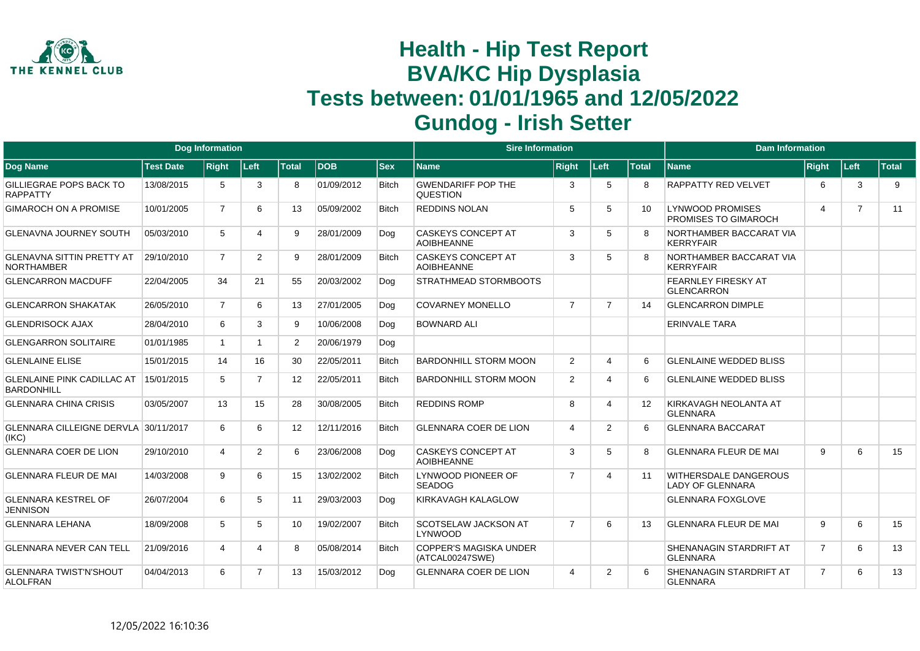

|                                                   |                  | <b>Dog Information</b> |                |                |            |              | <b>Sire Information</b>                          |                |                       |              | <b>Dam Information</b>                                 |                       |                |              |
|---------------------------------------------------|------------------|------------------------|----------------|----------------|------------|--------------|--------------------------------------------------|----------------|-----------------------|--------------|--------------------------------------------------------|-----------------------|----------------|--------------|
| Dog Name                                          | <b>Test Date</b> | <b>Right</b>           | Left           | <b>Total</b>   | <b>DOB</b> | $ $ Sex      | <b>Name</b>                                      | <b>Right</b>   | Left                  | <b>Total</b> | <b>Name</b>                                            | <b>Right</b>          | Left           | <b>Total</b> |
| <b>GILLIEGRAE POPS BACK TO</b><br><b>RAPPATTY</b> | 13/08/2015       | 5                      | 3              | 8              | 01/09/2012 | <b>Bitch</b> | <b>GWENDARIFF POP THE</b><br><b>QUESTION</b>     | 3              | 5                     | 8            | <b>RAPPATTY RED VELVET</b>                             | 6                     | 3              | 9            |
| <b>GIMAROCH ON A PROMISE</b>                      | 10/01/2005       | $\overline{7}$         | 6              | 13             | 05/09/2002 | <b>Bitch</b> | <b>REDDINS NOLAN</b>                             | 5              | 5                     | 10           | <b>LYNWOOD PROMISES</b><br><b>PROMISES TO GIMAROCH</b> | $\boldsymbol{\Delta}$ | $\overline{7}$ | 11           |
| GLENAVNA JOURNEY SOUTH                            | 05/03/2010       | 5                      | 4              | 9              | 28/01/2009 | Dog          | <b>CASKEYS CONCEPT AT</b><br><b>AOIBHEANNE</b>   | 3              | 5                     |              | NORTHAMBER BACCARAT VIA<br><b>KERRYFAIR</b>            |                       |                |              |
| GLENAVNA SITTIN PRETTY AT<br><b>NORTHAMBER</b>    | 29/10/2010       | $\overline{7}$         | $\overline{2}$ | 9              | 28/01/2009 | <b>Bitch</b> | <b>CASKEYS CONCEPT AT</b><br><b>AOIBHEANNE</b>   | 3              | 5                     |              | NORTHAMBER BACCARAT VIA<br><b>KERRYFAIR</b>            |                       |                |              |
| <b>GLENCARRON MACDUFF</b>                         | 22/04/2005       | 34                     | 21             | 55             | 20/03/2002 | Dog          | <b>STRATHMEAD STORMBOOTS</b>                     |                |                       |              | <b>FEARNLEY FIRESKY AT</b><br><b>GLENCARRON</b>        |                       |                |              |
| <b>GLENCARRON SHAKATAK</b>                        | 26/05/2010       | $\overline{7}$         | 6              | 13             | 27/01/2005 | Dog          | <b>COVARNEY MONELLO</b>                          | $\overline{7}$ | $\overline{7}$        | 14           | <b>GLENCARRON DIMPLE</b>                               |                       |                |              |
| <b>GLENDRISOCK AJAX</b>                           | 28/04/2010       | 6                      | 3              | 9              | 10/06/2008 | Dog          | <b>BOWNARD ALI</b>                               |                |                       |              | <b>ERINVALE TARA</b>                                   |                       |                |              |
| <b>GLENGARRON SOLITAIRE</b>                       | 01/01/1985       | $\mathbf{1}$           | $\mathbf 1$    | $\overline{2}$ | 20/06/1979 | Dog          |                                                  |                |                       |              |                                                        |                       |                |              |
| <b>GLENLAINE ELISE</b>                            | 15/01/2015       | 14                     | 16             | 30             | 22/05/2011 | <b>Bitch</b> | <b>BARDONHILL STORM MOON</b>                     | 2              | $\boldsymbol{\Delta}$ | 6            | <b>GLENLAINE WEDDED BLISS</b>                          |                       |                |              |
| <b>GLENLAINE PINK CADILLAC AT</b><br>BARDONHILL   | 15/01/2015       | 5                      | $\overline{7}$ | 12             | 22/05/2011 | <b>Bitch</b> | <b>BARDONHILL STORM MOON</b>                     | $\overline{2}$ | 4                     | 6            | <b>GLENLAINE WEDDED BLISS</b>                          |                       |                |              |
| <b>GLENNARA CHINA CRISIS</b>                      | 03/05/2007       | 13                     | 15             | 28             | 30/08/2005 | <b>Bitch</b> | <b>REDDINS ROMP</b>                              | 8              | $\boldsymbol{\Delta}$ | 12           | KIRKAVAGH NEOLANTA AT<br><b>GLENNARA</b>               |                       |                |              |
| GLENNARA CILLEIGNE DERVLA 30/11/2017<br>(IKC)     |                  | 6                      | 6              | 12             | 12/11/2016 | <b>Bitch</b> | <b>GLENNARA COER DE LION</b>                     | 4              | 2                     | 6            | <b>GLENNARA BACCARAT</b>                               |                       |                |              |
| <b>GLENNARA COER DE LION</b>                      | 29/10/2010       | 4                      | $\overline{2}$ | 6              | 23/06/2008 | Dog          | <b>CASKEYS CONCEPT AT</b><br><b>AOIBHEANNE</b>   | 3              | 5                     | 8            | <b>GLENNARA FLEUR DE MAI</b>                           | 9                     | 6              | 15           |
| <b>GLENNARA FLEUR DE MAI</b>                      | 14/03/2008       | 9                      | 6              | 15             | 13/02/2002 | <b>Bitch</b> | LYNWOOD PIONEER OF<br><b>SEADOG</b>              | $\overline{7}$ | $\boldsymbol{\Delta}$ | 11           | <b>WITHERSDALE DANGEROUS</b><br>LADY OF GLENNARA       |                       |                |              |
| <b>GLENNARA KESTREL OF</b><br><b>JENNISON</b>     | 26/07/2004       | 6                      | 5              | 11             | 29/03/2003 | Dog          | KIRKAVAGH KALAGLOW                               |                |                       |              | <b>GLENNARA FOXGLOVE</b>                               |                       |                |              |
| <b>GLENNARA LEHANA</b>                            | 18/09/2008       | 5                      | 5              | 10             | 19/02/2007 | <b>Bitch</b> | <b>SCOTSELAW JACKSON AT</b><br>LYNWOOD           | $\overline{7}$ | 6                     | 13           | <b>GLENNARA FLEUR DE MAI</b>                           | 9                     | 6              | 15           |
| <b>GLENNARA NEVER CAN TELL</b>                    | 21/09/2016       | 4                      | 4              | 8              | 05/08/2014 | <b>Bitch</b> | <b>COPPER'S MAGISKA UNDER</b><br>(ATCAL00247SWE) |                |                       |              | <b>SHENANAGIN STARDRIFT AT</b><br><b>GLENNARA</b>      | $\overline{7}$        | 6              | 13           |
| <b>GLENNARA TWIST'N'SHOUT</b><br>ALOLFRAN         | 04/04/2013       | 6                      | $\overline{7}$ | 13             | 15/03/2012 | Dog          | <b>GLENNARA COER DE LION</b>                     | 4              | 2                     | 6            | <b>SHENANAGIN STARDRIFT AT</b><br><b>GLENNARA</b>      | 7                     | 6              | 13           |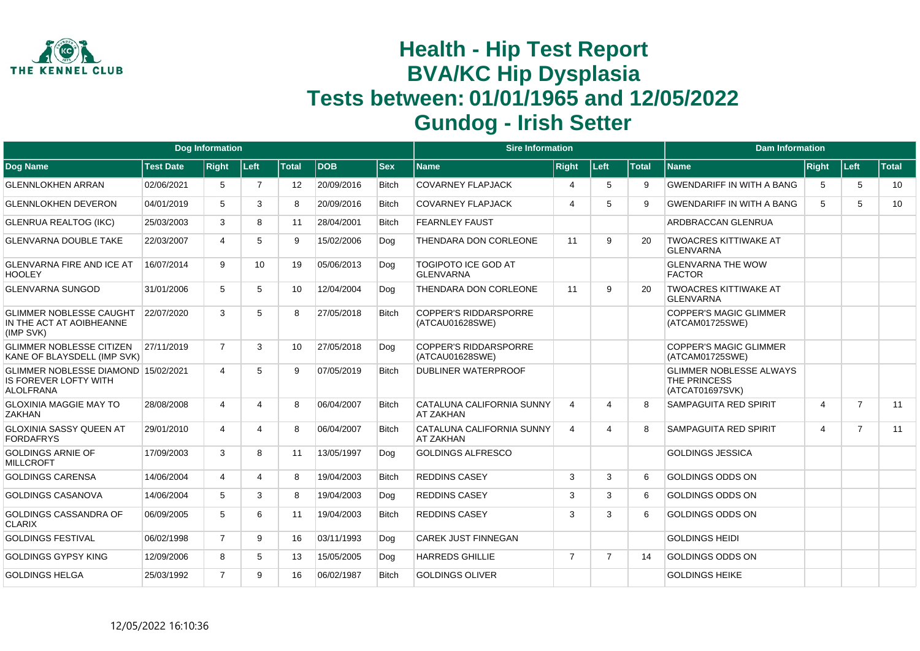

|                                                                                  |                  | Dog Information |      |                 |            |              | <b>Sire Information</b>                         |                          |                |              | <b>Dam Information</b>                                            |                         |                |              |
|----------------------------------------------------------------------------------|------------------|-----------------|------|-----------------|------------|--------------|-------------------------------------------------|--------------------------|----------------|--------------|-------------------------------------------------------------------|-------------------------|----------------|--------------|
| <b>Dog Name</b>                                                                  | <b>Test Date</b> | <b>Right</b>    | Left | <b>Total</b>    | <b>DOB</b> | <b>Sex</b>   | <b>Name</b>                                     | <b>Right</b>             | Left           | <b>Total</b> | <b>Name</b>                                                       | Right                   | Left           | <b>Total</b> |
| <b>GLENNLOKHEN ARRAN</b>                                                         | 02/06/2021       | 5               | 7    | 12              | 20/09/2016 | <b>Bitch</b> | <b>COVARNEY FLAPJACK</b>                        | $\boldsymbol{\varDelta}$ | 5              | 9            | <b>GWENDARIFF IN WITH A BANG</b>                                  | 5                       | 5              | 10           |
| <b>GLENNLOKHEN DEVERON</b>                                                       | 04/01/2019       | 5               | 3    | 8               | 20/09/2016 | <b>Bitch</b> | <b>COVARNEY FLAPJACK</b>                        | $\overline{4}$           | 5              | 9            | <b>GWENDARIFF IN WITH A BANG</b>                                  | 5                       | 5              | 10           |
| <b>GLENRUA REALTOG (IKC)</b>                                                     | 25/03/2003       | 3               | 8    | 11              | 28/04/2001 | <b>Bitch</b> | <b>FEARNLEY FAUST</b>                           |                          |                |              | ARDBRACCAN GLENRUA                                                |                         |                |              |
| <b>GLENVARNA DOUBLE TAKE</b>                                                     | 22/03/2007       | 4               | 5    | 9               | 15/02/2006 | Dog          | THENDARA DON CORLEONE                           | 11                       | 9              | 20           | <b>TWOACRES KITTIWAKE AT</b><br><b>GLENVARNA</b>                  |                         |                |              |
| <b>GLENVARNA FIRE AND ICE AT</b><br><b>HOOLEY</b>                                | 16/07/2014       | 9               | 10   | 19              | 05/06/2013 | Dog          | <b>TOGIPOTO ICE GOD AT</b><br><b>GLENVARNA</b>  |                          |                |              | <b>GLENVARNA THE WOW</b><br><b>FACTOR</b>                         |                         |                |              |
| <b>GLENVARNA SUNGOD</b>                                                          | 31/01/2006       | 5               | 5    | 10 <sup>°</sup> | 12/04/2004 | Dog          | THENDARA DON CORLEONE                           | 11                       | 9              | 20           | <b>TWOACRES KITTIWAKE AT</b><br><b>GLENVARNA</b>                  |                         |                |              |
| <b>GLIMMER NOBLESSE CAUGHT</b><br>IN THE ACT AT AOIBHEANNE<br>(IMP SVK)          | 22/07/2020       | 3               | 5    | 8               | 27/05/2018 | <b>Bitch</b> | <b>COPPER'S RIDDARSPORRE</b><br>(ATCAU01628SWE) |                          |                |              | <b>COPPER'S MAGIC GLIMMER</b><br>(ATCAM01725SWE)                  |                         |                |              |
| <b>GLIMMER NOBLESSE CITIZEN</b><br>KANE OF BLAYSDELL (IMP SVK)                   | 27/11/2019       | $\overline{7}$  | 3    | 10 <sup>°</sup> | 27/05/2018 | Dog          | <b>COPPER'S RIDDARSPORRE</b><br>(ATCAU01628SWE) |                          |                |              | <b>COPPER'S MAGIC GLIMMER</b><br>(ATCAM01725SWE)                  |                         |                |              |
| GLIMMER NOBLESSE DIAMOND 15/02/2021<br>IS FOREVER LOFTY WITH<br><b>ALOLFRANA</b> |                  | 4               | 5    | 9               | 07/05/2019 | <b>Bitch</b> | <b>DUBLINER WATERPROOF</b>                      |                          |                |              | <b>GLIMMER NOBLESSE ALWAYS</b><br>THE PRINCESS<br>(ATCAT01697SVK) |                         |                |              |
| <b>GLOXINIA MAGGIE MAY TO</b><br><b>ZAKHAN</b>                                   | 28/08/2008       | 4               | 4    | 8               | 06/04/2007 | <b>Bitch</b> | CATALUNA CALIFORNIA SUNNY<br><b>AT ZAKHAN</b>   | $\overline{4}$           | $\overline{4}$ | 8            | SAMPAGUITA RED SPIRIT                                             | $\overline{4}$          | $\overline{7}$ | 11           |
| GLOXINIA SASSY QUEEN AT<br><b>FORDAFRYS</b>                                      | 29/01/2010       | 4               | 4    | 8               | 06/04/2007 | <b>Bitch</b> | CATALUNA CALIFORNIA SUNNY<br><b>AT ZAKHAN</b>   | $\overline{4}$           | $\Delta$       | 8            | SAMPAGUITA RED SPIRIT                                             | $\overline{\mathbf{4}}$ | $\overline{7}$ | 11           |
| <b>GOLDINGS ARNIE OF</b><br><b>MILLCROFT</b>                                     | 17/09/2003       | 3               | 8    | 11              | 13/05/1997 | Dog          | <b>GOLDINGS ALFRESCO</b>                        |                          |                |              | <b>GOLDINGS JESSICA</b>                                           |                         |                |              |
| <b>GOLDINGS CARENSA</b>                                                          | 14/06/2004       | 4               | 4    | 8               | 19/04/2003 | <b>Bitch</b> | <b>REDDINS CASEY</b>                            | 3                        | 3              | 6            | <b>GOLDINGS ODDS ON</b>                                           |                         |                |              |
| <b>GOLDINGS CASANOVA</b>                                                         | 14/06/2004       | 5               | 3    | 8               | 19/04/2003 | Dog          | <b>REDDINS CASEY</b>                            | 3                        | 3              | 6            | <b>GOLDINGS ODDS ON</b>                                           |                         |                |              |
| <b>GOLDINGS CASSANDRA OF</b><br><b>CLARIX</b>                                    | 06/09/2005       | 5               | 6    | 11              | 19/04/2003 | <b>Bitch</b> | <b>REDDINS CASEY</b>                            | 3                        | 3              | 6            | <b>GOLDINGS ODDS ON</b>                                           |                         |                |              |
| <b>GOLDINGS FESTIVAL</b>                                                         | 06/02/1998       | $\overline{7}$  | 9    | 16              | 03/11/1993 | Dog          | <b>CAREK JUST FINNEGAN</b>                      |                          |                |              | <b>GOLDINGS HEIDI</b>                                             |                         |                |              |
| <b>GOLDINGS GYPSY KING</b>                                                       | 12/09/2006       | 8               | 5    | 13              | 15/05/2005 | Dog          | <b>HARREDS GHILLIE</b>                          | $\overline{7}$           | $\overline{7}$ | 14           | <b>GOLDINGS ODDS ON</b>                                           |                         |                |              |
| <b>GOLDINGS HELGA</b>                                                            | 25/03/1992       | $\overline{7}$  | 9    | 16              | 06/02/1987 | <b>Bitch</b> | <b>GOLDINGS OLIVER</b>                          |                          |                |              | <b>GOLDINGS HEIKE</b>                                             |                         |                |              |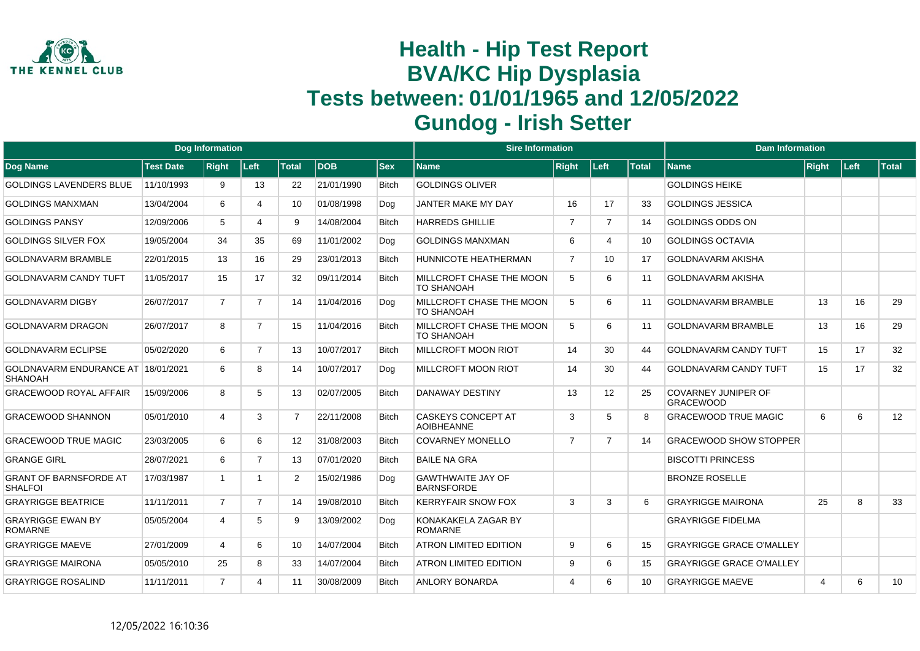

|                                                      |                  | <b>Dog Information</b> |                |                   |            |              | <b>Sire Information</b>                        |                             |                |              | <b>Dam Information</b>                         |       |       |              |
|------------------------------------------------------|------------------|------------------------|----------------|-------------------|------------|--------------|------------------------------------------------|-----------------------------|----------------|--------------|------------------------------------------------|-------|-------|--------------|
| Dog Name                                             | <b>Test Date</b> | <b>Right</b>           | ∣Left∶         | <b>Total</b>      | <b>DOB</b> | <b>Sex</b>   | <b>Name</b>                                    | <b>Right</b>                | Left           | <b>Total</b> | <b>Name</b>                                    | Right | Left: | <b>Total</b> |
| <b>GOLDINGS LAVENDERS BLUE</b>                       | 11/10/1993       | 9                      | 13             | 22                | 21/01/1990 | Bitch        | <b>GOLDINGS OLIVER</b>                         |                             |                |              | <b>GOLDINGS HEIKE</b>                          |       |       |              |
| <b>GOLDINGS MANXMAN</b>                              | 13/04/2004       | 6                      | 4              | 10                | 01/08/1998 | Dog          | JANTER MAKE MY DAY                             | 16                          | 17             | 33           | <b>GOLDINGS JESSICA</b>                        |       |       |              |
| <b>GOLDINGS PANSY</b>                                | 12/09/2006       | 5                      | 4              | 9                 | 14/08/2004 | <b>Bitch</b> | <b>HARREDS GHILLIE</b>                         | $\overline{7}$              | $\overline{7}$ | 14           | <b>GOLDINGS ODDS ON</b>                        |       |       |              |
| <b>GOLDINGS SILVER FOX</b>                           | 19/05/2004       | 34                     | 35             | 69                | 11/01/2002 | Dog          | <b>GOLDINGS MANXMAN</b>                        | 6                           | $\Lambda$      | 10           | <b>GOLDINGS OCTAVIA</b>                        |       |       |              |
| <b>GOLDNAVARM BRAMBLE</b>                            | 22/01/2015       | 13                     | 16             | 29                | 23/01/2013 | <b>Bitch</b> | <b>HUNNICOTE HEATHERMAN</b>                    | $\overline{7}$              | 10             | 17           | GOLDNAVARM AKISHA                              |       |       |              |
| <b>GOLDNAVARM CANDY TUFT</b>                         | 11/05/2017       | 15                     | 17             | 32                | 09/11/2014 | <b>Bitch</b> | MILLCROFT CHASE THE MOON<br><b>TO SHANOAH</b>  | 5                           | 6              | 11           | <b>GOLDNAVARM AKISHA</b>                       |       |       |              |
| <b>GOLDNAVARM DIGBY</b>                              | 26/07/2017       | $\overline{7}$         | $\overline{7}$ | 14                | 11/04/2016 | Dog          | MILLCROFT CHASE THE MOON<br><b>TO SHANOAH</b>  | 5                           | 6              | 11           | <b>GOLDNAVARM BRAMBLE</b>                      | 13    | 16    | 29           |
| <b>GOLDNAVARM DRAGON</b>                             | 26/07/2017       | 8                      | 7              | 15                | 11/04/2016 | <b>Bitch</b> | MILLCROFT CHASE THE MOON<br><b>TO SHANOAH</b>  | 5                           | 6              | 11           | <b>GOLDNAVARM BRAMBLE</b>                      | 13    | 16    | 29           |
| <b>GOLDNAVARM ECLIPSE</b>                            | 05/02/2020       | 6                      | $\overline{7}$ | 13                | 10/07/2017 | <b>Bitch</b> | <b>MILLCROFT MOON RIOT</b>                     | 14                          | 30             | 44           | <b>GOLDNAVARM CANDY TUFT</b>                   | 15    | 17    | 32           |
| GOLDNAVARM ENDURANCE AT 18/01/2021<br><b>SHANOAH</b> |                  | 6                      | 8              | 14                | 10/07/2017 | Dog          | <b>MILLCROFT MOON RIOT</b>                     | 14                          | 30             | 44           | <b>GOLDNAVARM CANDY TUFT</b>                   | 15    | 17    | 32           |
| <b>GRACEWOOD ROYAL AFFAIR</b>                        | 15/09/2006       | 8                      | 5              | 13                | 02/07/2005 | <b>Bitch</b> | <b>DANAWAY DESTINY</b>                         | 13                          | 12             | 25           | <b>COVARNEY JUNIPER OF</b><br><b>GRACEWOOD</b> |       |       |              |
| <b>GRACEWOOD SHANNON</b>                             | 05/01/2010       | 4                      | 3              | $\overline{7}$    | 22/11/2008 | <b>Bitch</b> | <b>CASKEYS CONCEPT AT</b><br><b>AOIBHEANNE</b> | 3                           | 5              | 8            | <b>GRACEWOOD TRUE MAGIC</b>                    | 6     | 6     | 12           |
| <b>GRACEWOOD TRUE MAGIC</b>                          | 23/03/2005       | 6                      | 6              | $12 \overline{ }$ | 31/08/2003 | <b>Bitch</b> | <b>COVARNEY MONELLO</b>                        | $\overline{7}$              | $\overline{7}$ | 14           | <b>GRACEWOOD SHOW STOPPER</b>                  |       |       |              |
| <b>GRANGE GIRL</b>                                   | 28/07/2021       | 6                      | $\overline{7}$ | 13                | 07/01/2020 | <b>Bitch</b> | <b>BAILE NA GRA</b>                            |                             |                |              | <b>BISCOTTI PRINCESS</b>                       |       |       |              |
| <b>GRANT OF BARNSFORDE AT</b><br><b>SHALFOI</b>      | 17/03/1987       | $\overline{1}$         | 1              | $\overline{2}$    | 15/02/1986 | Dog          | <b>GAWTHWAITE JAY OF</b><br><b>BARNSFORDE</b>  |                             |                |              | <b>BRONZE ROSELLE</b>                          |       |       |              |
| <b>GRAYRIGGE BEATRICE</b>                            | 11/11/2011       | $\overline{7}$         | $\overline{7}$ | 14                | 19/08/2010 | <b>Bitch</b> | <b>KERRYFAIR SNOW FOX</b>                      | 3                           | 3              | 6            | <b>GRAYRIGGE MAIRONA</b>                       | 25    | 8     | 33           |
| <b>GRAYRIGGE EWAN BY</b><br><b>ROMARNE</b>           | 05/05/2004       | 4                      | 5              | 9                 | 13/09/2002 | Dog          | KONAKAKELA ZAGAR BY<br><b>ROMARNE</b>          |                             |                |              | <b>GRAYRIGGE FIDELMA</b>                       |       |       |              |
| <b>GRAYRIGGE MAEVE</b>                               | 27/01/2009       | 4                      | 6              | 10                | 14/07/2004 | <b>Bitch</b> | <b>ATRON LIMITED EDITION</b>                   | 9                           | 6              | 15           | <b>GRAYRIGGE GRACE O'MALLEY</b>                |       |       |              |
| <b>GRAYRIGGE MAIRONA</b>                             | 05/05/2010       | 25                     | 8              | 33                | 14/07/2004 | <b>Bitch</b> | <b>ATRON LIMITED EDITION</b>                   | 9                           | 6              | 15           | <b>GRAYRIGGE GRACE O'MALLEY</b>                |       |       |              |
| <b>GRAYRIGGE ROSALIND</b>                            | 11/11/2011       | $\overline{7}$         | 4              | 11                | 30/08/2009 | <b>Bitch</b> | <b>ANLORY BONARDA</b>                          | $\boldsymbol{\vartriangle}$ | 6              | 10           | <b>GRAYRIGGE MAEVE</b>                         | 4     | 6     | 10           |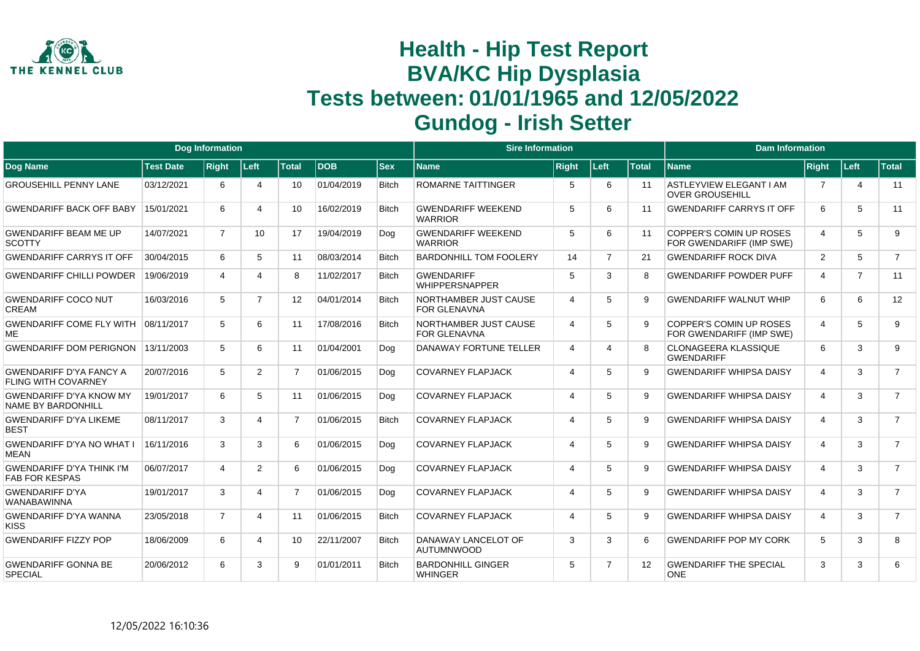

|                                                              |                  | <b>Dog Information</b> |                       |                 |            |              | <b>Sire Information</b>                             |                       |                |              | <b>Dam Information</b>                                   |                |                |                |
|--------------------------------------------------------------|------------------|------------------------|-----------------------|-----------------|------------|--------------|-----------------------------------------------------|-----------------------|----------------|--------------|----------------------------------------------------------|----------------|----------------|----------------|
| <b>Dog Name</b>                                              | <b>Test Date</b> | <b>Right</b>           | ∣Left∶                | <b>Total</b>    | <b>DOB</b> | <b>Sex</b>   | <b>Name</b>                                         | <b>Right</b>          | Left           | <b>Total</b> | <b>Name</b>                                              | Right          | <b>Left</b>    | <b>Total</b>   |
| <b>GROUSEHILL PENNY LANE</b>                                 | 03/12/2021       | 6                      | $\overline{4}$        | 10              | 01/04/2019 | <b>Bitch</b> | <b>ROMARNE TAITTINGER</b>                           | 5                     | 6              | 11           | <b>ASTLEYVIEW ELEGANT I AM</b><br><b>OVER GROUSEHILL</b> | 7              | 4              | 11             |
| <b>GWENDARIFF BACK OFF BABY</b>                              | 15/01/2021       | 6                      | 4                     | 10              | 16/02/2019 | <b>Bitch</b> | <b>GWENDARIFF WEEKEND</b><br><b>WARRIOR</b>         | 5                     | 6              | 11           | <b>GWENDARIFF CARRYS IT OFF</b>                          | 6              | 5              | 11             |
| <b>GWENDARIFF BEAM ME UP</b><br><b>SCOTTY</b>                | 14/07/2021       | $\overline{7}$         | 10 <sup>1</sup>       | 17              | 19/04/2019 | Dog          | <b>GWENDARIFF WEEKEND</b><br><b>WARRIOR</b>         | 5                     | 6              | 11           | COPPER'S COMIN UP ROSES<br>FOR GWENDARIFF (IMP SWE)      | $\overline{4}$ | 5              | 9              |
| <b>GWENDARIFF CARRYS IT OFF</b>                              | 30/04/2015       | 6                      | 5                     | 11              | 08/03/2014 | <b>Bitch</b> | <b>BARDONHILL TOM FOOLERY</b>                       | 14                    | $\overline{7}$ | 21           | <b>GWENDARIFF ROCK DIVA</b>                              | 2              | 5              | $\overline{7}$ |
| <b>GWENDARIFF CHILLI POWDER</b>                              | 19/06/2019       | 4                      | Δ                     | 8               | 11/02/2017 | <b>Bitch</b> | <b>GWENDARIFF</b><br><b>WHIPPERSNAPPER</b>          | 5                     | 3              |              | <b>GWENDARIFF POWDER PUFF</b>                            | $\overline{4}$ | $\overline{7}$ | 11             |
| <b>GWENDARIFF COCO NUT</b><br>CREAM                          | 16/03/2016       | 5                      | $\overline{7}$        | 12 <sup>2</sup> | 04/01/2014 | <b>Bitch</b> | <b>NORTHAMBER JUST CAUSE</b><br><b>FOR GLENAVNA</b> | $\boldsymbol{\Delta}$ | 5              | 9            | <b>GWENDARIFF WALNUT WHIP</b>                            | 6              | 6              | 12             |
| <b>GWENDARIFF COME FLY WITH</b><br><b>ME</b>                 | 08/11/2017       | 5                      | 6                     | 11              | 17/08/2016 | <b>Bitch</b> | NORTHAMBER JUST CAUSE<br><b>FOR GLENAVNA</b>        | 4                     | 5              | 9            | COPPER'S COMIN UP ROSES<br>FOR GWENDARIFF (IMP SWE)      | $\overline{4}$ | 5              | 9              |
| <b>GWENDARIFF DOM PERIGNON</b>                               | 13/11/2003       | 5                      | 6                     | 11              | 01/04/2001 | Dog          | DANAWAY FORTUNE TELLER                              | 4                     | 4              |              | <b>CLONAGEERA KLASSIQUE</b><br><b>GWENDARIFF</b>         | 6              | 3              | 9              |
| <b>GWENDARIFF D'YA FANCY A</b><br><b>FLING WITH COVARNEY</b> | 20/07/2016       | 5                      | $\overline{2}$        | $\overline{7}$  | 01/06/2015 | Dog          | <b>COVARNEY FLAPJACK</b>                            | $\boldsymbol{\Delta}$ | 5              | $\mathbf{Q}$ | <b>GWENDARIFF WHIPSA DAISY</b>                           | $\overline{4}$ | 3              | $\overline{7}$ |
| <b>GWENDARIFF D'YA KNOW MY</b><br><b>NAME BY BARDONHILL</b>  | 19/01/2017       | 6                      | 5                     | 11              | 01/06/2015 | Dog          | <b>COVARNEY FLAPJACK</b>                            | $\overline{4}$        | 5              | 9            | <b>GWENDARIFF WHIPSA DAISY</b>                           | $\overline{4}$ | 3              | $\overline{7}$ |
| <b>GWENDARIFF D'YA LIKEME</b><br><b>BEST</b>                 | 08/11/2017       | 3                      | Δ                     | $\overline{7}$  | 01/06/2015 | <b>Bitch</b> | <b>COVARNEY FLAPJACK</b>                            | $\boldsymbol{\Delta}$ | 5              | 9            | <b>GWENDARIFF WHIPSA DAISY</b>                           | 4              | 3              | $\overline{7}$ |
| <b>GWENDARIFF D'YA NO WHAT I</b><br><b>MEAN</b>              | 16/11/2016       | 3                      | 3                     | 6               | 01/06/2015 | Dog          | <b>COVARNEY FLAPJACK</b>                            | $\overline{4}$        | 5              | 9            | <b>GWENDARIFF WHIPSA DAISY</b>                           | $\overline{4}$ | 3              | $\overline{7}$ |
| <b>GWENDARIFF D'YA THINK I'M</b><br><b>FAB FOR KESPAS</b>    | 06/07/2017       | 4                      | $\overline{2}$        | 6               | 01/06/2015 | Dog          | <b>COVARNEY FLAPJACK</b>                            | $\overline{4}$        | 5              | 9            | <b>GWENDARIFF WHIPSA DAISY</b>                           | $\overline{4}$ | 3              | $\overline{7}$ |
| <b>GWENDARIFF D'YA</b><br><b>WANABAWINNA</b>                 | 19/01/2017       | 3                      | 4                     | $\overline{7}$  | 01/06/2015 | Dog          | <b>COVARNEY FLAPJACK</b>                            | 4                     | 5              | 9            | <b>GWENDARIFF WHIPSA DAISY</b>                           | 4              | 3              | $\overline{7}$ |
| <b>GWENDARIFF D'YA WANNA</b><br><b>KISS</b>                  | 23/05/2018       | $\overline{7}$         | $\boldsymbol{\Delta}$ | 11              | 01/06/2015 | <b>Bitch</b> | <b>COVARNEY FLAPJACK</b>                            | $\overline{4}$        | 5              | $\mathbf{Q}$ | <b>GWENDARIFF WHIPSA DAISY</b>                           | $\overline{4}$ | 3              | $\overline{7}$ |
| <b>GWENDARIFF FIZZY POP</b>                                  | 18/06/2009       | 6                      | $\boldsymbol{\Delta}$ | 10              | 22/11/2007 | <b>Bitch</b> | DANAWAY LANCELOT OF<br><b>AUTUMNWOOD</b>            | 3                     | 3              | 6            | <b>GWENDARIFF POP MY CORK</b>                            | 5              | 3              | 8              |
| <b>GWENDARIFF GONNA BE</b><br><b>SPECIAL</b>                 | 20/06/2012       | 6                      | 3                     | 9               | 01/01/2011 | <b>Bitch</b> | <b>BARDONHILL GINGER</b><br><b>WHINGER</b>          | 5                     | $\overline{7}$ | 12           | <b>GWENDARIFF THE SPECIAL</b><br><b>ONE</b>              | 3              | 3              | 6              |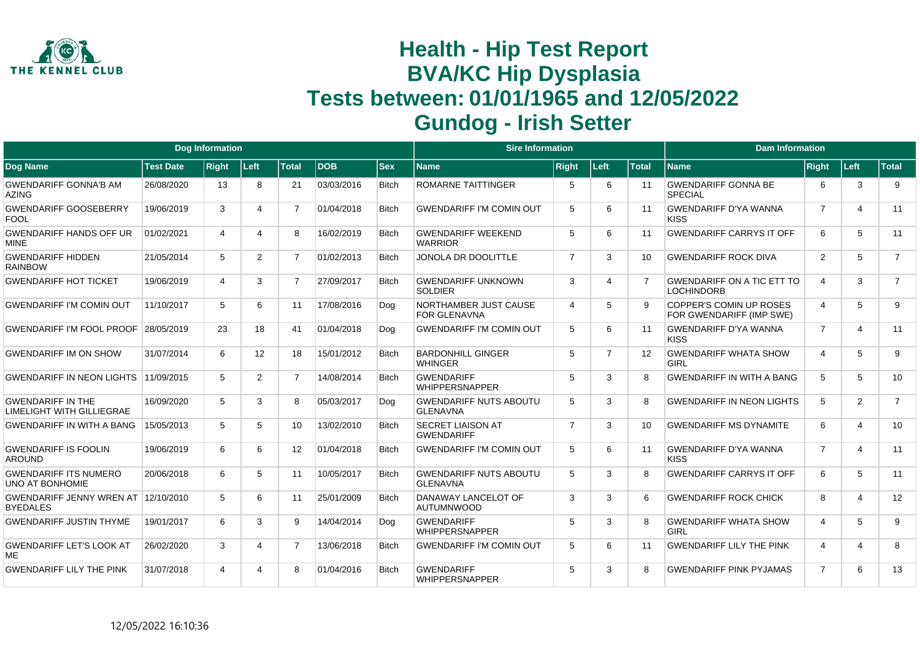

|                                                              |                  | <b>Dog Information</b> |                 |                 |            |              | <b>Sire Information</b>                             |                |                       |              | <b>Dam Information</b>                                     |                |                         |                |
|--------------------------------------------------------------|------------------|------------------------|-----------------|-----------------|------------|--------------|-----------------------------------------------------|----------------|-----------------------|--------------|------------------------------------------------------------|----------------|-------------------------|----------------|
| <b>Dog Name</b>                                              | <b>Test Date</b> | <b>Right</b>           | ∣Left∶          | <b>Total</b>    | <b>DOB</b> | <b>Sex</b>   | <b>Name</b>                                         | <b>Right</b>   | Left                  | <b>Total</b> | <b>Name</b>                                                | Right          | Left                    | <b>Total</b>   |
| <b>GWENDARIFF GONNA'B AM</b><br>AZING                        | 26/08/2020       | 13                     | 8               | 21              | 03/03/2016 | <b>Bitch</b> | ROMARNE TAITTINGER                                  | 5              | 6                     | 11           | <b>GWENDARIFF GONNA BE</b><br><b>SPECIAL</b>               | 6              | 3                       | 9              |
| <b>GWENDARIFF GOOSEBERRY</b><br><b>FOOL</b>                  | 19/06/2019       | 3                      | Δ               | $\overline{7}$  | 01/04/2018 | <b>Bitch</b> | <b>GWENDARIFF I'M COMIN OUT</b>                     | 5              | 6                     | 11           | <b>GWENDARIFF D'YA WANNA</b><br><b>KISS</b>                | $\overline{7}$ | $\overline{\mathbf{A}}$ | 11             |
| <b>GWENDARIFF HANDS OFF UR</b><br><b>MINE</b>                | 01/02/2021       | 4                      | Δ               | 8               | 16/02/2019 | <b>Bitch</b> | <b>GWENDARIFF WEEKEND</b><br><b>WARRIOR</b>         | 5              | 6                     | 11           | <b>GWENDARIFF CARRYS IT OFF</b>                            | 6              | 5                       | 11             |
| <b>GWENDARIFF HIDDEN</b><br><b>RAINBOW</b>                   | 21/05/2014       | 5                      | $\overline{2}$  | $\overline{7}$  | 01/02/2013 | <b>Bitch</b> | JONOLA DR DOOLITTLE                                 | $\overline{7}$ | 3                     | 10           | <b>GWENDARIFF ROCK DIVA</b>                                | 2              | 5                       | $\overline{7}$ |
| <b>GWENDARIFF HOT TICKET</b>                                 | 19/06/2019       | 4                      | 3               | $\overline{7}$  | 27/09/2017 | <b>Bitch</b> | <b>GWENDARIFF UNKNOWN</b><br><b>SOLDIER</b>         | 3              | $\boldsymbol{\Delta}$ |              | <b>GWENDARIFF ON A TIC ETT TO</b><br><b>LOCHINDORB</b>     | $\overline{4}$ | 3                       | $\overline{7}$ |
| <b>GWENDARIFF I'M COMIN OUT</b>                              | 11/10/2017       | 5                      | 6               | 11              | 17/08/2016 | Dog          | <b>NORTHAMBER JUST CAUSE</b><br><b>FOR GLENAVNA</b> | $\overline{4}$ | 5                     | $\mathbf{Q}$ | <b>COPPER'S COMIN UP ROSES</b><br>FOR GWENDARIFF (IMP SWE) | $\overline{4}$ | 5                       | 9              |
| <b>GWENDARIFF I'M FOOL PROOF</b>                             | 28/05/2019       | 23                     | 18              | 41              | 01/04/2018 | Dog          | <b>GWENDARIFF I'M COMIN OUT</b>                     | 5              | 6                     | 11           | <b>GWENDARIFF D'YA WANNA</b><br><b>KISS</b>                | $\overline{7}$ | $\overline{\mathbf{4}}$ | 11             |
| <b>GWENDARIFF IM ON SHOW</b>                                 | 31/07/2014       | 6                      | 12 <sup>2</sup> | 18              | 15/01/2012 | <b>Bitch</b> | <b>BARDONHILL GINGER</b><br><b>WHINGER</b>          | 5              | $\overline{7}$        | 12           | <b>GWENDARIFF WHATA SHOW</b><br>GIRI                       | 4              | 5                       | 9              |
| GWENDARIFF IN NEON LIGHTS 11/09/2015                         |                  | 5                      | $\overline{2}$  | $\overline{7}$  | 14/08/2014 | <b>Bitch</b> | <b>GWENDARIFF</b><br><b>WHIPPERSNAPPER</b>          | 5              | 3                     | R            | <b>GWENDARIFF IN WITH A BANG</b>                           | 5              | 5                       | 10             |
| <b>GWENDARIFF IN THE</b><br><b>LIMELIGHT WITH GILLIEGRAE</b> | 16/09/2020       | 5                      | 3               | 8               | 05/03/2017 | Dog          | <b>GWENDARIFF NUTS ABOUTU</b><br><b>GLENAVNA</b>    | 5              | 3                     | 8            | <b>GWENDARIFF IN NEON LIGHTS</b>                           | 5              | $\overline{2}$          | $\overline{7}$ |
| <b>GWENDARIFF IN WITH A BANG</b>                             | 15/05/2013       | 5                      | 5               | 10              | 13/02/2010 | <b>Bitch</b> | <b>SECRET LIAISON AT</b><br><b>GWENDARIFF</b>       | $\overline{7}$ | 3                     | 10           | <b>GWENDARIFF MS DYNAMITE</b>                              | 6              | $\overline{\mathbf{4}}$ | 10             |
| <b>GWENDARIFF IS FOOLIN</b><br><b>AROUND</b>                 | 19/06/2019       | 6                      | 6               | 12 <sup>2</sup> | 01/04/2018 | <b>Bitch</b> | <b>GWENDARIFF I'M COMIN OUT</b>                     | 5              | 6                     | 11           | <b>GWENDARIFF D'YA WANNA</b><br><b>KISS</b>                | $\overline{7}$ | $\overline{4}$          | 11             |
| <b>GWENDARIFF ITS NUMERO</b><br><b>UNO AT BONHOMIE</b>       | 20/06/2018       | 6                      | 5               | 11              | 10/05/2017 | <b>Bitch</b> | <b>GWENDARIFF NUTS ABOUTU</b><br><b>GLENAVNA</b>    | 5              | 3                     |              | <b>GWENDARIFF CARRYS IT OFF</b>                            | 6              | 5                       | 11             |
| GWENDARIFF JENNY WREN AT<br><b>BYEDALES</b>                  | 12/10/2010       | 5                      | 6               | 11              | 25/01/2009 | <b>Bitch</b> | DANAWAY LANCELOT OF<br><b>AUTUMNWOOD</b>            | 3              | 3                     | 6            | <b>GWENDARIFF ROCK CHICK</b>                               | 8              | $\overline{4}$          | 12             |
| <b>GWENDARIFF JUSTIN THYME</b>                               | 19/01/2017       | 6                      | 3               | 9               | 14/04/2014 | Dog          | <b>GWENDARIFF</b><br><b>WHIPPERSNAPPER</b>          | 5              | 3                     |              | <b>GWENDARIFF WHATA SHOW</b><br><b>GIRL</b>                | $\overline{4}$ | 5                       | 9              |
| <b>GWENDARIFF LET'S LOOK AT</b><br><b>ME</b>                 | 26/02/2020       | 3                      | 4               | 7               | 13/06/2018 | <b>Bitch</b> | <b>GWENDARIFF I'M COMIN OUT</b>                     | 5              | 6                     | 11           | <b>GWENDARIFF LILY THE PINK</b>                            | $\overline{4}$ | 4                       | 8              |
| <b>GWENDARIFF LILY THE PINK</b>                              | 31/07/2018       |                        |                 | 8               | 01/04/2016 | <b>Bitch</b> | <b>GWENDARIFF</b><br><b>WHIPPERSNAPPER</b>          | 5              | 3                     |              | <b>GWENDARIFF PINK PYJAMAS</b>                             | $\overline{7}$ | 6                       | 13             |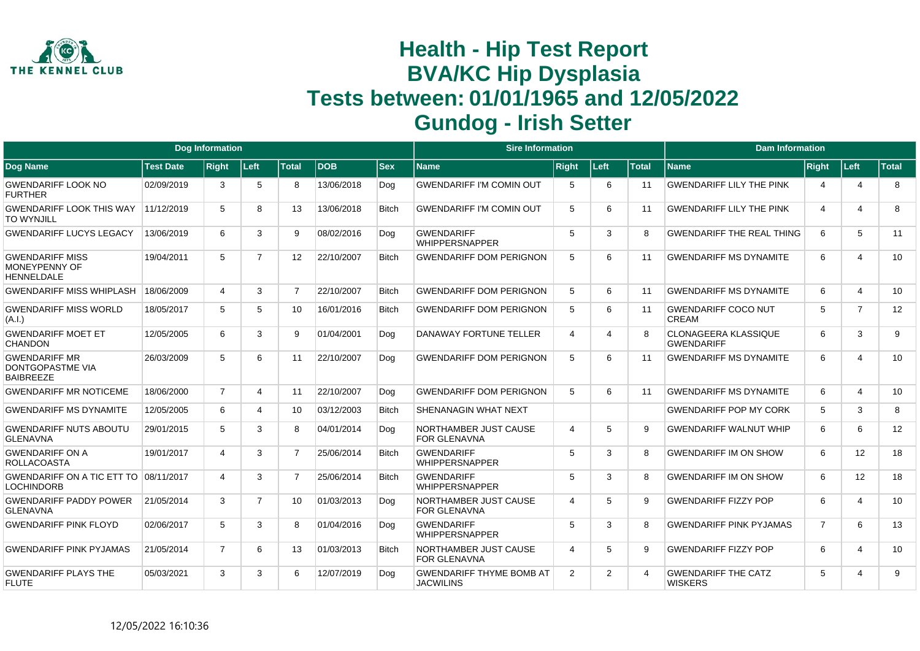

|                                                                     |                  | <b>Dog Information</b> |                |                 |            |              | <b>Sire Information</b>                             |                |                |                       | <b>Dam Information</b>                           |                |                       |                 |
|---------------------------------------------------------------------|------------------|------------------------|----------------|-----------------|------------|--------------|-----------------------------------------------------|----------------|----------------|-----------------------|--------------------------------------------------|----------------|-----------------------|-----------------|
| Dog Name                                                            | <b>Test Date</b> | <b>Right</b>           | Left           | <b>Total</b>    | <b>DOB</b> | <b>Sex</b>   | <b>Name</b>                                         | <b>Right</b>   | Left           | <b>Total</b>          | <b>Name</b>                                      | <b>Right</b>   | ∣Left⊹                | Total           |
| <b>GWENDARIFF LOOK NO</b><br><b>FURTHER</b>                         | 02/09/2019       | 3                      | 5              | 8               | 13/06/2018 | Dog          | <b>GWENDARIFF I'M COMIN OUT</b>                     | -5             | 6              | 11                    | <b>GWENDARIFF LILY THE PINK</b>                  | 4              | $\overline{4}$        | 8               |
| <b>GWENDARIFF LOOK THIS WAY</b><br><b>TO WYNJILL</b>                | 11/12/2019       | 5                      | 8              | 13              | 13/06/2018 | <b>Bitch</b> | <b>GWENDARIFF I'M COMIN OUT</b>                     | 5              | 6              | 11                    | <b>GWENDARIFF LILY THE PINK</b>                  | 4              | $\boldsymbol{\Delta}$ | 8               |
| <b>GWENDARIFF LUCYS LEGACY</b>                                      | 13/06/2019       | 6                      | 3              | 9               | 08/02/2016 | Dog          | <b>GWENDARIFF</b><br><b>WHIPPERSNAPPER</b>          | 5              | 3              | 8                     | <b>GWENDARIFF THE REAL THING</b>                 | 6              | 5                     | 11              |
| <b>GWENDARIFF MISS</b><br><b>MONEYPENNY OF</b><br><b>HENNELDALE</b> | 19/04/2011       | 5                      | $\overline{7}$ | 12 <sup>2</sup> | 22/10/2007 | <b>Bitch</b> | <b>GWENDARIFF DOM PERIGNON</b>                      | 5              | 6              | 11                    | <b>GWENDARIFF MS DYNAMITE</b>                    | 6              | $\Delta$              | 10 <sup>°</sup> |
| <b>GWENDARIFF MISS WHIPLASH</b>                                     | 18/06/2009       | $\boldsymbol{\Delta}$  | 3              | $\overline{7}$  | 22/10/2007 | <b>Bitch</b> | <b>GWENDARIFF DOM PERIGNON</b>                      | 5              | 6              | 11                    | <b>GWENDARIFF MS DYNAMITE</b>                    | 6              | $\boldsymbol{\Delta}$ | 10              |
| <b>GWENDARIFF MISS WORLD</b><br>(A.I.)                              | 18/05/2017       | 5                      | 5              | 10              | 16/01/2016 | <b>Bitch</b> | <b>GWENDARIFF DOM PERIGNON</b>                      | 5              | 6              | 11                    | <b>GWENDARIFF COCO NUT</b><br>CREAM              | 5              | $\overline{7}$        | 12              |
| <b>GWENDARIFF MOET ET</b><br>CHANDON                                | 12/05/2005       | 6                      | 3              | 9               | 01/04/2001 | Dog          | <b>DANAWAY FORTUNE TELLER</b>                       | $\overline{4}$ | $\Delta$       | 8                     | <b>CLONAGEERA KLASSIQUE</b><br><b>GWENDARIFF</b> | 6              | 3                     | 9               |
| <b>GWENDARIFF MR</b><br>DONTGOPASTME VIA<br><b>BAIBREEZE</b>        | 26/03/2009       | 5                      | 6              | 11              | 22/10/2007 | Dog          | <b>GWENDARIFF DOM PERIGNON</b>                      | 5              | 6              | 11                    | <b>GWENDARIFF MS DYNAMITE</b>                    | 6              | $\overline{4}$        | 10              |
| <b>GWENDARIFF MR NOTICEME</b>                                       | 18/06/2000       | $\overline{7}$         | 4              | 11              | 22/10/2007 | Dog          | <b>GWENDARIFF DOM PERIGNON</b>                      | 5              | 6              | 11                    | <b>GWENDARIFF MS DYNAMITE</b>                    | 6              | $\overline{a}$        | 10              |
| <b>GWENDARIFF MS DYNAMITE</b>                                       | 12/05/2005       | 6                      | Δ              | 10              | 03/12/2003 | <b>Bitch</b> | <b>SHENANAGIN WHAT NEXT</b>                         |                |                |                       | <b>GWENDARIFF POP MY CORK</b>                    | 5              | 3                     | 8               |
| <b>GWENDARIFF NUTS ABOUTU</b><br><b>GLENAVNA</b>                    | 29/01/2015       | 5                      | 3              | 8               | 04/01/2014 | Dog          | NORTHAMBER JUST CAUSE<br><b>FOR GLENAVNA</b>        | $\overline{4}$ | 5              | 9                     | <b>GWENDARIFF WALNUT WHIP</b>                    | 6              | 6                     | 12              |
| <b>GWENDARIFF ON A</b><br><b>ROLLACOASTA</b>                        | 19/01/2017       | 4                      | 3              | $\overline{7}$  | 25/06/2014 | <b>Bitch</b> | <b>GWENDARIFF</b><br><b>WHIPPERSNAPPER</b>          | 5              | 3              | 8                     | <b>GWENDARIFF IM ON SHOW</b>                     | 6              | 12                    | 18              |
| <b>GWENDARIFF ON A TIC ETT TO</b><br><b>LOCHINDORB</b>              | 08/11/2017       | 4                      | 3              | $\overline{7}$  | 25/06/2014 | <b>Bitch</b> | <b>GWENDARIFF</b><br><b>WHIPPERSNAPPER</b>          | 5              | 3              | 8                     | <b>GWENDARIFF IM ON SHOW</b>                     | 6              | 12                    | 18              |
| <b>GWENDARIFF PADDY POWER</b><br><b>GLENAVNA</b>                    | 21/05/2014       | 3                      | $\overline{7}$ | 10 <sup>1</sup> | 01/03/2013 | Dog          | NORTHAMBER JUST CAUSE<br><b>FOR GLENAVNA</b>        | $\overline{4}$ | 5              | 9                     | <b>GWENDARIFF FIZZY POP</b>                      | 6              | $\overline{4}$        | 10              |
| <b>GWENDARIFF PINK FLOYD</b>                                        | 02/06/2017       | 5                      | 3              | 8               | 01/04/2016 | Dog          | <b>GWENDARIFF</b><br><b>WHIPPERSNAPPER</b>          | 5              | 3              | 8                     | <b>GWENDARIFF PINK PYJAMAS</b>                   | $\overline{7}$ | 6                     | 13              |
| <b>GWENDARIFF PINK PYJAMAS</b>                                      | 21/05/2014       | $\overline{7}$         | 6              | 13              | 01/03/2013 | <b>Bitch</b> | NORTHAMBER JUST CAUSE<br><b>FOR GLENAVNA</b>        | $\overline{4}$ | 5              | 9                     | <b>GWENDARIFF FIZZY POP</b>                      | 6              | $\boldsymbol{\Delta}$ | 10              |
| <b>GWENDARIFF PLAYS THE</b><br><b>FLUTE</b>                         | 05/03/2021       | 3                      | 3              | 6               | 12/07/2019 | Dog          | <b>GWENDARIFF THYME BOMB AT</b><br><b>JACWILINS</b> | 2              | $\overline{2}$ | $\boldsymbol{\Delta}$ | <b>GWENDARIFF THE CATZ</b><br><b>WISKERS</b>     | 5              | $\boldsymbol{\Delta}$ | 9               |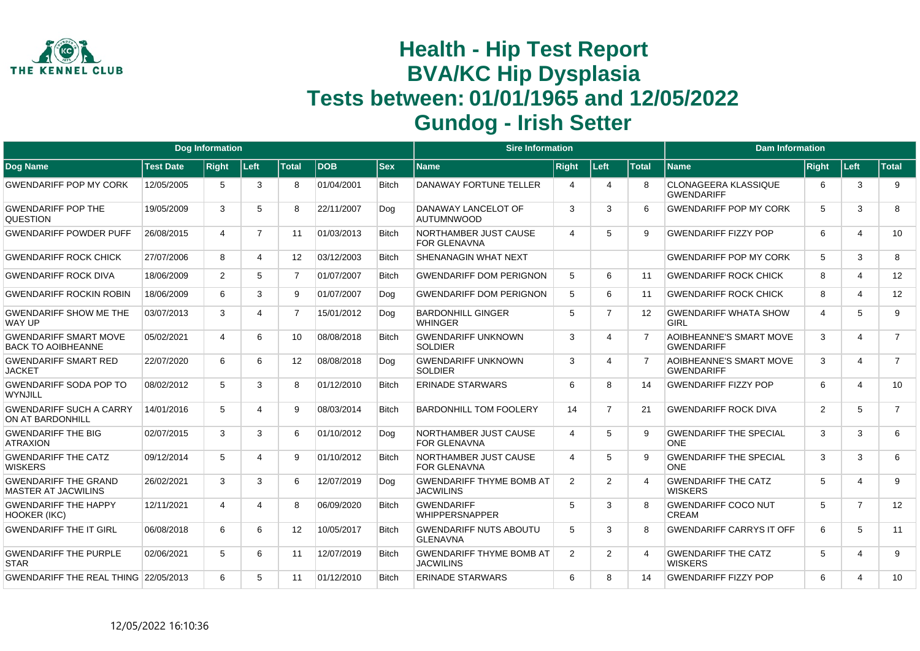

|                                                           |                  | <b>Dog Information</b> |                |                   |            |              | <b>Sire Information</b>                             |                       |                       |              | <b>Dam Information</b>                              |       |                         |                |
|-----------------------------------------------------------|------------------|------------------------|----------------|-------------------|------------|--------------|-----------------------------------------------------|-----------------------|-----------------------|--------------|-----------------------------------------------------|-------|-------------------------|----------------|
| Dog Name                                                  | <b>Test Date</b> | <b>Right</b>           | Left           | <b>Total</b>      | <b>DOB</b> | <b>Sex</b>   | Name                                                | <b>Right</b>          | Left                  | <b>Total</b> | <b>Name</b>                                         | Right | ∣Left∶                  | <b>Total</b>   |
| <b>GWENDARIFF POP MY CORK</b>                             | 12/05/2005       | 5                      | 3              | 8                 | 01/04/2001 | <b>Bitch</b> | DANAWAY FORTUNE TELLER                              | 4                     | 4                     | 8            | <b>CLONAGEERA KLASSIQUE</b><br><b>GWENDARIFF</b>    | 6     | 3                       | 9              |
| <b>GWENDARIFF POP THE</b><br>QUESTION                     | 19/05/2009       | 3                      | 5              | 8                 | 22/11/2007 | Dog          | DANAWAY LANCELOT OF<br><b>AUTUMNWOOD</b>            | 3                     | 3                     | 6            | <b>GWENDARIFF POP MY CORK</b>                       | 5     | 3                       | 8              |
| <b>GWENDARIFF POWDER PUFF</b>                             | 26/08/2015       | 4                      | $\overline{7}$ | 11                | 01/03/2013 | <b>Bitch</b> | NORTHAMBER JUST CAUSE<br><b>FOR GLENAVNA</b>        | $\boldsymbol{\Delta}$ | 5                     | 9            | <b>GWENDARIFF FIZZY POP</b>                         | 6     | $\overline{4}$          | 10             |
| <b>GWENDARIFF ROCK CHICK</b>                              | 27/07/2006       | 8                      | 4              | 12 <sup>°</sup>   | 03/12/2003 | <b>Bitch</b> | SHENANAGIN WHAT NEXT                                |                       |                       |              | <b>GWENDARIFF POP MY CORK</b>                       | 5     | 3                       | 8              |
| <b>GWENDARIFF ROCK DIVA</b>                               | 18/06/2009       | 2                      | 5              | $\overline{7}$    | 01/07/2007 | <b>Bitch</b> | <b>GWENDARIFF DOM PERIGNON</b>                      | 5                     | 6                     | 11           | <b>GWENDARIFF ROCK CHICK</b>                        | 8     | $\overline{4}$          | 12             |
| <b>GWENDARIFF ROCKIN ROBIN</b>                            | 18/06/2009       | 6                      | 3              | 9                 | 01/07/2007 | Dog          | <b>GWENDARIFF DOM PERIGNON</b>                      | 5                     | 6                     | 11           | <b>GWENDARIFF ROCK CHICK</b>                        | 8     | $\overline{4}$          | 12             |
| <b>GWENDARIFF SHOW ME THE</b><br><b>WAY UP</b>            | 03/07/2013       | 3                      | 4              | $\overline{7}$    | 15/01/2012 | Dog          | <b>BARDONHILL GINGER</b><br><b>WHINGER</b>          | 5                     | 7                     | 12           | <b>GWENDARIFF WHATA SHOW</b><br><b>GIRL</b>         | 4     | 5                       | 9              |
| <b>GWENDARIFF SMART MOVE</b><br><b>BACK TO AOIBHEANNE</b> | 05/02/2021       | 4                      | 6              | 10 <sup>°</sup>   | 08/08/2018 | <b>Bitch</b> | <b>GWENDARIFF UNKNOWN</b><br><b>SOLDIER</b>         | 3                     | $\boldsymbol{\Delta}$ |              | <b>AOIBHEANNE'S SMART MOVE</b><br><b>GWENDARIFF</b> | 3     | $\overline{\mathbf{4}}$ | $\overline{7}$ |
| <b>GWENDARIFF SMART RED</b><br><b>JACKET</b>              | 22/07/2020       | 6                      | 6              | $12 \overline{ }$ | 08/08/2018 | Dog          | <b>GWENDARIFF UNKNOWN</b><br><b>SOLDIER</b>         | 3                     | $\boldsymbol{\Delta}$ |              | AOIBHEANNE'S SMART MOVE<br><b>GWENDARIFF</b>        | 3     | 4                       | $\overline{7}$ |
| <b>GWENDARIFF SODA POP TO</b><br>WYNJILL                  | 08/02/2012       | 5                      | 3              | 8                 | 01/12/2010 | <b>Bitch</b> | <b>ERINADE STARWARS</b>                             | 6                     | 8                     | 14           | <b>GWENDARIFF FIZZY POP</b>                         | 6     | $\overline{4}$          | 10             |
| <b>GWENDARIFF SUCH A CARRY</b><br>ON AT BARDONHILL        | 14/01/2016       | 5                      | 4              | 9                 | 08/03/2014 | <b>Bitch</b> | <b>BARDONHILL TOM FOOLERY</b>                       | 14                    | $\overline{7}$        | 21           | <b>GWENDARIFF ROCK DIVA</b>                         | 2     | 5                       | $\overline{7}$ |
| <b>GWENDARIFF THE BIG</b><br><b>ATRAXION</b>              | 02/07/2015       | 3                      | 3              | 6                 | 01/10/2012 | Dog          | NORTHAMBER JUST CAUSE<br><b>FOR GLENAVNA</b>        | $\overline{4}$        | 5                     | 9            | <b>GWENDARIFF THE SPECIAL</b><br><b>ONE</b>         | 3     | 3                       | 6              |
| <b>GWENDARIFF THE CATZ</b><br><b>WISKERS</b>              | 09/12/2014       | 5                      | 4              | 9                 | 01/10/2012 | <b>Bitch</b> | NORTHAMBER JUST CAUSE<br><b>FOR GLENAVNA</b>        | $\overline{4}$        | 5                     | <sub>9</sub> | <b>GWENDARIFF THE SPECIAL</b><br>ONE                | 3     | 3                       | 6              |
| <b>GWENDARIFF THE GRAND</b><br><b>MASTER AT JACWILINS</b> | 26/02/2021       | 3                      | 3              | 6                 | 12/07/2019 | Dog          | <b>GWENDARIFF THYME BOMB AT</b><br><b>JACWILINS</b> | 2                     | 2                     |              | <b>GWENDARIFF THE CATZ</b><br><b>WISKERS</b>        | 5     | $\overline{4}$          | 9              |
| <b>GWENDARIFF THE HAPPY</b><br>HOOKER (IKC)               | 12/11/2021       | 4                      | 4              | 8                 | 06/09/2020 | <b>Bitch</b> | <b>GWENDARIFF</b><br><b>WHIPPERSNAPPER</b>          | 5                     | 3                     | 8            | <b>GWENDARIFF COCO NUT</b><br>CREAM                 | 5     | $\overline{7}$          | 12             |
| <b>GWENDARIFF THE IT GIRL</b>                             | 06/08/2018       | 6                      | 6              | 12                | 10/05/2017 | <b>Bitch</b> | <b>GWENDARIFF NUTS ABOUTU</b><br><b>GLENAVNA</b>    | 5                     | 3                     | 8            | <b>GWENDARIFF CARRYS IT OFF</b>                     | 6     | 5                       | 11             |
| <b>GWENDARIFF THE PURPLE</b><br><b>STAR</b>               | 02/06/2021       | 5                      | 6              | 11                | 12/07/2019 | Bitch        | <b>GWENDARIFF THYME BOMB AT</b><br><b>JACWILINS</b> | 2                     | 2                     | 4            | <b>GWENDARIFF THE CATZ</b><br><b>WISKERS</b>        | 5     | 4                       | 9              |
| GWENDARIFF THE REAL THING 22/05/2013                      |                  | 6                      | 5              | 11                | 01/12/2010 | <b>Bitch</b> | <b>ERINADE STARWARS</b>                             | 6                     | 8                     | 14           | <b>GWENDARIFF FIZZY POP</b>                         | 6     | $\overline{4}$          | 10             |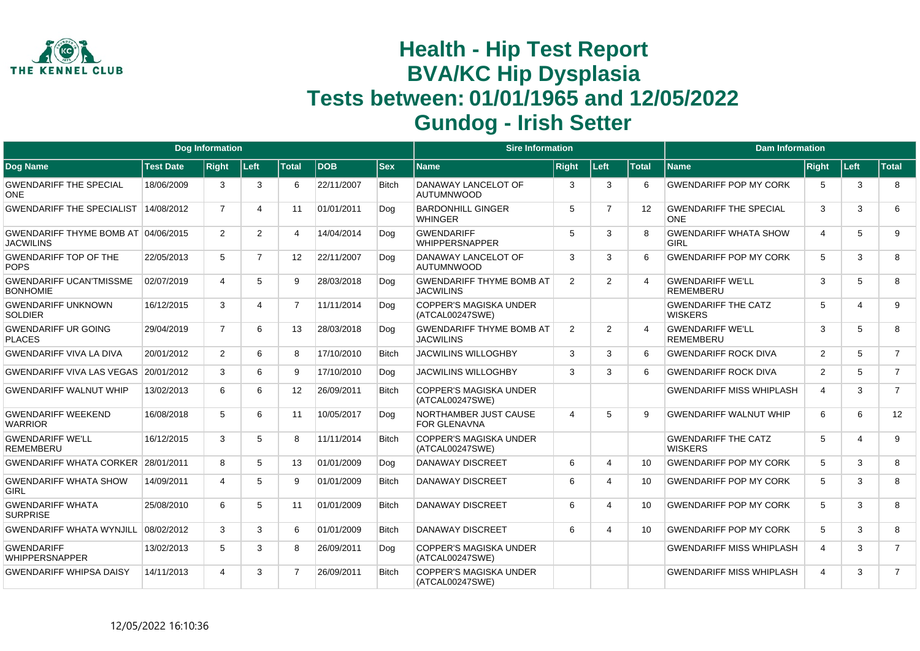

|                                                         |                  | <b>Dog Information</b> |                |                   |             |              | <b>Sire Information</b>                             |                             |                |              | <b>Dam Information</b>                       |                |                       |                |
|---------------------------------------------------------|------------------|------------------------|----------------|-------------------|-------------|--------------|-----------------------------------------------------|-----------------------------|----------------|--------------|----------------------------------------------|----------------|-----------------------|----------------|
| <b>Dog Name</b>                                         | <b>Test Date</b> | <b>Right</b>           | Left           | <b>Total</b>      | <b>IDOB</b> | <b>Sex</b>   | Name                                                | <b>Right</b>                | Left           | <b>Total</b> | <b>Name</b>                                  | <b>Right</b>   | Left                  | <b>Total</b>   |
| <b>GWENDARIFF THE SPECIAL</b><br><b>ONE</b>             | 18/06/2009       | 3                      | 3              | 6                 | 22/11/2007  | <b>Bitch</b> | DANAWAY LANCELOT OF<br><b>AUTUMNWOOD</b>            | 3                           | 3              | 6            | <b>GWENDARIFF POP MY CORK</b>                | -5             | 3                     | 8              |
| <b>GWENDARIFF THE SPECIALIST</b>                        | 14/08/2012       | $\overline{7}$         | 4              | 11                | 01/01/2011  | Dog          | <b>BARDONHILL GINGER</b><br><b>WHINGER</b>          | 5                           | $\overline{7}$ | 12           | <b>GWENDARIFF THE SPECIAL</b><br><b>ONE</b>  | 3              | 3                     | 6              |
| GWENDARIFF THYME BOMB AT 04/06/2015<br><b>JACWILINS</b> |                  | $\overline{2}$         | $\overline{2}$ | 4                 | 14/04/2014  | Dog          | <b>GWENDARIFF</b><br><b>WHIPPERSNAPPER</b>          | 5                           | 3              |              | <b>GWENDARIFF WHATA SHOW</b><br>GIRL         | $\overline{4}$ | 5                     | 9              |
| <b>GWENDARIFF TOP OF THE</b><br><b>POPS</b>             | 22/05/2013       | 5                      | $\overline{7}$ | $12 \overline{ }$ | 22/11/2007  | Dog          | DANAWAY LANCELOT OF<br><b>AUTUMNWOOD</b>            | 3                           | 3              |              | <b>GWENDARIFF POP MY CORK</b>                | 5              | 3                     | 8              |
| <b>GWENDARIFF UCAN'TMISSME</b><br><b>BONHOMIE</b>       | 02/07/2019       | 4                      | 5              | 9                 | 28/03/2018  | Dog          | <b>GWENDARIFF THYME BOMB AT</b><br><b>JACWILINS</b> | 2                           | 2              | 4            | <b>GWENDARIFF WE'LL</b><br><b>REMEMBERU</b>  | 3              | 5                     | 8              |
| <b>GWENDARIFF UNKNOWN</b><br><b>SOLDIER</b>             | 16/12/2015       | 3                      | 4              | $\overline{7}$    | 11/11/2014  | Dog          | <b>COPPER'S MAGISKA UNDER</b><br>(ATCAL00247SWE)    |                             |                |              | <b>GWENDARIFF THE CATZ</b><br><b>WISKERS</b> | 5              | $\boldsymbol{\Delta}$ | 9              |
| <b>GWENDARIFF UR GOING</b><br><b>PLACES</b>             | 29/04/2019       | $\overline{7}$         | 6              | 13                | 28/03/2018  | Dog          | <b>GWENDARIFF THYME BOMB AT</b><br><b>JACWILINS</b> | 2                           | 2              |              | <b>GWENDARIFF WE'LL</b><br><b>REMEMBERU</b>  | 3              | 5                     | 8              |
| <b>GWENDARIFF VIVA LA DIVA</b>                          | 20/01/2012       | $\overline{2}$         | 6              | 8                 | 17/10/2010  | <b>Bitch</b> | <b>JACWILINS WILLOGHBY</b>                          | 3                           | 3              | 6            | <b>GWENDARIFF ROCK DIVA</b>                  | 2              | 5                     | $\overline{7}$ |
| <b>GWENDARIFF VIVA LAS VEGAS</b>                        | 20/01/2012       | 3                      | 6              | 9                 | 17/10/2010  | Dog          | <b>JACWILINS WILLOGHBY</b>                          | 3                           | 3              | ĥ            | <b>GWENDARIFF ROCK DIVA</b>                  | $\overline{2}$ | 5                     | $\overline{7}$ |
| <b>GWENDARIFF WALNUT WHIP</b>                           | 13/02/2013       | 6                      | 6              | 12                | 26/09/2011  | <b>Bitch</b> | <b>COPPER'S MAGISKA UNDER</b><br>(ATCAL00247SWE)    |                             |                |              | <b>GWENDARIFF MISS WHIPLASH</b>              | $\overline{4}$ | 3                     | $\overline{7}$ |
| <b>GWENDARIFF WEEKEND</b><br><b>WARRIOR</b>             | 16/08/2018       | 5                      | 6              | 11                | 10/05/2017  | Dog          | NORTHAMBER JUST CAUSE<br><b>FOR GLENAVNA</b>        | $\boldsymbol{\vartriangle}$ | 5              | 9            | <b>GWENDARIFF WALNUT WHIP</b>                | 6              | 6                     | 12             |
| <b>GWENDARIFF WE'LL</b><br><b>REMEMBERU</b>             | 16/12/2015       | 3                      | 5              | 8                 | 11/11/2014  | <b>Bitch</b> | <b>COPPER'S MAGISKA UNDER</b><br>(ATCAL00247SWE)    |                             |                |              | <b>GWENDARIFF THE CATZ</b><br><b>WISKERS</b> | 5              | $\overline{4}$        | 9              |
| <b>GWENDARIFF WHATA CORKER</b>                          | 28/01/2011       | 8                      | 5              | 13                | 01/01/2009  | Dog          | <b>DANAWAY DISCREET</b>                             | 6                           | 4              | 10           | <b>GWENDARIFF POP MY CORK</b>                | 5              | 3                     | 8              |
| <b>GWENDARIFF WHATA SHOW</b><br><b>GIRL</b>             | 14/09/2011       | 4                      | 5              | 9                 | 01/01/2009  | <b>Bitch</b> | DANAWAY DISCREET                                    | 6                           | 4              | 10           | <b>GWENDARIFF POP MY CORK</b>                | 5              | 3                     | 8              |
| <b>GWENDARIFF WHATA</b><br><b>SURPRISE</b>              | 25/08/2010       | 6                      | 5              | 11                | 01/01/2009  | <b>Bitch</b> | <b>DANAWAY DISCREET</b>                             | 6                           | 4              | 10           | <b>GWENDARIFF POP MY CORK</b>                | 5              | 3                     | 8              |
| <b>GWENDARIFF WHATA WYNJILL</b>                         | 08/02/2012       | 3                      | 3              | 6                 | 01/01/2009  | <b>Bitch</b> | DANAWAY DISCREET                                    | 6                           | 4              | 10           | <b>GWENDARIFF POP MY CORK</b>                | 5              | 3                     | 8              |
| <b>GWENDARIFF</b><br><b>WHIPPERSNAPPER</b>              | 13/02/2013       | 5                      | 3              | 8                 | 26/09/2011  | Dog          | <b>COPPER'S MAGISKA UNDER</b><br>(ATCAL00247SWE)    |                             |                |              | <b>GWENDARIFF MISS WHIPLASH</b>              | $\overline{4}$ | 3                     | $\overline{7}$ |
| <b>GWENDARIFF WHIPSA DAISY</b>                          | 14/11/2013       |                        | 3              | $\overline{7}$    | 26/09/2011  | <b>Bitch</b> | <b>COPPER'S MAGISKA UNDER</b><br>(ATCAL00247SWE)    |                             |                |              | <b>GWENDARIFF MISS WHIPLASH</b>              | $\overline{4}$ | 3                     | $\overline{7}$ |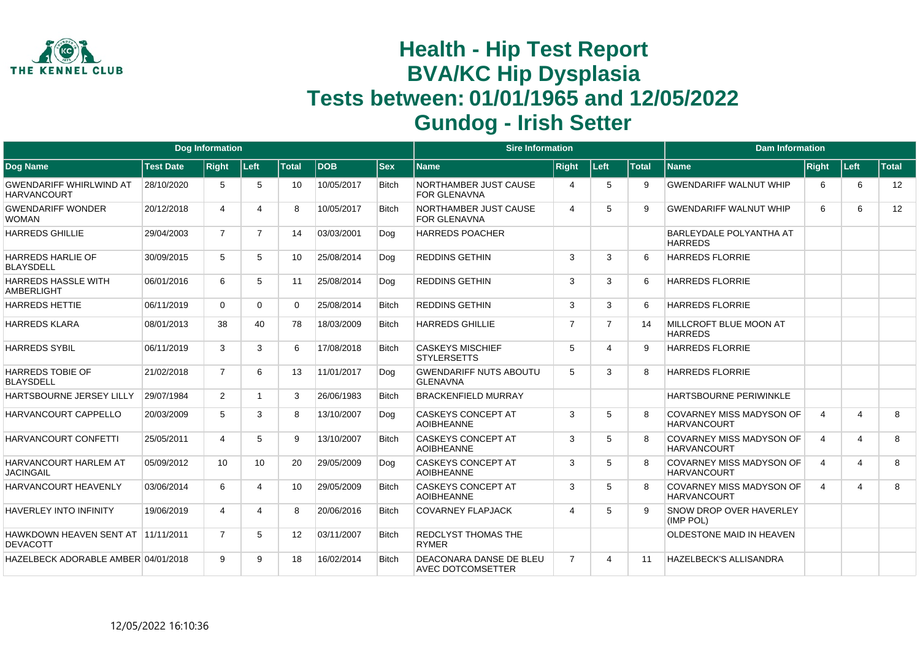

|                                                       |                  | <b>Dog Information</b> |                 |              |            |              | <b>Sire Information</b>                             |                       |      |              | <b>Dam Information</b>                                |                |                       |       |
|-------------------------------------------------------|------------------|------------------------|-----------------|--------------|------------|--------------|-----------------------------------------------------|-----------------------|------|--------------|-------------------------------------------------------|----------------|-----------------------|-------|
| Dog Name                                              | <b>Test Date</b> | <b>Right</b>           | Left            | <b>Total</b> | <b>DOB</b> | <b>Sex</b>   | <b>Name</b>                                         | <b>Right</b>          | Left | <b>Total</b> | <b>Name</b>                                           | Right          | Left                  | Total |
| <b>GWENDARIFF WHIRLWIND AT</b><br><b>HARVANCOURT</b>  | 28/10/2020       | 5                      | 5               | 10           | 10/05/2017 | <b>Bitch</b> | NORTHAMBER JUST CAUSE<br><b>FOR GLENAVNA</b>        | $\boldsymbol{\Delta}$ | 5    | 9            | <b>GWENDARIFF WALNUT WHIP</b>                         | 6              | 6                     | 12    |
| <b>GWENDARIFF WONDER</b><br><b>WOMAN</b>              | 20/12/2018       | $\overline{4}$         | 4               | 8            | 10/05/2017 | <b>Bitch</b> | NORTHAMBER JUST CAUSE<br><b>FOR GLENAVNA</b>        | $\overline{4}$        | 5    | 9            | <b>GWENDARIFF WALNUT WHIP</b>                         | 6              | 6                     | 12    |
| <b>HARREDS GHILLIE</b>                                | 29/04/2003       | $\overline{7}$         | $\overline{7}$  | 14           | 03/03/2001 | Dog          | <b>HARREDS POACHER</b>                              |                       |      |              | BARLEYDALE POLYANTHA AT<br><b>HARREDS</b>             |                |                       |       |
| <b>HARREDS HARLIE OF</b><br><b>BLAYSDELL</b>          | 30/09/2015       | 5                      | 5               | 10           | 25/08/2014 | Dog          | <b>REDDINS GETHIN</b>                               | 3                     | 3    | 6            | <b>HARREDS FLORRIE</b>                                |                |                       |       |
| <b>HARREDS HASSLE WITH</b><br><b>AMBERLIGHT</b>       | 06/01/2016       | 6                      | 5               | 11           | 25/08/2014 | Dog          | <b>REDDINS GETHIN</b>                               | 3                     | 3    | 6            | <b>HARREDS FLORRIE</b>                                |                |                       |       |
| <b>HARREDS HETTIE</b>                                 | 06/11/2019       | $\Omega$               | $\Omega$        | 0            | 25/08/2014 | <b>Bitch</b> | <b>REDDINS GETHIN</b>                               | 3                     | 3    | 6            | <b>HARREDS FLORRIE</b>                                |                |                       |       |
| <b>HARREDS KLARA</b>                                  | 08/01/2013       | 38                     | 40              | 78           | 18/03/2009 | <b>Bitch</b> | <b>HARREDS GHILLIE</b>                              | 7                     | 7    | 14           | MILLCROFT BLUE MOON AT<br><b>HARREDS</b>              |                |                       |       |
| <b>HARREDS SYBIL</b>                                  | 06/11/2019       | 3                      | 3               | 6            | 17/08/2018 | <b>Bitch</b> | <b>CASKEYS MISCHIEF</b><br><b>STYLERSETTS</b>       | 5                     | 4    | 9            | <b>HARREDS FLORRIE</b>                                |                |                       |       |
| <b>HARREDS TOBIE OF</b><br><b>BLAYSDELL</b>           | 21/02/2018       | $\overline{7}$         | 6               | 13           | 11/01/2017 | Dog          | <b>GWENDARIFF NUTS ABOUTU</b><br><b>GLENAVNA</b>    | 5                     | 3    | 8            | <b>HARREDS FLORRIE</b>                                |                |                       |       |
| HARTSBOURNE JERSEY LILLY                              | 29/07/1984       | 2                      |                 | 3            | 26/06/1983 | <b>Bitch</b> | <b>BRACKENFIELD MURRAY</b>                          |                       |      |              | HARTSBOURNE PERIWINKLE                                |                |                       |       |
| HARVANCOURT CAPPELLO                                  | 20/03/2009       | 5                      | 3               | 8            | 13/10/2007 | Dog          | <b>CASKEYS CONCEPT AT</b><br><b>AOIBHEANNE</b>      | 3                     | 5    | 8            | <b>COVARNEY MISS MADYSON OF</b><br><b>HARVANCOURT</b> | $\overline{4}$ | $\overline{4}$        | 8     |
| HARVANCOURT CONFETTI                                  | 25/05/2011       | 4                      | 5               | 9            | 13/10/2007 | <b>Bitch</b> | <b>CASKEYS CONCEPT AT</b><br><b>AOIBHEANNE</b>      | 3                     | 5    | 8            | COVARNEY MISS MADYSON OF<br><b>HARVANCOURT</b>        | $\overline{4}$ | $\overline{4}$        | 8     |
| <b>HARVANCOURT HARLEM AT</b><br><b>JACINGAIL</b>      | 05/09/2012       | 10                     | 10 <sup>1</sup> | 20           | 29/05/2009 | Dog          | <b>CASKEYS CONCEPT AT</b><br><b>AOIBHEANNE</b>      | 3                     | 5    | 8            | <b>COVARNEY MISS MADYSON OF</b><br><b>HARVANCOURT</b> | $\overline{4}$ | $\boldsymbol{\Delta}$ | 8     |
| HARVANCOURT HEAVENLY                                  | 03/06/2014       | 6                      |                 | 10           | 29/05/2009 | <b>Bitch</b> | <b>CASKEYS CONCEPT AT</b><br><b>AOIBHEANNE</b>      | 3                     | 5    | 8            | <b>COVARNEY MISS MADYSON OF</b><br><b>HARVANCOURT</b> | $\overline{4}$ | $\overline{4}$        | 8     |
| <b>HAVERLEY INTO INFINITY</b>                         | 19/06/2019       | $\overline{4}$         |                 | 8            | 20/06/2016 | <b>Bitch</b> | <b>COVARNEY FLAPJACK</b>                            | $\overline{A}$        | 5    | 9            | SNOW DROP OVER HAVERLEY<br>(IMP POL)                  |                |                       |       |
| HAWKDOWN HEAVEN SENT AT 11/11/2011<br><b>DEVACOTT</b> |                  | $\overline{7}$         | 5               | 12           | 03/11/2007 | <b>Bitch</b> | <b>REDCLYST THOMAS THE</b><br><b>RYMER</b>          |                       |      |              | OLDESTONE MAID IN HEAVEN                              |                |                       |       |
| HAZELBECK ADORABLE AMBER 04/01/2018                   |                  | $\mathbf{Q}$           | 9               | 18           | 16/02/2014 | <b>Bitch</b> | DEACONARA DANSE DE BLEU<br><b>AVEC DOTCOMSETTER</b> | $\overline{7}$        | Δ    | 11           | <b>HAZELBECK'S ALLISANDRA</b>                         |                |                       |       |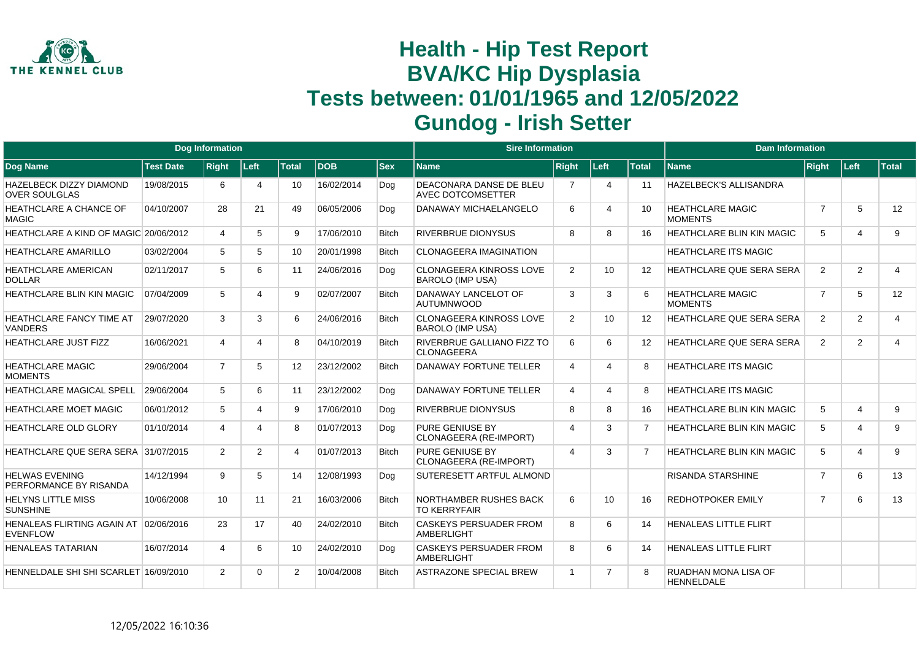

|                                                          |                  | Dog Information |                |                |             |              | <b>Sire Information</b>                                   |                          |                       |                   | <b>Dam Information</b>                    |                |                         |                |
|----------------------------------------------------------|------------------|-----------------|----------------|----------------|-------------|--------------|-----------------------------------------------------------|--------------------------|-----------------------|-------------------|-------------------------------------------|----------------|-------------------------|----------------|
| <b>Dog Name</b>                                          | <b>Test Date</b> | <b>Right</b>    | Left           | <b>Total</b>   | <b>IDOB</b> | <b>Sex</b>   | <b>Name</b>                                               | <b>Right</b>             | Left                  | <b>Total</b>      | <b>Name</b>                               | <b>Right</b>   | Left                    | Total          |
| <b>HAZELBECK DIZZY DIAMOND</b><br><b>OVER SOULGLAS</b>   | 19/08/2015       | 6               | 4              | 10             | 16/02/2014  | Dog          | DEACONARA DANSE DE BLEU<br><b>AVEC DOTCOMSETTER</b>       | 7                        | $\overline{4}$        | 11                | HAZELBECK'S ALLISANDRA                    |                |                         |                |
| <b>HEATHCLARE A CHANCE OF</b><br><b>MAGIC</b>            | 04/10/2007       | 28              | 21             | 49             | 06/05/2006  | Dog          | <b>DANAWAY MICHAELANGELO</b>                              | 6                        | $\boldsymbol{\Delta}$ | 10 <sup>1</sup>   | <b>HEATHCLARE MAGIC</b><br><b>MOMENTS</b> | $\overline{7}$ | 5                       | 12             |
| HEATHCLARE A KIND OF MAGIC 20/06/2012                    |                  | 4               | 5              | 9              | 17/06/2010  | <b>Bitch</b> | <b>RIVERBRUE DIONYSUS</b>                                 | $\mathsf{R}$             | 8                     | 16                | <b>HEATHCLARE BLIN KIN MAGIC</b>          | 5              | $\overline{\mathbf{4}}$ | 9              |
| <b>HEATHCLARE AMARILLO</b>                               | 03/02/2004       | 5               | 5              | 10             | 20/01/1998  | <b>Bitch</b> | <b>CLONAGEERA IMAGINATION</b>                             |                          |                       |                   | <b>HEATHCLARE ITS MAGIC</b>               |                |                         |                |
| HEATHCLARE AMERICAN<br><b>DOLLAR</b>                     | 02/11/2017       | 5               | 6              | 11             | 24/06/2016  | Dog          | <b>CLONAGEERA KINROSS LOVE</b><br><b>BAROLO (IMP USA)</b> | 2                        | 10                    | 12                | HEATHCLARE QUE SERA SERA                  | 2              | 2                       | $\overline{4}$ |
| <b>HEATHCLARE BLIN KIN MAGIC</b>                         | 07/04/2009       | 5               | 4              | 9              | 02/07/2007  | <b>Bitch</b> | DANAWAY LANCELOT OF<br><b>AUTUMNWOOD</b>                  | 3                        | 3                     | 6                 | <b>HEATHCLARE MAGIC</b><br><b>MOMENTS</b> | $\overline{7}$ | 5                       | 12             |
| HEATHCLARE FANCY TIME AT<br><b>VANDERS</b>               | 29/07/2020       | 3               | 3              | 6              | 24/06/2016  | <b>Bitch</b> | <b>CLONAGEERA KINROSS LOVE</b><br><b>BAROLO (IMP USA)</b> | 2                        | 10                    | $12 \overline{ }$ | <b>HEATHCLARE QUE SERA SERA</b>           | 2              | 2                       | $\overline{4}$ |
| HEATHCLARE JUST FIZZ                                     | 16/06/2021       | $\overline{4}$  | 4              | 8              | 04/10/2019  | <b>Bitch</b> | RIVERBRUE GALLIANO FIZZ TO<br><b>CLONAGEERA</b>           | 6                        | 6                     | $12 \overline{ }$ | HEATHCLARE QUE SERA SERA                  | 2              | 2                       | $\overline{4}$ |
| <b>HEATHCLARE MAGIC</b><br><b>MOMENTS</b>                | 29/06/2004       | $\overline{7}$  | 5              | 12             | 23/12/2002  | <b>Bitch</b> | <b>DANAWAY FORTUNE TELLER</b>                             | $\overline{4}$           | $\Delta$              | 8                 | <b>HEATHCLARE ITS MAGIC</b>               |                |                         |                |
| <b>HEATHCLARE MAGICAL SPELL</b>                          | 29/06/2004       | $5^{\circ}$     | 6              | 11             | 23/12/2002  | Dog          | <b>DANAWAY FORTUNE TELLER</b>                             | $\overline{4}$           | $\overline{4}$        | 8                 | <b>HEATHCLARE ITS MAGIC</b>               |                |                         |                |
| <b>HEATHCLARE MOET MAGIC</b>                             | 06/01/2012       | 5               | 4              | 9              | 17/06/2010  | Dog          | <b>RIVERBRUE DIONYSUS</b>                                 | 8                        | 8                     | 16                | <b>HEATHCLARE BLIN KIN MAGIC</b>          | 5              | $\overline{4}$          | 9              |
| <b>HEATHCLARE OLD GLORY</b>                              | 01/10/2014       | 4               | 4              | 8              | 01/07/2013  | Dog          | PURE GENIUSE BY<br>CLONAGEERA (RE-IMPORT)                 | $\overline{4}$           | 3                     | $\overline{7}$    | <b>HEATHCLARE BLIN KIN MAGIC</b>          | 5              | $\overline{4}$          | 9              |
| HEATHCLARE QUE SERA SERA 31/07/2015                      |                  | $\overline{2}$  | $\overline{2}$ | 4              | 01/07/2013  | <b>Bitch</b> | <b>PURE GENIUSE BY</b><br>CLONAGEERA (RE-IMPORT)          | $\boldsymbol{\varDelta}$ | 3                     | $\overline{7}$    | HEATHCLARE BLIN KIN MAGIC                 | 5              | $\overline{4}$          | 9              |
| <b>HELWAS EVENING</b><br>PERFORMANCE BY RISANDA          | 14/12/1994       | 9               | 5              | 14             | 12/08/1993  | Dog          | SUTERESETT ARTFUL ALMOND                                  |                          |                       |                   | <b>RISANDA STARSHINE</b>                  | $\overline{7}$ | 6                       | 13             |
| <b>HELYNS LITTLE MISS</b><br><b>SUNSHINE</b>             | 10/06/2008       | 10 <sup>1</sup> | 11             | 21             | 16/03/2006  | <b>Bitch</b> | NORTHAMBER RUSHES BACK<br><b>TO KERRYFAIR</b>             | 6                        | 10                    | 16                | <b>REDHOTPOKER EMILY</b>                  | $\overline{7}$ | 6                       | 13             |
| HENALEAS FLIRTING AGAIN AT 02/06/2016<br><b>EVENFLOW</b> |                  | 23              | 17             | 40             | 24/02/2010  | <b>Bitch</b> | <b>CASKEYS PERSUADER FROM</b><br><b>AMBERLIGHT</b>        | 8                        | 6                     | 14                | <b>HENALEAS LITTLE FLIRT</b>              |                |                         |                |
| <b>HENALEAS TATARIAN</b>                                 | 16/07/2014       | 4               | 6              | 10             | 24/02/2010  | Dog          | <b>CASKEYS PERSUADER FROM</b><br><b>AMBERLIGHT</b>        | 8                        | 6                     | 14                | <b>HENALEAS LITTLE FLIRT</b>              |                |                         |                |
| HENNELDALE SHI SHI SCARLET 16/09/2010                    |                  | $\overline{2}$  | $\Omega$       | $\overline{2}$ | 10/04/2008  | <b>Bitch</b> | <b>ASTRAZONE SPECIAL BREW</b>                             | $\overline{1}$           | $\overline{7}$        | 8                 | RUADHAN MONA LISA OF<br><b>HENNELDALE</b> |                |                         |                |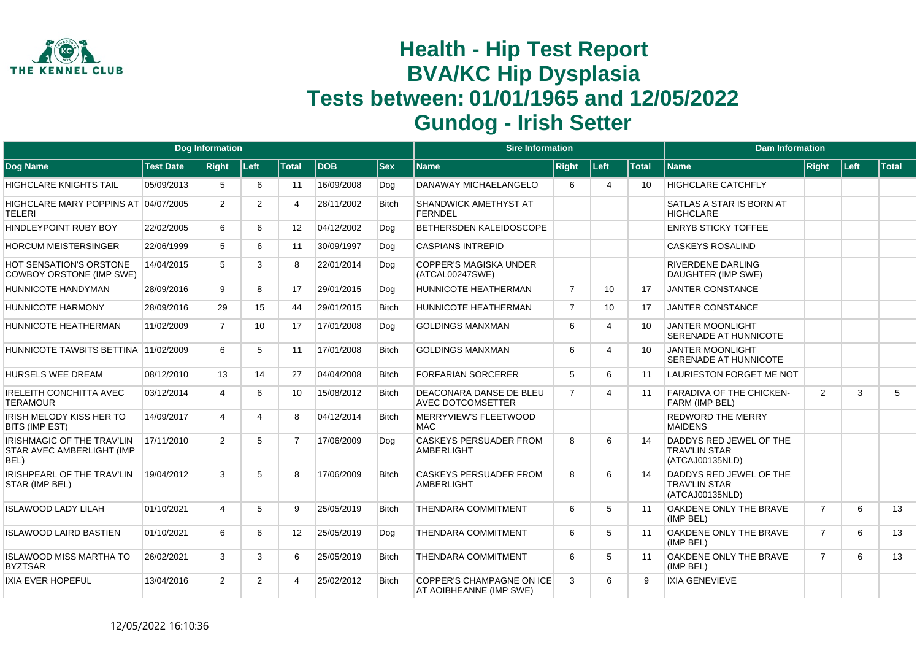

|                                                                   |                  | <b>Dog Information</b> |                 |                |            |              | <b>Sire Information</b>                                     |                |                 |              | <b>Dam Information</b>                                             |                |        |       |
|-------------------------------------------------------------------|------------------|------------------------|-----------------|----------------|------------|--------------|-------------------------------------------------------------|----------------|-----------------|--------------|--------------------------------------------------------------------|----------------|--------|-------|
| Dog Name                                                          | <b>Test Date</b> | <b>Right</b>           | Left            | <b>Total</b>   | <b>DOB</b> | <b>Sex</b>   | Name                                                        | <b>Right</b>   | Left            | <b>Total</b> | <b>Name</b>                                                        | Right          | ∣Left∶ | Total |
| <b>HIGHCLARE KNIGHTS TAIL</b>                                     | 05/09/2013       | 5                      | 6               | 11             | 16/09/2008 | Dog          | DANAWAY MICHAELANGELO                                       | 6              | 4               | 10           | <b>HIGHCLARE CATCHFLY</b>                                          |                |        |       |
| HIGHCLARE MARY POPPINS AT 04/07/2005<br>TELERI                    |                  | $\overline{2}$         | $\overline{2}$  | 4              | 28/11/2002 | <b>Bitch</b> | <b>SHANDWICK AMETHYST AT</b><br><b>FERNDEL</b>              |                |                 |              | SATLAS A STAR IS BORN AT<br><b>HIGHCLARE</b>                       |                |        |       |
| <b>HINDLEYPOINT RUBY BOY</b>                                      | 22/02/2005       | 6                      | 6               | 12             | 04/12/2002 | Dog          | BETHERSDEN KALEIDOSCOPE                                     |                |                 |              | <b>ENRYB STICKY TOFFEE</b>                                         |                |        |       |
| <b>HORCUM MEISTERSINGER</b>                                       | 22/06/1999       | 5                      | 6               | 11             | 30/09/1997 | Dog          | <b>CASPIANS INTREPID</b>                                    |                |                 |              | <b>CASKEYS ROSALIND</b>                                            |                |        |       |
| <b>HOT SENSATION'S ORSTONE</b><br><b>COWBOY ORSTONE (IMP SWE)</b> | 14/04/2015       | 5                      | 3               | 8              | 22/01/2014 | Dog          | <b>COPPER'S MAGISKA UNDER</b><br>(ATCAL00247SWE)            |                |                 |              | RIVERDENE DARLING<br>DAUGHTER (IMP SWE)                            |                |        |       |
| HUNNICOTE HANDYMAN                                                | 28/09/2016       | 9                      | 8               | 17             | 29/01/2015 | Dog          | <b>HUNNICOTE HEATHERMAN</b>                                 | $\overline{7}$ | 10              | 17           | <b>JANTER CONSTANCE</b>                                            |                |        |       |
| HUNNICOTE HARMONY                                                 | 28/09/2016       | 29                     | 15              | 44             | 29/01/2015 | <b>Bitch</b> | HUNNICOTE HEATHERMAN                                        | $\overline{7}$ | 10 <sup>1</sup> | 17           | <b>JANTER CONSTANCE</b>                                            |                |        |       |
| HUNNICOTE HEATHERMAN                                              | 11/02/2009       | $\overline{7}$         | 10 <sup>°</sup> | 17             | 17/01/2008 | Dog          | <b>GOLDINGS MANXMAN</b>                                     | 6              | $\Delta$        | 10           | <b>JANTER MOONLIGHT</b><br>SERENADE AT HUNNICOTE                   |                |        |       |
| HUNNICOTE TAWBITS BETTINA 11/02/2009                              |                  | 6                      | 5               | 11             | 17/01/2008 | <b>Bitch</b> | <b>GOLDINGS MANXMAN</b>                                     | 6              | 4               | 10           | <b>JANTER MOONLIGHT</b><br>SERENADE AT HUNNICOTE                   |                |        |       |
| <b>HURSELS WEE DREAM</b>                                          | 08/12/2010       | 13                     | 14              | 27             | 04/04/2008 | <b>Bitch</b> | <b>FORFARIAN SORCERER</b>                                   | 5              | 6               | 11           | LAURIESTON FORGET ME NOT                                           |                |        |       |
| <b>IRELEITH CONCHITTA AVEC</b><br><b>TERAMOUR</b>                 | 03/12/2014       | $\overline{4}$         | 6               | 10             | 15/08/2012 | <b>Bitch</b> | DEACONARA DANSE DE BLEU<br><b>AVEC DOTCOMSETTER</b>         | $\overline{7}$ | 4               | 11           | <b>FARADIVA OF THE CHICKEN-</b><br>FARM (IMP BEL)                  | $\overline{2}$ | 3      | 5     |
| <b>IRISH MELODY KISS HER TO</b><br>BITS (IMP EST)                 | 14/09/2017       | $\overline{4}$         | 4               | 8              | 04/12/2014 | <b>Bitch</b> | MERRYVIEW'S FLEETWOOD<br>MAC.                               |                |                 |              | <b>REDWORD THE MERRY</b><br><b>MAIDENS</b>                         |                |        |       |
| IRISHMAGIC OF THE TRAV'LIN<br>STAR AVEC AMBERLIGHT (IMP<br>BEL)   | 17/11/2010       | 2                      | 5               | $\overline{7}$ | 17/06/2009 | Dog          | <b>CASKEYS PERSUADER FROM</b><br><b>AMBERLIGHT</b>          | 8              | 6               | 14           | DADDYS RED JEWEL OF THE<br><b>TRAV'LIN STAR</b><br>(ATCAJ00135NLD) |                |        |       |
| IRISHPEARL OF THE TRAV'LIN<br>STAR (IMP BEL)                      | 19/04/2012       | 3                      | 5               | 8              | 17/06/2009 | <b>Bitch</b> | <b>CASKEYS PERSUADER FROM</b><br><b>AMBERLIGHT</b>          | 8              | 6               | 14           | DADDYS RED JEWEL OF THE<br><b>TRAV'LIN STAR</b><br>(ATCAJ00135NLD) |                |        |       |
| <b>ISLAWOOD LADY LILAH</b>                                        | 01/10/2021       | $\overline{4}$         | 5               | 9              | 25/05/2019 | Bitch        | <b>THENDARA COMMITMENT</b>                                  | 6              | 5               | 11           | OAKDENE ONLY THE BRAVE<br>(IMP BEL)                                | $\overline{7}$ | 6      | 13    |
| <b>ISLAWOOD LAIRD BASTIEN</b>                                     | 01/10/2021       | 6                      | 6               | 12             | 25/05/2019 | Dog          | <b>THENDARA COMMITMENT</b>                                  | 6              | 5               | 11           | OAKDENE ONLY THE BRAVE<br>(IMP BEL)                                | $\overline{7}$ | 6      | 13    |
| <b>ISLAWOOD MISS MARTHA TO</b><br><b>BYZTSAR</b>                  | 26/02/2021       | 3                      | 3               | 6              | 25/05/2019 | <b>Bitch</b> | <b>THENDARA COMMITMENT</b>                                  | 6              | 5               | 11           | OAKDENE ONLY THE BRAVE<br>(IMP BEL)                                | $\overline{7}$ | 6      | 13    |
| <b>IXIA EVER HOPEFUL</b>                                          | 13/04/2016       | $\overline{2}$         | $\overline{2}$  | Δ              | 25/02/2012 | <b>Bitch</b> | <b>COPPER'S CHAMPAGNE ON ICE</b><br>AT AOIBHEANNE (IMP SWE) | 3              | 6               | $\mathsf{Q}$ | <b>IXIA GENEVIEVE</b>                                              |                |        |       |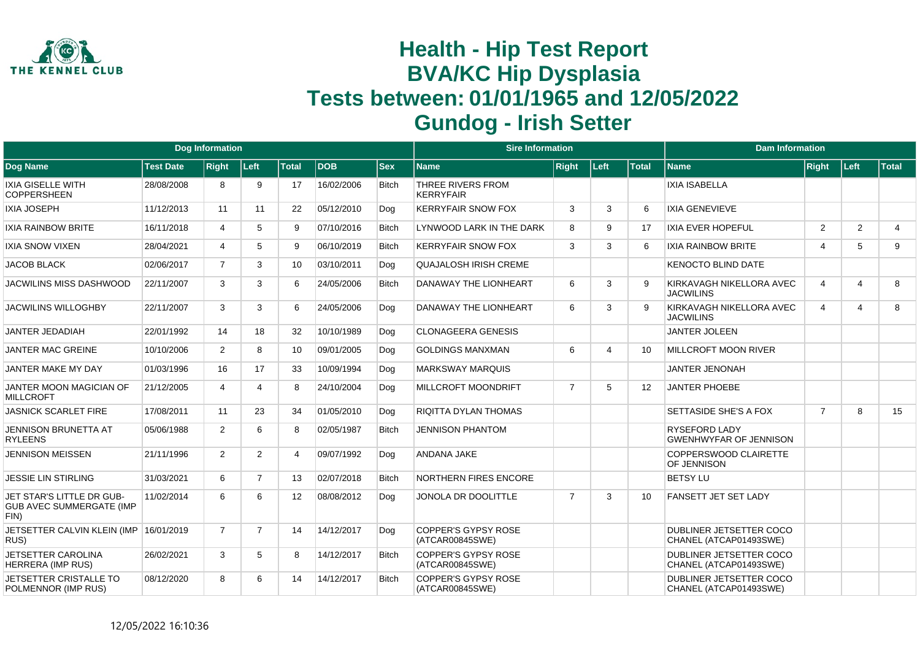

|                                                                      |                  | <b>Dog Information</b> |                |              |            |              | <b>Sire Information</b>                       |                |                       |              | <b>Dam Information</b>                            |                         |                         |                |
|----------------------------------------------------------------------|------------------|------------------------|----------------|--------------|------------|--------------|-----------------------------------------------|----------------|-----------------------|--------------|---------------------------------------------------|-------------------------|-------------------------|----------------|
| Dog Name                                                             | <b>Test Date</b> | <b>Right</b>           | Left           | <b>Total</b> | <b>DOB</b> | <b>Sex</b>   | <b>Name</b>                                   | <b>Right</b>   | Left                  | <b>Total</b> | <b>Name</b>                                       | <b>Right</b>            | Left                    | Total          |
| <b>IXIA GISELLE WITH</b><br><b>COPPERSHEEN</b>                       | 28/08/2008       | 8                      | 9              | 17           | 16/02/2006 | <b>Bitch</b> | THREE RIVERS FROM<br><b>KERRYFAIR</b>         |                |                       |              | <b>IXIA ISABELLA</b>                              |                         |                         |                |
| <b>IXIA JOSEPH</b>                                                   | 11/12/2013       | 11                     | 11             | 22           | 05/12/2010 | Dog          | <b>KERRYFAIR SNOW FOX</b>                     | 3              | 3                     | 6            | <b>IXIA GENEVIEVE</b>                             |                         |                         |                |
| <b>IXIA RAINBOW BRITE</b>                                            | 16/11/2018       | $\overline{4}$         | 5              | 9            | 07/10/2016 | <b>Bitch</b> | LYNWOOD LARK IN THE DARK                      | 8              | 9                     | 17           | <b>IXIA EVER HOPEFUL</b>                          | $\overline{2}$          | $\overline{2}$          | $\overline{4}$ |
| <b>IXIA SNOW VIXEN</b>                                               | 28/04/2021       | 4                      | 5              | 9            | 06/10/2019 | <b>Bitch</b> | <b>KERRYFAIR SNOW FOX</b>                     | 3              | 3                     | 6            | <b>IXIA RAINBOW BRITE</b>                         | $\overline{\mathbf{4}}$ | 5                       | 9              |
| <b>JACOB BLACK</b>                                                   | 02/06/2017       | $\overline{7}$         | 3              | 10           | 03/10/2011 | Dog          | <b>QUAJALOSH IRISH CREME</b>                  |                |                       |              | <b>KENOCTO BLIND DATE</b>                         |                         |                         |                |
| <b>JACWILINS MISS DASHWOOD</b>                                       | 22/11/2007       | 3                      | 3              | 6            | 24/05/2006 | <b>Bitch</b> | DANAWAY THE LIONHEART                         | 6              | 3                     | 9            | KIRKAVAGH NIKELLORA AVEC<br><b>JACWILINS</b>      | $\overline{\mathbf{4}}$ | $\overline{\mathbf{4}}$ | 8              |
| <b>JACWILINS WILLOGHBY</b>                                           | 22/11/2007       | 3                      | 3              | 6            | 24/05/2006 | Dog          | DANAWAY THE LIONHEART                         | 6              | 3                     | <b>q</b>     | KIRKAVAGH NIKELLORA AVEC<br><b>JACWILINS</b>      | 4                       | $\overline{4}$          | 8              |
| <b>JANTER JEDADIAH</b>                                               | 22/01/1992       | 14                     | 18             | 32           | 10/10/1989 | Dog          | <b>CLONAGEERA GENESIS</b>                     |                |                       |              | <b>JANTER JOLEEN</b>                              |                         |                         |                |
| <b>JANTER MAC GREINE</b>                                             | 10/10/2006       | 2                      | 8              | 10           | 09/01/2005 | Dog          | <b>GOLDINGS MANXMAN</b>                       | 6              | $\boldsymbol{\Delta}$ | 10           | MILLCROFT MOON RIVER                              |                         |                         |                |
| JANTER MAKE MY DAY                                                   | 01/03/1996       | 16                     | 17             | 33           | 10/09/1994 | Dog          | <b>MARKSWAY MARQUIS</b>                       |                |                       |              | <b>JANTER JENONAH</b>                             |                         |                         |                |
| <b>JANTER MOON MAGICIAN OF</b><br><b>MILLCROFT</b>                   | 21/12/2005       | 4                      | Δ              | 8            | 24/10/2004 | Dog          | <b>MILLCROFT MOONDRIFT</b>                    | $\overline{7}$ | 5                     | 12           | <b>JANTER PHOEBE</b>                              |                         |                         |                |
| <b>JASNICK SCARLET FIRE</b>                                          | 17/08/2011       | 11                     | 23             | 34           | 01/05/2010 | Dog          | <b>RIQITTA DYLAN THOMAS</b>                   |                |                       |              | SETTASIDE SHE'S A FOX                             | $\overline{7}$          | 8                       | 15             |
| <b>JENNISON BRUNETTA AT</b><br><b>RYLEENS</b>                        | 05/06/1988       | 2                      | 6              | 8            | 02/05/1987 | <b>Bitch</b> | <b>JENNISON PHANTOM</b>                       |                |                       |              | RYSEFORD LADY<br><b>GWENHWYFAR OF JENNISON</b>    |                         |                         |                |
| <b>JENNISON MEISSEN</b>                                              | 21/11/1996       | 2                      | $\overline{2}$ | 4            | 09/07/1992 | Dog          | <b>ANDANA JAKE</b>                            |                |                       |              | COPPERSWOOD CLAIRETTE<br>OF JENNISON              |                         |                         |                |
| <b>JESSIE LIN STIRLING</b>                                           | 31/03/2021       | 6                      | $\overline{7}$ | 13           | 02/07/2018 | <b>Bitch</b> | NORTHERN FIRES ENCORE                         |                |                       |              | <b>BETSY LU</b>                                   |                         |                         |                |
| JET STAR'S LITTLE DR GUB-<br><b>GUB AVEC SUMMERGATE (IMP</b><br>FIN) | 11/02/2014       | 6                      | 6              | 12           | 08/08/2012 | Dog          | JONOLA DR DOOLITTLE                           | $\overline{7}$ | 3                     | 10           | <b>FANSETT JET SET LADY</b>                       |                         |                         |                |
| JETSETTER CALVIN KLEIN (IMP<br>RUS)                                  | 16/01/2019       | $\overline{7}$         | $\overline{7}$ | 14           | 14/12/2017 | Dog          | <b>COPPER'S GYPSY ROSE</b><br>(ATCAR00845SWE) |                |                       |              | DUBLINER JETSETTER COCO<br>CHANEL (ATCAP01493SWE) |                         |                         |                |
| JETSETTER CAROLINA<br><b>HERRERA (IMP RUS)</b>                       | 26/02/2021       | 3                      | 5              | 8            | 14/12/2017 | <b>Bitch</b> | <b>COPPER'S GYPSY ROSE</b><br>(ATCAR00845SWE) |                |                       |              | DUBLINER JETSETTER COCO<br>CHANEL (ATCAP01493SWE) |                         |                         |                |
| JETSETTER CRISTALLE TO<br>POLMENNOR (IMP RUS)                        | 08/12/2020       | 8                      | 6              | 14           | 14/12/2017 | <b>Bitch</b> | <b>COPPER'S GYPSY ROSE</b><br>(ATCAR00845SWE) |                |                       |              | DUBLINER JETSETTER COCO<br>CHANEL (ATCAP01493SWE) |                         |                         |                |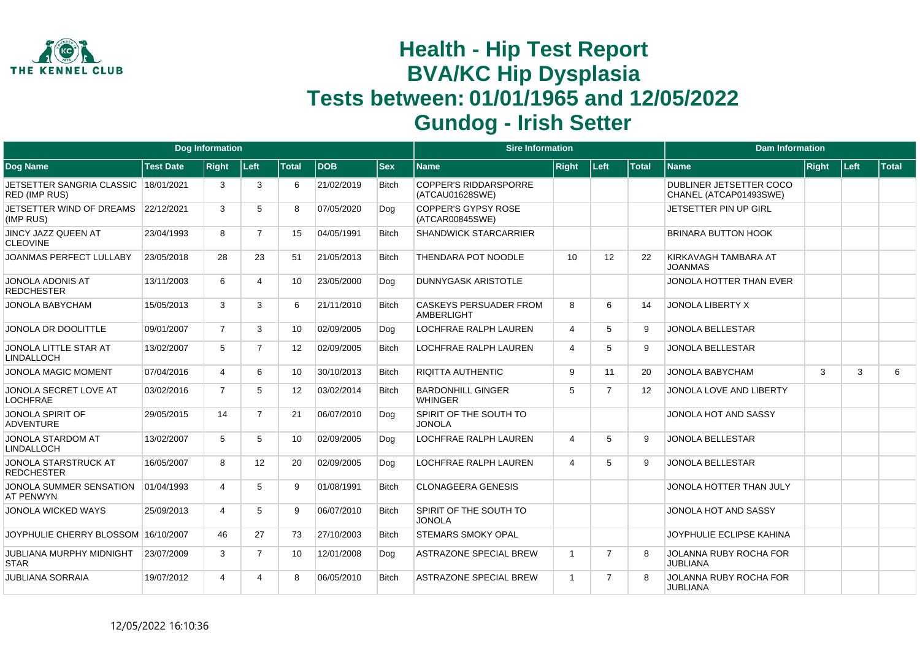

|                                                              |                  | <b>Dog Information</b> |                |                   |            |              | <b>Sire Information</b>                            |                |                |                   | <b>Dam Information</b>                            |              |      |       |
|--------------------------------------------------------------|------------------|------------------------|----------------|-------------------|------------|--------------|----------------------------------------------------|----------------|----------------|-------------------|---------------------------------------------------|--------------|------|-------|
| Dog Name                                                     | <b>Test Date</b> | <b>Right</b>           | Left           | <b>Total</b>      | DOB        | <b>Sex</b>   | <b>Name</b>                                        | <b>Right</b>   | Left           | Total             | <b>Name</b>                                       | <b>Right</b> | Left | Total |
| JETSETTER SANGRIA CLASSIC 18/01/2021<br><b>RED (IMP RUS)</b> |                  | 3                      | 3              | 6                 | 21/02/2019 | <b>Bitch</b> | <b>COPPER'S RIDDARSPORRE</b><br>(ATCAU01628SWE)    |                |                |                   | DUBLINER JETSETTER COCO<br>CHANEL (ATCAP01493SWE) |              |      |       |
| JETSETTER WIND OF DREAMS<br>(IMP RUS)                        | 22/12/2021       | 3                      | 5              | 8                 | 07/05/2020 | Dog          | <b>COPPER'S GYPSY ROSE</b><br>(ATCAR00845SWE)      |                |                |                   | JETSETTER PIN UP GIRL                             |              |      |       |
| <b>JINCY JAZZ QUEEN AT</b><br><b>CLEOVINE</b>                | 23/04/1993       | 8                      | $\overline{7}$ | 15                | 04/05/1991 | <b>Bitch</b> | <b>SHANDWICK STARCARRIER</b>                       |                |                |                   | BRINARA BUTTON HOOK                               |              |      |       |
| <b>JOANMAS PERFECT LULLABY</b>                               | 23/05/2018       | 28                     | 23             | 51                | 21/05/2013 | <b>Bitch</b> | THENDARA POT NOODLE                                | 10             | 12             | 22                | KIRKAVAGH TAMBARA AT<br><b>JOANMAS</b>            |              |      |       |
| <b>JONOLA ADONIS AT</b><br><b>REDCHESTER</b>                 | 13/11/2003       | 6                      | 4              | 10                | 23/05/2000 | Dog          | <b>DUNNYGASK ARISTOTLE</b>                         |                |                |                   | JONOLA HOTTER THAN EVER                           |              |      |       |
| JONOLA BABYCHAM                                              | 15/05/2013       | 3                      | 3              | 6                 | 21/11/2010 | <b>Bitch</b> | <b>CASKEYS PERSUADER FROM</b><br><b>AMBERLIGHT</b> | 8              | 6              | 14                | <b>JONOLA LIBERTY X</b>                           |              |      |       |
| JONOLA DR DOOLITTLE                                          | 09/01/2007       | $\overline{7}$         | 3              | 10 <sup>1</sup>   | 02/09/2005 | Dog          | <b>LOCHFRAE RALPH LAUREN</b>                       | $\overline{4}$ | 5              | 9                 | <b>JONOLA BELLESTAR</b>                           |              |      |       |
| <b>JONOLA LITTLE STAR AT</b><br><b>LINDALLOCH</b>            | 13/02/2007       | 5                      | $\overline{7}$ | $12 \overline{ }$ | 02/09/2005 | <b>Bitch</b> | <b>LOCHFRAE RALPH LAUREN</b>                       | $\overline{4}$ | 5              | 9                 | <b>JONOLA BELLESTAR</b>                           |              |      |       |
| <b>JONOLA MAGIC MOMENT</b>                                   | 07/04/2016       | 4                      | 6              | 10                | 30/10/2013 | <b>Bitch</b> | <b>RIQITTA AUTHENTIC</b>                           | 9              | 11             | 20                | <b>JONOLA BABYCHAM</b>                            | 3            | 3    | 6     |
| JONOLA SECRET LOVE AT<br><b>LOCHFRAE</b>                     | 03/02/2016       | $\overline{7}$         | 5              | 12                | 03/02/2014 | Bitch        | <b>BARDONHILL GINGER</b><br><b>WHINGER</b>         | 5              | $\overline{7}$ | $12 \overline{ }$ | JONOLA LOVE AND LIBERTY                           |              |      |       |
| <b>JONOLA SPIRIT OF</b><br><b>ADVENTURE</b>                  | 29/05/2015       | 14                     | $\overline{7}$ | 21                | 06/07/2010 | Dog          | SPIRIT OF THE SOUTH TO<br><b>JONOLA</b>            |                |                |                   | JONOLA HOT AND SASSY                              |              |      |       |
| <b>JONOLA STARDOM AT</b><br><b>LINDALLOCH</b>                | 13/02/2007       | 5                      | 5              | 10                | 02/09/2005 | Dog          | <b>LOCHFRAE RALPH LAUREN</b>                       | $\overline{4}$ | 5              | 9                 | <b>JONOLA BELLESTAR</b>                           |              |      |       |
| <b>JONOLA STARSTRUCK AT</b><br><b>REDCHESTER</b>             | 16/05/2007       | 8                      | 12             | 20                | 02/09/2005 | Dog          | <b>LOCHFRAE RALPH LAUREN</b>                       | $\overline{4}$ | 5              | 9                 | <b>JONOLA BELLESTAR</b>                           |              |      |       |
| JONOLA SUMMER SENSATION<br><b>AT PENWYN</b>                  | 01/04/1993       | 4                      | 5              | 9                 | 01/08/1991 | <b>Bitch</b> | <b>CLONAGEERA GENESIS</b>                          |                |                |                   | JONOLA HOTTER THAN JULY                           |              |      |       |
| <b>JONOLA WICKED WAYS</b>                                    | 25/09/2013       | 4                      | 5              | 9                 | 06/07/2010 | <b>Bitch</b> | SPIRIT OF THE SOUTH TO<br><b>JONOLA</b>            |                |                |                   | JONOLA HOT AND SASSY                              |              |      |       |
| JOYPHULIE CHERRY BLOSSOM 16/10/2007                          |                  | 46                     | 27             | 73                | 27/10/2003 | <b>Bitch</b> | <b>STEMARS SMOKY OPAL</b>                          |                |                |                   | JOYPHULIE ECLIPSE KAHINA                          |              |      |       |
| <b>JUBLIANA MURPHY MIDNIGHT</b><br><b>STAR</b>               | 23/07/2009       | 3                      | $\overline{7}$ | 10                | 12/01/2008 | Dog          | <b>ASTRAZONE SPECIAL BREW</b>                      | $\overline{1}$ | $\overline{7}$ | 8                 | <b>JOLANNA RUBY ROCHA FOR</b><br><b>JUBLIANA</b>  |              |      |       |
| <b>JUBLIANA SORRAIA</b>                                      | 19/07/2012       | 4                      |                | 8                 | 06/05/2010 | <b>Bitch</b> | <b>ASTRAZONE SPECIAL BREW</b>                      | $\overline{1}$ | $\overline{7}$ | 8                 | <b>JOLANNA RUBY ROCHA FOR</b><br><b>JUBLIANA</b>  |              |      |       |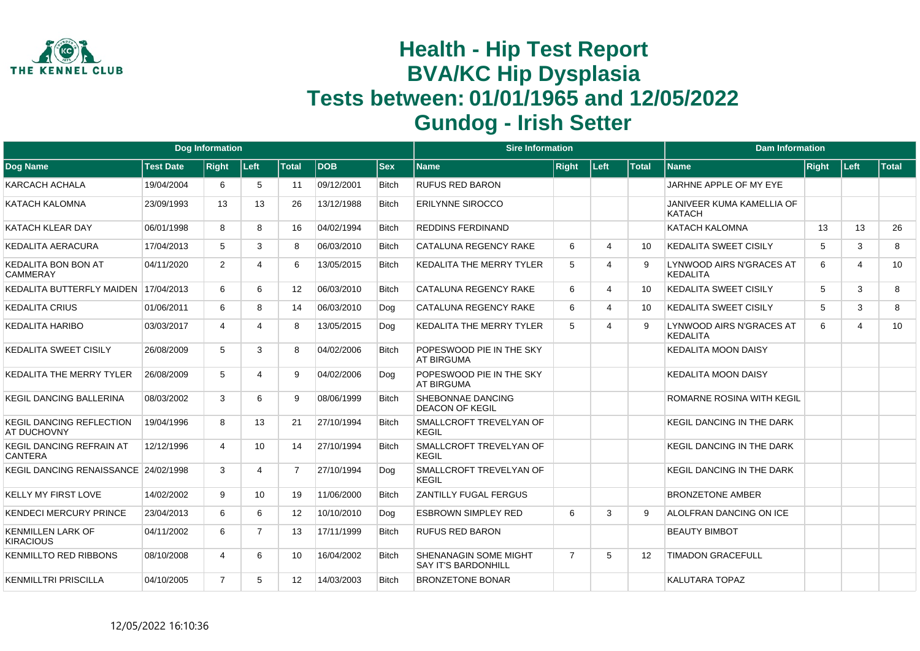

|                                                |                  | <b>Dog Information</b> |                |                   |             |              | <b>Sire Information</b>                             |                |                             |              | <b>Dam Information</b>                      |       |                |              |
|------------------------------------------------|------------------|------------------------|----------------|-------------------|-------------|--------------|-----------------------------------------------------|----------------|-----------------------------|--------------|---------------------------------------------|-------|----------------|--------------|
| Dog Name                                       | <b>Test Date</b> | <b>Right</b>           | Left           | <b>Total</b>      | <b>IDOB</b> | <b>Sex</b>   | <b>Name</b>                                         | <b>Right</b>   | Left                        | <b>Total</b> | <b>Name</b>                                 | Right | ∣Left          | <b>Total</b> |
| <b>KARCACH ACHALA</b>                          | 19/04/2004       | 6                      | -5             | 11                | 09/12/2001  | <b>Bitch</b> | <b>RUFUS RED BARON</b>                              |                |                             |              | JARHNE APPLE OF MY EYE                      |       |                |              |
| <b>KATACH KALOMNA</b>                          | 23/09/1993       | 13                     | 13             | 26                | 13/12/1988  | <b>Bitch</b> | <b>ERILYNNE SIROCCO</b>                             |                |                             |              | JANIVEER KUMA KAMELLIA OF<br>KATACH         |       |                |              |
| KATACH KLEAR DAY                               | 06/01/1998       | 8                      | 8              | 16                | 04/02/1994  | <b>Bitch</b> | <b>REDDINS FERDINAND</b>                            |                |                             |              | <b>KATACH KALOMNA</b>                       | 13    | 13             | 26           |
| <b>KEDALITA AERACURA</b>                       | 17/04/2013       | 5                      | 3              | 8                 | 06/03/2010  | Bitch        | CATALUNA REGENCY RAKE                               | 6              | $\boldsymbol{\vartriangle}$ | 10           | <b>KEDALITA SWEET CISILY</b>                | 5     | 3              | 8            |
| <b>KEDALITA BON BON AT</b><br>CAMMERAY         | 04/11/2020       | 2                      |                | 6                 | 13/05/2015  | <b>Bitch</b> | KEDALITA THE MERRY TYLER                            | 5              | $\boldsymbol{\Delta}$       | 9            | LYNWOOD AIRS N'GRACES AT<br>KEDALITA        | 6     | $\overline{4}$ | 10           |
| KEDALITA BUTTERFLY MAIDEN                      | 17/04/2013       | 6                      | 6              | $12 \overline{ }$ | 06/03/2010  | <b>Bitch</b> | CATALUNA REGENCY RAKE                               | 6              | $\overline{4}$              | 10           | <b>KEDALITA SWEET CISILY</b>                | 5     | 3              | 8            |
| <b>KEDALITA CRIUS</b>                          | 01/06/2011       | 6                      | 8              | 14                | 06/03/2010  | Dog          | CATALUNA REGENCY RAKE                               | 6              | $\boldsymbol{\varDelta}$    | 10           | <b>KEDALITA SWEET CISILY</b>                | 5     | 3              | 8            |
| <b>KEDALITA HARIBO</b>                         | 03/03/2017       | 4                      | Δ              | 8                 | 13/05/2015  | Dog          | KEDALITA THE MERRY TYLER                            | 5              | $\boldsymbol{\varDelta}$    | q            | LYNWOOD AIRS N'GRACES AT<br><b>KEDALITA</b> | 6     | $\overline{4}$ | 10           |
| <b>KEDALITA SWEET CISILY</b>                   | 26/08/2009       | 5                      | 3              | 8                 | 04/02/2006  | <b>Bitch</b> | POPESWOOD PIE IN THE SKY<br><b>AT BIRGUMA</b>       |                |                             |              | <b>KEDALITA MOON DAISY</b>                  |       |                |              |
| KEDALITA THE MERRY TYLER                       | 26/08/2009       | 5                      |                | 9                 | 04/02/2006  | Dog          | POPESWOOD PIE IN THE SKY<br><b>AT BIRGUMA</b>       |                |                             |              | <b>KEDALITA MOON DAISY</b>                  |       |                |              |
| <b>KEGIL DANCING BALLERINA</b>                 | 08/03/2002       | 3                      | 6              | 9                 | 08/06/1999  | <b>Bitch</b> | SHEBONNAE DANCING<br><b>DEACON OF KEGIL</b>         |                |                             |              | <b>ROMARNE ROSINA WITH KEGIL</b>            |       |                |              |
| <b>KEGIL DANCING REFLECTION</b><br>AT DUCHOVNY | 19/04/1996       | 8                      | 13             | 21                | 27/10/1994  | <b>Bitch</b> | SMALLCROFT TREVELYAN OF<br><b>KEGIL</b>             |                |                             |              | <b>KEGIL DANCING IN THE DARK</b>            |       |                |              |
| KEGIL DANCING REFRAIN AT<br><b>CANTERA</b>     | 12/12/1996       | 4                      | 10             | 14                | 27/10/1994  | <b>Bitch</b> | SMALLCROFT TREVELYAN OF<br><b>KEGIL</b>             |                |                             |              | <b>KEGIL DANCING IN THE DARK</b>            |       |                |              |
| KEGIL DANCING RENAISSANCE 24/02/1998           |                  | 3                      | Δ              | $\overline{7}$    | 27/10/1994  | Dog          | SMALLCROFT TREVELYAN OF<br>KEGIL                    |                |                             |              | <b>KEGIL DANCING IN THE DARK</b>            |       |                |              |
| <b>KELLY MY FIRST LOVE</b>                     | 14/02/2002       | 9                      | 10             | 19                | 11/06/2000  | <b>Bitch</b> | <b>ZANTILLY FUGAL FERGUS</b>                        |                |                             |              | <b>BRONZETONE AMBER</b>                     |       |                |              |
| <b>KENDECI MERCURY PRINCE</b>                  | 23/04/2013       | 6                      | 6              | 12                | 10/10/2010  | Dog          | <b>ESBROWN SIMPLEY RED</b>                          | 6              | 3                           | <b>q</b>     | ALOLFRAN DANCING ON ICE                     |       |                |              |
| <b>KENMILLEN LARK OF</b><br><b>KIRACIOUS</b>   | 04/11/2002       | 6                      | $\overline{7}$ | 13                | 17/11/1999  | <b>Bitch</b> | <b>RUFUS RED BARON</b>                              |                |                             |              | <b>BEAUTY BIMBOT</b>                        |       |                |              |
| <b>KENMILLTO RED RIBBONS</b>                   | 08/10/2008       | 4                      | 6              | 10                | 16/04/2002  | <b>Bitch</b> | SHENANAGIN SOME MIGHT<br><b>SAY IT'S BARDONHILL</b> | $\overline{7}$ | 5                           | 12           | <b>TIMADON GRACEFULL</b>                    |       |                |              |
| <b>KENMILLTRI PRISCILLA</b>                    | 04/10/2005       | $\overline{7}$         | 5              | 12 <sup>2</sup>   | 14/03/2003  | <b>Bitch</b> | <b>BRONZETONE BONAR</b>                             |                |                             |              | <b>KALUTARA TOPAZ</b>                       |       |                |              |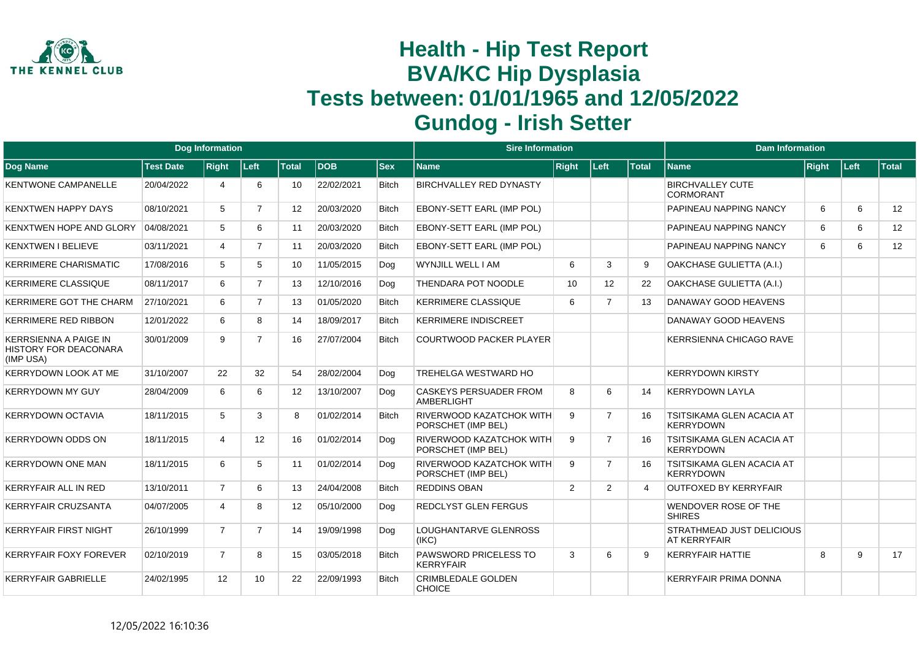

|                                                                           |                  | <b>Dog Information</b> |                |              |            |              | <b>Sire Information</b>                               |              |                |              | <b>Dam Information</b>                               |              |      |              |
|---------------------------------------------------------------------------|------------------|------------------------|----------------|--------------|------------|--------------|-------------------------------------------------------|--------------|----------------|--------------|------------------------------------------------------|--------------|------|--------------|
| Dog Name                                                                  | <b>Test Date</b> | <b>Right</b>           | Left           | <b>Total</b> | <b>DOB</b> | <b>Sex</b>   | <b>Name</b>                                           | <b>Right</b> | Left           | <b>Total</b> | <b>Name</b>                                          | <b>Right</b> | Left | <b>Total</b> |
| <b>KENTWONE CAMPANELLE</b>                                                | 20/04/2022       | 4                      | 6              | 10           | 22/02/2021 | <b>Bitch</b> | <b>BIRCHVALLEY RED DYNASTY</b>                        |              |                |              | <b>BIRCHVALLEY CUTE</b><br><b>CORMORANT</b>          |              |      |              |
| <b>KENXTWEN HAPPY DAYS</b>                                                | 08/10/2021       | 5                      | $\overline{7}$ | 12           | 20/03/2020 | <b>Bitch</b> | EBONY-SETT EARL (IMP POL)                             |              |                |              | PAPINEAU NAPPING NANCY                               | 6            | 6    | 12           |
| <b>KENXTWEN HOPE AND GLORY</b>                                            | 04/08/2021       | 5                      | 6              | 11           | 20/03/2020 | <b>Bitch</b> | EBONY-SETT EARL (IMP POL)                             |              |                |              | PAPINEAU NAPPING NANCY                               | 6            | 6    | 12           |
| <b>KENXTWEN I BELIEVE</b>                                                 | 03/11/2021       | 4                      | $\overline{7}$ | 11           | 20/03/2020 | <b>Bitch</b> | EBONY-SETT EARL (IMP POL)                             |              |                |              | PAPINEAU NAPPING NANCY                               | 6            | 6    | 12           |
| <b>KERRIMERE CHARISMATIC</b>                                              | 17/08/2016       | 5                      | 5              | 10           | 11/05/2015 | Dog          | WYNJILL WELL I AM                                     | 6            | 3              | 9            | OAKCHASE GULIETTA (A.I.)                             |              |      |              |
| <b>KERRIMERE CLASSIQUE</b>                                                | 08/11/2017       | 6                      | $\overline{7}$ | 13           | 12/10/2016 | Dog          | <b>THENDARA POT NOODLE</b>                            | 10           | 12             | 22           | OAKCHASE GULIETTA (A.I.)                             |              |      |              |
| <b>KERRIMERE GOT THE CHARM</b>                                            | 27/10/2021       | 6                      | $\overline{7}$ | 13           | 01/05/2020 | <b>Bitch</b> | <b>KERRIMERE CLASSIQUE</b>                            | 6            | $\overline{7}$ | 13           | DANAWAY GOOD HEAVENS                                 |              |      |              |
| <b>KERRIMERE RED RIBBON</b>                                               | 12/01/2022       | 6                      | 8              | 14           | 18/09/2017 | <b>Bitch</b> | <b>KERRIMERE INDISCREET</b>                           |              |                |              | DANAWAY GOOD HEAVENS                                 |              |      |              |
| <b>KERRSIENNA A PAIGE IN</b><br><b>HISTORY FOR DEACONARA</b><br>(IMP USA) | 30/01/2009       | 9                      | $\overline{7}$ | 16           | 27/07/2004 | <b>Bitch</b> | <b>COURTWOOD PACKER PLAYER</b>                        |              |                |              | <b>KERRSIENNA CHICAGO RAVE</b>                       |              |      |              |
| <b>KERRYDOWN LOOK AT ME</b>                                               | 31/10/2007       | 22                     | 32             | 54           | 28/02/2004 | Dog          | <b>TREHELGA WESTWARD HO</b>                           |              |                |              | <b>KERRYDOWN KIRSTY</b>                              |              |      |              |
| <b>KERRYDOWN MY GUY</b>                                                   | 28/04/2009       | 6                      | 6              | 12           | 13/10/2007 | Dog          | <b>CASKEYS PERSUADER FROM</b><br>AMBERLIGHT           | 8            | 6              | 14           | <b>KERRYDOWN LAYLA</b>                               |              |      |              |
| <b>KERRYDOWN OCTAVIA</b>                                                  | 18/11/2015       | 5                      | 3              | 8            | 01/02/2014 | <b>Bitch</b> | RIVERWOOD KAZATCHOK WITH<br>PORSCHET (IMP BEL)        | 9            | $\overline{7}$ | 16           | <b>TSITSIKAMA GLEN ACACIA AT</b><br><b>KERRYDOWN</b> |              |      |              |
| <b>KERRYDOWN ODDS ON</b>                                                  | 18/11/2015       | 4                      | 12             | 16           | 01/02/2014 | Dog          | RIVERWOOD KAZATCHOK WITH<br>PORSCHET (IMP BEL)        | 9            | $\overline{7}$ | 16           | <b>TSITSIKAMA GLEN ACACIA AT</b><br><b>KERRYDOWN</b> |              |      |              |
| <b>KERRYDOWN ONE MAN</b>                                                  | 18/11/2015       | 6                      | 5              | 11           | 01/02/2014 | Dog          | <b>RIVERWOOD KAZATCHOK WITH</b><br>PORSCHET (IMP BEL) | 9            | $\overline{7}$ | 16           | <b>TSITSIKAMA GLEN ACACIA AT</b><br><b>KERRYDOWN</b> |              |      |              |
| <b>KERRYFAIR ALL IN RED</b>                                               | 13/10/2011       | $\overline{7}$         | 6              | 13           | 24/04/2008 | <b>Bitch</b> | <b>REDDINS OBAN</b>                                   | 2            | 2              | 4            | <b>OUTFOXED BY KERRYFAIR</b>                         |              |      |              |
| <b>KERRYFAIR CRUZSANTA</b>                                                | 04/07/2005       | 4                      | 8              | 12           | 05/10/2000 | Dog          | <b>REDCLYST GLEN FERGUS</b>                           |              |                |              | WENDOVER ROSE OF THE<br><b>SHIRES</b>                |              |      |              |
| <b>KERRYFAIR FIRST NIGHT</b>                                              | 26/10/1999       | $\overline{7}$         | $\overline{7}$ | 14           | 19/09/1998 | Dog          | LOUGHANTARVE GLENROSS<br>(IKC)                        |              |                |              | <b>STRATHMEAD JUST DELICIOUS</b><br>AT KERRYFAIR     |              |      |              |
| <b>KERRYFAIR FOXY FOREVER</b>                                             | 02/10/2019       | $\overline{7}$         | 8              | 15           | 03/05/2018 | <b>Bitch</b> | <b>PAWSWORD PRICELESS TO</b><br><b>KERRYFAIR</b>      | 3            | 6              | 9            | <b>KERRYFAIR HATTIE</b>                              | 8            | 9    | 17           |
| <b>KERRYFAIR GABRIELLE</b>                                                | 24/02/1995       | $12 \overline{ }$      | 10             | 22           | 22/09/1993 | <b>Bitch</b> | <b>CRIMBLEDALE GOLDEN</b><br><b>CHOICE</b>            |              |                |              | <b>KERRYFAIR PRIMA DONNA</b>                         |              |      |              |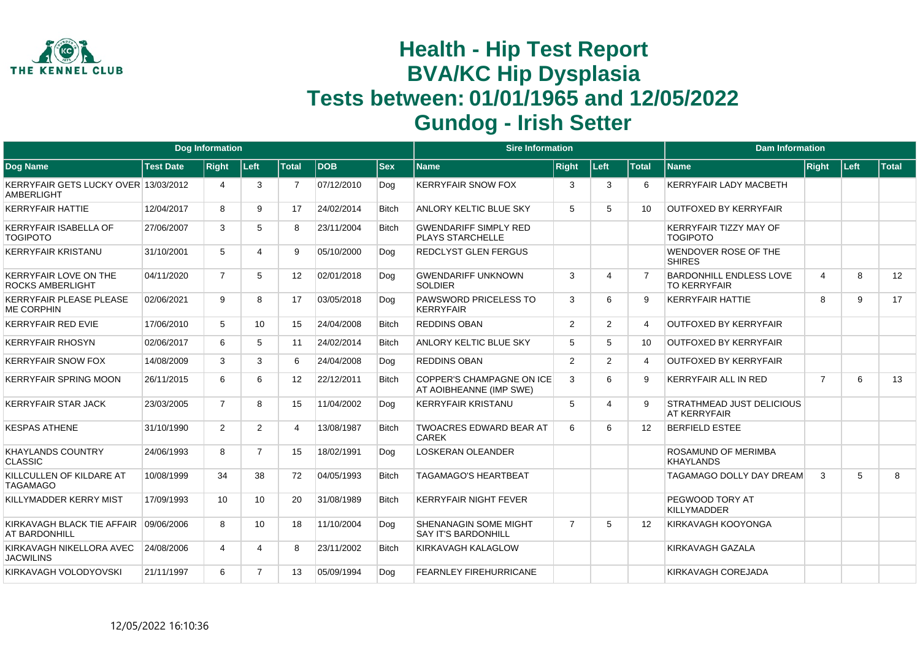

|                                                           |                  | <b>Dog Information</b> |                |                 |            |              | <b>Sire Information</b>                                     |                |                          |                          | <b>Dam Information</b>                                  |                |        |       |
|-----------------------------------------------------------|------------------|------------------------|----------------|-----------------|------------|--------------|-------------------------------------------------------------|----------------|--------------------------|--------------------------|---------------------------------------------------------|----------------|--------|-------|
| <b>Dog Name</b>                                           | <b>Test Date</b> | <b>Right</b>           | Left           | Total           | <b>DOB</b> | <b>Sex</b>   | <b>Name</b>                                                 | <b>Right</b>   | Left                     | <b>Total</b>             | <b>Name</b>                                             | Right          | ∣Left∶ | Total |
| KERRYFAIR GETS LUCKY OVER 13/03/2012<br><b>AMBERLIGHT</b> |                  | 4                      | 3              |                 | 07/12/2010 | Dog          | <b>KERRYFAIR SNOW FOX</b>                                   | 3              | 3                        | 6                        | <b>KERRYFAIR LADY MACBETH</b>                           |                |        |       |
| <b>KERRYFAIR HATTIE</b>                                   | 12/04/2017       | 8                      | 9              | 17              | 24/02/2014 | <b>Bitch</b> | ANLORY KELTIC BLUE SKY                                      | 5              | 5                        | 10                       | <b>OUTFOXED BY KERRYFAIR</b>                            |                |        |       |
| <b>KERRYFAIR ISABELLA OF</b><br><b>TOGIPOTO</b>           | 27/06/2007       | 3                      | 5              | 8               | 23/11/2004 | <b>Bitch</b> | <b>GWENDARIFF SIMPLY RED</b><br><b>PLAYS STARCHELLE</b>     |                |                          |                          | <b>KERRYFAIR TIZZY MAY OF</b><br><b>TOGIPOTO</b>        |                |        |       |
| <b>KERRYFAIR KRISTANU</b>                                 | 31/10/2001       | 5                      |                | 9               | 05/10/2000 | Dog          | <b>REDCLYST GLEN FERGUS</b>                                 |                |                          |                          | <b>WENDOVER ROSE OF THE</b><br><b>SHIRES</b>            |                |        |       |
| <b>KERRYFAIR LOVE ON THE</b><br><b>ROCKS AMBERLIGHT</b>   | 04/11/2020       | $\overline{7}$         | 5              | 12 <sup>2</sup> | 02/01/2018 | Dog          | <b>GWENDARIFF UNKNOWN</b><br><b>SOLDIER</b>                 | 3              | $\boldsymbol{\varDelta}$ |                          | <b>BARDONHILL ENDLESS LOVE</b><br><b>TO KERRYFAIR</b>   | 4              | 8      | 12    |
| <b>KERRYFAIR PLEASE PLEASE</b><br><b>ME CORPHIN</b>       | 02/06/2021       | 9                      | 8              | 17              | 03/05/2018 | Dog          | PAWSWORD PRICELESS TO<br><b>KERRYFAIR</b>                   | 3              | 6                        | 9                        | <b>KERRYFAIR HATTIE</b>                                 | 8              | 9      | 17    |
| <b>KERRYFAIR RED EVIE</b>                                 | 17/06/2010       | 5                      | 10             | 15              | 24/04/2008 | <b>Bitch</b> | <b>REDDINS OBAN</b>                                         | 2              | 2                        | 4                        | <b>OUTFOXED BY KERRYFAIR</b>                            |                |        |       |
| <b>KERRYFAIR RHOSYN</b>                                   | 02/06/2017       | 6                      | 5              | 11              | 24/02/2014 | <b>Bitch</b> | ANLORY KELTIC BLUE SKY                                      | 5              | 5                        | 10                       | <b>OUTFOXED BY KERRYFAIR</b>                            |                |        |       |
| <b>KERRYFAIR SNOW FOX</b>                                 | 14/08/2009       | 3                      | 3              | 6               | 24/04/2008 | Dog          | <b>REDDINS OBAN</b>                                         | 2              | 2                        | $\boldsymbol{\varDelta}$ | <b>OUTFOXED BY KERRYFAIR</b>                            |                |        |       |
| <b>KERRYFAIR SPRING MOON</b>                              | 26/11/2015       | 6                      | 6              | 12              | 22/12/2011 | <b>Bitch</b> | <b>COPPER'S CHAMPAGNE ON ICE</b><br>AT AOIBHEANNE (IMP SWE) | 3              | 6                        | <b>q</b>                 | <b>KERRYFAIR ALL IN RED</b>                             | $\overline{7}$ | 6      | 13    |
| <b>KERRYFAIR STAR JACK</b>                                | 23/03/2005       | $\overline{7}$         | 8              | 15              | 11/04/2002 | Dog          | <b>KERRYFAIR KRISTANU</b>                                   | 5              | $\boldsymbol{\varDelta}$ | 9                        | <b>STRATHMEAD JUST DELICIOUS</b><br><b>AT KERRYFAIR</b> |                |        |       |
| <b>KESPAS ATHENE</b>                                      | 31/10/1990       | $\overline{2}$         | $\overline{2}$ | Δ               | 13/08/1987 | <b>Bitch</b> | <b>TWOACRES EDWARD BEAR AT</b><br><b>CAREK</b>              | 6              | 6                        | 12                       | <b>BERFIELD ESTEE</b>                                   |                |        |       |
| KHAYLANDS COUNTRY<br><b>CLASSIC</b>                       | 24/06/1993       | 8                      | $\overline{7}$ | 15              | 18/02/1991 | Dog          | <b>LOSKERAN OLEANDER</b>                                    |                |                          |                          | <b>ROSAMUND OF MERIMBA</b><br>KHAYLANDS                 |                |        |       |
| KILLCULLEN OF KILDARE AT<br><b>TAGAMAGO</b>               | 10/08/1999       | 34                     | 38             | 72              | 04/05/1993 | <b>Bitch</b> | <b>TAGAMAGO'S HEARTBEAT</b>                                 |                |                          |                          | TAGAMAGO DOLLY DAY DREAM                                | 3              | 5      | 8     |
| KILLYMADDER KERRY MIST                                    | 17/09/1993       | 10                     | 10             | 20              | 31/08/1989 | <b>Bitch</b> | <b>KERRYFAIR NIGHT FEVER</b>                                |                |                          |                          | <b>PEGWOOD TORY AT</b><br><b>KILLYMADDER</b>            |                |        |       |
| KIRKAVAGH BLACK TIE AFFAIR<br>AT BARDONHILL               | 09/06/2006       | 8                      | 10             | 18              | 11/10/2004 | Dog          | SHENANAGIN SOME MIGHT<br><b>SAY IT'S BARDONHILL</b>         | $\overline{7}$ | 5                        | 12                       | KIRKAVAGH KOOYONGA                                      |                |        |       |
| KIRKAVAGH NIKELLORA AVEC<br><b>JACWILINS</b>              | 24/08/2006       | 4                      |                | 8               | 23/11/2002 | <b>Bitch</b> | KIRKAVAGH KALAGLOW                                          |                |                          |                          | KIRKAVAGH GAZALA                                        |                |        |       |
| KIRKAVAGH VOLODYOVSKI                                     | 21/11/1997       | 6                      | $\overline{7}$ | 13              | 05/09/1994 | Dog          | <b>FEARNLEY FIREHURRICANE</b>                               |                |                          |                          | KIRKAVAGH COREJADA                                      |                |        |       |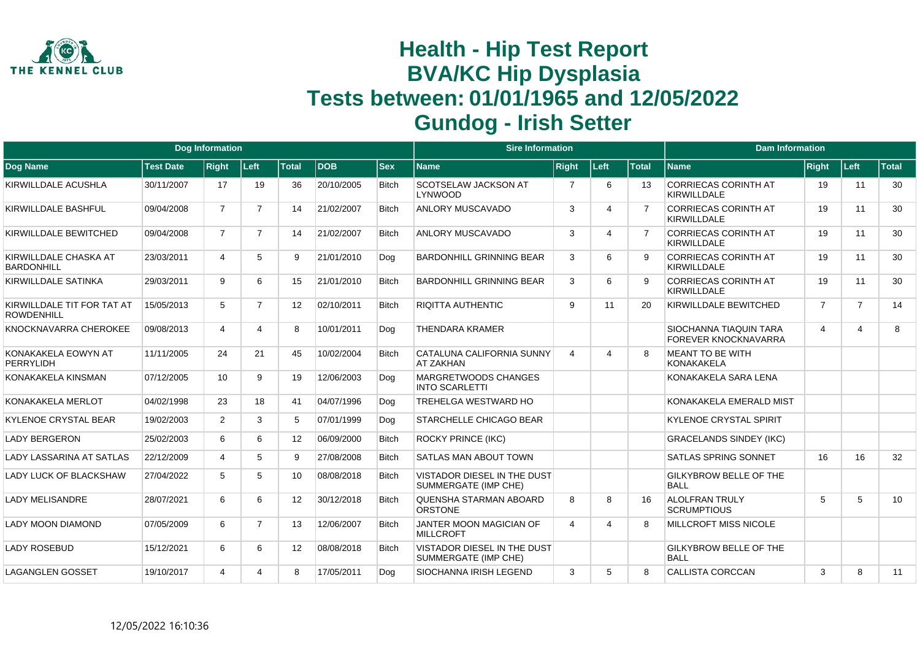

|                                                 |                  | Dog Information |                |              |            |              | <b>Sire Information</b>                                    |                |                       |              | <b>Dam Information</b>                                |                |                |              |
|-------------------------------------------------|------------------|-----------------|----------------|--------------|------------|--------------|------------------------------------------------------------|----------------|-----------------------|--------------|-------------------------------------------------------|----------------|----------------|--------------|
| Dog Name                                        | <b>Test Date</b> | <b>Right</b>    | Left           | <b>Total</b> | <b>DOB</b> | $ $ Sex      | <b>Name</b>                                                | <b>Right</b>   | Left                  | <b>Total</b> | <b>Name</b>                                           | Right          | Left           | <b>Total</b> |
| KIRWILLDALE ACUSHLA                             | 30/11/2007       | 17              | 19             | 36           | 20/10/2005 | <b>Bitch</b> | <b>SCOTSELAW JACKSON AT</b><br>LYNWOOD                     | $\overline{7}$ | 6                     | 13           | <b>CORRIECAS CORINTH AT</b><br><b>KIRWILLDALE</b>     | 19             | 11             | 30           |
| KIRWILLDALE BASHFUL                             | 09/04/2008       | $\overline{7}$  | $\overline{7}$ | 14           | 21/02/2007 | <b>Bitch</b> | <b>ANLORY MUSCAVADO</b>                                    | 3              | $\boldsymbol{\Delta}$ |              | <b>CORRIECAS CORINTH AT</b><br><b>KIRWILLDALE</b>     | 19             | 11             | 30           |
| KIRWILLDALE BEWITCHED                           | 09/04/2008       | $\overline{7}$  | $\overline{7}$ | 14           | 21/02/2007 | <b>Bitch</b> | <b>ANLORY MUSCAVADO</b>                                    | 3              | 4                     |              | <b>CORRIECAS CORINTH AT</b><br><b>KIRWILLDALE</b>     | 19             | 11             | 30           |
| KIRWILLDALE CHASKA AT<br><b>BARDONHILL</b>      | 23/03/2011       | 4               | 5              | 9            | 21/01/2010 | Dog          | <b>BARDONHILL GRINNING BEAR</b>                            | 3              | 6                     |              | <b>CORRIECAS CORINTH AT</b><br><b>KIRWILLDALE</b>     | 19             | 11             | 30           |
| KIRWILLDALE SATINKA                             | 29/03/2011       | 9               | 6              | 15           | 21/01/2010 | <b>Bitch</b> | <b>BARDONHILL GRINNING BEAR</b>                            | 3              | 6                     | q            | <b>CORRIECAS CORINTH AT</b><br><b>KIRWILLDALE</b>     | 19             | 11             | 30           |
| KIRWILLDALE TIT FOR TAT AT<br><b>ROWDENHILL</b> | 15/05/2013       | 5               | $\overline{7}$ | 12           | 02/10/2011 | <b>Bitch</b> | <b>RIQITTA AUTHENTIC</b>                                   | 9              | 11                    | 20           | KIRWILLDALE BEWITCHED                                 | $\overline{7}$ | $\overline{7}$ | 14           |
| KNOCKNAVARRA CHEROKEE                           | 09/08/2013       | 4               | 4              | 8            | 10/01/2011 | Dog          | <b>THENDARA KRAMER</b>                                     |                |                       |              | SIOCHANNA TIAQUIN TARA<br><b>FOREVER KNOCKNAVARRA</b> | 4              | 4              | 8            |
| KONAKAKELA EOWYN AT<br>PERRYLIDH                | 11/11/2005       | 24              | 21             | 45           | 10/02/2004 | <b>Bitch</b> | CATALUNA CALIFORNIA SUNNY<br><b>AT ZAKHAN</b>              | 4              | $\Delta$              |              | <b>MEANT TO BE WITH</b><br><b>KONAKAKELA</b>          |                |                |              |
| KONAKAKELA KINSMAN                              | 07/12/2005       | 10 <sup>°</sup> | 9              | 19           | 12/06/2003 | Dog          | <b>MARGRETWOODS CHANGES</b><br><b>INTO SCARLETTI</b>       |                |                       |              | KONAKAKELA SARA LENA                                  |                |                |              |
| KONAKAKELA MERLOT                               | 04/02/1998       | 23              | 18             | 41           | 04/07/1996 | Dog          | <b>TREHELGA WESTWARD HO</b>                                |                |                       |              | KONAKAKELA EMERALD MIST                               |                |                |              |
| KYLENOE CRYSTAL BEAR                            | 19/02/2003       | 2               | 3              | 5            | 07/01/1999 | Dog          | STARCHELLE CHICAGO BEAR                                    |                |                       |              | <b>KYLENOE CRYSTAL SPIRIT</b>                         |                |                |              |
| <b>LADY BERGERON</b>                            | 25/02/2003       | 6               | 6              | 12           | 06/09/2000 | <b>Bitch</b> | <b>ROCKY PRINCE (IKC)</b>                                  |                |                       |              | <b>GRACELANDS SINDEY (IKC)</b>                        |                |                |              |
| LADY LASSARINA AT SATLAS                        | 22/12/2009       | 4               | 5              | 9            | 27/08/2008 | <b>Bitch</b> | <b>SATLAS MAN ABOUT TOWN</b>                               |                |                       |              | <b>SATLAS SPRING SONNET</b>                           | 16             | 16             | 32           |
| LADY LUCK OF BLACKSHAW                          | 27/04/2022       | 5               | 5              | 10           | 08/08/2018 | <b>Bitch</b> | <b>VISTADOR DIESEL IN THE DUST</b><br>SUMMERGATE (IMP CHE) |                |                       |              | GILKYBROW BELLE OF THE<br><b>BALL</b>                 |                |                |              |
| <b>LADY MELISANDRE</b>                          | 28/07/2021       | 6               | 6              | 12           | 30/12/2018 | <b>Bitch</b> | <b>QUENSHA STARMAN ABOARD</b><br><b>ORSTONE</b>            | 8              | 8                     | 16           | <b>ALOLFRAN TRULY</b><br><b>SCRUMPTIOUS</b>           | 5              | 5              | 10           |
| <b>LADY MOON DIAMOND</b>                        | 07/05/2009       | 6               | $\overline{7}$ | 13           | 12/06/2007 | <b>Bitch</b> | JANTER MOON MAGICIAN OF<br>MILLCROFT                       | 4              | 4                     | 8            | <b>MILLCROFT MISS NICOLE</b>                          |                |                |              |
| <b>LADY ROSEBUD</b>                             | 15/12/2021       | 6               | 6              | 12           | 08/08/2018 | <b>Bitch</b> | <b>VISTADOR DIESEL IN THE DUST</b><br>SUMMERGATE (IMP CHE) |                |                       |              | <b>GILKYBROW BELLE OF THE</b><br><b>BALL</b>          |                |                |              |
| <b>LAGANGLEN GOSSET</b>                         | 19/10/2017       | 4               | 4              | 8            | 17/05/2011 | Dog          | <b>SIOCHANNA IRISH LEGEND</b>                              | 3              | 5                     | <sub>8</sub> | <b>CALLISTA CORCCAN</b>                               | 3              | 8              | 11           |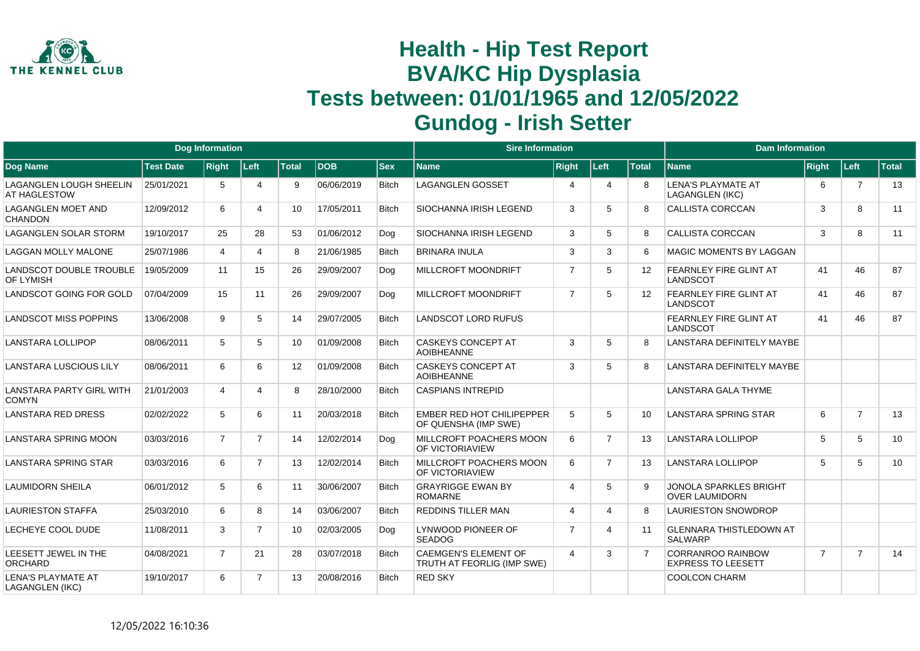

|                                                 |                  | <b>Dog Information</b> |                       |                 |            |              | <b>Sire Information</b>                                   |                |                |                   | <b>Dam Information</b>                                 |                |                |              |
|-------------------------------------------------|------------------|------------------------|-----------------------|-----------------|------------|--------------|-----------------------------------------------------------|----------------|----------------|-------------------|--------------------------------------------------------|----------------|----------------|--------------|
| <b>Dog Name</b>                                 | <b>Test Date</b> | <b>Right</b>           | Left                  | <b>Total</b>    | <b>DOB</b> | <b>Sex</b>   | <b>Name</b>                                               | <b>Right</b>   | Left           | <b>Total</b>      | <b>Name</b>                                            | Right          | Left           | <b>Total</b> |
| <b>LAGANGLEN LOUGH SHEELIN</b><br>AT HAGLESTOW  | 25/01/2021       | 5                      | $\boldsymbol{\Delta}$ | 9               | 06/06/2019 | <b>Bitch</b> | <b>LAGANGLEN GOSSET</b>                                   | $\overline{4}$ | 4              | 8                 | LENA'S PLAYMATE AT<br><b>LAGANGLEN (IKC)</b>           | 6              | $\overline{7}$ | 13           |
| <b>LAGANGLEN MOET AND</b><br><b>CHANDON</b>     | 12/09/2012       | 6                      | 4                     | 10              | 17/05/2011 | <b>Bitch</b> | <b>SIOCHANNA IRISH LEGEND</b>                             | 3              | 5              | R                 | <b>CALLISTA CORCCAN</b>                                | 3              | 8              | 11           |
| <b>LAGANGLEN SOLAR STORM</b>                    | 19/10/2017       | 25                     | 28                    | 53              | 01/06/2012 | Dog          | <b>SIOCHANNA IRISH LEGEND</b>                             | 3              | 5              | 8                 | <b>CALLISTA CORCCAN</b>                                | 3              | 8              | 11           |
| <b>LAGGAN MOLLY MALONE</b>                      | 25/07/1986       | $\overline{4}$         | 4                     | 8               | 21/06/1985 | <b>Bitch</b> | <b>BRINARA INULA</b>                                      | 3              | 3              | 6                 | <b>MAGIC MOMENTS BY LAGGAN</b>                         |                |                |              |
| LANDSCOT DOUBLE TROUBLE<br>OF LYMISH            | 19/05/2009       | 11                     | 15                    | 26              | 29/09/2007 | Dog          | <b>MILLCROFT MOONDRIFT</b>                                | $\overline{7}$ | 5              | $12 \overline{ }$ | FEARNLEY FIRE GLINT AT<br>LANDSCOT                     | 41             | 46             | 87           |
| LANDSCOT GOING FOR GOLD                         | 07/04/2009       | 15                     | 11                    | 26              | 29/09/2007 | Dog          | <b>MILLCROFT MOONDRIFT</b>                                | $\overline{7}$ | 5              | $12 \overline{ }$ | FEARNLEY FIRE GLINT AT<br><b>LANDSCOT</b>              | 41             | 46             | 87           |
| <b>LANDSCOT MISS POPPINS</b>                    | 13/06/2008       | 9                      | 5                     | 14              | 29/07/2005 | <b>Bitch</b> | <b>LANDSCOT LORD RUFUS</b>                                |                |                |                   | FEARNLEY FIRE GLINT AT<br><b>LANDSCOT</b>              | 41             | 46             | 87           |
| LANSTARA LOLLIPOP                               | 08/06/2011       | 5                      | 5                     | 10 <sup>°</sup> | 01/09/2008 | <b>Bitch</b> | <b>CASKEYS CONCEPT AT</b><br><b>AOIBHEANNE</b>            | 3              | 5              | R                 | LANSTARA DEFINITELY MAYBE                              |                |                |              |
| <b>LANSTARA LUSCIOUS LILY</b>                   | 08/06/2011       | 6                      | 6                     | 12 <sup>2</sup> | 01/09/2008 | <b>Bitch</b> | <b>CASKEYS CONCEPT AT</b><br><b>AOIBHEANNE</b>            | 3              | 5              | R                 | LANSTARA DEFINITELY MAYBE                              |                |                |              |
| <b>LANSTARA PARTY GIRL WITH</b><br><b>COMYN</b> | 21/01/2003       | 4                      | 4                     | 8               | 28/10/2000 | <b>Bitch</b> | <b>CASPIANS INTREPID</b>                                  |                |                |                   | <b>LANSTARA GALA THYME</b>                             |                |                |              |
| <b>LANSTARA RED DRESS</b>                       | 02/02/2022       | 5                      | 6                     | 11              | 20/03/2018 | <b>Bitch</b> | <b>EMBER RED HOT CHILIPEPPER</b><br>OF QUENSHA (IMP SWE)  | 5              | 5              | 10                | <b>LANSTARA SPRING STAR</b>                            | 6              | $\overline{7}$ | 13           |
| <b>LANSTARA SPRING MOON</b>                     | 03/03/2016       | $\overline{7}$         | $\overline{7}$        | 14              | 12/02/2014 | Dog          | MILLCROFT POACHERS MOON<br><b>OF VICTORIAVIEW</b>         | 6              | $\overline{7}$ | 13                | <b>LANSTARA LOLLIPOP</b>                               | 5              | 5              | 10           |
| <b>LANSTARA SPRING STAR</b>                     | 03/03/2016       | 6                      | $\overline{7}$        | 13              | 12/02/2014 | <b>Bitch</b> | MILLCROFT POACHERS MOON<br><b>OF VICTORIAVIEW</b>         | 6              | $\overline{7}$ | 13                | <b>LANSTARA LOLLIPOP</b>                               | 5              | 5              | 10           |
| LAUMIDORN SHEILA                                | 06/01/2012       | 5                      | 6                     | 11              | 30/06/2007 | <b>Bitch</b> | <b>GRAYRIGGE EWAN BY</b><br><b>ROMARNE</b>                | 4              | 5              |                   | <b>JONOLA SPARKLES BRIGHT</b><br><b>OVER LAUMIDORN</b> |                |                |              |
| <b>LAURIESTON STAFFA</b>                        | 25/03/2010       | 6                      | 8                     | 14              | 03/06/2007 | <b>Bitch</b> | <b>REDDINS TILLER MAN</b>                                 | 4              | Δ              | 8                 | <b>LAURIESTON SNOWDROP</b>                             |                |                |              |
| LECHEYE COOL DUDE                               | 11/08/2011       | 3                      | $\overline{7}$        | 10              | 02/03/2005 | Dog          | LYNWOOD PIONEER OF<br><b>SEADOG</b>                       | $\overline{7}$ | 4              | 11                | <b>GLENNARA THISTLEDOWN AT</b><br><b>SALWARP</b>       |                |                |              |
| LEESETT JEWEL IN THE<br><b>ORCHARD</b>          | 04/08/2021       | $\overline{7}$         | 21                    | 28              | 03/07/2018 | <b>Bitch</b> | <b>CAEMGEN'S ELEMENT OF</b><br>TRUTH AT FEORLIG (IMP SWE) | $\overline{4}$ | 3              |                   | <b>CORRANROO RAINBOW</b><br><b>EXPRESS TO LEESETT</b>  | $\overline{7}$ | $\overline{7}$ | 14           |
| <b>LENA'S PLAYMATE AT</b><br>LAGANGLEN (IKC)    | 19/10/2017       | 6                      | $\overline{7}$        | 13              | 20/08/2016 | <b>Bitch</b> | <b>RED SKY</b>                                            |                |                |                   | <b>COOLCON CHARM</b>                                   |                |                |              |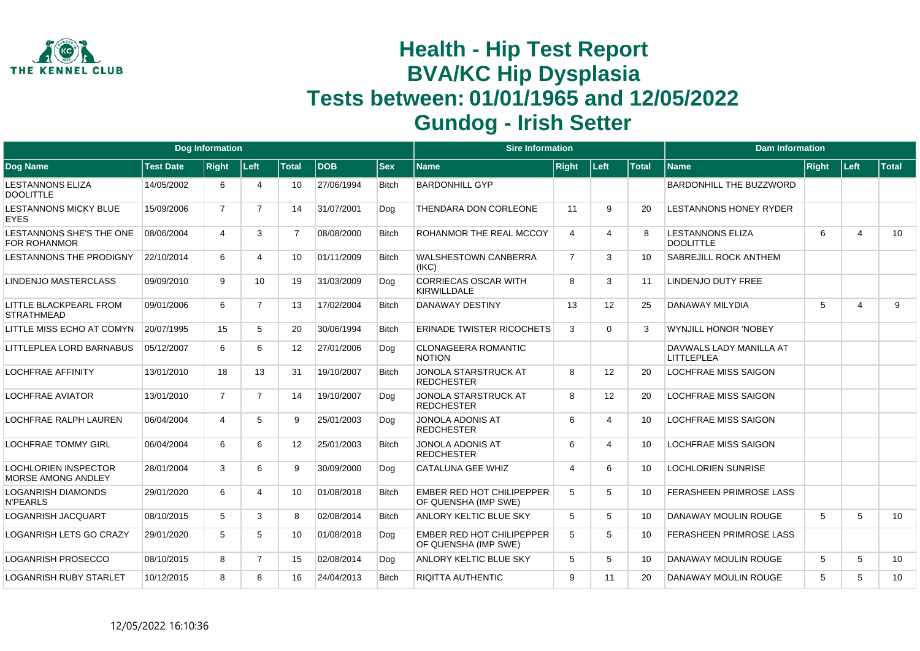

|                                                   |                  | <b>Dog Information</b> |                       |                   |            |              | <b>Sire Information</b>                                  |                       |                       |              | <b>Dam Information</b>                       |       |                         |              |
|---------------------------------------------------|------------------|------------------------|-----------------------|-------------------|------------|--------------|----------------------------------------------------------|-----------------------|-----------------------|--------------|----------------------------------------------|-------|-------------------------|--------------|
| <b>Dog Name</b>                                   | <b>Test Date</b> | <b>Right</b>           | Left                  | <b>Total</b>      | <b>DOB</b> | <b>Sex</b>   | <b>Name</b>                                              | <b>Right</b>          | Left                  | <b>Total</b> | <b>Name</b>                                  | Right | Left                    | <b>Total</b> |
| <b>LESTANNONS ELIZA</b><br><b>DOOLITTLE</b>       | 14/05/2002       | 6                      | $\boldsymbol{\Delta}$ | 10                | 27/06/1994 | <b>Bitch</b> | <b>BARDONHILL GYP</b>                                    |                       |                       |              | BARDONHILL THE BUZZWORD                      |       |                         |              |
| <b>LESTANNONS MICKY BLUE</b><br><b>EYES</b>       | 15/09/2006       | $\overline{7}$         | $\overline{7}$        | 14                | 31/07/2001 | Dog          | THENDARA DON CORLEONE                                    | 11                    | 9                     | 20           | LESTANNONS HONEY RYDER                       |       |                         |              |
| LESTANNONS SHE'S THE ONE<br><b>FOR ROHANMOR</b>   | 08/06/2004       | 4                      | 3                     | $\overline{7}$    | 08/08/2000 | <b>Bitch</b> | ROHANMOR THE REAL MCCOY                                  | 4                     | $\boldsymbol{\Delta}$ |              | <b>LESTANNONS ELIZA</b><br><b>DOOLITTLE</b>  | 6     | 4                       | 10           |
| <b>LESTANNONS THE PRODIGNY</b>                    | 22/10/2014       | 6                      | 4                     | 10                | 01/11/2009 | <b>Bitch</b> | <b>WALSHESTOWN CANBERRA</b><br>(IKC)                     | $\overline{7}$        | 3                     | 10           | SABREJILL ROCK ANTHEM                        |       |                         |              |
| <b>LINDENJO MASTERCLASS</b>                       | 09/09/2010       | 9                      | 10 <sup>°</sup>       | 19                | 31/03/2009 | Dog          | <b>CORRIECAS OSCAR WITH</b><br><b>KIRWILLDALE</b>        | 8                     | 3                     | 11           | LINDENJO DUTY FREE                           |       |                         |              |
| LITTLE BLACKPEARL FROM<br><b>STRATHMEAD</b>       | 09/01/2006       | 6                      | $\overline{7}$        | 13                | 17/02/2004 | <b>Bitch</b> | <b>DANAWAY DESTINY</b>                                   | 13                    | 12                    | 25           | <b>DANAWAY MILYDIA</b>                       | 5     | $\overline{\mathbf{A}}$ | 9            |
| LITTLE MISS ECHO AT COMYN                         | 20/07/1995       | 15                     | 5                     | 20                | 30/06/1994 | <b>Bitch</b> | <b>ERINADE TWISTER RICOCHETS</b>                         | 3                     | $\Omega$              | 3            | <b>WYNJILL HONOR 'NOBEY</b>                  |       |                         |              |
| LITTLEPLEA LORD BARNABUS                          | 05/12/2007       | 6                      | 6                     | $12 \overline{ }$ | 27/01/2006 | Dog          | <b>CLONAGEERA ROMANTIC</b><br><b>NOTION</b>              |                       |                       |              | DAVWALS LADY MANILLA AT<br><b>LITTLEPLEA</b> |       |                         |              |
| <b>LOCHFRAE AFFINITY</b>                          | 13/01/2010       | 18                     | 13                    | 31                | 19/10/2007 | <b>Bitch</b> | <b>JONOLA STARSTRUCK AT</b><br><b>REDCHESTER</b>         | 8                     | 12                    | 20           | <b>LOCHFRAE MISS SAIGON</b>                  |       |                         |              |
| LOCHFRAE AVIATOR                                  | 13/01/2010       | $\overline{7}$         | $\overline{7}$        | 14                | 19/10/2007 | Dog          | <b>JONOLA STARSTRUCK AT</b><br><b>REDCHESTER</b>         | 8                     | 12                    | 20           | <b>LOCHFRAE MISS SAIGON</b>                  |       |                         |              |
| <b>LOCHFRAE RALPH LAUREN</b>                      | 06/04/2004       | 4                      | 5                     | 9                 | 25/01/2003 | Dog          | <b>JONOLA ADONIS AT</b><br><b>REDCHESTER</b>             | 6                     | 4                     | 10           | <b>LOCHFRAE MISS SAIGON</b>                  |       |                         |              |
| <b>LOCHFRAE TOMMY GIRL</b>                        | 06/04/2004       | 6                      | 6                     | 12                | 25/01/2003 | <b>Bitch</b> | <b>JONOLA ADONIS AT</b><br><b>REDCHESTER</b>             | 6                     | 4                     | 10           | <b>LOCHFRAE MISS SAIGON</b>                  |       |                         |              |
| <b>LOCHLORIEN INSPECTOR</b><br>MORSE AMONG ANDLEY | 28/01/2004       | 3                      | 6                     | 9                 | 30/09/2000 | Dog          | <b>CATALUNA GEE WHIZ</b>                                 | $\boldsymbol{\Delta}$ | 6                     | 10           | <b>LOCHLORIEN SUNRISE</b>                    |       |                         |              |
| LOGANRISH DIAMONDS<br><b>N'PEARLS</b>             | 29/01/2020       | 6                      | $\boldsymbol{\Delta}$ | 10                | 01/08/2018 | <b>Bitch</b> | <b>EMBER RED HOT CHILIPEPPER</b><br>OF QUENSHA (IMP SWE) | 5                     | 5                     | 10           | <b>FERASHEEN PRIMROSE LASS</b>               |       |                         |              |
| <b>LOGANRISH JACQUART</b>                         | 08/10/2015       | 5                      | 3                     | 8                 | 02/08/2014 | <b>Bitch</b> | <b>ANLORY KELTIC BLUE SKY</b>                            | 5                     | 5                     | 10           | <b>DANAWAY MOULIN ROUGE</b>                  | 5     | 5                       | 10           |
| LOGANRISH LETS GO CRAZY                           | 29/01/2020       | 5                      | 5                     | 10                | 01/08/2018 | Dog          | <b>EMBER RED HOT CHILIPEPPER</b><br>OF QUENSHA (IMP SWE) | 5                     | 5                     | 10           | <b>FERASHEEN PRIMROSE LASS</b>               |       |                         |              |
| <b>LOGANRISH PROSECCO</b>                         | 08/10/2015       | 8                      | $\overline{7}$        | 15                | 02/08/2014 | Dog          | <b>ANLORY KELTIC BLUE SKY</b>                            | 5                     | 5                     | 10           | <b>DANAWAY MOULIN ROUGE</b>                  | 5     | 5                       | 10           |
| <b>LOGANRISH RUBY STARLET</b>                     | 10/12/2015       | 8                      | 8                     | 16                | 24/04/2013 | <b>Bitch</b> | <b>RIQITTA AUTHENTIC</b>                                 | 9                     | 11                    | 20           | <b>DANAWAY MOULIN ROUGE</b>                  | 5     | 5                       | 10           |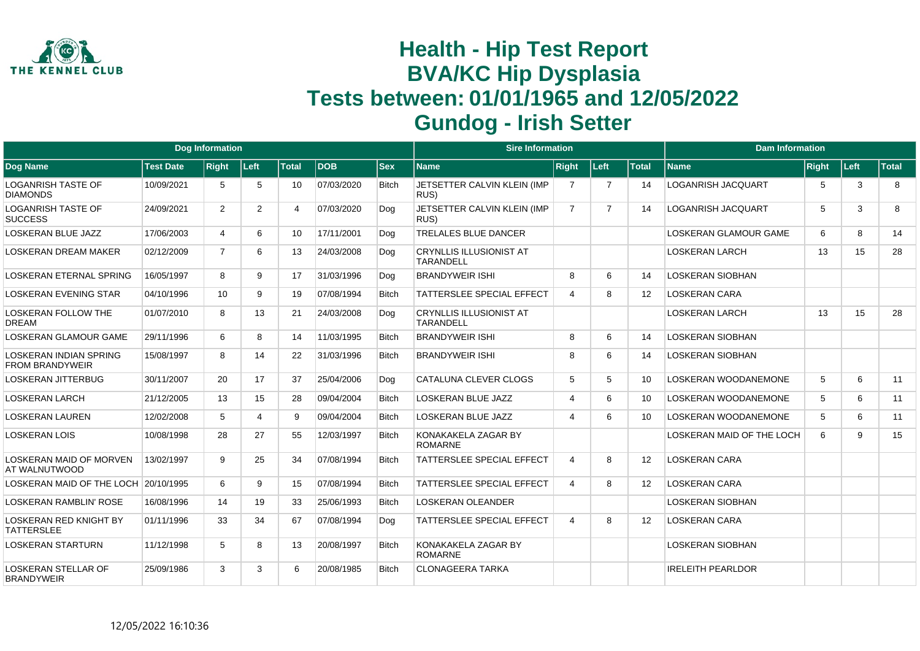

|                                                         |                  | <b>Dog Information</b> |                |                 |            |              | <b>Sire Information</b>                            |                        |                |                   | <b>Dam Information</b>      |       |        |              |
|---------------------------------------------------------|------------------|------------------------|----------------|-----------------|------------|--------------|----------------------------------------------------|------------------------|----------------|-------------------|-----------------------------|-------|--------|--------------|
| Dog Name                                                | <b>Test Date</b> | <b>Right</b>           | Left           | <b>Total</b>    | <b>DOB</b> | <b>Sex</b>   | <b>Name</b>                                        | <b>Right</b>           | Left           | <b>Total</b>      | <b>Name</b>                 | Right | │Left⊹ | <b>Total</b> |
| <b>LOGANRISH TASTE OF</b><br><b>DIAMONDS</b>            | 10/09/2021       | 5                      | 5              | 10              | 07/03/2020 | <b>Bitch</b> | JETSETTER CALVIN KLEIN (IMP<br>RUS)                | 7                      | -7             | 14                | <b>LOGANRISH JACQUART</b>   | 5     | 3      | 8            |
| <b>LOGANRISH TASTE OF</b><br><b>SUCCESS</b>             | 24/09/2021       | $\overline{2}$         | $\overline{2}$ | 4               | 07/03/2020 | Dog          | JETSETTER CALVIN KLEIN (IMP<br>RUS)                | $\overline{7}$         | $\overline{7}$ | 14                | <b>LOGANRISH JACQUART</b>   | 5     | 3      | 8            |
| LOSKERAN BLUE JAZZ                                      | 17/06/2003       | 4                      | 6              | 10 <sup>°</sup> | 17/11/2001 | Dog          | <b>TRELALES BLUE DANCER</b>                        |                        |                |                   | LOSKERAN GLAMOUR GAME       | 6     | 8      | 14           |
| LOSKERAN DREAM MAKER                                    | 02/12/2009       | $\overline{7}$         | 6              | 13              | 24/03/2008 | Dog          | <b>CRYNLLIS ILLUSIONIST AT</b><br><b>TARANDELL</b> |                        |                |                   | <b>LOSKERAN LARCH</b>       | 13    | 15     | 28           |
| <b>LOSKERAN ETERNAL SPRING</b>                          | 16/05/1997       | 8                      | 9              | 17              | 31/03/1996 | Dog          | <b>BRANDYWEIR ISHI</b>                             | 8                      | 6              | 14                | <b>LOSKERAN SIOBHAN</b>     |       |        |              |
| <b>LOSKERAN EVENING STAR</b>                            | 04/10/1996       | 10                     | 9              | 19              | 07/08/1994 | <b>Bitch</b> | <b>TATTERSLEE SPECIAL EFFECT</b>                   | $\overline{4}$         | 8              | 12                | LOSKERAN CARA               |       |        |              |
| <b>LOSKERAN FOLLOW THE</b><br><b>DREAM</b>              | 01/07/2010       | 8                      | 13             | 21              | 24/03/2008 | Dog          | <b>CRYNLLIS ILLUSIONIST AT</b><br><b>TARANDELL</b> |                        |                |                   | <b>LOSKERAN LARCH</b>       | 13    | 15     | 28           |
| <b>LOSKERAN GLAMOUR GAME</b>                            | 29/11/1996       | 6                      | 8              | 14              | 11/03/1995 | <b>Bitch</b> | <b>BRANDYWEIR ISHI</b>                             | 8                      | 6              | 14                | <b>LOSKERAN SIOBHAN</b>     |       |        |              |
| <b>LOSKERAN INDIAN SPRING</b><br><b>FROM BRANDYWEIR</b> | 15/08/1997       | 8                      | 14             | 22              | 31/03/1996 | <b>Bitch</b> | <b>BRANDYWEIR ISHI</b>                             | 8                      | 6              | 14                | <b>LOSKERAN SIOBHAN</b>     |       |        |              |
| <b>LOSKERAN JITTERBUG</b>                               | 30/11/2007       | 20                     | 17             | 37              | 25/04/2006 | Dog          | <b>CATALUNA CLEVER CLOGS</b>                       | 5                      | 5              | 10                | <b>LOSKERAN WOODANEMONE</b> | 5     | 6      | 11           |
| <b>LOSKERAN LARCH</b>                                   | 21/12/2005       | 13                     | 15             | 28              | 09/04/2004 | <b>Bitch</b> | <b>LOSKERAN BLUE JAZZ</b>                          | $\boldsymbol{\Lambda}$ | 6              | 10                | LOSKERAN WOODANEMONE        | 5     | 6      | 11           |
| <b>LOSKERAN LAUREN</b>                                  | 12/02/2008       | 5                      | 4              | 9               | 09/04/2004 | <b>Bitch</b> | <b>LOSKERAN BLUE JAZZ</b>                          | $\overline{4}$         | 6              | 10 <sup>1</sup>   | LOSKERAN WOODANEMONE        | 5     | 6      | 11           |
| <b>LOSKERAN LOIS</b>                                    | 10/08/1998       | 28                     | 27             | 55              | 12/03/1997 | <b>Bitch</b> | KONAKAKELA ZAGAR BY<br><b>ROMARNE</b>              |                        |                |                   | LOSKERAN MAID OF THE LOCH   | 6     | 9      | 15           |
| <b>LOSKERAN MAID OF MORVEN</b><br>AT WALNUTWOOD         | 13/02/1997       | 9                      | 25             | 34              | 07/08/1994 | <b>Bitch</b> | <b>TATTERSLEE SPECIAL EFFECT</b>                   | $\overline{4}$         | 8              | $12 \overline{ }$ | <b>LOSKERAN CARA</b>        |       |        |              |
| LOSKERAN MAID OF THE LOCH                               | 20/10/1995       | 6                      | 9              | 15              | 07/08/1994 | <b>Bitch</b> | <b>TATTERSLEE SPECIAL EFFECT</b>                   | $\overline{4}$         | 8              | $12 \overline{ }$ | <b>LOSKERAN CARA</b>        |       |        |              |
| <b>LOSKERAN RAMBLIN' ROSE</b>                           | 16/08/1996       | 14                     | 19             | 33              | 25/06/1993 | <b>Bitch</b> | <b>LOSKERAN OLEANDER</b>                           |                        |                |                   | LOSKERAN SIOBHAN            |       |        |              |
| <b>LOSKERAN RED KNIGHT BY</b><br><b>TATTERSLEE</b>      | 01/11/1996       | 33                     | 34             | 67              | 07/08/1994 | Dog          | <b>TATTERSLEE SPECIAL EFFECT</b>                   | $\overline{4}$         | 8              | 12                | <b>LOSKERAN CARA</b>        |       |        |              |
| <b>LOSKERAN STARTURN</b>                                | 11/12/1998       | 5                      | 8              | 13              | 20/08/1997 | <b>Bitch</b> | KONAKAKELA ZAGAR BY<br><b>ROMARNE</b>              |                        |                |                   | <b>LOSKERAN SIOBHAN</b>     |       |        |              |
| <b>LOSKERAN STELLAR OF</b><br><b>BRANDYWEIR</b>         | 25/09/1986       | 3                      | 3              | 6               | 20/08/1985 | <b>Bitch</b> | <b>CLONAGEERA TARKA</b>                            |                        |                |                   | <b>IRELEITH PEARLDOR</b>    |       |        |              |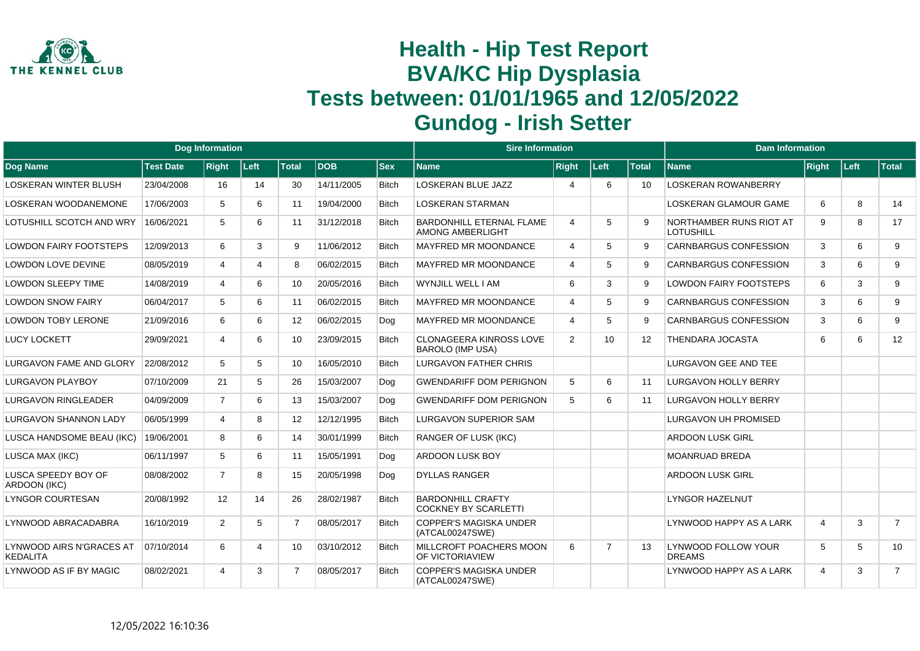

|                                             |                  | <b>Dog Information</b> |       |                 |            |              | <b>Sire Information</b>                                    |                          |                |                   | <b>Dam Information</b>                      |                |       |                |
|---------------------------------------------|------------------|------------------------|-------|-----------------|------------|--------------|------------------------------------------------------------|--------------------------|----------------|-------------------|---------------------------------------------|----------------|-------|----------------|
| <b>Dog Name</b>                             | <b>Test Date</b> | <b>Right</b>           | │Left | <b>Total</b>    | <b>DOB</b> | <b>Sex</b>   | <b>Name</b>                                                | <b>Right</b>             | Left           | <b>Total</b>      | <b>Name</b>                                 | Right          | Left: | Total          |
| LOSKERAN WINTER BLUSH                       | 23/04/2008       | 16                     | 14    | 30              | 14/11/2005 | <b>Bitch</b> | <b>LOSKERAN BLUE JAZZ</b>                                  | $\boldsymbol{\varDelta}$ | 6              | 10                | <b>LOSKERAN ROWANBERRY</b>                  |                |       |                |
| LOSKERAN WOODANEMONE                        | 17/06/2003       | 5                      | 6     | 11              | 19/04/2000 | <b>Bitch</b> | <b>LOSKERAN STARMAN</b>                                    |                          |                |                   | LOSKERAN GLAMOUR GAME                       | 6              | 8     | 14             |
| LOTUSHILL SCOTCH AND WRY                    | 16/06/2021       | 5                      | 6     | 11              | 31/12/2018 | <b>Bitch</b> | <b>BARDONHILL ETERNAL FLAME</b><br><b>AMONG AMBERLIGHT</b> | $\overline{4}$           | 5              | 9                 | NORTHAMBER RUNS RIOT AT<br><b>LOTUSHILL</b> | 9              | 8     | 17             |
| <b>LOWDON FAIRY FOOTSTEPS</b>               | 12/09/2013       | 6                      | 3     | 9               | 11/06/2012 | <b>Bitch</b> | <b>MAYFRED MR MOONDANCE</b>                                | $\overline{4}$           | 5              | 9                 | <b>CARNBARGUS CONFESSION</b>                | 3              | 6     | 9              |
| LOWDON LOVE DEVINE                          | 08/05/2019       | 4                      | 4     | 8               | 06/02/2015 | <b>Bitch</b> | <b>MAYFRED MR MOONDANCE</b>                                | $\boldsymbol{\varDelta}$ | 5              | 9                 | <b>CARNBARGUS CONFESSION</b>                | 3              | 6     | 9              |
| LOWDON SLEEPY TIME                          | 14/08/2019       | 4                      | 6     | 10              | 20/05/2016 | <b>Bitch</b> | WYNJILL WELL I AM                                          | 6                        | 3              | 9                 | <b>LOWDON FAIRY FOOTSTEPS</b>               | 6              | 3     | 9              |
| <b>LOWDON SNOW FAIRY</b>                    | 06/04/2017       | 5                      | 6     | 11              | 06/02/2015 | <b>Bitch</b> | <b>MAYFRED MR MOONDANCE</b>                                | $\boldsymbol{\varDelta}$ | 5              | 9                 | <b>CARNBARGUS CONFESSION</b>                | 3              | 6     | 9              |
| <b>LOWDON TOBY LERONE</b>                   | 21/09/2016       | 6                      | 6     | 12 <sup>°</sup> | 06/02/2015 | Dog          | <b>MAYFRED MR MOONDANCE</b>                                | $\overline{4}$           | 5              | 9                 | <b>CARNBARGUS CONFESSION</b>                | 3              | 6     | 9              |
| <b>LUCY LOCKETT</b>                         | 29/09/2021       | 4                      | 6     | 10 <sup>1</sup> | 23/09/2015 | <b>Bitch</b> | <b>CLONAGEERA KINROSS LOVE</b><br><b>BAROLO (IMP USA)</b>  | 2                        | 10             | $12 \overline{ }$ | THENDARA JOCASTA                            | 6              | 6     | 12             |
| LURGAVON FAME AND GLORY                     | 22/08/2012       | 5                      | 5     | 10              | 16/05/2010 | <b>Bitch</b> | LURGAVON FATHER CHRIS                                      |                          |                |                   | <b>LURGAVON GEE AND TEE</b>                 |                |       |                |
| <b>LURGAVON PLAYBOY</b>                     | 07/10/2009       | 21                     | 5     | 26              | 15/03/2007 | Dog          | <b>GWENDARIFF DOM PERIGNON</b>                             | 5                        | 6              | 11                | LURGAVON HOLLY BERRY                        |                |       |                |
| LURGAVON RINGLEADER                         | 04/09/2009       | $\overline{7}$         | 6     | 13              | 15/03/2007 | Dog          | <b>GWENDARIFF DOM PERIGNON</b>                             | 5                        | 6              | 11                | <b>LURGAVON HOLLY BERRY</b>                 |                |       |                |
| LURGAVON SHANNON LADY                       | 06/05/1999       | 4                      | 8     | 12              | 12/12/1995 | <b>Bitch</b> | LURGAVON SUPERIOR SAM                                      |                          |                |                   | <b>LURGAVON UH PROMISED</b>                 |                |       |                |
| LUSCA HANDSOME BEAU (IKC)                   | 19/06/2001       | 8                      | 6     | 14              | 30/01/1999 | <b>Bitch</b> | <b>RANGER OF LUSK (IKC)</b>                                |                          |                |                   | <b>ARDOON LUSK GIRL</b>                     |                |       |                |
| LUSCA MAX (IKC)                             | 06/11/1997       | 5                      | 6     | 11              | 15/05/1991 | Dog          | <b>ARDOON LUSK BOY</b>                                     |                          |                |                   | <b>MOANRUAD BREDA</b>                       |                |       |                |
| LUSCA SPEEDY BOY OF<br>ARDOON (IKC)         | 08/08/2002       | $\overline{7}$         | 8     | 15              | 20/05/1998 | Dog          | <b>DYLLAS RANGER</b>                                       |                          |                |                   | <b>ARDOON LUSK GIRL</b>                     |                |       |                |
| <b>LYNGOR COURTESAN</b>                     | 20/08/1992       | 12                     | 14    | 26              | 28/02/1987 | <b>Bitch</b> | <b>BARDONHILL CRAFTY</b><br><b>COCKNEY BY SCARLETTI</b>    |                          |                |                   | <b>LYNGOR HAZELNUT</b>                      |                |       |                |
| LYNWOOD ABRACADABRA                         | 16/10/2019       | 2                      | 5     | $\overline{7}$  | 08/05/2017 | <b>Bitch</b> | <b>COPPER'S MAGISKA UNDER</b><br>(ATCAL00247SWE)           |                          |                |                   | LYNWOOD HAPPY AS A LARK                     | 4              | 3     | $\overline{7}$ |
| LYNWOOD AIRS N'GRACES AT<br><b>KEDALITA</b> | 07/10/2014       | 6                      | 4     | 10              | 03/10/2012 | <b>Bitch</b> | MILLCROFT POACHERS MOON<br>OF VICTORIAVIEW                 | 6                        | $\overline{7}$ | 13                | LYNWOOD FOLLOW YOUR<br><b>DREAMS</b>        | 5              | 5     | 10             |
| LYNWOOD AS IF BY MAGIC                      | 08/02/2021       |                        | 3     | 7               | 08/05/2017 | <b>Bitch</b> | <b>COPPER'S MAGISKA UNDER</b><br>(ATCAL00247SWE)           |                          |                |                   | LYNWOOD HAPPY AS A LARK                     | $\overline{4}$ | 3     | $\overline{7}$ |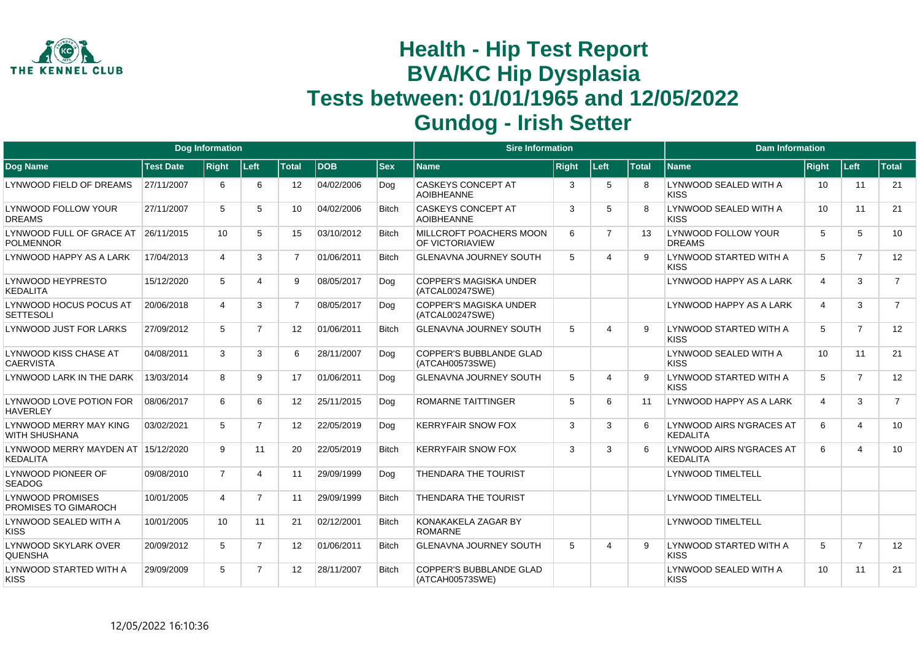

|                                                 |                  | <b>Dog Information</b> |                |                |            |              | <b>Sire Information</b>                           |              |                |              | <b>Dam Information</b>                              |                       |                |                |
|-------------------------------------------------|------------------|------------------------|----------------|----------------|------------|--------------|---------------------------------------------------|--------------|----------------|--------------|-----------------------------------------------------|-----------------------|----------------|----------------|
| Dog Name                                        | <b>Test Date</b> | <b>Right</b>           | Left           | <b>Total</b>   | <b>DOB</b> | <b>Sex</b>   | <b>Name</b>                                       | <b>Right</b> | Left           | <b>Total</b> | <b>Name</b>                                         | <b>Right</b>          | <b>Left</b>    | Total          |
| LYNWOOD FIELD OF DREAMS                         | 27/11/2007       | 6                      | 6              | 12             | 04/02/2006 | Dog          | <b>CASKEYS CONCEPT AT</b><br><b>AOIBHEANNE</b>    | 3            | 5              |              | LYNWOOD SEALED WITH A<br><b>KISS</b>                | 10                    | 11             | 21             |
| LYNWOOD FOLLOW YOUR<br><b>DREAMS</b>            | 27/11/2007       | 5                      | 5              | 10             | 04/02/2006 | <b>Bitch</b> | <b>CASKEYS CONCEPT AT</b><br><b>AOIBHEANNE</b>    | 3            | 5              |              | LYNWOOD SEALED WITH A<br><b>KISS</b>                | 10                    | 11             | 21             |
| LYNWOOD FULL OF GRACE AT<br><b>POLMENNOR</b>    | 26/11/2015       | 10                     | 5              | 15             | 03/10/2012 | <b>Bitch</b> | MILLCROFT POACHERS MOON<br><b>OF VICTORIAVIEW</b> | 6            | $\overline{7}$ | 13           | <b>LYNWOOD FOLLOW YOUR</b><br><b>DREAMS</b>         | 5                     | 5              | 10             |
| LYNWOOD HAPPY AS A LARK                         | 17/04/2013       | Δ                      | 3              | $\overline{7}$ | 01/06/2011 | <b>Bitch</b> | <b>GLENAVNA JOURNEY SOUTH</b>                     | 5            | Δ              |              | LYNWOOD STARTED WITH A<br><b>KISS</b>               | 5                     | $\overline{7}$ | 12             |
| LYNWOOD HEYPRESTO<br><b>KEDALITA</b>            | 15/12/2020       | 5                      | 4              | 9              | 08/05/2017 | Dog          | COPPER'S MAGISKA UNDER<br>(ATCAL00247SWE)         |              |                |              | LYNWOOD HAPPY AS A LARK                             | $\boldsymbol{\Delta}$ | 3              | $\overline{7}$ |
| LYNWOOD HOCUS POCUS AT<br><b>SETTESOLI</b>      | 20/06/2018       | 4                      | 3              | $\overline{7}$ | 08/05/2017 | Dog          | <b>COPPER'S MAGISKA UNDER</b><br>(ATCAL00247SWE)  |              |                |              | LYNWOOD HAPPY AS A LARK                             | $\boldsymbol{\Delta}$ | 3              | $\overline{7}$ |
| <b>LYNWOOD JUST FOR LARKS</b>                   | 27/09/2012       | 5                      | $\overline{7}$ | 12             | 01/06/2011 | <b>Bitch</b> | <b>GLENAVNA JOURNEY SOUTH</b>                     | 5            | 4              | <b>q</b>     | LYNWOOD STARTED WITH A<br><b>KISS</b>               | 5                     | $\overline{7}$ | 12             |
| LYNWOOD KISS CHASE AT<br><b>CAERVISTA</b>       | 04/08/2011       | 3                      | 3              | 6              | 28/11/2007 | Dog          | <b>COPPER'S BUBBLANDE GLAD</b><br>(ATCAH00573SWE) |              |                |              | LYNWOOD SEALED WITH A<br><b>KISS</b>                | 10                    | 11             | 21             |
| LYNWOOD LARK IN THE DARK                        | 13/03/2014       | 8                      | 9              | 17             | 01/06/2011 | Dog          | <b>GLENAVNA JOURNEY SOUTH</b>                     | 5            | 4              | 9            | LYNWOOD STARTED WITH A<br><b>KISS</b>               | 5                     | $\overline{7}$ | 12             |
| LYNWOOD LOVE POTION FOR<br><b>HAVERLEY</b>      | 08/06/2017       | 6                      | 6              | 12             | 25/11/2015 | Dog          | <b>ROMARNE TAITTINGER</b>                         | 5            | 6              | 11           | LYNWOOD HAPPY AS A LARK                             | $\overline{4}$        | 3              | $\overline{7}$ |
| LYNWOOD MERRY MAY KING<br><b>WITH SHUSHANA</b>  | 03/02/2021       | 5                      | $\overline{7}$ | 12             | 22/05/2019 | Dog          | <b>KERRYFAIR SNOW FOX</b>                         | 3            | 3              | 6            | <b>LYNWOOD AIRS N'GRACES AT</b><br><b>KFDAI ITA</b> | 6                     | 4              | 10             |
| LYNWOOD MERRY MAYDEN AT<br><b>KEDALITA</b>      | 15/12/2020       | 9                      | 11             | 20             | 22/05/2019 | <b>Bitch</b> | <b>KERRYFAIR SNOW FOX</b>                         | 3            | 3              | 6            | LYNWOOD AIRS N'GRACES AT<br><b>KEDALITA</b>         | 6                     | $\overline{4}$ | 10             |
| LYNWOOD PIONEER OF<br><b>SEADOG</b>             | 09/08/2010       | $\overline{7}$         | 4              | 11             | 29/09/1999 | Dog          | <b>THENDARA THE TOURIST</b>                       |              |                |              | <b>LYNWOOD TIMELTELL</b>                            |                       |                |                |
| <b>LYNWOOD PROMISES</b><br>PROMISES TO GIMAROCH | 10/01/2005       | $\overline{4}$         | $\overline{7}$ | 11             | 29/09/1999 | <b>Bitch</b> | <b>THENDARA THE TOURIST</b>                       |              |                |              | <b>LYNWOOD TIMELTELL</b>                            |                       |                |                |
| LYNWOOD SEALED WITH A<br><b>KISS</b>            | 10/01/2005       | 10                     | 11             | 21             | 02/12/2001 | <b>Bitch</b> | KONAKAKELA ZAGAR BY<br><b>ROMARNE</b>             |              |                |              | <b>LYNWOOD TIMELTELL</b>                            |                       |                |                |
| LYNWOOD SKYLARK OVER<br><b>QUENSHA</b>          | 20/09/2012       | 5                      | $\overline{7}$ | 12             | 01/06/2011 | <b>Bitch</b> | <b>GLENAVNA JOURNEY SOUTH</b>                     | 5            | Δ              |              | LYNWOOD STARTED WITH A<br><b>KISS</b>               | 5                     | $\overline{7}$ | 12             |
| LYNWOOD STARTED WITH A<br><b>KISS</b>           | 29/09/2009       | 5                      | $\overline{7}$ | 12             | 28/11/2007 | <b>Bitch</b> | <b>COPPER'S BUBBLANDE GLAD</b><br>(ATCAH00573SWE) |              |                |              | LYNWOOD SEALED WITH A<br><b>KISS</b>                | 10                    | 11             | 21             |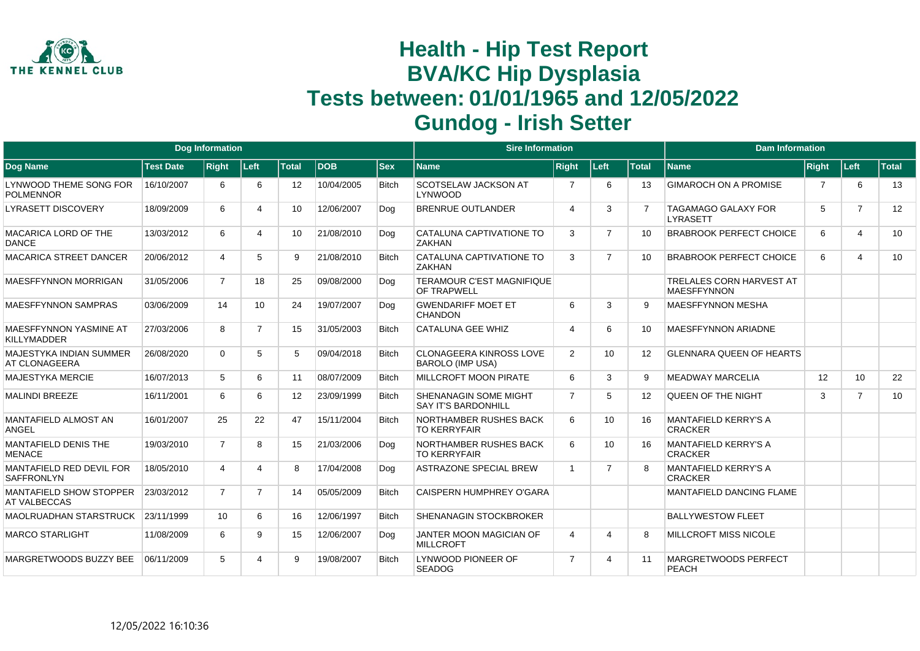

|                                                        |                  | <b>Dog Information</b> |                 |                 |            |              | <b>Sire Information</b>                                    |                |                |                   | <b>Dam Information</b>                                |                |                |       |
|--------------------------------------------------------|------------------|------------------------|-----------------|-----------------|------------|--------------|------------------------------------------------------------|----------------|----------------|-------------------|-------------------------------------------------------|----------------|----------------|-------|
| <b>Dog Name</b>                                        | <b>Test Date</b> | <b>Right</b>           | ∣Left∶          | <b>Total</b>    | <b>DOB</b> | <b>Sex</b>   | <b>Name</b>                                                | <b>Right</b>   | Left           | <b>Total</b>      | <b>Name</b>                                           | Right          | Left           | Total |
| LYNWOOD THEME SONG FOR<br><b>POLMENNOR</b>             | 16/10/2007       | 6                      | 6               | 12 <sup>2</sup> | 10/04/2005 | <b>Bitch</b> | <b>SCOTSELAW JACKSON AT</b><br>LYNWOOD                     | $\overline{7}$ | 6              | 13                | <b>GIMAROCH ON A PROMISE</b>                          | $\overline{7}$ | 6              | 13    |
| <b>LYRASETT DISCOVERY</b>                              | 18/09/2009       | 6                      | 4               | 10              | 12/06/2007 | Dog          | <b>BRENRUE OUTLANDER</b>                                   | $\overline{4}$ | 3              |                   | <b>TAGAMAGO GALAXY FOR</b><br><b>LYRASETT</b>         | 5              | $\overline{7}$ | 12    |
| MACARICA LORD OF THE<br><b>DANCE</b>                   | 13/03/2012       | 6                      | 4               | 10 <sup>1</sup> | 21/08/2010 | Dog          | CATALUNA CAPTIVATIONE TO<br><b>ZAKHAN</b>                  | 3              | $\overline{7}$ | 10                | <b>BRABROOK PERFECT CHOICE</b>                        | 6              | 4              | 10    |
| <b>MACARICA STREET DANCER</b>                          | 20/06/2012       |                        | 5               | 9               | 21/08/2010 | <b>Bitch</b> | CATALUNA CAPTIVATIONE TO<br><b>ZAKHAN</b>                  | 3              | $\overline{7}$ | 10                | <b>BRABROOK PERFECT CHOICE</b>                        | 6              | 4              | 10    |
| <b>MAESFFYNNON MORRIGAN</b>                            | 31/05/2006       | $\overline{7}$         | 18              | 25              | 09/08/2000 | Dog          | <b>TERAMOUR C'EST MAGNIFIQUE</b><br><b>OF TRAPWELL</b>     |                |                |                   | <b>TRELALES CORN HARVEST AT</b><br><b>MAESFFYNNON</b> |                |                |       |
| <b>MAESFFYNNON SAMPRAS</b>                             | 03/06/2009       | 14                     | 10 <sup>°</sup> | 24              | 19/07/2007 | Dog          | <b>GWENDARIFF MOET ET</b><br><b>CHANDON</b>                | 6              | 3              | a                 | <b>MAESFFYNNON MESHA</b>                              |                |                |       |
| MAESFFYNNON YASMINE AT<br><b>KILLYMADDER</b>           | 27/03/2006       | 8                      | $\overline{7}$  | 15              | 31/05/2003 | <b>Bitch</b> | <b>CATALUNA GEE WHIZ</b>                                   | $\overline{4}$ | 6              | 10                | <b>MAESFFYNNON ARIADNE</b>                            |                |                |       |
| <b>MAJESTYKA INDIAN SUMMER</b><br><b>AT CLONAGEERA</b> | 26/08/2020       | $\Omega$               | 5               | 5               | 09/04/2018 | <b>Bitch</b> | <b>CLONAGEERA KINROSS LOVE</b><br><b>BAROLO (IMP USA)</b>  | 2              | 10             | $12 \overline{ }$ | <b>GLENNARA QUEEN OF HEARTS</b>                       |                |                |       |
| <b>MAJESTYKA MERCIE</b>                                | 16/07/2013       | 5                      | 6               | 11              | 08/07/2009 | <b>Bitch</b> | <b>MILLCROFT MOON PIRATE</b>                               | 6              | 3              | 9                 | <b>MEADWAY MARCELIA</b>                               | 12             | 10             | 22    |
| <b>MALINDI BREEZE</b>                                  | 16/11/2001       | 6                      | 6               | 12 <sup>2</sup> | 23/09/1999 | <b>Bitch</b> | <b>SHENANAGIN SOME MIGHT</b><br><b>SAY IT'S BARDONHILL</b> | $\overline{7}$ | 5              | 12                | <b>QUEEN OF THE NIGHT</b>                             | 3              | $\overline{7}$ | 10    |
| MANTAFIELD ALMOST AN<br><b>ANGEL</b>                   | 16/01/2007       | 25                     | 22              | 47              | 15/11/2004 | <b>Bitch</b> | NORTHAMBER RUSHES BACK<br><b>TO KERRYFAIR</b>              | 6              | 10             | 16                | <b>MANTAFIELD KERRY'S A</b><br><b>CRACKER</b>         |                |                |       |
| <b>MANTAFIELD DENIS THE</b><br><b>MENACE</b>           | 19/03/2010       | $\overline{7}$         | 8               | 15              | 21/03/2006 | Dog          | NORTHAMBER RUSHES BACK<br><b>TO KERRYFAIR</b>              | 6              | 10             | 16                | <b>MANTAFIELD KERRY'S A</b><br><b>CRACKER</b>         |                |                |       |
| MANTAFIELD RED DEVIL FOR<br><b>SAFFRONLYN</b>          | 18/05/2010       | 4                      | 4               | 8               | 17/04/2008 | Dog          | <b>ASTRAZONE SPECIAL BREW</b>                              | $\overline{1}$ | $\overline{7}$ |                   | <b>MANTAFIELD KERRY'S A</b><br><b>CRACKER</b>         |                |                |       |
| MANTAFIELD SHOW STOPPER<br><b>AT VALBECCAS</b>         | 23/03/2012       | $\overline{7}$         | $\overline{7}$  | 14              | 05/05/2009 | <b>Bitch</b> | <b>CAISPERN HUMPHREY O'GARA</b>                            |                |                |                   | <b>MANTAFIELD DANCING FLAME</b>                       |                |                |       |
| <b>MAOLRUADHAN STARSTRUCK</b>                          | 23/11/1999       | 10                     | 6               | 16              | 12/06/1997 | <b>Bitch</b> | <b>SHENANAGIN STOCKBROKER</b>                              |                |                |                   | <b>BALLYWESTOW FLEET</b>                              |                |                |       |
| <b>MARCO STARLIGHT</b>                                 | 11/08/2009       | 6                      | 9               | 15              | 12/06/2007 | Dog          | JANTER MOON MAGICIAN OF<br><b>MILLCROFT</b>                | 4              | 4              | 8                 | <b>MILLCROFT MISS NICOLE</b>                          |                |                |       |
| MARGRETWOODS BUZZY BEE                                 | 06/11/2009       | 5                      |                 | 9               | 19/08/2007 | <b>Bitch</b> | LYNWOOD PIONEER OF<br><b>SEADOG</b>                        | $\overline{7}$ | 4              | 11                | <b>MARGRETWOODS PERFECT</b><br><b>PEACH</b>           |                |                |       |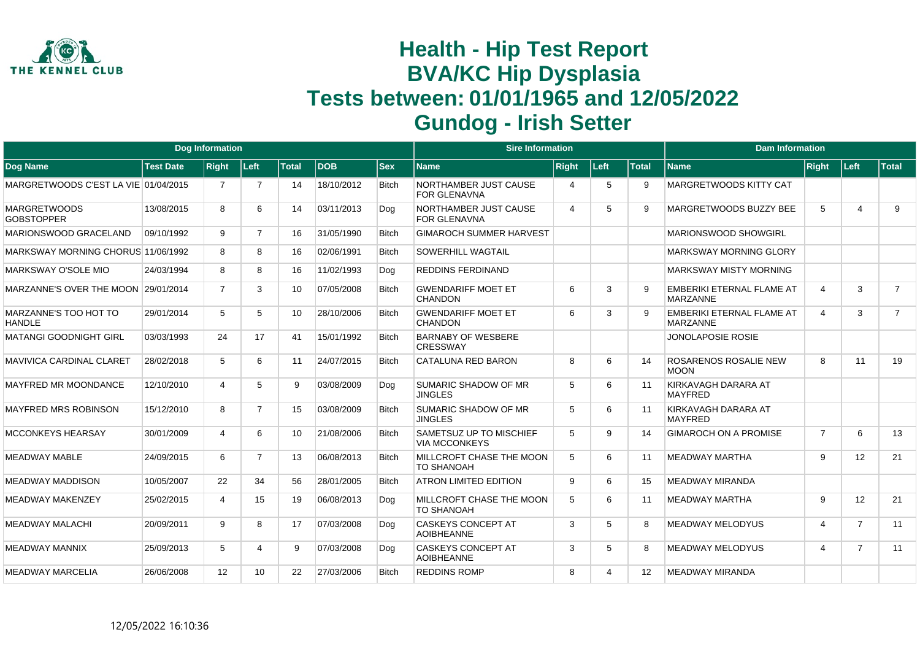

|                                               |                  | <b>Dog Information</b> |                |                 |            |              | <b>Sire Information</b>                         |                       |      |                   | <b>Dam Information</b>                              |                       |                   |                |
|-----------------------------------------------|------------------|------------------------|----------------|-----------------|------------|--------------|-------------------------------------------------|-----------------------|------|-------------------|-----------------------------------------------------|-----------------------|-------------------|----------------|
| Dog Name                                      | <b>Test Date</b> | <b>Right</b>           | Left           | <b>Total</b>    | <b>DOB</b> | <b>Sex</b>   | <b>Name</b>                                     | <b>Right</b>          | Left | <b>Total</b>      | <b>Name</b>                                         | <b>Right</b>          | Left              | <b>Total</b>   |
| MARGRETWOODS C'EST LA VIE 01/04/2015          |                  | 7                      | $\overline{7}$ | 14              | 18/10/2012 | <b>Bitch</b> | NORTHAMBER JUST CAUSE<br><b>FOR GLENAVNA</b>    | $\boldsymbol{\Delta}$ | 5    | 9                 | <b>MARGRETWOODS KITTY CAT</b>                       |                       |                   |                |
| <b>MARGRETWOODS</b><br><b>GOBSTOPPER</b>      | 13/08/2015       | 8                      | 6              | 14              | 03/11/2013 | Dog          | NORTHAMBER JUST CAUSE<br><b>FOR GLENAVNA</b>    | $\boldsymbol{\Delta}$ | 5    |                   | MARGRETWOODS BUZZY BEE                              | 5                     | $\overline{4}$    | 9              |
| MARIONSWOOD GRACELAND                         | 09/10/1992       | 9                      | $\overline{7}$ | 16              | 31/05/1990 | <b>Bitch</b> | <b>GIMAROCH SUMMER HARVEST</b>                  |                       |      |                   | <b>MARIONSWOOD SHOWGIRL</b>                         |                       |                   |                |
| MARKSWAY MORNING CHORUS 11/06/1992            |                  | 8                      | 8              | 16              | 02/06/1991 | <b>Bitch</b> | <b>SOWERHILL WAGTAIL</b>                        |                       |      |                   | <b>MARKSWAY MORNING GLORY</b>                       |                       |                   |                |
| MARKSWAY O'SOLE MIO                           | 24/03/1994       | 8                      | 8              | 16              | 11/02/1993 | Dog          | <b>REDDINS FERDINAND</b>                        |                       |      |                   | <b>MARKSWAY MISTY MORNING</b>                       |                       |                   |                |
| MARZANNE'S OVER THE MOON 29/01/2014           |                  | $\overline{7}$         | 3              | 10              | 07/05/2008 | <b>Bitch</b> | <b>GWENDARIFF MOET ET</b><br><b>CHANDON</b>     | 6                     | 3    |                   | <b>EMBERIKI ETERNAL FLAME AT</b><br><b>MARZANNE</b> | $\overline{4}$        | 3                 | $\overline{7}$ |
| <b>MARZANNE'S TOO HOT TO</b><br><b>HANDLE</b> | 29/01/2014       | 5                      | 5              | 10 <sup>1</sup> | 28/10/2006 | <b>Bitch</b> | <b>GWENDARIFF MOET ET</b><br><b>CHANDON</b>     | 6                     | 3    |                   | <b>EMBERIKI ETERNAL FLAME AT</b><br><b>MARZANNE</b> | $\overline{4}$        | 3                 | $\overline{7}$ |
| <b>MATANGI GOODNIGHT GIRL</b>                 | 03/03/1993       | 24                     | 17             | 41              | 15/01/1992 | <b>Bitch</b> | <b>BARNABY OF WESBERE</b><br><b>CRESSWAY</b>    |                       |      |                   | <b>JONOLAPOSIE ROSIE</b>                            |                       |                   |                |
| <b>MAVIVICA CARDINAL CLARET</b>               | 28/02/2018       | 5                      | 6              | 11              | 24/07/2015 | <b>Bitch</b> | <b>CATALUNA RED BARON</b>                       | 8                     | 6    | 14                | <b>ROSARENOS ROSALIE NEW</b><br><b>MOON</b>         | 8                     | 11                | 19             |
| <b>MAYFRED MR MOONDANCE</b>                   | 12/10/2010       | 4                      | 5              | 9               | 03/08/2009 | Dog          | SUMARIC SHADOW OF MR<br><b>JINGLES</b>          | 5                     | 6    | 11                | KIRKAVAGH DARARA AT<br><b>MAYFRED</b>               |                       |                   |                |
| <b>MAYFRED MRS ROBINSON</b>                   | 15/12/2010       | 8                      | $\overline{7}$ | 15              | 03/08/2009 | <b>Bitch</b> | SUMARIC SHADOW OF MR<br><b>JINGLES</b>          | 5                     | 6    | 11                | KIRKAVAGH DARARA AT<br><b>MAYFRED</b>               |                       |                   |                |
| <b>MCCONKEYS HEARSAY</b>                      | 30/01/2009       | 4                      | 6              | 10              | 21/08/2006 | <b>Bitch</b> | SAMETSUZ UP TO MISCHIEF<br><b>VIA MCCONKEYS</b> | 5                     | 9    | 14                | <b>GIMAROCH ON A PROMISE</b>                        | $\overline{7}$        | 6                 | 13             |
| <b>MEADWAY MABLE</b>                          | 24/09/2015       | 6                      | $\overline{7}$ | 13              | 06/08/2013 | <b>Bitch</b> | MILLCROFT CHASE THE MOON<br><b>TO SHANOAH</b>   | 5                     | 6    | 11                | <b>MEADWAY MARTHA</b>                               | 9                     | 12                | 21             |
| <b>MEADWAY MADDISON</b>                       | 10/05/2007       | 22                     | 34             | 56              | 28/01/2005 | <b>Bitch</b> | <b>ATRON LIMITED EDITION</b>                    | 9                     | 6    | 15                | <b>MEADWAY MIRANDA</b>                              |                       |                   |                |
| <b>MEADWAY MAKENZEY</b>                       | 25/02/2015       | 4                      | 15             | 19              | 06/08/2013 | Dog          | MILLCROFT CHASE THE MOON<br><b>TO SHANOAH</b>   | 5                     | 6    | 11                | <b>MEADWAY MARTHA</b>                               | 9                     | $12 \overline{ }$ | 21             |
| <b>MEADWAY MALACHI</b>                        | 20/09/2011       | 9                      | 8              | 17              | 07/03/2008 | Dog          | <b>CASKEYS CONCEPT AT</b><br><b>AOIBHEANNE</b>  | 3                     | 5    | 8                 | <b>MEADWAY MELODYUS</b>                             | $\overline{4}$        | $\overline{7}$    | 11             |
| MEADWAY MANNIX                                | 25/09/2013       | 5                      | 4              | 9               | 07/03/2008 | Dog          | <b>CASKEYS CONCEPT AT</b><br><b>AOIBHEANNE</b>  | 3                     | 5    | 8                 | <b>MEADWAY MELODYUS</b>                             | $\boldsymbol{\Delta}$ | $\overline{7}$    | 11             |
| <b>MEADWAY MARCELIA</b>                       | 26/06/2008       | 12 <sup>2</sup>        | 10             | 22              | 27/03/2006 | <b>Bitch</b> | <b>REDDINS ROMP</b>                             | 8                     | 4    | $12 \overline{ }$ | <b>MEADWAY MIRANDA</b>                              |                       |                   |                |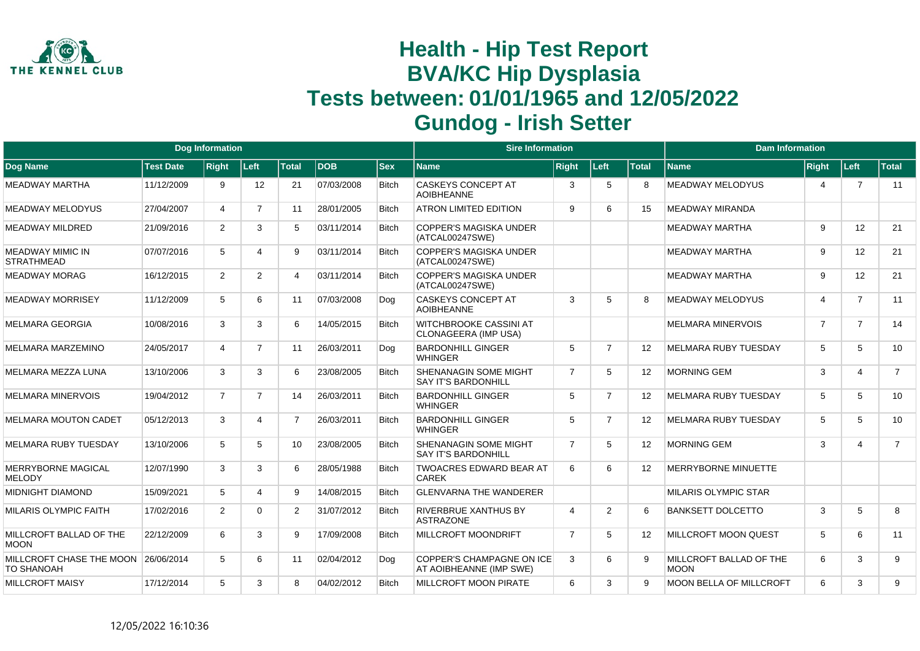

|                                                          |                  | <b>Dog Information</b> |                   |                |            |              | <b>Sire Information</b>                                     |                |                |                   | <b>Dam Information</b>                 |                |                |                |
|----------------------------------------------------------|------------------|------------------------|-------------------|----------------|------------|--------------|-------------------------------------------------------------|----------------|----------------|-------------------|----------------------------------------|----------------|----------------|----------------|
| Dog Name                                                 | <b>Test Date</b> | <b>Right</b>           | Left              | Total          | <b>DOB</b> | $ $ Sex      | Name                                                        | <b>Right</b>   | Left           | <b>Total</b>      | <b>Name</b>                            | <b>Right</b>   | Left           | <b>Total</b>   |
| MEADWAY MARTHA                                           | 11/12/2009       | 9                      | $12 \overline{ }$ | 21             | 07/03/2008 | <b>Bitch</b> | <b>CASKEYS CONCEPT AT</b><br><b>AOIBHEANNE</b>              | 3              | 5              | 8                 | <b>MEADWAY MELODYUS</b>                | 4              | $\overline{7}$ | 11             |
| <b>MEADWAY MELODYUS</b>                                  | 27/04/2007       | 4                      | $\overline{7}$    | 11             | 28/01/2005 | Bitch        | <b>ATRON LIMITED EDITION</b>                                | 9              | 6              | 15                | <b>MEADWAY MIRANDA</b>                 |                |                |                |
| MEADWAY MILDRED                                          | 21/09/2016       | 2                      | 3                 | 5              | 03/11/2014 | <b>Bitch</b> | <b>COPPER'S MAGISKA UNDER</b><br>(ATCAL00247SWE)            |                |                |                   | MEADWAY MARTHA                         | 9              | 12             | 21             |
| MEADWAY MIMIC IN<br><b>STRATHMEAD</b>                    | 07/07/2016       | 5                      | 4                 | 9              | 03/11/2014 | <b>Bitch</b> | <b>COPPER'S MAGISKA UNDER</b><br>(ATCAL00247SWE)            |                |                |                   | <b>MEADWAY MARTHA</b>                  | 9              | 12             | 21             |
| <b>MEADWAY MORAG</b>                                     | 16/12/2015       | 2                      | $\overline{2}$    | 4              | 03/11/2014 | <b>Bitch</b> | <b>COPPER'S MAGISKA UNDER</b><br>(ATCAL00247SWE)            |                |                |                   | <b>MEADWAY MARTHA</b>                  | 9              | 12             | 21             |
| <b>MEADWAY MORRISEY</b>                                  | 11/12/2009       | 5                      | 6                 | 11             | 07/03/2008 | Dog          | <b>CASKEYS CONCEPT AT</b><br><b>AOIBHEANNE</b>              | 3              | 5              | R                 | <b>MEADWAY MELODYUS</b>                | 4              | $\overline{7}$ | 11             |
| <b>MELMARA GEORGIA</b>                                   | 10/08/2016       | 3                      | 3                 | 6              | 14/05/2015 | <b>Bitch</b> | <b>WITCHBROOKE CASSINI AT</b><br>CLONAGEERA (IMP USA)       |                |                |                   | <b>MELMARA MINERVOIS</b>               | $\overline{7}$ | $\overline{7}$ | 14             |
| MELMARA MARZEMINO                                        | 24/05/2017       | $\overline{4}$         | $\overline{7}$    | 11             | 26/03/2011 | Dog          | <b>BARDONHILL GINGER</b><br><b>WHINGER</b>                  | 5              | $\overline{7}$ | $12 \overline{ }$ | <b>MELMARA RUBY TUESDAY</b>            | 5              | 5              | 10             |
| MELMARA MEZZA LUNA                                       | 13/10/2006       | 3                      | 3                 | 6              | 23/08/2005 | <b>Bitch</b> | <b>SHENANAGIN SOME MIGHT</b><br><b>SAY IT'S BARDONHILL</b>  | $\overline{7}$ | 5              | 12                | <b>MORNING GEM</b>                     | 3              | $\overline{4}$ | $\overline{7}$ |
| <b>MELMARA MINERVOIS</b>                                 | 19/04/2012       | $\overline{7}$         | $\overline{7}$    | 14             | 26/03/2011 | <b>Bitch</b> | <b>BARDONHILL GINGER</b><br><b>WHINGER</b>                  | 5              | $\overline{7}$ | $12 \overline{ }$ | <b>MELMARA RUBY TUESDAY</b>            | 5              | 5              | 10             |
| <b>MELMARA MOUTON CADET</b>                              | 05/12/2013       | 3                      | 4                 | $\overline{7}$ | 26/03/2011 | <b>Bitch</b> | <b>BARDONHILL GINGER</b><br><b>WHINGER</b>                  | 5              | $\overline{7}$ | $12 \overline{ }$ | <b>MELMARA RUBY TUESDAY</b>            | 5              | 5              | 10             |
| <b>MELMARA RUBY TUESDAY</b>                              | 13/10/2006       | 5                      | 5                 | 10             | 23/08/2005 | <b>Bitch</b> | <b>SHENANAGIN SOME MIGHT</b><br><b>SAY IT'S BARDONHILL</b>  | $\overline{7}$ | 5              | $12 \overline{ }$ | <b>MORNING GEM</b>                     | 3              | $\overline{4}$ | $\overline{7}$ |
| MERRYBORNE MAGICAL<br><b>MELODY</b>                      | 12/07/1990       | 3                      | 3                 | 6              | 28/05/1988 | <b>Bitch</b> | <b>TWOACRES EDWARD BEAR AT</b><br><b>CAREK</b>              | 6              | 6              | $12 \overline{ }$ | <b>MERRYBORNE MINUETTE</b>             |                |                |                |
| <b>MIDNIGHT DIAMOND</b>                                  | 15/09/2021       | 5                      | 4                 | 9              | 14/08/2015 | <b>Bitch</b> | <b>GLENVARNA THE WANDERER</b>                               |                |                |                   | <b>MILARIS OLYMPIC STAR</b>            |                |                |                |
| <b>MILARIS OLYMPIC FAITH</b>                             | 17/02/2016       | $\overline{2}$         | 0                 | $\overline{2}$ | 31/07/2012 | <b>Bitch</b> | <b>RIVERBRUE XANTHUS BY</b><br><b>ASTRAZONE</b>             | $\overline{4}$ | 2              | 6                 | <b>BANKSETT DOLCETTO</b>               | 3              | 5              | 8              |
| MILLCROFT BALLAD OF THE<br>MOON                          | 22/12/2009       | 6                      | 3                 | 9              | 17/09/2008 | <b>Bitch</b> | <b>MILLCROFT MOONDRIFT</b>                                  | $\overline{7}$ | 5              | 12 <sup>2</sup>   | <b>MILLCROFT MOON QUEST</b>            | 5              | 6              | 11             |
| MILLCROFT CHASE THE MOON 26/06/2014<br><b>TO SHANOAH</b> |                  | 5                      | 6                 | 11             | 02/04/2012 | Dog          | <b>COPPER'S CHAMPAGNE ON ICE</b><br>AT AOIBHEANNE (IMP SWE) | 3              | 6              | 9                 | MILLCROFT BALLAD OF THE<br><b>MOON</b> | 6              | 3              | 9              |
| <b>MILLCROFT MAISY</b>                                   | 17/12/2014       | 5                      | 3                 | 8              | 04/02/2012 | <b>Bitch</b> | <b>MILLCROFT MOON PIRATE</b>                                | 6              | 3              | $\mathsf{Q}$      | <b>MOON BELLA OF MILLCROFT</b>         | 6              | 3              | 9              |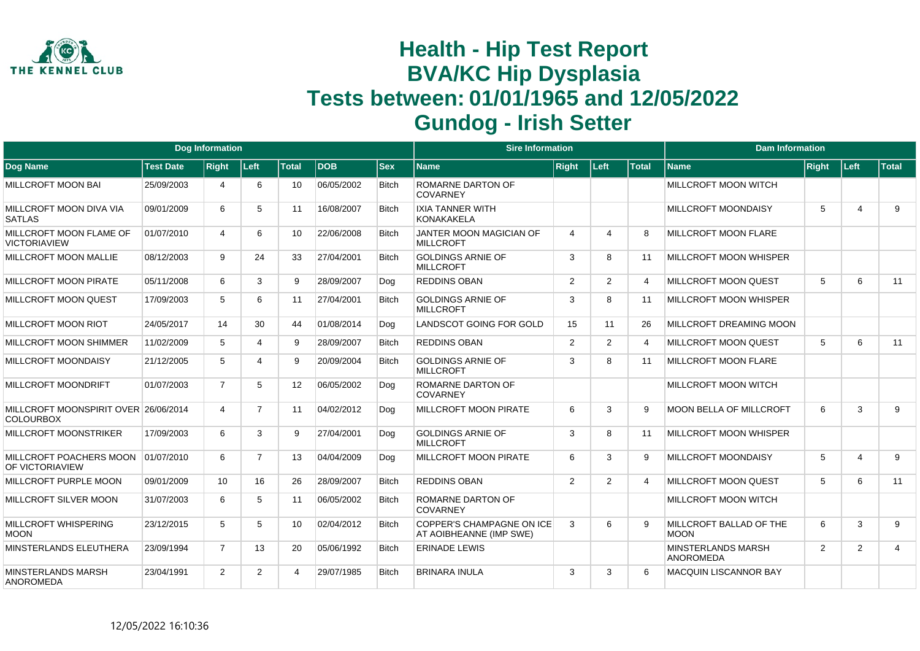

|                                                          |                  | <b>Dog Information</b> |                |                 |            |              | <b>Sire Information</b>                              |                       |                |                | <b>Dam Information</b>                        |       |                         |                         |
|----------------------------------------------------------|------------------|------------------------|----------------|-----------------|------------|--------------|------------------------------------------------------|-----------------------|----------------|----------------|-----------------------------------------------|-------|-------------------------|-------------------------|
| Dog Name                                                 | <b>Test Date</b> | <b>Right</b>           | Left           | <b>Total</b>    | <b>DOB</b> | <b>Sex</b>   | <b>Name</b>                                          | <b>Right</b>          | Left           | <b>Total</b>   | <b>Name</b>                                   | Right | Left                    | <b>Total</b>            |
| <b>MILLCROFT MOON BAI</b>                                | 25/09/2003       | Δ                      | 6              | 10              | 06/05/2002 | <b>Bitch</b> | <b>ROMARNE DARTON OF</b><br><b>COVARNEY</b>          |                       |                |                | MILLCROFT MOON WITCH                          |       |                         |                         |
| MILLCROFT MOON DIVA VIA<br><b>SATLAS</b>                 | 09/01/2009       | 6                      | 5              | 11              | 16/08/2007 | <b>Bitch</b> | <b>IXIA TANNER WITH</b><br><b>KONAKAKELA</b>         |                       |                |                | <b>MILLCROFT MOONDAISY</b>                    | 5     | $\overline{4}$          | 9                       |
| MILLCROFT MOON FLAME OF<br><b>VICTORIAVIEW</b>           | 01/07/2010       | $\overline{4}$         | 6              | 10 <sup>°</sup> | 22/06/2008 | <b>Bitch</b> | JANTER MOON MAGICIAN OF<br><b>MILLCROFT</b>          | $\boldsymbol{\Delta}$ | Δ              | 8              | <b>MILLCROFT MOON FLARE</b>                   |       |                         |                         |
| MILLCROFT MOON MALLIE                                    | 08/12/2003       | 9                      | 24             | 33              | 27/04/2001 | <b>Bitch</b> | GOLDINGS ARNIE OF<br><b>MILLCROFT</b>                | 3                     | 8              | 11             | <b>MILLCROFT MOON WHISPER</b>                 |       |                         |                         |
| MILLCROFT MOON PIRATE                                    | 05/11/2008       | 6                      | 3              | 9               | 28/09/2007 | Dog          | <b>REDDINS OBAN</b>                                  | 2                     | $\overline{2}$ | 4              | <b>MILLCROFT MOON QUEST</b>                   | 5     | 6                       | 11                      |
| MILLCROFT MOON QUEST                                     | 17/09/2003       | 5                      | 6              | 11              | 27/04/2001 | <b>Bitch</b> | <b>GOLDINGS ARNIE OF</b><br><b>MILLCROFT</b>         | 3                     | 8              | 11             | <b>MILLCROFT MOON WHISPER</b>                 |       |                         |                         |
| MILLCROFT MOON RIOT                                      | 24/05/2017       | 14                     | 30             | 44              | 01/08/2014 | Dog          | LANDSCOT GOING FOR GOLD                              | 15                    | 11             | 26             | <b>MILLCROFT DREAMING MOON</b>                |       |                         |                         |
| MILLCROFT MOON SHIMMER                                   | 11/02/2009       | 5                      | $\overline{4}$ | 9               | 28/09/2007 | <b>Bitch</b> | <b>REDDINS OBAN</b>                                  | $\overline{2}$        | $\overline{2}$ | $\overline{4}$ | <b>MILLCROFT MOON QUEST</b>                   | 5     | 6                       | 11                      |
| MILLCROFT MOONDAISY                                      | 21/12/2005       | 5                      | Δ              | 9               | 20/09/2004 | <b>Bitch</b> | <b>GOLDINGS ARNIE OF</b><br><b>MILLCROFT</b>         | 3                     | 8              | 11             | <b>MILLCROFT MOON FLARE</b>                   |       |                         |                         |
| MILLCROFT MOONDRIFT                                      | 01/07/2003       | $\overline{7}$         | 5              | 12 <sup>2</sup> | 06/05/2002 | Dog          | ROMARNE DARTON OF<br><b>COVARNEY</b>                 |                       |                |                | MILLCROFT MOON WITCH                          |       |                         |                         |
| MILLCROFT MOONSPIRIT OVER 26/06/2014<br><b>COLOURBOX</b> |                  | $\overline{4}$         | $\overline{7}$ | 11              | 04/02/2012 | Dog          | <b>MILLCROFT MOON PIRATE</b>                         | 6                     | 3              | 9              | <b>MOON BELLA OF MILLCROFT</b>                | 6     | 3                       | 9                       |
| MILLCROFT MOONSTRIKER                                    | 17/09/2003       | 6                      | 3              | 9               | 27/04/2001 | Dog          | <b>GOLDINGS ARNIE OF</b><br><b>MILLCROFT</b>         | 3                     | 8              | 11             | <b>MILLCROFT MOON WHISPER</b>                 |       |                         |                         |
| MILLCROFT POACHERS MOON<br>OF VICTORIAVIEW               | 01/07/2010       | 6                      | $\overline{7}$ | 13              | 04/04/2009 | Dog          | <b>MILLCROFT MOON PIRATE</b>                         | 6                     | 3              | 9              | <b>MILLCROFT MOONDAISY</b>                    | 5     | $\overline{\mathbf{4}}$ | 9                       |
| MILLCROFT PURPLE MOON                                    | 09/01/2009       | 10                     | 16             | 26              | 28/09/2007 | <b>Bitch</b> | <b>REDDINS OBAN</b>                                  | 2                     | $\overline{2}$ | 4              | <b>MILLCROFT MOON QUEST</b>                   | 5     | 6                       | 11                      |
| MILLCROFT SILVER MOON                                    | 31/07/2003       | 6                      | 5              | 11              | 06/05/2002 | <b>Bitch</b> | ROMARNE DARTON OF<br><b>COVARNEY</b>                 |                       |                |                | <b>MILLCROFT MOON WITCH</b>                   |       |                         |                         |
| MILLCROFT WHISPERING<br><b>MOON</b>                      | 23/12/2015       | 5                      | 5              | 10 <sup>1</sup> | 02/04/2012 | <b>Bitch</b> | COPPER'S CHAMPAGNE ON ICE<br>AT AOIBHEANNE (IMP SWE) | 3                     | 6              |                | MILLCROFT BALLAD OF THE<br><b>MOON</b>        | 6     | 3                       | 9                       |
| MINSTERLANDS ELEUTHERA                                   | 23/09/1994       | $\overline{7}$         | 13             | 20              | 05/06/1992 | <b>Bitch</b> | <b>ERINADE LEWIS</b>                                 |                       |                |                | <b>MINSTERLANDS MARSH</b><br><b>ANOROMEDA</b> | 2     | 2                       | $\overline{\mathbf{4}}$ |
| <b>MINSTERLANDS MARSH</b><br><b>ANOROMEDA</b>            | 23/04/1991       | $\overline{2}$         | $\overline{2}$ | 4               | 29/07/1985 | <b>Bitch</b> | <b>BRINARA INULA</b>                                 | 3                     | 3              | ĥ              | <b>MACQUIN LISCANNOR BAY</b>                  |       |                         |                         |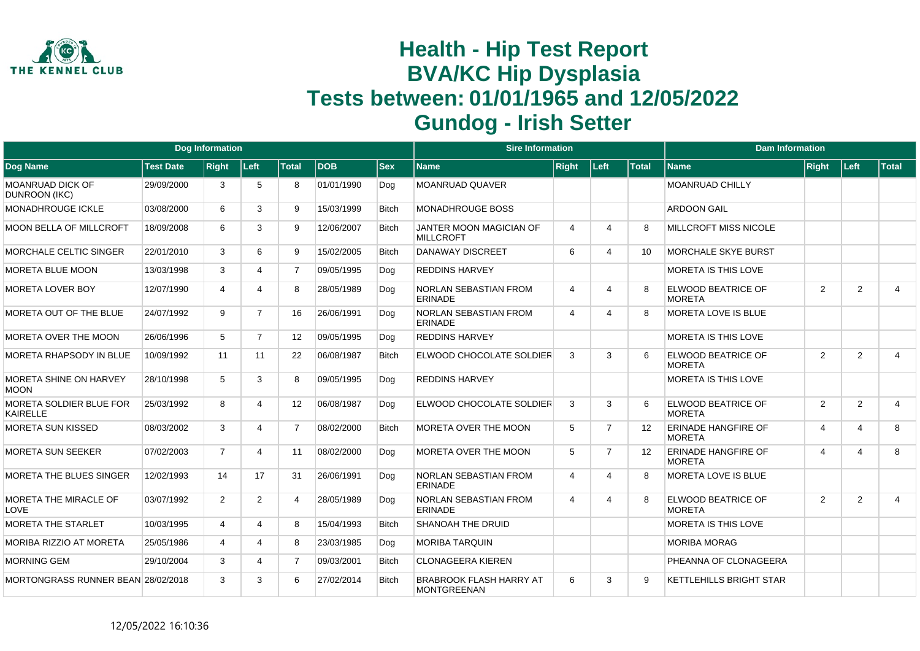

|                                                   |                  | <b>Dog Information</b> |                |                   |            |              | <b>Sire Information</b>                        |                |                |                   | <b>Dam Information</b>                      |                |                |                |
|---------------------------------------------------|------------------|------------------------|----------------|-------------------|------------|--------------|------------------------------------------------|----------------|----------------|-------------------|---------------------------------------------|----------------|----------------|----------------|
| Dog Name                                          | <b>Test Date</b> | <b>Right</b>           | Left           | <b>Total</b>      | <b>DOB</b> | <b>Sex</b>   | <b>Name</b>                                    | <b>Right</b>   | Left           | <b>Total</b>      | <b>Name</b>                                 | <b>Right</b>   | ∣Left∶         | Total          |
| <b>MOANRUAD DICK OF</b><br>DUNROON (IKC)          | 29/09/2000       | 3                      | 5              | 8                 | 01/01/1990 | Dog          | <b>MOANRUAD QUAVER</b>                         |                |                |                   | <b>MOANRUAD CHILLY</b>                      |                |                |                |
| <b>MONADHROUGE ICKLE</b>                          | 03/08/2000       | 6                      | 3              | 9                 | 15/03/1999 | <b>Bitch</b> | <b>MONADHROUGE BOSS</b>                        |                |                |                   | <b>ARDOON GAIL</b>                          |                |                |                |
| <b>MOON BELLA OF MILLCROFT</b>                    | 18/09/2008       | 6                      | 3              | 9                 | 12/06/2007 | <b>Bitch</b> | JANTER MOON MAGICIAN OF<br><b>MILLCROFT</b>    | $\overline{4}$ | $\Delta$       | 8                 | <b>MILLCROFT MISS NICOLE</b>                |                |                |                |
| <b>MORCHALE CELTIC SINGER</b>                     | 22/01/2010       | 3                      | 6              | 9                 | 15/02/2005 | <b>Bitch</b> | <b>DANAWAY DISCREET</b>                        | 6              | 4              | 10                | <b>MORCHALE SKYE BURST</b>                  |                |                |                |
| <b>MORETA BLUE MOON</b>                           | 13/03/1998       | 3                      | 4              | $\overline{7}$    | 09/05/1995 | Dog          | <b>REDDINS HARVEY</b>                          |                |                |                   | MORETA IS THIS LOVE                         |                |                |                |
| MORETA LOVER BOY                                  | 12/07/1990       | 4                      | Δ              | 8                 | 28/05/1989 | Dog          | <b>NORLAN SEBASTIAN FROM</b><br><b>ERINADE</b> | $\overline{4}$ | 4              | R                 | ELWOOD BEATRICE OF<br><b>MORETA</b>         | $\overline{2}$ | 2              | $\overline{4}$ |
| MORETA OUT OF THE BLUE                            | 24/07/1992       | 9                      | $\overline{7}$ | 16                | 26/06/1991 | Dog          | <b>NORLAN SEBASTIAN FROM</b><br><b>ERINADE</b> | $\overline{4}$ | Δ              | 8                 | <b>MORETA LOVE IS BLUE</b>                  |                |                |                |
| MORETA OVER THE MOON                              | 26/06/1996       | 5                      | $\overline{7}$ | 12                | 09/05/1995 | Dog          | <b>REDDINS HARVEY</b>                          |                |                |                   | MORETA IS THIS LOVE                         |                |                |                |
| MORETA RHAPSODY IN BLUE                           | 10/09/1992       | 11                     | 11             | 22                | 06/08/1987 | <b>Bitch</b> | ELWOOD CHOCOLATE SOLDIER                       | 3              | 3              | 6                 | ELWOOD BEATRICE OF<br><b>MORETA</b>         | $\overline{2}$ | 2              | $\overline{4}$ |
| <b>MORETA SHINE ON HARVEY</b><br>MOON             | 28/10/1998       | 5                      | 3              | 8                 | 09/05/1995 | Dog          | <b>REDDINS HARVEY</b>                          |                |                |                   | <b>MORETA IS THIS LOVE</b>                  |                |                |                |
| <b>MORETA SOLDIER BLUE FOR</b><br><b>KAIRELLE</b> | 25/03/1992       | 8                      | 4              | $12 \overline{ }$ | 06/08/1987 | Dog          | ELWOOD CHOCOLATE SOLDIER                       | 3              | 3              | 6                 | ELWOOD BEATRICE OF<br><b>MORETA</b>         | $\overline{2}$ | 2              | $\overline{4}$ |
| <b>MORETA SUN KISSED</b>                          | 08/03/2002       | 3                      | 4              | $\overline{7}$    | 08/02/2000 | <b>Bitch</b> | MORETA OVER THE MOON                           | 5              | $\overline{7}$ | $12 \overline{ }$ | <b>ERINADE HANGFIRE OF</b><br><b>MORETA</b> | 4              | 4              | 8              |
| <b>MORETA SUN SEEKER</b>                          | 07/02/2003       | $\overline{7}$         | 4              | 11                | 08/02/2000 | Dog          | <b>MORETA OVER THE MOON</b>                    | 5              | $\overline{7}$ | 12                | <b>ERINADE HANGFIRE OF</b><br><b>MORFTA</b> | 4              | $\overline{4}$ | 8              |
| MORETA THE BLUES SINGER                           | 12/02/1993       | 14                     | 17             | 31                | 26/06/1991 | Dog          | <b>NORLAN SEBASTIAN FROM</b><br>ERINADE        | $\overline{4}$ | 4              | 8                 | <b>MORETA LOVE IS BLUE</b>                  |                |                |                |
| MORETA THE MIRACLE OF<br><b>LOVE</b>              | 03/07/1992       | $\overline{2}$         | $\overline{2}$ | 4                 | 28/05/1989 | Dog          | NORLAN SEBASTIAN FROM<br>FRINADE               | $\overline{4}$ | Δ              | 8                 | ELWOOD BEATRICE OF<br><b>MORFTA</b>         | 2              | 2              | $\overline{4}$ |
| <b>MORETA THE STARLET</b>                         | 10/03/1995       | 4                      | 4              | 8                 | 15/04/1993 | <b>Bitch</b> | <b>SHANOAH THE DRUID</b>                       |                |                |                   | <b>MORETA IS THIS LOVE</b>                  |                |                |                |
| MORIBA RIZZIO AT MORETA                           | 25/05/1986       | 4                      | 4              | 8                 | 23/03/1985 | Dog          | <b>MORIBA TARQUIN</b>                          |                |                |                   | <b>MORIBA MORAG</b>                         |                |                |                |
| <b>MORNING GEM</b>                                | 29/10/2004       | 3                      | 4              | $\overline{7}$    | 09/03/2001 | <b>Bitch</b> | <b>CLONAGEERA KIEREN</b>                       |                |                |                   | PHEANNA OF CLONAGEERA                       |                |                |                |
| MORTONGRASS RUNNER BEAN 28/02/2018                |                  | 3                      | 3              | 6                 | 27/02/2014 | <b>Bitch</b> | <b>BRABROOK FLASH HARRY AT</b><br>MONTGREENAN  | 6              | 3              | 9                 | KETTLEHILLS BRIGHT STAR                     |                |                |                |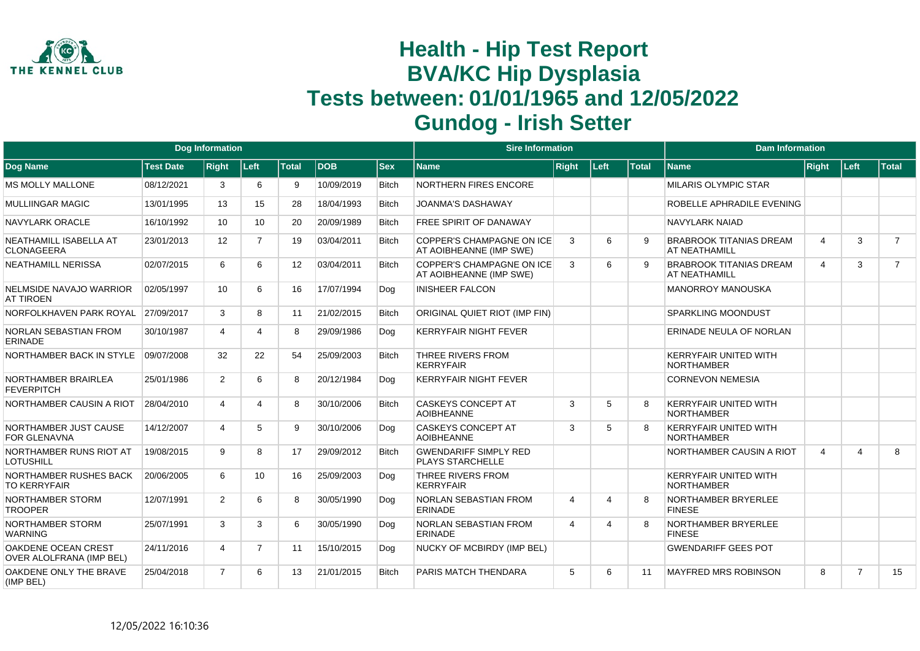

|                                                 |                  | <b>Dog Information</b> |                |              |            |              | <b>Sire Information</b>                                     |                |                       |              | <b>Dam Information</b>                            |                |                |                |
|-------------------------------------------------|------------------|------------------------|----------------|--------------|------------|--------------|-------------------------------------------------------------|----------------|-----------------------|--------------|---------------------------------------------------|----------------|----------------|----------------|
| Dog Name                                        | <b>Test Date</b> | <b>Right</b>           | Left           | <b>Total</b> | <b>DOB</b> | <b>Sex</b>   | <b>Name</b>                                                 | <b>Right</b>   | Left                  | <b>Total</b> | <b>Name</b>                                       | Right          | Left           | Total          |
| <b>MS MOLLY MALLONE</b>                         | 08/12/2021       | 3                      | 6              | 9            | 10/09/2019 | <b>Bitch</b> | <b>NORTHERN FIRES ENCORE</b>                                |                |                       |              | <b>MILARIS OLYMPIC STAR</b>                       |                |                |                |
| MULLIINGAR MAGIC                                | 13/01/1995       | 13                     | 15             | 28           | 18/04/1993 | <b>Bitch</b> | <b>JOANMA'S DASHAWAY</b>                                    |                |                       |              | ROBELLE APHRADILE EVENING                         |                |                |                |
| <b>NAVYLARK ORACLE</b>                          | 16/10/1992       | 10                     | 10             | 20           | 20/09/1989 | <b>Bitch</b> | <b>FREE SPIRIT OF DANAWAY</b>                               |                |                       |              | <b>NAVYLARK NAIAD</b>                             |                |                |                |
| NEATHAMILL ISABELLA AT<br><b>CLONAGEERA</b>     | 23/01/2013       | 12                     | $\overline{7}$ | 19           | 03/04/2011 | <b>Bitch</b> | <b>COPPER'S CHAMPAGNE ON ICE</b><br>AT AOIBHEANNE (IMP SWE) | 3              | 6                     | 9            | <b>BRABROOK TITANIAS DREAM</b><br>AT NEATHAMILL   | $\overline{4}$ | 3              | $\overline{7}$ |
| <b>NEATHAMILL NERISSA</b>                       | 02/07/2015       | 6                      | 6              | 12           | 03/04/2011 | <b>Bitch</b> | COPPER'S CHAMPAGNE ON ICE<br>AT AOIBHEANNE (IMP SWE)        | 3              | 6                     | <b>q</b>     | <b>BRABROOK TITANIAS DREAM</b><br>AT NEATHAMILL   | 4              | 3              | $\overline{7}$ |
| NELMSIDE NAVAJO WARRIOR<br><b>AT TIROEN</b>     | 02/05/1997       | 10                     | 6              | 16           | 17/07/1994 | Dog          | <b>INISHEER FALCON</b>                                      |                |                       |              | <b>MANORROY MANOUSKA</b>                          |                |                |                |
| NORFOLKHAVEN PARK ROYAL                         | 27/09/2017       | 3                      | 8              | 11           | 21/02/2015 | <b>Bitch</b> | ORIGINAL QUIET RIOT (IMP FIN)                               |                |                       |              | <b>SPARKLING MOONDUST</b>                         |                |                |                |
| NORLAN SEBASTIAN FROM<br><b>ERINADE</b>         | 30/10/1987       | 4                      | 4              | 8            | 29/09/1986 | Dog          | <b>KERRYFAIR NIGHT FEVER</b>                                |                |                       |              | ERINADE NEULA OF NORLAN                           |                |                |                |
| NORTHAMBER BACK IN STYLE                        | 09/07/2008       | 32                     | 22             | 54           | 25/09/2003 | <b>Bitch</b> | THREE RIVERS FROM<br><b>KERRYFAIR</b>                       |                |                       |              | <b>KERRYFAIR UNITED WITH</b><br><b>NORTHAMBER</b> |                |                |                |
| NORTHAMBER BRAIRLEA<br><b>FEVERPITCH</b>        | 25/01/1986       | $\overline{2}$         | 6              | 8            | 20/12/1984 | Dog          | <b>KERRYFAIR NIGHT FEVER</b>                                |                |                       |              | <b>CORNEVON NEMESIA</b>                           |                |                |                |
| NORTHAMBER CAUSIN A RIOT                        | 28/04/2010       | 4                      | 4              | 8            | 30/10/2006 | <b>Bitch</b> | <b>CASKEYS CONCEPT AT</b><br><b>AOIBHEANNE</b>              | 3              | 5                     | 8            | <b>KERRYFAIR UNITED WITH</b><br><b>NORTHAMBER</b> |                |                |                |
| NORTHAMBER JUST CAUSE<br><b>FOR GLENAVNA</b>    | 14/12/2007       | 4                      | 5              | 9            | 30/10/2006 | Dog          | <b>CASKEYS CONCEPT AT</b><br><b>AOIBHEANNE</b>              | 3              | 5                     | 8            | <b>KERRYFAIR UNITED WITH</b><br><b>NORTHAMBER</b> |                |                |                |
| NORTHAMBER RUNS RIOT AT<br><b>LOTUSHILL</b>     | 19/08/2015       | 9                      | 8              | 17           | 29/09/2012 | <b>Bitch</b> | <b>GWENDARIFF SIMPLY RED</b><br><b>PLAYS STARCHELLE</b>     |                |                       |              | NORTHAMBER CAUSIN A RIOT                          | $\overline{4}$ | $\overline{4}$ | 8              |
| NORTHAMBER RUSHES BACK<br><b>TO KERRYFAIR</b>   | 20/06/2005       | 6                      | 10             | 16           | 25/09/2003 | Dog          | THREE RIVERS FROM<br><b>KERRYFAIR</b>                       |                |                       |              | <b>KERRYFAIR UNITED WITH</b><br><b>NORTHAMBER</b> |                |                |                |
| NORTHAMBER STORM<br><b>TROOPER</b>              | 12/07/1991       | $\overline{2}$         | 6              | 8            | 30/05/1990 | Dog          | <b>NORLAN SEBASTIAN FROM</b><br><b>ERINADE</b>              | $\overline{4}$ | $\boldsymbol{\Delta}$ | 8            | NORTHAMBER BRYERLEE<br><b>FINESE</b>              |                |                |                |
| NORTHAMBER STORM<br><b>WARNING</b>              | 25/07/1991       | 3                      | 3              | 6            | 30/05/1990 | Dog          | NORLAN SEBASTIAN FROM<br><b>ERINADE</b>                     | $\overline{4}$ | $\overline{4}$        | 8            | NORTHAMBER BRYERLEE<br><b>FINESE</b>              |                |                |                |
| OAKDENE OCEAN CREST<br>OVER ALOLFRANA (IMP BEL) | 24/11/2016       | 4                      | $\overline{7}$ | 11           | 15/10/2015 | Dog          | NUCKY OF MCBIRDY (IMP BEL)                                  |                |                       |              | <b>GWENDARIFF GEES POT</b>                        |                |                |                |
| OAKDENE ONLY THE BRAVE<br>(IMP BEL)             | 25/04/2018       | $\overline{7}$         | 6              | 13           | 21/01/2015 | <b>Bitch</b> | PARIS MATCH THENDARA                                        | 5              | 6                     | 11           | MAYFRED MRS ROBINSON                              | 8              | $\overline{7}$ | 15             |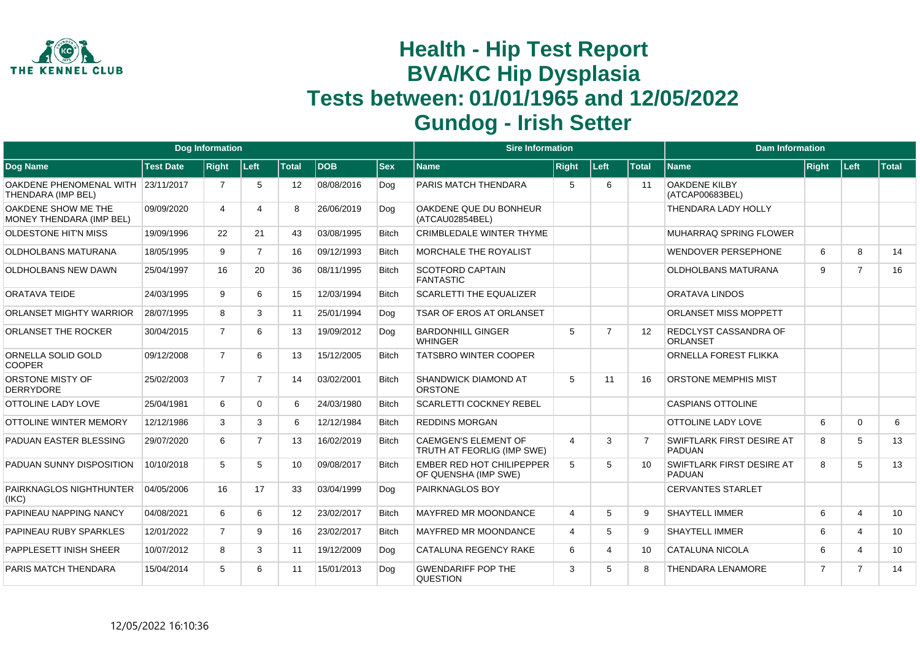

|                                                          |                  | <b>Dog Information</b> |                |              |            |              | <b>Sire Information</b>                                   |                |                       |                | <b>Dam Information</b>                     |                |                |              |
|----------------------------------------------------------|------------------|------------------------|----------------|--------------|------------|--------------|-----------------------------------------------------------|----------------|-----------------------|----------------|--------------------------------------------|----------------|----------------|--------------|
| Dog Name                                                 | <b>Test Date</b> | <b>Right</b>           | Left           | <b>Total</b> | <b>DOB</b> | <b>Sex</b>   | Name                                                      | <b>Right</b>   | Left                  | <b>Total</b>   | <b>Name</b>                                | <b>Right</b>   | Left           | <b>Total</b> |
| OAKDENE PHENOMENAL WITH 23/11/2017<br>THENDARA (IMP BEL) |                  | 7                      | 5              | 12           | 08/08/2016 | Dog          | PARIS MATCH THENDARA                                      | 5              | 6                     | 11             | OAKDENE KILBY<br>(ATCAP00683BEL)           |                |                |              |
| OAKDENE SHOW ME THE<br>MONEY THENDARA (IMP BEL)          | 09/09/2020       | 4                      | 4              | 8            | 26/06/2019 | Dog          | OAKDENE QUE DU BONHEUR<br>(ATCAU02854BEL)                 |                |                       |                | THENDARA LADY HOLLY                        |                |                |              |
| <b>OLDESTONE HIT'N MISS</b>                              | 19/09/1996       | 22                     | 21             | 43           | 03/08/1995 | <b>Bitch</b> | <b>CRIMBLEDALE WINTER THYME</b>                           |                |                       |                | MUHARRAQ SPRING FLOWER                     |                |                |              |
| <b>OLDHOLBANS MATURANA</b>                               | 18/05/1995       | 9                      | $\overline{7}$ | 16           | 09/12/1993 | <b>Bitch</b> | <b>MORCHALE THE ROYALIST</b>                              |                |                       |                | <b>WENDOVER PERSEPHONE</b>                 | 6              | 8              | 14           |
| <b>OLDHOLBANS NEW DAWN</b>                               | 25/04/1997       | 16                     | 20             | 36           | 08/11/1995 | <b>Bitch</b> | <b>SCOTFORD CAPTAIN</b><br><b>FANTASTIC</b>               |                |                       |                | <b>OLDHOLBANS MATURANA</b>                 | 9              | $\overline{7}$ | 16           |
| <b>ORATAVA TEIDE</b>                                     | 24/03/1995       | 9                      | 6              | 15           | 12/03/1994 | <b>Bitch</b> | <b>SCARLETTI THE EQUALIZER</b>                            |                |                       |                | ORATAVA LINDOS                             |                |                |              |
| <b>ORLANSET MIGHTY WARRIOR</b>                           | 28/07/1995       | 8                      | 3              | 11           | 25/01/1994 | Dog          | <b>TSAR OF EROS AT ORLANSET</b>                           |                |                       |                | <b>ORLANSET MISS MOPPETT</b>               |                |                |              |
| <b>ORLANSET THE ROCKER</b>                               | 30/04/2015       | $\overline{7}$         | 6              | 13           | 19/09/2012 | Dog          | <b>BARDONHILL GINGER</b><br><b>WHINGER</b>                | 5              | $\overline{7}$        | 12             | REDCLYST CASSANDRA OF<br>ORLANSET          |                |                |              |
| ORNELLA SOLID GOLD<br><b>COOPER</b>                      | 09/12/2008       | $\overline{7}$         | 6              | 13           | 15/12/2005 | <b>Bitch</b> | <b>TATSBRO WINTER COOPER</b>                              |                |                       |                | ORNELLA FOREST FLIKKA                      |                |                |              |
| ORSTONE MISTY OF<br><b>DERRYDORE</b>                     | 25/02/2003       | $\overline{7}$         | $\overline{7}$ | 14           | 03/02/2001 | <b>Bitch</b> | <b>SHANDWICK DIAMOND AT</b><br><b>ORSTONE</b>             | 5              | 11                    | 16             | <b>ORSTONE MEMPHIS MIST</b>                |                |                |              |
| <b>OTTOLINE LADY LOVE</b>                                | 25/04/1981       | 6                      | 0              | 6            | 24/03/1980 | <b>Bitch</b> | <b>SCARLETTI COCKNEY REBEL</b>                            |                |                       |                | <b>CASPIANS OTTOLINE</b>                   |                |                |              |
| OTTOLINE WINTER MEMORY                                   | 12/12/1986       | 3                      | 3              | 6            | 12/12/1984 | <b>Bitch</b> | <b>REDDINS MORGAN</b>                                     |                |                       |                | <b>OTTOLINE LADY LOVE</b>                  | 6              | $\Omega$       | 6            |
| PADUAN EASTER BLESSING                                   | 29/07/2020       | 6                      | $\overline{7}$ | 13           | 16/02/2019 | <b>Bitch</b> | <b>CAEMGEN'S ELEMENT OF</b><br>TRUTH AT FEORLIG (IMP SWE) | $\overline{4}$ | 3                     | $\overline{7}$ | SWIFTLARK FIRST DESIRE AT<br><b>PADUAN</b> | 8              | 5              | 13           |
| PADUAN SUNNY DISPOSITION                                 | 10/10/2018       | 5                      | 5              | 10           | 09/08/2017 | <b>Bitch</b> | <b>EMBER RED HOT CHILIPEPPER</b><br>OF QUENSHA (IMP SWE)  | 5              | 5                     | 10             | SWIFTLARK FIRST DESIRE AT<br><b>PADUAN</b> | 8              | 5              | 13           |
| PAIRKNAGLOS NIGHTHUNTER<br>(IKC)                         | 04/05/2006       | 16                     | 17             | 33           | 03/04/1999 | Dog          | <b>PAIRKNAGLOS BOY</b>                                    |                |                       |                | <b>CERVANTES STARLET</b>                   |                |                |              |
| PAPINEAU NAPPING NANCY                                   | 04/08/2021       | 6                      | 6              | 12           | 23/02/2017 | <b>Bitch</b> | <b>MAYFRED MR MOONDANCE</b>                               | $\overline{4}$ | 5                     | 9              | <b>SHAYTELL IMMER</b>                      | 6              | 4              | 10           |
| PAPINEAU RUBY SPARKLES                                   | 12/01/2022       | $\overline{7}$         | 9              | 16           | 23/02/2017 | <b>Bitch</b> | <b>MAYFRED MR MOONDANCE</b>                               | $\overline{4}$ | 5                     | 9              | <b>SHAYTELL IMMER</b>                      | 6              | $\overline{4}$ | 10           |
| PAPPLESETT INISH SHEER                                   | 10/07/2012       | 8                      | 3              | 11           | 19/12/2009 | Dog          | CATALUNA REGENCY RAKE                                     | 6              | $\boldsymbol{\Delta}$ | 10             | CATALUNA NICOLA                            | 6              | 4              | 10           |
| PARIS MATCH THENDARA                                     | 15/04/2014       | 5                      | 6              | 11           | 15/01/2013 | Dog          | <b>GWENDARIFF POP THE</b><br><b>QUESTION</b>              | 3              | 5                     | 8              | <b>THENDARA LENAMORE</b>                   | $\overline{7}$ | $\overline{7}$ | 14           |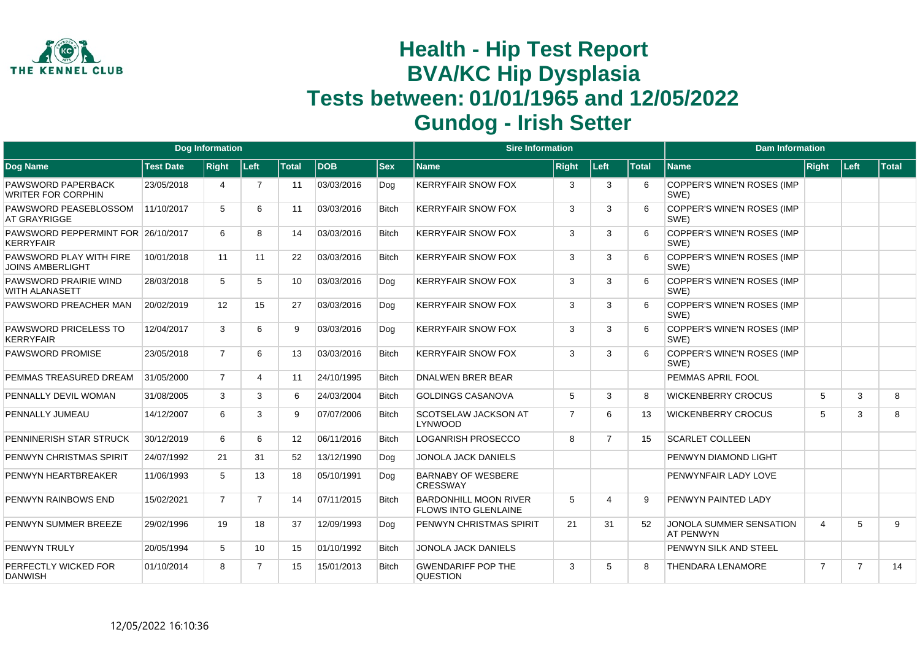

|                                                        |                  | Dog Information |                 |                   |            |              | <b>Sire Information</b>                                     |                |                |              | <b>Dam Information</b>                      |                |                |              |
|--------------------------------------------------------|------------------|-----------------|-----------------|-------------------|------------|--------------|-------------------------------------------------------------|----------------|----------------|--------------|---------------------------------------------|----------------|----------------|--------------|
| Dog Name                                               | <b>Test Date</b> | <b>Right</b>    | Left            | <b>Total</b>      | <b>DOB</b> | <b>Sex</b>   | <b>Name</b>                                                 | <b>Right</b>   | Left           | <b>Total</b> | <b>Name</b>                                 | Right          | Left           | <b>Total</b> |
| PAWSWORD PAPERBACK<br><b>WRITER FOR CORPHIN</b>        | 23/05/2018       | 4               | $\overline{7}$  | 11                | 03/03/2016 | Dog          | <b>KERRYFAIR SNOW FOX</b>                                   | -3             | 3              | 6            | COPPER'S WINE'N ROSES (IMP<br>SWE)          |                |                |              |
| PAWSWORD PEASEBLOSSOM<br>AT GRAYRIGGE                  | 11/10/2017       | 5               | 6               | 11                | 03/03/2016 | <b>Bitch</b> | <b>KERRYFAIR SNOW FOX</b>                                   | 3              | 3              | 6            | COPPER'S WINE'N ROSES (IMP<br>SWE)          |                |                |              |
| PAWSWORD PEPPERMINT FOR 26/10/2017<br><b>KERRYFAIR</b> |                  | 6               | 8               | 14                | 03/03/2016 | <b>Bitch</b> | <b>KERRYFAIR SNOW FOX</b>                                   | 3              | 3              | 6            | COPPER'S WINE'N ROSES (IMP<br>SWE)          |                |                |              |
| PAWSWORD PLAY WITH FIRE<br><b>JOINS AMBERLIGHT</b>     | 10/01/2018       | 11              | 11              | 22                | 03/03/2016 | <b>Bitch</b> | <b>KERRYFAIR SNOW FOX</b>                                   | 3              | 3              | 6            | COPPER'S WINE'N ROSES (IMP<br>SWE)          |                |                |              |
| PAWSWORD PRAIRIE WIND<br>WITH ALANASETT                | 28/03/2018       | 5               | 5               | 10                | 03/03/2016 | Dog          | <b>KERRYFAIR SNOW FOX</b>                                   | 3              | 3              | 6            | COPPER'S WINE'N ROSES (IMP<br>SWE)          |                |                |              |
| PAWSWORD PREACHER MAN                                  | 20/02/2019       | 12              | 15              | 27                | 03/03/2016 | Dog          | <b>KERRYFAIR SNOW FOX</b>                                   | 3              | 3              | 6            | COPPER'S WINE'N ROSES (IMP<br>SWE)          |                |                |              |
| PAWSWORD PRICELESS TO<br><b>KERRYFAIR</b>              | 12/04/2017       | 3               | 6               | 9                 | 03/03/2016 | Dog          | <b>KERRYFAIR SNOW FOX</b>                                   | 3              | 3              | 6            | COPPER'S WINE'N ROSES (IMP<br>SWE)          |                |                |              |
| PAWSWORD PROMISE                                       | 23/05/2018       | $\overline{7}$  | 6               | 13                | 03/03/2016 | <b>Bitch</b> | <b>KERRYFAIR SNOW FOX</b>                                   | 3              | 3              | 6            | COPPER'S WINE'N ROSES (IMP<br>SWE)          |                |                |              |
| PEMMAS TREASURED DREAM                                 | 31/05/2000       | $\overline{7}$  | 4               | 11                | 24/10/1995 | <b>Bitch</b> | <b>DNALWEN BRER BEAR</b>                                    |                |                |              | PEMMAS APRIL FOOL                           |                |                |              |
| PENNALLY DEVIL WOMAN                                   | 31/08/2005       | 3               | 3               | 6                 | 24/03/2004 | <b>Bitch</b> | <b>GOLDINGS CASANOVA</b>                                    | 5              | 3              | 8            | <b>WICKENBERRY CROCUS</b>                   | 5              | 3              | 8            |
| PENNALLY JUMEAU                                        | 14/12/2007       | 6               | 3               | 9                 | 07/07/2006 | <b>Bitch</b> | <b>SCOTSELAW JACKSON AT</b><br>LYNWOOD                      | $\overline{7}$ | 6              | 13           | <b>WICKENBERRY CROCUS</b>                   | 5              | 3              | 8            |
| PENNINERISH STAR STRUCK                                | 30/12/2019       | 6               | 6               | $12 \overline{ }$ | 06/11/2016 | <b>Bitch</b> | <b>LOGANRISH PROSECCO</b>                                   | 8              | $\overline{7}$ | 15           | <b>SCARLET COLLEEN</b>                      |                |                |              |
| PENWYN CHRISTMAS SPIRIT                                | 24/07/1992       | 21              | 31              | 52                | 13/12/1990 | Dog          | JONOLA JACK DANIELS                                         |                |                |              | PENWYN DIAMOND LIGHT                        |                |                |              |
| PENWYN HEARTBREAKER                                    | 11/06/1993       | 5               | 13              | 18                | 05/10/1991 | Dog          | <b>BARNABY OF WESBERE</b><br><b>CRESSWAY</b>                |                |                |              | PENWYNFAIR LADY LOVE                        |                |                |              |
| PENWYN RAINBOWS END                                    | 15/02/2021       | $\overline{7}$  | 7               | 14                | 07/11/2015 | <b>Bitch</b> | <b>BARDONHILL MOON RIVER</b><br><b>FLOWS INTO GLENLAINE</b> | 5              | Δ              | 9            | PENWYN PAINTED LADY                         |                |                |              |
| PENWYN SUMMER BREEZE                                   | 29/02/1996       | 19              | 18              | 37                | 12/09/1993 | Dog          | <b>PENWYN CHRISTMAS SPIRIT</b>                              | 21             | 31             | 52           | JONOLA SUMMER SENSATION<br><b>AT PENWYN</b> | $\overline{4}$ | 5              | 9            |
| <b>PENWYN TRULY</b>                                    | 20/05/1994       | 5               | 10 <sup>1</sup> | 15                | 01/10/1992 | <b>Bitch</b> | <b>JONOLA JACK DANIELS</b>                                  |                |                |              | PENWYN SILK AND STEEL                       |                |                |              |
| PERFECTLY WICKED FOR<br><b>DANWISH</b>                 | 01/10/2014       | 8               | $\overline{7}$  | 15                | 15/01/2013 | <b>Bitch</b> | <b>GWENDARIFF POP THE</b><br><b>QUESTION</b>                | 3              | 5              | 8            | <b>THENDARA LENAMORE</b>                    | $\overline{7}$ | $\overline{7}$ | 14           |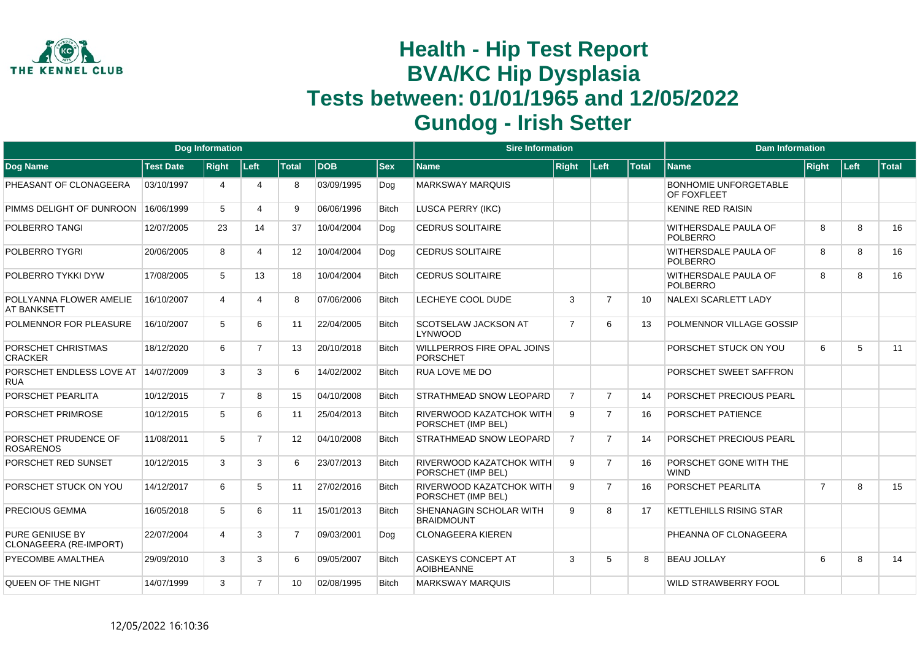

|                                                  | <b>Dog Information</b><br><b>Test Date</b><br><b>Right</b><br>Left<br><b>Total</b><br><b>DOB</b><br>03/10/1997<br>8<br>4<br>4<br>16/06/1999<br>5<br>9<br>4 |                |                |                   |            |              | <b>Sire Information</b>                               |                |                |              | <b>Dam Information</b>                      |                |      |       |
|--------------------------------------------------|------------------------------------------------------------------------------------------------------------------------------------------------------------|----------------|----------------|-------------------|------------|--------------|-------------------------------------------------------|----------------|----------------|--------------|---------------------------------------------|----------------|------|-------|
| Dog Name                                         |                                                                                                                                                            |                |                |                   |            | <b>Sex</b>   | <b>Name</b>                                           | <b>Right</b>   | Left           | <b>Total</b> | <b>Name</b>                                 | Right          | Left | Total |
| PHEASANT OF CLONAGEERA                           |                                                                                                                                                            |                |                |                   | 03/09/1995 | Dog          | <b>MARKSWAY MARQUIS</b>                               |                |                |              | <b>BONHOMIE UNFORGETABLE</b><br>OF FOXFLEET |                |      |       |
| PIMMS DELIGHT OF DUNROON                         |                                                                                                                                                            |                |                |                   | 06/06/1996 | <b>Bitch</b> | <b>LUSCA PERRY (IKC)</b>                              |                |                |              | <b>KENINE RED RAISIN</b>                    |                |      |       |
| POLBERRO TANGI                                   | 12/07/2005                                                                                                                                                 | 23             | 14             | 37                | 10/04/2004 | Dog          | <b>CEDRUS SOLITAIRE</b>                               |                |                |              | WITHERSDALE PAULA OF<br><b>POLBERRO</b>     | 8              | 8    | 16    |
| POLBERRO TYGRI                                   | 20/06/2005                                                                                                                                                 | 8              | 4              | $12 \overline{ }$ | 10/04/2004 | Dog          | <b>CEDRUS SOLITAIRE</b>                               |                |                |              | WITHERSDALE PAULA OF<br><b>POLBERRO</b>     | 8              | 8    | 16    |
| POLBERRO TYKKI DYW                               | 17/08/2005                                                                                                                                                 | 5              | 13             | 18                | 10/04/2004 | <b>Bitch</b> | <b>CEDRUS SOLITAIRE</b>                               |                |                |              | WITHERSDALE PAULA OF<br><b>POLBERRO</b>     | 8              | 8    | 16    |
| POLLYANNA FLOWER AMELIE<br>AT BANKSETT           | 16/10/2007                                                                                                                                                 | $\overline{4}$ | 4              | 8                 | 07/06/2006 | <b>Bitch</b> | LECHEYE COOL DUDE                                     | 3              | $\overline{7}$ | 10           | <b>NALEXI SCARLETT LADY</b>                 |                |      |       |
| POLMENNOR FOR PLEASURE                           | 16/10/2007                                                                                                                                                 | 5              | 6              | 11                | 22/04/2005 | <b>Bitch</b> | <b>SCOTSELAW JACKSON AT</b><br>LYNWOOD                | $\overline{7}$ | 6              | 13           | POLMENNOR VILLAGE GOSSIP                    |                |      |       |
| PORSCHET CHRISTMAS<br><b>CRACKER</b>             | 18/12/2020                                                                                                                                                 | 6              | $\overline{7}$ | 13                | 20/10/2018 | <b>Bitch</b> | WILLPERROS FIRE OPAL JOINS<br>PORSCHET                |                |                |              | PORSCHET STUCK ON YOU                       | 6              | 5    | 11    |
| PORSCHET ENDLESS LOVE AT<br><b>RUA</b>           | 14/07/2009                                                                                                                                                 | 3              | 3              | 6                 | 14/02/2002 | <b>Bitch</b> | <b>RUA LOVE ME DO</b>                                 |                |                |              | PORSCHET SWEET SAFFRON                      |                |      |       |
| PORSCHET PEARLITA                                | 10/12/2015                                                                                                                                                 | $\overline{7}$ | 8              | 15                | 04/10/2008 | <b>Bitch</b> | <b>STRATHMEAD SNOW LEOPARD</b>                        | $\overline{7}$ | $\overline{7}$ | 14           | PORSCHET PRECIOUS PEARL                     |                |      |       |
| PORSCHET PRIMROSE                                | 10/12/2015                                                                                                                                                 | 5              | 6              | 11                | 25/04/2013 | <b>Bitch</b> | <b>RIVERWOOD KAZATCHOK WITH</b><br>PORSCHET (IMP BEL) | 9              | $\overline{7}$ | 16           | PORSCHET PATIENCE                           |                |      |       |
| PORSCHET PRUDENCE OF<br><b>ROSARENOS</b>         | 11/08/2011                                                                                                                                                 | 5              | $\overline{7}$ | $12 \overline{ }$ | 04/10/2008 | Bitch        | <b>STRATHMEAD SNOW LEOPARD</b>                        | $\overline{7}$ | $\overline{7}$ | 14           | PORSCHET PRECIOUS PEARL                     |                |      |       |
| PORSCHET RED SUNSET                              | 10/12/2015                                                                                                                                                 | 3              | 3              | 6                 | 23/07/2013 | <b>Bitch</b> | <b>RIVERWOOD KAZATCHOK WITH</b><br>PORSCHET (IMP BEL) | 9              | $\overline{7}$ | 16           | PORSCHET GONE WITH THE<br><b>WIND</b>       |                |      |       |
| PORSCHET STUCK ON YOU                            | 14/12/2017                                                                                                                                                 | 6              | 5              | 11                | 27/02/2016 | <b>Bitch</b> | RIVERWOOD KAZATCHOK WITH<br>PORSCHET (IMP BEL)        | 9              | $\overline{7}$ | 16           | PORSCHET PEARLITA                           | $\overline{7}$ | 8    | 15    |
| <b>PRECIOUS GEMMA</b>                            | 16/05/2018                                                                                                                                                 | 5              | 6              | 11                | 15/01/2013 | <b>Bitch</b> | SHENANAGIN SCHOLAR WITH<br><b>BRAIDMOUNT</b>          | 9              | 8              | 17           | <b>KETTLEHILLS RISING STAR</b>              |                |      |       |
| <b>PURE GENIUSE BY</b><br>CLONAGEERA (RE-IMPORT) | 22/07/2004                                                                                                                                                 | 4              | 3              | $\overline{7}$    | 09/03/2001 | Dog          | <b>CLONAGEERA KIEREN</b>                              |                |                |              | PHEANNA OF CLONAGEERA                       |                |      |       |
| PYECOMBE AMALTHEA                                | 29/09/2010                                                                                                                                                 | 3              | 3              | 6                 | 09/05/2007 | <b>Bitch</b> | <b>CASKEYS CONCEPT AT</b><br><b>AOIBHEANNE</b>        | 3              | 5              | 8            | <b>BEAU JOLLAY</b>                          | 6              | 8    | 14    |
| QUEEN OF THE NIGHT                               | 14/07/1999                                                                                                                                                 | 3              | $\overline{7}$ | 10 <sup>1</sup>   | 02/08/1995 | <b>Bitch</b> | <b>MARKSWAY MARQUIS</b>                               |                |                |              | <b>WILD STRAWBERRY FOOL</b>                 |                |      |       |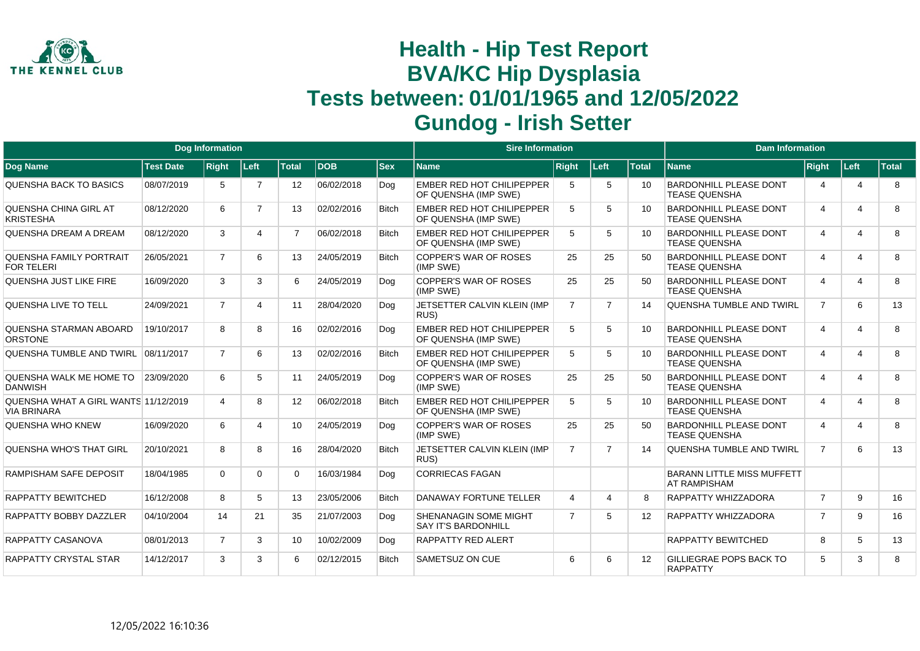

|                                                            |                  | <b>Dog Information</b> |                |                   |            |              | <b>Sire Information</b>                                  |                |                |                   | <b>Dam Information</b>                                   |                |                         |              |
|------------------------------------------------------------|------------------|------------------------|----------------|-------------------|------------|--------------|----------------------------------------------------------|----------------|----------------|-------------------|----------------------------------------------------------|----------------|-------------------------|--------------|
| <b>Dog Name</b>                                            | <b>Test Date</b> | <b>Right</b>           | ∣Left∶         | <b>Total</b>      | <b>DOB</b> | <b>Sex</b>   | <b>Name</b>                                              | <b>Right</b>   | Left           | <b>Total</b>      | <b>Name</b>                                              | <b>Right</b>   | Left                    | <b>Total</b> |
| <b>QUENSHA BACK TO BASICS</b>                              | 08/07/2019       | 5                      | $\overline{7}$ | $12 \overline{ }$ | 06/02/2018 | Dog          | <b>EMBER RED HOT CHILIPEPPER</b><br>OF QUENSHA (IMP SWE) | -5             | 5              | 10                | <b>BARDONHILL PLEASE DONT</b><br><b>TEASE QUENSHA</b>    | $\overline{4}$ | 4                       | 8            |
| QUENSHA CHINA GIRL AT<br><b>KRISTESHA</b>                  | 08/12/2020       | 6                      | $\overline{7}$ | 13                | 02/02/2016 | <b>Bitch</b> | EMBER RED HOT CHILIPEPPER<br>OF QUENSHA (IMP SWE)        | 5              | 5              | 10 <sup>1</sup>   | <b>BARDONHILL PLEASE DONT</b><br><b>TEASE QUENSHA</b>    | 4              | 4                       | 8            |
| <b>QUENSHA DREAM A DREAM</b>                               | 08/12/2020       | 3                      | 4              | $\overline{7}$    | 06/02/2018 | <b>Bitch</b> | <b>EMBER RED HOT CHILIPEPPER</b><br>OF QUENSHA (IMP SWE) | 5              | 5              | 10                | <b>BARDONHILL PLEASE DONT</b><br><b>TEASE QUENSHA</b>    | $\overline{4}$ | 4                       | 8            |
| QUENSHA FAMILY PORTRAIT<br><b>FOR TELERI</b>               | 26/05/2021       | $\overline{7}$         | 6              | 13                | 24/05/2019 | <b>Bitch</b> | <b>COPPER'S WAR OF ROSES</b><br>(IMP SWE)                | 25             | 25             | 50                | <b>BARDONHILL PLEASE DONT</b><br><b>TEASE QUENSHA</b>    | 4              | 4                       | 8            |
| QUENSHA JUST LIKE FIRE                                     | 16/09/2020       | 3                      | 3              | 6                 | 24/05/2019 | Dog          | COPPER'S WAR OF ROSES<br>(IMP SWE)                       | 25             | 25             | 50                | <b>BARDONHILL PLEASE DONT</b><br><b>TEASE QUENSHA</b>    | $\overline{4}$ | 4                       | 8            |
| QUENSHA LIVE TO TELL                                       | 24/09/2021       | $\overline{7}$         | 4              | 11                | 28/04/2020 | Dog          | JETSETTER CALVIN KLEIN (IMP<br>RUS)                      | $\overline{7}$ | $\overline{7}$ | 14                | <b>QUENSHA TUMBLE AND TWIRL</b>                          | $\overline{7}$ | 6                       | 13           |
| QUENSHA STARMAN ABOARD<br><b>ORSTONE</b>                   | 19/10/2017       | 8                      | 8              | 16                | 02/02/2016 | Dog          | <b>EMBER RED HOT CHILIPEPPER</b><br>OF QUENSHA (IMP SWE) | 5              | 5              | 10                | <b>BARDONHILL PLEASE DONT</b><br><b>TEASE QUENSHA</b>    | 4              | $\overline{\mathbf{A}}$ | 8            |
| QUENSHA TUMBLE AND TWIRL                                   | 08/11/2017       | $\overline{7}$         | 6              | 13                | 02/02/2016 | <b>Bitch</b> | <b>EMBER RED HOT CHILIPEPPER</b><br>OF QUENSHA (IMP SWE) | 5              | 5              | 10                | <b>BARDONHILL PLEASE DONT</b><br><b>TEASE QUENSHA</b>    | 4              | $\overline{\mathbf{4}}$ | 8            |
| QUENSHA WALK ME HOME TO<br><b>DANWISH</b>                  | 23/09/2020       | 6                      | 5              | 11                | 24/05/2019 | Dog          | <b>COPPER'S WAR OF ROSES</b><br>(IMP SWE)                | 25             | 25             | 50                | <b>BARDONHILL PLEASE DONT</b><br><b>TEASE QUENSHA</b>    | 4              | 4                       | 8            |
| QUENSHA WHAT A GIRL WANTS 11/12/2019<br><b>VIA BRINARA</b> |                  | 4                      | 8              | 12                | 06/02/2018 | <b>Bitch</b> | <b>EMBER RED HOT CHILIPEPPER</b><br>OF QUENSHA (IMP SWE) | 5              | 5              | 10                | <b>BARDONHILL PLEASE DONT</b><br><b>TEASE QUENSHA</b>    | 4              | 4                       | 8            |
| QUENSHA WHO KNEW                                           | 16/09/2020       | 6                      | 4              | 10                | 24/05/2019 | Dog          | <b>COPPER'S WAR OF ROSES</b><br>(IMP SWE)                | 25             | 25             | 50                | <b>BARDONHILL PLEASE DONT</b><br><b>TEASE QUENSHA</b>    | 4              | 4                       | 8            |
| <b>QUENSHA WHO'S THAT GIRL</b>                             | 20/10/2021       | 8                      | 8              | 16                | 28/04/2020 | <b>Bitch</b> | JETSETTER CALVIN KLEIN (IMP<br>RUS)                      | $\overline{7}$ | $\overline{7}$ | 14                | <b>QUENSHA TUMBLE AND TWIRL</b>                          | $\overline{7}$ | 6                       | 13           |
| <b>RAMPISHAM SAFE DEPOSIT</b>                              | 18/04/1985       | $\Omega$               | $\Omega$       | $\Omega$          | 16/03/1984 | Dog          | <b>CORRIECAS FAGAN</b>                                   |                |                |                   | <b>BARANN LITTLE MISS MUFFETT</b><br><b>AT RAMPISHAM</b> |                |                         |              |
| RAPPATTY BEWITCHED                                         | 16/12/2008       | 8                      | 5              | 13                | 23/05/2006 | <b>Bitch</b> | DANAWAY FORTUNE TELLER                                   | $\overline{4}$ | 4              | 8                 | <b>RAPPATTY WHIZZADORA</b>                               | $\overline{7}$ | 9                       | 16           |
| RAPPATTY BOBBY DAZZLER                                     | 04/10/2004       | 14                     | 21             | 35                | 21/07/2003 | Dog          | SHENANAGIN SOME MIGHT<br><b>SAY IT'S BARDONHILL</b>      | $\overline{7}$ | 5              | $12 \overline{ }$ | RAPPATTY WHIZZADORA                                      | $\overline{7}$ | 9                       | 16           |
| RAPPATTY CASANOVA                                          | 08/01/2013       | $\overline{7}$         | 3              | 10                | 10/02/2009 | Dog          | <b>RAPPATTY RED ALERT</b>                                |                |                |                   | <b>RAPPATTY BEWITCHED</b>                                | 8              | 5                       | 13           |
| RAPPATTY CRYSTAL STAR                                      | 14/12/2017       | 3                      | 3              | 6                 | 02/12/2015 | <b>Bitch</b> | <b>SAMETSUZ ON CUE</b>                                   | 6              | 6              | $12 \overline{ }$ | GILLIEGRAE POPS BACK TO<br><b>RAPPATTY</b>               | 5              | 3                       | 8            |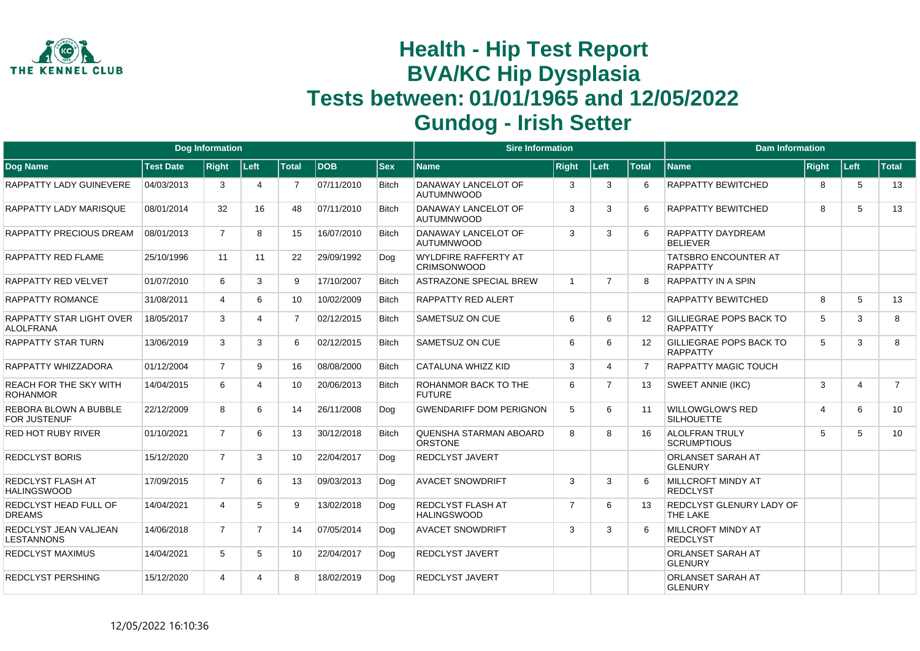

|                                                     |                  | <b>Dog Information</b> |                |                |            |              | <b>Sire Information</b>                           |                |                |                 | <b>Dam Information</b>                            |                         |                |                |
|-----------------------------------------------------|------------------|------------------------|----------------|----------------|------------|--------------|---------------------------------------------------|----------------|----------------|-----------------|---------------------------------------------------|-------------------------|----------------|----------------|
| Dog Name                                            | <b>Test Date</b> | <b>Right</b>           | Left           | <b>Total</b>   | <b>DOB</b> | $ $ Sex      | <b>Name</b>                                       | <b>Right</b>   | Left           | <b>Total</b>    | <b>Name</b>                                       | Right                   | Left           | <b>Total</b>   |
| RAPPATTY LADY GUINEVERE                             | 04/03/2013       | 3                      | 4              | $\overline{7}$ | 07/11/2010 | <b>Bitch</b> | DANAWAY LANCELOT OF<br><b>AUTUMNWOOD</b>          | 3              | $\mathbf{3}$   | 6               | RAPPATTY BEWITCHED                                | 8                       | 5              | 13             |
| RAPPATTY LADY MARISQUE                              | 08/01/2014       | 32                     | 16             | 48             | 07/11/2010 | <b>Bitch</b> | DANAWAY LANCELOT OF<br><b>AUTUMNWOOD</b>          | 3              | 3              | 6               | <b>RAPPATTY BEWITCHED</b>                         | 8                       | 5              | 13             |
| RAPPATTY PRECIOUS DREAM                             | 08/01/2013       | $\overline{7}$         | 8              | 15             | 16/07/2010 | <b>Bitch</b> | DANAWAY LANCELOT OF<br><b>AUTUMNWOOD</b>          | 3              | 3              | 6               | <b>RAPPATTY DAYDREAM</b><br><b>BFI IFVER</b>      |                         |                |                |
| RAPPATTY RED FLAME                                  | 25/10/1996       | 11                     | 11             | 22             | 29/09/1992 | Dog          | <b>WYLDFIRE RAFFERTY AT</b><br><b>CRIMSONWOOD</b> |                |                |                 | <b>TATSBRO ENCOUNTER AT</b><br><b>RAPPATTY</b>    |                         |                |                |
| RAPPATTY RED VELVET                                 | 01/07/2010       | 6                      | 3              | 9              | 17/10/2007 | <b>Bitch</b> | <b>ASTRAZONE SPECIAL BREW</b>                     | $\overline{1}$ | $\overline{7}$ | 8               | <b>RAPPATTY IN A SPIN</b>                         |                         |                |                |
| <b>RAPPATTY ROMANCE</b>                             | 31/08/2011       | $\overline{4}$         | 6              | 10             | 10/02/2009 | <b>Bitch</b> | <b>RAPPATTY RED ALERT</b>                         |                |                |                 | <b>RAPPATTY BEWITCHED</b>                         | 8                       | 5              | 13             |
| <b>RAPPATTY STAR LIGHT OVER</b><br><b>ALOLFRANA</b> | 18/05/2017       | 3                      | Δ              | $\overline{7}$ | 02/12/2015 | <b>Bitch</b> | <b>SAMETSUZ ON CUE</b>                            | 6              | 6              | 12              | <b>GILLIEGRAE POPS BACK TO</b><br><b>RAPPATTY</b> | 5                       | 3              | 8              |
| <b>RAPPATTY STAR TURN</b>                           | 13/06/2019       | 3                      | 3              | 6              | 02/12/2015 | <b>Bitch</b> | <b>SAMETSUZ ON CUE</b>                            | 6              | 6              | 12 <sup>2</sup> | <b>GILLIEGRAE POPS BACK TO</b><br><b>RAPPATTY</b> | 5                       | 3              | 8              |
| RAPPATTY WHIZZADORA                                 | 01/12/2004       | $\overline{7}$         | 9              | 16             | 08/08/2000 | <b>Bitch</b> | <b>CATALUNA WHIZZ KID</b>                         | 3              | Δ              |                 | <b>RAPPATTY MAGIC TOUCH</b>                       |                         |                |                |
| <b>REACH FOR THE SKY WITH</b><br><b>ROHANMOR</b>    | 14/04/2015       | 6                      | 4              | 10             | 20/06/2013 | <b>Bitch</b> | ROHANMOR BACK TO THE<br><b>FUTURE</b>             | 6              | $\overline{7}$ | 13              | <b>SWEET ANNIE (IKC)</b>                          | 3                       | $\overline{4}$ | $\overline{7}$ |
| REBORA BLOWN A BUBBLE<br><b>FOR JUSTENUF</b>        | 22/12/2009       | 8                      | 6              | 14             | 26/11/2008 | Dog          | <b>GWENDARIFF DOM PERIGNON</b>                    | 5              | 6              | 11              | <b>WILLOWGLOW'S RED</b><br><b>SILHOUETTE</b>      | $\overline{\mathbf{4}}$ | 6              | 10             |
| <b>RED HOT RUBY RIVER</b>                           | 01/10/2021       | $\overline{7}$         | 6              | 13             | 30/12/2018 | <b>Bitch</b> | QUENSHA STARMAN ABOARD<br><b>ORSTONE</b>          | 8              | 8              | 16              | <b>ALOLFRAN TRULY</b><br><b>SCRUMPTIOUS</b>       | 5                       | 5              | 10             |
| <b>REDCLYST BORIS</b>                               | 15/12/2020       | $\overline{7}$         | 3              | 10             | 22/04/2017 | Dog          | <b>REDCLYST JAVERT</b>                            |                |                |                 | <b>ORLANSET SARAH AT</b><br><b>GLENURY</b>        |                         |                |                |
| REDCLYST FLASH AT<br><b>HALINGSWOOD</b>             | 17/09/2015       | $\overline{7}$         | 6              | 13             | 09/03/2013 | Dog          | <b>AVACET SNOWDRIFT</b>                           | 3              | 3              | 6               | MILLCROFT MINDY AT<br><b>REDCLYST</b>             |                         |                |                |
| REDCLYST HEAD FULL OF<br><b>DREAMS</b>              | 14/04/2021       | 4                      | 5              | 9              | 13/02/2018 | Dog          | <b>REDCLYST FLASH AT</b><br><b>HALINGSWOOD</b>    | $\overline{7}$ | 6              | 13              | REDCLYST GLENURY LADY OF<br>THE LAKE              |                         |                |                |
| REDCLYST JEAN VALJEAN<br><b>LESTANNONS</b>          | 14/06/2018       | $\overline{7}$         | $\overline{7}$ | 14             | 07/05/2014 | Dog          | <b>AVACET SNOWDRIFT</b>                           | 3              | 3              | 6               | <b>MILLCROFT MINDY AT</b><br><b>REDCLYST</b>      |                         |                |                |
| <b>REDCLYST MAXIMUS</b>                             | 14/04/2021       | 5                      | 5              | 10             | 22/04/2017 | Dog          | <b>REDCLYST JAVERT</b>                            |                |                |                 | <b>ORLANSET SARAH AT</b><br><b>GLENURY</b>        |                         |                |                |
| <b>REDCLYST PERSHING</b>                            | 15/12/2020       | 4                      | 4              | 8              | 18/02/2019 | Dog          | <b>REDCLYST JAVERT</b>                            |                |                |                 | <b>ORLANSET SARAH AT</b><br><b>GLENURY</b>        |                         |                |                |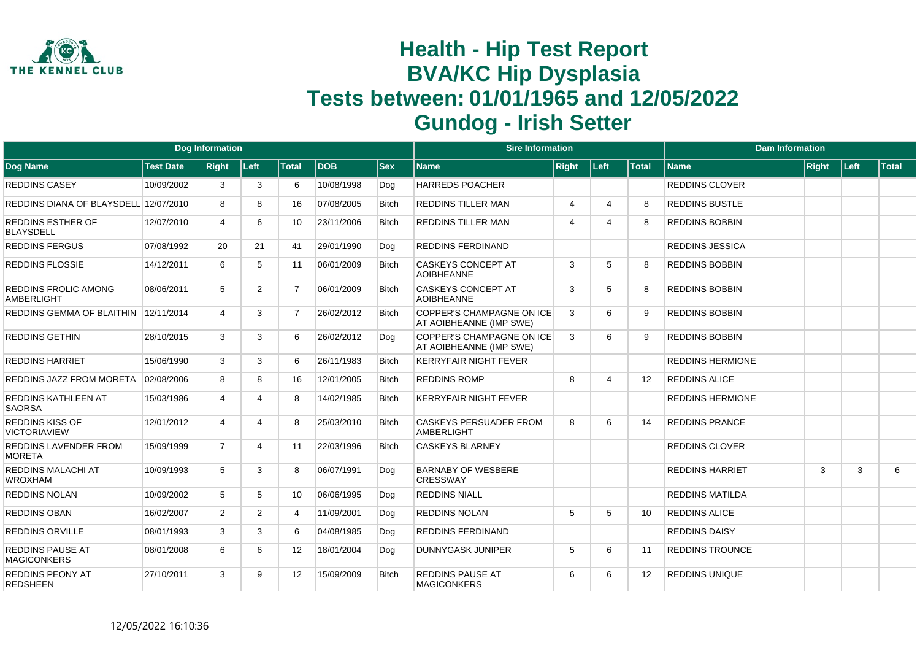

|                                               |                  | <b>Dog Information</b> |              |                |            |              | <b>Sire Information</b>                                     |                |                          |              | <b>Dam Information</b>  |              |        |              |
|-----------------------------------------------|------------------|------------------------|--------------|----------------|------------|--------------|-------------------------------------------------------------|----------------|--------------------------|--------------|-------------------------|--------------|--------|--------------|
| Dog Name                                      | <b>Test Date</b> | <b>Right</b>           | Left         | <b>Total</b>   | <b>DOB</b> | <b>Sex</b>   | <b>Name</b>                                                 | <b>Right</b>   | Left                     | <b>Total</b> | <b>Name</b>             | <b>Right</b> | ∣Left∶ | <b>Total</b> |
| <b>REDDINS CASEY</b>                          | 10/09/2002       | 3                      | 3            | 6              | 10/08/1998 | Dog          | <b>HARREDS POACHER</b>                                      |                |                          |              | <b>REDDINS CLOVER</b>   |              |        |              |
| REDDINS DIANA OF BLAYSDELL 12/07/2010         |                  | 8                      | 8            | 16             | 07/08/2005 | <b>Bitch</b> | <b>REDDINS TILLER MAN</b>                                   | $\overline{4}$ | $\boldsymbol{\varDelta}$ | -8           | <b>REDDINS BUSTLE</b>   |              |        |              |
| <b>REDDINS ESTHER OF</b><br><b>BLAYSDELL</b>  | 12/07/2010       | 4                      | 6            | 10             | 23/11/2006 | <b>Bitch</b> | <b>REDDINS TILLER MAN</b>                                   | $\overline{4}$ |                          | -8           | <b>REDDINS BOBBIN</b>   |              |        |              |
| <b>REDDINS FERGUS</b>                         | 07/08/1992       | 20                     | 21           | 41             | 29/01/1990 | Dog          | <b>REDDINS FERDINAND</b>                                    |                |                          |              | <b>REDDINS JESSICA</b>  |              |        |              |
| <b>REDDINS FLOSSIE</b>                        | 14/12/2011       | 6                      | 5            | 11             | 06/01/2009 | <b>Bitch</b> | <b>CASKEYS CONCEPT AT</b><br><b>AOIBHEANNE</b>              | 3              | 5                        | 8            | <b>REDDINS BOBBIN</b>   |              |        |              |
| REDDINS FROLIC AMONG<br><b>AMBERLIGHT</b>     | 08/06/2011       | 5                      | 2            | $\overline{7}$ | 06/01/2009 | <b>Bitch</b> | CASKEYS CONCEPT AT<br><b>AOIBHEANNE</b>                     | 3              | 5                        | 8            | <b>REDDINS BOBBIN</b>   |              |        |              |
| REDDINS GEMMA OF BLAITHIN                     | 12/11/2014       | 4                      | 3            | $\overline{7}$ | 26/02/2012 | <b>Bitch</b> | <b>COPPER'S CHAMPAGNE ON ICE</b><br>AT AOIBHEANNE (IMP SWE) | 3              | 6                        | -9           | <b>REDDINS BOBBIN</b>   |              |        |              |
| <b>REDDINS GETHIN</b>                         | 28/10/2015       | 3                      | 3            | 6              | 26/02/2012 | Dog          | <b>COPPER'S CHAMPAGNE ON ICE</b><br>AT AOIBHEANNE (IMP SWE) | 3              | 6                        | -9           | <b>REDDINS BOBBIN</b>   |              |        |              |
| <b>REDDINS HARRIET</b>                        | 15/06/1990       | 3                      | 3            | 6              | 26/11/1983 | <b>Bitch</b> | <b>KERRYFAIR NIGHT FEVER</b>                                |                |                          |              | <b>REDDINS HERMIONE</b> |              |        |              |
| REDDINS JAZZ FROM MORETA                      | 02/08/2006       | 8                      | 8            | 16             | 12/01/2005 | <b>Bitch</b> | <b>REDDINS ROMP</b>                                         | 8              | $\boldsymbol{\varDelta}$ | 12           | <b>REDDINS ALICE</b>    |              |        |              |
| <b>REDDINS KATHLEEN AT</b><br><b>SAORSA</b>   | 15/03/1986       | 4                      | Δ            | 8              | 14/02/1985 | <b>Bitch</b> | <b>KERRYFAIR NIGHT FEVER</b>                                |                |                          |              | <b>REDDINS HERMIONE</b> |              |        |              |
| <b>REDDINS KISS OF</b><br><b>VICTORIAVIEW</b> | 12/01/2012       | $\boldsymbol{\Delta}$  | Δ            | 8              | 25/03/2010 | <b>Bitch</b> | CASKEYS PERSUADER FROM<br><b>AMBERLIGHT</b>                 | 8              | 6                        | 14           | <b>REDDINS PRANCE</b>   |              |        |              |
| REDDINS LAVENDER FROM<br><b>MORETA</b>        | 15/09/1999       | $\overline{7}$         | 4            | 11             | 22/03/1996 | <b>Bitch</b> | <b>CASKEYS BLARNEY</b>                                      |                |                          |              | <b>REDDINS CLOVER</b>   |              |        |              |
| REDDINS MALACHI AT<br><b>WROXHAM</b>          | 10/09/1993       | 5                      | 3            | 8              | 06/07/1991 | Dog          | <b>BARNABY OF WESBERE</b><br><b>CRESSWAY</b>                |                |                          |              | <b>REDDINS HARRIET</b>  | 3            | 3      | 6            |
| <b>REDDINS NOLAN</b>                          | 10/09/2002       | 5                      | 5            | 10             | 06/06/1995 | Dog          | <b>REDDINS NIALL</b>                                        |                |                          |              | <b>REDDINS MATILDA</b>  |              |        |              |
| <b>REDDINS OBAN</b>                           | 16/02/2007       | $\overline{2}$         | 2            | 4              | 11/09/2001 | Dog          | <b>REDDINS NOLAN</b>                                        | 5              | 5                        | 10           | <b>REDDINS ALICE</b>    |              |        |              |
| <b>REDDINS ORVILLE</b>                        | 08/01/1993       | 3                      | 3            | 6              | 04/08/1985 | Dog          | <b>REDDINS FERDINAND</b>                                    |                |                          |              | <b>REDDINS DAISY</b>    |              |        |              |
| <b>REDDINS PAUSE AT</b><br><b>MAGICONKERS</b> | 08/01/2008       | 6                      | 6            | 12             | 18/01/2004 | Dog          | DUNNYGASK JUNIPER                                           | 5              | 6                        | 11           | <b>REDDINS TROUNCE</b>  |              |        |              |
| <b>REDDINS PEONY AT</b><br><b>REDSHEEN</b>    | 27/10/2011       | 3                      | $\mathbf{Q}$ | 12             | 15/09/2009 | <b>Bitch</b> | <b>REDDINS PAUSE AT</b><br><b>MAGICONKERS</b>               | 6              | 6                        | 12           | <b>REDDINS UNIQUE</b>   |              |        |              |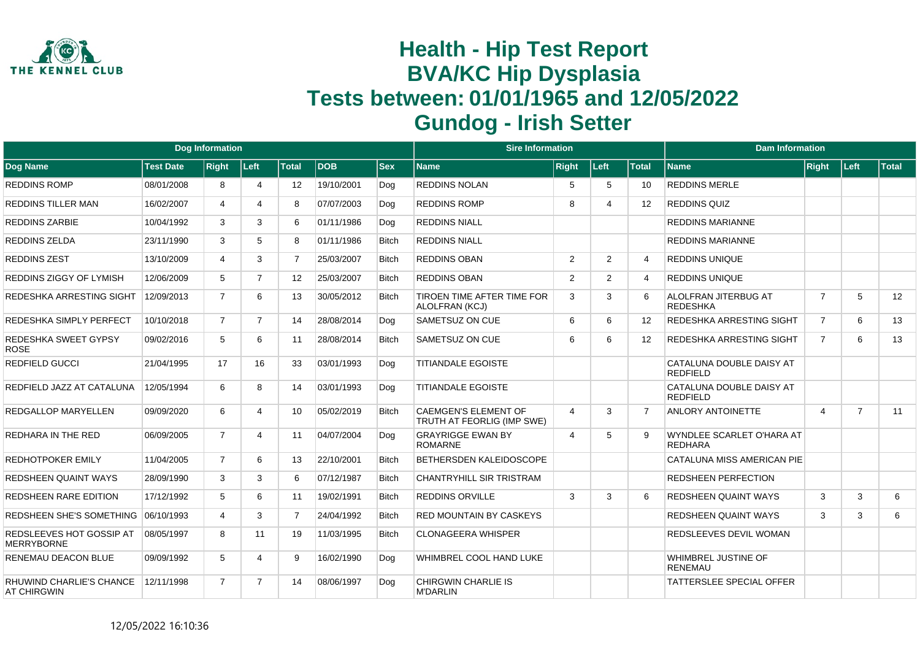

|                                                |                  | <b>Dog Information</b> |                |                   |            |              | <b>Sire Information</b>                                   |                |      |                 | <b>Dam Information</b>                         |                |                |              |
|------------------------------------------------|------------------|------------------------|----------------|-------------------|------------|--------------|-----------------------------------------------------------|----------------|------|-----------------|------------------------------------------------|----------------|----------------|--------------|
| Dog Name                                       | <b>Test Date</b> | <b>Right</b>           | Left           | <b>Total</b>      | <b>DOB</b> | <b>Sex</b>   | <b>Name</b>                                               | <b>Right</b>   | Left | <b>Total</b>    | <b>Name</b>                                    | Right          | Left           | <b>Total</b> |
| <b>REDDINS ROMP</b>                            | 08/01/2008       | 8                      | 4              | 12                | 19/10/2001 | Dog          | <b>REDDINS NOLAN</b>                                      | 5              | 5    | 10              | <b>REDDINS MERLE</b>                           |                |                |              |
| <b>REDDINS TILLER MAN</b>                      | 16/02/2007       | 4                      | 4              | 8                 | 07/07/2003 | Dog          | <b>REDDINS ROMP</b>                                       | 8              | Δ    | 12 <sup>°</sup> | <b>REDDINS QUIZ</b>                            |                |                |              |
| REDDINS ZARBIE                                 | 10/04/1992       | 3                      | 3              | 6                 | 01/11/1986 | Dog          | <b>REDDINS NIALL</b>                                      |                |      |                 | <b>REDDINS MARIANNE</b>                        |                |                |              |
| <b>REDDINS ZELDA</b>                           | 23/11/1990       | 3                      | 5              | 8                 | 01/11/1986 | <b>Bitch</b> | <b>REDDINS NIALL</b>                                      |                |      |                 | <b>REDDINS MARIANNE</b>                        |                |                |              |
| <b>REDDINS ZEST</b>                            | 13/10/2009       | 4                      | 3              | $\overline{7}$    | 25/03/2007 | <b>Bitch</b> | <b>REDDINS OBAN</b>                                       | $\overline{2}$ | 2    | $\overline{4}$  | REDDINS UNIQUE                                 |                |                |              |
| REDDINS ZIGGY OF LYMISH                        | 12/06/2009       | 5                      | $\overline{7}$ | $12 \overline{ }$ | 25/03/2007 | <b>Bitch</b> | <b>REDDINS OBAN</b>                                       | 2              | 2    | $\overline{4}$  | REDDINS UNIQUE                                 |                |                |              |
| REDESHKA ARRESTING SIGHT                       | 12/09/2013       | $\overline{7}$         | 6              | 13                | 30/05/2012 | <b>Bitch</b> | TIROEN TIME AFTER TIME FOR<br>ALOLFRAN (KCJ)              | 3              | 3    | 6               | <b>ALOLFRAN JITERBUG AT</b><br><b>REDESHKA</b> | $\overline{7}$ | 5              | 12           |
| REDESHKA SIMPLY PERFECT                        | 10/10/2018       | $\overline{7}$         | $\overline{7}$ | 14                | 28/08/2014 | Dog          | SAMETSUZ ON CUE                                           | 6              | 6    | 12              | REDESHKA ARRESTING SIGHT                       | $\overline{7}$ | 6              | 13           |
| REDESHKA SWEET GYPSY<br><b>ROSE</b>            | 09/02/2016       | 5                      | 6              | 11                | 28/08/2014 | <b>Bitch</b> | SAMETSUZ ON CUE                                           | 6              | 6    | 12              | REDESHKA ARRESTING SIGHT                       | $\overline{7}$ | 6              | 13           |
| <b>REDFIELD GUCCI</b>                          | 21/04/1995       | 17                     | 16             | 33                | 03/01/1993 | Dog          | <b>TITIANDALE EGOISTE</b>                                 |                |      |                 | CATALUNA DOUBLE DAISY AT<br><b>REDFIELD</b>    |                |                |              |
| REDFIELD JAZZ AT CATALUNA                      | 12/05/1994       | 6                      | 8              | 14                | 03/01/1993 | Dog          | <b>TITIANDALE EGOISTE</b>                                 |                |      |                 | CATALUNA DOUBLE DAISY AT<br><b>REDFIELD</b>    |                |                |              |
| REDGALLOP MARYELLEN                            | 09/09/2020       | 6                      | 4              | 10 <sup>1</sup>   | 05/02/2019 | <b>Bitch</b> | <b>CAEMGEN'S ELEMENT OF</b><br>TRUTH AT FEORLIG (IMP SWE) | $\overline{4}$ | 3    | $\overline{7}$  | <b>ANLORY ANTOINETTE</b>                       | 4              | $\overline{7}$ | 11           |
| REDHARA IN THE RED                             | 06/09/2005       | $\overline{7}$         | $\overline{4}$ | 11                | 04/07/2004 | Dog          | <b>GRAYRIGGE EWAN BY</b><br><b>ROMARNE</b>                | $\overline{4}$ | 5    | $\mathbf{Q}$    | WYNDLEE SCARLET O'HARA AT<br><b>REDHARA</b>    |                |                |              |
| REDHOTPOKER EMILY                              | 11/04/2005       | $\overline{7}$         | 6              | 13                | 22/10/2001 | <b>Bitch</b> | BETHERSDEN KALEIDOSCOPE                                   |                |      |                 | <b>CATALUNA MISS AMERICAN PIE</b>              |                |                |              |
| <b>REDSHEEN QUAINT WAYS</b>                    | 28/09/1990       | 3                      | 3              | 6                 | 07/12/1987 | <b>Bitch</b> | CHANTRYHILL SIR TRISTRAM                                  |                |      |                 | REDSHEEN PERFECTION                            |                |                |              |
| <b>REDSHEEN RARE EDITION</b>                   | 17/12/1992       | 5                      | 6              | 11                | 19/02/1991 | <b>Bitch</b> | <b>REDDINS ORVILLE</b>                                    | 3              | 3    | 6               | REDSHEEN QUAINT WAYS                           | 3              | 3              | 6            |
| REDSHEEN SHE'S SOMETHING                       | 06/10/1993       | 4                      | 3              | $\overline{7}$    | 24/04/1992 | <b>Bitch</b> | <b>RED MOUNTAIN BY CASKEYS</b>                            |                |      |                 | <b>REDSHEEN QUAINT WAYS</b>                    | 3              | 3              | 6            |
| REDSLEEVES HOT GOSSIP AT<br><b>MERRYBORNE</b>  | 08/05/1997       | 8                      | 11             | 19                | 11/03/1995 | <b>Bitch</b> | <b>CLONAGEERA WHISPER</b>                                 |                |      |                 | REDSLEEVES DEVIL WOMAN                         |                |                |              |
| RENEMAU DEACON BLUE                            | 09/09/1992       | 5                      | 4              | 9                 | 16/02/1990 | Dog          | WHIMBREL COOL HAND LUKE                                   |                |      |                 | <b>WHIMBREL JUSTINE OF</b><br><b>RENEMAU</b>   |                |                |              |
| RHUWIND CHARLIE'S CHANCE<br><b>AT CHIRGWIN</b> | 12/11/1998       | $\overline{7}$         | $\overline{7}$ | 14                | 08/06/1997 | Dog          | <b>CHIRGWIN CHARLIE IS</b><br><b>M'DARLIN</b>             |                |      |                 | <b>TATTERSLEE SPECIAL OFFER</b>                |                |                |              |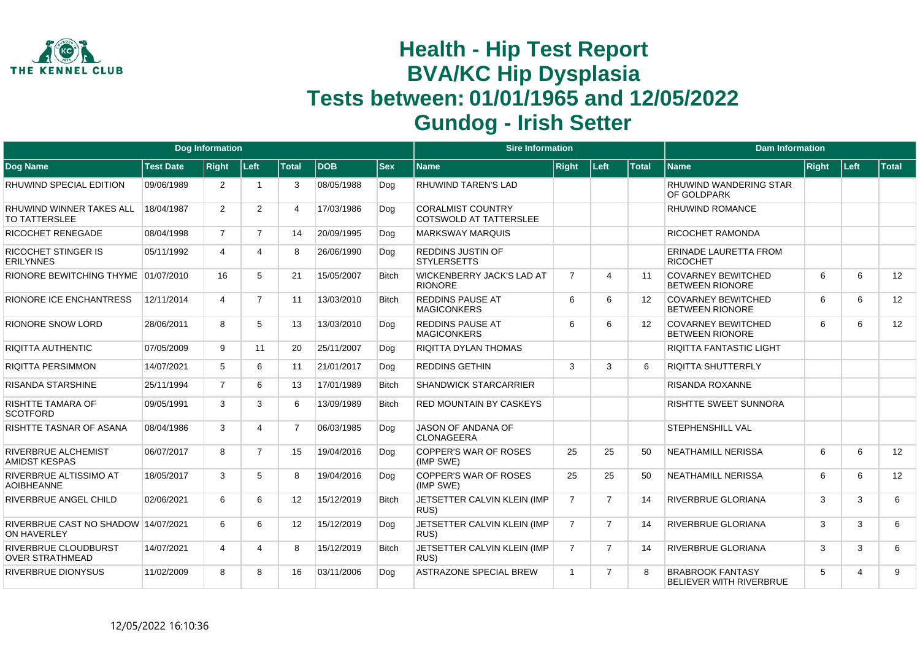

|                                                           |                                                                                  | <b>Dog Information</b> |                |                |            |              | <b>Sire Information</b>                                   |                |                |                   | <b>Dam Information</b>                              |        |                |    |
|-----------------------------------------------------------|----------------------------------------------------------------------------------|------------------------|----------------|----------------|------------|--------------|-----------------------------------------------------------|----------------|----------------|-------------------|-----------------------------------------------------|--------|----------------|----|
| Dog Name                                                  | <b>Test Date</b><br><b>Right</b><br>Left<br><b>Total</b><br>09/06/1989<br>2<br>3 |                        |                | <b>IDOB</b>    | <b>Sex</b> | <b>Name</b>  | <b>Right</b>                                              | Left           | <b>Total</b>   | <b>Name</b>       | <b>Right</b>                                        | ∣Left∶ | <b>Total</b>   |    |
| RHUWIND SPECIAL EDITION                                   |                                                                                  |                        |                |                | 08/05/1988 | Dog          | <b>RHUWIND TAREN'S LAD</b>                                |                |                |                   | <b>RHUWIND WANDERING STAR</b><br><b>OF GOLDPARK</b> |        |                |    |
| RHUWIND WINNER TAKES ALL<br>TO TATTERSLEE                 | 18/04/1987                                                                       | $\overline{2}$         | $\overline{2}$ | 4              | 17/03/1986 | Dog          | <b>CORALMIST COUNTRY</b><br><b>COTSWOLD AT TATTERSLEE</b> |                |                |                   | <b>RHUWIND ROMANCE</b>                              |        |                |    |
| <b>RICOCHET RENEGADE</b>                                  | 08/04/1998                                                                       | $\overline{7}$         | $\overline{7}$ | 14             | 20/09/1995 | Dog          | <b>MARKSWAY MARQUIS</b>                                   |                |                |                   | <b>RICOCHET RAMONDA</b>                             |        |                |    |
| <b>RICOCHET STINGER IS</b><br><b>ERILYNNES</b>            | 05/11/1992                                                                       | 4                      | Δ              | 8              | 26/06/1990 | Dog          | <b>REDDINS JUSTIN OF</b><br><b>STYLERSETTS</b>            |                |                |                   | <b>ERINADE LAURETTA FROM</b><br><b>RICOCHET</b>     |        |                |    |
| RIONORE BEWITCHING THYME 01/07/2010                       |                                                                                  | 16                     | 5              | 21             | 15/05/2007 | <b>Bitch</b> | <b>WICKENBERRY JACK'S LAD AT</b><br><b>RIONORE</b>        | $\overline{7}$ | $\Delta$       | 11                | <b>COVARNEY BEWITCHED</b><br><b>BETWEEN RIONORE</b> | 6      | 6              | 12 |
| <b>RIONORE ICE ENCHANTRESS</b>                            | 12/11/2014                                                                       | 4                      | $\overline{7}$ | 11             | 13/03/2010 | <b>Bitch</b> | <b>REDDINS PAUSE AT</b><br><b>MAGICONKERS</b>             | 6              | 6              | $12 \overline{ }$ | <b>COVARNEY BEWITCHED</b><br><b>BETWEEN RIONORE</b> | 6      | 6              | 12 |
| <b>RIONORE SNOW LORD</b>                                  | 28/06/2011                                                                       | 8                      | 5              | 13             | 13/03/2010 | Dog          | <b>REDDINS PAUSE AT</b><br><b>MAGICONKERS</b>             | 6              | 6              | $12 \overline{ }$ | <b>COVARNEY BEWITCHED</b><br><b>BETWEEN RIONORE</b> | 6      | 6              | 12 |
| RIQITTA AUTHENTIC                                         | 07/05/2009                                                                       | 9                      | 11             | 20             | 25/11/2007 | Dog          | <b>RIQITTA DYLAN THOMAS</b>                               |                |                |                   | RIQITTA FANTASTIC LIGHT                             |        |                |    |
| <b>RIQITTA PERSIMMON</b>                                  | 14/07/2021                                                                       | 5                      | 6              | 11             | 21/01/2017 | Dog          | <b>REDDINS GETHIN</b>                                     | $\mathcal{A}$  | 3              | 6                 | <b>RIQITTA SHUTTERFLY</b>                           |        |                |    |
| <b>RISANDA STARSHINE</b>                                  | 25/11/1994                                                                       | $\overline{7}$         | 6              | 13             | 17/01/1989 | <b>Bitch</b> | <b>SHANDWICK STARCARRIER</b>                              |                |                |                   | <b>RISANDA ROXANNE</b>                              |        |                |    |
| RISHTTE TAMARA OF<br><b>SCOTFORD</b>                      | 09/05/1991                                                                       | 3                      | 3              | 6              | 13/09/1989 | <b>Bitch</b> | <b>RED MOUNTAIN BY CASKEYS</b>                            |                |                |                   | <b>RISHTTE SWEET SUNNORA</b>                        |        |                |    |
| RISHTTE TASNAR OF ASANA                                   | 08/04/1986                                                                       | 3                      | 4              | $\overline{7}$ | 06/03/1985 | Dog          | JASON OF ANDANA OF<br><b>CLONAGEERA</b>                   |                |                |                   | <b>STEPHENSHILL VAL</b>                             |        |                |    |
| RIVERBRUE ALCHEMIST<br><b>AMIDST KESPAS</b>               | 06/07/2017                                                                       | 8                      | $\overline{7}$ | 15             | 19/04/2016 | Dog          | COPPER'S WAR OF ROSES<br>(IMP SWE)                        | 25             | 25             | 50                | <b>NEATHAMILL NERISSA</b>                           | 6      | 6              | 12 |
| RIVERBRUE ALTISSIMO AT<br><b>AOIBHEANNE</b>               | 18/05/2017                                                                       | 3                      | 5              | 8              | 19/04/2016 | Dog          | <b>COPPER'S WAR OF ROSES</b><br>(IMP SWE)                 | 25             | 25             | 50                | <b>NEATHAMILL NERISSA</b>                           | 6      | 6              | 12 |
| RIVERBRUE ANGEL CHILD                                     | 02/06/2021                                                                       | 6                      | 6              | 12             | 15/12/2019 | <b>Bitch</b> | JETSETTER CALVIN KLEIN (IMP<br>RUS)                       | $\overline{7}$ | $\overline{7}$ | 14                | <b>RIVERBRUE GLORIANA</b>                           | 3      | 3              | 6  |
| RIVERBRUE CAST NO SHADOW 14/07/2021<br><b>ON HAVERLEY</b> |                                                                                  | 6                      | 6              | 12             | 15/12/2019 | Dog          | JETSETTER CALVIN KLEIN (IMP<br>RUS)                       | $\overline{7}$ | $\overline{7}$ | 14                | <b>RIVERBRUE GLORIANA</b>                           | 3      | 3              | 6  |
| <b>RIVERBRUE CLOUDBURST</b><br><b>OVER STRATHMEAD</b>     | 14/07/2021                                                                       | 4                      | 4              | 8              | 15/12/2019 | <b>Bitch</b> | JETSETTER CALVIN KLEIN (IMP<br>RUS)                       | $\overline{7}$ | $\overline{7}$ | 14                | <b>RIVERBRUE GLORIANA</b>                           | 3      | 3              | 6  |
| RIVERBRUE DIONYSUS                                        | 11/02/2009                                                                       | 8                      | 8              | 16             | 03/11/2006 | Dog          | <b>ASTRAZONE SPECIAL BREW</b>                             | $\overline{1}$ | $\overline{7}$ | 8                 | <b>BRABROOK FANTASY</b><br>BELIEVER WITH RIVERBRUE  | 5      | $\overline{A}$ | 9  |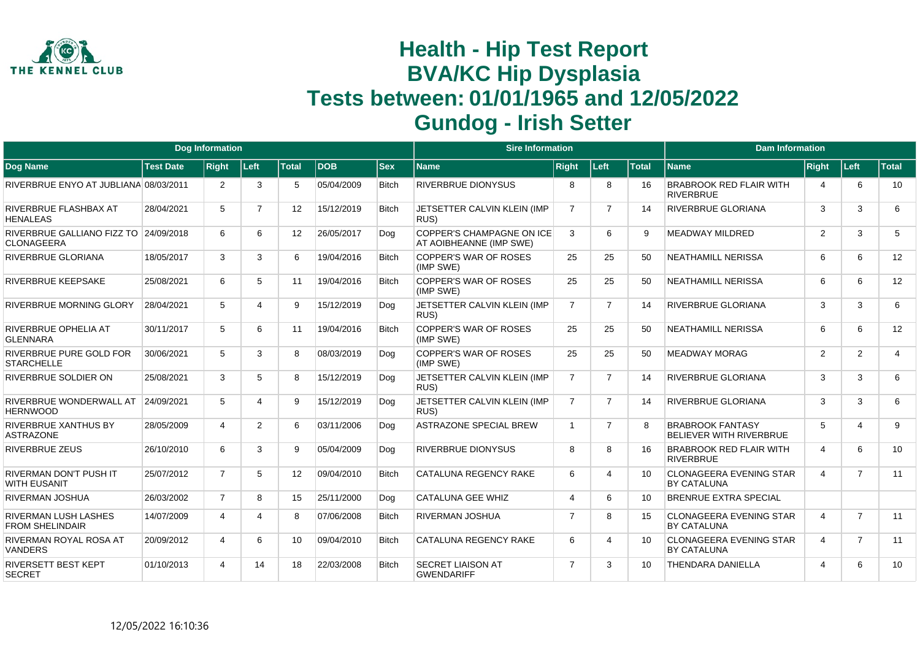

|                                                            |                  | <b>Dog Information</b> |                |              |            |              | <b>Sire Information</b>                                     |                       |                |                 | <b>Dam Information</b>                               |                       |                |                |
|------------------------------------------------------------|------------------|------------------------|----------------|--------------|------------|--------------|-------------------------------------------------------------|-----------------------|----------------|-----------------|------------------------------------------------------|-----------------------|----------------|----------------|
| <b>Dog Name</b>                                            | <b>Test Date</b> | <b>Right</b>           | Left           | <b>Total</b> | <b>DOB</b> | <b>Sex</b>   | <b>Name</b>                                                 | <b>Right</b>          | Left           | <b>Total</b>    | <b>Name</b>                                          | <b>Right</b>          | Left           | <b>Total</b>   |
| RIVERBRUE ENYO AT JUBLIANA 08/03/2011                      |                  | $\overline{2}$         | 3              | 5            | 05/04/2009 | <b>Bitch</b> | <b>RIVERBRUE DIONYSUS</b>                                   | 8                     | 8              | 16              | <b>BRABROOK RED FLAIR WITH</b><br><b>RIVERBRUE</b>   | $\overline{4}$        | 6              | 10             |
| RIVERBRUE FLASHBAX AT<br><b>HENALEAS</b>                   | 28/04/2021       | 5                      | $\overline{7}$ | 12           | 15/12/2019 | <b>Bitch</b> | JETSETTER CALVIN KLEIN (IMP<br>RUS)                         | $\overline{7}$        | 7              | 14              | RIVERBRUE GLORIANA                                   | 3                     | 3              | 6              |
| RIVERBRUE GALLIANO FIZZ TO 24/09/2018<br><b>CLONAGEERA</b> |                  | 6                      | 6              | 12           | 26/05/2017 | Dog          | <b>COPPER'S CHAMPAGNE ON ICE</b><br>AT AOIBHEANNE (IMP SWE) | 3                     | 6              | 9               | <b>MEADWAY MILDRED</b>                               | 2                     | 3              | 5              |
| RIVERBRUE GLORIANA                                         | 18/05/2017       | 3                      | 3              | 6            | 19/04/2016 | <b>Bitch</b> | COPPER'S WAR OF ROSES<br>(IMP SWE)                          | 25                    | 25             | 50              | <b>NEATHAMILL NERISSA</b>                            | 6                     | 6              | 12             |
| <b>RIVERBRUE KEEPSAKE</b>                                  | 25/08/2021       | 6                      | 5              | 11           | 19/04/2016 | <b>Bitch</b> | COPPER'S WAR OF ROSES<br>(IMP SWE)                          | 25                    | 25             | 50              | <b>NEATHAMILL NERISSA</b>                            | 6                     | 6              | 12             |
| <b>RIVERBRUE MORNING GLORY</b>                             | 28/04/2021       | 5                      | 4              | 9            | 15/12/2019 | Dog          | JETSETTER CALVIN KLEIN (IMP<br>RUS)                         | $\overline{7}$        | $\overline{7}$ | 14              | RIVERBRUE GLORIANA                                   | 3                     | 3              | 6              |
| RIVERBRUE OPHELIA AT<br><b>GLENNARA</b>                    | 30/11/2017       | 5                      | 6              | 11           | 19/04/2016 | <b>Bitch</b> | <b>COPPER'S WAR OF ROSES</b><br>(IMP SWE)                   | 25                    | 25             | 50              | <b>NEATHAMILL NERISSA</b>                            | 6                     | 6              | 12             |
| RIVERBRUE PURE GOLD FOR<br><b>STARCHELLE</b>               | 30/06/2021       | 5                      | 3              | 8            | 08/03/2019 | Dog          | <b>COPPER'S WAR OF ROSES</b><br>(IMP SWE)                   | 25                    | 25             | 50              | <b>MEADWAY MORAG</b>                                 | 2                     | $\overline{2}$ | $\overline{4}$ |
| <b>RIVERBRUE SOLDIER ON</b>                                | 25/08/2021       | 3                      | 5              | 8            | 15/12/2019 | Dog          | JETSETTER CALVIN KLEIN (IMP<br>RUS)                         | $\overline{7}$        | $\overline{7}$ | 14              | RIVERBRUE GLORIANA                                   | 3                     | 3              | 6              |
| RIVERBRUE WONDERWALL AT<br><b>HERNWOOD</b>                 | 24/09/2021       | 5                      | 4              | 9            | 15/12/2019 | Dog          | JETSETTER CALVIN KLEIN (IMP<br>RUS)                         | $\overline{7}$        | $\overline{7}$ | 14              | RIVERBRUE GLORIANA                                   | 3                     | 3              | 6              |
| <b>RIVERBRUE XANTHUS BY</b><br><b>ASTRAZONE</b>            | 28/05/2009       | $\overline{4}$         | $\overline{2}$ | 6            | 03/11/2006 | Dog          | <b>ASTRAZONE SPECIAL BREW</b>                               | $\overline{1}$        | $\overline{7}$ |                 | <b>BRABROOK FANTASY</b><br>BELIEVER WITH RIVERBRUE   | 5                     | 4              | 9              |
| <b>RIVERBRUE ZEUS</b>                                      | 26/10/2010       | 6                      | 3              | 9            | 05/04/2009 | Dog          | <b>RIVERBRUE DIONYSUS</b>                                   | 8                     | 8              | 16              | <b>BRABROOK RED FLAIR WITH</b><br><b>RIVERBRUE</b>   | $\overline{4}$        | 6              | 10             |
| RIVERMAN DON'T PUSH IT<br><b>WITH EUSANIT</b>              | 25/07/2012       | $\overline{7}$         | 5              | 12           | 09/04/2010 | <b>Bitch</b> | <b>CATALUNA REGENCY RAKE</b>                                | 6                     | 4              | 10              | <b>CLONAGEERA EVENING STAR</b><br><b>BY CATALUNA</b> | $\overline{4}$        | $\overline{7}$ | 11             |
| RIVERMAN JOSHUA                                            | 26/03/2002       | $\overline{7}$         | 8              | 15           | 25/11/2000 | Dog          | <b>CATALUNA GEE WHIZ</b>                                    | $\boldsymbol{\Delta}$ | 6              | 10 <sup>1</sup> | <b>BRENRUE EXTRA SPECIAL</b>                         |                       |                |                |
| <b>RIVERMAN LUSH LASHES</b><br><b>FROM SHELINDAIR</b>      | 14/07/2009       | 4                      | 4              | 8            | 07/06/2008 | <b>Bitch</b> | <b>RIVERMAN JOSHUA</b>                                      | $\overline{7}$        | 8              | 15              | <b>CLONAGEERA EVENING STAR</b><br><b>BY CATALUNA</b> | $\overline{4}$        | $\overline{7}$ | 11             |
| <b>RIVERMAN ROYAL ROSA AT</b><br><b>VANDERS</b>            | 20/09/2012       | 4                      | 6              | 10           | 09/04/2010 | <b>Bitch</b> | CATALUNA REGENCY RAKE                                       | 6                     | 4              | 10 <sup>1</sup> | <b>CLONAGEERA EVENING STAR</b><br><b>BY CATALUNA</b> | 4                     | $\overline{7}$ | 11             |
| RIVERSETT BEST KEPT<br><b>SECRET</b>                       | 01/10/2013       | 4                      | 14             | 18           | 22/03/2008 | Bitch        | <b>SECRET LIAISON AT</b><br><b>GWENDARIFF</b>               | $\overline{7}$        | 3              | 10              | <b>THENDARA DANIELLA</b>                             | $\boldsymbol{\Delta}$ | 6              | 10             |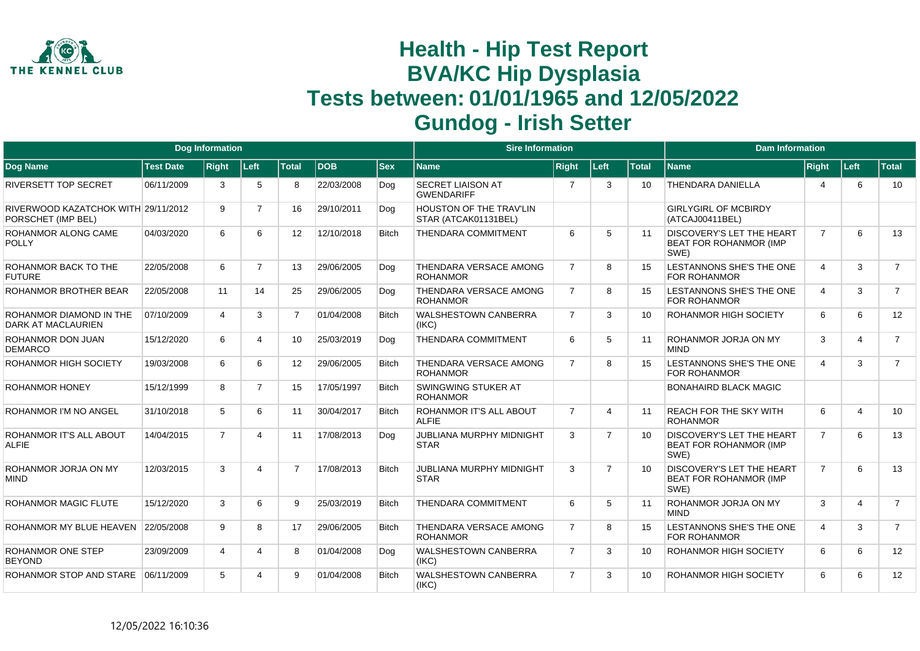

|                                                           |                  | <b>Dog Information</b> |                       |                 |            |              | <b>Sire Information</b>                          |                |                |              | <b>Dam Information</b>                                                    |                |                         |                |
|-----------------------------------------------------------|------------------|------------------------|-----------------------|-----------------|------------|--------------|--------------------------------------------------|----------------|----------------|--------------|---------------------------------------------------------------------------|----------------|-------------------------|----------------|
| <b>Dog Name</b>                                           | <b>Test Date</b> | <b>Right</b>           | <b>Left</b>           | <b>Total</b>    | <b>DOB</b> | <b>Sex</b>   | <b>Name</b>                                      | <b>Right</b>   | Left           | <b>Total</b> | <b>Name</b>                                                               | <b>Right</b>   | Left                    | <b>Total</b>   |
| <b>RIVERSETT TOP SECRET</b>                               | 06/11/2009       | 3                      | 5                     | 8               | 22/03/2008 | Dog          | <b>SECRET LIAISON AT</b><br><b>GWENDARIFF</b>    | 7              | 3              | 10           | <b>THENDARA DANIELLA</b>                                                  | 4              | 6                       | 10             |
| RIVERWOOD KAZATCHOK WITH 29/11/2012<br>PORSCHET (IMP BEL) |                  | 9                      | $\overline{7}$        | 16              | 29/10/2011 | Dog          | HOUSTON OF THE TRAV'LIN<br>STAR (ATCAK01131BEL)  |                |                |              | <b>GIRLYGIRL OF MCBIRDY</b><br>(ATCAJ00411BEL)                            |                |                         |                |
| ROHANMOR ALONG CAME<br><b>POLLY</b>                       | 04/03/2020       | 6                      | 6                     | 12 <sup>2</sup> | 12/10/2018 | <b>Bitch</b> | <b>THENDARA COMMITMENT</b>                       | 6              | 5              | 11           | <b>DISCOVERY'S LET THE HEART</b><br><b>BEAT FOR ROHANMOR (IMP</b><br>SWE) | $\overline{7}$ | 6                       | 13             |
| ROHANMOR BACK TO THE<br><b>FUTURE</b>                     | 22/05/2008       | 6                      | $\overline{7}$        | 13              | 29/06/2005 | Dog          | THENDARA VERSACE AMONG<br><b>ROHANMOR</b>        | $\overline{7}$ | 8              | 15           | LESTANNONS SHE'S THE ONE<br><b>FOR ROHANMOR</b>                           | $\overline{4}$ | 3                       | $\overline{7}$ |
| ROHANMOR BROTHER BEAR                                     | 22/05/2008       | 11                     | 14                    | 25              | 29/06/2005 | Dog          | THENDARA VERSACE AMONG<br><b>ROHANMOR</b>        | $\overline{7}$ | 8              | 15           | LESTANNONS SHE'S THE ONE<br><b>FOR ROHANMOR</b>                           | $\overline{4}$ | 3                       | $\overline{7}$ |
| ROHANMOR DIAMOND IN THE<br>DARK AT MACLAURIEN             | 07/10/2009       | 4                      | 3                     | $\overline{7}$  | 01/04/2008 | <b>Bitch</b> | <b>WALSHESTOWN CANBERRA</b><br>(IKC)             | $\overline{7}$ | 3              | 10           | <b>ROHANMOR HIGH SOCIETY</b>                                              | 6              | 6                       | 12             |
| ROHANMOR DON JUAN<br><b>DEMARCO</b>                       | 15/12/2020       | 6                      | 4                     | 10              | 25/03/2019 | Dog          | <b>THENDARA COMMITMENT</b>                       | 6              | 5              | 11           | ROHANMOR JORJA ON MY<br><b>MIND</b>                                       | 3              | 4                       | $\overline{7}$ |
| ROHANMOR HIGH SOCIETY                                     | 19/03/2008       | 6                      | 6                     | 12 <sup>2</sup> | 29/06/2005 | <b>Bitch</b> | THENDARA VERSACE AMONG<br><b>ROHANMOR</b>        | $\overline{7}$ | 8              | 15           | LESTANNONS SHE'S THE ONE<br><b>FOR ROHANMOR</b>                           | $\overline{4}$ | 3                       | $\overline{7}$ |
| <b>ROHANMOR HONEY</b>                                     | 15/12/1999       | 8                      | $\overline{7}$        | 15              | 17/05/1997 | <b>Bitch</b> | <b>SWINGWING STUKER AT</b><br><b>ROHANMOR</b>    |                |                |              | <b>BONAHAIRD BLACK MAGIC</b>                                              |                |                         |                |
| ROHANMOR I'M NO ANGEL                                     | 31/10/2018       | 5                      | 6                     | 11              | 30/04/2017 | <b>Bitch</b> | ROHANMOR IT'S ALL ABOUT<br><b>ALFIE</b>          | $\overline{7}$ | 4              | 11           | <b>REACH FOR THE SKY WITH</b><br><b>ROHANMOR</b>                          | 6              | $\overline{\mathbf{4}}$ | 10             |
| ROHANMOR IT'S ALL ABOUT<br><b>ALFIE</b>                   | 14/04/2015       | $\overline{7}$         | $\boldsymbol{\Delta}$ | 11              | 17/08/2013 | Dog          | <b>JUBLIANA MURPHY MIDNIGHT</b><br><b>STAR</b>   | 3              | $\overline{7}$ | 10           | DISCOVERY'S LET THE HEART<br><b>BEAT FOR ROHANMOR (IMP</b><br>SWE)        | $\overline{7}$ | 6                       | 13             |
| ROHANMOR JORJA ON MY<br><b>MIND</b>                       | 12/03/2015       | 3                      | $\Delta$              | $\overline{7}$  | 17/08/2013 | <b>Bitch</b> | <b>JUBLIANA MURPHY MIDNIGHT</b><br><b>STAR</b>   | 3              | $\overline{7}$ | 10           | <b>DISCOVERY'S LET THE HEART</b><br><b>BEAT FOR ROHANMOR (IMP</b><br>SWE) | $\overline{7}$ | 6                       | 13             |
| ROHANMOR MAGIC FLUTE                                      | 15/12/2020       | 3                      | 6                     | 9               | 25/03/2019 | <b>Bitch</b> | <b>THENDARA COMMITMENT</b>                       | 6              | 5              | 11           | ROHANMOR JORJA ON MY<br><b>MIND</b>                                       | 3              | 4                       | $\overline{7}$ |
| ROHANMOR MY BLUE HEAVEN                                   | 22/05/2008       | 9                      | 8                     | 17              | 29/06/2005 | <b>Bitch</b> | <b>THENDARA VERSACE AMONG</b><br><b>ROHANMOR</b> | $\overline{7}$ | 8              | 15           | LESTANNONS SHE'S THE ONE<br><b>FOR ROHANMOR</b>                           | $\overline{4}$ | 3                       | $\overline{7}$ |
| ROHANMOR ONE STEP<br><b>BEYOND</b>                        | 23/09/2009       | 4                      | Δ                     | 8               | 01/04/2008 | Dog          | <b>WALSHESTOWN CANBERRA</b><br>(IKC)             | $\overline{7}$ | 3              | 10           | <b>ROHANMOR HIGH SOCIETY</b>                                              | 6              | 6                       | 12             |
| ROHANMOR STOP AND STARE                                   | 06/11/2009       | 5                      |                       | 9               | 01/04/2008 | <b>Bitch</b> | <b>WALSHESTOWN CANBERRA</b><br>(IKC)             | $\overline{7}$ | 3              | 10           | <b>ROHANMOR HIGH SOCIETY</b>                                              | 6              | 6                       | 12             |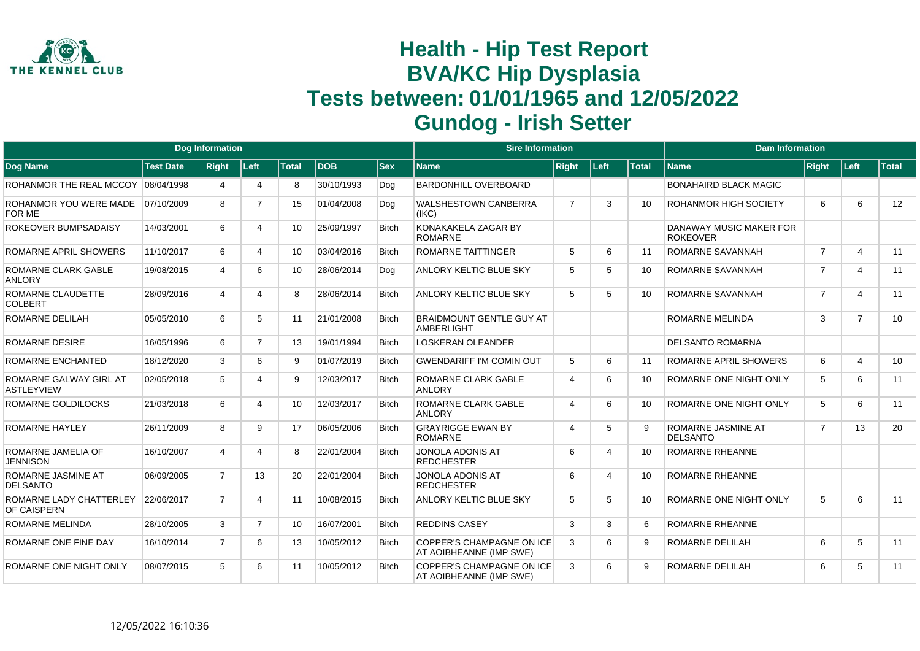

|                                             |                  | <b>Dog Information</b> |                        |              |            |              | <b>Sire Information</b>                                     |                             |                          |              | <b>Dam Information</b>                       |                |                |              |
|---------------------------------------------|------------------|------------------------|------------------------|--------------|------------|--------------|-------------------------------------------------------------|-----------------------------|--------------------------|--------------|----------------------------------------------|----------------|----------------|--------------|
| <b>Dog Name</b>                             | <b>Test Date</b> | <b>Right</b>           | Left                   | <b>Total</b> | <b>DOB</b> | <b>Sex</b>   | <b>Name</b>                                                 | <b>Right</b>                | Left                     | <b>Total</b> | <b>Name</b>                                  | <b>Right</b>   | ∣Left∶         | <b>Total</b> |
| ROHANMOR THE REAL MCCOY                     | 08/04/1998       | 4                      | $\boldsymbol{\Lambda}$ | 8            | 30/10/1993 | Dog          | <b>BARDONHILL OVERBOARD</b>                                 |                             |                          |              | <b>BONAHAIRD BLACK MAGIC</b>                 |                |                |              |
| ROHANMOR YOU WERE MADE<br>FOR ME            | 07/10/2009       | 8                      | $\overline{7}$         | 15           | 01/04/2008 | Dog          | <b>WALSHESTOWN CANBERRA</b><br>(IKC)                        | $\overline{7}$              | 3                        | 10           | <b>ROHANMOR HIGH SOCIETY</b>                 | 6              | 6              | 12           |
| ROKEOVER BUMPSADAISY                        | 14/03/2001       | 6                      | Δ                      | 10           | 25/09/1997 | <b>Bitch</b> | KONAKAKELA ZAGAR BY<br><b>ROMARNE</b>                       |                             |                          |              | DANAWAY MUSIC MAKER FOR<br><b>ROKEOVER</b>   |                |                |              |
| ROMARNE APRIL SHOWERS                       | 11/10/2017       | 6                      | 4                      | 10           | 03/04/2016 | <b>Bitch</b> | <b>ROMARNE TAITTINGER</b>                                   | 5                           | 6                        | 11           | ROMARNE SAVANNAH                             | $\overline{7}$ | $\overline{4}$ | 11           |
| ROMARNE CLARK GABLE<br><b>ANLORY</b>        | 19/08/2015       | 4                      | 6                      | 10           | 28/06/2014 | Dog          | ANLORY KELTIC BLUE SKY                                      | 5                           | 5                        | 10           | ROMARNE SAVANNAH                             | $\overline{7}$ | $\overline{4}$ | 11           |
| ROMARNE CLAUDETTE<br><b>COLBERT</b>         | 28/09/2016       | 4                      |                        | 8            | 28/06/2014 | <b>Bitch</b> | ANLORY KELTIC BLUE SKY                                      | 5                           | 5                        | 10           | ROMARNE SAVANNAH                             | $\overline{7}$ | $\overline{4}$ | 11           |
| ROMARNE DELILAH                             | 05/05/2010       | 6                      | 5                      | 11           | 21/01/2008 | <b>Bitch</b> | BRAIDMOUNT GENTLE GUY AT<br><b>AMBERLIGHT</b>               |                             |                          |              | <b>ROMARNE MELINDA</b>                       | 3              | $\overline{7}$ | 10           |
| <b>ROMARNE DESIRE</b>                       | 16/05/1996       | 6                      | $\overline{7}$         | 13           | 19/01/1994 | <b>Bitch</b> | <b>LOSKERAN OLEANDER</b>                                    |                             |                          |              | <b>DELSANTO ROMARNA</b>                      |                |                |              |
| ROMARNE ENCHANTED                           | 18/12/2020       | 3                      | 6                      | 9            | 01/07/2019 | <b>Bitch</b> | <b>GWENDARIFF I'M COMIN OUT</b>                             | 5                           | 6                        | 11           | ROMARNE APRIL SHOWERS                        | 6              | 4              | 10           |
| ROMARNE GALWAY GIRL AT<br><b>ASTLEYVIEW</b> | 02/05/2018       | 5                      |                        | 9            | 12/03/2017 | <b>Bitch</b> | ROMARNE CLARK GABLE<br><b>ANLORY</b>                        | $\boldsymbol{\vartriangle}$ | 6                        | 10           | ROMARNE ONE NIGHT ONLY                       | 5              | 6              | 11           |
| ROMARNE GOLDILOCKS                          | 21/03/2018       | 6                      |                        | 10           | 12/03/2017 | <b>Bitch</b> | ROMARNE CLARK GABLE<br><b>ANLORY</b>                        | $\overline{4}$              | 6                        | 10           | ROMARNE ONE NIGHT ONLY                       | 5              | 6              | 11           |
| <b>ROMARNE HAYLEY</b>                       | 26/11/2009       | 8                      | $\mathbf{Q}$           | 17           | 06/05/2006 | <b>Bitch</b> | <b>GRAYRIGGE EWAN BY</b><br><b>ROMARNE</b>                  | $\overline{4}$              | 5                        | 9            | <b>ROMARNE JASMINE AT</b><br><b>DELSANTO</b> | $\overline{7}$ | 13             | 20           |
| ROMARNE JAMELIA OF<br><b>JENNISON</b>       | 16/10/2007       | 4                      |                        | 8            | 22/01/2004 | <b>Bitch</b> | <b>JONOLA ADONIS AT</b><br><b>REDCHESTER</b>                | 6                           | $\boldsymbol{\Delta}$    | 10           | <b>ROMARNE RHEANNE</b>                       |                |                |              |
| ROMARNE JASMINE AT<br><b>DELSANTO</b>       | 06/09/2005       | $\overline{7}$         | 13                     | 20           | 22/01/2004 | <b>Bitch</b> | <b>JONOLA ADONIS AT</b><br><b>REDCHESTER</b>                | 6                           | $\boldsymbol{\varDelta}$ | 10           | <b>ROMARNE RHEANNE</b>                       |                |                |              |
| ROMARNE LADY CHATTERLEY<br>OF CAISPERN      | 22/06/2017       | $\overline{7}$         | $\Delta$               | 11           | 10/08/2015 | <b>Bitch</b> | ANLORY KELTIC BLUE SKY                                      | 5                           | 5                        | 10           | ROMARNE ONE NIGHT ONLY                       | 5              | 6              | 11           |
| <b>ROMARNE MELINDA</b>                      | 28/10/2005       | 3                      | $\overline{7}$         | 10           | 16/07/2001 | <b>Bitch</b> | <b>REDDINS CASEY</b>                                        | 3                           | 3                        | 6            | <b>ROMARNE RHEANNE</b>                       |                |                |              |
| ROMARNE ONE FINE DAY                        | 16/10/2014       | $\overline{7}$         | 6                      | 13           | 10/05/2012 | <b>Bitch</b> | <b>COPPER'S CHAMPAGNE ON ICE</b><br>AT AOIBHEANNE (IMP SWE) | 3                           | 6                        | 9            | <b>ROMARNE DELILAH</b>                       | 6              | 5              | 11           |
| ROMARNE ONE NIGHT ONLY                      | 08/07/2015       | 5                      | 6                      | 11           | 10/05/2012 | <b>Bitch</b> | <b>COPPER'S CHAMPAGNE ON ICE</b><br>AT AOIBHEANNE (IMP SWE) | 3                           | 6                        | 9            | <b>ROMARNE DELILAH</b>                       | 6              | 5              | 11           |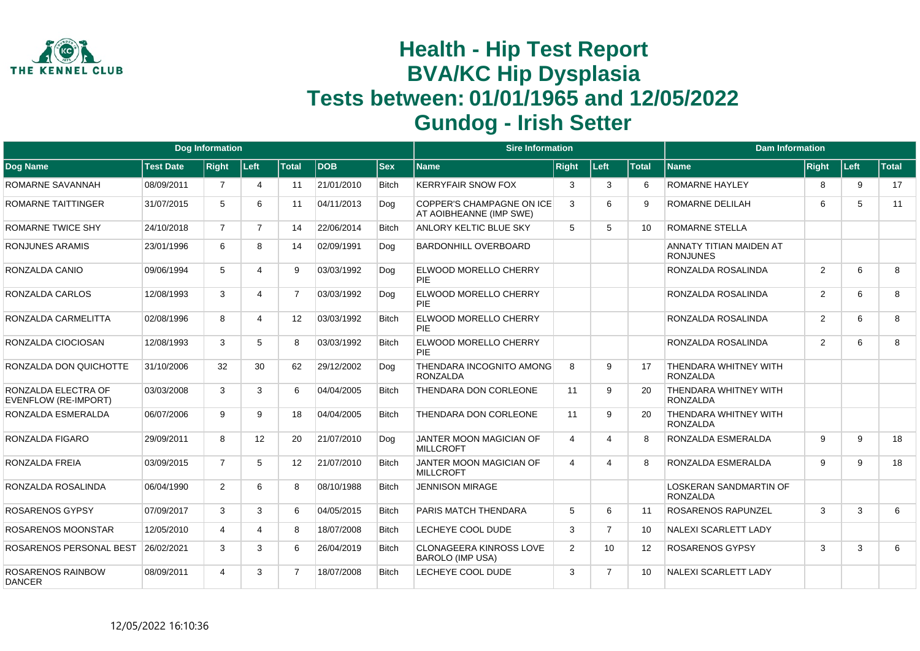

|                                             |                  | <b>Dog Information</b> |                       |                   |            |              | <b>Sire Information</b>                                   |                |                |              | <b>Dam Information</b>                           |                |      |              |
|---------------------------------------------|------------------|------------------------|-----------------------|-------------------|------------|--------------|-----------------------------------------------------------|----------------|----------------|--------------|--------------------------------------------------|----------------|------|--------------|
| Dog Name                                    | <b>Test Date</b> | <b>Right</b>           | Left                  | <b>Total</b>      | <b>DOB</b> | $ $ Sex      | Name                                                      | <b>Right</b>   | <b>Left</b>    | <b>Total</b> | <b>Name</b>                                      | <b>Right</b>   | Left | <b>Total</b> |
| ROMARNE SAVANNAH                            | 08/09/2011       | $\overline{7}$         | $\boldsymbol{\Delta}$ | 11                | 21/01/2010 | <b>Bitch</b> | <b>KERRYFAIR SNOW FOX</b>                                 | 3              | 3              | 6            | <b>ROMARNE HAYLEY</b>                            | 8              | 9    | 17           |
| ROMARNE TAITTINGER                          | 31/07/2015       | 5                      | 6                     | 11                | 04/11/2013 | Dog          | COPPER'S CHAMPAGNE ON ICE<br>AT AOIBHEANNE (IMP SWE)      | 3              | 6              | 9            | <b>ROMARNE DELILAH</b>                           | 6              | 5    | 11           |
| ROMARNE TWICE SHY                           | 24/10/2018       | $\overline{7}$         | $\overline{7}$        | 14                | 22/06/2014 | <b>Bitch</b> | <b>ANLORY KELTIC BLUE SKY</b>                             | 5              | 5              | 10           | <b>ROMARNE STELLA</b>                            |                |      |              |
| <b>RONJUNES ARAMIS</b>                      | 23/01/1996       | 6                      | 8                     | 14                | 02/09/1991 | Dog          | <b>BARDONHILL OVERBOARD</b>                               |                |                |              | ANNATY TITIAN MAIDEN AT<br><b>RONJUNES</b>       |                |      |              |
| RONZALDA CANIO                              | 09/06/1994       | 5                      | 4                     | 9                 | 03/03/1992 | Dog          | <b>ELWOOD MORELLO CHERRY</b><br><b>PIE</b>                |                |                |              | RONZALDA ROSALINDA                               | $\overline{2}$ | 6    | 8            |
| RONZALDA CARLOS                             | 12/08/1993       | 3                      | 4                     | $\overline{7}$    | 03/03/1992 | Dog          | <b>ELWOOD MORELLO CHERRY</b><br>PIE                       |                |                |              | RONZALDA ROSALINDA                               | 2              | 6    | 8            |
| RONZALDA CARMELITTA                         | 02/08/1996       | 8                      | 4                     | $12 \overline{ }$ | 03/03/1992 | <b>Bitch</b> | ELWOOD MORELLO CHERRY<br><b>PIE</b>                       |                |                |              | RONZALDA ROSALINDA                               | $\overline{2}$ | 6    | 8            |
| RONZALDA CIOCIOSAN                          | 12/08/1993       | 3                      | 5                     | 8                 | 03/03/1992 | <b>Bitch</b> | <b>ELWOOD MORELLO CHERRY</b><br>PIF                       |                |                |              | RONZALDA ROSALINDA                               | $\overline{2}$ | 6    | 8            |
| RONZALDA DON QUICHOTTE                      | 31/10/2006       | 32                     | 30                    | 62                | 29/12/2002 | Dog          | THENDARA INCOGNITO AMONG<br><b>RONZALDA</b>               | 8              | 9              | 17           | THENDARA WHITNEY WITH<br><b>RONZALDA</b>         |                |      |              |
| RONZALDA ELECTRA OF<br>EVENFLOW (RE-IMPORT) | 03/03/2008       | 3                      | 3                     | 6                 | 04/04/2005 | <b>Bitch</b> | <b>THENDARA DON CORLEONE</b>                              | 11             | 9              | 20           | THENDARA WHITNEY WITH<br><b>RONZALDA</b>         |                |      |              |
| RONZALDA ESMERALDA                          | 06/07/2006       | 9                      | 9                     | 18                | 04/04/2005 | Bitch        | THENDARA DON CORLEONE                                     | 11             | 9              | 20           | THENDARA WHITNEY WITH<br><b>RONZALDA</b>         |                |      |              |
| RONZALDA FIGARO                             | 29/09/2011       | 8                      | 12 <sup>°</sup>       | 20                | 21/07/2010 | Dog          | JANTER MOON MAGICIAN OF<br><b>MILLCROFT</b>               | $\overline{4}$ | 4              | 8            | RONZALDA ESMERALDA                               | 9              | 9    | 18           |
| RONZALDA FREIA                              | 03/09/2015       | $\overline{7}$         | 5                     | $12 \overline{ }$ | 21/07/2010 | <b>Bitch</b> | JANTER MOON MAGICIAN OF<br><b>MILLCROFT</b>               | $\overline{4}$ | 4              | 8            | RONZALDA ESMERALDA                               | 9              | 9    | 18           |
| RONZALDA ROSALINDA                          | 06/04/1990       | $\overline{2}$         | 6                     | 8                 | 08/10/1988 | <b>Bitch</b> | <b>JENNISON MIRAGE</b>                                    |                |                |              | <b>LOSKERAN SANDMARTIN OF</b><br><b>RONZALDA</b> |                |      |              |
| <b>ROSARENOS GYPSY</b>                      | 07/09/2017       | 3                      | 3                     | 6                 | 04/05/2015 | <b>Bitch</b> | PARIS MATCH THENDARA                                      | 5              | 6              | 11           | ROSARENOS RAPUNZEL                               | 3              | 3    | 6            |
| ROSARENOS MOONSTAR                          | 12/05/2010       | 4                      | 4                     | 8                 | 18/07/2008 | <b>Bitch</b> | LECHEYE COOL DUDE                                         | 3              | $\overline{7}$ | 10           | <b>NALEXI SCARLETT LADY</b>                      |                |      |              |
| ROSARENOS PERSONAL BEST                     | 26/02/2021       | 3                      | 3                     | 6                 | 26/04/2019 | <b>Bitch</b> | <b>CLONAGEERA KINROSS LOVE</b><br><b>BAROLO (IMP USA)</b> | 2              | 10             | 12           | <b>ROSARENOS GYPSY</b>                           | 3              | 3    | 6            |
| <b>ROSARENOS RAINBOW</b><br><b>DANCER</b>   | 08/09/2011       | $\overline{4}$         | 3                     | $\overline{7}$    | 18/07/2008 | <b>Bitch</b> | LECHEYE COOL DUDE                                         | 3              | $\overline{7}$ | 10           | <b>NALEXI SCARLETT LADY</b>                      |                |      |              |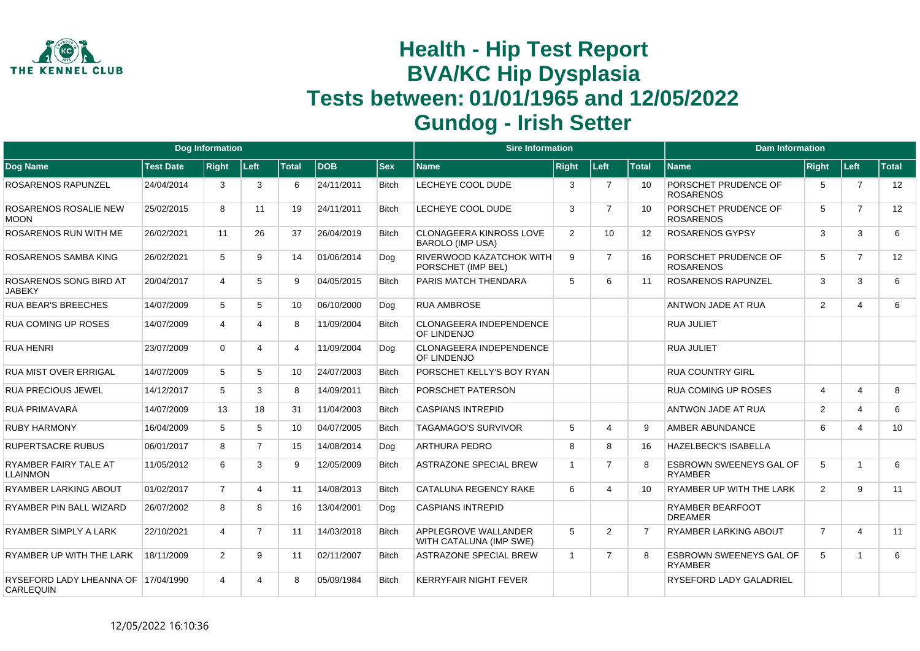

|                                                  |                  | <b>Dog Information</b> |                         |                 |            |              | <b>Sire Information</b>                                |              |                |                   | <b>Dam Information</b>                           |                |                |              |
|--------------------------------------------------|------------------|------------------------|-------------------------|-----------------|------------|--------------|--------------------------------------------------------|--------------|----------------|-------------------|--------------------------------------------------|----------------|----------------|--------------|
| <b>Dog Name</b>                                  | <b>Test Date</b> | <b>Right</b>           | ∣Left∶                  | <b>Total</b>    | <b>DOB</b> | <b>Sex</b>   | <b>Name</b>                                            | <b>Right</b> | Left           | <b>Total</b>      | <b>Name</b>                                      | Right          | Left           | <b>Total</b> |
| ROSARENOS RAPUNZEL                               | 24/04/2014       | 3                      | 3                       | 6               | 24/11/2011 | <b>Bitch</b> | LECHEYE COOL DUDE                                      | 3            | $\overline{7}$ | 10                | PORSCHET PRUDENCE OF<br><b>ROSARENOS</b>         | 5              | $\overline{7}$ | 12           |
| ROSARENOS ROSALIE NEW<br><b>MOON</b>             | 25/02/2015       | 8                      | 11                      | 19              | 24/11/2011 | <b>Bitch</b> | LECHEYE COOL DUDE                                      | 3            | $\overline{7}$ | 10                | PORSCHET PRUDENCE OF<br><b>ROSARENOS</b>         | 5              | $\overline{7}$ | 12           |
| <b>ROSARENOS RUN WITH ME</b>                     | 26/02/2021       | 11                     | 26                      | 37              | 26/04/2019 | <b>Bitch</b> | CLONAGEERA KINROSS LOVE<br><b>BAROLO (IMP USA)</b>     | 2            | 10             | $12 \overline{ }$ | <b>ROSARENOS GYPSY</b>                           | 3              | 3              | 6            |
| ROSARENOS SAMBA KING                             | 26/02/2021       | 5                      | 9                       | 14              | 01/06/2014 | Dog          | RIVERWOOD KAZATCHOK WITH<br>PORSCHET (IMP BEL)         | 9            | $\overline{7}$ | 16                | PORSCHET PRUDENCE OF<br><b>ROSARENOS</b>         | 5              | $\overline{7}$ | 12           |
| ROSARENOS SONG BIRD AT<br><b>JABEKY</b>          | 20/04/2017       | 4                      | 5                       | 9               | 04/05/2015 | <b>Bitch</b> | PARIS MATCH THENDARA                                   | 5            | 6              | 11                | <b>ROSARENOS RAPUNZEL</b>                        | 3              | 3              | 6            |
| <b>RUA BEAR'S BREECHES</b>                       | 14/07/2009       | 5                      | 5                       | 10 <sup>°</sup> | 06/10/2000 | Dog          | <b>RUA AMBROSE</b>                                     |              |                |                   | ANTWON JADE AT RUA                               | 2              | 4              | 6            |
| <b>RUA COMING UP ROSES</b>                       | 14/07/2009       | $\overline{4}$         | 4                       | 8               | 11/09/2004 | <b>Bitch</b> | <b>CLONAGEERA INDEPENDENCE</b><br>OF LINDENJO          |              |                |                   | RUA JULIET                                       |                |                |              |
| <b>RUA HENRI</b>                                 | 23/07/2009       | $\Omega$               | 4                       | 4               | 11/09/2004 | Dog          | CLONAGEERA INDEPENDENCE<br>OF LINDENJO                 |              |                |                   | <b>RUA JULIET</b>                                |                |                |              |
| RUA MIST OVER ERRIGAL                            | 14/07/2009       | 5                      | 5                       | 10              | 24/07/2003 | <b>Bitch</b> | PORSCHET KELLY'S BOY RYAN                              |              |                |                   | <b>RUA COUNTRY GIRL</b>                          |                |                |              |
| <b>RUA PRECIOUS JEWEL</b>                        | 14/12/2017       | 5                      | 3                       | 8               | 14/09/2011 | <b>Bitch</b> | PORSCHET PATERSON                                      |              |                |                   | RUA COMING UP ROSES                              | $\overline{4}$ | 4              | 8            |
| <b>RUA PRIMAVARA</b>                             | 14/07/2009       | 13                     | 18                      | 31              | 11/04/2003 | <b>Bitch</b> | <b>CASPIANS INTREPID</b>                               |              |                |                   | ANTWON JADE AT RUA                               | 2              | 4              | 6            |
| <b>RUBY HARMONY</b>                              | 16/04/2009       | 5                      | 5                       | 10              | 04/07/2005 | <b>Bitch</b> | <b>TAGAMAGO'S SURVIVOR</b>                             | 5            | Δ              | 9                 | <b>AMBER ABUNDANCE</b>                           | 6              | 4              | 10           |
| <b>RUPERTSACRE RUBUS</b>                         | 06/01/2017       | 8                      | $\overline{7}$          | 15              | 14/08/2014 | Dog          | <b>ARTHURA PEDRO</b>                                   | 8            | R              | 16                | <b>HAZELBECK'S ISABELLA</b>                      |                |                |              |
| RYAMBER FAIRY TALE AT<br><b>LLAINMON</b>         | 11/05/2012       | 6                      | 3                       | 9               | 12/05/2009 | <b>Bitch</b> | <b>ASTRAZONE SPECIAL BREW</b>                          | -1           | $\overline{7}$ | 8                 | <b>ESBROWN SWEENEYS GAL OF</b><br><b>RYAMBER</b> | 5              | -1             | 6            |
| <b>RYAMBER LARKING ABOUT</b>                     | 01/02/2017       | $\overline{7}$         | $\overline{\mathbf{4}}$ | 11              | 14/08/2013 | <b>Bitch</b> | <b>CATALUNA REGENCY RAKE</b>                           | 6            | 4              | 10                | RYAMBER UP WITH THE LARK                         | $\overline{2}$ | 9              | 11           |
| RYAMBER PIN BALL WIZARD                          | 26/07/2002       | 8                      | 8                       | 16              | 13/04/2001 | Dog          | <b>CASPIANS INTREPID</b>                               |              |                |                   | <b>RYAMBER BEARFOOT</b><br><b>DREAMER</b>        |                |                |              |
| RYAMBER SIMPLY A LARK                            | 22/10/2021       | 4                      | $\overline{7}$          | 11              | 14/03/2018 | <b>Bitch</b> | <b>APPLEGROVE WALLANDER</b><br>WITH CATALUNA (IMP SWE) | 5            | 2              |                   | <b>RYAMBER LARKING ABOUT</b>                     | $\overline{7}$ | 4              | 11           |
| RYAMBER UP WITH THE LARK                         | 18/11/2009       | $\overline{2}$         | 9                       | 11              | 02/11/2007 | <b>Bitch</b> | <b>ASTRAZONE SPECIAL BREW</b>                          | -1           | $\overline{7}$ | 8                 | <b>ESBROWN SWEENEYS GAL OF</b><br><b>RYAMBER</b> | 5              | $\overline{1}$ | 6            |
| RYSEFORD LADY LHEANNA OF 17/04/1990<br>CARLEQUIN |                  | 4                      | 4                       | 8               | 05/09/1984 | <b>Bitch</b> | <b>KERRYFAIR NIGHT FEVER</b>                           |              |                |                   | <b>RYSEFORD LADY GALADRIEL</b>                   |                |                |              |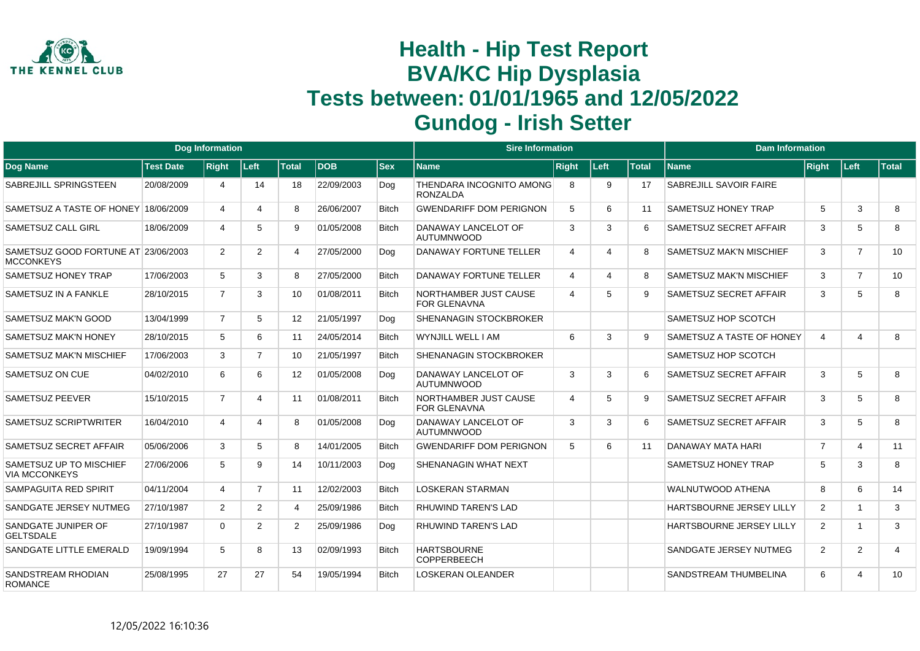

|                                                         |                  | <b>Dog Information</b> |                |                   |            |              | <b>Sire Information</b>                      |                             |      |              | <b>Dam Information</b>          |                |                |                |
|---------------------------------------------------------|------------------|------------------------|----------------|-------------------|------------|--------------|----------------------------------------------|-----------------------------|------|--------------|---------------------------------|----------------|----------------|----------------|
| Dog Name                                                | <b>Test Date</b> | <b>Right</b>           | Left           | <b>Total</b>      | <b>DOB</b> | <b>Sex</b>   | <b>Name</b>                                  | <b>Right</b>                | Left | <b>Total</b> | <b>Name</b>                     | Right          | Left           | Total          |
| SABREJILL SPRINGSTEEN                                   | 20/08/2009       | Δ                      | 14             | 18                | 22/09/2003 | Dog          | THENDARA INCOGNITO AMONG<br><b>RONZALDA</b>  | -8                          | 9    | 17           | SABREJILL SAVOIR FAIRE          |                |                |                |
| SAMETSUZ A TASTE OF HONEY 18/06/2009                    |                  | 4                      | Δ              | 8                 | 26/06/2007 | <b>Bitch</b> | <b>GWENDARIFF DOM PERIGNON</b>               | 5                           | 6    | 11           | <b>SAMETSUZ HONEY TRAP</b>      | 5              | 3              | 8              |
| <b>SAMETSUZ CALL GIRL</b>                               | 18/06/2009       | $\overline{4}$         | 5              | 9                 | 01/05/2008 | <b>Bitch</b> | DANAWAY LANCELOT OF<br><b>AUTUMNWOOD</b>     | 3                           | 3    | 6            | SAMETSUZ SECRET AFFAIR          | 3              | 5              | 8              |
| SAMETSUZ GOOD FORTUNE AT 23/06/2003<br><b>MCCONKEYS</b> |                  | $\overline{2}$         | $\overline{2}$ | 4                 | 27/05/2000 | Dog          | <b>DANAWAY FORTUNE TELLER</b>                | $\overline{4}$              | 4    | 8            | <b>SAMETSUZ MAK'N MISCHIEF</b>  | 3              | $\overline{7}$ | 10             |
| SAMETSUZ HONEY TRAP                                     | 17/06/2003       | 5                      | 3              | 8                 | 27/05/2000 | <b>Bitch</b> | <b>DANAWAY FORTUNE TELLER</b>                | $\overline{4}$              | 4    | 8            | <b>SAMETSUZ MAK'N MISCHIEF</b>  | 3              | $\overline{7}$ | 10             |
| SAMETSUZ IN A FANKLE                                    | 28/10/2015       | $\overline{7}$         | 3              | 10                | 01/08/2011 | <b>Bitch</b> | NORTHAMBER JUST CAUSE<br><b>FOR GLENAVNA</b> | $\boldsymbol{\vartriangle}$ | 5    | 9            | SAMETSUZ SECRET AFFAIR          | 3              | 5              | 8              |
| <b>SAMETSUZ MAK'N GOOD</b>                              | 13/04/1999       | $\overline{7}$         | 5              | $12 \overline{ }$ | 21/05/1997 | Dog          | <b>SHENANAGIN STOCKBROKER</b>                |                             |      |              | SAMETSUZ HOP SCOTCH             |                |                |                |
| <b>SAMETSUZ MAK'N HONEY</b>                             | 28/10/2015       | 5                      | 6              | 11                | 24/05/2014 | <b>Bitch</b> | WYNJILL WELL I AM                            | 6                           | 3    | 9.           | SAMETSUZ A TASTE OF HONEY       | $\overline{4}$ | $\overline{4}$ | 8              |
| <b>SAMETSUZ MAK'N MISCHIEF</b>                          | 17/06/2003       | 3                      | $\overline{7}$ | 10                | 21/05/1997 | <b>Bitch</b> | <b>SHENANAGIN STOCKBROKER</b>                |                             |      |              | SAMETSUZ HOP SCOTCH             |                |                |                |
| SAMETSUZ ON CUE                                         | 04/02/2010       | 6                      | 6              | $12 \overline{ }$ | 01/05/2008 | Dog          | DANAWAY LANCELOT OF<br><b>AUTUMNWOOD</b>     | 3                           | 3    | 6            | SAMETSUZ SECRET AFFAIR          | 3              | 5              | 8              |
| <b>SAMETSUZ PEEVER</b>                                  | 15/10/2015       | $\overline{7}$         | 4              | 11                | 01/08/2011 | <b>Bitch</b> | NORTHAMBER JUST CAUSE<br><b>FOR GLENAVNA</b> | $\overline{4}$              | 5    | 9            | SAMETSUZ SECRET AFFAIR          | 3              | 5              | 8              |
| SAMETSUZ SCRIPTWRITER                                   | 16/04/2010       | 4                      | 4              | 8                 | 01/05/2008 | Dog          | DANAWAY LANCELOT OF<br><b>AUTUMNWOOD</b>     | 3                           | 3    | 6            | SAMETSUZ SECRET AFFAIR          | 3              | 5              | 8              |
| SAMETSUZ SECRET AFFAIR                                  | 05/06/2006       | 3                      | 5              | 8                 | 14/01/2005 | <b>Bitch</b> | <b>GWENDARIFF DOM PERIGNON</b>               | 5                           | 6    | 11           | DANAWAY MATA HARI               | $\overline{7}$ | $\overline{4}$ | 11             |
| SAMETSUZ UP TO MISCHIEF<br><b>VIA MCCONKEYS</b>         | 27/06/2006       | 5                      | 9              | 14                | 10/11/2003 | Dog          | SHENANAGIN WHAT NEXT                         |                             |      |              | SAMETSUZ HONEY TRAP             | 5              | 3              | 8              |
| SAMPAGUITA RED SPIRIT                                   | 04/11/2004       | 4                      | $\overline{7}$ | 11                | 12/02/2003 | <b>Bitch</b> | <b>LOSKERAN STARMAN</b>                      |                             |      |              | <b>WALNUTWOOD ATHENA</b>        | 8              | 6              | 14             |
| SANDGATE JERSEY NUTMEG                                  | 27/10/1987       | $\overline{2}$         | $\overline{2}$ | 4                 | 25/09/1986 | <b>Bitch</b> | <b>RHUWIND TAREN'S LAD</b>                   |                             |      |              | <b>HARTSBOURNE JERSEY LILLY</b> | $\overline{2}$ | $\overline{1}$ | 3              |
| SANDGATE JUNIPER OF<br><b>GELTSDALE</b>                 | 27/10/1987       | $\Omega$               | $\overline{2}$ | 2                 | 25/09/1986 | Dog          | <b>RHUWIND TAREN'S LAD</b>                   |                             |      |              | <b>HARTSBOURNE JERSEY LILLY</b> | 2              | $\overline{1}$ | 3              |
| SANDGATE LITTLE EMERALD                                 | 19/09/1994       | 5                      | 8              | 13                | 02/09/1993 | <b>Bitch</b> | <b>HARTSBOURNE</b><br><b>COPPERBEECH</b>     |                             |      |              | SANDGATE JERSEY NUTMEG          | 2              | 2              | $\overline{4}$ |
| SANDSTREAM RHODIAN<br><b>ROMANCE</b>                    | 25/08/1995       | 27                     | 27             | 54                | 19/05/1994 | <b>Bitch</b> | <b>LOSKERAN OLEANDER</b>                     |                             |      |              | SANDSTREAM THUMBELINA           | 6              | $\overline{A}$ | 10             |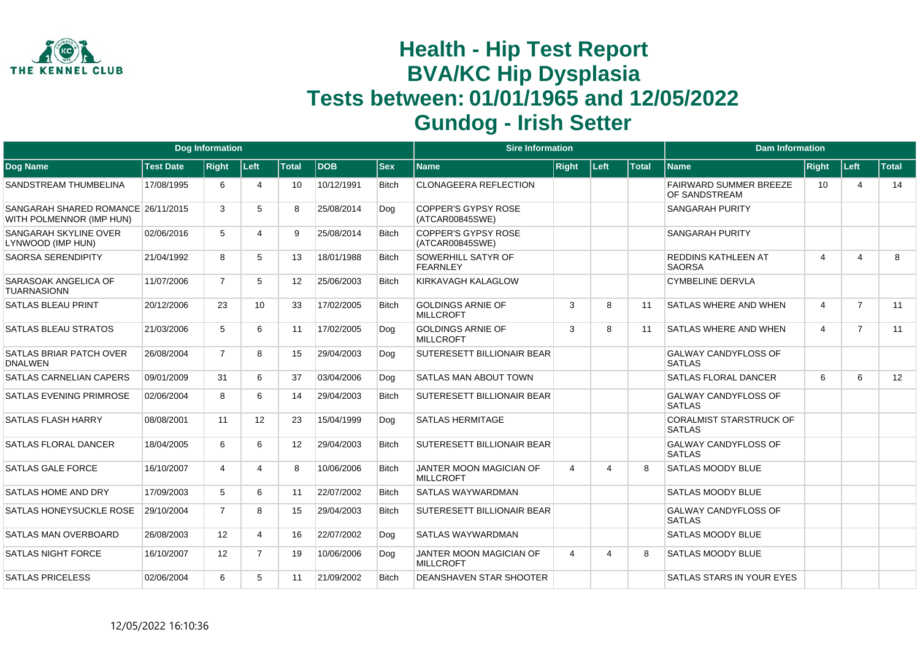

|                                                                |                  | <b>Dog Information</b> |                |              |             |              | <b>Sire Information</b>                       |              |      |              | <b>Dam Information</b>                          |                |                         |              |
|----------------------------------------------------------------|------------------|------------------------|----------------|--------------|-------------|--------------|-----------------------------------------------|--------------|------|--------------|-------------------------------------------------|----------------|-------------------------|--------------|
| Dog Name                                                       | <b>Test Date</b> | <b>Right</b>           | Left           | <b>Total</b> | <b>IDOB</b> | $ $ Sex      | <b>Name</b>                                   | <b>Right</b> | Left | <b>Total</b> | <b>Name</b>                                     | <b>Right</b>   | Left                    | <b>Total</b> |
| SANDSTREAM THUMBELINA                                          | 17/08/1995       | 6                      | 4              | 10           | 10/12/1991  | <b>Bitch</b> | <b>CLONAGEERA REFLECTION</b>                  |              |      |              | <b>FAIRWARD SUMMER BREEZE</b><br>OF SANDSTREAM  | 10             | 4                       | 14           |
| SANGARAH SHARED ROMANCE 26/11/2015<br>WITH POLMENNOR (IMP HUN) |                  | 3                      | 5              | 8            | 25/08/2014  | Dog          | <b>COPPER'S GYPSY ROSE</b><br>(ATCAR00845SWE) |              |      |              | <b>SANGARAH PURITY</b>                          |                |                         |              |
| SANGARAH SKYLINE OVER<br>LYNWOOD (IMP HUN)                     | 02/06/2016       | 5                      | 4              | 9            | 25/08/2014  | <b>Bitch</b> | <b>COPPER'S GYPSY ROSE</b><br>(ATCAR00845SWE) |              |      |              | <b>SANGARAH PURITY</b>                          |                |                         |              |
| <b>SAORSA SERENDIPITY</b>                                      | 21/04/1992       | 8                      | 5              | 13           | 18/01/1988  | <b>Bitch</b> | <b>SOWERHILL SATYR OF</b><br><b>FEARNLEY</b>  |              |      |              | <b>REDDINS KATHLEEN AT</b><br><b>SAORSA</b>     | 4              | $\overline{\mathbf{4}}$ | 8            |
| SARASOAK ANGELICA OF<br><b>TUARNASIONN</b>                     | 11/07/2006       | $\overline{7}$         | 5              | 12           | 25/06/2003  | <b>Bitch</b> | KIRKAVAGH KALAGLOW                            |              |      |              | <b>CYMBELINE DERVLA</b>                         |                |                         |              |
| <b>SATLAS BLEAU PRINT</b>                                      | 20/12/2006       | 23                     | 10             | 33           | 17/02/2005  | <b>Bitch</b> | <b>GOLDINGS ARNIE OF</b><br><b>MILLCROFT</b>  | 3            | 8    | 11           | <b>SATLAS WHERE AND WHEN</b>                    | $\overline{4}$ | $\overline{7}$          | 11           |
| SATLAS BLEAU STRATOS                                           | 21/03/2006       | 5                      | 6              | 11           | 17/02/2005  | Dog          | <b>GOLDINGS ARNIE OF</b><br><b>MILLCROFT</b>  | 3            | 8    | 11           | <b>SATLAS WHERE AND WHEN</b>                    | $\overline{4}$ | $\overline{7}$          | 11           |
| SATLAS BRIAR PATCH OVER<br><b>DNALWEN</b>                      | 26/08/2004       | $\overline{7}$         | 8              | 15           | 29/04/2003  | Dog          | <b>SUTERESETT BILLIONAIR BEAR</b>             |              |      |              | <b>GALWAY CANDYFLOSS OF</b><br><b>SATLAS</b>    |                |                         |              |
| <b>SATLAS CARNELIAN CAPERS</b>                                 | 09/01/2009       | 31                     | 6              | 37           | 03/04/2006  | Dog          | <b>SATLAS MAN ABOUT TOWN</b>                  |              |      |              | <b>SATLAS FLORAL DANCER</b>                     | 6              | 6                       | 12           |
| <b>SATLAS EVENING PRIMROSE</b>                                 | 02/06/2004       | 8                      | 6              | 14           | 29/04/2003  | <b>Bitch</b> | <b>SUTERESETT BILLIONAIR BEAR</b>             |              |      |              | <b>GALWAY CANDYFLOSS OF</b><br><b>SATLAS</b>    |                |                         |              |
| <b>SATLAS FLASH HARRY</b>                                      | 08/08/2001       | 11                     | 12             | 23           | 15/04/1999  | Dog          | <b>SATLAS HERMITAGE</b>                       |              |      |              | <b>CORALMIST STARSTRUCK OF</b><br><b>SATLAS</b> |                |                         |              |
| <b>SATLAS FLORAL DANCER</b>                                    | 18/04/2005       | 6                      | 6              | 12           | 29/04/2003  | <b>Bitch</b> | <b>SUTERESETT BILLIONAIR BEAR</b>             |              |      |              | <b>GALWAY CANDYFLOSS OF</b><br><b>SATLAS</b>    |                |                         |              |
| <b>SATLAS GALE FORCE</b>                                       | 16/10/2007       | 4                      | 4              | 8            | 10/06/2006  | <b>Bitch</b> | JANTER MOON MAGICIAN OF<br><b>MILLCROFT</b>   | 4            | 4    | 8            | <b>SATLAS MOODY BLUE</b>                        |                |                         |              |
| SATLAS HOME AND DRY                                            | 17/09/2003       | 5                      | 6              | 11           | 22/07/2002  | <b>Bitch</b> | <b>SATLAS WAYWARDMAN</b>                      |              |      |              | <b>SATLAS MOODY BLUE</b>                        |                |                         |              |
| SATLAS HONEYSUCKLE ROSE                                        | 29/10/2004       | $\overline{7}$         | 8              | 15           | 29/04/2003  | <b>Bitch</b> | <b>SUTERESETT BILLIONAIR BEAR</b>             |              |      |              | <b>GALWAY CANDYFLOSS OF</b><br><b>SATLAS</b>    |                |                         |              |
| SATLAS MAN OVERBOARD                                           | 26/08/2003       | 12                     | 4              | 16           | 22/07/2002  | Dog          | <b>SATLAS WAYWARDMAN</b>                      |              |      |              | <b>SATLAS MOODY BLUE</b>                        |                |                         |              |
| <b>SATLAS NIGHT FORCE</b>                                      | 16/10/2007       | 12                     | $\overline{7}$ | 19           | 10/06/2006  | Dog          | JANTER MOON MAGICIAN OF<br><b>MILLCROFT</b>   | 4            | 4    | 8            | <b>SATLAS MOODY BLUE</b>                        |                |                         |              |
| <b>SATLAS PRICELESS</b>                                        | 02/06/2004       | 6                      | 5              | 11           | 21/09/2002  | <b>Bitch</b> | <b>DEANSHAVEN STAR SHOOTER</b>                |              |      |              | SATLAS STARS IN YOUR EYES                       |                |                         |              |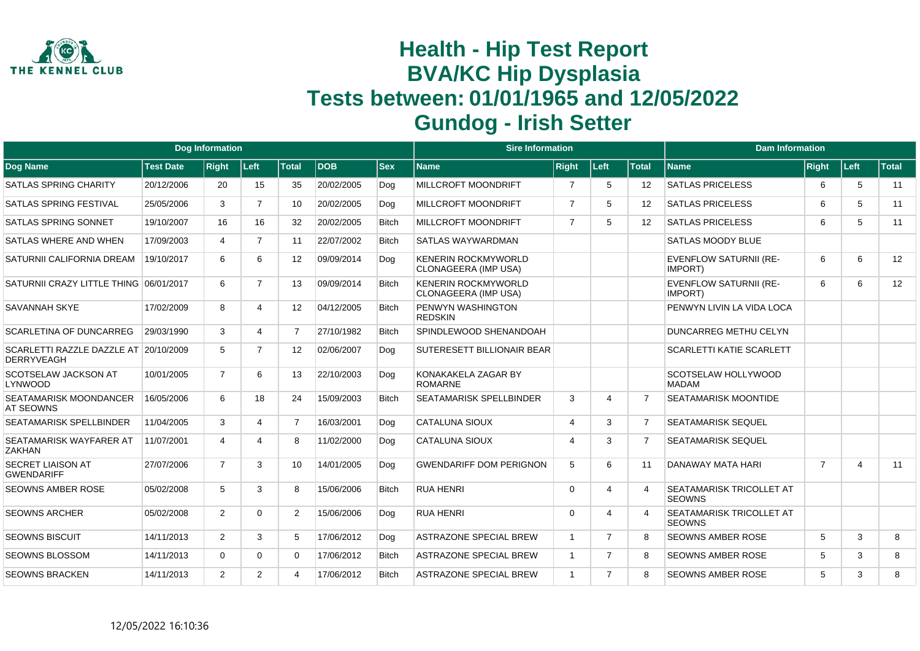

|                                                            |                  | <b>Dog Information</b> |                |                |            |              | <b>Sire Information</b>                            |                       |                       |                   | <b>Dam Information</b>                    |                |                |              |
|------------------------------------------------------------|------------------|------------------------|----------------|----------------|------------|--------------|----------------------------------------------------|-----------------------|-----------------------|-------------------|-------------------------------------------|----------------|----------------|--------------|
| Dog Name                                                   | <b>Test Date</b> | <b>Right</b>           | Left           | <b>Total</b>   | <b>DOB</b> | <b>Sex</b>   | <b>Name</b>                                        | <b>Right</b>          | Left                  | <b>Total</b>      | <b>Name</b>                               | Right          | ∣Left⊹         | <b>Total</b> |
| <b>SATLAS SPRING CHARITY</b>                               | 20/12/2006       | 20                     | 15             | 35             | 20/02/2005 | Dog          | <b>MILLCROFT MOONDRIFT</b>                         | 7                     | 5                     | $12 \overline{ }$ | <b>SATLAS PRICELESS</b>                   | 6              | 5              | 11           |
| <b>SATLAS SPRING FESTIVAL</b>                              | 25/05/2006       | 3                      | $\overline{7}$ | 10             | 20/02/2005 | Dog          | <b>MILLCROFT MOONDRIFT</b>                         | $\overline{7}$        | 5                     | $12 \overline{ }$ | <b>SATLAS PRICELESS</b>                   | 6              | 5              | 11           |
| <b>SATLAS SPRING SONNET</b>                                | 19/10/2007       | 16                     | 16             | 32             | 20/02/2005 | <b>Bitch</b> | <b>MILLCROFT MOONDRIFT</b>                         | $\overline{7}$        | 5                     | 12                | <b>SATLAS PRICELESS</b>                   | 6              | 5              | 11           |
| SATLAS WHERE AND WHEN                                      | 17/09/2003       | $\overline{4}$         | $\overline{7}$ | 11             | 22/07/2002 | <b>Bitch</b> | <b>SATLAS WAYWARDMAN</b>                           |                       |                       |                   | <b>SATLAS MOODY BLUE</b>                  |                |                |              |
| SATURNII CALIFORNIA DREAM                                  | 19/10/2017       | 6                      | 6              | 12             | 09/09/2014 | Dog          | <b>KENERIN ROCKMYWORLD</b><br>CLONAGEERA (IMP USA) |                       |                       |                   | <b>EVENFLOW SATURNII (RE-</b><br>IMPORT)  | 6              | 6              | 12           |
| SATURNII CRAZY LITTLE THING 06/01/2017                     |                  | 6                      | $\overline{7}$ | 13             | 09/09/2014 | <b>Bitch</b> | <b>KENERIN ROCKMYWORLD</b><br>CLONAGEERA (IMP USA) |                       |                       |                   | <b>EVENFLOW SATURNII (RE-</b><br>IMPORT)  | 6              | 6              | 12           |
| <b>SAVANNAH SKYE</b>                                       | 17/02/2009       | 8                      | 4              | 12             | 04/12/2005 | <b>Bitch</b> | PENWYN WASHINGTON<br><b>REDSKIN</b>                |                       |                       |                   | PENWYN LIVIN LA VIDA LOCA                 |                |                |              |
| <b>SCARLETINA OF DUNCARREG</b>                             | 29/03/1990       | 3                      | 4              | $\overline{7}$ | 27/10/1982 | <b>Bitch</b> | SPINDLEWOOD SHENANDOAH                             |                       |                       |                   | <b>DUNCARREG METHU CELYN</b>              |                |                |              |
| SCARLETTI RAZZLE DAZZLE AT 20/10/2009<br><b>DERRYVEAGH</b> |                  | 5                      | $\overline{7}$ | 12             | 02/06/2007 | Dog          | <b>SUTERESETT BILLIONAIR BEAR</b>                  |                       |                       |                   | <b>SCARLETTI KATIE SCARLETT</b>           |                |                |              |
| SCOTSELAW JACKSON AT<br>LYNWOOD                            | 10/01/2005       | $\overline{7}$         | 6              | 13             | 22/10/2003 | Dog          | KONAKAKELA ZAGAR BY<br><b>ROMARNE</b>              |                       |                       |                   | SCOTSELAW HOLLYWOOD<br><b>MADAM</b>       |                |                |              |
| SEATAMARISK MOONDANCER<br><b>AT SEOWNS</b>                 | 16/05/2006       | 6                      | 18             | 24             | 15/09/2003 | <b>Bitch</b> | <b>SEATAMARISK SPELLBINDER</b>                     | 3                     | $\boldsymbol{\Delta}$ | 7                 | SEATAMARISK MOONTIDE                      |                |                |              |
| <b>SEATAMARISK SPELLBINDER</b>                             | 11/04/2005       | 3                      | 4              | $\overline{7}$ | 16/03/2001 | Dog          | <b>CATALUNA SIOUX</b>                              | $\overline{4}$        | 3                     | $\overline{7}$    | <b>SEATAMARISK SEQUEL</b>                 |                |                |              |
| SEATAMARISK WAYFARER AT<br>ZAKHAN                          | 11/07/2001       | $\overline{4}$         | 4              | 8              | 11/02/2000 | Dog          | <b>CATALUNA SIOUX</b>                              | $\boldsymbol{\Delta}$ | 3                     | 7                 | <b>SEATAMARISK SEQUEL</b>                 |                |                |              |
| <b>SECRET LIAISON AT</b><br><b>GWENDARIFF</b>              | 27/07/2006       | $\overline{7}$         | 3              | 10             | 14/01/2005 | Dog          | <b>GWENDARIFF DOM PERIGNON</b>                     | 5                     | 6                     | 11                | DANAWAY MATA HARI                         | $\overline{7}$ | $\overline{4}$ | 11           |
| SEOWNS AMBER ROSE                                          | 05/02/2008       | 5                      | 3              | 8              | 15/06/2006 | <b>Bitch</b> | <b>RUA HENRI</b>                                   | $\Omega$              | $\boldsymbol{\Delta}$ | Δ                 | SEATAMARISK TRICOLLET AT<br><b>SEOWNS</b> |                |                |              |
| <b>SEOWNS ARCHER</b>                                       | 05/02/2008       | $\mathbf{2}^{\circ}$   | $\Omega$       | $\overline{2}$ | 15/06/2006 | Dog          | <b>RUA HENRI</b>                                   | $\Omega$              | $\boldsymbol{\Delta}$ | Δ                 | SEATAMARISK TRICOLLET AT<br><b>SEOWNS</b> |                |                |              |
| <b>SEOWNS BISCUIT</b>                                      | 14/11/2013       | $\mathbf{2}$           | 3              | 5              | 17/06/2012 | Dog          | <b>ASTRAZONE SPECIAL BREW</b>                      | $\overline{1}$        | $\overline{7}$        | 8                 | <b>SEOWNS AMBER ROSE</b>                  | 5              | 3              | 8            |
| <b>SEOWNS BLOSSOM</b>                                      | 14/11/2013       | $\Omega$               | $\Omega$       | 0              | 17/06/2012 | <b>Bitch</b> | <b>ASTRAZONE SPECIAL BREW</b>                      | $\overline{1}$        | $\overline{7}$        | 8                 | <b>SEOWNS AMBER ROSE</b>                  | 5              | 3              | 8            |
| <b>SEOWNS BRACKEN</b>                                      | 14/11/2013       | $\overline{2}$         | $\overline{2}$ | 4              | 17/06/2012 | <b>Bitch</b> | <b>ASTRAZONE SPECIAL BREW</b>                      | $\overline{1}$        | $\overline{7}$        | R                 | SEOWNS AMBER ROSE                         | 5              | 3              | 8            |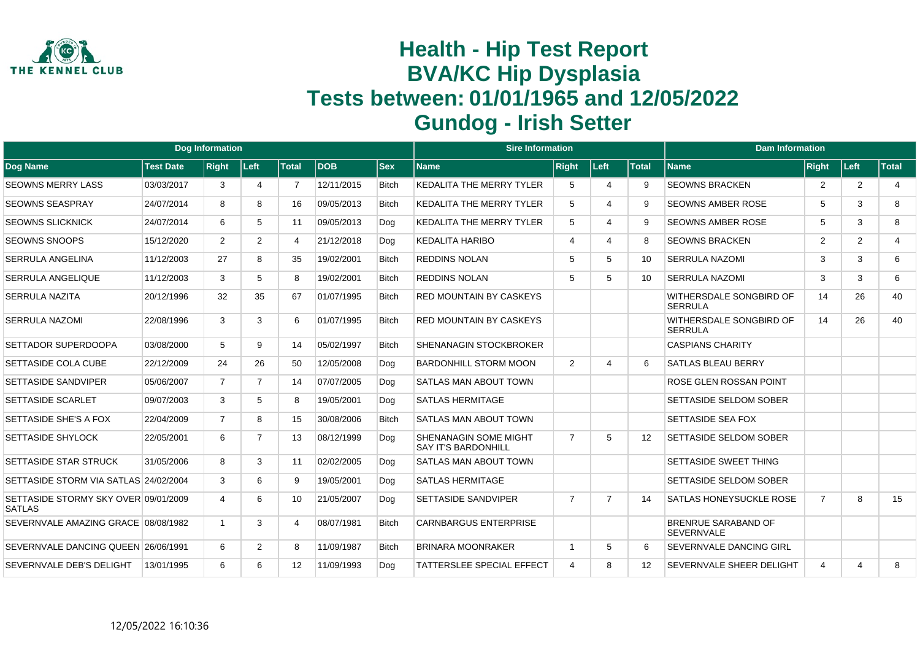

|                                                       |                  | <b>Dog Information</b> |                |                |            |              | <b>Sire Information</b>                             |                |                         |                   | <b>Dam Information</b>                          |                |                |                |
|-------------------------------------------------------|------------------|------------------------|----------------|----------------|------------|--------------|-----------------------------------------------------|----------------|-------------------------|-------------------|-------------------------------------------------|----------------|----------------|----------------|
| <b>Dog Name</b>                                       | <b>Test Date</b> | <b>Right</b>           | Left           | <b>Total</b>   | <b>DOB</b> | <b>Sex</b>   | <b>Name</b>                                         | <b>Right</b>   | Left                    | <b>Total</b>      | <b>Name</b>                                     | <b>Right</b>   | ∣Left⊹         | <b>Total</b>   |
| <b>SEOWNS MERRY LASS</b>                              | 03/03/2017       | 3                      | 4              | $\overline{7}$ | 12/11/2015 | <b>Bitch</b> | <b>KEDALITA THE MERRY TYLER</b>                     | 5              | $\overline{\mathbf{4}}$ | 9                 | <b>SEOWNS BRACKEN</b>                           | 2              | $\overline{2}$ | $\overline{4}$ |
| <b>SEOWNS SEASPRAY</b>                                | 24/07/2014       | 8                      | 8              | 16             | 09/05/2013 | <b>Bitch</b> | <b>KEDALITA THE MERRY TYLER</b>                     | 5              | $\Delta$                | 9                 | <b>SEOWNS AMBER ROSE</b>                        | 5              | 3              | 8              |
| <b>SEOWNS SLICKNICK</b>                               | 24/07/2014       | 6                      | 5              | 11             | 09/05/2013 | Dog          | <b>KEDALITA THE MERRY TYLER</b>                     | 5              | $\overline{\Lambda}$    | 9                 | <b>SEOWNS AMBER ROSE</b>                        | 5              | 3              | 8              |
| SEOWNS SNOOPS                                         | 15/12/2020       | $\mathbf{2}^{\circ}$   | $\overline{2}$ | 4              | 21/12/2018 | Dog          | <b>KEDALITA HARIBO</b>                              | $\overline{4}$ | $\overline{4}$          | 8                 | <b>SEOWNS BRACKEN</b>                           | $\overline{2}$ | 2              | $\overline{4}$ |
| <b>SERRULA ANGELINA</b>                               | 11/12/2003       | 27                     | 8              | 35             | 19/02/2001 | <b>Bitch</b> | <b>REDDINS NOLAN</b>                                | 5              | 5                       | 10                | <b>SERRULA NAZOMI</b>                           | 3              | 3              | 6              |
| <b>SERRULA ANGELIQUE</b>                              | 11/12/2003       | 3                      | 5              | 8              | 19/02/2001 | <b>Bitch</b> | <b>REDDINS NOLAN</b>                                | 5              | 5                       | 10                | <b>SERRULA NAZOMI</b>                           | 3              | 3              | 6              |
| <b>SERRULA NAZITA</b>                                 | 20/12/1996       | 32                     | 35             | 67             | 01/07/1995 | <b>Bitch</b> | <b>RED MOUNTAIN BY CASKEYS</b>                      |                |                         |                   | WITHERSDALE SONGBIRD OF<br><b>SERRULA</b>       | 14             | 26             | 40             |
| <b>SERRULA NAZOMI</b>                                 | 22/08/1996       | 3                      | 3              | 6              | 01/07/1995 | <b>Bitch</b> | <b>RED MOUNTAIN BY CASKEYS</b>                      |                |                         |                   | WITHERSDALE SONGBIRD OF<br><b>SERRULA</b>       | 14             | 26             | 40             |
| SETTADOR SUPERDOOPA                                   | 03/08/2000       | 5                      | 9              | 14             | 05/02/1997 | <b>Bitch</b> | <b>SHENANAGIN STOCKBROKER</b>                       |                |                         |                   | <b>CASPIANS CHARITY</b>                         |                |                |                |
| SETTASIDE COLA CUBE                                   | 22/12/2009       | 24                     | 26             | 50             | 12/05/2008 | Dog          | <b>BARDONHILL STORM MOON</b>                        | 2              | $\overline{4}$          | 6                 | <b>SATLAS BLEAU BERRY</b>                       |                |                |                |
| <b>SETTASIDE SANDVIPER</b>                            | 05/06/2007       | $\overline{7}$         | $\overline{7}$ | 14             | 07/07/2005 | Dog          | <b>SATLAS MAN ABOUT TOWN</b>                        |                |                         |                   | ROSE GLEN ROSSAN POINT                          |                |                |                |
| <b>SETTASIDE SCARLET</b>                              | 09/07/2003       | 3                      | 5              | 8              | 19/05/2001 | Dog          | <b>SATLAS HERMITAGE</b>                             |                |                         |                   | <b>SETTASIDE SELDOM SOBER</b>                   |                |                |                |
| SETTASIDE SHE'S A FOX                                 | 22/04/2009       | $\overline{7}$         | 8              | 15             | 30/08/2006 | <b>Bitch</b> | <b>SATLAS MAN ABOUT TOWN</b>                        |                |                         |                   | <b>SETTASIDE SEA FOX</b>                        |                |                |                |
| <b>SETTASIDE SHYLOCK</b>                              | 22/05/2001       | 6                      | $\overline{7}$ | 13             | 08/12/1999 | Dog          | SHENANAGIN SOME MIGHT<br><b>SAY IT'S BARDONHILL</b> | $\overline{7}$ | 5                       | 12                | <b>SETTASIDE SELDOM SOBER</b>                   |                |                |                |
| <b>SETTASIDE STAR STRUCK</b>                          | 31/05/2006       | 8                      | 3              | 11             | 02/02/2005 | Dog          | SATLAS MAN ABOUT TOWN                               |                |                         |                   | <b>SETTASIDE SWEET THING</b>                    |                |                |                |
| SETTASIDE STORM VIA SATLAS 24/02/2004                 |                  | 3                      | 6              | 9              | 19/05/2001 | Dog          | <b>SATLAS HERMITAGE</b>                             |                |                         |                   | SETTASIDE SELDOM SOBER                          |                |                |                |
| SETTASIDE STORMY SKY OVER 09/01/2009<br><b>SATLAS</b> |                  | 4                      | 6              | 10             | 21/05/2007 | Dog          | <b>SETTASIDE SANDVIPER</b>                          | $\overline{7}$ | $\overline{7}$          | 14                | <b>SATLAS HONEYSUCKLE ROSE</b>                  | $\overline{7}$ | 8              | 15             |
| SEVERNVALE AMAZING GRACE 08/08/1982                   |                  |                        | 3              | 4              | 08/07/1981 | <b>Bitch</b> | <b>CARNBARGUS ENTERPRISE</b>                        |                |                         |                   | <b>BRENRUE SARABAND OF</b><br><b>SEVERNVALE</b> |                |                |                |
| SEVERNVALE DANCING QUEEN 26/06/1991                   |                  | 6                      | 2              | 8              | 11/09/1987 | <b>Bitch</b> | <b>BRINARA MOONRAKER</b>                            | -1             | 5                       | 6                 | <b>SEVERNVALE DANCING GIRL</b>                  |                |                |                |
| SEVERNVALE DEB'S DELIGHT                              | 13/01/1995       | 6                      | 6              | 12             | 11/09/1993 | Dog          | <b>TATTERSLEE SPECIAL EFFECT</b>                    | $\overline{4}$ | 8                       | $12 \overline{ }$ | SEVERNVALE SHEER DELIGHT                        | 4              | $\overline{4}$ | 8              |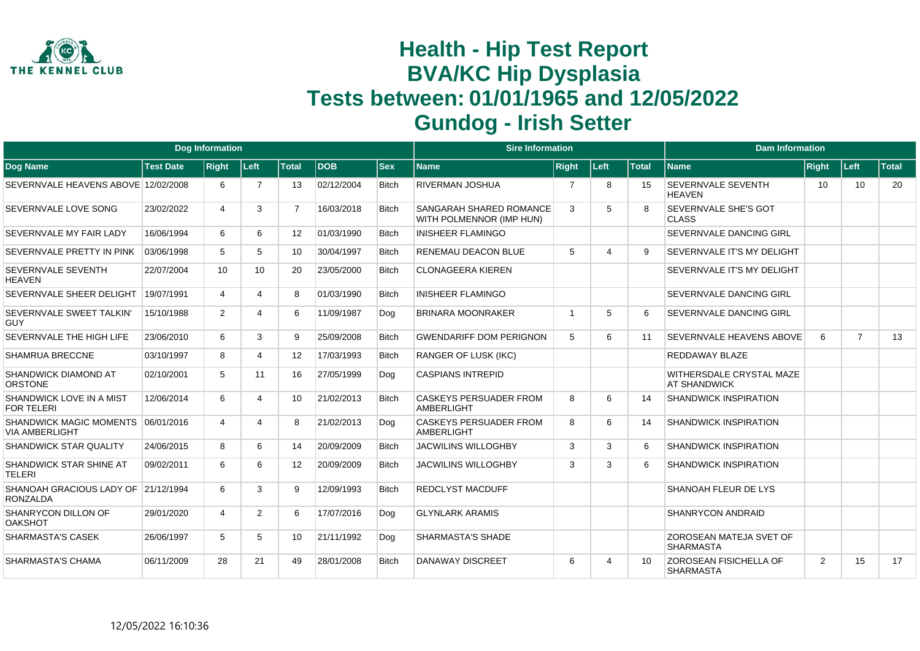

|                                                        |                  | <b>Dog Information</b> |                       |                   |            |              | <b>Sire Information</b>                                    |                |      |              | <b>Dam Information</b>                          |       |                |              |
|--------------------------------------------------------|------------------|------------------------|-----------------------|-------------------|------------|--------------|------------------------------------------------------------|----------------|------|--------------|-------------------------------------------------|-------|----------------|--------------|
| Dog Name                                               | <b>Test Date</b> | <b>Right</b>           | Left                  | <b>Total</b>      | <b>DOB</b> | <b>Sex</b>   | Name                                                       | <b>Right</b>   | Left | <b>Total</b> | <b>Name</b>                                     | Right | Left           | <b>Total</b> |
| SEVERNVALE HEAVENS ABOVE 12/02/2008                    |                  | 6                      | $\overline{7}$        | 13                | 02/12/2004 | <b>Bitch</b> | <b>RIVERMAN JOSHUA</b>                                     | $\overline{7}$ | 8    | 15           | SEVERNVALE SEVENTH<br><b>HEAVEN</b>             | 10    | 10             | 20           |
| SEVERNVALE LOVE SONG                                   | 23/02/2022       | 4                      | 3                     | $\overline{7}$    | 16/03/2018 | <b>Bitch</b> | <b>SANGARAH SHARED ROMANCE</b><br>WITH POLMENNOR (IMP HUN) | 3              | 5    | <sub>8</sub> | SEVERNVALE SHE'S GOT<br><b>CLASS</b>            |       |                |              |
| SEVERNVALE MY FAIR LADY                                | 16/06/1994       | 6                      | 6                     | 12 <sup>2</sup>   | 01/03/1990 | <b>Bitch</b> | <b>INISHEER FLAMINGO</b>                                   |                |      |              | SEVERNVALE DANCING GIRL                         |       |                |              |
| SEVERNVALE PRETTY IN PINK                              | 03/06/1998       | 5                      | 5                     | 10                | 30/04/1997 | <b>Bitch</b> | <b>RENEMAU DEACON BLUE</b>                                 | 5              | 4    | 9            | SEVERNVALE IT'S MY DELIGHT                      |       |                |              |
| SEVERNVALE SEVENTH<br>HEAVEN                           | 22/07/2004       | 10                     | 10 <sup>°</sup>       | 20                | 23/05/2000 | <b>Bitch</b> | <b>CLONAGEERA KIEREN</b>                                   |                |      |              | SEVERNVALE IT'S MY DELIGHT                      |       |                |              |
| SEVERNVALE SHEER DELIGHT                               | 19/07/1991       | $\overline{4}$         | 4                     | 8                 | 01/03/1990 | <b>Bitch</b> | <b>INISHEER FLAMINGO</b>                                   |                |      |              | SEVERNVALE DANCING GIRL                         |       |                |              |
| SEVERNVALE SWEET TALKIN'<br><b>GUY</b>                 | 15/10/1988       | 2                      | Δ                     | 6                 | 11/09/1987 | Dog          | <b>BRINARA MOONRAKER</b>                                   |                | 5    | 6            | SEVERNVALE DANCING GIRL                         |       |                |              |
| SEVERNVALE THE HIGH LIFE                               | 23/06/2010       | 6                      | 3                     | 9                 | 25/09/2008 | <b>Bitch</b> | <b>GWENDARIFF DOM PERIGNON</b>                             | 5              | 6    | 11           | SEVERNVALE HEAVENS ABOVE                        | 6     | $\overline{7}$ | 13           |
| <b>SHAMRUA BRECCNE</b>                                 | 03/10/1997       | 8                      | 4                     | $12 \overline{ }$ | 17/03/1993 | <b>Bitch</b> | <b>RANGER OF LUSK (IKC)</b>                                |                |      |              | REDDAWAY BLAZE                                  |       |                |              |
| SHANDWICK DIAMOND AT<br><b>ORSTONE</b>                 | 02/10/2001       | 5                      | 11                    | 16                | 27/05/1999 | Dog          | <b>CASPIANS INTREPID</b>                                   |                |      |              | WITHERSDALE CRYSTAL MAZE<br><b>AT SHANDWICK</b> |       |                |              |
| SHANDWICK LOVE IN A MIST<br><b>FOR TELERI</b>          | 12/06/2014       | 6                      | 4                     | 10                | 21/02/2013 | <b>Bitch</b> | <b>CASKEYS PERSUADER FROM</b><br><b>AMBERLIGHT</b>         | 8              | 6    | 14           | <b>SHANDWICK INSPIRATION</b>                    |       |                |              |
| SHANDWICK MAGIC MOMENTS<br><b>VIA AMBERLIGHT</b>       | 06/01/2016       | $\overline{4}$         | $\boldsymbol{\Delta}$ | 8                 | 21/02/2013 | Dog          | <b>CASKEYS PERSUADER FROM</b><br><b>AMBERLIGHT</b>         | 8              | 6    | 14           | <b>SHANDWICK INSPIRATION</b>                    |       |                |              |
| <b>SHANDWICK STAR QUALITY</b>                          | 24/06/2015       | 8                      | 6                     | 14                | 20/09/2009 | <b>Bitch</b> | <b>JACWILINS WILLOGHBY</b>                                 | 3              | 3    | 6            | <b>SHANDWICK INSPIRATION</b>                    |       |                |              |
| SHANDWICK STAR SHINE AT<br><b>TELERI</b>               | 09/02/2011       | 6                      | 6                     | $12 \overline{ }$ | 20/09/2009 | <b>Bitch</b> | <b>JACWILINS WILLOGHBY</b>                                 | 3              | 3    | 6            | <b>SHANDWICK INSPIRATION</b>                    |       |                |              |
| SHANOAH GRACIOUS LADY OF 21/12/1994<br><b>RONZALDA</b> |                  | 6                      | 3                     | 9                 | 12/09/1993 | <b>Bitch</b> | <b>REDCLYST MACDUFF</b>                                    |                |      |              | SHANOAH FLEUR DE LYS                            |       |                |              |
| SHANRYCON DILLON OF<br><b>OAKSHOT</b>                  | 29/01/2020       | 4                      | $\overline{2}$        | 6                 | 17/07/2016 | Dog          | <b>GLYNLARK ARAMIS</b>                                     |                |      |              | <b>SHANRYCON ANDRAID</b>                        |       |                |              |
| <b>SHARMASTA'S CASEK</b>                               | 26/06/1997       | 5                      | 5                     | 10                | 21/11/1992 | Dog          | <b>SHARMASTA'S SHADE</b>                                   |                |      |              | ZOROSEAN MATEJA SVET OF<br><b>SHARMASTA</b>     |       |                |              |
| <b>SHARMASTA'S CHAMA</b>                               | 06/11/2009       | 28                     | 21                    | 49                | 28/01/2008 | <b>Bitch</b> | <b>DANAWAY DISCREET</b>                                    | 6              | 4    | 10           | ZOROSEAN FISICHELLA OF<br><b>SHARMASTA</b>      | 2     | 15             | 17           |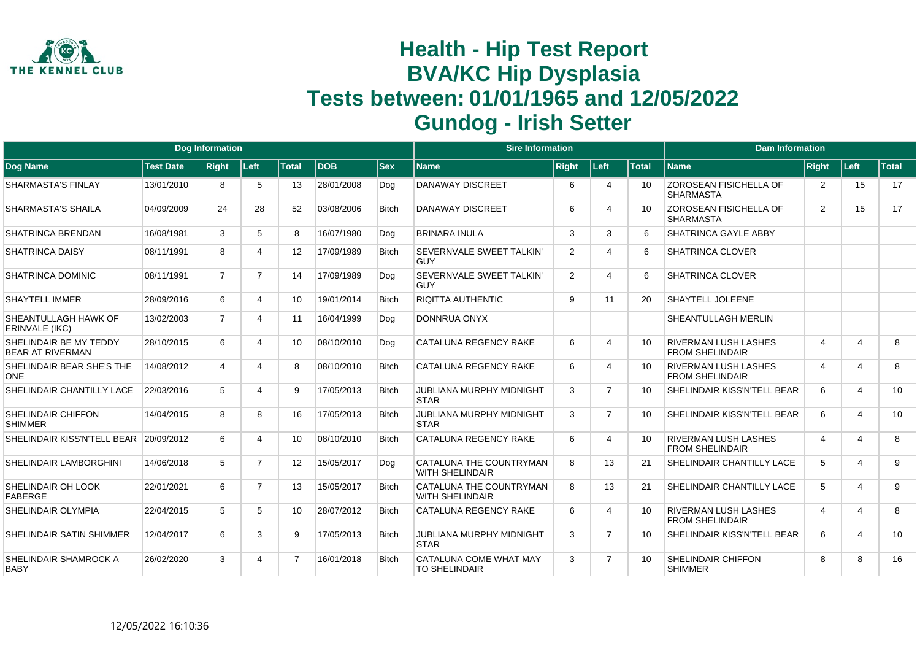

|                                                   |                  | <b>Dog Information</b> |                |                 |            |              | <b>Sire Information</b>                           |              |                       |                 | <b>Dam Information</b>                                |                         |                |              |
|---------------------------------------------------|------------------|------------------------|----------------|-----------------|------------|--------------|---------------------------------------------------|--------------|-----------------------|-----------------|-------------------------------------------------------|-------------------------|----------------|--------------|
| <b>Dog Name</b>                                   | <b>Test Date</b> | <b>Right</b>           | ∣Left∶         | <b>Total</b>    | <b>DOB</b> | <b>Sex</b>   | <b>Name</b>                                       | <b>Right</b> | Left                  | <b>Total</b>    | <b>Name</b>                                           | Right                   | ∣Left∶         | <b>Total</b> |
| <b>SHARMASTA'S FINLAY</b>                         | 13/01/2010       | 8                      | 5              | 13              | 28/01/2008 | Dog          | <b>DANAWAY DISCREET</b>                           | 6            | $\overline{4}$        | 10              | ZOROSEAN FISICHELLA OF<br><b>SHARMASTA</b>            | $\overline{2}$          | 15             | 17           |
| <b>SHARMASTA'S SHAILA</b>                         | 04/09/2009       | 24                     | 28             | 52              | 03/08/2006 | <b>Bitch</b> | <b>DANAWAY DISCREET</b>                           | 6            | $\overline{4}$        | 10 <sup>1</sup> | <b>ZOROSEAN FISICHELLA OF</b><br><b>SHARMASTA</b>     | 2                       | 15             | 17           |
| <b>SHATRINCA BRENDAN</b>                          | 16/08/1981       | 3                      | 5              | 8               | 16/07/1980 | Dog          | <b>BRINARA INULA</b>                              | 3            | 3                     | 6               | SHATRINCA GAYLE ABBY                                  |                         |                |              |
| <b>SHATRINCA DAISY</b>                            | 08/11/1991       | 8                      | 4              | 12              | 17/09/1989 | <b>Bitch</b> | SEVERNVALE SWEET TALKIN'<br><b>GUY</b>            | 2            | $\boldsymbol{\Delta}$ | 6               | <b>SHATRINCA CLOVER</b>                               |                         |                |              |
| SHATRINCA DOMINIC                                 | 08/11/1991       | $\overline{7}$         | $\overline{7}$ | 14              | 17/09/1989 | Dog          | SEVERNVALE SWEET TALKIN'<br><b>GUY</b>            | 2            | Δ                     | 6               | SHATRINCA CLOVER                                      |                         |                |              |
| <b>SHAYTELL IMMER</b>                             | 28/09/2016       | 6                      | $\overline{4}$ | 10 <sup>1</sup> | 19/01/2014 | <b>Bitch</b> | <b>RIQITTA AUTHENTIC</b>                          | 9            | 11                    | 20              | SHAYTELL JOLEENE                                      |                         |                |              |
| SHEANTULLAGH HAWK OF<br><b>ERINVALE (IKC)</b>     | 13/02/2003       | $\overline{7}$         | 4              | 11              | 16/04/1999 | Dog          | DONNRUA ONYX                                      |              |                       |                 | SHEANTULLAGH MERLIN                                   |                         |                |              |
| SHELINDAIR BE MY TEDDY<br><b>BEAR AT RIVERMAN</b> | 28/10/2015       | 6                      | 4              | 10 <sup>1</sup> | 08/10/2010 | Dog          | CATALUNA REGENCY RAKE                             | 6            | $\boldsymbol{\Delta}$ | 10              | <b>RIVERMAN LUSH LASHES</b><br><b>FROM SHELINDAIR</b> | $\overline{\mathbf{4}}$ | $\overline{4}$ | 8            |
| SHELINDAIR BEAR SHE'S THE<br><b>ONE</b>           | 14/08/2012       | 4                      | 4              | 8               | 08/10/2010 | <b>Bitch</b> | <b>CATALUNA REGENCY RAKE</b>                      | 6            | $\boldsymbol{\Delta}$ | 10              | <b>RIVERMAN LUSH LASHES</b><br><b>FROM SHELINDAIR</b> | 4                       | 4              | 8            |
| SHELINDAIR CHANTILLY LACE                         | 22/03/2016       | 5                      | 4              | 9               | 17/05/2013 | <b>Bitch</b> | <b>JUBLIANA MURPHY MIDNIGHT</b><br><b>STAR</b>    | 3            | $\overline{7}$        | 10              | SHELINDAIR KISS'N'TELL BEAR                           | 6                       | $\overline{4}$ | 10           |
| SHELINDAIR CHIFFON<br><b>SHIMMER</b>              | 14/04/2015       | 8                      | 8              | 16              | 17/05/2013 | Bitch        | <b>JUBLIANA MURPHY MIDNIGHT</b><br><b>STAR</b>    | 3            | $\overline{7}$        | 10              | SHELINDAIR KISS'N'TELL BEAR                           | 6                       | 4              | 10           |
| SHELINDAIR KISS'N'TELL BEAR                       | 20/09/2012       | 6                      | 4              | 10 <sup>1</sup> | 08/10/2010 | <b>Bitch</b> | <b>CATALUNA REGENCY RAKE</b>                      | 6            | $\boldsymbol{\Delta}$ | 10 <sup>1</sup> | <b>RIVERMAN LUSH LASHES</b><br><b>FROM SHELINDAIR</b> | 4                       | $\overline{4}$ | 8            |
| SHELINDAIR LAMBORGHINI                            | 14/06/2018       | 5                      | $\overline{7}$ | 12              | 15/05/2017 | Dog          | CATALUNA THE COUNTRYMAN<br><b>WITH SHELINDAIR</b> | 8            | 13                    | 21              | SHELINDAIR CHANTILLY LACE                             | 5                       | $\Delta$       | 9            |
| <b>SHELINDAIR OH LOOK</b><br><b>FABERGE</b>       | 22/01/2021       | 6                      | $\overline{7}$ | 13              | 15/05/2017 | <b>Bitch</b> | CATALUNA THE COUNTRYMAN<br><b>WITH SHELINDAIR</b> | 8            | 13                    | 21              | <b>SHELINDAIR CHANTILLY LACE</b>                      | 5                       | $\Delta$       | 9            |
| SHELINDAIR OLYMPIA                                | 22/04/2015       | 5                      | 5              | 10              | 28/07/2012 | Bitch        | <b>CATALUNA REGENCY RAKE</b>                      | 6            | $\boldsymbol{\Delta}$ | 10              | <b>RIVERMAN LUSH LASHES</b><br><b>FROM SHELINDAIR</b> | $\boldsymbol{\Delta}$   | $\overline{4}$ | 8            |
| SHELINDAIR SATIN SHIMMER                          | 12/04/2017       | 6                      | 3              | 9               | 17/05/2013 | <b>Bitch</b> | <b>JUBLIANA MURPHY MIDNIGHT</b><br><b>STAR</b>    | 3            | $\overline{7}$        | 10              | SHELINDAIR KISS'N'TELL BEAR                           | 6                       | $\overline{4}$ | 10           |
| SHELINDAIR SHAMROCK A<br><b>BABY</b>              | 26/02/2020       | 3                      | Δ              | $\overline{7}$  | 16/01/2018 | <b>Bitch</b> | CATALUNA COME WHAT MAY<br><b>TO SHELINDAIR</b>    | 3            | $\overline{7}$        | 10              | <b>SHELINDAIR CHIFFON</b><br><b>SHIMMER</b>           | 8                       | 8              | 16           |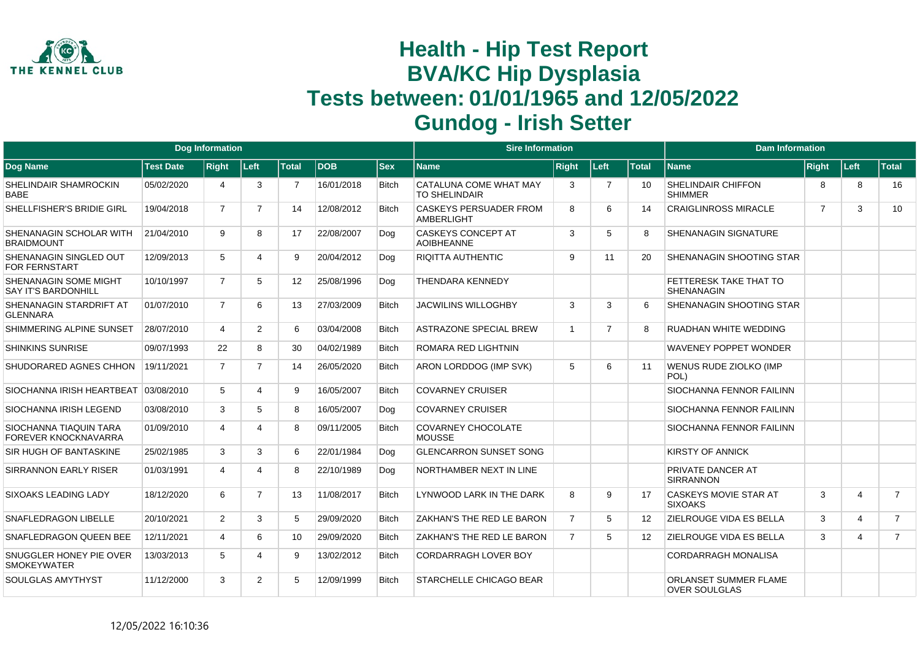

|                                                     |                  | <b>Dog Information</b> |                |                 |            |              | <b>Sire Information</b>                        |                          |                |              | <b>Dam Information</b>                               |                |                         |                |
|-----------------------------------------------------|------------------|------------------------|----------------|-----------------|------------|--------------|------------------------------------------------|--------------------------|----------------|--------------|------------------------------------------------------|----------------|-------------------------|----------------|
| Dog Name                                            | <b>Test Date</b> | <b>Right</b>           | Left           | <b>Total</b>    | <b>DOB</b> | <b>Sex</b>   | <b>Name</b>                                    | <b>Right</b>             | Left           | <b>Total</b> | <b>Name</b>                                          | <b>Right</b>   | Left                    | <b>Total</b>   |
| SHELINDAIR SHAMROCKIN<br><b>BABE</b>                | 05/02/2020       | 4                      | 3              | 7               | 16/01/2018 | <b>Bitch</b> | CATALUNA COME WHAT MAY<br><b>TO SHELINDAIR</b> | 3                        | $\overline{7}$ | 10           | <b>SHELINDAIR CHIFFON</b><br><b>SHIMMER</b>          | 8              | 8                       | 16             |
| SHELLFISHER'S BRIDIE GIRL                           | 19/04/2018       | $\overline{7}$         | $\overline{7}$ | 14              | 12/08/2012 | <b>Bitch</b> | <b>CASKEYS PERSUADER FROM</b><br>AMBERLIGHT    | 8                        | 6              | 14           | <b>CRAIGLINROSS MIRACLE</b>                          | $\overline{7}$ | 3                       | 10             |
| SHENANAGIN SCHOLAR WITH<br><b>BRAIDMOUNT</b>        | 21/04/2010       | 9                      | 8              | 17              | 22/08/2007 | Dog          | <b>CASKEYS CONCEPT AT</b><br><b>AOIBHEANNE</b> | 3                        | 5              | 8            | <b>SHENANAGIN SIGNATURE</b>                          |                |                         |                |
| SHENANAGIN SINGLED OUT<br><b>FOR FERNSTART</b>      | 12/09/2013       | 5                      | Δ              | 9               | 20/04/2012 | Dog          | <b>RIQITTA AUTHENTIC</b>                       | 9                        | 11             | 20           | <b>SHENANAGIN SHOOTING STAR</b>                      |                |                         |                |
| SHENANAGIN SOME MIGHT<br><b>SAY IT'S BARDONHILL</b> | 10/10/1997       | $\overline{7}$         | 5              | 12 <sup>2</sup> | 25/08/1996 | Dog          | <b>THENDARA KENNEDY</b>                        |                          |                |              | <b>FETTERESK TAKE THAT TO</b><br><b>SHENANAGIN</b>   |                |                         |                |
| SHENANAGIN STARDRIFT AT<br><b>GLENNARA</b>          | 01/07/2010       | $\overline{7}$         | 6              | 13              | 27/03/2009 | <b>Bitch</b> | <b>JACWILINS WILLOGHBY</b>                     | 3                        | 3              | 6            | <b>SHENANAGIN SHOOTING STAR</b>                      |                |                         |                |
| SHIMMERING ALPINE SUNSET                            | 28/07/2010       | 4                      | $\overline{2}$ | 6               | 03/04/2008 | <b>Bitch</b> | <b>ASTRAZONE SPECIAL BREW</b>                  | $\overline{\phantom{0}}$ | $\overline{7}$ | 8            | RUADHAN WHITE WEDDING                                |                |                         |                |
| <b>SHINKINS SUNRISE</b>                             | 09/07/1993       | 22                     | 8              | 30              | 04/02/1989 | <b>Bitch</b> | <b>ROMARA RED LIGHTNIN</b>                     |                          |                |              | <b>WAVENEY POPPET WONDER</b>                         |                |                         |                |
| SHUDORARED AGNES CHHON                              | 19/11/2021       | $\overline{7}$         | $\overline{7}$ | 14              | 26/05/2020 | <b>Bitch</b> | ARON LORDDOG (IMP SVK)                         | 5                        | 6              | 11           | <b>WENUS RUDE ZIOLKO (IMP</b><br>POL)                |                |                         |                |
| SIOCHANNA IRISH HEARTBEAT 03/08/2010                |                  | 5                      | Δ              | 9               | 16/05/2007 | <b>Bitch</b> | <b>COVARNEY CRUISER</b>                        |                          |                |              | <b>SIOCHANNA FENNOR FAILINN</b>                      |                |                         |                |
| SIOCHANNA IRISH LEGEND                              | 03/08/2010       | 3                      | 5              | 8               | 16/05/2007 | Dog          | <b>COVARNEY CRUISER</b>                        |                          |                |              | <b>SIOCHANNA FENNOR FAILINN</b>                      |                |                         |                |
| SIOCHANNA TIAQUIN TARA<br>FOREVER KNOCKNAVARRA      | 01/09/2010       | 4                      | Δ              | 8               | 09/11/2005 | <b>Bitch</b> | COVARNEY CHOCOLATE<br><b>MOUSSE</b>            |                          |                |              | <b>SIOCHANNA FENNOR FAILINN</b>                      |                |                         |                |
| SIR HUGH OF BANTASKINE                              | 25/02/1985       | 3                      | 3              | 6               | 22/01/1984 | Dog          | <b>GLENCARRON SUNSET SONG</b>                  |                          |                |              | <b>KIRSTY OF ANNICK</b>                              |                |                         |                |
| <b>SIRRANNON EARLY RISER</b>                        | 01/03/1991       | 4                      | Δ              | 8               | 22/10/1989 | Dog          | NORTHAMBER NEXT IN LINE                        |                          |                |              | <b>PRIVATE DANCER AT</b><br><b>SIRRANNON</b>         |                |                         |                |
| SIXOAKS LEADING LADY                                | 18/12/2020       | 6                      | $\overline{7}$ | 13              | 11/08/2017 | <b>Bitch</b> | LYNWOOD LARK IN THE DARK                       | 8                        | 9              | 17           | <b>CASKEYS MOVIE STAR AT</b><br><b>SIXOAKS</b>       | 3              | 4                       | $\overline{7}$ |
| SNAFLEDRAGON LIBELLE                                | 20/10/2021       | 2                      | 3              | 5               | 29/09/2020 | <b>Bitch</b> | ZAKHAN'S THE RED LE BARON                      | $\overline{7}$           | 5              | 12           | <b>ZIELROUGE VIDA ES BELLA</b>                       | 3              | $\overline{\mathbf{A}}$ | $\overline{7}$ |
| SNAFLEDRAGON QUEEN BEE                              | 12/11/2021       | $\overline{a}$         | 6              | 10              | 29/09/2020 | <b>Bitch</b> | ZAKHAN'S THE RED LE BARON                      | $\overline{7}$           | 5              | 12           | <b>ZIELROUGE VIDA ES BELLA</b>                       | 3              | 4                       | $\overline{7}$ |
| SNUGGLER HONEY PIE OVER<br><b>SMOKEYWATER</b>       | 13/03/2013       | 5                      | 4              | 9               | 13/02/2012 | <b>Bitch</b> | <b>CORDARRAGH LOVER BOY</b>                    |                          |                |              | <b>CORDARRAGH MONALISA</b>                           |                |                         |                |
| SOULGLAS AMYTHYST                                   | 11/12/2000       | 3                      | $\overline{2}$ | 5               | 12/09/1999 | <b>Bitch</b> | <b>STARCHELLE CHICAGO BEAR</b>                 |                          |                |              | <b>ORLANSET SUMMER FLAME</b><br><b>OVER SOULGLAS</b> |                |                         |                |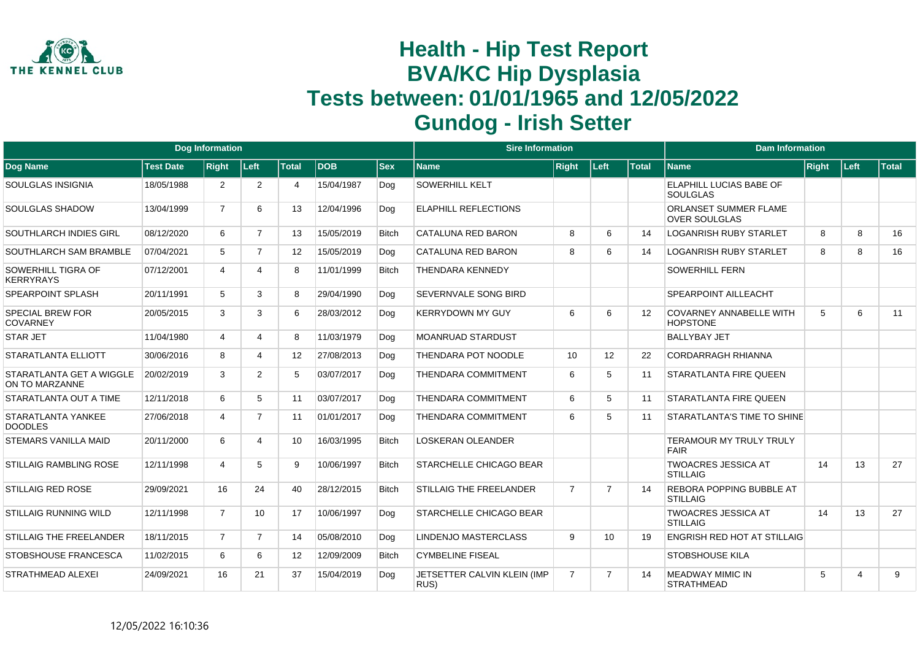

|                                            |                  | <b>Dog Information</b> |                |                 |            |              | <b>Sire Information</b>             |                |                |              | <b>Dam Information</b>                             |       |          |       |
|--------------------------------------------|------------------|------------------------|----------------|-----------------|------------|--------------|-------------------------------------|----------------|----------------|--------------|----------------------------------------------------|-------|----------|-------|
| Dog Name                                   | <b>Test Date</b> | <b>Right</b>           | Left           | <b>Total</b>    | <b>DOB</b> | <b>Sex</b>   | <b>Name</b>                         | <b>Right</b>   | Left           | <b>Total</b> | <b>Name</b>                                        | Right | ∣Left∶   | Total |
| SOULGLAS INSIGNIA                          | 18/05/1988       | 2                      | 2              | 4               | 15/04/1987 | Dog          | <b>SOWERHILL KELT</b>               |                |                |              | ELAPHILL LUCIAS BABE OF<br><b>SOULGLAS</b>         |       |          |       |
| <b>SOULGLAS SHADOW</b>                     | 13/04/1999       | $\overline{7}$         | 6              | 13              | 12/04/1996 | Dog          | <b>ELAPHILL REFLECTIONS</b>         |                |                |              | ORLANSET SUMMER FLAME<br><b>OVER SOULGLAS</b>      |       |          |       |
| SOUTHLARCH INDIES GIRL                     | 08/12/2020       | 6                      | $\overline{7}$ | 13              | 15/05/2019 | <b>Bitch</b> | <b>CATALUNA RED BARON</b>           | 8              | 6              | 14           | <b>LOGANRISH RUBY STARLET</b>                      | 8     | 8        | 16    |
| SOUTHLARCH SAM BRAMBLE                     | 07/04/2021       | 5                      | $\overline{7}$ | 12 <sup>°</sup> | 15/05/2019 | Dog          | CATALUNA RED BARON                  | 8              | 6              | 14           | <b>LOGANRISH RUBY STARLET</b>                      | 8     | 8        | 16    |
| SOWERHILL TIGRA OF<br><b>KERRYRAYS</b>     | 07/12/2001       | 4                      |                | 8               | 11/01/1999 | <b>Bitch</b> | <b>THENDARA KENNEDY</b>             |                |                |              | <b>SOWERHILL FERN</b>                              |       |          |       |
| SPEARPOINT SPLASH                          | 20/11/1991       | 5                      | 3              | 8               | 29/04/1990 | Dog          | SEVERNVALE SONG BIRD                |                |                |              | SPEARPOINT AILLEACHT                               |       |          |       |
| <b>SPECIAL BREW FOR</b><br><b>COVARNEY</b> | 20/05/2015       | 3                      | 3              | 6               | 28/03/2012 | Dog          | <b>KERRYDOWN MY GUY</b>             | 6              | 6              | 12           | <b>COVARNEY ANNABELLE WITH</b><br><b>HOPSTONE</b>  | 5     | 6        | 11    |
| <b>STAR JET</b>                            | 11/04/1980       | 4                      | 4              | 8               | 11/03/1979 | Dog          | <b>MOANRUAD STARDUST</b>            |                |                |              | <b>BALLYBAY JET</b>                                |       |          |       |
| STARATLANTA ELLIOTT                        | 30/06/2016       | 8                      | 4              | 12 <sup>°</sup> | 27/08/2013 | Dog          | THENDARA POT NOODLE                 | 10             | 12             | 22           | <b>CORDARRAGH RHIANNA</b>                          |       |          |       |
| STARATLANTA GET A WIGGLE<br>ON TO MARZANNE | 20/02/2019       | 3                      | $\overline{2}$ | 5               | 03/07/2017 | Dog          | THENDARA COMMITMENT                 | 6              | 5              | 11           | <b>STARATLANTA FIRE QUEEN</b>                      |       |          |       |
| STARATLANTA OUT A TIME                     | 12/11/2018       | 6                      | 5              | 11              | 03/07/2017 | Dog          | <b>THENDARA COMMITMENT</b>          | 6              | 5              | 11           | <b>STARATLANTA FIRE QUEEN</b>                      |       |          |       |
| STARATLANTA YANKEE<br><b>DOODLES</b>       | 27/06/2018       | 4                      | $\overline{7}$ | 11              | 01/01/2017 | Dog          | THENDARA COMMITMENT                 | 6              | 5              | 11           | STARATLANTA'S TIME TO SHINE                        |       |          |       |
| <b>STEMARS VANILLA MAID</b>                | 20/11/2000       | 6                      | 4              | 10 <sup>°</sup> | 16/03/1995 | <b>Bitch</b> | <b>LOSKERAN OLEANDER</b>            |                |                |              | <b>TERAMOUR MY TRULY TRULY</b><br><b>FAIR</b>      |       |          |       |
| STILLAIG RAMBLING ROSE                     | 12/11/1998       | 4                      | 5              | 9               | 10/06/1997 | <b>Bitch</b> | <b>STARCHELLE CHICAGO BEAR</b>      |                |                |              | <b>TWOACRES JESSICA AT</b><br><b>STILLAIG</b>      | 14    | 13       | 27    |
| <b>STILLAIG RED ROSE</b>                   | 29/09/2021       | 16                     | 24             | 40              | 28/12/2015 | <b>Bitch</b> | <b>STILLAIG THE FREELANDER</b>      | $\overline{7}$ | $\overline{7}$ | 14           | <b>REBORA POPPING BUBBLE AT</b><br><b>STILLAIG</b> |       |          |       |
| <b>STILLAIG RUNNING WILD</b>               | 12/11/1998       | $\overline{7}$         | 10             | 17              | 10/06/1997 | Dog          | <b>STARCHELLE CHICAGO BEAR</b>      |                |                |              | <b>TWOACRES JESSICA AT</b><br><b>STILLAIG</b>      | 14    | 13       | 27    |
| <b>STILLAIG THE FREELANDER</b>             | 18/11/2015       | $\overline{7}$         | $\overline{7}$ | 14              | 05/08/2010 | Dog          | <b>LINDENJO MASTERCLASS</b>         | 9              | 10             | 19           | <b>ENGRISH RED HOT AT STILLAIG</b>                 |       |          |       |
| STOBSHOUSE FRANCESCA                       | 11/02/2015       | 6                      | 6              | 12              | 12/09/2009 | <b>Bitch</b> | <b>CYMBELINE FISEAL</b>             |                |                |              | STOBSHOUSE KILA                                    |       |          |       |
| <b>STRATHMEAD ALEXEI</b>                   | 24/09/2021       | 16                     | 21             | 37              | 15/04/2019 | Dog          | JETSETTER CALVIN KLEIN (IMP<br>RUS) | $\overline{7}$ | $\overline{7}$ | 14           | <b>MEADWAY MIMIC IN</b><br><b>STRATHMEAD</b>       | 5     | $\Delta$ | 9     |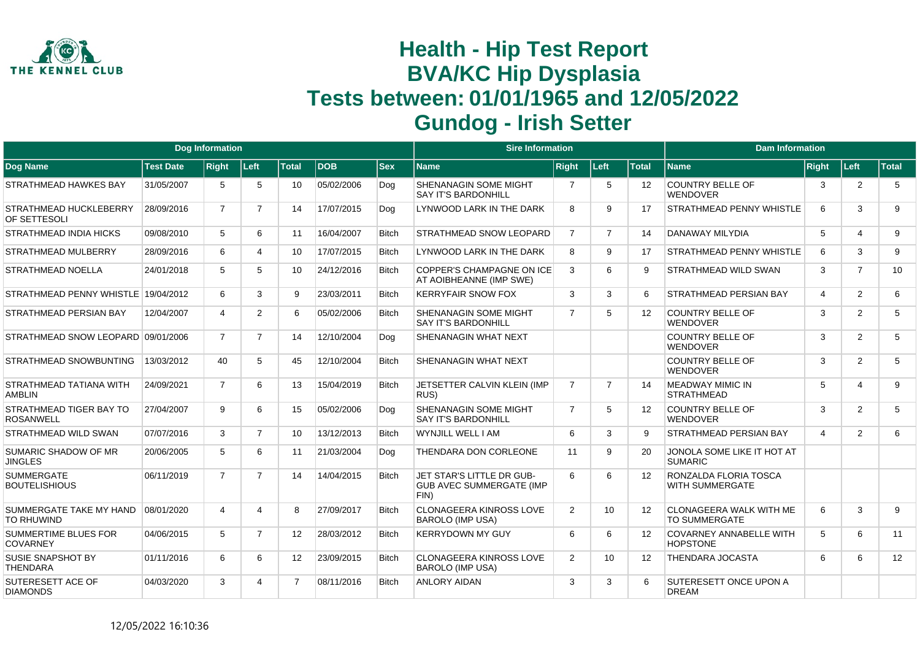

|                                              |                  | <b>Dog Information</b> |                |                |            |              | <b>Sire Information</b>                                               |                |                  |                   | <b>Dam Information</b>                                 |                |                |              |
|----------------------------------------------|------------------|------------------------|----------------|----------------|------------|--------------|-----------------------------------------------------------------------|----------------|------------------|-------------------|--------------------------------------------------------|----------------|----------------|--------------|
| Dog Name                                     | <b>Test Date</b> | <b>Right</b>           | Left           | <b>Total</b>   | <b>DOB</b> | <b>Sex</b>   | <b>Name</b>                                                           | <b>Right</b>   | Left             | <b>Total</b>      | <b>Name</b>                                            | <b>Right</b>   | Left           | <b>Total</b> |
| <b>STRATHMEAD HAWKES BAY</b>                 | 31/05/2007       | 5                      | 5              | 10             | 05/02/2006 | Dog          | <b>SHENANAGIN SOME MIGHT</b><br><b>SAY IT'S BARDONHILL</b>            | 7              | 5                | 12                | <b>COUNTRY BELLE OF</b><br><b>WENDOVER</b>             | 3              | $\overline{2}$ | 5            |
| STRATHMEAD HUCKLEBERRY<br>OF SETTESOLI       | 28/09/2016       | $\overline{7}$         | $\overline{7}$ | 14             | 17/07/2015 | Dog          | LYNWOOD LARK IN THE DARK                                              | 8              | 9                | 17                | <b>STRATHMEAD PENNY WHISTLE</b>                        | 6              | 3              | 9            |
| <b>STRATHMEAD INDIA HICKS</b>                | 09/08/2010       | 5                      | 6              | 11             | 16/04/2007 | <b>Bitch</b> | <b>STRATHMEAD SNOW LEOPARD</b>                                        | $\overline{7}$ | $\overline{7}$   | 14                | DANAWAY MILYDIA                                        | 5              | $\overline{4}$ | 9            |
| <b>STRATHMEAD MULBERRY</b>                   | 28/09/2016       | 6                      | 4              | 10             | 17/07/2015 | <b>Bitch</b> | LYNWOOD LARK IN THE DARK                                              | 8              | 9                | 17                | STRATHMEAD PENNY WHISTLE                               | 6              | 3              | 9            |
| STRATHMEAD NOELLA                            | 24/01/2018       | 5                      | 5              | 10             | 24/12/2016 | <b>Bitch</b> | <b>COPPER'S CHAMPAGNE ON ICE</b><br>AT AOIBHEANNE (IMP SWE)           | 3              | 6                | 9                 | <b>STRATHMEAD WILD SWAN</b>                            | 3              | $\overline{7}$ | 10           |
| STRATHMEAD PENNY WHISTLE 19/04/2012          |                  | 6                      | 3              | 9              | 23/03/2011 | <b>Bitch</b> | <b>KERRYFAIR SNOW FOX</b>                                             | 3              | 3                | 6                 | STRATHMEAD PERSIAN BAY                                 | $\overline{4}$ | 2              | 6            |
| <b>STRATHMEAD PERSIAN BAY</b>                | 12/04/2007       | 4                      | $\overline{2}$ | 6              | 05/02/2006 | Bitch        | <b>SHENANAGIN SOME MIGHT</b><br><b>SAY IT'S BARDONHILL</b>            | $\overline{7}$ | 5                | 12                | <b>COUNTRY BELLE OF</b><br><b>WENDOVER</b>             | 3              | 2              | 5            |
| STRATHMEAD SNOW LEOPARD 09/01/2006           |                  | $\overline{7}$         | $\overline{7}$ | 14             | 12/10/2004 | Dog          | <b>SHENANAGIN WHAT NEXT</b>                                           |                |                  |                   | <b>COUNTRY BELLE OF</b><br><b>WENDOVER</b>             | 3              | 2              | 5            |
| STRATHMEAD SNOWBUNTING                       | 13/03/2012       | 40                     | 5              | 45             | 12/10/2004 | <b>Bitch</b> | <b>SHENANAGIN WHAT NEXT</b>                                           |                |                  |                   | <b>COUNTRY BELLE OF</b><br><b>WENDOVER</b>             | 3              | 2              | 5            |
| STRATHMEAD TATIANA WITH<br><b>AMBLIN</b>     | 24/09/2021       | $\overline{7}$         | 6              | 13             | 15/04/2019 | <b>Bitch</b> | JETSETTER CALVIN KLEIN (IMP<br>RUS)                                   | $\overline{7}$ | $\overline{7}$   | 14                | <b>MEADWAY MIMIC IN</b><br><b>STRATHMEAD</b>           | 5              | $\overline{4}$ | 9            |
| STRATHMEAD TIGER BAY TO<br><b>ROSANWELL</b>  | 27/04/2007       | 9                      | 6              | 15             | 05/02/2006 | Dog          | SHENANAGIN SOME MIGHT<br><b>SAY IT'S BARDONHILL</b>                   | $\overline{7}$ | 5                | $12 \overline{ }$ | <b>COUNTRY BELLE OF</b><br>WENDOVER                    | 3              | 2              | 5            |
| STRATHMEAD WILD SWAN                         | 07/07/2016       | 3                      | $\overline{7}$ | 10             | 13/12/2013 | <b>Bitch</b> | WYNJILL WELL I AM                                                     | 6              | 3                | $\mathbf{Q}$      | STRATHMEAD PERSIAN BAY                                 | $\overline{4}$ | 2              | 6            |
| SUMARIC SHADOW OF MR<br><b>JINGLES</b>       | 20/06/2005       | 5                      | 6              | 11             | 21/03/2004 | Dog          | THENDARA DON CORLEONE                                                 | 11             | 9                | 20                | JONOLA SOME LIKE IT HOT AT<br><b>SUMARIC</b>           |                |                |              |
| <b>SUMMERGATE</b><br><b>BOUTELISHIOUS</b>    | 06/11/2019       | $\overline{7}$         | $\overline{7}$ | 14             | 14/04/2015 | <b>Bitch</b> | JET STAR'S LITTLE DR GUB-<br><b>GUB AVEC SUMMERGATE (IMP)</b><br>FIN) | 6              | 6                | 12                | RONZALDA FLORIA TOSCA<br>WITH SUMMERGATE               |                |                |              |
| SUMMERGATE TAKE MY HAND<br><b>TO RHUWIND</b> | 08/01/2020       | 4                      | 4              | 8              | 27/09/2017 | <b>Bitch</b> | <b>CLONAGEERA KINROSS LOVE</b><br><b>BAROLO (IMP USA)</b>             | 2              | 10               | 12                | <b>CLONAGEERA WALK WITH ME</b><br><b>TO SUMMERGATE</b> | 6              | 3              | 9            |
| SUMMERTIME BLUES FOR<br><b>COVARNEY</b>      | 04/06/2015       | 5                      | $\overline{7}$ | 12             | 28/03/2012 | <b>Bitch</b> | <b>KERRYDOWN MY GUY</b>                                               | 6              | 6                | 12                | <b>COVARNEY ANNABELLE WITH</b><br><b>HOPSTONE</b>      | 5              | 6              | 11           |
| <b>SUSIE SNAPSHOT BY</b><br><b>THENDARA</b>  | 01/11/2016       | 6                      | 6              | 12             | 23/09/2015 | <b>Bitch</b> | <b>CLONAGEERA KINROSS LOVE</b><br><b>BAROLO (IMP USA)</b>             | 2              | 10 <sup>10</sup> | 12                | THENDARA JOCASTA                                       | 6              | 6              | 12           |
| SUTERESETT ACE OF<br><b>DIAMONDS</b>         | 04/03/2020       | 3                      | 4              | $\overline{7}$ | 08/11/2016 | <b>Bitch</b> | <b>ANLORY AIDAN</b>                                                   | 3              | 3                | 6                 | SUTERESETT ONCE UPON A<br><b>DREAM</b>                 |                |                |              |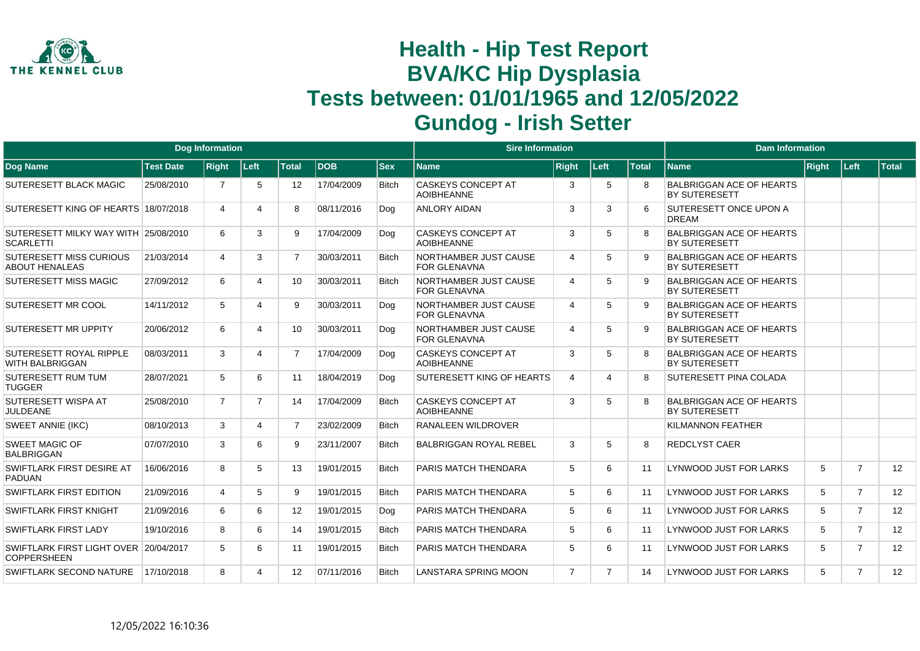

|                                                             |                  | Dog Information |                       |                   |            |              | <b>Sire Information</b>                        |                             |                |              | <b>Dam Information</b>                                  |       |                |       |
|-------------------------------------------------------------|------------------|-----------------|-----------------------|-------------------|------------|--------------|------------------------------------------------|-----------------------------|----------------|--------------|---------------------------------------------------------|-------|----------------|-------|
| Dog Name                                                    | <b>Test Date</b> | <b>Right</b>    | Left                  | <b>Total</b>      | <b>DOB</b> | $ $ Sex      | Name                                           | <b>Right</b>                | Left           | <b>Total</b> | <b>Name</b>                                             | Right | Left           | Total |
| <b>SUTERESETT BLACK MAGIC</b>                               | 25/08/2010       | $\overline{7}$  | 5                     | $12 \overline{ }$ | 17/04/2009 | <b>Bitch</b> | <b>CASKEYS CONCEPT AT</b><br><b>AOIBHEANNE</b> | 3                           | 5              | <sub>8</sub> | <b>BALBRIGGAN ACE OF HEARTS</b><br><b>BY SUTERESETT</b> |       |                |       |
| SUTERESETT KING OF HEARTS 18/07/2018                        |                  | 4               | 4                     | 8                 | 08/11/2016 | Doa          | <b>ANLORY AIDAN</b>                            | 3                           | 3              |              | SUTERESETT ONCE UPON A<br><b>DREAM</b>                  |       |                |       |
| SUTERESETT MILKY WAY WITH 25/08/2010<br><b>SCARLETTI</b>    |                  | 6               | 3                     | 9                 | 17/04/2009 | Dog          | <b>CASKEYS CONCEPT AT</b><br><b>AOIBHEANNE</b> | 3                           | 5              |              | <b>BALBRIGGAN ACE OF HEARTS</b><br><b>BY SUTERESETT</b> |       |                |       |
| SUTERESETT MISS CURIOUS<br><b>ABOUT HENALEAS</b>            | 21/03/2014       | 4               | 3                     | $\overline{7}$    | 30/03/2011 | <b>Bitch</b> | NORTHAMBER JUST CAUSE<br><b>FOR GLENAVNA</b>   | $\overline{4}$              | 5              | 9            | <b>BALBRIGGAN ACE OF HEARTS</b><br><b>BY SUTERESETT</b> |       |                |       |
| <b>SUTERESETT MISS MAGIC</b>                                | 27/09/2012       | 6               | 4                     | 10                | 30/03/2011 | <b>Bitch</b> | NORTHAMBER JUST CAUSE<br><b>FOR GLENAVNA</b>   | $\boldsymbol{\vartriangle}$ | 5              | <b>q</b>     | <b>BALBRIGGAN ACE OF HEARTS</b><br>BY SUTERESETT        |       |                |       |
| SUTERESETT MR COOL                                          | 14/11/2012       | 5               | $\boldsymbol{\Delta}$ | 9                 | 30/03/2011 | Dog          | NORTHAMBER JUST CAUSE<br><b>FOR GLENAVNA</b>   | $\overline{4}$              | 5              | 9            | <b>BALBRIGGAN ACE OF HEARTS</b><br><b>BY SUTERESETT</b> |       |                |       |
| <b>SUTERESETT MR UPPITY</b>                                 | 20/06/2012       | 6               | 4                     | 10                | 30/03/2011 | Dog          | NORTHAMBER JUST CAUSE<br><b>FOR GLENAVNA</b>   | $\boldsymbol{\vartriangle}$ | 5              | <b>q</b>     | <b>BALBRIGGAN ACE OF HEARTS</b><br><b>BY SUTERESETT</b> |       |                |       |
| SUTERESETT ROYAL RIPPLE<br><b>WITH BALBRIGGAN</b>           | 08/03/2011       | 3               | $\boldsymbol{\Delta}$ | $\overline{7}$    | 17/04/2009 | Dog          | <b>CASKEYS CONCEPT AT</b><br><b>AOIBHEANNE</b> | 3                           | 5              | 8            | <b>BALBRIGGAN ACE OF HEARTS</b><br><b>BY SUTERESETT</b> |       |                |       |
| <b>SUTERESETT RUM TUM</b><br><b>TUGGER</b>                  | 28/07/2021       | 5               | 6                     | 11                | 18/04/2019 | Dog          | <b>SUTERESETT KING OF HEARTS</b>               | $\boldsymbol{\vartriangle}$ | Δ              | <sub>8</sub> | SUTERESETT PINA COLADA                                  |       |                |       |
| SUTERESETT WISPA AT<br><b>JULDEANE</b>                      | 25/08/2010       | $\overline{7}$  | $\overline{7}$        | 14                | 17/04/2009 | <b>Bitch</b> | <b>CASKEYS CONCEPT AT</b><br><b>AOIBHEANNE</b> | 3                           | 5              | 8            | <b>BALBRIGGAN ACE OF HEARTS</b><br><b>BY SUTERESETT</b> |       |                |       |
| <b>SWEET ANNIE (IKC)</b>                                    | 08/10/2013       | 3               | 4                     | $\overline{7}$    | 23/02/2009 | <b>Bitch</b> | <b>RANALEEN WILDROVER</b>                      |                             |                |              | KILMANNON FEATHER                                       |       |                |       |
| <b>SWEET MAGIC OF</b><br><b>BALBRIGGAN</b>                  | 07/07/2010       | 3               | 6                     | 9                 | 23/11/2007 | <b>Bitch</b> | <b>BALBRIGGAN ROYAL REBEL</b>                  | 3                           | 5              | 8            | <b>REDCLYST CAER</b>                                    |       |                |       |
| SWIFTLARK FIRST DESIRE AT<br><b>PADUAN</b>                  | 16/06/2016       | 8               | 5                     | 13                | 19/01/2015 | <b>Bitch</b> | PARIS MATCH THENDARA                           | 5                           | 6              | 11           | LYNWOOD JUST FOR LARKS                                  | 5     | $\overline{7}$ | 12    |
| <b>SWIFTLARK FIRST EDITION</b>                              | 21/09/2016       | $\overline{4}$  | 5                     | 9                 | 19/01/2015 | <b>Bitch</b> | PARIS MATCH THENDARA                           | 5                           | 6              | 11           | LYNWOOD JUST FOR LARKS                                  | 5     | $\overline{7}$ | 12    |
| <b>SWIFTLARK FIRST KNIGHT</b>                               | 21/09/2016       | 6               | 6                     | 12                | 19/01/2015 | Dog          | PARIS MATCH THENDARA                           | 5                           | 6              | 11           | LYNWOOD JUST FOR LARKS                                  | 5     | $\overline{7}$ | 12    |
| SWIFTLARK FIRST LADY                                        | 19/10/2016       | 8               | 6                     | 14                | 19/01/2015 | <b>Bitch</b> | PARIS MATCH THENDARA                           | 5                           | 6              | 11           | <b>LYNWOOD JUST FOR LARKS</b>                           | 5     | $\overline{7}$ | 12    |
| SWIFTLARK FIRST LIGHT OVER 20/04/2017<br><b>COPPERSHEEN</b> |                  | 5               | 6                     | 11                | 19/01/2015 | <b>Bitch</b> | PARIS MATCH THENDARA                           | 5                           | 6              | 11           | <b>LYNWOOD JUST FOR LARKS</b>                           | 5     | $\overline{7}$ | 12    |
| SWIFTLARK SECOND NATURE                                     | 17/10/2018       | 8               | $\Delta$              | $12 \overline{ }$ | 07/11/2016 | <b>Bitch</b> | LANSTARA SPRING MOON                           | $\overline{7}$              | $\overline{7}$ | 14           | LYNWOOD JUST FOR LARKS                                  | 5     | $\overline{7}$ | 12    |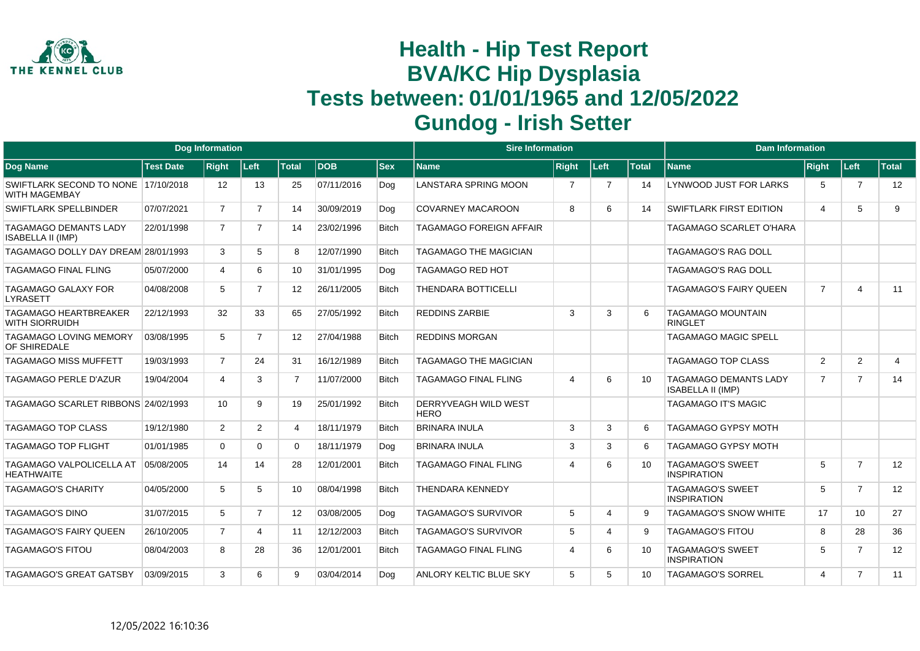

|                                                       |                  | <b>Dog Information</b> |                |                   |            |              | <b>Sire Information</b>             |                |                |              | <b>Dam Information</b>                                   |                         |                       |                |
|-------------------------------------------------------|------------------|------------------------|----------------|-------------------|------------|--------------|-------------------------------------|----------------|----------------|--------------|----------------------------------------------------------|-------------------------|-----------------------|----------------|
| <b>Dog Name</b>                                       | <b>Test Date</b> | <b>Right</b>           | Left           | <b>Total</b>      | <b>DOB</b> | <b>Sex</b>   | Name                                | <b>Right</b>   | Left           | <b>Total</b> | <b>Name</b>                                              | Right                   | │Left⊹                | <b>Total</b>   |
| SWIFTLARK SECOND TO NONE 17/10/2018<br>WITH MAGEMBAY  |                  | 12                     | 13             | 25                | 07/11/2016 | Dog          | <b>LANSTARA SPRING MOON</b>         | 7              | $\overline{7}$ | 14           | LYNWOOD JUST FOR LARKS                                   | 5                       | $\overline{7}$        | 12             |
| SWIFTLARK SPELLBINDER                                 | 07/07/2021       | $\overline{7}$         | $\overline{7}$ | 14                | 30/09/2019 | Dog          | <b>COVARNEY MACAROON</b>            | 8              | 6              | 14           | <b>SWIFTLARK FIRST EDITION</b>                           | $\overline{\mathbf{4}}$ | 5                     | 9              |
| TAGAMAGO DEMANTS LADY<br><b>ISABELLA II (IMP)</b>     | 22/01/1998       | $\overline{7}$         | 7              | 14                | 23/02/1996 | <b>Bitch</b> | TAGAMAGO FOREIGN AFFAIR             |                |                |              | <b>TAGAMAGO SCARLET O'HARA</b>                           |                         |                       |                |
| TAGAMAGO DOLLY DAY DREAM 28/01/1993                   |                  | 3                      | 5              | 8                 | 12/07/1990 | <b>Bitch</b> | <b>TAGAMAGO THE MAGICIAN</b>        |                |                |              | <b>TAGAMAGO'S RAG DOLL</b>                               |                         |                       |                |
| <b>TAGAMAGO FINAL FLING</b>                           | 05/07/2000       | 4                      | 6              | 10 <sup>°</sup>   | 31/01/1995 | Dog          | <b>TAGAMAGO RED HOT</b>             |                |                |              | <b>TAGAMAGO'S RAG DOLL</b>                               |                         |                       |                |
| <b>TAGAMAGO GALAXY FOR</b><br>LYRASETT                | 04/08/2008       | 5                      | $\overline{7}$ | $12 \overline{ }$ | 26/11/2005 | <b>Bitch</b> | <b>THENDARA BOTTICELLI</b>          |                |                |              | <b>TAGAMAGO'S FAIRY QUEEN</b>                            | $\overline{7}$          | $\boldsymbol{\Delta}$ | 11             |
| <b>TAGAMAGO HEARTBREAKER</b><br><b>WITH SIORRUIDH</b> | 22/12/1993       | 32                     | 33             | 65                | 27/05/1992 | <b>Bitch</b> | <b>REDDINS ZARBIE</b>               | 3              | 3              | 6            | <b>TAGAMAGO MOUNTAIN</b><br><b>RINGLET</b>               |                         |                       |                |
| <b>TAGAMAGO LOVING MEMORY</b><br>OF SHIREDALE         | 03/08/1995       | 5                      | $\overline{7}$ | 12                | 27/04/1988 | <b>Bitch</b> | <b>REDDINS MORGAN</b>               |                |                |              | <b>TAGAMAGO MAGIC SPELL</b>                              |                         |                       |                |
| <b>TAGAMAGO MISS MUFFETT</b>                          | 19/03/1993       | $\overline{7}$         | 24             | 31                | 16/12/1989 | <b>Bitch</b> | <b>TAGAMAGO THE MAGICIAN</b>        |                |                |              | TAGAMAGO TOP CLASS                                       | 2                       | $\overline{2}$        | $\overline{4}$ |
| <b>TAGAMAGO PERLE D'AZUR</b>                          | 19/04/2004       | 4                      | 3              | $\overline{7}$    | 11/07/2000 | <b>Bitch</b> | <b>TAGAMAGO FINAL FLING</b>         | $\overline{4}$ | 6              | 10           | <b>TAGAMAGO DEMANTS LADY</b><br><b>ISABELLA II (IMP)</b> | $\overline{7}$          | $\overline{7}$        | 14             |
| TAGAMAGO SCARLET RIBBONS 24/02/1993                   |                  | 10                     | 9              | 19                | 25/01/1992 | <b>Bitch</b> | DERRYVEAGH WILD WEST<br><b>HERO</b> |                |                |              | <b>TAGAMAGO IT'S MAGIC</b>                               |                         |                       |                |
| TAGAMAGO TOP CLASS                                    | 19/12/1980       | $\overline{2}$         | $\overline{2}$ | 4                 | 18/11/1979 | <b>Bitch</b> | <b>BRINARA INULA</b>                | 3              | 3              | 6            | <b>TAGAMAGO GYPSY MOTH</b>                               |                         |                       |                |
| <b>TAGAMAGO TOP FLIGHT</b>                            | 01/01/1985       | $\Omega$               | $\Omega$       | $\Omega$          | 18/11/1979 | Dog          | <b>BRINARA INULA</b>                | 3              | 3              | 6            | <b>TAGAMAGO GYPSY MOTH</b>                               |                         |                       |                |
| <b>TAGAMAGO VALPOLICELLA AT</b><br><b>HEATHWAITE</b>  | 05/08/2005       | 14                     | 14             | 28                | 12/01/2001 | <b>Bitch</b> | <b>TAGAMAGO FINAL FLING</b>         | 4              | 6              | 10           | <b>TAGAMAGO'S SWEET</b><br><b>INSPIRATION</b>            | 5                       | $\overline{7}$        | 12             |
| TAGAMAGO'S CHARITY                                    | 04/05/2000       | 5                      | 5              | 10                | 08/04/1998 | <b>Bitch</b> | <b>THENDARA KENNEDY</b>             |                |                |              | <b>TAGAMAGO'S SWEET</b><br><b>INSPIRATION</b>            | 5                       | $\overline{7}$        | 12             |
| <b>TAGAMAGO'S DINO</b>                                | 31/07/2015       | 5                      | $\overline{7}$ | 12                | 03/08/2005 | Dog          | <b>TAGAMAGO'S SURVIVOR</b>          | 5              | Δ              | 9            | <b>TAGAMAGO'S SNOW WHITE</b>                             | 17                      | 10                    | 27             |
| TAGAMAGO'S FAIRY QUEEN                                | 26/10/2005       | $\overline{7}$         | 4              | 11                | 12/12/2003 | <b>Bitch</b> | <b>TAGAMAGO'S SURVIVOR</b>          | 5              | Δ              | 9            | <b>TAGAMAGO'S FITOU</b>                                  | 8                       | 28                    | 36             |
| <b>TAGAMAGO'S FITOU</b>                               | 08/04/2003       | 8                      | 28             | 36                | 12/01/2001 | <b>Bitch</b> | <b>TAGAMAGO FINAL FLING</b>         | $\overline{4}$ | 6              | 10           | <b>TAGAMAGO'S SWEET</b><br><b>INSPIRATION</b>            | 5                       | $\overline{7}$        | 12             |
| TAGAMAGO'S GREAT GATSBY                               | 03/09/2015       | 3                      | 6              | 9                 | 03/04/2014 | Dog          | ANLORY KELTIC BLUE SKY              | 5              | 5              | 10           | <b>TAGAMAGO'S SORREL</b>                                 | $\overline{\mathbf{4}}$ | $\overline{7}$        | 11             |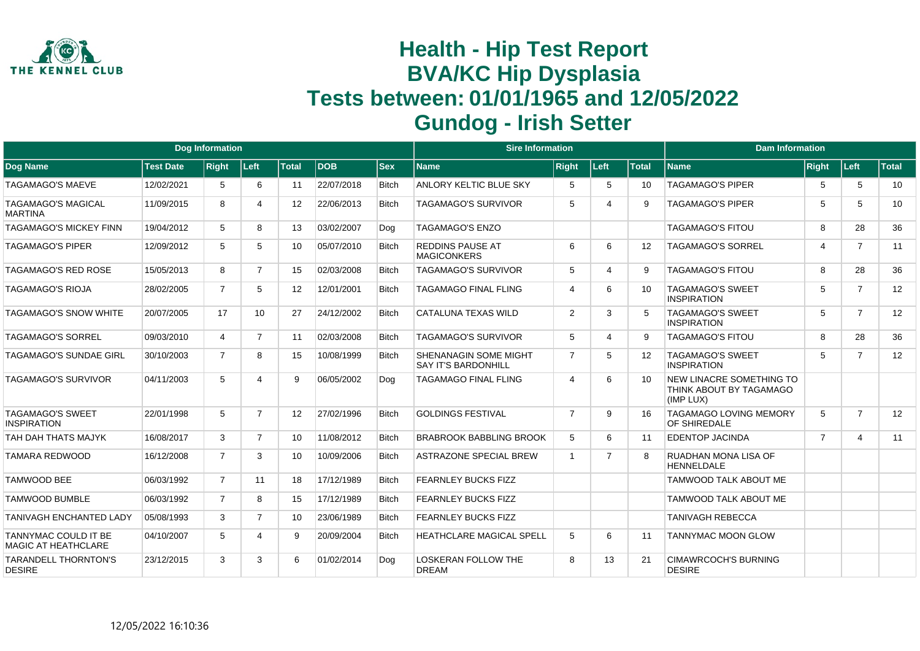

|                                                    |                  | <b>Dog Information</b> |                |              |             |              | <b>Sire Information</b>                             |                          |                |              | <b>Dam Information</b>                                                  |                |                |              |
|----------------------------------------------------|------------------|------------------------|----------------|--------------|-------------|--------------|-----------------------------------------------------|--------------------------|----------------|--------------|-------------------------------------------------------------------------|----------------|----------------|--------------|
| Dog Name                                           | <b>Test Date</b> | <b>Right</b>           | Left           | <b>Total</b> | <b>IDOB</b> | <b>Sex</b>   | <b>Name</b>                                         | <b>Right</b>             | Left           | <b>Total</b> | <b>Name</b>                                                             | Right          | Left           | <b>Total</b> |
| TAGAMAGO'S MAEVE                                   | 12/02/2021       | 5                      | 6              | 11           | 22/07/2018  | <b>Bitch</b> | ANLORY KELTIC BLUE SKY                              | 5                        | 5              | 10           | <b>TAGAMAGO'S PIPER</b>                                                 | 5              | 5              | 10           |
| <b>TAGAMAGO'S MAGICAL</b><br><b>MARTINA</b>        | 11/09/2015       | 8                      | 4              | 12           | 22/06/2013  | <b>Bitch</b> | <b>TAGAMAGO'S SURVIVOR</b>                          | 5                        | Δ              | 9            | <b>TAGAMAGO'S PIPER</b>                                                 | 5              | 5              | 10           |
| TAGAMAGO'S MICKEY FINN                             | 19/04/2012       | 5                      | 8              | 13           | 03/02/2007  | Dog          | <b>TAGAMAGO'S ENZO</b>                              |                          |                |              | <b>TAGAMAGO'S FITOU</b>                                                 | 8              | 28             | 36           |
| <b>TAGAMAGO'S PIPER</b>                            | 12/09/2012       | 5                      | 5              | 10           | 05/07/2010  | <b>Bitch</b> | <b>REDDINS PAUSE AT</b><br><b>MAGICONKERS</b>       | 6                        | 6              | 12           | <b>TAGAMAGO'S SORREL</b>                                                | 4              | $\overline{7}$ | 11           |
| <b>TAGAMAGO'S RED ROSE</b>                         | 15/05/2013       | 8                      | $\overline{7}$ | 15           | 02/03/2008  | <b>Bitch</b> | <b>TAGAMAGO'S SURVIVOR</b>                          | 5                        | Δ              | 9            | <b>TAGAMAGO'S FITOU</b>                                                 | 8              | 28             | 36           |
| <b>TAGAMAGO'S RIOJA</b>                            | 28/02/2005       | $\overline{7}$         | 5              | 12           | 12/01/2001  | <b>Bitch</b> | <b>TAGAMAGO FINAL FLING</b>                         | $\boldsymbol{\varDelta}$ | 6              | 10           | <b>TAGAMAGO'S SWEET</b><br><b>INSPIRATION</b>                           | 5              | $\overline{7}$ | 12           |
| TAGAMAGO'S SNOW WHITE                              | 20/07/2005       | 17                     | 10             | 27           | 24/12/2002  | <b>Bitch</b> | CATALUNA TEXAS WILD                                 | $\overline{2}$           | 3              | 5            | <b>TAGAMAGO'S SWEET</b><br><b>INSPIRATION</b>                           | 5              | $\overline{7}$ | 12           |
| <b>TAGAMAGO'S SORREL</b>                           | 09/03/2010       | 4                      | $\overline{7}$ | 11           | 02/03/2008  | <b>Bitch</b> | <b>TAGAMAGO'S SURVIVOR</b>                          | 5                        | Δ              | 9            | <b>TAGAMAGO'S FITOU</b>                                                 | 8              | 28             | 36           |
| TAGAMAGO'S SUNDAE GIRL                             | 30/10/2003       | $\overline{7}$         | 8              | 15           | 10/08/1999  | <b>Bitch</b> | SHENANAGIN SOME MIGHT<br><b>SAY IT'S BARDONHILL</b> | $\overline{7}$           | 5              | 12           | <b>TAGAMAGO'S SWEET</b><br><b>INSPIRATION</b>                           | 5              | $\overline{7}$ | 12           |
| <b>TAGAMAGO'S SURVIVOR</b>                         | 04/11/2003       | 5                      | Δ              | 9            | 06/05/2002  | Dog          | <b>TAGAMAGO FINAL FLING</b>                         | $\overline{4}$           | 6              | 10           | <b>NEW LINACRE SOMETHING TO</b><br>THINK ABOUT BY TAGAMAGO<br>(IMP LUX) |                |                |              |
| <b>TAGAMAGO'S SWEET</b><br><b>INSPIRATION</b>      | 22/01/1998       | 5                      | $\overline{7}$ | 12           | 27/02/1996  | <b>Bitch</b> | <b>GOLDINGS FESTIVAL</b>                            | $\overline{7}$           | 9              | 16           | <b>TAGAMAGO LOVING MEMORY</b><br>OF SHIREDALE                           | 5              | $\overline{7}$ | 12           |
| TAH DAH THATS MAJYK                                | 16/08/2017       | 3                      | $\overline{7}$ | 10           | 11/08/2012  | <b>Bitch</b> | <b>BRABROOK BABBLING BROOK</b>                      | 5                        | 6              | 11           | <b>EDENTOP JACINDA</b>                                                  | $\overline{7}$ | $\overline{4}$ | 11           |
| <b>TAMARA REDWOOD</b>                              | 16/12/2008       | $\overline{7}$         | 3              | 10           | 10/09/2006  | <b>Bitch</b> | <b>ASTRAZONE SPECIAL BREW</b>                       | $\overline{1}$           | $\overline{7}$ | 8            | RUADHAN MONA LISA OF<br><b>HENNELDALE</b>                               |                |                |              |
| <b>TAMWOOD BEE</b>                                 | 06/03/1992       | $\overline{7}$         | 11             | 18           | 17/12/1989  | <b>Bitch</b> | <b>FEARNLEY BUCKS FIZZ</b>                          |                          |                |              | <b>TAMWOOD TALK ABOUT ME</b>                                            |                |                |              |
| <b>TAMWOOD BUMBLE</b>                              | 06/03/1992       | $\overline{7}$         | 8              | 15           | 17/12/1989  | <b>Bitch</b> | <b>FEARNLEY BUCKS FIZZ</b>                          |                          |                |              | TAMWOOD TALK ABOUT ME                                                   |                |                |              |
| <b>TANIVAGH ENCHANTED LADY</b>                     | 05/08/1993       | 3                      | $\overline{7}$ | 10           | 23/06/1989  | <b>Bitch</b> | <b>FEARNLEY BUCKS FIZZ</b>                          |                          |                |              | <b>TANIVAGH REBECCA</b>                                                 |                |                |              |
| TANNYMAC COULD IT BE<br><b>MAGIC AT HEATHCLARE</b> | 04/10/2007       | 5                      | 4              | 9            | 20/09/2004  | <b>Bitch</b> | <b>HEATHCLARE MAGICAL SPELL</b>                     | 5                        | 6              | 11           | <b>TANNYMAC MOON GLOW</b>                                               |                |                |              |
| <b>TARANDELL THORNTON'S</b><br><b>DESIRE</b>       | 23/12/2015       | 3                      | 3              | 6            | 01/02/2014  | Dog          | <b>LOSKERAN FOLLOW THE</b><br><b>DREAM</b>          | 8                        | 13             | 21           | <b>CIMAWRCOCH'S BURNING</b><br><b>DESIRE</b>                            |                |                |              |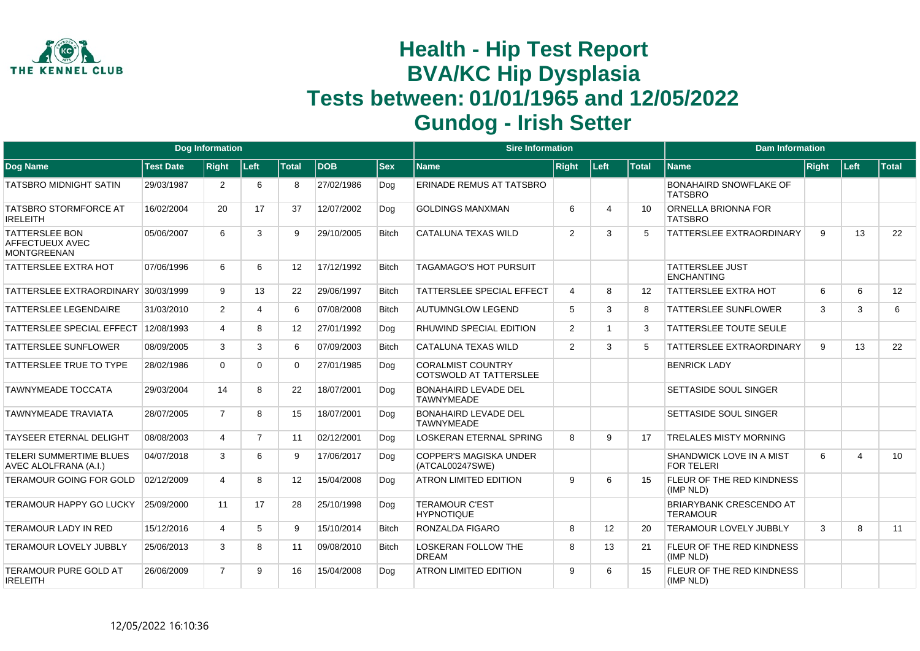

|                                                                |                  | <b>Dog Information</b> |                |                   |            |              | <b>Sire Information</b>                                   |                |      |              | <b>Dam Information</b>                            |              |      |              |
|----------------------------------------------------------------|------------------|------------------------|----------------|-------------------|------------|--------------|-----------------------------------------------------------|----------------|------|--------------|---------------------------------------------------|--------------|------|--------------|
| Dog Name                                                       | <b>Test Date</b> | <b>Right</b>           | Left           | <b>Total</b>      | <b>DOB</b> | $ $ Sex      | <b>Name</b>                                               | <b>Right</b>   | Left | <b>Total</b> | <b>Name</b>                                       | <b>Right</b> | Left | <b>Total</b> |
| <b>TATSBRO MIDNIGHT SATIN</b>                                  | 29/03/1987       | $\overline{2}$         | 6              | 8                 | 27/02/1986 | Dog          | ERINADE REMUS AT TATSBRO                                  |                |      |              | <b>BONAHAIRD SNOWFLAKE OF</b><br><b>TATSBRO</b>   |              |      |              |
| <b>TATSBRO STORMFORCE AT</b><br><b>IRELEITH</b>                | 16/02/2004       | 20                     | 17             | 37                | 12/07/2002 | Dog          | <b>GOLDINGS MANXMAN</b>                                   | 6              | Δ    | 10           | ORNELLA BRIONNA FOR<br><b>TATSBRO</b>             |              |      |              |
| <b>TATTERSLEE BON</b><br>AFFECTUEUX AVEC<br><b>MONTGREENAN</b> | 05/06/2007       | 6                      | 3              | 9                 | 29/10/2005 | <b>Bitch</b> | <b>CATALUNA TEXAS WILD</b>                                | $\overline{2}$ | 3    |              | TATTERSLEE EXTRAORDINARY                          | 9            | 13   | 22           |
| <b>TATTERSLEE EXTRA HOT</b>                                    | 07/06/1996       | 6                      | 6              | 12                | 17/12/1992 | <b>Bitch</b> | <b>TAGAMAGO'S HOT PURSUIT</b>                             |                |      |              | <b>TATTERSLEE JUST</b><br><b>ENCHANTING</b>       |              |      |              |
| TATTERSLEE EXTRAORDINARY 30/03/1999                            |                  | 9                      | 13             | 22                | 29/06/1997 | <b>Bitch</b> | <b>TATTERSLEE SPECIAL EFFECT</b>                          | 4              | 8    | 12           | <b>TATTERSLEE EXTRA HOT</b>                       | 6            | 6    | 12           |
| TATTERSLEE LEGENDAIRE                                          | 31/03/2010       | $\overline{2}$         | 4              | 6                 | 07/08/2008 | <b>Bitch</b> | <b>AUTUMNGLOW LEGEND</b>                                  | 5              | 3    | 8            | <b>TATTERSLEE SUNFLOWER</b>                       | 3            | 3    | 6            |
| <b>TATTERSLEE SPECIAL EFFECT</b>                               | 12/08/1993       | $\overline{4}$         | 8              | 12                | 27/01/1992 | Dog          | <b>RHUWIND SPECIAL EDITION</b>                            | $\overline{2}$ |      | 3            | <b>TATTERSLEE TOUTE SEULE</b>                     |              |      |              |
| TATTERSLEE SUNFLOWER                                           | 08/09/2005       | 3                      | 3              | 6                 | 07/09/2003 | <b>Bitch</b> | CATALUNA TEXAS WILD                                       | $\overline{2}$ | 3    | 5            | <b>TATTERSLEE EXTRAORDINARY</b>                   | 9            | 13   | 22           |
| TATTERSLEE TRUE TO TYPE                                        | 28/02/1986       | $\Omega$               | 0              | $\Omega$          | 27/01/1985 | Dog          | <b>CORALMIST COUNTRY</b><br><b>COTSWOLD AT TATTERSLEE</b> |                |      |              | <b>BENRICK LADY</b>                               |              |      |              |
| TAWNYMEADE TOCCATA                                             | 29/03/2004       | 14                     | 8              | 22                | 18/07/2001 | Dog          | <b>BONAHAIRD LEVADE DEL</b><br><b>TAWNYMEADE</b>          |                |      |              | <b>SETTASIDE SOUL SINGER</b>                      |              |      |              |
| <b>TAWNYMEADE TRAVIATA</b>                                     | 28/07/2005       | $\overline{7}$         | 8              | 15                | 18/07/2001 | Dog          | <b>BONAHAIRD LEVADE DEL</b><br><b>TAWNYMEADE</b>          |                |      |              | <b>SETTASIDE SOUL SINGER</b>                      |              |      |              |
| <b>TAYSEER ETERNAL DELIGHT</b>                                 | 08/08/2003       | 4                      | $\overline{7}$ | 11                | 02/12/2001 | Dog          | <b>LOSKERAN ETERNAL SPRING</b>                            | 8              | 9    | 17           | <b>TRELALES MISTY MORNING</b>                     |              |      |              |
| <b>TELERI SUMMERTIME BLUES</b><br>AVEC ALOLFRANA (A.I.)        | 04/07/2018       | 3                      | 6              | 9                 | 17/06/2017 | Dog          | COPPER'S MAGISKA UNDER<br>(ATCAL00247SWE)                 |                |      |              | SHANDWICK LOVE IN A MIST<br><b>FOR TELERI</b>     | 6            | 4    | 10           |
| <b>TERAMOUR GOING FOR GOLD</b>                                 | 02/12/2009       | 4                      | 8              | $12 \overline{ }$ | 15/04/2008 | Dog          | <b>ATRON LIMITED EDITION</b>                              | 9              | 6    | 15           | FLEUR OF THE RED KINDNESS<br>(IMP NLD)            |              |      |              |
| TERAMOUR HAPPY GO LUCKY                                        | 25/09/2000       | 11                     | 17             | 28                | 25/10/1998 | Dog          | <b>TERAMOUR C'EST</b><br><b>HYPNOTIQUE</b>                |                |      |              | <b>BRIARYBANK CRESCENDO AT</b><br><b>TERAMOUR</b> |              |      |              |
| <b>TERAMOUR LADY IN RED</b>                                    | 15/12/2016       | 4                      | 5              | 9                 | 15/10/2014 | <b>Bitch</b> | <b>RONZALDA FIGARO</b>                                    | 8              | 12   | 20           | <b>TERAMOUR LOVELY JUBBLY</b>                     | 3            | 8    | 11           |
| TERAMOUR LOVELY JUBBLY                                         | 25/06/2013       | 3                      | 8              | 11                | 09/08/2010 | <b>Bitch</b> | <b>LOSKERAN FOLLOW THE</b><br><b>DREAM</b>                | 8              | 13   | 21           | FLEUR OF THE RED KINDNESS<br>(IMP NLD)            |              |      |              |
| TERAMOUR PURE GOLD AT<br><b>IRELEITH</b>                       | 26/06/2009       | $\overline{7}$         | 9              | 16                | 15/04/2008 | Dog          | <b>ATRON LIMITED EDITION</b>                              | 9              | 6    | 15           | FLEUR OF THE RED KINDNESS<br>(IMP NLD)            |              |      |              |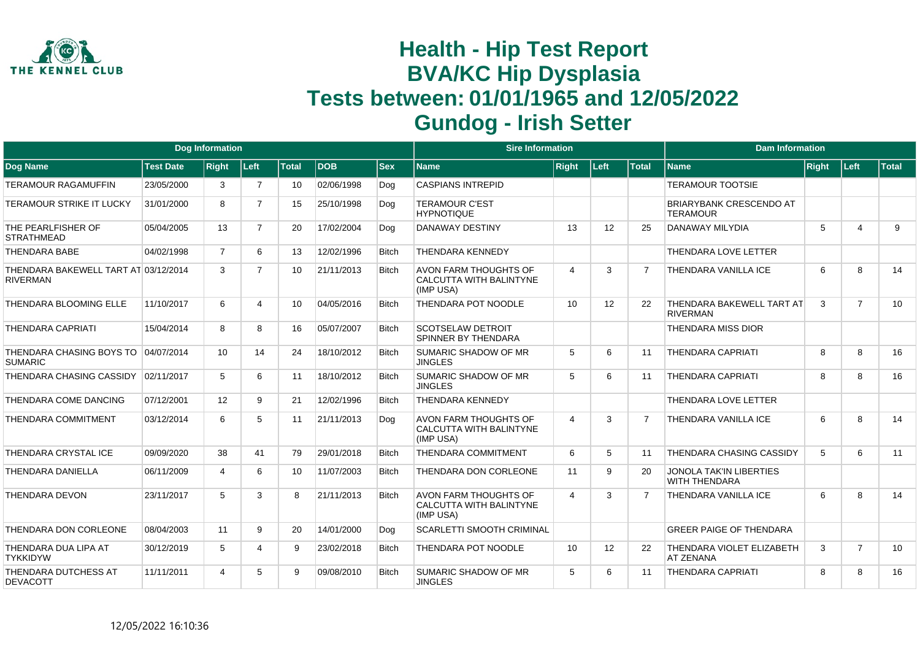

|                                                         |                  | <b>Dog Information</b> |                |              |             |              | <b>Sire Information</b>                                              |                |      |                | <b>Dam Information</b>                                 |              |                       |                 |
|---------------------------------------------------------|------------------|------------------------|----------------|--------------|-------------|--------------|----------------------------------------------------------------------|----------------|------|----------------|--------------------------------------------------------|--------------|-----------------------|-----------------|
| Dog Name                                                | <b>Test Date</b> | <b>Right</b>           | Left           | <b>Total</b> | <b>IDOB</b> | <b>Sex</b>   | Name                                                                 | <b>Right</b>   | Left | <b>Total</b>   | <b>Name</b>                                            | <b>Right</b> | Left                  | Total           |
| <b>TERAMOUR RAGAMUFFIN</b>                              | 23/05/2000       | 3                      | $\overline{7}$ | 10           | 02/06/1998  | Dog          | <b>CASPIANS INTREPID</b>                                             |                |      |                | <b>TERAMOUR TOOTSIE</b>                                |              |                       |                 |
| <b>TERAMOUR STRIKE IT LUCKY</b>                         | 31/01/2000       | 8                      | $\overline{7}$ | 15           | 25/10/1998  | Dog          | <b>TERAMOUR C'EST</b><br><b>HYPNOTIQUE</b>                           |                |      |                | <b>BRIARYBANK CRESCENDO AT</b><br><b>TERAMOUR</b>      |              |                       |                 |
| THE PEARLFISHER OF<br><b>STRATHMEAD</b>                 | 05/04/2005       | 13                     | $\overline{7}$ | 20           | 17/02/2004  | Dog          | <b>DANAWAY DESTINY</b>                                               | 13             | 12   | 25             | <b>DANAWAY MILYDIA</b>                                 | 5            | $\boldsymbol{\Delta}$ | 9               |
| <b>THENDARA BABE</b>                                    | 04/02/1998       | $\overline{7}$         | 6              | 13           | 12/02/1996  | <b>Bitch</b> | <b>THENDARA KENNEDY</b>                                              |                |      |                | THENDARA LOVE LETTER                                   |              |                       |                 |
| THENDARA BAKEWELL TART AT 03/12/2014<br><b>RIVERMAN</b> |                  | 3                      | $\overline{7}$ | 10           | 21/11/2013  | Bitch        | <b>AVON FARM THOUGHTS OF</b><br>CALCUTTA WITH BALINTYNE<br>(IMP USA) | $\overline{4}$ | 3    |                | <b>THENDARA VANILLA ICE</b>                            | 6            | 8                     | 14              |
| THENDARA BLOOMING ELLE                                  | 11/10/2017       | 6                      | 4              | 10           | 04/05/2016  | <b>Bitch</b> | THENDARA POT NOODLE                                                  | 10             | 12   | 22             | <b>THENDARA BAKEWELL TART AT</b><br><b>RIVERMAN</b>    | 3            | $\overline{7}$        | 10 <sup>1</sup> |
| <b>THENDARA CAPRIATI</b>                                | 15/04/2014       | 8                      | 8              | 16           | 05/07/2007  | <b>Bitch</b> | <b>SCOTSELAW DETROIT</b><br>SPINNER BY THENDARA                      |                |      |                | <b>THENDARA MISS DIOR</b>                              |              |                       |                 |
| THENDARA CHASING BOYS TO 04/07/2014<br><b>SUMARIC</b>   |                  | 10                     | 14             | 24           | 18/10/2012  | <b>Bitch</b> | <b>SUMARIC SHADOW OF MR</b><br><b>JINGLES</b>                        | 5              | 6    | 11             | <b>THENDARA CAPRIATI</b>                               | 8            | 8                     | 16              |
| THENDARA CHASING CASSIDY                                | 02/11/2017       | 5                      | 6              | 11           | 18/10/2012  | <b>Bitch</b> | <b>SUMARIC SHADOW OF MR</b><br><b>JINGLES</b>                        | 5              | 6    | 11             | <b>THENDARA CAPRIATI</b>                               | 8            | 8                     | 16              |
| THENDARA COME DANCING                                   | 07/12/2001       | 12                     | 9              | 21           | 12/02/1996  | <b>Bitch</b> | <b>THENDARA KENNEDY</b>                                              |                |      |                | THENDARA LOVE LETTER                                   |              |                       |                 |
| <b>THENDARA COMMITMENT</b>                              | 03/12/2014       | 6                      | 5              | 11           | 21/11/2013  | Dog          | <b>AVON FARM THOUGHTS OF</b><br>CALCUTTA WITH BALINTYNE<br>(IMP USA) | $\overline{4}$ | 3    | $\overline{7}$ | <b>THENDARA VANILLA ICE</b>                            | 6            | 8                     | 14              |
| THENDARA CRYSTAL ICE                                    | 09/09/2020       | 38                     | 41             | 79           | 29/01/2018  | Bitch        | <b>THENDARA COMMITMENT</b>                                           | 6              | 5    | 11             | <b>THENDARA CHASING CASSIDY</b>                        | 5            | 6                     | 11              |
| <b>THENDARA DANIELLA</b>                                | 06/11/2009       | $\overline{a}$         | 6              | 10           | 11/07/2003  | <b>Bitch</b> | THENDARA DON CORLEONE                                                | 11             | 9    | 20             | <b>JONOLA TAK'IN LIBERTIES</b><br><b>WITH THENDARA</b> |              |                       |                 |
| <b>THENDARA DEVON</b>                                   | 23/11/2017       | 5                      | 3              | 8            | 21/11/2013  | Bitch        | <b>AVON FARM THOUGHTS OF</b><br>CALCUTTA WITH BALINTYNE<br>(IMP USA) | $\overline{4}$ | 3    | $\overline{7}$ | <b>THENDARA VANILLA ICE</b>                            | 6            | 8                     | 14              |
| THENDARA DON CORLEONE                                   | 08/04/2003       | 11                     | 9              | 20           | 14/01/2000  | Dog          | <b>SCARLETTI SMOOTH CRIMINAL</b>                                     |                |      |                | <b>GREER PAIGE OF THENDARA</b>                         |              |                       |                 |
| THENDARA DUA LIPA AT<br><b>TYKKIDYW</b>                 | 30/12/2019       | 5                      | 4              | 9            | 23/02/2018  | <b>Bitch</b> | THENDARA POT NOODLE                                                  | 10             | 12   | 22             | THENDARA VIOLET ELIZABETH<br><b>AT ZENANA</b>          | 3            | $\overline{7}$        | 10              |
| THENDARA DUTCHESS AT<br><b>DEVACOTT</b>                 | 11/11/2011       | $\boldsymbol{\Lambda}$ | 5              | 9            | 09/08/2010  | <b>Bitch</b> | <b>SUMARIC SHADOW OF MR</b><br><b>JINGLES</b>                        | 5              | 6    | 11             | <b>THENDARA CAPRIATI</b>                               | 8            | 8                     | 16              |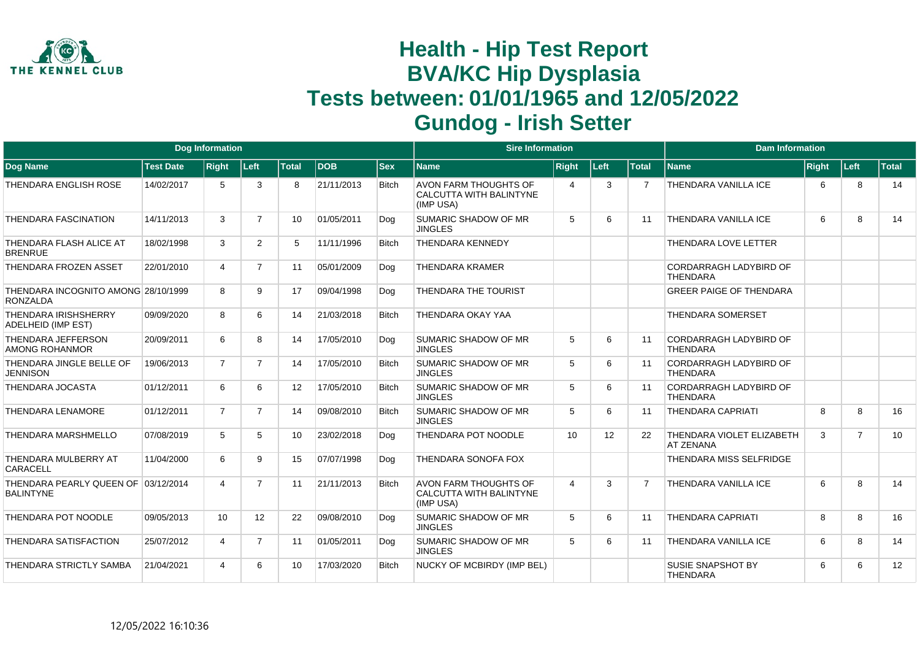

|                                                          |                  | <b>Dog Information</b> |                |              |            |              | <b>Sire Information</b>                                                     |                       |      |                | <b>Dam Information</b>                           |              |                |              |
|----------------------------------------------------------|------------------|------------------------|----------------|--------------|------------|--------------|-----------------------------------------------------------------------------|-----------------------|------|----------------|--------------------------------------------------|--------------|----------------|--------------|
| <b>Dog Name</b>                                          | <b>Test Date</b> | <b>Right</b>           | Left           | <b>Total</b> | <b>DOB</b> | <b>Sex</b>   | <b>Name</b>                                                                 | <b>Right</b>          | Left | <b>Total</b>   | <b>Name</b>                                      | <b>Right</b> | <b>Left</b>    | <b>Total</b> |
| <b>THENDARA ENGLISH ROSE</b>                             | 14/02/2017       | 5                      | 3              | 8            | 21/11/2013 | <b>Bitch</b> | AVON FARM THOUGHTS OF<br>CALCUTTA WITH BALINTYNE<br>(IMP USA)               | $\boldsymbol{\Delta}$ | 3    | $\overline{7}$ | <b>THENDARA VANILLA ICE</b>                      | 6            | 8              | 14           |
| <b>THENDARA FASCINATION</b>                              | 14/11/2013       | 3                      | $\overline{7}$ | 10           | 01/05/2011 | Dog          | SUMARIC SHADOW OF MR<br><b>JINGLES</b>                                      | 5                     | 6    | 11             | <b>THENDARA VANILLA ICE</b>                      | 6            | 8              | 14           |
| THENDARA FLASH ALICE AT<br><b>BRENRUE</b>                | 18/02/1998       | 3                      | $\overline{2}$ | 5            | 11/11/1996 | <b>Bitch</b> | <b>THENDARA KENNEDY</b>                                                     |                       |      |                | THENDARA LOVE LETTER                             |              |                |              |
| <b>THENDARA FROZEN ASSET</b>                             | 22/01/2010       | $\overline{4}$         | $\overline{7}$ | 11           | 05/01/2009 | Dog          | <b>THENDARA KRAMER</b>                                                      |                       |      |                | <b>CORDARRAGH LADYBIRD OF</b><br><b>THENDARA</b> |              |                |              |
| THENDARA INCOGNITO AMONG 28/10/1999<br><b>RONZALDA</b>   |                  | 8                      | 9              | 17           | 09/04/1998 | Dog          | <b>THENDARA THE TOURIST</b>                                                 |                       |      |                | <b>GREER PAIGE OF THENDARA</b>                   |              |                |              |
| <b>THENDARA IRISHSHERRY</b><br><b>ADELHEID (IMP EST)</b> | 09/09/2020       | 8                      | 6              | 14           | 21/03/2018 | <b>Bitch</b> | THENDARA OKAY YAA                                                           |                       |      |                | <b>THENDARA SOMERSET</b>                         |              |                |              |
| THENDARA JEFFERSON<br>AMONG ROHANMOR                     | 20/09/2011       | 6                      | 8              | 14           | 17/05/2010 | Dog          | SUMARIC SHADOW OF MR<br><b>JINGLES</b>                                      | 5                     | 6    | 11             | <b>CORDARRAGH LADYBIRD OF</b><br><b>THENDARA</b> |              |                |              |
| THENDARA JINGLE BELLE OF<br>JENNISON                     | 19/06/2013       | $\overline{7}$         | $\overline{7}$ | 14           | 17/05/2010 | <b>Bitch</b> | <b>SUMARIC SHADOW OF MR</b><br><b>JINGLES</b>                               | 5                     | 6    | 11             | <b>CORDARRAGH LADYBIRD OF</b><br><b>THENDARA</b> |              |                |              |
| THENDARA JOCASTA                                         | 01/12/2011       | 6                      | 6              | 12           | 17/05/2010 | <b>Bitch</b> | <b>SUMARIC SHADOW OF MR</b><br><b>JINGLES</b>                               | 5                     | 6    | 11             | <b>CORDARRAGH LADYBIRD OF</b><br><b>THENDARA</b> |              |                |              |
| <b>THENDARA LENAMORE</b>                                 | 01/12/2011       | $\overline{7}$         | $\overline{7}$ | 14           | 09/08/2010 | <b>Bitch</b> | SUMARIC SHADOW OF MR<br><b>JINGLES</b>                                      | 5                     | 6    | 11             | <b>THENDARA CAPRIATI</b>                         | 8            | 8              | 16           |
| <b>THENDARA MARSHMELLO</b>                               | 07/08/2019       | 5                      | 5              | 10           | 23/02/2018 | Dog          | THENDARA POT NOODLE                                                         | 10                    | 12   | 22             | THENDARA VIOLET ELIZABETH<br><b>AT ZENANA</b>    | 3            | $\overline{7}$ | 10           |
| THENDARA MULBERRY AT<br><b>CARACELL</b>                  | 11/04/2000       | 6                      | 9              | 15           | 07/07/1998 | Dog          | <b>THENDARA SONOFA FOX</b>                                                  |                       |      |                | THENDARA MISS SELFRIDGE                          |              |                |              |
| THENDARA PEARLY QUEEN OF 03/12/2014<br><b>BALINTYNE</b>  |                  | 4                      | $\overline{7}$ | 11           | 21/11/2013 | <b>Bitch</b> | <b>AVON FARM THOUGHTS OF</b><br><b>CALCUTTA WITH BALINTYNE</b><br>(IMP USA) | $\boldsymbol{\Delta}$ | 3    |                | <b>THENDARA VANILLA ICE</b>                      | 6            | 8              | 14           |
| THENDARA POT NOODLE                                      | 09/05/2013       | 10                     | 12             | 22           | 09/08/2010 | Dog          | <b>SUMARIC SHADOW OF MR</b><br><b>JINGLES</b>                               | 5                     | 6    | 11             | <b>THENDARA CAPRIATI</b>                         | 8            | 8              | 16           |
| THENDARA SATISFACTION                                    | 25/07/2012       | 4                      | $\overline{7}$ | 11           | 01/05/2011 | Dog          | SUMARIC SHADOW OF MR<br><b>JINGLES</b>                                      | 5                     | 6    | 11             | <b>THENDARA VANILLA ICE</b>                      | 6            | 8              | 14           |
| THENDARA STRICTLY SAMBA                                  | 21/04/2021       |                        | 6              | 10           | 17/03/2020 | <b>Bitch</b> | NUCKY OF MCBIRDY (IMP BEL)                                                  |                       |      |                | <b>SUSIE SNAPSHOT BY</b><br><b>THENDARA</b>      | 6            | 6              | 12           |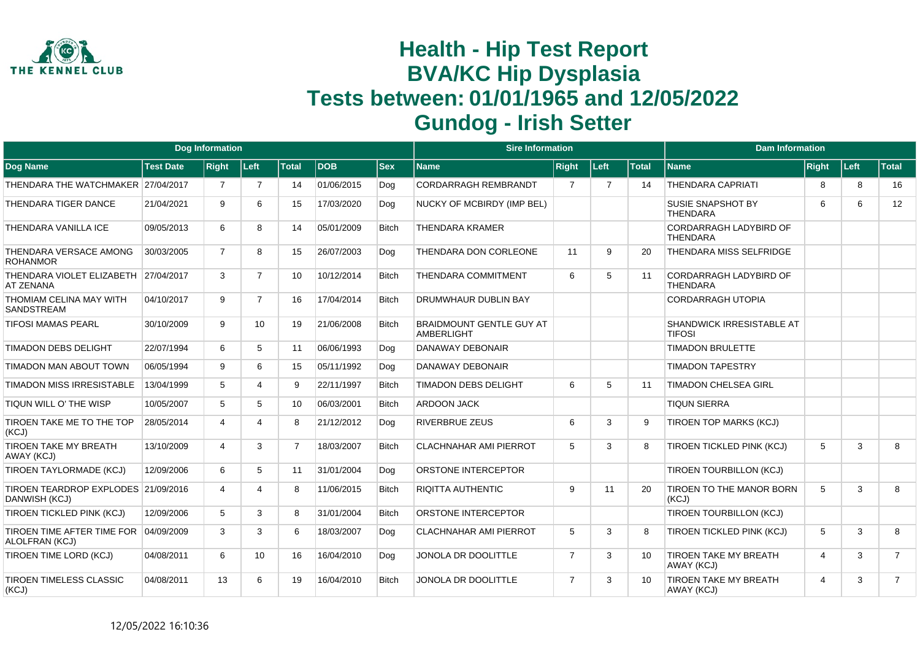

|                                                          |                  | <b>Dog Information</b> |                |                |            |              | <b>Sire Information</b>                              |                |                |                 | <b>Dam Information</b>                           |                         |      |                |
|----------------------------------------------------------|------------------|------------------------|----------------|----------------|------------|--------------|------------------------------------------------------|----------------|----------------|-----------------|--------------------------------------------------|-------------------------|------|----------------|
| Dog Name                                                 | <b>Test Date</b> | <b>Right</b>           | Left           | <b>Total</b>   | <b>DOB</b> | <b>Sex</b>   | <b>Name</b>                                          | <b>Right</b>   | Left           | <b>Total</b>    | <b>Name</b>                                      | <b>Right</b>            | Left | <b>Total</b>   |
| THENDARA THE WATCHMAKER 27/04/2017                       |                  | $\overline{7}$         | $\overline{7}$ | 14             | 01/06/2015 | Dog          | CORDARRAGH REMBRANDT                                 | $\overline{7}$ | $\overline{7}$ | 14              | <b>THENDARA CAPRIATI</b>                         | 8                       | 8    | 16             |
| THENDARA TIGER DANCE                                     | 21/04/2021       | 9                      | 6              | 15             | 17/03/2020 | Dog          | NUCKY OF MCBIRDY (IMP BEL)                           |                |                |                 | SUSIE SNAPSHOT BY<br><b>THENDARA</b>             | 6                       | 6    | 12             |
| THENDARA VANILLA ICE                                     | 09/05/2013       | 6                      | 8              | 14             | 05/01/2009 | <b>Bitch</b> | <b>THENDARA KRAMER</b>                               |                |                |                 | CORDARRAGH LADYBIRD OF<br><b>THENDARA</b>        |                         |      |                |
| THENDARA VERSACE AMONG<br><b>ROHANMOR</b>                | 30/03/2005       | $\overline{7}$         | 8              | 15             | 26/07/2003 | Dog          | THENDARA DON CORLEONE                                | 11             | 9              | 20              | THENDARA MISS SELFRIDGE                          |                         |      |                |
| THENDARA VIOLET ELIZABETH 27/04/2017<br><b>AT ZENANA</b> |                  | 3                      | $\overline{7}$ | 10             | 10/12/2014 | <b>Bitch</b> | THENDARA COMMITMENT                                  | 6              | 5              | 11              | <b>CORDARRAGH LADYBIRD OF</b><br><b>THENDARA</b> |                         |      |                |
| THOMIAM CELINA MAY WITH<br><b>SANDSTREAM</b>             | 04/10/2017       | 9                      | $\overline{7}$ | 16             | 17/04/2014 | <b>Bitch</b> | DRUMWHAUR DUBLIN BAY                                 |                |                |                 | <b>CORDARRAGH UTOPIA</b>                         |                         |      |                |
| <b>TIFOSI MAMAS PEARL</b>                                | 30/10/2009       | 9                      | 10             | 19             | 21/06/2008 | <b>Bitch</b> | <b>BRAIDMOUNT GENTLE GUY AT</b><br><b>AMBERLIGHT</b> |                |                |                 | SHANDWICK IRRESISTABLE AT<br><b>TIFOSI</b>       |                         |      |                |
| <b>TIMADON DEBS DELIGHT</b>                              | 22/07/1994       | 6                      | 5              | 11             | 06/06/1993 | Dog          | <b>DANAWAY DEBONAIR</b>                              |                |                |                 | <b>TIMADON BRULETTE</b>                          |                         |      |                |
| TIMADON MAN ABOUT TOWN                                   | 06/05/1994       | 9                      | 6              | 15             | 05/11/1992 | Dog          | <b>DANAWAY DEBONAIR</b>                              |                |                |                 | <b>TIMADON TAPESTRY</b>                          |                         |      |                |
| TIMADON MISS IRRESISTABLE                                | 13/04/1999       | 5                      | 4              | 9              | 22/11/1997 | <b>Bitch</b> | <b>TIMADON DEBS DELIGHT</b>                          | 6              | 5              | 11              | <b>TIMADON CHELSEA GIRL</b>                      |                         |      |                |
| TIQUN WILL O' THE WISP                                   | 10/05/2007       | 5                      | 5              | 10             | 06/03/2001 | <b>Bitch</b> | <b>ARDOON JACK</b>                                   |                |                |                 | <b>TIQUN SIERRA</b>                              |                         |      |                |
| TIROEN TAKE ME TO THE TOP<br>(KCJ)                       | 28/05/2014       | $\overline{4}$         | 4              | 8              | 21/12/2012 | Dog          | <b>RIVERBRUE ZEUS</b>                                | 6              | 3              | 9               | <b>TIROEN TOP MARKS (KCJ)</b>                    |                         |      |                |
| <b>TIROEN TAKE MY BREATH</b><br>AWAY (KCJ)               | 13/10/2009       | 4                      | 3              | $\overline{7}$ | 18/03/2007 | <b>Bitch</b> | <b>CLACHNAHAR AMI PIERROT</b>                        | 5              | 3              | 8               | <b>TIROEN TICKLED PINK (KCJ)</b>                 | 5                       | 3    | 8              |
| TIROEN TAYLORMADE (KCJ)                                  | 12/09/2006       | 6                      | 5              | 11             | 31/01/2004 | Dog          | ORSTONE INTERCEPTOR                                  |                |                |                 | TIROEN TOURBILLON (KCJ)                          |                         |      |                |
| TIROEN TEARDROP EXPLODES 21/09/2016<br>DANWISH (KCJ)     |                  | 4                      | 4              | 8              | 11/06/2015 | <b>Bitch</b> | <b>RIQITTA AUTHENTIC</b>                             | 9              | 11             | 20              | <b>TIROEN TO THE MANOR BORN</b><br>(KCJ)         | 5                       | 3    | 8              |
| TIROEN TICKLED PINK (KCJ)                                | 12/09/2006       | 5                      | 3              | 8              | 31/01/2004 | <b>Bitch</b> | ORSTONE INTERCEPTOR                                  |                |                |                 | TIROEN TOURBILLON (KCJ)                          |                         |      |                |
| TIROEN TIME AFTER TIME FOR 04/09/2009<br>ALOLFRAN (KCJ)  |                  | 3                      | 3              | 6              | 18/03/2007 | Dog          | <b>CLACHNAHAR AMI PIERROT</b>                        | 5              | 3              | 8               | <b>TIROEN TICKLED PINK (KCJ)</b>                 | 5                       | 3    | 8              |
| TIROEN TIME LORD (KCJ)                                   | 04/08/2011       | 6                      | 10             | 16             | 16/04/2010 | Dog          | JONOLA DR DOOLITTLE                                  | $\overline{7}$ | 3              | 10              | <b>TIROEN TAKE MY BREATH</b><br>AWAY (KCJ)       | $\overline{4}$          | 3    | $\overline{7}$ |
| <b>TIROEN TIMELESS CLASSIC</b><br>(KCJ)                  | 04/08/2011       | 13                     | 6              | 19             | 16/04/2010 | <b>Bitch</b> | JONOLA DR DOOLITTLE                                  | $\overline{7}$ | 3              | 10 <sup>1</sup> | <b>TIROEN TAKE MY BREATH</b><br>AWAY (KCJ)       | $\overline{\mathbf{4}}$ | 3    | $\overline{7}$ |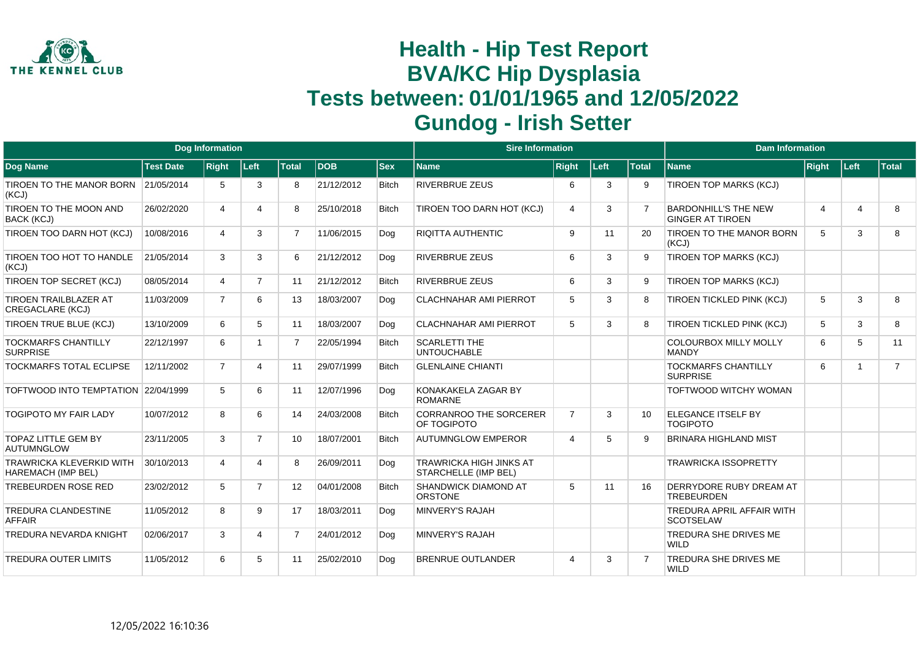

|                                                              |                  | <b>Dog Information</b> |                |                |            |              | <b>Sire Information</b>                                |                |      |                | <b>Dam Information</b>                                 |       |                |                |
|--------------------------------------------------------------|------------------|------------------------|----------------|----------------|------------|--------------|--------------------------------------------------------|----------------|------|----------------|--------------------------------------------------------|-------|----------------|----------------|
| Dog Name                                                     | <b>Test Date</b> | <b>Right</b>           | ∣Left∶         | <b>Total</b>   | <b>DOB</b> | <b>Sex</b>   | <b>Name</b>                                            | <b>Right</b>   | Left | <b>Total</b>   | <b>Name</b>                                            | Right | ∣Left∶         | Total          |
| TIROEN TO THE MANOR BORN 21/05/2014<br>(KCJ)                 |                  | 5                      | 3              | 8              | 21/12/2012 | <b>Bitch</b> | <b>RIVERBRUE ZEUS</b>                                  | 6              | 3    | 9              | TIROEN TOP MARKS (KCJ)                                 |       |                |                |
| TIROEN TO THE MOON AND<br>BACK (KCJ)                         | 26/02/2020       | 4                      | $\overline{4}$ | 8              | 25/10/2018 | <b>Bitch</b> | TIROEN TOO DARN HOT (KCJ)                              | $\overline{4}$ | 3    | $\overline{7}$ | <b>BARDONHILL'S THE NEW</b><br><b>GINGER AT TIROEN</b> | 4     | $\overline{4}$ | 8              |
| TIROEN TOO DARN HOT (KCJ)                                    | 10/08/2016       | 4                      | 3              | $\overline{7}$ | 11/06/2015 | Dog          | <b>RIQITTA AUTHENTIC</b>                               | 9              | 11   | 20             | <b>TIROEN TO THE MANOR BORN</b><br>(KCJ)               | 5     | 3              | 8              |
| TIROEN TOO HOT TO HANDLE<br>(KCJ)                            | 21/05/2014       | 3                      | 3              | 6              | 21/12/2012 | Dog          | <b>RIVERBRUE ZEUS</b>                                  | 6              | 3    | 9              | TIROEN TOP MARKS (KCJ)                                 |       |                |                |
| TIROEN TOP SECRET (KCJ)                                      | 08/05/2014       | $\overline{4}$         | $\overline{7}$ | 11             | 21/12/2012 | <b>Bitch</b> | <b>RIVERBRUE ZEUS</b>                                  | 6              | 3    | 9              | <b>TIROEN TOP MARKS (KCJ)</b>                          |       |                |                |
| <b>TIROEN TRAILBLAZER AT</b><br><b>CREGACLARE (KCJ)</b>      | 11/03/2009       | $\overline{7}$         | 6              | 13             | 18/03/2007 | Dog          | <b>CLACHNAHAR AMI PIERROT</b>                          | 5              | 3    | 8              | <b>TIROEN TICKLED PINK (KCJ)</b>                       | 5     | 3              | 8              |
| TIROEN TRUE BLUE (KCJ)                                       | 13/10/2009       | 6                      | 5              | 11             | 18/03/2007 | Dog          | <b>CLACHNAHAR AMI PIERROT</b>                          | 5              | 3    | 8              | <b>TIROEN TICKLED PINK (KCJ)</b>                       | 5     | 3              | 8              |
| <b>TOCKMARFS CHANTILLY</b><br><b>SURPRISE</b>                | 22/12/1997       | 6                      |                | $\overline{7}$ | 22/05/1994 | <b>Bitch</b> | <b>SCARLETTI THE</b><br><b>UNTOUCHABLE</b>             |                |      |                | COLOURBOX MILLY MOLLY<br><b>MANDY</b>                  | 6     | 5              | 11             |
| <b>TOCKMARFS TOTAL ECLIPSE</b>                               | 12/11/2002       | $\overline{7}$         | $\overline{4}$ | 11             | 29/07/1999 | <b>Bitch</b> | <b>GLENLAINE CHIANTI</b>                               |                |      |                | <b>TOCKMARFS CHANTILLY</b><br><b>SURPRISE</b>          | 6     | $\overline{1}$ | $\overline{7}$ |
| TOFTWOOD INTO TEMPTATION 22/04/1999                          |                  | 5                      | 6              | 11             | 12/07/1996 | Dog          | KONAKAKELA ZAGAR BY<br><b>ROMARNE</b>                  |                |      |                | <b>TOFTWOOD WITCHY WOMAN</b>                           |       |                |                |
| <b>TOGIPOTO MY FAIR LADY</b>                                 | 10/07/2012       | 8                      | 6              | 14             | 24/03/2008 | <b>Bitch</b> | <b>CORRANROO THE SORCERER</b><br>OF TOGIPOTO           | $\overline{7}$ | 3    | 10             | <b>ELEGANCE ITSELF BY</b><br><b>TOGIPOTO</b>           |       |                |                |
| <b>TOPAZ LITTLE GEM BY</b><br><b>AUTUMNGLOW</b>              | 23/11/2005       | 3                      | $\overline{7}$ | 10             | 18/07/2001 | <b>Bitch</b> | <b>AUTUMNGLOW EMPEROR</b>                              | $\overline{4}$ | 5    | g              | <b>BRINARA HIGHLAND MIST</b>                           |       |                |                |
| <b>TRAWRICKA KLEVERKID WITH</b><br><b>HAREMACH (IMP BEL)</b> | 30/10/2013       | 4                      | $\overline{4}$ | 8              | 26/09/2011 | Dog          | <b>TRAWRICKA HIGH JINKS AT</b><br>STARCHELLE (IMP BEL) |                |      |                | <b>TRAWRICKA ISSOPRETTY</b>                            |       |                |                |
| <b>TREBEURDEN ROSE RED</b>                                   | 23/02/2012       | 5                      | $\overline{7}$ | 12             | 04/01/2008 | <b>Bitch</b> | SHANDWICK DIAMOND AT<br><b>ORSTONE</b>                 | 5              | 11   | 16             | <b>DERRYDORE RUBY DREAM AT</b><br><b>TREBEURDEN</b>    |       |                |                |
| TREDURA CLANDESTINE<br><b>AFFAIR</b>                         | 11/05/2012       | 8                      | 9              | 17             | 18/03/2011 | Dog          | <b>MINVERY'S RAJAH</b>                                 |                |      |                | <b>TREDURA APRIL AFFAIR WITH</b><br><b>SCOTSELAW</b>   |       |                |                |
| <b>TREDURA NEVARDA KNIGHT</b>                                | 02/06/2017       | 3                      | 4              | $\overline{7}$ | 24/01/2012 | Dog          | MINVERY'S RAJAH                                        |                |      |                | <b>TREDURA SHE DRIVES ME</b><br><b>WILD</b>            |       |                |                |
| <b>TREDURA OUTER LIMITS</b>                                  | 11/05/2012       | 6                      | 5              | 11             | 25/02/2010 | Dog          | <b>BRENRUE OUTLANDER</b>                               | $\overline{4}$ | 3    | 7              | TREDURA SHE DRIVES ME<br><b>WILD</b>                   |       |                |                |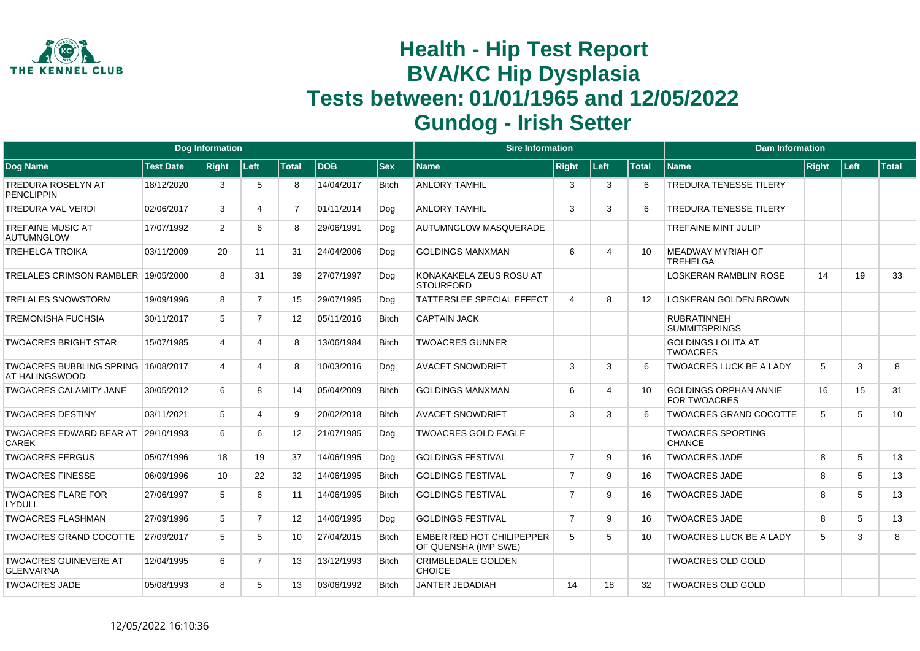

|                                                       |                  | <b>Dog Information</b> |                |                 |            |              | <b>Sire Information</b>                                  |                         |                             |              | <b>Dam Information</b>                              |              |      |              |
|-------------------------------------------------------|------------------|------------------------|----------------|-----------------|------------|--------------|----------------------------------------------------------|-------------------------|-----------------------------|--------------|-----------------------------------------------------|--------------|------|--------------|
| <b>Dog Name</b>                                       | <b>Test Date</b> | <b>Right</b>           | Left           | <b>Total</b>    | <b>DOB</b> | <b>Sex</b>   | <b>Name</b>                                              | <b>Right</b>            | Left                        | <b>Total</b> | <b>Name</b>                                         | <b>Right</b> | Left | <b>Total</b> |
| <b>TREDURA ROSELYN AT</b><br><b>PENCLIPPIN</b>        | 18/12/2020       | 3                      | 5              | 8               | 14/04/2017 | <b>Bitch</b> | <b>ANLORY TAMHIL</b>                                     | 3                       | 3                           | 6            | TREDURA TENESSE TILERY                              |              |      |              |
| <b>TREDURA VAL VERDI</b>                              | 02/06/2017       | 3                      | 4              | $\overline{7}$  | 01/11/2014 | Dog          | <b>ANLORY TAMHIL</b>                                     | 3                       | 3                           | 6            | <b>TREDURA TENESSE TILERY</b>                       |              |      |              |
| <b>TREFAINE MUSIC AT</b><br>AUTUMNGLOW                | 17/07/1992       | $\overline{2}$         | 6              | 8               | 29/06/1991 | Dog          | AUTUMNGLOW MASQUERADE                                    |                         |                             |              | <b>TREFAINE MINT JULIP</b>                          |              |      |              |
| <b>TREHELGA TROIKA</b>                                | 03/11/2009       | 20                     | 11             | 31              | 24/04/2006 | Dog          | <b>GOLDINGS MANXMAN</b>                                  | 6                       | $\boldsymbol{\vartriangle}$ | 10           | <b>MEADWAY MYRIAH OF</b><br><b>TREHELGA</b>         |              |      |              |
| TRELALES CRIMSON RAMBLER 19/05/2000                   |                  | 8                      | 31             | 39              | 27/07/1997 | Dog          | KONAKAKELA ZEUS ROSU AT<br><b>STOURFORD</b>              |                         |                             |              | <b>LOSKERAN RAMBLIN' ROSE</b>                       | 14           | 19   | 33           |
| <b>TRELALES SNOWSTORM</b>                             | 19/09/1996       | 8                      | $\overline{7}$ | 15              | 29/07/1995 | Dog          | <b>TATTERSLEE SPECIAL EFFECT</b>                         | $\overline{\mathbf{4}}$ | 8                           | 12           | <b>LOSKERAN GOLDEN BROWN</b>                        |              |      |              |
| <b>TREMONISHA FUCHSIA</b>                             | 30/11/2017       | 5                      | $\overline{7}$ | 12 <sup>°</sup> | 05/11/2016 | <b>Bitch</b> | <b>CAPTAIN JACK</b>                                      |                         |                             |              | <b>RUBRATINNEH</b><br><b>SUMMITSPRINGS</b>          |              |      |              |
| <b>TWOACRES BRIGHT STAR</b>                           | 15/07/1985       | 4                      | 4              | 8               | 13/06/1984 | <b>Bitch</b> | <b>TWOACRES GUNNER</b>                                   |                         |                             |              | <b>GOLDINGS LOLITA AT</b><br><b>TWOACRES</b>        |              |      |              |
| TWOACRES BUBBLING SPRING 16/08/2017<br>AT HALINGSWOOD |                  | 4                      | 4              | 8               | 10/03/2016 | Dog          | <b>AVACET SNOWDRIFT</b>                                  | 3                       | 3                           | 6            | <b>TWOACRES LUCK BE A LADY</b>                      | 5            | 3    | 8            |
| <b>TWOACRES CALAMITY JANE</b>                         | 30/05/2012       | 6                      | 8              | 14              | 05/04/2009 | <b>Bitch</b> | <b>GOLDINGS MANXMAN</b>                                  | 6                       | Δ                           | 10           | <b>GOLDINGS ORPHAN ANNIE</b><br><b>FOR TWOACRES</b> | 16           | 15   | 31           |
| <b>TWOACRES DESTINY</b>                               | 03/11/2021       | 5                      | 4              | 9               | 20/02/2018 | <b>Bitch</b> | <b>AVACET SNOWDRIFT</b>                                  | 3                       | 3                           | 6            | <b>TWOACRES GRAND COCOTTE</b>                       | 5            | 5    | 10           |
| <b>TWOACRES EDWARD BEAR AT</b><br>CAREK               | 29/10/1993       | 6                      | 6              | 12              | 21/07/1985 | Dog          | <b>TWOACRES GOLD EAGLE</b>                               |                         |                             |              | <b>TWOACRES SPORTING</b><br><b>CHANCE</b>           |              |      |              |
| <b>TWOACRES FERGUS</b>                                | 05/07/1996       | 18                     | 19             | 37              | 14/06/1995 | Dog          | <b>GOLDINGS FESTIVAL</b>                                 | $\overline{7}$          | 9                           | 16           | <b>TWOACRES JADE</b>                                | 8            | 5    | 13           |
| <b>TWOACRES FINESSE</b>                               | 06/09/1996       | 10                     | 22             | 32              | 14/06/1995 | <b>Bitch</b> | <b>GOLDINGS FESTIVAL</b>                                 | $\overline{7}$          | 9                           | 16           | <b>TWOACRES JADE</b>                                | 8            | 5    | 13           |
| <b>TWOACRES FLARE FOR</b><br>LYDULL                   | 27/06/1997       | 5                      | 6              | 11              | 14/06/1995 | <b>Bitch</b> | <b>GOLDINGS FESTIVAL</b>                                 | $\overline{7}$          | 9                           | 16           | <b>TWOACRES JADE</b>                                | 8            | 5    | 13           |
| <b>TWOACRES FLASHMAN</b>                              | 27/09/1996       | 5                      | $\overline{7}$ | 12 <sup>°</sup> | 14/06/1995 | Dog          | <b>GOLDINGS FESTIVAL</b>                                 | $\overline{7}$          | 9                           | 16           | <b>TWOACRES JADE</b>                                | 8            | 5    | 13           |
| <b>TWOACRES GRAND COCOTTE</b>                         | 27/09/2017       | 5                      | 5              | 10              | 27/04/2015 | <b>Bitch</b> | <b>EMBER RED HOT CHILIPEPPER</b><br>OF QUENSHA (IMP SWE) | 5                       | 5                           | 10           | <b>TWOACRES LUCK BE A LADY</b>                      | 5            | 3    | 8            |
| <b>TWOACRES GUINEVERE AT</b><br><b>GLENVARNA</b>      | 12/04/1995       | 6                      | $\overline{7}$ | 13              | 13/12/1993 | <b>Bitch</b> | <b>CRIMBLEDALE GOLDEN</b><br><b>CHOICE</b>               |                         |                             |              | <b>TWOACRES OLD GOLD</b>                            |              |      |              |
| <b>TWOACRES JADE</b>                                  | 05/08/1993       | 8                      | 5              | 13              | 03/06/1992 | <b>Bitch</b> | <b>JANTER JEDADIAH</b>                                   | 14                      | 18                          | 32           | <b>TWOACRES OLD GOLD</b>                            |              |      |              |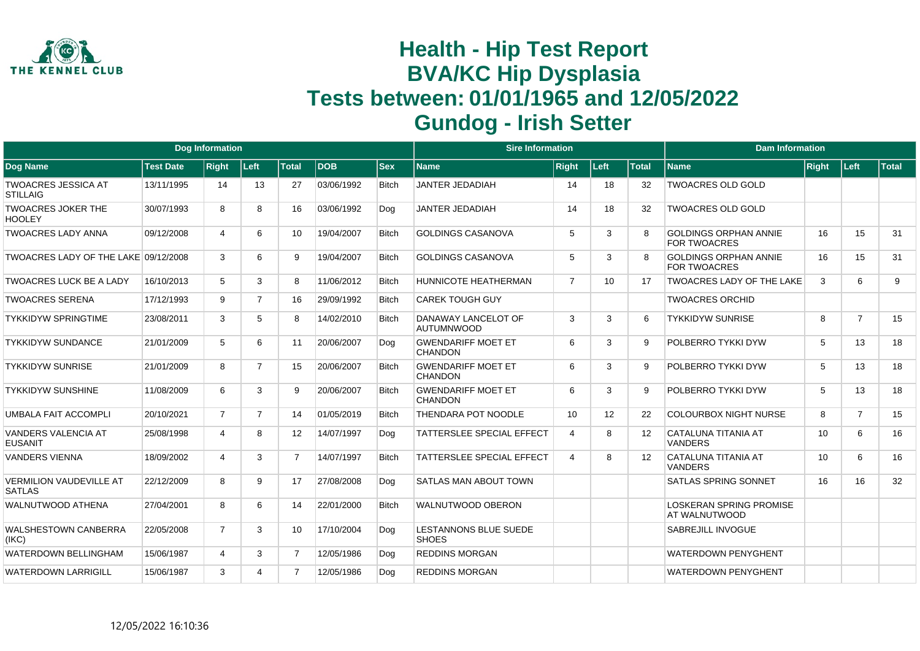

|                                                 |                  | Dog Information |                |                |            |              | <b>Sire Information</b>                      |                |      |              | <b>Dam Information</b>                              |       |                |       |
|-------------------------------------------------|------------------|-----------------|----------------|----------------|------------|--------------|----------------------------------------------|----------------|------|--------------|-----------------------------------------------------|-------|----------------|-------|
| Dog Name                                        | <b>Test Date</b> | <b>Right</b>    | Left           | <b>Total</b>   | <b>DOB</b> | <b>Sex</b>   | <b>Name</b>                                  | <b>Right</b>   | Left | <b>Total</b> | <b>Name</b>                                         | Right | Left           | Total |
| <b>TWOACRES JESSICA AT</b><br><b>STILLAIG</b>   | 13/11/1995       | 14              | 13             | 27             | 03/06/1992 | <b>Bitch</b> | <b>JANTER JEDADIAH</b>                       | 14             | 18   | 32           | <b>TWOACRES OLD GOLD</b>                            |       |                |       |
| <b>TWOACRES JOKER THE</b><br><b>HOOLEY</b>      | 30/07/1993       | 8               | 8              | 16             | 03/06/1992 | Dog          | <b>JANTER JEDADIAH</b>                       | 14             | 18   | 32           | <b>TWOACRES OLD GOLD</b>                            |       |                |       |
| <b>TWOACRES LADY ANNA</b>                       | 09/12/2008       | 4               | 6              | 10             | 19/04/2007 | <b>Bitch</b> | <b>GOLDINGS CASANOVA</b>                     | 5              | 3    | 8            | <b>GOLDINGS ORPHAN ANNIE</b><br><b>FOR TWOACRES</b> | 16    | 15             | 31    |
| TWOACRES LADY OF THE LAKE 09/12/2008            |                  | 3               | 6              | 9              | 19/04/2007 | <b>Bitch</b> | <b>GOLDINGS CASANOVA</b>                     | 5              | 3    | 8            | <b>GOLDINGS ORPHAN ANNIE</b><br><b>FOR TWOACRES</b> | 16    | 15             | 31    |
| <b>TWOACRES LUCK BE A LADY</b>                  | 16/10/2013       | 5               | 3              | 8              | 11/06/2012 | <b>Bitch</b> | HUNNICOTE HEATHERMAN                         | $\overline{7}$ | 10   | 17           | <b>TWOACRES LADY OF THE LAKE</b>                    | 3     | 6              | 9     |
| <b>TWOACRES SERENA</b>                          | 17/12/1993       | 9               | $\overline{7}$ | 16             | 29/09/1992 | <b>Bitch</b> | <b>CAREK TOUGH GUY</b>                       |                |      |              | <b>TWOACRES ORCHID</b>                              |       |                |       |
| <b>TYKKIDYW SPRINGTIME</b>                      | 23/08/2011       | 3               | 5              | 8              | 14/02/2010 | <b>Bitch</b> | DANAWAY LANCELOT OF<br><b>AUTUMNWOOD</b>     | 3              | 3    | 6            | <b>TYKKIDYW SUNRISE</b>                             | 8     | $\overline{7}$ | 15    |
| <b>TYKKIDYW SUNDANCE</b>                        | 21/01/2009       | 5               | 6              | 11             | 20/06/2007 | Dog          | <b>GWENDARIFF MOET ET</b><br><b>CHANDON</b>  | 6              | 3    | 9            | POLBERRO TYKKI DYW                                  | 5     | 13             | 18    |
| <b>TYKKIDYW SUNRISE</b>                         | 21/01/2009       | 8               | $\overline{7}$ | 15             | 20/06/2007 | <b>Bitch</b> | <b>GWENDARIFF MOET ET</b><br><b>CHANDON</b>  | 6              | 3    | 9            | POLBERRO TYKKI DYW                                  | 5     | 13             | 18    |
| <b>TYKKIDYW SUNSHINE</b>                        | 11/08/2009       | 6               | 3              | 9              | 20/06/2007 | <b>Bitch</b> | <b>GWENDARIFF MOET ET</b><br><b>CHANDON</b>  | 6              | 3    | 9            | POLBERRO TYKKI DYW                                  | 5     | 13             | 18    |
| UMBALA FAIT ACCOMPLI                            | 20/10/2021       | $\overline{7}$  | $\overline{7}$ | 14             | 01/05/2019 | <b>Bitch</b> | THENDARA POT NOODLE                          | 10             | 12   | 22           | <b>COLOURBOX NIGHT NURSE</b>                        | 8     | $\overline{7}$ | 15    |
| <b>VANDERS VALENCIA AT</b><br><b>EUSANIT</b>    | 25/08/1998       | Δ               | 8              | 12             | 14/07/1997 | Dog          | <b>TATTERSLEE SPECIAL EFFECT</b>             | $\overline{4}$ | 8    | 12           | CATALUNA TITANIA AT<br><b>VANDERS</b>               | 10    | 6              | 16    |
| <b>VANDERS VIENNA</b>                           | 18/09/2002       | 4               | 3              | $\overline{7}$ | 14/07/1997 | <b>Bitch</b> | <b>TATTERSLEE SPECIAL EFFECT</b>             | $\overline{4}$ | 8    | 12           | CATALUNA TITANIA AT<br><b>VANDERS</b>               | 10    | 6              | 16    |
| <b>VERMILION VAUDEVILLE AT</b><br><b>SATLAS</b> | 22/12/2009       | 8               | 9              | 17             | 27/08/2008 | Dog          | <b>SATLAS MAN ABOUT TOWN</b>                 |                |      |              | <b>SATLAS SPRING SONNET</b>                         | 16    | 16             | 32    |
| WALNUTWOOD ATHENA                               | 27/04/2001       | 8               | 6              | 14             | 22/01/2000 | <b>Bitch</b> | <b>WALNUTWOOD OBERON</b>                     |                |      |              | <b>LOSKERAN SPRING PROMISE</b><br>AT WALNUTWOOD     |       |                |       |
| <b>WALSHESTOWN CANBERRA</b><br>(IKC)            | 22/05/2008       | $\overline{7}$  | 3              | 10             | 17/10/2004 | Dog          | <b>LESTANNONS BLUE SUEDE</b><br><b>SHOES</b> |                |      |              | <b>SABREJILL INVOGUE</b>                            |       |                |       |
| <b>WATERDOWN BELLINGHAM</b>                     | 15/06/1987       | $\overline{4}$  | 3              | $\overline{7}$ | 12/05/1986 | Dog          | <b>REDDINS MORGAN</b>                        |                |      |              | <b>WATERDOWN PENYGHENT</b>                          |       |                |       |
| <b>WATERDOWN LARRIGILL</b>                      | 15/06/1987       | 3               | 4              | $\overline{7}$ | 12/05/1986 | Dog          | <b>REDDINS MORGAN</b>                        |                |      |              | <b>WATERDOWN PENYGHENT</b>                          |       |                |       |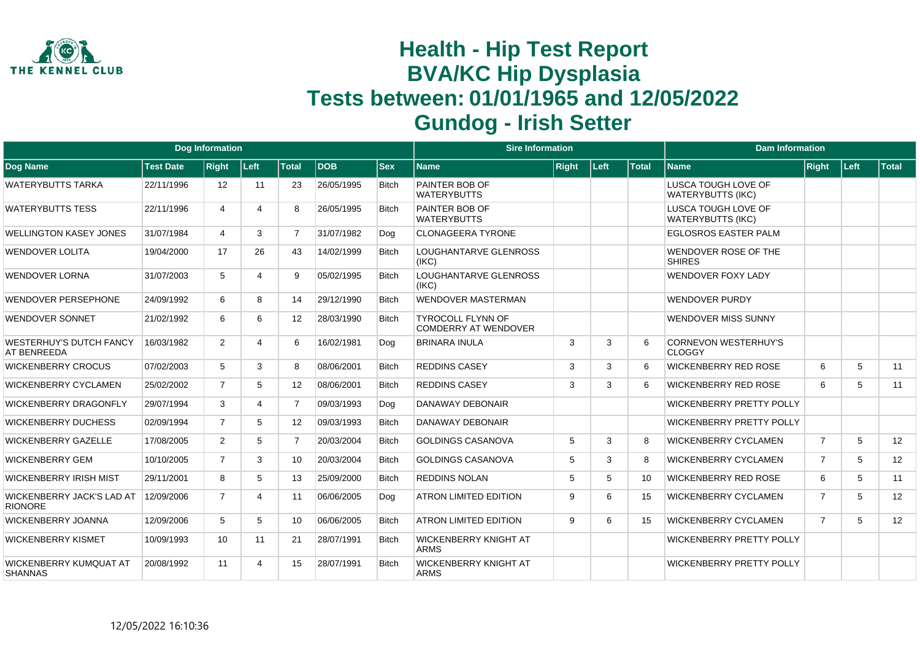

|                                                      |                  | <b>Dog Information</b> |       |                |            |              | <b>Sire Information</b>                          |              |      |                 | <b>Dam Information</b>                          |                |      |              |
|------------------------------------------------------|------------------|------------------------|-------|----------------|------------|--------------|--------------------------------------------------|--------------|------|-----------------|-------------------------------------------------|----------------|------|--------------|
| Dog Name                                             | <b>Test Date</b> | <b>Right</b>           | ∣Left | Total          | <b>DOB</b> | <b>Sex</b>   | <b>Name</b>                                      | <b>Right</b> | Left | <b>Total</b>    | <b>Name</b>                                     | <b>Right</b>   | Left | <b>Total</b> |
| <b>WATERYBUTTS TARKA</b>                             | 22/11/1996       | 12                     | 11    | 23             | 26/05/1995 | <b>Bitch</b> | PAINTER BOB OF<br><b>WATERYBUTTS</b>             |              |      |                 | LUSCA TOUGH LOVE OF<br><b>WATERYBUTTS (IKC)</b> |                |      |              |
| <b>WATERYBUTTS TESS</b>                              | 22/11/1996       | 4                      | 4     | 8              | 26/05/1995 | <b>Bitch</b> | PAINTER BOB OF<br><b>WATERYBUTTS</b>             |              |      |                 | LUSCA TOUGH LOVE OF<br><b>WATERYBUTTS (IKC)</b> |                |      |              |
| <b>WELLINGTON KASEY JONES</b>                        | 31/07/1984       | $\overline{4}$         | 3     | $\overline{7}$ | 31/07/1982 | Dog          | <b>CLONAGEERA TYRONE</b>                         |              |      |                 | <b>EGLOSROS EASTER PALM</b>                     |                |      |              |
| <b>WENDOVER LOLITA</b>                               | 19/04/2000       | 17                     | 26    | 43             | 14/02/1999 | <b>Bitch</b> | LOUGHANTARVE GLENROSS<br>(IKC)                   |              |      |                 | WENDOVER ROSE OF THE<br><b>SHIRES</b>           |                |      |              |
| <b>WENDOVER LORNA</b>                                | 31/07/2003       | 5                      | 4     | 9              | 05/02/1995 | <b>Bitch</b> | LOUGHANTARVE GLENROSS<br>(IKC)                   |              |      |                 | <b>WENDOVER FOXY LADY</b>                       |                |      |              |
| <b>WENDOVER PERSEPHONE</b>                           | 24/09/1992       | 6                      | 8     | 14             | 29/12/1990 | <b>Bitch</b> | <b>WENDOVER MASTERMAN</b>                        |              |      |                 | <b>WENDOVER PURDY</b>                           |                |      |              |
| <b>WENDOVER SONNET</b>                               | 21/02/1992       | 6                      | 6     | 12             | 28/03/1990 | <b>Bitch</b> | <b>TYROCOLL FLYNN OF</b><br>COMDERRY AT WENDOVER |              |      |                 | <b>WENDOVER MISS SUNNY</b>                      |                |      |              |
| <b>WESTERHUY'S DUTCH FANCY</b><br><b>AT BENREEDA</b> | 16/03/1982       | $\overline{2}$         | 4     | 6              | 16/02/1981 | Dog          | <b>BRINARA INULA</b>                             | 3            | 3    | 6               | <b>CORNEVON WESTERHUY'S</b><br><b>CLOGGY</b>    |                |      |              |
| <b>WICKENBERRY CROCUS</b>                            | 07/02/2003       | 5                      | 3     | 8              | 08/06/2001 | <b>Bitch</b> | <b>REDDINS CASEY</b>                             | 3            | 3    | 6               | <b>WICKENBERRY RED ROSE</b>                     | 6              | 5    | 11           |
| <b>WICKENBERRY CYCLAMEN</b>                          | 25/02/2002       | $\overline{7}$         | 5     | 12             | 08/06/2001 | <b>Bitch</b> | <b>REDDINS CASEY</b>                             | 3            | 3    | 6               | <b>WICKENBERRY RED ROSE</b>                     | 6              | 5    | 11           |
| WICKENBERRY DRAGONFLY                                | 29/07/1994       | 3                      | 4     | $\overline{7}$ | 09/03/1993 | Dog          | DANAWAY DEBONAIR                                 |              |      |                 | <b>WICKENBERRY PRETTY POLLY</b>                 |                |      |              |
| <b>WICKENBERRY DUCHESS</b>                           | 02/09/1994       | $\overline{7}$         | 5     | 12             | 09/03/1993 | <b>Bitch</b> | DANAWAY DEBONAIR                                 |              |      |                 | <b>WICKENBERRY PRETTY POLLY</b>                 |                |      |              |
| <b>WICKENBERRY GAZELLE</b>                           | 17/08/2005       | $\overline{2}$         | 5     | $\overline{7}$ | 20/03/2004 | <b>Bitch</b> | <b>GOLDINGS CASANOVA</b>                         | 5            | 3    | 8               | <b>WICKENBERRY CYCLAMEN</b>                     | $\overline{7}$ | 5    | 12           |
| <b>WICKENBERRY GEM</b>                               | 10/10/2005       | $\overline{7}$         | 3     | 10             | 20/03/2004 | <b>Bitch</b> | <b>GOLDINGS CASANOVA</b>                         | 5            | 3    | 8               | <b>WICKENBERRY CYCLAMEN</b>                     | $\overline{7}$ | 5    | 12           |
| <b>WICKENBERRY IRISH MIST</b>                        | 29/11/2001       | 8                      | 5     | 13             | 25/09/2000 | <b>Bitch</b> | <b>REDDINS NOLAN</b>                             | -5           | 5    | 10 <sup>1</sup> | <b>WICKENBERRY RED ROSE</b>                     | 6              | 5    | 11           |
| <b>WICKENBERRY JACK'S LAD AT</b><br><b>RIONORE</b>   | 12/09/2006       | $\overline{7}$         | 4     | 11             | 06/06/2005 | Dog          | <b>ATRON LIMITED EDITION</b>                     | 9            | 6    | 15              | <b>WICKENBERRY CYCLAMEN</b>                     | $\overline{7}$ | 5    | 12           |
| <b>WICKENBERRY JOANNA</b>                            | 12/09/2006       | 5                      | 5     | 10             | 06/06/2005 | <b>Bitch</b> | <b>ATRON LIMITED EDITION</b>                     | 9            | 6    | 15              | <b>WICKENBERRY CYCLAMEN</b>                     | $\overline{7}$ | 5    | 12           |
| <b>WICKENBERRY KISMET</b>                            | 10/09/1993       | 10                     | 11    | 21             | 28/07/1991 | <b>Bitch</b> | <b>WICKENBERRY KNIGHT AT</b><br><b>ARMS</b>      |              |      |                 | <b>WICKENBERRY PRETTY POLLY</b>                 |                |      |              |
| WICKENBERRY KUMQUAT AT<br><b>SHANNAS</b>             | 20/08/1992       | 11                     | 4     | 15             | 28/07/1991 | <b>Bitch</b> | <b>WICKENBERRY KNIGHT AT</b><br><b>ARMS</b>      |              |      |                 | <b>WICKENBERRY PRETTY POLLY</b>                 |                |      |              |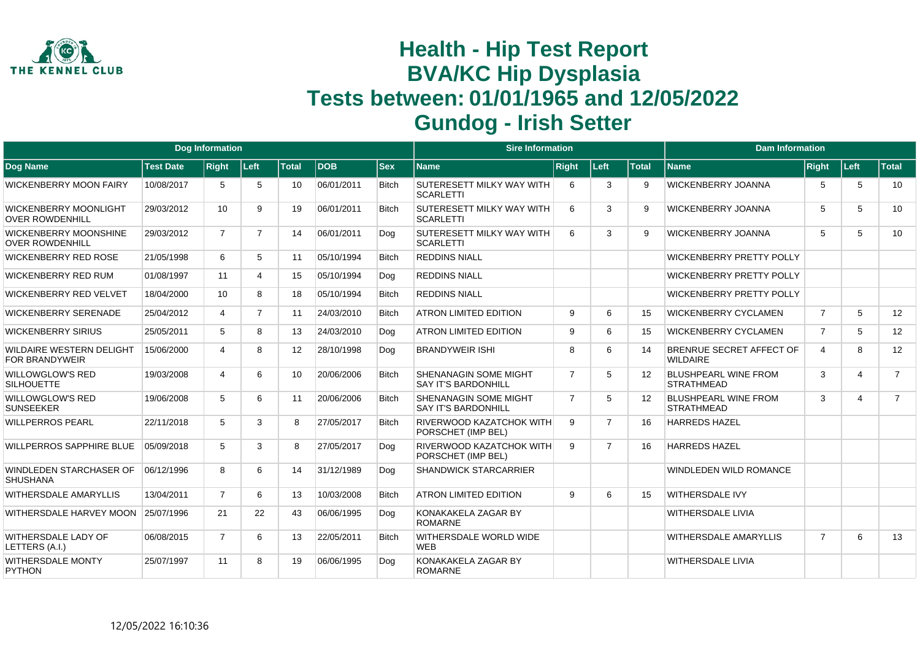

|                                                          |                  | <b>Dog Information</b> |                |              |            |              | <b>Sire Information</b>                                    |                |                |                   | <b>Dam Information</b>                           |                |                |                |
|----------------------------------------------------------|------------------|------------------------|----------------|--------------|------------|--------------|------------------------------------------------------------|----------------|----------------|-------------------|--------------------------------------------------|----------------|----------------|----------------|
| <b>Dog Name</b>                                          | <b>Test Date</b> | <b>Right</b>           | Left           | <b>Total</b> | <b>DOB</b> | <b>Sex</b>   | Name                                                       | <b>Right</b>   | Left           | <b>Total</b>      | <b>Name</b>                                      | Right          | Left           | <b>Total</b>   |
| <b>WICKENBERRY MOON FAIRY</b>                            | 10/08/2017       | 5                      | 5              | 10           | 06/01/2011 | <b>Bitch</b> | SUTERESETT MILKY WAY WITH<br><b>SCARLETTI</b>              | 6              | 3              | 9                 | <b>WICKENBERRY JOANNA</b>                        | 5              | 5              | 10             |
| <b>WICKENBERRY MOONLIGHT</b><br><b>OVER ROWDENHILL</b>   | 29/03/2012       | 10                     | 9              | 19           | 06/01/2011 | <b>Bitch</b> | <b>SUTERESETT MILKY WAY WITH</b><br><b>SCARLETTI</b>       | 6              | 3              | 9                 | <b>WICKENBERRY JOANNA</b>                        | 5              | 5              | 10             |
| <b>WICKENBERRY MOONSHINE</b><br><b>OVER ROWDENHILL</b>   | 29/03/2012       | $\overline{7}$         | $\overline{7}$ | 14           | 06/01/2011 | Dog          | SUTERESETT MILKY WAY WITH<br><b>SCARLETTI</b>              | 6              | 3              | 9                 | <b>WICKENBERRY JOANNA</b>                        | 5              | 5              | 10             |
| <b>WICKENBERRY RED ROSE</b>                              | 21/05/1998       | 6                      | 5              | 11           | 05/10/1994 | <b>Bitch</b> | <b>REDDINS NIALL</b>                                       |                |                |                   | <b>WICKENBERRY PRETTY POLLY</b>                  |                |                |                |
| <b>WICKENBERRY RED RUM</b>                               | 01/08/1997       | 11                     | 4              | 15           | 05/10/1994 | Dog          | <b>REDDINS NIALL</b>                                       |                |                |                   | <b>WICKENBERRY PRETTY POLLY</b>                  |                |                |                |
| <b>WICKENBERRY RED VELVET</b>                            | 18/04/2000       | 10                     | 8              | 18           | 05/10/1994 | Bitch        | <b>REDDINS NIALL</b>                                       |                |                |                   | <b>WICKENBERRY PRETTY POLLY</b>                  |                |                |                |
| <b>WICKENBERRY SERENADE</b>                              | 25/04/2012       | 4                      | $\overline{7}$ | 11           | 24/03/2010 | <b>Bitch</b> | <b>ATRON LIMITED EDITION</b>                               | 9              | 6              | 15                | <b>WICKENBERRY CYCLAMEN</b>                      | $\overline{7}$ | 5              | 12             |
| <b>WICKENBERRY SIRIUS</b>                                | 25/05/2011       | 5                      | 8              | 13           | 24/03/2010 | Dog          | <b>ATRON LIMITED EDITION</b>                               | 9              | 6              | 15                | WICKENBERRY CYCLAMEN                             | $\overline{7}$ | 5              | 12             |
| <b>WILDAIRE WESTERN DELIGHT</b><br><b>FOR BRANDYWEIR</b> | 15/06/2000       | 4                      | 8              | 12           | 28/10/1998 | Dog          | <b>BRANDYWEIR ISHI</b>                                     | 8              | 6              | 14                | BRENRUE SECRET AFFECT OF<br><b>WILDAIRE</b>      | $\overline{4}$ | 8              | 12             |
| <b>WILLOWGLOW'S RED</b><br><b>SILHOUETTE</b>             | 19/03/2008       | 4                      | 6              | 10           | 20/06/2006 | <b>Bitch</b> | SHENANAGIN SOME MIGHT<br><b>SAY IT'S BARDONHILL</b>        | $\overline{7}$ | 5              | 12 <sup>2</sup>   | <b>BLUSHPEARL WINE FROM</b><br><b>STRATHMEAD</b> | 3              | $\overline{4}$ | $\overline{7}$ |
| <b>WILLOWGLOW'S RED</b><br><b>SUNSEEKER</b>              | 19/06/2008       | 5                      | 6              | 11           | 20/06/2006 | <b>Bitch</b> | <b>SHENANAGIN SOME MIGHT</b><br><b>SAY IT'S BARDONHILL</b> | $\overline{7}$ | 5              | $12 \overline{ }$ | <b>BLUSHPEARL WINE FROM</b><br><b>STRATHMEAD</b> | 3              | $\overline{4}$ | $\overline{7}$ |
| <b>WILLPERROS PEARL</b>                                  | 22/11/2018       | 5                      | 3              | 8            | 27/05/2017 | <b>Bitch</b> | <b>RIVERWOOD KAZATCHOK WITH</b><br>PORSCHET (IMP BEL)      | 9              | $\overline{7}$ | 16                | <b>HARREDS HAZEL</b>                             |                |                |                |
| <b>WILLPERROS SAPPHIRE BLUE</b>                          | 05/09/2018       | 5                      | 3              | 8            | 27/05/2017 | Dog          | <b>RIVERWOOD KAZATCHOK WITH</b><br>PORSCHET (IMP BEL)      | 9              | 7              | 16                | <b>HARREDS HAZEL</b>                             |                |                |                |
| WINDLEDEN STARCHASER OF<br><b>SHUSHANA</b>               | 06/12/1996       | 8                      | 6              | 14           | 31/12/1989 | Dog          | <b>SHANDWICK STARCARRIER</b>                               |                |                |                   | <b>WINDLEDEN WILD ROMANCE</b>                    |                |                |                |
| <b>WITHERSDALE AMARYLLIS</b>                             | 13/04/2011       | $\overline{7}$         | 6              | 13           | 10/03/2008 | <b>Bitch</b> | <b>ATRON LIMITED EDITION</b>                               | 9              | 6              | 15                | <b>WITHERSDALE IVY</b>                           |                |                |                |
| WITHERSDALE HARVEY MOON                                  | 25/07/1996       | 21                     | 22             | 43           | 06/06/1995 | Dog          | KONAKAKELA ZAGAR BY<br><b>ROMARNE</b>                      |                |                |                   | <b>WITHERSDALE LIVIA</b>                         |                |                |                |
| WITHERSDALE LADY OF<br>LETTERS (A.I.)                    | 06/08/2015       | $\overline{7}$         | 6              | 13           | 22/05/2011 | <b>Bitch</b> | WITHERSDALE WORLD WIDE<br><b>WFB</b>                       |                |                |                   | <b>WITHERSDALE AMARYLLIS</b>                     | $\overline{7}$ | 6              | 13             |
| WITHERSDALE MONTY<br><b>PYTHON</b>                       | 25/07/1997       | 11                     | 8              | 19           | 06/06/1995 | Dog          | KONAKAKELA ZAGAR BY<br><b>ROMARNE</b>                      |                |                |                   | <b>WITHERSDALE LIVIA</b>                         |                |                |                |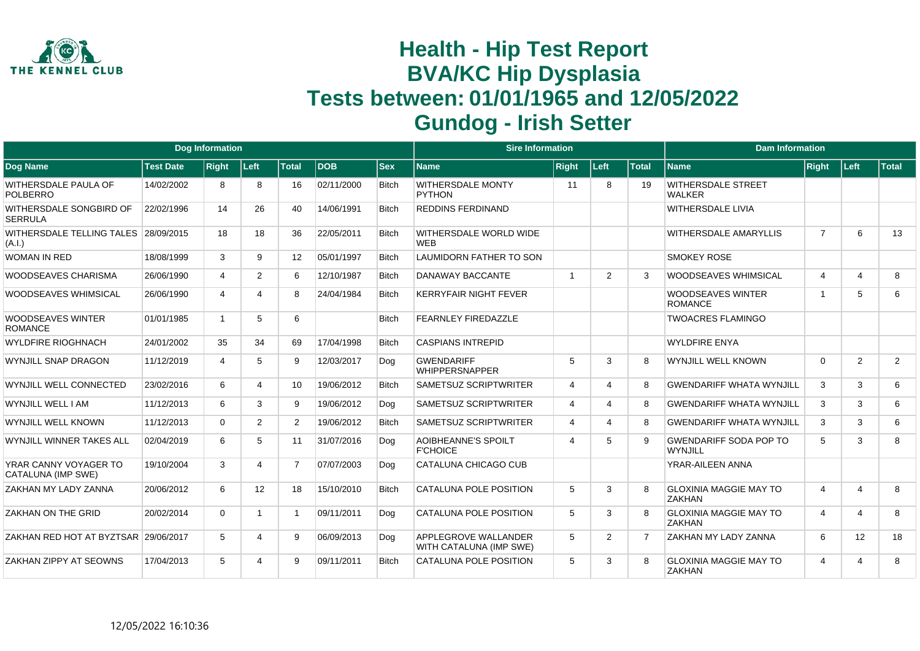

|                                                    |                  | <b>Dog Information</b> |                 |                |            |              | <b>Sire Information</b>                         |                             |                             |              | <b>Dam Information</b>                         |                |                |              |
|----------------------------------------------------|------------------|------------------------|-----------------|----------------|------------|--------------|-------------------------------------------------|-----------------------------|-----------------------------|--------------|------------------------------------------------|----------------|----------------|--------------|
| Dog Name                                           | <b>Test Date</b> | <b>Right</b>           | Left            | <b>Total</b>   | <b>DOB</b> | <b>Sex</b>   | <b>Name</b>                                     | <b>Right</b>                | Left                        | <b>Total</b> | <b>Name</b>                                    | Right          | Left:          | <b>Total</b> |
| <b>WITHERSDALE PAULA OF</b><br><b>POLBERRO</b>     | 14/02/2002       | 8                      | 8               | 16             | 02/11/2000 | <b>Bitch</b> | <b>WITHERSDALE MONTY</b><br><b>PYTHON</b>       | 11                          | 8                           | 19           | <b>WITHERSDALE STREET</b><br><b>WALKER</b>     |                |                |              |
| WITHERSDALE SONGBIRD OF<br><b>SERRULA</b>          | 22/02/1996       | 14                     | 26              | 40             | 14/06/1991 | <b>Bitch</b> | <b>REDDINS FERDINAND</b>                        |                             |                             |              | <b>WITHERSDALE LIVIA</b>                       |                |                |              |
| WITHERSDALE TELLING TALES 28/09/2015<br>(A.I.)     |                  | 18                     | 18              | 36             | 22/05/2011 | <b>Bitch</b> | WITHERSDALE WORLD WIDE<br><b>WFB</b>            |                             |                             |              | <b>WITHERSDALE AMARYLLIS</b>                   | $\overline{7}$ | 6              | 13           |
| <b>WOMAN IN RED</b>                                | 18/08/1999       | 3                      | 9               | 12             | 05/01/1997 | <b>Bitch</b> | LAUMIDORN FATHER TO SON                         |                             |                             |              | <b>SMOKEY ROSE</b>                             |                |                |              |
| <b>WOODSEAVES CHARISMA</b>                         | 26/06/1990       | $\overline{4}$         | $\overline{2}$  | 6              | 12/10/1987 | <b>Bitch</b> | <b>DANAWAY BACCANTE</b>                         | $\overline{1}$              | 2                           | 3            | <b>WOODSEAVES WHIMSICAL</b>                    | 4              | $\overline{4}$ | 8            |
| <b>WOODSEAVES WHIMSICAL</b>                        | 26/06/1990       | $\overline{4}$         |                 | 8              | 24/04/1984 | Bitch        | <b>KERRYFAIR NIGHT FEVER</b>                    |                             |                             |              | <b>WOODSEAVES WINTER</b><br><b>ROMANCE</b>     | $\overline{1}$ | 5              | 6            |
| <b>WOODSEAVES WINTER</b><br><b>ROMANCE</b>         | 01/01/1985       | $\mathbf{1}$           | 5               | 6              |            | <b>Bitch</b> | <b>FEARNLEY FIREDAZZLE</b>                      |                             |                             |              | <b>TWOACRES FLAMINGO</b>                       |                |                |              |
| <b>WYLDFIRE RIOGHNACH</b>                          | 24/01/2002       | 35                     | 34              | 69             | 17/04/1998 | <b>Bitch</b> | <b>CASPIANS INTREPID</b>                        |                             |                             |              | <b>WYLDFIRE ENYA</b>                           |                |                |              |
| WYNJILL SNAP DRAGON                                | 11/12/2019       | 4                      | 5               | 9              | 12/03/2017 | Dog          | <b>GWENDARIFF</b><br><b>WHIPPERSNAPPER</b>      | 5                           | 3                           | 8            | <b>WYNJILL WELL KNOWN</b>                      | $\mathbf 0$    | 2              | 2            |
| WYNJILL WELL CONNECTED                             | 23/02/2016       | 6                      |                 | 10             | 19/06/2012 | <b>Bitch</b> | <b>SAMETSUZ SCRIPTWRITER</b>                    | $\overline{4}$              | $\boldsymbol{\vartriangle}$ | 8            | <b>GWENDARIFF WHATA WYNJILL</b>                | 3              | 3              | 6            |
| WYNJILL WELL I AM                                  | 11/12/2013       | 6                      | 3               | 9              | 19/06/2012 | Dog          | <b>SAMETSUZ SCRIPTWRITER</b>                    | $\overline{4}$              | $\boldsymbol{\varDelta}$    | 8            | <b>GWENDARIFF WHATA WYNJILL</b>                | 3              | 3              | 6            |
| WYNJILL WELL KNOWN                                 | 11/12/2013       | $\Omega$               | $\overline{2}$  | $\overline{2}$ | 19/06/2012 | <b>Bitch</b> | <b>SAMETSUZ SCRIPTWRITER</b>                    | $\boldsymbol{\vartriangle}$ | $\boldsymbol{\varDelta}$    | 8            | <b>GWENDARIFF WHATA WYNJILL</b>                | 3              | 3              | 6            |
| WYNJILL WINNER TAKES ALL                           | 02/04/2019       | 6                      | 5               | 11             | 31/07/2016 | Dog          | <b>AOIBHEANNE'S SPOILT</b><br><b>F'CHOICE</b>   | $\overline{4}$              | 5                           | 9            | <b>GWENDARIFF SODA POP TO</b><br>WYNJILL       | 5              | 3              | 8            |
| YRAR CANNY VOYAGER TO<br><b>CATALUNA (IMP SWE)</b> | 19/10/2004       | 3                      |                 | $\overline{7}$ | 07/07/2003 | Dog          | CATALUNA CHICAGO CUB                            |                             |                             |              | YRAR-AILEEN ANNA                               |                |                |              |
| ZAKHAN MY LADY ZANNA                               | 20/06/2012       | 6                      | 12 <sup>2</sup> | 18             | 15/10/2010 | <b>Bitch</b> | CATALUNA POLE POSITION                          | 5                           | 3                           | 8            | <b>GLOXINIA MAGGIE MAY TO</b><br><b>ZAKHAN</b> | 4              | $\overline{4}$ | 8            |
| ZAKHAN ON THE GRID                                 | 20/02/2014       | $\Omega$               |                 |                | 09/11/2011 | Dog          | CATALUNA POLE POSITION                          | 5                           | 3                           |              | <b>GLOXINIA MAGGIE MAY TO</b><br><b>ZAKHAN</b> | 4              | $\overline{4}$ | 8            |
| ZAKHAN RED HOT AT BYZTSAR 29/06/2017               |                  | 5                      |                 | 9              | 06/09/2013 | Dog          | APPLEGROVE WALLANDER<br>WITH CATALUNA (IMP SWE) | 5                           | $\mathcal{P}$               | 7            | <b>ZAKHAN MY LADY ZANNA</b>                    | 6              | 12             | 18           |
| ZAKHAN ZIPPY AT SEOWNS                             | 17/04/2013       | $5^{\circ}$            |                 | 9              | 09/11/2011 | <b>Bitch</b> | CATALUNA POLE POSITION                          | 5                           | 3                           | 8            | <b>GLOXINIA MAGGIE MAY TO</b><br><b>ZAKHAN</b> | 4              | $\overline{4}$ | 8            |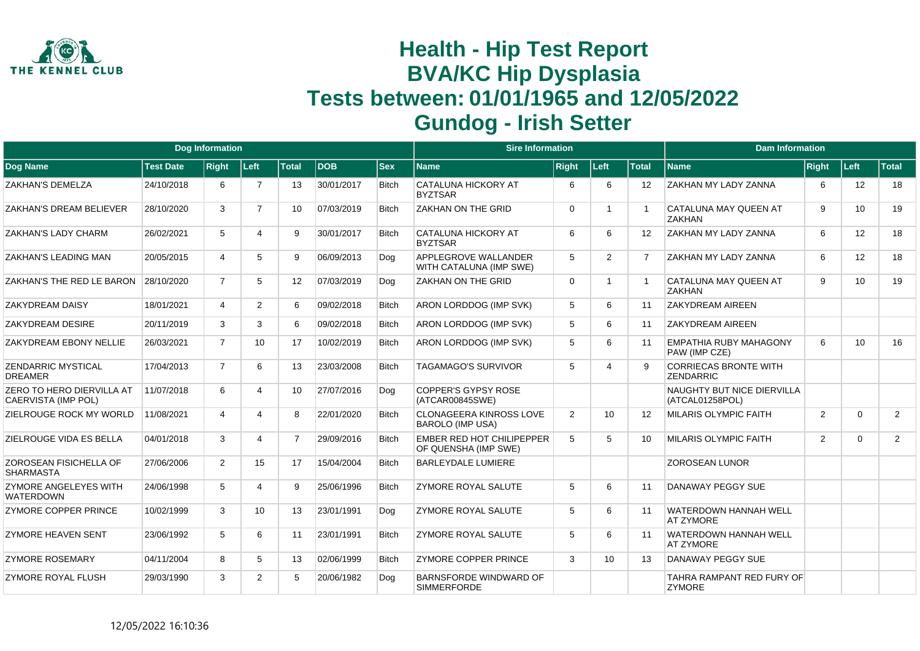

|                                                  |                  | <b>Dog Information</b> |                 |                |            |              | <b>Sire Information</b>                                   |              |      |                   | <b>Dam Information</b>                           |                |          |                |
|--------------------------------------------------|------------------|------------------------|-----------------|----------------|------------|--------------|-----------------------------------------------------------|--------------|------|-------------------|--------------------------------------------------|----------------|----------|----------------|
| Dog Name                                         | <b>Test Date</b> | <b>Right</b>           | Left            | Total          | <b>DOB</b> | $ $ Sex      | Name                                                      | <b>Right</b> | Left | <b>Total</b>      | <b>Name</b>                                      | <b>Right</b>   | Left     | Total          |
| <b>ZAKHAN'S DEMELZA</b>                          | 24/10/2018       | 6                      | $\overline{7}$  | 13             | 30/01/2017 | <b>Bitch</b> | <b>CATALUNA HICKORY AT</b><br><b>BYZTSAR</b>              | 6            | 6    | 12                | ZAKHAN MY LADY ZANNA                             | 6              | 12       | 18             |
| ZAKHAN'S DREAM BELIEVER                          | 28/10/2020       | 3                      | $\overline{7}$  | 10             | 07/03/2019 | <b>Bitch</b> | <b>ZAKHAN ON THE GRID</b>                                 | $\Omega$     | -1   |                   | CATALUNA MAY QUEEN AT<br><b>ZAKHAN</b>           | 9              | 10       | 19             |
| ZAKHAN'S LADY CHARM                              | 26/02/2021       | 5                      | 4               | 9              | 30/01/2017 | <b>Bitch</b> | <b>CATALUNA HICKORY AT</b><br><b>BYZTSAR</b>              | 6            | 6    | 12                | ZAKHAN MY LADY ZANNA                             | 6              | 12       | 18             |
| ZAKHAN'S LEADING MAN                             | 20/05/2015       | $\overline{4}$         | 5               | 9              | 06/09/2013 | Doa          | APPLEGROVE WALLANDER<br>WITH CATALUNA (IMP SWE)           | 5            | 2    | $\overline{7}$    | ZAKHAN MY LADY ZANNA                             | 6              | 12       | 18             |
| ZAKHAN'S THE RED LE BARON                        | 28/10/2020       | $\overline{7}$         | 5               | 12             | 07/03/2019 | Dog          | <b>ZAKHAN ON THE GRID</b>                                 | $\Omega$     | -1   |                   | CATALUNA MAY QUEEN AT<br><b>ZAKHAN</b>           | 9              | 10       | 19             |
| <b>ZAKYDREAM DAISY</b>                           | 18/01/2021       | $\overline{4}$         | $\overline{2}$  | 6              | 09/02/2018 | <b>Bitch</b> | ARON LORDDOG (IMP SVK)                                    | 5            | 6    | 11                | <b>ZAKYDREAM AIREEN</b>                          |                |          |                |
| <b>ZAKYDREAM DESIRE</b>                          | 20/11/2019       | 3                      | 3               | 6              | 09/02/2018 | <b>Bitch</b> | ARON LORDDOG (IMP SVK)                                    | 5            | 6    | 11                | <b>ZAKYDREAM AIREEN</b>                          |                |          |                |
| <b>ZAKYDREAM EBONY NELLIE</b>                    | 26/03/2021       | $\overline{7}$         | 10 <sup>°</sup> | 17             | 10/02/2019 | <b>Bitch</b> | ARON LORDDOG (IMP SVK)                                    | 5            | 6    | 11                | <b>EMPATHIA RUBY MAHAGONY</b><br>PAW (IMP CZE)   | 6              | 10       | 16             |
| <b>ZENDARRIC MYSTICAL</b><br><b>DREAMER</b>      | 17/04/2013       | $\overline{7}$         | 6               | 13             | 23/03/2008 | <b>Bitch</b> | <b>TAGAMAGO'S SURVIVOR</b>                                | 5            | Δ    | <b>q</b>          | <b>CORRIECAS BRONTE WITH</b><br><b>ZENDARRIC</b> |                |          |                |
| ZERO TO HERO DIERVILLA AT<br>CAERVISTA (IMP POL) | 11/07/2018       | 6                      | 4               | 10             | 27/07/2016 | Dog          | <b>COPPER'S GYPSY ROSE</b><br>(ATCAR00845SWE)             |              |      |                   | NAUGHTY BUT NICE DIERVILLA<br>(ATCAL01258POL)    |                |          |                |
| ZIELROUGE ROCK MY WORLD                          | 11/08/2021       | $\overline{4}$         | 4               | 8              | 22/01/2020 | <b>Bitch</b> | <b>CLONAGEERA KINROSS LOVE</b><br><b>BAROLO (IMP USA)</b> | 2            | 10   | $12 \overline{ }$ | <b>MILARIS OLYMPIC FAITH</b>                     | $\overline{2}$ | $\Omega$ | 2              |
| ZIELROUGE VIDA ES BELLA                          | 04/01/2018       | 3                      | 4               | $\overline{7}$ | 29/09/2016 | <b>Bitch</b> | <b>EMBER RED HOT CHILIPEPPER</b><br>OF QUENSHA (IMP SWE)  | 5            | 5    | 10                | <b>MILARIS OLYMPIC FAITH</b>                     | 2              | $\Omega$ | $\overline{2}$ |
| ZOROSEAN FISICHELLA OF<br><b>SHARMASTA</b>       | 27/06/2006       | $\overline{2}$         | 15              | 17             | 15/04/2004 | <b>Bitch</b> | <b>BARLEYDALE LUMIERE</b>                                 |              |      |                   | <b>ZOROSEAN LUNOR</b>                            |                |          |                |
| ZYMORE ANGELEYES WITH<br><b>WATERDOWN</b>        | 24/06/1998       | 5                      | 4               | 9              | 25/06/1996 | <b>Bitch</b> | <b>ZYMORE ROYAL SALUTE</b>                                | 5            | 6    | 11                | DANAWAY PEGGY SUE                                |                |          |                |
| <b>ZYMORE COPPER PRINCE</b>                      | 10/02/1999       | 3                      | 10 <sup>1</sup> | 13             | 23/01/1991 | Dog          | <b>ZYMORE ROYAL SALUTE</b>                                | 5            | 6    | 11                | WATERDOWN HANNAH WELL<br><b>AT ZYMORE</b>        |                |          |                |
| <b>ZYMORE HEAVEN SENT</b>                        | 23/06/1992       | 5                      | 6               | 11             | 23/01/1991 | <b>Bitch</b> | <b>ZYMORE ROYAL SALUTE</b>                                | 5            | 6    | 11                | <b>WATERDOWN HANNAH WELL</b><br><b>AT ZYMORE</b> |                |          |                |
| <b>ZYMORE ROSEMARY</b>                           | 04/11/2004       | 8                      | 5               | 13             | 02/06/1999 | <b>Bitch</b> | <b>ZYMORE COPPER PRINCE</b>                               | 3            | 10   | 13                | DANAWAY PEGGY SUE                                |                |          |                |
| <b>ZYMORE ROYAL FLUSH</b>                        | 29/03/1990       | 3                      | $\overline{2}$  | 5              | 20/06/1982 | Dog          | BARNSFORDE WINDWARD OF<br><b>SIMMERFORDE</b>              |              |      |                   | TAHRA RAMPANT RED FURY OF<br><b>ZYMORE</b>       |                |          |                |